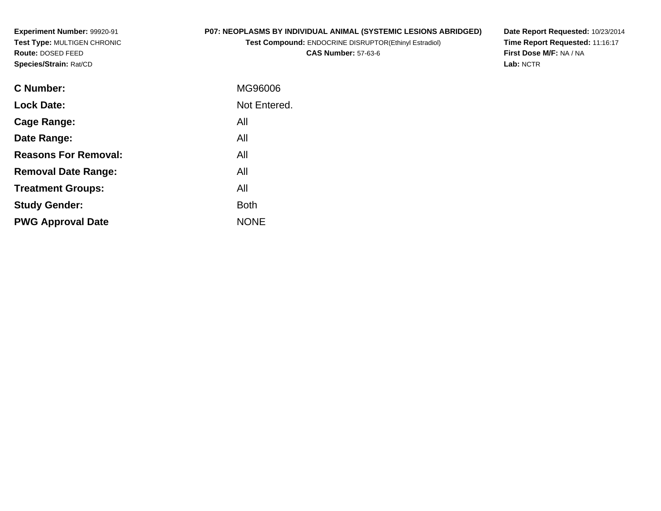**Experiment Number:** 99920-91 **Test Type:** MULTIGEN CHRONIC**Route:** DOSED FEED**Species/Strain:** Rat/CD

## **P07: NEOPLASMS BY INDIVIDUAL ANIMAL (SYSTEMIC LESIONS ABRIDGED)**

**Test Compound:** ENDOCRINE DISRUPTOR(Ethinyl Estradiol)**CAS Number:** 57-63-6

**Date Report Requested:** 10/23/2014 **Time Report Requested:** 11:16:17**First Dose M/F:** NA / NA**Lab:** NCTR

| C Number:                   | MG96006      |
|-----------------------------|--------------|
| <b>Lock Date:</b>           | Not Entered. |
| Cage Range:                 | All          |
| Date Range:                 | All          |
| <b>Reasons For Removal:</b> | All          |
| <b>Removal Date Range:</b>  | All          |
| <b>Treatment Groups:</b>    | All          |
| <b>Study Gender:</b>        | <b>Both</b>  |
| <b>PWG Approval Date</b>    | <b>NONE</b>  |
|                             |              |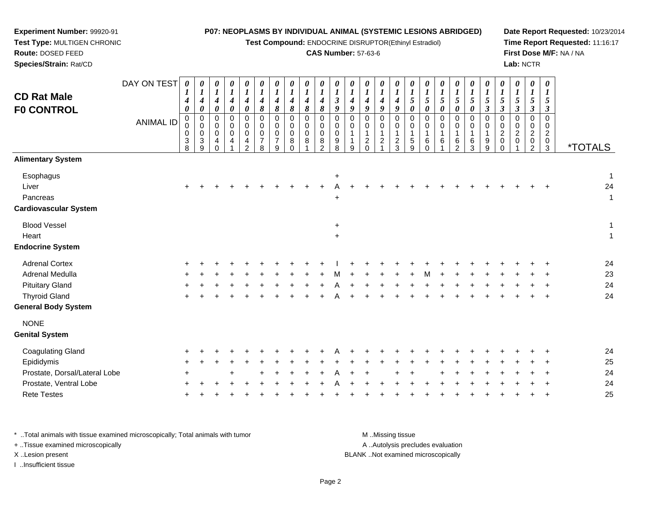**Test Compound:** ENDOCRINE DISRUPTOR(Ethinyl Estradiol)

### **CAS Number:** 57-63-6

**Date Report Requested:** 10/23/2014**Time Report Requested:** 11:16:17**First Dose M/F:** NA / NA**Lab:** NCTR

|                                         | DAY ON TEST      | 0<br>$\boldsymbol{l}$           | 0<br>$\boldsymbol{l}$                                     | 0<br>$\boldsymbol{l}$                | $\frac{\boldsymbol{\theta}}{\boldsymbol{I}}$ | 0<br>$\boldsymbol{l}$                                        | 0<br>$\boldsymbol{l}$                                         | 0<br>$\boldsymbol{l}$                                            | 0<br>$\boldsymbol{l}$                                   | 0<br>$\boldsymbol{l}$         | $\boldsymbol{l}$                                              | 0<br>$\boldsymbol{l}$                  | 0<br>$\boldsymbol{l}$ | 0<br>$\boldsymbol{l}$                              | 0<br>$\boldsymbol{l}$                                    | 0<br>$\boldsymbol{l}$                               | 0<br>$\boldsymbol{l}$                                          | $\boldsymbol{\theta}$<br>$\overline{\mathbf{I}}$         | $\frac{\theta}{I}$ | 0<br>$\boldsymbol{l}$                            | $\frac{\theta}{I}$                          | 0<br>$\boldsymbol{l}$     | 0<br>$\boldsymbol{l}$                                      | 0<br>$\boldsymbol{l}$                          | 0<br>$\boldsymbol{l}$                                                    | $\boldsymbol{\theta}$<br>$\bm{l}$                             |                       |
|-----------------------------------------|------------------|---------------------------------|-----------------------------------------------------------|--------------------------------------|----------------------------------------------|--------------------------------------------------------------|---------------------------------------------------------------|------------------------------------------------------------------|---------------------------------------------------------|-------------------------------|---------------------------------------------------------------|----------------------------------------|-----------------------|----------------------------------------------------|----------------------------------------------------------|-----------------------------------------------------|----------------------------------------------------------------|----------------------------------------------------------|--------------------|--------------------------------------------------|---------------------------------------------|---------------------------|------------------------------------------------------------|------------------------------------------------|--------------------------------------------------------------------------|---------------------------------------------------------------|-----------------------|
| <b>CD Rat Male</b><br><b>FO CONTROL</b> |                  | 4<br>0                          | $\boldsymbol{4}$<br>$\pmb{\theta}$                        | $\boldsymbol{4}$<br>$\pmb{\theta}$   | $\boldsymbol{4}$<br>$\pmb{\theta}$           | $\boldsymbol{4}$<br>$\pmb{\theta}$                           | $\boldsymbol{4}$<br>$\boldsymbol{\delta}$                     | $\boldsymbol{4}$<br>$\pmb{8}$                                    | $\boldsymbol{4}$<br>8                                   | $\boldsymbol{4}$<br>$\pmb{8}$ | $\boldsymbol{4}$<br>$\pmb{8}$                                 | $\boldsymbol{\beta}$<br>9              | $\boldsymbol{4}$<br>9 | $\boldsymbol{4}$<br>$\boldsymbol{9}$               | $\boldsymbol{4}$<br>9                                    | $\boldsymbol{4}$<br>9                               | $\sqrt{5}$<br>0                                                | $5\overline{)}$<br>0                                     | 5<br>0             | $\mathfrak{s}$<br>$\boldsymbol{\theta}$          | 5<br>0                                      | 5<br>$\boldsymbol{\beta}$ | 5<br>$\boldsymbol{\beta}$                                  | 5<br>$\boldsymbol{\beta}$                      | 5<br>$\boldsymbol{\beta}$                                                | 5<br>$\boldsymbol{\beta}$                                     |                       |
|                                         | <b>ANIMAL ID</b> | $\mathbf 0$<br>0<br>0<br>$_8^3$ | $\boldsymbol{0}$<br>0<br>$\mathbf 0$<br>3<br>$\mathbf{Q}$ | $\pmb{0}$<br>0<br>0<br>4<br>$\Omega$ | $\mathbf 0$<br>0<br>0<br>4                   | $\pmb{0}$<br>$\pmb{0}$<br>$\mathbf 0$<br>4<br>$\overline{2}$ | $\Omega$<br>$\mathbf 0$<br>$\mathbf 0$<br>$\overline{7}$<br>8 | $\mathbf 0$<br>$\mathbf 0$<br>$\mathbf 0$<br>$\overline{7}$<br>9 | $\Omega$<br>$\mathbf 0$<br>$\mathbf 0$<br>8<br>$\Omega$ | $\Omega$<br>0<br>0<br>8       | $\Omega$<br>$\mathbf 0$<br>$\mathbf 0$<br>8<br>$\mathfrak{D}$ | $\Omega$<br>0<br>$\mathbf 0$<br>9<br>8 | $\Omega$<br>0<br>9    | $\Omega$<br>$\Omega$<br>$\overline{a}$<br>$\Omega$ | $\Omega$<br>$\mathbf 0$<br>$\mathbf 1$<br>$\overline{2}$ | $\Omega$<br>$\mathbf 0$<br>1<br>$\overline{2}$<br>3 | $\Omega$<br>0<br>$\mathbf{1}$<br>$\,$ 5 $\,$<br>$\overline{9}$ | $\Omega$<br>$\mathbf 0$<br>$\mathbf{1}$<br>6<br>$\Omega$ | $\Omega$<br>0<br>6 | $\mathbf 0$<br>$\mathbf 0$<br>6<br>$\mathcal{P}$ | $\mathbf 0$<br>$\mathbf 0$<br>$\frac{6}{3}$ | $\Omega$<br>0<br>9<br>9   | $\Omega$<br>$\mathbf 0$<br>$\overline{2}$<br>0<br>$\Omega$ | $\Omega$<br>$\mathbf 0$<br>$\overline{2}$<br>0 | $\Omega$<br>$\mathbf 0$<br>$\overline{c}$<br>$\pmb{0}$<br>$\overline{2}$ | $\Omega$<br>$\Omega$<br>$\overline{a}$<br>0<br>$\overline{3}$ | <i><b>*TOTALS</b></i> |
| <b>Alimentary System</b>                |                  |                                 |                                                           |                                      |                                              |                                                              |                                                               |                                                                  |                                                         |                               |                                                               |                                        |                       |                                                    |                                                          |                                                     |                                                                |                                                          |                    |                                                  |                                             |                           |                                                            |                                                |                                                                          |                                                               |                       |
| Esophagus                               |                  |                                 |                                                           |                                      |                                              |                                                              |                                                               |                                                                  |                                                         |                               |                                                               | $\ddot{}$                              |                       |                                                    |                                                          |                                                     |                                                                |                                                          |                    |                                                  |                                             |                           |                                                            |                                                |                                                                          |                                                               | 1                     |
| Liver                                   |                  |                                 |                                                           |                                      |                                              |                                                              |                                                               |                                                                  |                                                         |                               |                                                               |                                        |                       |                                                    |                                                          |                                                     |                                                                |                                                          |                    |                                                  |                                             |                           |                                                            |                                                |                                                                          |                                                               | 24                    |
| Pancreas                                |                  |                                 |                                                           |                                      |                                              |                                                              |                                                               |                                                                  |                                                         |                               |                                                               | $\ddot{}$                              |                       |                                                    |                                                          |                                                     |                                                                |                                                          |                    |                                                  |                                             |                           |                                                            |                                                |                                                                          |                                                               | 1                     |
| <b>Cardiovascular System</b>            |                  |                                 |                                                           |                                      |                                              |                                                              |                                                               |                                                                  |                                                         |                               |                                                               |                                        |                       |                                                    |                                                          |                                                     |                                                                |                                                          |                    |                                                  |                                             |                           |                                                            |                                                |                                                                          |                                                               |                       |
| <b>Blood Vessel</b>                     |                  |                                 |                                                           |                                      |                                              |                                                              |                                                               |                                                                  |                                                         |                               |                                                               | $\ddot{}$                              |                       |                                                    |                                                          |                                                     |                                                                |                                                          |                    |                                                  |                                             |                           |                                                            |                                                |                                                                          |                                                               | 1                     |
| Heart                                   |                  |                                 |                                                           |                                      |                                              |                                                              |                                                               |                                                                  |                                                         |                               |                                                               | $\ddot{}$                              |                       |                                                    |                                                          |                                                     |                                                                |                                                          |                    |                                                  |                                             |                           |                                                            |                                                |                                                                          |                                                               | 1                     |
| <b>Endocrine System</b>                 |                  |                                 |                                                           |                                      |                                              |                                                              |                                                               |                                                                  |                                                         |                               |                                                               |                                        |                       |                                                    |                                                          |                                                     |                                                                |                                                          |                    |                                                  |                                             |                           |                                                            |                                                |                                                                          |                                                               |                       |
| <b>Adrenal Cortex</b>                   |                  |                                 |                                                           |                                      |                                              |                                                              |                                                               |                                                                  |                                                         |                               |                                                               |                                        |                       |                                                    |                                                          |                                                     |                                                                |                                                          |                    |                                                  |                                             |                           |                                                            |                                                |                                                                          |                                                               | 24                    |
| <b>Adrenal Medulla</b>                  |                  |                                 |                                                           |                                      |                                              |                                                              |                                                               |                                                                  |                                                         |                               |                                                               |                                        |                       |                                                    |                                                          |                                                     |                                                                |                                                          |                    |                                                  |                                             |                           |                                                            |                                                |                                                                          |                                                               | 23                    |
| <b>Pituitary Gland</b>                  |                  |                                 |                                                           |                                      |                                              |                                                              |                                                               |                                                                  |                                                         |                               |                                                               |                                        |                       |                                                    |                                                          |                                                     |                                                                |                                                          |                    |                                                  |                                             |                           |                                                            |                                                |                                                                          |                                                               | 24                    |
| <b>Thyroid Gland</b>                    |                  |                                 |                                                           |                                      |                                              |                                                              |                                                               |                                                                  |                                                         |                               |                                                               |                                        |                       |                                                    |                                                          |                                                     |                                                                |                                                          |                    |                                                  |                                             |                           |                                                            |                                                |                                                                          |                                                               | 24                    |
| <b>General Body System</b>              |                  |                                 |                                                           |                                      |                                              |                                                              |                                                               |                                                                  |                                                         |                               |                                                               |                                        |                       |                                                    |                                                          |                                                     |                                                                |                                                          |                    |                                                  |                                             |                           |                                                            |                                                |                                                                          |                                                               |                       |
| <b>NONE</b>                             |                  |                                 |                                                           |                                      |                                              |                                                              |                                                               |                                                                  |                                                         |                               |                                                               |                                        |                       |                                                    |                                                          |                                                     |                                                                |                                                          |                    |                                                  |                                             |                           |                                                            |                                                |                                                                          |                                                               |                       |
| <b>Genital System</b>                   |                  |                                 |                                                           |                                      |                                              |                                                              |                                                               |                                                                  |                                                         |                               |                                                               |                                        |                       |                                                    |                                                          |                                                     |                                                                |                                                          |                    |                                                  |                                             |                           |                                                            |                                                |                                                                          |                                                               |                       |
| <b>Coagulating Gland</b>                |                  |                                 |                                                           |                                      |                                              |                                                              |                                                               |                                                                  |                                                         |                               |                                                               |                                        |                       |                                                    |                                                          |                                                     |                                                                |                                                          |                    |                                                  |                                             |                           |                                                            |                                                |                                                                          |                                                               | 24                    |
| Epididymis                              |                  |                                 |                                                           |                                      |                                              |                                                              |                                                               |                                                                  |                                                         |                               |                                                               |                                        |                       |                                                    |                                                          |                                                     |                                                                |                                                          |                    |                                                  |                                             |                           |                                                            |                                                |                                                                          |                                                               | 25                    |
| Prostate, Dorsal/Lateral Lobe           |                  |                                 |                                                           |                                      |                                              |                                                              |                                                               |                                                                  |                                                         |                               |                                                               |                                        |                       |                                                    |                                                          |                                                     |                                                                |                                                          |                    |                                                  |                                             |                           |                                                            |                                                |                                                                          |                                                               | 24                    |
| Prostate, Ventral Lobe                  |                  |                                 |                                                           |                                      |                                              |                                                              |                                                               |                                                                  |                                                         |                               |                                                               |                                        |                       |                                                    |                                                          |                                                     |                                                                |                                                          |                    |                                                  |                                             |                           |                                                            |                                                |                                                                          |                                                               | 24                    |
| <b>Rete Testes</b>                      |                  |                                 |                                                           |                                      |                                              |                                                              |                                                               |                                                                  |                                                         |                               |                                                               |                                        |                       |                                                    |                                                          |                                                     |                                                                |                                                          |                    |                                                  |                                             |                           |                                                            |                                                |                                                                          |                                                               | 25                    |

\* ..Total animals with tissue examined microscopically; Total animals with tumor **M** ...Missing tissue M ...Missing tissue A ..Autolysis precludes evaluation + ..Tissue examined microscopically X ..Lesion present BLANK ..Not examined microscopicallyI ..Insufficient tissue

<sup>+</sup>

**Experiment Number:** 99920-91**Test Type:** MULTIGEN CHRONIC

**Route:** DOSED FEED**Species/Strain:** Rat/CD

<sup>+</sup> <sup>+</sup> <sup>+</sup> <sup>+</sup> <sup>+</sup> <sup>+</sup> <sup>+</sup> <sup>+</sup> <sup>+</sup> <sup>+</sup> <sup>+</sup> <sup>+</sup> <sup>+</sup> <sup>+</sup> <sup>+</sup> <sup>+</sup> <sup>+</sup> <sup>+</sup> <sup>+</sup> <sup>+</sup> <sup>+</sup> <sup>+</sup> <sup>+</sup> <sup>+</sup> <sup>25</sup>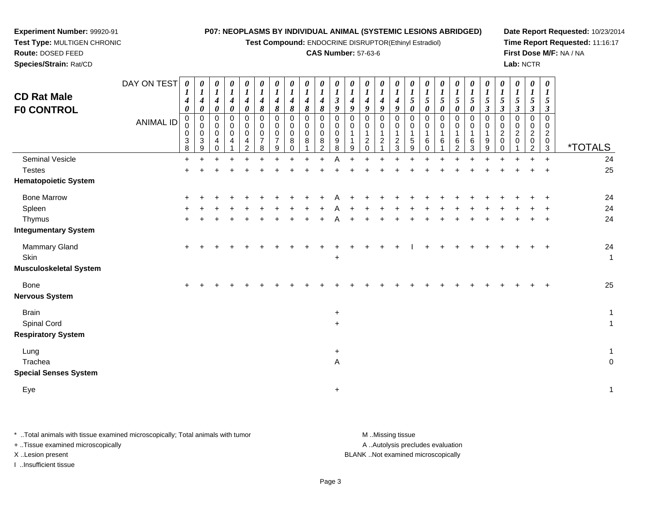**Test Compound:** ENDOCRINE DISRUPTOR(Ethinyl Estradiol)

### **CAS Number:** 57-63-6

**Date Report Requested:** 10/23/2014**Time Report Requested:** 11:16:17**First Dose M/F:** NA / NA**Lab:** NCTR

**Experiment Number:** 99920-91 **Test Type:** MULTIGEN CHRONIC**Route:** DOSED FEED**Species/Strain:** Rat/CD

| <b>CD Rat Male</b><br><b>F0 CONTROL</b> | DAY ON TEST<br><b>ANIMAL ID</b> | $\boldsymbol{\theta}$<br>$\bm{l}$<br>$\boldsymbol{4}$<br>$\boldsymbol{\theta}$<br>0<br>$\pmb{0}$<br>$\pmb{0}$<br>$\sqrt{3}$ | 0<br>1<br>$\boldsymbol{4}$<br>$\pmb{\theta}$<br>$\mathbf 0$<br>$\pmb{0}$<br>0<br>3 | 0<br>$\boldsymbol{l}$<br>$\boldsymbol{4}$<br>$\pmb{\theta}$<br>$\mathbf 0$<br>$\pmb{0}$<br>0<br>4 | $\pmb{\theta}$<br>$\boldsymbol{l}$<br>$\boldsymbol{4}$<br>$\pmb{\theta}$<br>0<br>$\pmb{0}$<br>0<br>4 | $\pmb{\theta}$<br>$\boldsymbol{l}$<br>$\boldsymbol{4}$<br>$\pmb{\theta}$<br>$\pmb{0}$<br>$\pmb{0}$<br>$\mathbf 0$<br>4 | $\boldsymbol{\theta}$<br>$\boldsymbol{l}$<br>$\boldsymbol{4}$<br>$\pmb{8}$<br>$\mathbf 0$<br>$\pmb{0}$<br>$\mathbf 0$<br>$\overline{7}$ | $\pmb{\theta}$<br>$\boldsymbol{l}$<br>$\boldsymbol{4}$<br>8<br>$\pmb{0}$<br>$\pmb{0}$<br>0<br>$\overline{7}$ | $\pmb{\theta}$<br>$\boldsymbol{l}$<br>$\boldsymbol{4}$<br>8<br>$\mathbf 0$<br>$\mathbf 0$<br>0<br>8 | 0<br>$\boldsymbol{l}$<br>$\boldsymbol{4}$<br>8<br>0<br>0<br>0<br>8 | $\boldsymbol{\theta}$<br>$\boldsymbol{l}$<br>$\boldsymbol{4}$<br>8<br>$\mathbf 0$<br>0<br>$\mathbf 0$<br>8 | 0<br>$\boldsymbol{l}$<br>$\mathfrak{z}$<br>9<br>$\Omega$<br>0<br>$\mathbf 0$<br>9 | 0<br>$\boldsymbol{l}$<br>$\boldsymbol{4}$<br>9<br>$\Omega$<br>0<br>$\mathbf{1}$ | 0<br>1<br>$\boldsymbol{4}$<br>9<br>$\Omega$<br>0<br>$\mathbf{1}$<br>$\overline{c}$ | 0<br>$\boldsymbol{l}$<br>$\boldsymbol{4}$<br>9<br>$\Omega$<br>0<br>$\mathbf 1$<br>2 | $\boldsymbol{\theta}$<br>$\boldsymbol{l}$<br>$\boldsymbol{4}$<br>9<br>$\mathbf 0$<br>0<br>$\mathbf{1}$<br>$\frac{2}{3}$ | $\pmb{\theta}$<br>$\boldsymbol{l}$<br>$\sqrt{5}$<br>$\pmb{\theta}$<br>$\mathbf 0$<br>$\mathbf 0$<br>$\mathbf{1}$<br>$\frac{5}{9}$ | $\boldsymbol{\theta}$<br>$\boldsymbol{l}$<br>$\overline{5}$<br>$\pmb{\theta}$<br>$\mathbf 0$<br>$\mathbf 0$<br>1<br>6 | $\pmb{\theta}$<br>$\boldsymbol{l}$<br>$\sqrt{5}$<br>$\pmb{\theta}$<br>$\pmb{0}$<br>$\pmb{0}$<br>6 | $\pmb{\theta}$<br>$\boldsymbol{l}$<br>$\mathfrak{S}$<br>$\pmb{\theta}$<br>0<br>$\pmb{0}$<br>$\mathbf{1}$<br>6 | 0<br>$\boldsymbol{l}$<br>$\mathfrak{s}$<br>$\pmb{\theta}$<br>0<br>0<br>1<br>6 | $\boldsymbol{\theta}$<br>$\boldsymbol{l}$<br>$\sqrt{5}$<br>$\mathfrak{z}$<br>$\Omega$<br>$\mathbf 0$<br>1<br>9 | $\pmb{\theta}$<br>$\boldsymbol{l}$<br>5<br>$\boldsymbol{\beta}$<br>$\Omega$<br>0<br>$\overline{2}$<br>0 | $\pmb{\theta}$<br>$\boldsymbol{l}$<br>$\mathfrak{s}$<br>$\boldsymbol{\beta}$<br>$\Omega$<br>0<br>$\overline{c}$<br>0 | 0<br>$\boldsymbol{l}$<br>5<br>$\boldsymbol{\beta}$<br>$\Omega$<br>0<br>$\overline{c}$<br>0 | $\boldsymbol{\theta}$<br>1<br>5<br>3<br>$\Omega$<br>0<br>$\overline{c}$<br>0 |                       |
|-----------------------------------------|---------------------------------|-----------------------------------------------------------------------------------------------------------------------------|------------------------------------------------------------------------------------|---------------------------------------------------------------------------------------------------|------------------------------------------------------------------------------------------------------|------------------------------------------------------------------------------------------------------------------------|-----------------------------------------------------------------------------------------------------------------------------------------|--------------------------------------------------------------------------------------------------------------|-----------------------------------------------------------------------------------------------------|--------------------------------------------------------------------|------------------------------------------------------------------------------------------------------------|-----------------------------------------------------------------------------------|---------------------------------------------------------------------------------|------------------------------------------------------------------------------------|-------------------------------------------------------------------------------------|-------------------------------------------------------------------------------------------------------------------------|-----------------------------------------------------------------------------------------------------------------------------------|-----------------------------------------------------------------------------------------------------------------------|---------------------------------------------------------------------------------------------------|---------------------------------------------------------------------------------------------------------------|-------------------------------------------------------------------------------|----------------------------------------------------------------------------------------------------------------|---------------------------------------------------------------------------------------------------------|----------------------------------------------------------------------------------------------------------------------|--------------------------------------------------------------------------------------------|------------------------------------------------------------------------------|-----------------------|
|                                         |                                 | $\overline{8}$                                                                                                              | 9                                                                                  | $\Omega$                                                                                          |                                                                                                      | $\mathcal{P}$                                                                                                          | 8                                                                                                                                       | 9                                                                                                            | $\Omega$                                                                                            |                                                                    | $\Omega$                                                                                                   | 8                                                                                 | 9                                                                               | $\Omega$                                                                           |                                                                                     |                                                                                                                         |                                                                                                                                   | $\Omega$                                                                                                              |                                                                                                   | $\mathcal{P}$                                                                                                 | 3                                                                             | 9                                                                                                              | $\Omega$                                                                                                |                                                                                                                      | $\mathfrak{p}$                                                                             | $\mathfrak{Z}$                                                               | <i><b>*TOTALS</b></i> |
| Seminal Vesicle                         |                                 | $\ddot{}$                                                                                                                   |                                                                                    |                                                                                                   |                                                                                                      |                                                                                                                        |                                                                                                                                         |                                                                                                              |                                                                                                     |                                                                    |                                                                                                            | A                                                                                 |                                                                                 |                                                                                    |                                                                                     |                                                                                                                         |                                                                                                                                   |                                                                                                                       |                                                                                                   |                                                                                                               |                                                                               |                                                                                                                |                                                                                                         |                                                                                                                      |                                                                                            | $\ddot{}$                                                                    | 24                    |
| <b>Testes</b>                           |                                 | $\ddot{}$                                                                                                                   |                                                                                    |                                                                                                   |                                                                                                      |                                                                                                                        |                                                                                                                                         |                                                                                                              |                                                                                                     |                                                                    |                                                                                                            |                                                                                   |                                                                                 |                                                                                    |                                                                                     |                                                                                                                         |                                                                                                                                   |                                                                                                                       |                                                                                                   |                                                                                                               |                                                                               |                                                                                                                |                                                                                                         |                                                                                                                      |                                                                                            |                                                                              | 25                    |
| <b>Hematopoietic System</b>             |                                 |                                                                                                                             |                                                                                    |                                                                                                   |                                                                                                      |                                                                                                                        |                                                                                                                                         |                                                                                                              |                                                                                                     |                                                                    |                                                                                                            |                                                                                   |                                                                                 |                                                                                    |                                                                                     |                                                                                                                         |                                                                                                                                   |                                                                                                                       |                                                                                                   |                                                                                                               |                                                                               |                                                                                                                |                                                                                                         |                                                                                                                      |                                                                                            |                                                                              |                       |
| <b>Bone Marrow</b>                      |                                 | ÷                                                                                                                           |                                                                                    |                                                                                                   |                                                                                                      |                                                                                                                        |                                                                                                                                         |                                                                                                              |                                                                                                     |                                                                    |                                                                                                            |                                                                                   |                                                                                 |                                                                                    |                                                                                     |                                                                                                                         |                                                                                                                                   |                                                                                                                       |                                                                                                   |                                                                                                               |                                                                               |                                                                                                                |                                                                                                         |                                                                                                                      |                                                                                            |                                                                              | 24                    |
| Spleen                                  |                                 |                                                                                                                             |                                                                                    |                                                                                                   |                                                                                                      |                                                                                                                        |                                                                                                                                         |                                                                                                              |                                                                                                     |                                                                    |                                                                                                            |                                                                                   |                                                                                 |                                                                                    |                                                                                     |                                                                                                                         |                                                                                                                                   |                                                                                                                       |                                                                                                   |                                                                                                               |                                                                               |                                                                                                                |                                                                                                         |                                                                                                                      |                                                                                            |                                                                              | 24                    |
| Thymus                                  |                                 | ÷                                                                                                                           |                                                                                    |                                                                                                   |                                                                                                      |                                                                                                                        |                                                                                                                                         |                                                                                                              |                                                                                                     |                                                                    |                                                                                                            |                                                                                   |                                                                                 |                                                                                    |                                                                                     |                                                                                                                         |                                                                                                                                   |                                                                                                                       |                                                                                                   |                                                                                                               |                                                                               |                                                                                                                |                                                                                                         |                                                                                                                      |                                                                                            |                                                                              | 24                    |
| <b>Integumentary System</b>             |                                 |                                                                                                                             |                                                                                    |                                                                                                   |                                                                                                      |                                                                                                                        |                                                                                                                                         |                                                                                                              |                                                                                                     |                                                                    |                                                                                                            |                                                                                   |                                                                                 |                                                                                    |                                                                                     |                                                                                                                         |                                                                                                                                   |                                                                                                                       |                                                                                                   |                                                                                                               |                                                                               |                                                                                                                |                                                                                                         |                                                                                                                      |                                                                                            |                                                                              |                       |
| Mammary Gland                           |                                 | $\ddot{}$                                                                                                                   |                                                                                    |                                                                                                   |                                                                                                      |                                                                                                                        |                                                                                                                                         |                                                                                                              |                                                                                                     |                                                                    |                                                                                                            |                                                                                   |                                                                                 |                                                                                    |                                                                                     |                                                                                                                         |                                                                                                                                   |                                                                                                                       |                                                                                                   |                                                                                                               |                                                                               |                                                                                                                |                                                                                                         |                                                                                                                      |                                                                                            |                                                                              | 24                    |
| Skin                                    |                                 |                                                                                                                             |                                                                                    |                                                                                                   |                                                                                                      |                                                                                                                        |                                                                                                                                         |                                                                                                              |                                                                                                     |                                                                    |                                                                                                            | $\ddot{}$                                                                         |                                                                                 |                                                                                    |                                                                                     |                                                                                                                         |                                                                                                                                   |                                                                                                                       |                                                                                                   |                                                                                                               |                                                                               |                                                                                                                |                                                                                                         |                                                                                                                      |                                                                                            |                                                                              | $\mathbf{1}$          |
| <b>Musculoskeletal System</b>           |                                 |                                                                                                                             |                                                                                    |                                                                                                   |                                                                                                      |                                                                                                                        |                                                                                                                                         |                                                                                                              |                                                                                                     |                                                                    |                                                                                                            |                                                                                   |                                                                                 |                                                                                    |                                                                                     |                                                                                                                         |                                                                                                                                   |                                                                                                                       |                                                                                                   |                                                                                                               |                                                                               |                                                                                                                |                                                                                                         |                                                                                                                      |                                                                                            |                                                                              |                       |
| Bone                                    |                                 | $\ddot{}$                                                                                                                   |                                                                                    |                                                                                                   |                                                                                                      |                                                                                                                        |                                                                                                                                         |                                                                                                              |                                                                                                     |                                                                    |                                                                                                            |                                                                                   |                                                                                 |                                                                                    |                                                                                     |                                                                                                                         |                                                                                                                                   |                                                                                                                       |                                                                                                   |                                                                                                               |                                                                               |                                                                                                                |                                                                                                         |                                                                                                                      |                                                                                            |                                                                              | 25                    |
| <b>Nervous System</b>                   |                                 |                                                                                                                             |                                                                                    |                                                                                                   |                                                                                                      |                                                                                                                        |                                                                                                                                         |                                                                                                              |                                                                                                     |                                                                    |                                                                                                            |                                                                                   |                                                                                 |                                                                                    |                                                                                     |                                                                                                                         |                                                                                                                                   |                                                                                                                       |                                                                                                   |                                                                                                               |                                                                               |                                                                                                                |                                                                                                         |                                                                                                                      |                                                                                            |                                                                              |                       |
| <b>Brain</b>                            |                                 |                                                                                                                             |                                                                                    |                                                                                                   |                                                                                                      |                                                                                                                        |                                                                                                                                         |                                                                                                              |                                                                                                     |                                                                    |                                                                                                            | $\ddot{}$                                                                         |                                                                                 |                                                                                    |                                                                                     |                                                                                                                         |                                                                                                                                   |                                                                                                                       |                                                                                                   |                                                                                                               |                                                                               |                                                                                                                |                                                                                                         |                                                                                                                      |                                                                                            |                                                                              | $\mathbf{1}$          |
| Spinal Cord                             |                                 |                                                                                                                             |                                                                                    |                                                                                                   |                                                                                                      |                                                                                                                        |                                                                                                                                         |                                                                                                              |                                                                                                     |                                                                    |                                                                                                            | $\ddot{}$                                                                         |                                                                                 |                                                                                    |                                                                                     |                                                                                                                         |                                                                                                                                   |                                                                                                                       |                                                                                                   |                                                                                                               |                                                                               |                                                                                                                |                                                                                                         |                                                                                                                      |                                                                                            |                                                                              | $\mathbf{1}$          |
| <b>Respiratory System</b>               |                                 |                                                                                                                             |                                                                                    |                                                                                                   |                                                                                                      |                                                                                                                        |                                                                                                                                         |                                                                                                              |                                                                                                     |                                                                    |                                                                                                            |                                                                                   |                                                                                 |                                                                                    |                                                                                     |                                                                                                                         |                                                                                                                                   |                                                                                                                       |                                                                                                   |                                                                                                               |                                                                               |                                                                                                                |                                                                                                         |                                                                                                                      |                                                                                            |                                                                              |                       |
| Lung                                    |                                 |                                                                                                                             |                                                                                    |                                                                                                   |                                                                                                      |                                                                                                                        |                                                                                                                                         |                                                                                                              |                                                                                                     |                                                                    |                                                                                                            | $\ddot{}$                                                                         |                                                                                 |                                                                                    |                                                                                     |                                                                                                                         |                                                                                                                                   |                                                                                                                       |                                                                                                   |                                                                                                               |                                                                               |                                                                                                                |                                                                                                         |                                                                                                                      |                                                                                            |                                                                              | $\mathbf{1}$          |
| Trachea                                 |                                 |                                                                                                                             |                                                                                    |                                                                                                   |                                                                                                      |                                                                                                                        |                                                                                                                                         |                                                                                                              |                                                                                                     |                                                                    |                                                                                                            | Α                                                                                 |                                                                                 |                                                                                    |                                                                                     |                                                                                                                         |                                                                                                                                   |                                                                                                                       |                                                                                                   |                                                                                                               |                                                                               |                                                                                                                |                                                                                                         |                                                                                                                      |                                                                                            |                                                                              | $\boldsymbol{0}$      |
| <b>Special Senses System</b>            |                                 |                                                                                                                             |                                                                                    |                                                                                                   |                                                                                                      |                                                                                                                        |                                                                                                                                         |                                                                                                              |                                                                                                     |                                                                    |                                                                                                            |                                                                                   |                                                                                 |                                                                                    |                                                                                     |                                                                                                                         |                                                                                                                                   |                                                                                                                       |                                                                                                   |                                                                                                               |                                                                               |                                                                                                                |                                                                                                         |                                                                                                                      |                                                                                            |                                                                              |                       |
| Eye                                     |                                 |                                                                                                                             |                                                                                    |                                                                                                   |                                                                                                      |                                                                                                                        |                                                                                                                                         |                                                                                                              |                                                                                                     |                                                                    |                                                                                                            | $\ddot{}$                                                                         |                                                                                 |                                                                                    |                                                                                     |                                                                                                                         |                                                                                                                                   |                                                                                                                       |                                                                                                   |                                                                                                               |                                                                               |                                                                                                                |                                                                                                         |                                                                                                                      |                                                                                            |                                                                              | $\mathbf{1}$          |
|                                         |                                 |                                                                                                                             |                                                                                    |                                                                                                   |                                                                                                      |                                                                                                                        |                                                                                                                                         |                                                                                                              |                                                                                                     |                                                                    |                                                                                                            |                                                                                   |                                                                                 |                                                                                    |                                                                                     |                                                                                                                         |                                                                                                                                   |                                                                                                                       |                                                                                                   |                                                                                                               |                                                                               |                                                                                                                |                                                                                                         |                                                                                                                      |                                                                                            |                                                                              |                       |

\* ..Total animals with tissue examined microscopically; Total animals with tumor **M** . Missing tissue M ..Missing tissue

+ ..Tissue examined microscopically

I ..Insufficient tissue

A ..Autolysis precludes evaluation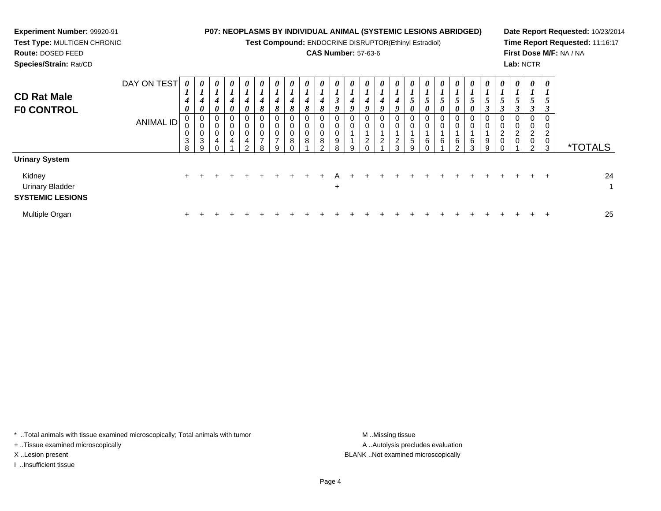**Test Compound:** ENDOCRINE DISRUPTOR(Ethinyl Estradiol)

## **CAS Number:** 57-63-6

**Date Report Requested:** 10/23/2014**Time Report Requested:** 11:16:17**First Dose M/F:** NA / NA**Lab:** NCTR

 **Test Type:** MULTIGEN CHRONIC**Route:** DOSED FEED**Species/Strain:** Rat/CD

**Experiment Number:** 99920-91

| <b>CD Rat Male</b><br><b>FO CONTROL</b>                                              | DAY ON TEST<br>ANIMAL ID | 0<br>$\overline{ }$<br>4<br>$\boldsymbol{\theta}$<br>0<br>$\mathbf 0$<br>$\mathbf{3}$<br>8 | 0<br>x.<br>4<br>$\boldsymbol{\theta}$<br>0<br>$\pmb{0}$<br>0<br>$\mathbf{3}$<br>9 | 0<br>L<br>4<br>$\boldsymbol{\theta}$<br>0<br>0<br>0<br>4 | 0<br>$\mathbf{I}$<br>4<br>0<br>0<br>$\overline{0}$<br>$\mathbf 0$<br>4 | $\boldsymbol{\theta}$<br>1<br>$\boldsymbol{4}$<br>$\boldsymbol{\theta}$<br>0<br>$\mathbf 0$<br>$\boldsymbol{0}$<br>$\overline{4}$<br>$\sim$ | 0<br>$\overline{1}$<br>$\boldsymbol{4}$<br>8<br>0<br>$\bar{0}$<br>0<br>$\rightarrow$<br>R | $\boldsymbol{\theta}$<br>$\mathbf{I}$<br>4<br>8<br>0<br>$\mathsf 0$<br>$\mathbf 0$<br>$\overline{ }$<br>9 | $\boldsymbol{\theta}$<br>$\overline{I}$<br>$\boldsymbol{4}$<br>8<br>$\mathbf 0$<br>$\mathbf 0$<br>0<br>8 | 0<br>4<br>8<br>0<br>0<br>0<br>8 | 0<br>×.<br>$\boldsymbol{4}$<br>8<br>0<br>$\mathsf{O}\xspace$<br>$\pmb{0}$<br>$\bf 8$<br>$\sim$ | 0<br>$\overline{ }$<br>$\rightarrow$<br>J<br>9<br>$\begin{smallmatrix}0\\0\end{smallmatrix}$<br>0<br>$\boldsymbol{9}$<br>8 | $\boldsymbol{\theta}$<br>$\overline{ }$<br>4<br>9<br>0<br>$\pmb{0}$ | 0<br>$\boldsymbol{4}$<br>$\boldsymbol{q}$<br>0<br>0<br>$\overline{2}$ | 0<br>4<br>9<br>0<br>0<br>$\overline{2}$ | 0<br>$\mathbf{I}$<br>4<br>9<br>$\mathbf 0$<br>$\mathbf 0$<br>$\boldsymbol{2}$<br>$\sim$ | 0<br>$\overline{ }$<br>$\mathfrak{s}$<br>0<br>$\boldsymbol{0}$<br>$\ddot{\mathbf{0}}$<br>$\overline{5}$<br>9 | 0<br>$\mathbf{I}$<br>5<br>0<br>$_{\rm 0}^{\rm 0}$<br>6 | 0<br>$\mathbf{I}$<br>5<br>0<br>0<br>$\pmb{0}$<br>6 | $\boldsymbol{\theta}$<br>┻<br>$\mathfrak{p}$<br>0<br>0<br>0<br>6<br>ົ | $\boldsymbol{\theta}$<br>$\overline{ }$<br>$5\overline{)}$<br>$\boldsymbol{\theta}$<br>$\overline{0}$<br>$\mathbf 0$<br>6<br>3 | 0<br>$\mathbf{I}$<br>$\mathfrak{s}$<br>$\mathbf{\Omega}$<br>J<br>0<br>$\mathsf 0$<br>$\boldsymbol{9}$<br>9 | 0<br>$\overline{ }$<br>5<br>$\boldsymbol{\beta}$<br>0<br>$\pmb{0}$<br>$\begin{smallmatrix} 2 \\ 0 \end{smallmatrix}$ | 0<br>5<br>0<br>0<br>$\overline{c}$<br>0 | $\boldsymbol{\theta}$<br>$5\overline{)}$<br>3<br>0<br>$\mathbf 0$<br>$\overline{c}$<br>$\pmb{0}$<br>C | $\boldsymbol{\theta}$<br>$\boldsymbol{l}$<br>5<br>$\boldsymbol{\beta}$<br>$\mathbf 0$<br>$\mathbf 0$<br>$\overline{2}$<br>$\mathbf 0$<br>3 | <i><b>*TOTALS</b></i>         |
|--------------------------------------------------------------------------------------|--------------------------|--------------------------------------------------------------------------------------------|-----------------------------------------------------------------------------------|----------------------------------------------------------|------------------------------------------------------------------------|---------------------------------------------------------------------------------------------------------------------------------------------|-------------------------------------------------------------------------------------------|-----------------------------------------------------------------------------------------------------------|----------------------------------------------------------------------------------------------------------|---------------------------------|------------------------------------------------------------------------------------------------|----------------------------------------------------------------------------------------------------------------------------|---------------------------------------------------------------------|-----------------------------------------------------------------------|-----------------------------------------|-----------------------------------------------------------------------------------------|--------------------------------------------------------------------------------------------------------------|--------------------------------------------------------|----------------------------------------------------|-----------------------------------------------------------------------|--------------------------------------------------------------------------------------------------------------------------------|------------------------------------------------------------------------------------------------------------|----------------------------------------------------------------------------------------------------------------------|-----------------------------------------|-------------------------------------------------------------------------------------------------------|--------------------------------------------------------------------------------------------------------------------------------------------|-------------------------------|
| <b>Urinary System</b><br>Kidney<br><b>Urinary Bladder</b><br><b>SYSTEMIC LESIONS</b> |                          | $+$                                                                                        |                                                                                   |                                                          |                                                                        |                                                                                                                                             |                                                                                           |                                                                                                           |                                                                                                          |                                 |                                                                                                | $\ddot{}$                                                                                                                  |                                                                     |                                                                       |                                         |                                                                                         |                                                                                                              |                                                        |                                                    |                                                                       |                                                                                                                                |                                                                                                            |                                                                                                                      |                                         |                                                                                                       | $\ddot{}$                                                                                                                                  | 24<br>$\overline{\mathbf{A}}$ |
| Multiple Organ                                                                       |                          |                                                                                            |                                                                                   |                                                          |                                                                        |                                                                                                                                             |                                                                                           |                                                                                                           |                                                                                                          |                                 |                                                                                                |                                                                                                                            |                                                                     |                                                                       |                                         |                                                                                         |                                                                                                              |                                                        |                                                    |                                                                       |                                                                                                                                |                                                                                                            |                                                                                                                      |                                         |                                                                                                       | -1                                                                                                                                         | 25                            |

\* ..Total animals with tissue examined microscopically; Total animals with tumor **M** . Missing tissue M ..Missing tissue

+ ..Tissue examined microscopically

I ..Insufficient tissue

A ..Autolysis precludes evaluation X ..Lesion present BLANK ..Not examined microscopically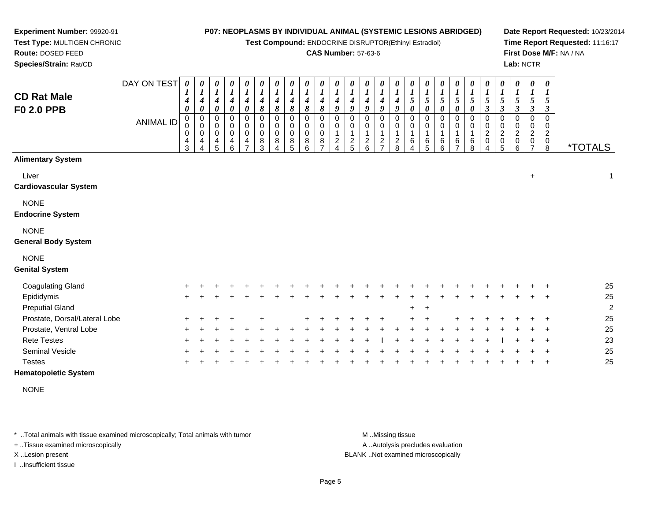**Test Compound:** ENDOCRINE DISRUPTOR(Ethinyl Estradiol)

#### **CAS Number:** 57-63-6

**Date Report Requested:** 10/23/2014**Time Report Requested:** 11:16:17**First Dose M/F:** NA / NA**Lab:** NCTR

| <b>CD Rat Male</b><br>F0 2.0 PPB          | DAY ON TEST<br><b>ANIMAL ID</b> | $\boldsymbol{\theta}$<br>1<br>0<br>$\mathbf 0$<br>0<br>4<br>3 | 0<br>4<br>0<br>0<br>0<br>0<br>4 | 0<br>$\boldsymbol{l}$<br>4<br>$\pmb{\theta}$<br>0<br>$\boldsymbol{0}$<br>$\boldsymbol{0}$<br>4<br>5 | 0<br>$\boldsymbol{l}$<br>$\boldsymbol{4}$<br>$\pmb{\theta}$<br>0<br>$\pmb{0}$<br>$\pmb{0}$<br>4<br>6 | $\pmb{\theta}$<br>$\boldsymbol{I}$<br>$\boldsymbol{4}$<br>$\boldsymbol{\theta}$<br>0<br>0<br>$\pmb{0}$<br>4<br>$\overline{7}$ | 0<br>$\boldsymbol{l}$<br>4<br>8<br>0<br>0<br>0<br>8<br>3 | 0<br>$\boldsymbol{l}$<br>4<br>8<br>$\Omega$<br>$\mathbf 0$<br>$\mathbf 0$<br>8 | 0<br>$\boldsymbol{l}$<br>4<br>8<br>$\Omega$<br>$\mathbf 0$<br>$\mathbf 0$<br>8<br>5 | 0<br>8<br>0<br>$\Omega$<br>8<br>6 | 0<br>4<br>8<br>$\Omega$<br>0<br>$\pmb{0}$<br>8 | 0<br>4<br>9<br>$\Omega$<br>0<br>$\mathbf{1}$<br>$\overline{c}$<br>$\Delta$ | 0<br>1<br>4<br>9<br>0<br>0<br>1<br>$\frac{2}{5}$ | 0<br>$\boldsymbol{l}$<br>4<br>9<br>$\Omega$<br>0<br>$\mathbf{1}$<br>$\frac{2}{6}$ | 0<br>$\boldsymbol{l}$<br>4<br>9<br>0<br>0<br>1<br>$\frac{2}{7}$ | 0<br>4<br>9<br>0<br>0<br>1<br>$_{\rm 8}^2$ | 0<br>$\mathfrak{s}$<br>$\boldsymbol{\theta}$<br>$\Omega$<br>0<br>6<br>4 | 5<br>0<br>6<br>5 | 0<br>$\boldsymbol{l}$<br>5<br>0<br>0<br>0<br>6<br>6 | 0<br>$\boldsymbol{l}$<br>5<br>$\boldsymbol{\theta}$<br>0<br>0<br>1<br>6<br>$\overline{ }$ | 0<br>1<br>$\sqrt{5}$<br>0<br>0<br>0<br>1<br>6<br>8 | 0<br>$\boldsymbol{l}$<br>$\sqrt{5}$<br>$\boldsymbol{\beta}$<br>0<br>0<br>$\boldsymbol{2}$<br>$\mathbf 0$<br>4 | 0<br>$\boldsymbol{l}$<br>$\overline{5}$<br>$\boldsymbol{\beta}$<br>0<br>0<br>$\overline{c}$<br>0<br>5 | 0<br>$\boldsymbol{l}$<br>5<br>$\boldsymbol{\beta}$<br>0<br>$\mathbf 0$<br>2<br>0<br>6 | 0<br>$\boldsymbol{l}$<br>$\mathfrak{s}$<br>3<br>0<br>0<br>$\boldsymbol{2}$<br>0 | $\boldsymbol{\theta}$<br>$\boldsymbol{l}$<br>5<br>3<br>$\Omega$<br>$\Omega$<br>$\boldsymbol{2}$<br>0<br>8 | <i><b>*TOTALS</b></i> |
|-------------------------------------------|---------------------------------|---------------------------------------------------------------|---------------------------------|-----------------------------------------------------------------------------------------------------|------------------------------------------------------------------------------------------------------|-------------------------------------------------------------------------------------------------------------------------------|----------------------------------------------------------|--------------------------------------------------------------------------------|-------------------------------------------------------------------------------------|-----------------------------------|------------------------------------------------|----------------------------------------------------------------------------|--------------------------------------------------|-----------------------------------------------------------------------------------|-----------------------------------------------------------------|--------------------------------------------|-------------------------------------------------------------------------|------------------|-----------------------------------------------------|-------------------------------------------------------------------------------------------|----------------------------------------------------|---------------------------------------------------------------------------------------------------------------|-------------------------------------------------------------------------------------------------------|---------------------------------------------------------------------------------------|---------------------------------------------------------------------------------|-----------------------------------------------------------------------------------------------------------|-----------------------|
| <b>Alimentary System</b>                  |                                 |                                                               |                                 |                                                                                                     |                                                                                                      |                                                                                                                               |                                                          |                                                                                |                                                                                     |                                   |                                                |                                                                            |                                                  |                                                                                   |                                                                 |                                            |                                                                         |                  |                                                     |                                                                                           |                                                    |                                                                                                               |                                                                                                       |                                                                                       |                                                                                 |                                                                                                           |                       |
| Liver<br><b>Cardiovascular System</b>     |                                 |                                                               |                                 |                                                                                                     |                                                                                                      |                                                                                                                               |                                                          |                                                                                |                                                                                     |                                   |                                                |                                                                            |                                                  |                                                                                   |                                                                 |                                            |                                                                         |                  |                                                     |                                                                                           |                                                    |                                                                                                               |                                                                                                       |                                                                                       | $\ddot{}$                                                                       |                                                                                                           | $\mathbf{1}$          |
| <b>NONE</b><br><b>Endocrine System</b>    |                                 |                                                               |                                 |                                                                                                     |                                                                                                      |                                                                                                                               |                                                          |                                                                                |                                                                                     |                                   |                                                |                                                                            |                                                  |                                                                                   |                                                                 |                                            |                                                                         |                  |                                                     |                                                                                           |                                                    |                                                                                                               |                                                                                                       |                                                                                       |                                                                                 |                                                                                                           |                       |
| <b>NONE</b><br><b>General Body System</b> |                                 |                                                               |                                 |                                                                                                     |                                                                                                      |                                                                                                                               |                                                          |                                                                                |                                                                                     |                                   |                                                |                                                                            |                                                  |                                                                                   |                                                                 |                                            |                                                                         |                  |                                                     |                                                                                           |                                                    |                                                                                                               |                                                                                                       |                                                                                       |                                                                                 |                                                                                                           |                       |
| <b>NONE</b><br><b>Genital System</b>      |                                 |                                                               |                                 |                                                                                                     |                                                                                                      |                                                                                                                               |                                                          |                                                                                |                                                                                     |                                   |                                                |                                                                            |                                                  |                                                                                   |                                                                 |                                            |                                                                         |                  |                                                     |                                                                                           |                                                    |                                                                                                               |                                                                                                       |                                                                                       |                                                                                 |                                                                                                           |                       |
| <b>Coagulating Gland</b>                  |                                 |                                                               |                                 |                                                                                                     |                                                                                                      |                                                                                                                               |                                                          |                                                                                |                                                                                     |                                   |                                                |                                                                            |                                                  |                                                                                   |                                                                 |                                            |                                                                         |                  |                                                     |                                                                                           |                                                    |                                                                                                               |                                                                                                       |                                                                                       |                                                                                 |                                                                                                           | 25                    |
| Epididymis                                |                                 | +                                                             |                                 |                                                                                                     |                                                                                                      |                                                                                                                               |                                                          |                                                                                |                                                                                     |                                   |                                                |                                                                            |                                                  |                                                                                   |                                                                 |                                            |                                                                         |                  |                                                     |                                                                                           |                                                    |                                                                                                               |                                                                                                       |                                                                                       |                                                                                 | $\ddot{}$                                                                                                 | 25                    |
| <b>Preputial Gland</b>                    |                                 |                                                               |                                 |                                                                                                     |                                                                                                      |                                                                                                                               |                                                          |                                                                                |                                                                                     |                                   |                                                |                                                                            |                                                  |                                                                                   |                                                                 |                                            | +                                                                       |                  |                                                     |                                                                                           |                                                    |                                                                                                               |                                                                                                       |                                                                                       |                                                                                 |                                                                                                           | $\overline{c}$        |
| Prostate, Dorsal/Lateral Lobe             |                                 |                                                               |                                 |                                                                                                     |                                                                                                      |                                                                                                                               |                                                          |                                                                                |                                                                                     |                                   |                                                |                                                                            |                                                  |                                                                                   |                                                                 |                                            |                                                                         |                  |                                                     |                                                                                           |                                                    |                                                                                                               |                                                                                                       |                                                                                       |                                                                                 |                                                                                                           | 25                    |
| Prostate, Ventral Lobe                    |                                 |                                                               |                                 |                                                                                                     |                                                                                                      |                                                                                                                               |                                                          |                                                                                |                                                                                     |                                   |                                                |                                                                            |                                                  |                                                                                   |                                                                 |                                            |                                                                         |                  |                                                     |                                                                                           |                                                    |                                                                                                               |                                                                                                       |                                                                                       |                                                                                 |                                                                                                           | 25                    |
| <b>Rete Testes</b>                        |                                 |                                                               |                                 |                                                                                                     |                                                                                                      |                                                                                                                               |                                                          |                                                                                |                                                                                     |                                   |                                                |                                                                            |                                                  |                                                                                   |                                                                 |                                            |                                                                         |                  |                                                     |                                                                                           |                                                    |                                                                                                               |                                                                                                       |                                                                                       |                                                                                 |                                                                                                           | 23                    |
| Seminal Vesicle                           |                                 |                                                               |                                 |                                                                                                     |                                                                                                      |                                                                                                                               |                                                          |                                                                                |                                                                                     |                                   |                                                |                                                                            |                                                  |                                                                                   |                                                                 |                                            |                                                                         |                  |                                                     |                                                                                           |                                                    |                                                                                                               |                                                                                                       |                                                                                       |                                                                                 |                                                                                                           | 25                    |
| <b>Testes</b>                             |                                 |                                                               |                                 |                                                                                                     |                                                                                                      |                                                                                                                               |                                                          |                                                                                |                                                                                     |                                   |                                                |                                                                            |                                                  |                                                                                   |                                                                 |                                            |                                                                         |                  |                                                     |                                                                                           |                                                    |                                                                                                               |                                                                                                       |                                                                                       |                                                                                 |                                                                                                           | 25                    |
| $\cdots$                                  |                                 |                                                               |                                 |                                                                                                     |                                                                                                      |                                                                                                                               |                                                          |                                                                                |                                                                                     |                                   |                                                |                                                                            |                                                  |                                                                                   |                                                                 |                                            |                                                                         |                  |                                                     |                                                                                           |                                                    |                                                                                                               |                                                                                                       |                                                                                       |                                                                                 |                                                                                                           |                       |

**Hematopoietic System**

**Experiment Number:** 99920-91**Test Type:** MULTIGEN CHRONIC

**Route:** DOSED FEED**Species/Strain:** Rat/CD

NONE

\* ..Total animals with tissue examined microscopically; Total animals with tumor **M** . Missing tissue M ..Missing tissue

+ ..Tissue examined microscopically

I ..Insufficient tissue

A ..Autolysis precludes evaluation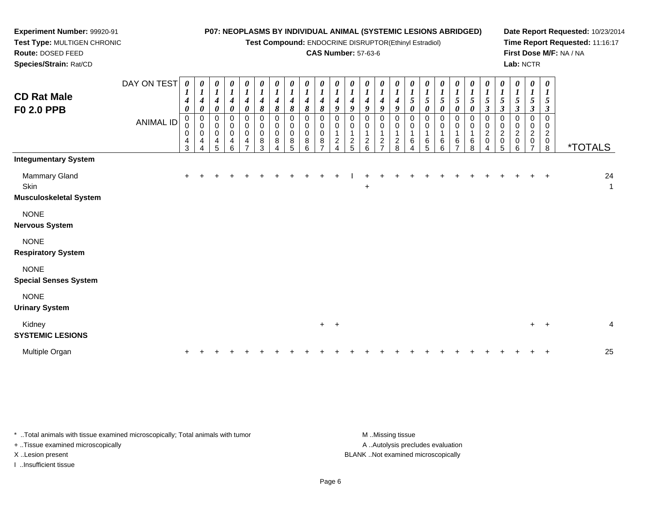**Test Compound:** ENDOCRINE DISRUPTOR(Ethinyl Estradiol)

## **CAS Number:** 57-63-6

**Date Report Requested:** 10/23/2014**Time Report Requested:** 11:16:17**First Dose M/F:** NA / NA**Lab:** NCTR

| <b>CD Rat Male</b><br><b>F0 2.0 PPB</b>                | DAY ON TEST<br><b>ANIMAL ID</b> | 0<br>$\mathbf{I}$<br>4<br>$\boldsymbol{\theta}$<br>$\mathbf 0$<br>0<br>0<br>4<br>3 | 0<br>$\boldsymbol{l}$<br>$\boldsymbol{4}$<br>$\boldsymbol{\theta}$<br>$\pmb{0}$<br>$\pmb{0}$<br>$\pmb{0}$<br>4<br>4 | $\pmb{\theta}$<br>$\boldsymbol{l}$<br>$\boldsymbol{4}$<br>$\boldsymbol{\theta}$<br>$\pmb{0}$<br>$\,0\,$<br>$\,0\,$<br>4<br>5 | $\begin{matrix} 0 \\ 1 \end{matrix}$<br>$\boldsymbol{4}$<br>$\boldsymbol{\theta}$<br>$\begin{matrix} 0 \\ 0 \\ 0 \end{matrix}$<br>4<br>6 | $\boldsymbol{\theta}$<br>$\boldsymbol{l}$<br>$\boldsymbol{4}$<br>$\boldsymbol{\theta}$<br>$\pmb{0}$<br>$\pmb{0}$<br>$\pmb{0}$<br>$\overline{\mathbf{4}}$<br>$\overline{ }$ | 0<br>$\boldsymbol{l}$<br>$\boldsymbol{4}$<br>$\pmb{8}$<br>0<br>0<br>$\pmb{0}$<br>$\bf 8$<br>3 | 0<br>$\boldsymbol{l}$<br>$\boldsymbol{4}$<br>$\pmb{8}$<br>0<br>$\pmb{0}$<br>$\pmb{0}$<br>$\bf 8$ | 0<br>$\boldsymbol{l}$<br>4<br>8<br>0<br>0<br>$\pmb{0}$<br>8<br>5 | $\pmb{\theta}$<br>$\boldsymbol{l}$<br>4<br>$\pmb{8}$<br>$\mathbf 0$<br>0<br>$\pmb{0}$<br>8<br>6 | 0<br>$\boldsymbol{l}$<br>8<br>0<br>$\mathbf 0$<br>8 | $\pmb{\theta}$<br>$\boldsymbol{l}$<br>4<br>9<br>0<br>0<br>$\overline{c}$ | $\pmb{\theta}$<br>$\boldsymbol{l}$<br>$\boldsymbol{4}$<br>9<br>0<br>0<br>$\frac{2}{5}$ | $\pmb{\theta}$<br>$\boldsymbol{l}$<br>$\boldsymbol{4}$<br>9<br>0<br>0<br>$\boldsymbol{2}$<br>6 | $\boldsymbol{\theta}$<br>$\boldsymbol{l}$<br>4<br>9<br>0<br>0<br>$\mathbf{1}$<br>$\overline{\mathbf{c}}$<br>$\overline{ }$ | 0<br>4<br>9<br>0<br>0<br>$\mathbf 1$<br>$_{\rm 2}^2$ | $\pmb{\theta}$<br>$\boldsymbol{l}$<br>5<br>$\boldsymbol{\theta}$<br>$\mathbf 0$<br>0<br>$\overline{\mathbf{1}}$<br>$\,6\,$ | 0<br>$\boldsymbol{l}$<br>$\sqrt{5}$<br>$\pmb{\theta}$<br>$\mathbf 0$<br>0<br>6<br>5 | $\pmb{\theta}$<br>$\boldsymbol{l}$<br>$\sqrt{5}$<br>$\boldsymbol{\theta}$<br>0<br>0<br>6<br>6 | $\pmb{\theta}$<br>$\boldsymbol{l}$<br>5<br>$\boldsymbol{\theta}$<br>0<br>0<br>1<br>6<br>$\overline{ }$ | 0<br>$\boldsymbol{l}$<br>$\sqrt{5}$<br>0<br>0<br>0<br>6<br>8 | $\pmb{\theta}$<br>$\boldsymbol{l}$<br>$\mathfrak{s}$<br>$\boldsymbol{\beta}$<br>0<br>0<br>$\overline{c}$<br>$\pmb{0}$<br>4 | $\begin{matrix} 0 \\ 1 \end{matrix}$<br>$\sqrt{5}$<br>$\boldsymbol{\beta}$<br>$\pmb{0}$<br>$\,0\,$<br>$\boldsymbol{2}$<br>$\mathsf{O}\xspace$<br>5 | $\pmb{\theta}$<br>$\boldsymbol{l}$<br>$\mathfrak{s}$<br>$\boldsymbol{\beta}$<br>0<br>0<br>$\overline{c}$<br>0<br>6 | 0<br>$\boldsymbol{l}$<br>5<br>$\boldsymbol{\beta}$<br>0<br>$\overline{c}$<br>0 | $\boldsymbol{\theta}$<br>$\boldsymbol{l}$<br>5<br>$\boldsymbol{\beta}$<br>$\mathbf 0$<br>0<br>$\overline{c}$<br>$\pmb{0}$<br>$\bf8$ | <i><b>*TOTALS</b></i> |                    |
|--------------------------------------------------------|---------------------------------|------------------------------------------------------------------------------------|---------------------------------------------------------------------------------------------------------------------|------------------------------------------------------------------------------------------------------------------------------|------------------------------------------------------------------------------------------------------------------------------------------|----------------------------------------------------------------------------------------------------------------------------------------------------------------------------|-----------------------------------------------------------------------------------------------|--------------------------------------------------------------------------------------------------|------------------------------------------------------------------|-------------------------------------------------------------------------------------------------|-----------------------------------------------------|--------------------------------------------------------------------------|----------------------------------------------------------------------------------------|------------------------------------------------------------------------------------------------|----------------------------------------------------------------------------------------------------------------------------|------------------------------------------------------|----------------------------------------------------------------------------------------------------------------------------|-------------------------------------------------------------------------------------|-----------------------------------------------------------------------------------------------|--------------------------------------------------------------------------------------------------------|--------------------------------------------------------------|----------------------------------------------------------------------------------------------------------------------------|----------------------------------------------------------------------------------------------------------------------------------------------------|--------------------------------------------------------------------------------------------------------------------|--------------------------------------------------------------------------------|-------------------------------------------------------------------------------------------------------------------------------------|-----------------------|--------------------|
| <b>Integumentary System</b>                            |                                 |                                                                                    |                                                                                                                     |                                                                                                                              |                                                                                                                                          |                                                                                                                                                                            |                                                                                               |                                                                                                  |                                                                  |                                                                                                 |                                                     |                                                                          |                                                                                        |                                                                                                |                                                                                                                            |                                                      |                                                                                                                            |                                                                                     |                                                                                               |                                                                                                        |                                                              |                                                                                                                            |                                                                                                                                                    |                                                                                                                    |                                                                                |                                                                                                                                     |                       |                    |
| Mammary Gland<br>Skin<br><b>Musculoskeletal System</b> |                                 | $\ddot{}$                                                                          |                                                                                                                     |                                                                                                                              |                                                                                                                                          |                                                                                                                                                                            |                                                                                               |                                                                                                  |                                                                  |                                                                                                 |                                                     |                                                                          |                                                                                        | $\ddot{}$                                                                                      |                                                                                                                            |                                                      |                                                                                                                            |                                                                                     |                                                                                               |                                                                                                        |                                                              |                                                                                                                            |                                                                                                                                                    |                                                                                                                    |                                                                                | $\overline{+}$                                                                                                                      |                       | 24<br>$\mathbf{1}$ |
| <b>NONE</b><br><b>Nervous System</b>                   |                                 |                                                                                    |                                                                                                                     |                                                                                                                              |                                                                                                                                          |                                                                                                                                                                            |                                                                                               |                                                                                                  |                                                                  |                                                                                                 |                                                     |                                                                          |                                                                                        |                                                                                                |                                                                                                                            |                                                      |                                                                                                                            |                                                                                     |                                                                                               |                                                                                                        |                                                              |                                                                                                                            |                                                                                                                                                    |                                                                                                                    |                                                                                |                                                                                                                                     |                       |                    |
| <b>NONE</b><br><b>Respiratory System</b>               |                                 |                                                                                    |                                                                                                                     |                                                                                                                              |                                                                                                                                          |                                                                                                                                                                            |                                                                                               |                                                                                                  |                                                                  |                                                                                                 |                                                     |                                                                          |                                                                                        |                                                                                                |                                                                                                                            |                                                      |                                                                                                                            |                                                                                     |                                                                                               |                                                                                                        |                                                              |                                                                                                                            |                                                                                                                                                    |                                                                                                                    |                                                                                |                                                                                                                                     |                       |                    |
| <b>NONE</b><br><b>Special Senses System</b>            |                                 |                                                                                    |                                                                                                                     |                                                                                                                              |                                                                                                                                          |                                                                                                                                                                            |                                                                                               |                                                                                                  |                                                                  |                                                                                                 |                                                     |                                                                          |                                                                                        |                                                                                                |                                                                                                                            |                                                      |                                                                                                                            |                                                                                     |                                                                                               |                                                                                                        |                                                              |                                                                                                                            |                                                                                                                                                    |                                                                                                                    |                                                                                |                                                                                                                                     |                       |                    |
| <b>NONE</b><br><b>Urinary System</b>                   |                                 |                                                                                    |                                                                                                                     |                                                                                                                              |                                                                                                                                          |                                                                                                                                                                            |                                                                                               |                                                                                                  |                                                                  |                                                                                                 |                                                     |                                                                          |                                                                                        |                                                                                                |                                                                                                                            |                                                      |                                                                                                                            |                                                                                     |                                                                                               |                                                                                                        |                                                              |                                                                                                                            |                                                                                                                                                    |                                                                                                                    |                                                                                |                                                                                                                                     |                       |                    |
| Kidney<br><b>SYSTEMIC LESIONS</b>                      |                                 |                                                                                    |                                                                                                                     |                                                                                                                              |                                                                                                                                          |                                                                                                                                                                            |                                                                                               |                                                                                                  |                                                                  |                                                                                                 |                                                     | $+$ $+$                                                                  |                                                                                        |                                                                                                |                                                                                                                            |                                                      |                                                                                                                            |                                                                                     |                                                                                               |                                                                                                        |                                                              |                                                                                                                            |                                                                                                                                                    |                                                                                                                    |                                                                                | $+$ $+$                                                                                                                             |                       | $\overline{4}$     |
| Multiple Organ                                         |                                 |                                                                                    |                                                                                                                     |                                                                                                                              |                                                                                                                                          |                                                                                                                                                                            |                                                                                               |                                                                                                  |                                                                  |                                                                                                 |                                                     |                                                                          |                                                                                        |                                                                                                |                                                                                                                            |                                                      |                                                                                                                            |                                                                                     |                                                                                               |                                                                                                        |                                                              |                                                                                                                            |                                                                                                                                                    |                                                                                                                    |                                                                                |                                                                                                                                     |                       | 25                 |

\* ..Total animals with tissue examined microscopically; Total animals with tumor **M** . Missing tissue M ..Missing tissue A ..Autolysis precludes evaluation + ..Tissue examined microscopically X ..Lesion present BLANK ..Not examined microscopicallyI ..Insufficient tissue

**Experiment Number:** 99920-91**Test Type:** MULTIGEN CHRONIC

**Route:** DOSED FEED**Species/Strain:** Rat/CD

Page 6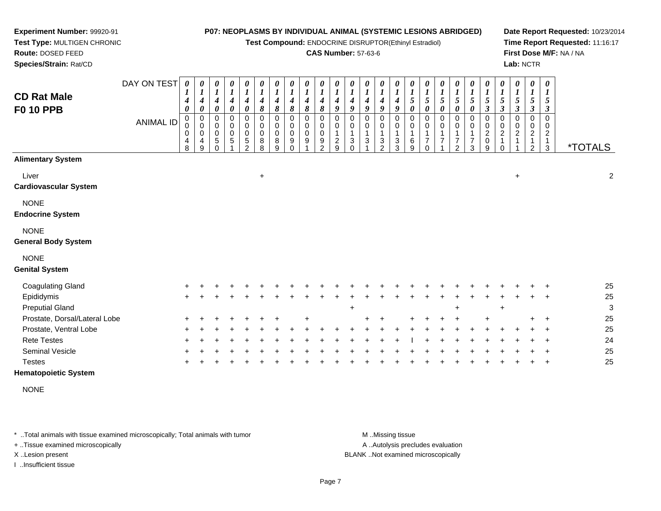**Test Compound:** ENDOCRINE DISRUPTOR(Ethinyl Estradiol)

#### **CAS Number:** 57-63-6

**Date Report Requested:** 10/23/2014**Time Report Requested:** 11:16:17**First Dose M/F:** NA / NA**Lab:** NCTR

| <b>CD Rat Male</b><br><b>F0 10 PPB</b>    | DAY ON TEST<br><b>ANIMAL ID</b> | $\boldsymbol{\theta}$<br>4<br>0<br>$\pmb{0}$<br>$\pmb{0}$<br>0<br>4<br>8 | 0<br>$\boldsymbol{l}$<br>4<br>$\boldsymbol{\theta}$<br>$\mathbf 0$<br>$\mathbf 0$<br>0<br>4<br>9 | 0<br>$\boldsymbol{l}$<br>$\boldsymbol{4}$<br>0<br>$\mathbf 0$<br>$\mathbf 0$<br>$\pmb{0}$<br>$\,$ 5 $\,$<br>$\Omega$ | 0<br>$\boldsymbol{l}$<br>$\boldsymbol{4}$<br>0<br>$\mathbf 0$<br>$\mathbf 0$<br>$\mathbf 0$<br>5 | $\boldsymbol{\theta}$<br>$\boldsymbol{l}$<br>$\boldsymbol{4}$<br>0<br>$\mathsf 0$<br>$\pmb{0}$<br>$\pmb{0}$<br>$\,$ 5 $\,$<br>$\mathcal{D}$ | 0<br>$\boldsymbol{l}$<br>4<br>8<br>$\mathbf 0$<br>0<br>0<br>8<br>8 | 0<br>$\boldsymbol{l}$<br>$\boldsymbol{4}$<br>8<br>$\mathbf 0$<br>0<br>$\pmb{0}$<br>8<br>9 | 0<br>$\boldsymbol{l}$<br>$\boldsymbol{4}$<br>8<br>$\mathbf 0$<br>0<br>$\mathbf 0$<br>9<br>$\Omega$ | $\boldsymbol{\theta}$<br>$\boldsymbol{l}$<br>$\boldsymbol{4}$<br>8<br>$\pmb{0}$<br>$\pmb{0}$<br>$\pmb{0}$<br>9 | 0<br>$\boldsymbol{l}$<br>4<br>8<br>$\mathbf 0$<br>0<br>0<br>9<br>$\mathcal{P}$ | 0<br>$\boldsymbol{l}$<br>4<br>9<br>$\Omega$<br>0<br>$\overline{c}$<br>9 | 0<br>$\boldsymbol{l}$<br>9<br>$\mathbf 0$<br>0<br>3<br>$\Omega$ | 0<br>$\boldsymbol{l}$<br>4<br>9<br>$\mathbf 0$<br>$\mathbf 0$<br>$\mathbf{3}$ | $\frac{\theta}{I}$<br>4<br>9<br>0<br>0<br>3<br>$\mathcal{P}$ | 0<br>$\boldsymbol{l}$<br>4<br>9<br>0<br>0<br>$\mathbf{1}$<br>3<br>3 | 0<br>$\boldsymbol{l}$<br>$\sqrt{5}$<br>$\boldsymbol{\theta}$<br>$\mathbf 0$<br>0<br>$\mathbf{1}$<br>$\,6$<br>9 | $\begin{matrix} 0 \\ 1 \end{matrix}$<br>$\sqrt{5}$<br>0<br>$\mathbf 0$<br>$\pmb{0}$<br>$\mathbf{1}$<br>$\boldsymbol{7}$<br>$\Omega$ | $\boldsymbol{\theta}$<br>$\boldsymbol{l}$<br>$\overline{5}$<br>$\boldsymbol{\theta}$<br>$\mathbf 0$<br>0<br>1<br>$\overline{7}$ | 0<br>$\boldsymbol{l}$<br>5<br>0<br>$\Omega$<br>0<br>$\overline{7}$<br>$\overline{2}$ | $\boldsymbol{\theta}$<br>$\boldsymbol{l}$<br>5<br>0<br>$\mathbf 0$<br>0<br>1<br>$\overline{7}$<br>3 | 0<br>$\boldsymbol{l}$<br>5<br>3<br>0<br>0<br>$\overline{c}$<br>$\mathbf 0$<br>9 | $\boldsymbol{\theta}$<br>$\boldsymbol{l}$<br>$\sqrt{5}$<br>$\mathfrak{z}$<br>0<br>0<br>$\overline{2}$ | $\boldsymbol{l}$<br>$\sqrt{5}$<br>3<br>$\Omega$<br>0<br>$\boldsymbol{2}$ | 0<br>$\mathbf{I}$<br>5<br>$\boldsymbol{\beta}$<br>$\mathbf 0$<br>0<br>$\overline{2}$<br>$\mathcal{P}$ | 0<br>5<br>3<br>$\Omega$<br>0<br>$\overline{2}$<br>3 | <i><b>*TOTALS</b></i> |
|-------------------------------------------|---------------------------------|--------------------------------------------------------------------------|--------------------------------------------------------------------------------------------------|----------------------------------------------------------------------------------------------------------------------|--------------------------------------------------------------------------------------------------|---------------------------------------------------------------------------------------------------------------------------------------------|--------------------------------------------------------------------|-------------------------------------------------------------------------------------------|----------------------------------------------------------------------------------------------------|----------------------------------------------------------------------------------------------------------------|--------------------------------------------------------------------------------|-------------------------------------------------------------------------|-----------------------------------------------------------------|-------------------------------------------------------------------------------|--------------------------------------------------------------|---------------------------------------------------------------------|----------------------------------------------------------------------------------------------------------------|-------------------------------------------------------------------------------------------------------------------------------------|---------------------------------------------------------------------------------------------------------------------------------|--------------------------------------------------------------------------------------|-----------------------------------------------------------------------------------------------------|---------------------------------------------------------------------------------|-------------------------------------------------------------------------------------------------------|--------------------------------------------------------------------------|-------------------------------------------------------------------------------------------------------|-----------------------------------------------------|-----------------------|
| <b>Alimentary System</b>                  |                                 |                                                                          |                                                                                                  |                                                                                                                      |                                                                                                  |                                                                                                                                             |                                                                    |                                                                                           |                                                                                                    |                                                                                                                |                                                                                |                                                                         |                                                                 |                                                                               |                                                              |                                                                     |                                                                                                                |                                                                                                                                     |                                                                                                                                 |                                                                                      |                                                                                                     |                                                                                 |                                                                                                       |                                                                          |                                                                                                       |                                                     |                       |
| Liver<br><b>Cardiovascular System</b>     |                                 |                                                                          |                                                                                                  |                                                                                                                      |                                                                                                  |                                                                                                                                             | $\ddot{}$                                                          |                                                                                           |                                                                                                    |                                                                                                                |                                                                                |                                                                         |                                                                 |                                                                               |                                                              |                                                                     |                                                                                                                |                                                                                                                                     |                                                                                                                                 |                                                                                      |                                                                                                     |                                                                                 |                                                                                                       | $\ddot{}$                                                                |                                                                                                       |                                                     | $\overline{a}$        |
| <b>NONE</b><br><b>Endocrine System</b>    |                                 |                                                                          |                                                                                                  |                                                                                                                      |                                                                                                  |                                                                                                                                             |                                                                    |                                                                                           |                                                                                                    |                                                                                                                |                                                                                |                                                                         |                                                                 |                                                                               |                                                              |                                                                     |                                                                                                                |                                                                                                                                     |                                                                                                                                 |                                                                                      |                                                                                                     |                                                                                 |                                                                                                       |                                                                          |                                                                                                       |                                                     |                       |
| <b>NONE</b><br><b>General Body System</b> |                                 |                                                                          |                                                                                                  |                                                                                                                      |                                                                                                  |                                                                                                                                             |                                                                    |                                                                                           |                                                                                                    |                                                                                                                |                                                                                |                                                                         |                                                                 |                                                                               |                                                              |                                                                     |                                                                                                                |                                                                                                                                     |                                                                                                                                 |                                                                                      |                                                                                                     |                                                                                 |                                                                                                       |                                                                          |                                                                                                       |                                                     |                       |
| <b>NONE</b><br><b>Genital System</b>      |                                 |                                                                          |                                                                                                  |                                                                                                                      |                                                                                                  |                                                                                                                                             |                                                                    |                                                                                           |                                                                                                    |                                                                                                                |                                                                                |                                                                         |                                                                 |                                                                               |                                                              |                                                                     |                                                                                                                |                                                                                                                                     |                                                                                                                                 |                                                                                      |                                                                                                     |                                                                                 |                                                                                                       |                                                                          |                                                                                                       |                                                     |                       |
| <b>Coagulating Gland</b>                  |                                 |                                                                          |                                                                                                  |                                                                                                                      |                                                                                                  |                                                                                                                                             |                                                                    |                                                                                           |                                                                                                    |                                                                                                                |                                                                                |                                                                         |                                                                 |                                                                               |                                                              |                                                                     |                                                                                                                |                                                                                                                                     |                                                                                                                                 |                                                                                      |                                                                                                     |                                                                                 |                                                                                                       |                                                                          |                                                                                                       |                                                     | 25                    |
| Epididymis                                |                                 |                                                                          |                                                                                                  |                                                                                                                      |                                                                                                  |                                                                                                                                             |                                                                    |                                                                                           |                                                                                                    |                                                                                                                |                                                                                |                                                                         |                                                                 |                                                                               |                                                              |                                                                     |                                                                                                                |                                                                                                                                     |                                                                                                                                 |                                                                                      |                                                                                                     |                                                                                 |                                                                                                       |                                                                          |                                                                                                       |                                                     | 25                    |
| <b>Preputial Gland</b>                    |                                 |                                                                          |                                                                                                  |                                                                                                                      |                                                                                                  |                                                                                                                                             |                                                                    |                                                                                           |                                                                                                    |                                                                                                                |                                                                                |                                                                         | $\ddot{}$                                                       |                                                                               |                                                              |                                                                     |                                                                                                                |                                                                                                                                     |                                                                                                                                 | $\ddot{}$                                                                            |                                                                                                     |                                                                                 | $\ddot{}$                                                                                             |                                                                          |                                                                                                       |                                                     | 3                     |
| Prostate, Dorsal/Lateral Lobe             |                                 |                                                                          |                                                                                                  |                                                                                                                      |                                                                                                  |                                                                                                                                             |                                                                    |                                                                                           |                                                                                                    |                                                                                                                |                                                                                |                                                                         |                                                                 |                                                                               |                                                              |                                                                     |                                                                                                                |                                                                                                                                     |                                                                                                                                 |                                                                                      |                                                                                                     |                                                                                 |                                                                                                       |                                                                          |                                                                                                       | ÷                                                   | 25                    |
| Prostate, Ventral Lobe                    |                                 |                                                                          |                                                                                                  |                                                                                                                      |                                                                                                  |                                                                                                                                             |                                                                    |                                                                                           |                                                                                                    |                                                                                                                |                                                                                |                                                                         |                                                                 |                                                                               |                                                              |                                                                     |                                                                                                                |                                                                                                                                     |                                                                                                                                 |                                                                                      |                                                                                                     |                                                                                 |                                                                                                       |                                                                          |                                                                                                       |                                                     | 25                    |
| <b>Rete Testes</b>                        |                                 |                                                                          |                                                                                                  |                                                                                                                      |                                                                                                  |                                                                                                                                             |                                                                    |                                                                                           |                                                                                                    |                                                                                                                |                                                                                |                                                                         |                                                                 |                                                                               |                                                              |                                                                     |                                                                                                                |                                                                                                                                     |                                                                                                                                 |                                                                                      |                                                                                                     |                                                                                 |                                                                                                       |                                                                          |                                                                                                       |                                                     | 24                    |
| <b>Seminal Vesicle</b>                    |                                 |                                                                          |                                                                                                  |                                                                                                                      |                                                                                                  |                                                                                                                                             |                                                                    |                                                                                           |                                                                                                    |                                                                                                                |                                                                                |                                                                         |                                                                 |                                                                               |                                                              |                                                                     |                                                                                                                |                                                                                                                                     |                                                                                                                                 |                                                                                      |                                                                                                     |                                                                                 |                                                                                                       |                                                                          |                                                                                                       |                                                     | 25                    |
| <b>Testes</b>                             |                                 |                                                                          |                                                                                                  |                                                                                                                      |                                                                                                  |                                                                                                                                             |                                                                    |                                                                                           |                                                                                                    |                                                                                                                |                                                                                |                                                                         |                                                                 |                                                                               |                                                              |                                                                     |                                                                                                                |                                                                                                                                     |                                                                                                                                 |                                                                                      |                                                                                                     |                                                                                 |                                                                                                       |                                                                          |                                                                                                       |                                                     | 25                    |
| <b>Hematopoietic System</b>               |                                 |                                                                          |                                                                                                  |                                                                                                                      |                                                                                                  |                                                                                                                                             |                                                                    |                                                                                           |                                                                                                    |                                                                                                                |                                                                                |                                                                         |                                                                 |                                                                               |                                                              |                                                                     |                                                                                                                |                                                                                                                                     |                                                                                                                                 |                                                                                      |                                                                                                     |                                                                                 |                                                                                                       |                                                                          |                                                                                                       |                                                     |                       |

NONE

\* ..Total animals with tissue examined microscopically; Total animals with tumor **M** . Missing tissue M ..Missing tissue

+ ..Tissue examined microscopically

**Experiment Number:** 99920-91**Test Type:** MULTIGEN CHRONIC

**Route:** DOSED FEED**Species/Strain:** Rat/CD

I ..Insufficient tissue

A ..Autolysis precludes evaluation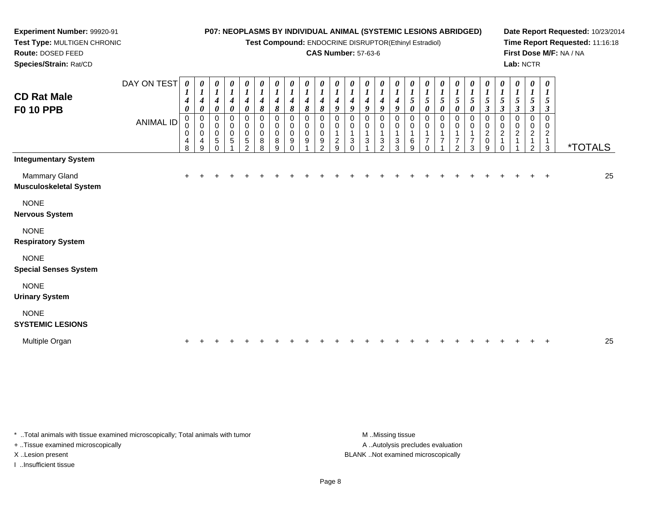**Test Compound:** ENDOCRINE DISRUPTOR(Ethinyl Estradiol)

## **CAS Number:** 57-63-6

DAY ON TEST*0000000000000000000000000*

**Date Report Requested:** 10/23/2014**Time Report Requested:** 11:16:18**First Dose M/F:** NA / NA**Lab:** NCTR

| <b>CD Rat Male</b><br><b>F0 10 PPB</b>                | <b>ANIMAL ID</b> | $\overline{I}$<br>$\boldsymbol{4}$<br>$\boldsymbol{\theta}$<br>0<br>0<br>0 | $\overline{I}$<br>$\boldsymbol{4}$<br>0<br>0<br>0<br>0 | $\boldsymbol{l}$<br>$\boldsymbol{4}$<br>$\boldsymbol{\theta}$<br>0<br>$\pmb{0}$<br>$\pmb{0}$ | $\frac{1}{4}$<br>0<br>0<br>$\begin{array}{c} 0 \\ 0 \\ 5 \end{array}$ | $\frac{1}{4}$<br>$\boldsymbol{\theta}$<br>0<br>$\pmb{0}$<br>0 | $\boldsymbol{I}$<br>4<br>8<br>0<br>0<br>$\boldsymbol{0}$ | 4<br>8<br>0<br>$\pmb{0}$<br>0 | $\boldsymbol{4}$<br>8<br>0<br>0<br>$\mathbf 0$ | $\boldsymbol{\mathit{I}}$<br>$\boldsymbol{4}$<br>8<br>0<br>0<br>$\mathbf 0$ | $\boldsymbol{l}$<br>4<br>8<br>0<br>0<br>$\mathbf 0$ | $\mathbf{I}$<br>$\boldsymbol{4}$<br>9<br>0<br>0 | $\mathbf{I}$<br>$\boldsymbol{4}$<br>9<br>0<br>0 | $\overline{I}$<br>$\boldsymbol{4}$<br>9<br>0<br>0 | $\overline{I}$<br>$\boldsymbol{4}$<br>9<br>0<br>0 | $\boldsymbol{4}$<br>9<br>0<br>0 | $\overline{1}$<br>$\mathfrak{s}$<br>$\boldsymbol{\theta}$<br>0<br>0 | $\boldsymbol{I}$<br>$\mathfrak{s}$<br>$\boldsymbol{\theta}$<br>0<br>0 | $\boldsymbol{l}$<br>5<br>$\boldsymbol{\theta}$ | $rac{1}{5}$<br>$\boldsymbol{\theta}$<br>0<br>0 | $rac{1}{5}$<br>$\boldsymbol{\theta}$<br>0<br>0 | $rac{1}{5}$<br>$\boldsymbol{\beta}$<br>0<br>0 | $\frac{1}{5}$<br>$\mathfrak{z}$<br>0<br>$\pmb{0}$<br>$\overline{\mathbf{c}}$ | $\sqrt{5}$<br>$\mathfrak{z}$<br>0<br>$\pmb{0}$<br>$\overline{c}$ | $\overline{I}$<br>5<br>$\mathbf{3}$<br>0<br>0<br>$\overline{c}$ | $\boldsymbol{l}$<br>$\sqrt{5}$<br>$\mathfrak{z}$<br>0<br>0<br>$\overline{c}$ |                       |    |
|-------------------------------------------------------|------------------|----------------------------------------------------------------------------|--------------------------------------------------------|----------------------------------------------------------------------------------------------|-----------------------------------------------------------------------|---------------------------------------------------------------|----------------------------------------------------------|-------------------------------|------------------------------------------------|-----------------------------------------------------------------------------|-----------------------------------------------------|-------------------------------------------------|-------------------------------------------------|---------------------------------------------------|---------------------------------------------------|---------------------------------|---------------------------------------------------------------------|-----------------------------------------------------------------------|------------------------------------------------|------------------------------------------------|------------------------------------------------|-----------------------------------------------|------------------------------------------------------------------------------|------------------------------------------------------------------|-----------------------------------------------------------------|------------------------------------------------------------------------------|-----------------------|----|
|                                                       |                  | 4<br>8                                                                     | 4<br>9                                                 | $\sqrt{5}$                                                                                   |                                                                       | $\overline{5}$<br>$\mathcal{P}$                               | $\,8\,$<br>8                                             | 8<br>9                        | 9                                              | 9                                                                           | 9<br>$\mathcal{P}$                                  | $\overline{c}$<br>9                             | 3<br>$\Omega$                                   | 3                                                 | 3<br>$\overline{2}$                               | 3<br>3                          | 6<br>9                                                              | $\overline{7}$<br>0                                                   | 7                                              | $\overline{2}$                                 | $\overline{7}$<br>3                            | $^2_{\rm 0}$<br>9                             |                                                                              |                                                                  | 1<br>2                                                          | $\mathbf{1}$<br>$\mathbf{3}$                                                 | <i><b>*TOTALS</b></i> |    |
| <b>Integumentary System</b>                           |                  |                                                                            |                                                        |                                                                                              |                                                                       |                                                               |                                                          |                               |                                                |                                                                             |                                                     |                                                 |                                                 |                                                   |                                                   |                                 |                                                                     |                                                                       |                                                |                                                |                                                |                                               |                                                                              |                                                                  |                                                                 |                                                                              |                       |    |
| <b>Mammary Gland</b><br><b>Musculoskeletal System</b> |                  | $\ddot{}$                                                                  |                                                        |                                                                                              |                                                                       |                                                               |                                                          |                               |                                                |                                                                             |                                                     |                                                 |                                                 |                                                   |                                                   |                                 |                                                                     |                                                                       |                                                |                                                |                                                |                                               |                                                                              |                                                                  |                                                                 | $\ddot{}$                                                                    |                       | 25 |
| <b>NONE</b><br><b>Nervous System</b>                  |                  |                                                                            |                                                        |                                                                                              |                                                                       |                                                               |                                                          |                               |                                                |                                                                             |                                                     |                                                 |                                                 |                                                   |                                                   |                                 |                                                                     |                                                                       |                                                |                                                |                                                |                                               |                                                                              |                                                                  |                                                                 |                                                                              |                       |    |
| <b>NONE</b><br><b>Respiratory System</b>              |                  |                                                                            |                                                        |                                                                                              |                                                                       |                                                               |                                                          |                               |                                                |                                                                             |                                                     |                                                 |                                                 |                                                   |                                                   |                                 |                                                                     |                                                                       |                                                |                                                |                                                |                                               |                                                                              |                                                                  |                                                                 |                                                                              |                       |    |
|                                                       |                  |                                                                            |                                                        |                                                                                              |                                                                       |                                                               |                                                          |                               |                                                |                                                                             |                                                     |                                                 |                                                 |                                                   |                                                   |                                 |                                                                     |                                                                       |                                                |                                                |                                                |                                               |                                                                              |                                                                  |                                                                 |                                                                              |                       |    |
| <b>NONE</b><br><b>Special Senses System</b>           |                  |                                                                            |                                                        |                                                                                              |                                                                       |                                                               |                                                          |                               |                                                |                                                                             |                                                     |                                                 |                                                 |                                                   |                                                   |                                 |                                                                     |                                                                       |                                                |                                                |                                                |                                               |                                                                              |                                                                  |                                                                 |                                                                              |                       |    |
| <b>NONE</b><br><b>Urinary System</b>                  |                  |                                                                            |                                                        |                                                                                              |                                                                       |                                                               |                                                          |                               |                                                |                                                                             |                                                     |                                                 |                                                 |                                                   |                                                   |                                 |                                                                     |                                                                       |                                                |                                                |                                                |                                               |                                                                              |                                                                  |                                                                 |                                                                              |                       |    |
| <b>NONE</b><br><b>SYSTEMIC LESIONS</b>                |                  |                                                                            |                                                        |                                                                                              |                                                                       |                                                               |                                                          |                               |                                                |                                                                             |                                                     |                                                 |                                                 |                                                   |                                                   |                                 |                                                                     |                                                                       |                                                |                                                |                                                |                                               |                                                                              |                                                                  |                                                                 |                                                                              |                       |    |

Multiple Organn  $+$ <sup>+</sup> <sup>+</sup> <sup>+</sup> <sup>+</sup> <sup>+</sup> <sup>+</sup> <sup>+</sup> <sup>+</sup> <sup>+</sup> <sup>+</sup> <sup>+</sup> <sup>+</sup> <sup>+</sup> <sup>+</sup> <sup>+</sup> <sup>+</sup> <sup>+</sup> <sup>+</sup> <sup>+</sup> <sup>+</sup> <sup>+</sup> <sup>+</sup> <sup>+</sup> <sup>+</sup> <sup>25</sup>

\* ..Total animals with tissue examined microscopically; Total animals with tumor **M** ...Missing tissue M ...Missing tissue

+ ..Tissue examined microscopically

**Experiment Number:** 99920-91**Test Type:** MULTIGEN CHRONIC

**Route:** DOSED FEED**Species/Strain:** Rat/CD

I ..Insufficient tissue

A .. Autolysis precludes evaluation X ..Lesion present BLANK ..Not examined microscopically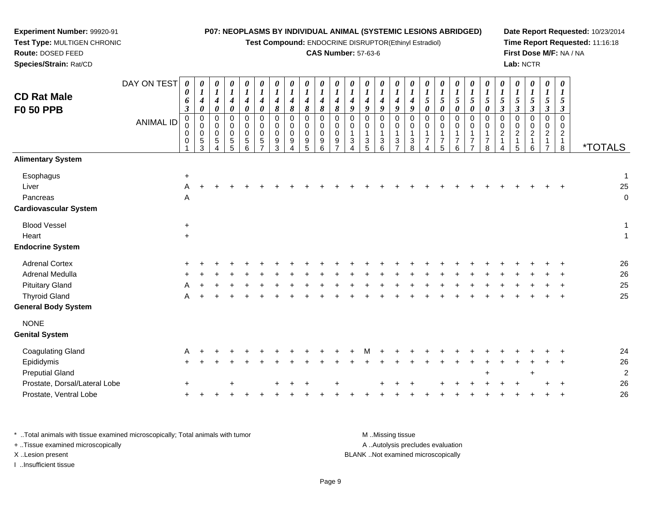**Test Compound:** ENDOCRINE DISRUPTOR(Ethinyl Estradiol)

## **CAS Number:** 57-63-6

**Date Report Requested:** 10/23/2014**Time Report Requested:** 11:16:18**First Dose M/F:** NA / NA**Lab:** NCTR

| <b>CD Rat Male</b><br><b>F0 50 PPB</b>                         | DAY ON TEST<br><b>ANIMAL ID</b> | 0<br>0<br>6<br>$\boldsymbol{\beta}$<br>0<br>0<br>0<br>0 | $\pmb{\theta}$<br>$\boldsymbol{I}$<br>$\boldsymbol{4}$<br>$\boldsymbol{\theta}$<br>$\pmb{0}$<br>$\mathsf 0$<br>$\overline{0}$<br>$\overline{5}$<br>3 | 0<br>$\boldsymbol{l}$<br>$\boldsymbol{4}$<br>$\pmb{\theta}$<br>$\pmb{0}$<br>$\Omega$<br>0<br>5 | 0<br>$\boldsymbol{l}$<br>$\boldsymbol{4}$<br>$\boldsymbol{\theta}$<br>$\mathbf 0$<br>$\mathbf 0$<br>0<br>5<br>5 | $\boldsymbol{\theta}$<br>$\boldsymbol{l}$<br>$\boldsymbol{4}$<br>$\boldsymbol{\theta}$<br>$\mathbf 0$<br>$\Omega$<br>$\mathbf 0$<br>$\sqrt{5}$<br>6 | 0<br>$\boldsymbol{l}$<br>4<br>$\pmb{\theta}$<br>0<br>$\Omega$<br>0<br>5<br>⇁ | 0<br>$\boldsymbol{l}$<br>4<br>8<br>$\mathsf 0$<br>$\mathbf 0$<br>$\pmb{0}$<br>9<br>3 | $\boldsymbol{\theta}$<br>$\boldsymbol{l}$<br>$\boldsymbol{4}$<br>$\pmb{8}$<br>$\pmb{0}$<br>$\mathbf 0$<br>$\mathbf 0$<br>$9\,$<br>4 | 0<br>$\boldsymbol{l}$<br>4<br>8<br>$\mathsf 0$<br>0<br>0<br>9<br>5 | 0<br>$\boldsymbol{l}$<br>$\boldsymbol{4}$<br>8<br>$\mathbf 0$<br>0<br>$\pmb{0}$<br>9<br>6 | 0<br>$\boldsymbol{l}$<br>$\boldsymbol{4}$<br>$\pmb{8}$<br>$\boldsymbol{0}$<br>$\mathbf 0$<br>$\mathbf 0$<br>9<br>$\overline{ }$ | 0<br>$\boldsymbol{l}$<br>4<br>9<br>$\pmb{0}$<br>0<br>1<br>3 | 0<br>$\boldsymbol{l}$<br>$\boldsymbol{4}$<br>9<br>$\mathbf 0$<br>0<br>$\mathbf 1$<br>$\sqrt{3}$<br>5 | $\boldsymbol{\theta}$<br>$\boldsymbol{l}$<br>$\boldsymbol{4}$<br>$\boldsymbol{g}$<br>$\pmb{0}$<br>$\mathbf 0$<br>$\overline{1}$<br>$\sqrt{3}$<br>6 | $\boldsymbol{\theta}$<br>$\boldsymbol{l}$<br>$\boldsymbol{4}$<br>9<br>$\pmb{0}$<br>$\mathbf 0$<br>1<br>3<br>$\overline{ }$ | 0<br>$\boldsymbol{l}$<br>$\boldsymbol{4}$<br>9<br>$\mathbf 0$<br>0<br>$\mathbf{1}$<br>$\ensuremath{\mathsf{3}}$<br>8 | 0<br>5<br>$\boldsymbol{\theta}$<br>$\mathbf 0$<br>$\Omega$<br>1<br>$\overline{7}$ | 0<br>$\boldsymbol{l}$<br>5<br>0<br>$\pmb{0}$<br>$\mathbf 0$<br>1<br>$\overline{7}$<br>5 | 0<br>$\boldsymbol{l}$<br>$\mathfrak{s}$<br>0<br>0<br>0<br>$\mathbf 1$<br>$\overline{7}$<br>6 | 0<br>$\boldsymbol{l}$<br>5<br>$\boldsymbol{\theta}$<br>$\mathbf 0$<br>$\Omega$<br>$\overline{\mathbf{1}}$<br>$\overline{7}$<br>$\overline{ }$ | 0<br>$\boldsymbol{l}$<br>5<br>$\boldsymbol{\theta}$<br>$\mathbf 0$<br>$\mathbf 0$<br>1<br>$\overline{7}$<br>8 | 0<br>$\boldsymbol{l}$<br>$\sqrt{5}$<br>$\boldsymbol{\beta}$<br>$\mathbf 0$<br>0<br>$\overline{c}$<br>$\mathbf{1}$<br>4 | $\boldsymbol{\theta}$<br>5<br>$\mathfrak{z}$<br>$\mathbf 0$<br>$\Omega$<br>$\overline{2}$<br>$\mathbf{1}$<br>5 | $\boldsymbol{\theta}$<br>$\boldsymbol{l}$<br>$\mathfrak{s}$<br>$\mathfrak{z}$<br>$\pmb{0}$<br>0<br>$\overline{c}$<br>1<br>6 | 0<br>$\boldsymbol{l}$<br>$\sqrt{5}$<br>$\mathfrak{z}$<br>$\pmb{0}$<br>$\pmb{0}$<br>$\overline{2}$<br>$\mathbf{1}$<br>$\overline{7}$ | $\boldsymbol{\theta}$<br>$\boldsymbol{I}$<br>5<br>$\boldsymbol{\beta}$<br>$\mathbf 0$<br>0<br>$\overline{2}$<br>$\mathbf{1}$<br>8 | <i><b>*TOTALS</b></i>             |
|----------------------------------------------------------------|---------------------------------|---------------------------------------------------------|------------------------------------------------------------------------------------------------------------------------------------------------------|------------------------------------------------------------------------------------------------|-----------------------------------------------------------------------------------------------------------------|-----------------------------------------------------------------------------------------------------------------------------------------------------|------------------------------------------------------------------------------|--------------------------------------------------------------------------------------|-------------------------------------------------------------------------------------------------------------------------------------|--------------------------------------------------------------------|-------------------------------------------------------------------------------------------|---------------------------------------------------------------------------------------------------------------------------------|-------------------------------------------------------------|------------------------------------------------------------------------------------------------------|----------------------------------------------------------------------------------------------------------------------------------------------------|----------------------------------------------------------------------------------------------------------------------------|----------------------------------------------------------------------------------------------------------------------|-----------------------------------------------------------------------------------|-----------------------------------------------------------------------------------------|----------------------------------------------------------------------------------------------|-----------------------------------------------------------------------------------------------------------------------------------------------|---------------------------------------------------------------------------------------------------------------|------------------------------------------------------------------------------------------------------------------------|----------------------------------------------------------------------------------------------------------------|-----------------------------------------------------------------------------------------------------------------------------|-------------------------------------------------------------------------------------------------------------------------------------|-----------------------------------------------------------------------------------------------------------------------------------|-----------------------------------|
| <b>Alimentary System</b>                                       |                                 |                                                         |                                                                                                                                                      |                                                                                                |                                                                                                                 |                                                                                                                                                     |                                                                              |                                                                                      |                                                                                                                                     |                                                                    |                                                                                           |                                                                                                                                 |                                                             |                                                                                                      |                                                                                                                                                    |                                                                                                                            |                                                                                                                      |                                                                                   |                                                                                         |                                                                                              |                                                                                                                                               |                                                                                                               |                                                                                                                        |                                                                                                                |                                                                                                                             |                                                                                                                                     |                                                                                                                                   |                                   |
| Esophagus<br>Liver<br>Pancreas<br><b>Cardiovascular System</b> |                                 | $\ddot{}$<br>A<br>Α                                     |                                                                                                                                                      |                                                                                                |                                                                                                                 |                                                                                                                                                     |                                                                              |                                                                                      |                                                                                                                                     |                                                                    |                                                                                           |                                                                                                                                 |                                                             |                                                                                                      |                                                                                                                                                    |                                                                                                                            |                                                                                                                      |                                                                                   |                                                                                         |                                                                                              |                                                                                                                                               |                                                                                                               |                                                                                                                        |                                                                                                                |                                                                                                                             |                                                                                                                                     |                                                                                                                                   | $\mathbf{1}$<br>25<br>$\mathbf 0$ |
| <b>Blood Vessel</b>                                            |                                 | $\ddot{}$                                               |                                                                                                                                                      |                                                                                                |                                                                                                                 |                                                                                                                                                     |                                                                              |                                                                                      |                                                                                                                                     |                                                                    |                                                                                           |                                                                                                                                 |                                                             |                                                                                                      |                                                                                                                                                    |                                                                                                                            |                                                                                                                      |                                                                                   |                                                                                         |                                                                                              |                                                                                                                                               |                                                                                                               |                                                                                                                        |                                                                                                                |                                                                                                                             |                                                                                                                                     |                                                                                                                                   | 1                                 |
| Heart                                                          |                                 | $+$                                                     |                                                                                                                                                      |                                                                                                |                                                                                                                 |                                                                                                                                                     |                                                                              |                                                                                      |                                                                                                                                     |                                                                    |                                                                                           |                                                                                                                                 |                                                             |                                                                                                      |                                                                                                                                                    |                                                                                                                            |                                                                                                                      |                                                                                   |                                                                                         |                                                                                              |                                                                                                                                               |                                                                                                               |                                                                                                                        |                                                                                                                |                                                                                                                             |                                                                                                                                     |                                                                                                                                   | $\mathbf 1$                       |
| <b>Endocrine System</b>                                        |                                 |                                                         |                                                                                                                                                      |                                                                                                |                                                                                                                 |                                                                                                                                                     |                                                                              |                                                                                      |                                                                                                                                     |                                                                    |                                                                                           |                                                                                                                                 |                                                             |                                                                                                      |                                                                                                                                                    |                                                                                                                            |                                                                                                                      |                                                                                   |                                                                                         |                                                                                              |                                                                                                                                               |                                                                                                               |                                                                                                                        |                                                                                                                |                                                                                                                             |                                                                                                                                     |                                                                                                                                   |                                   |
| <b>Adrenal Cortex</b>                                          |                                 |                                                         |                                                                                                                                                      |                                                                                                |                                                                                                                 |                                                                                                                                                     |                                                                              |                                                                                      |                                                                                                                                     |                                                                    |                                                                                           |                                                                                                                                 |                                                             |                                                                                                      |                                                                                                                                                    |                                                                                                                            |                                                                                                                      |                                                                                   |                                                                                         |                                                                                              |                                                                                                                                               |                                                                                                               |                                                                                                                        |                                                                                                                |                                                                                                                             |                                                                                                                                     |                                                                                                                                   | 26                                |
| Adrenal Medulla                                                |                                 |                                                         |                                                                                                                                                      |                                                                                                |                                                                                                                 |                                                                                                                                                     |                                                                              |                                                                                      |                                                                                                                                     |                                                                    |                                                                                           |                                                                                                                                 |                                                             |                                                                                                      |                                                                                                                                                    |                                                                                                                            |                                                                                                                      |                                                                                   |                                                                                         |                                                                                              |                                                                                                                                               |                                                                                                               |                                                                                                                        |                                                                                                                |                                                                                                                             |                                                                                                                                     |                                                                                                                                   | 26                                |
| <b>Pituitary Gland</b>                                         |                                 |                                                         |                                                                                                                                                      |                                                                                                |                                                                                                                 |                                                                                                                                                     |                                                                              |                                                                                      |                                                                                                                                     |                                                                    |                                                                                           |                                                                                                                                 |                                                             |                                                                                                      |                                                                                                                                                    |                                                                                                                            |                                                                                                                      |                                                                                   |                                                                                         |                                                                                              |                                                                                                                                               |                                                                                                               |                                                                                                                        |                                                                                                                |                                                                                                                             |                                                                                                                                     |                                                                                                                                   | 25                                |
| <b>Thyroid Gland</b>                                           |                                 |                                                         |                                                                                                                                                      |                                                                                                |                                                                                                                 |                                                                                                                                                     |                                                                              |                                                                                      |                                                                                                                                     |                                                                    |                                                                                           |                                                                                                                                 |                                                             |                                                                                                      |                                                                                                                                                    |                                                                                                                            |                                                                                                                      |                                                                                   |                                                                                         |                                                                                              |                                                                                                                                               |                                                                                                               |                                                                                                                        |                                                                                                                |                                                                                                                             |                                                                                                                                     |                                                                                                                                   | 25                                |
| <b>General Body System</b>                                     |                                 |                                                         |                                                                                                                                                      |                                                                                                |                                                                                                                 |                                                                                                                                                     |                                                                              |                                                                                      |                                                                                                                                     |                                                                    |                                                                                           |                                                                                                                                 |                                                             |                                                                                                      |                                                                                                                                                    |                                                                                                                            |                                                                                                                      |                                                                                   |                                                                                         |                                                                                              |                                                                                                                                               |                                                                                                               |                                                                                                                        |                                                                                                                |                                                                                                                             |                                                                                                                                     |                                                                                                                                   |                                   |
| <b>NONE</b><br><b>Genital System</b>                           |                                 |                                                         |                                                                                                                                                      |                                                                                                |                                                                                                                 |                                                                                                                                                     |                                                                              |                                                                                      |                                                                                                                                     |                                                                    |                                                                                           |                                                                                                                                 |                                                             |                                                                                                      |                                                                                                                                                    |                                                                                                                            |                                                                                                                      |                                                                                   |                                                                                         |                                                                                              |                                                                                                                                               |                                                                                                               |                                                                                                                        |                                                                                                                |                                                                                                                             |                                                                                                                                     |                                                                                                                                   |                                   |
| <b>Coagulating Gland</b>                                       |                                 |                                                         |                                                                                                                                                      |                                                                                                |                                                                                                                 |                                                                                                                                                     |                                                                              |                                                                                      |                                                                                                                                     |                                                                    |                                                                                           |                                                                                                                                 |                                                             |                                                                                                      |                                                                                                                                                    |                                                                                                                            |                                                                                                                      |                                                                                   |                                                                                         |                                                                                              |                                                                                                                                               |                                                                                                               |                                                                                                                        |                                                                                                                |                                                                                                                             |                                                                                                                                     |                                                                                                                                   | 24                                |
| Epididymis                                                     |                                 |                                                         |                                                                                                                                                      |                                                                                                |                                                                                                                 |                                                                                                                                                     |                                                                              |                                                                                      |                                                                                                                                     |                                                                    |                                                                                           |                                                                                                                                 |                                                             |                                                                                                      |                                                                                                                                                    |                                                                                                                            |                                                                                                                      |                                                                                   |                                                                                         |                                                                                              |                                                                                                                                               |                                                                                                               |                                                                                                                        |                                                                                                                |                                                                                                                             |                                                                                                                                     |                                                                                                                                   | 26                                |
| <b>Preputial Gland</b>                                         |                                 |                                                         |                                                                                                                                                      |                                                                                                |                                                                                                                 |                                                                                                                                                     |                                                                              |                                                                                      |                                                                                                                                     |                                                                    |                                                                                           |                                                                                                                                 |                                                             |                                                                                                      |                                                                                                                                                    |                                                                                                                            |                                                                                                                      |                                                                                   |                                                                                         |                                                                                              |                                                                                                                                               |                                                                                                               |                                                                                                                        |                                                                                                                | ÷                                                                                                                           |                                                                                                                                     |                                                                                                                                   | $\overline{c}$                    |
| Prostate, Dorsal/Lateral Lobe                                  |                                 | $\pm$                                                   |                                                                                                                                                      |                                                                                                |                                                                                                                 |                                                                                                                                                     |                                                                              |                                                                                      |                                                                                                                                     |                                                                    |                                                                                           |                                                                                                                                 |                                                             |                                                                                                      |                                                                                                                                                    |                                                                                                                            |                                                                                                                      |                                                                                   |                                                                                         |                                                                                              |                                                                                                                                               |                                                                                                               |                                                                                                                        |                                                                                                                |                                                                                                                             |                                                                                                                                     |                                                                                                                                   | 26                                |
| Prostate, Ventral Lobe                                         |                                 | +                                                       |                                                                                                                                                      |                                                                                                |                                                                                                                 |                                                                                                                                                     |                                                                              |                                                                                      |                                                                                                                                     |                                                                    |                                                                                           |                                                                                                                                 |                                                             |                                                                                                      |                                                                                                                                                    |                                                                                                                            |                                                                                                                      |                                                                                   |                                                                                         |                                                                                              |                                                                                                                                               |                                                                                                               |                                                                                                                        |                                                                                                                |                                                                                                                             |                                                                                                                                     |                                                                                                                                   | 26                                |

\* ..Total animals with tissue examined microscopically; Total animals with tumor **M** . Missing tissue M ..Missing tissue A ..Autolysis precludes evaluation + ..Tissue examined microscopically X ..Lesion present BLANK ..Not examined microscopicallyI ..Insufficient tissue

**Experiment Number:** 99920-91**Test Type:** MULTIGEN CHRONIC

**Route:** DOSED FEED**Species/Strain:** Rat/CD

Page 9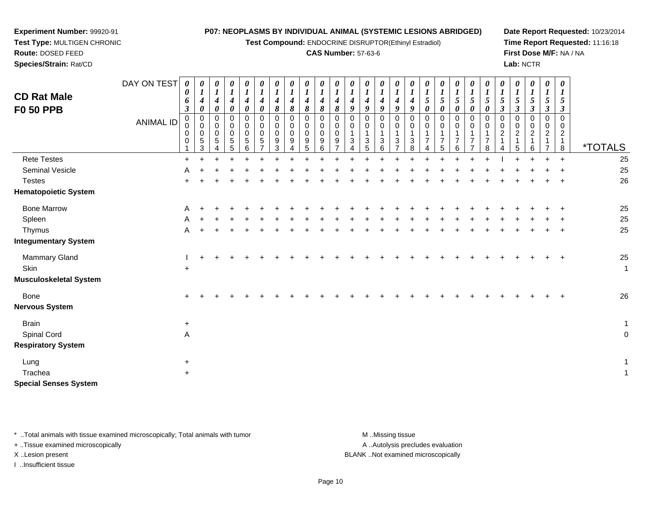**Test Compound:** ENDOCRINE DISRUPTOR(Ethinyl Estradiol)

*0 1*

*0 1*

*0 1*

*0 1*

*0 1*

*0 1*

*0 1*

*0 1*

*0 1*

*0 1*

*0 1*

**Date Report Requested:** 10/23/2014**Time Report Requested:** 11:16:18**First Dose M/F:** NA / NA**Lab:** NCTR

*0 1*

| Test Type: MULTIGEN CHRONIC            |                  |        |                       |   |          |                       |             |        |          |        |                       |        |                       | Test Compound: ENDOCRINE DISRUPTO |   |
|----------------------------------------|------------------|--------|-----------------------|---|----------|-----------------------|-------------|--------|----------|--------|-----------------------|--------|-----------------------|-----------------------------------|---|
| Route: DOSED FEED                      |                  |        |                       |   |          |                       |             |        |          |        |                       |        |                       | <b>CAS Number: 57-63-6</b>        |   |
| Species/Strain: Rat/CD                 |                  |        |                       |   |          |                       |             |        |          |        |                       |        |                       |                                   |   |
|                                        | DAY ON TEST      |        | $\boldsymbol{\theta}$ | 0 | $\theta$ | $\boldsymbol{\theta}$ | $\theta$    | 0      | $\theta$ | 0      | $\boldsymbol{\theta}$ | 0      | $\boldsymbol{\theta}$ | $\boldsymbol{\theta}$             | O |
| <b>CD Rat Male</b><br><b>F0 50 PPB</b> |                  | U<br>o | $\theta$              |   | 4        |                       | 0           | 4<br>8 | 4<br>8   | 4<br>8 | o                     | 4<br>8 |                       | 9                                 | 9 |
|                                        | <b>ANIMAL ID</b> |        | 0<br>∩                |   | 0<br>0   |                       | 0<br>0<br>∩ | 0<br>0 |          | 0<br>0 |                       |        |                       |                                   |   |

| <b>F0 50 PPB</b>              |                  | 3                            | 0                                                                   | 0                                                               | 0                                                         | 0                                                | 0                                           | 8                               | 8                                       | 8                                       | 8                        | 8                                        | 9                                | 9                                                                  | 9                                                           | 9                                                               | 9                                      | 0                                                    | 0                                  | $\boldsymbol{\theta}$                                   | 0                                                      | 0                                                           | $\boldsymbol{\beta}$                                           | 3                             | 3                                                                 | 3                                                                          | $\boldsymbol{\beta}$                      |                       |
|-------------------------------|------------------|------------------------------|---------------------------------------------------------------------|-----------------------------------------------------------------|-----------------------------------------------------------|--------------------------------------------------|---------------------------------------------|---------------------------------|-----------------------------------------|-----------------------------------------|--------------------------|------------------------------------------|----------------------------------|--------------------------------------------------------------------|-------------------------------------------------------------|-----------------------------------------------------------------|----------------------------------------|------------------------------------------------------|------------------------------------|---------------------------------------------------------|--------------------------------------------------------|-------------------------------------------------------------|----------------------------------------------------------------|-------------------------------|-------------------------------------------------------------------|----------------------------------------------------------------------------|-------------------------------------------|-----------------------|
|                               | <b>ANIMAL ID</b> | $_{\rm 0}^{\rm 0}$<br>0<br>0 | $\begin{smallmatrix}0\\0\end{smallmatrix}$<br>$\mathbf 0$<br>5<br>3 | $_{\rm 0}^{\rm 0}$<br>$\pmb{0}$<br>$\sqrt{5}$<br>$\overline{4}$ | $\pmb{0}$<br>$\mathbf 0$<br>$\pmb{0}$<br>$\,$ 5 $\,$<br>5 | 0<br>$\mathbf 0$<br>$\pmb{0}$<br>$\sqrt{5}$<br>6 | $\Omega$<br>$\mathbf 0$<br>$\mathbf 0$<br>5 | 0<br>$\mathbf 0$<br>0<br>9<br>3 | 0<br>$\pmb{0}$<br>$\mathsf 0$<br>9<br>4 | 0<br>$\pmb{0}$<br>$\mathbf 0$<br>9<br>5 | $\pmb{0}$<br>0<br>9<br>6 | $\,0\,$<br>$\mathbf 0$<br>$\pmb{0}$<br>9 | 0<br>0<br>$\mathbf{1}$<br>3<br>4 | 0<br>$\mathbf 0$<br>$\mathbf{1}$<br>$\ensuremath{\mathsf{3}}$<br>5 | $\pmb{0}$<br>$\pmb{0}$<br>1<br>$\sqrt{3}$<br>$6\phantom{1}$ | $\Omega$<br>0<br>$\mathbf{1}$<br>$\mathbf{3}$<br>$\overline{7}$ | $\Omega$<br>$\mathbf 0$<br>1<br>3<br>8 | $\mathbf 0$<br>0<br>1<br>$\overline{7}$<br>$\Lambda$ | 0<br>0<br>1<br>$\overline{7}$<br>5 | 0<br>$\pmb{0}$<br>$\mathbf{1}$<br>$\boldsymbol{7}$<br>6 | $\Omega$<br>0<br>1<br>$\overline{7}$<br>$\overline{ }$ | 0<br>$\mathbf 0$<br>$\overline{A}$<br>$\boldsymbol{7}$<br>8 | 0<br>$\mathbf 0$<br>$\overline{c}$<br>$\mathbf{1}$<br>$\Delta$ | 0<br>0<br>$\overline{c}$<br>5 | $\pmb{0}$<br>$\mathbf 0$<br>$\boldsymbol{2}$<br>$\mathbf{1}$<br>6 | $\pmb{0}$<br>$\mathbf 0$<br>$\overline{\mathbf{c}}$<br>1<br>$\overline{ }$ | $\Omega$<br>0<br>$\overline{a}$<br>1<br>8 | <i><b>*TOTALS</b></i> |
| <b>Rete Testes</b>            |                  | $\ddot{}$                    |                                                                     |                                                                 |                                                           |                                                  |                                             |                                 |                                         |                                         |                          |                                          |                                  |                                                                    |                                                             |                                                                 |                                        |                                                      |                                    |                                                         |                                                        |                                                             |                                                                |                               |                                                                   |                                                                            | $\ddot{}$                                 | 25                    |
| Seminal Vesicle               |                  | A                            |                                                                     |                                                                 |                                                           |                                                  |                                             |                                 |                                         |                                         |                          |                                          |                                  |                                                                    |                                                             |                                                                 |                                        |                                                      |                                    |                                                         |                                                        |                                                             |                                                                |                               |                                                                   |                                                                            |                                           | 25                    |
| <b>Testes</b>                 |                  |                              |                                                                     |                                                                 |                                                           |                                                  |                                             |                                 |                                         |                                         |                          |                                          |                                  |                                                                    |                                                             |                                                                 |                                        |                                                      |                                    |                                                         |                                                        |                                                             |                                                                |                               |                                                                   |                                                                            |                                           | 26                    |
| <b>Hematopoietic System</b>   |                  |                              |                                                                     |                                                                 |                                                           |                                                  |                                             |                                 |                                         |                                         |                          |                                          |                                  |                                                                    |                                                             |                                                                 |                                        |                                                      |                                    |                                                         |                                                        |                                                             |                                                                |                               |                                                                   |                                                                            |                                           |                       |
| <b>Bone Marrow</b>            |                  | A                            |                                                                     |                                                                 |                                                           |                                                  |                                             |                                 |                                         |                                         |                          |                                          |                                  |                                                                    |                                                             |                                                                 |                                        |                                                      |                                    |                                                         |                                                        |                                                             |                                                                |                               |                                                                   |                                                                            |                                           | 25                    |
| Spleen                        |                  | A                            |                                                                     |                                                                 |                                                           |                                                  |                                             |                                 |                                         |                                         |                          |                                          |                                  |                                                                    |                                                             |                                                                 |                                        |                                                      |                                    |                                                         |                                                        |                                                             |                                                                |                               |                                                                   |                                                                            |                                           | 25                    |
| Thymus                        |                  | A                            |                                                                     |                                                                 |                                                           |                                                  |                                             |                                 |                                         |                                         |                          |                                          |                                  |                                                                    |                                                             |                                                                 |                                        |                                                      |                                    |                                                         |                                                        |                                                             |                                                                |                               |                                                                   |                                                                            |                                           | 25                    |
| <b>Integumentary System</b>   |                  |                              |                                                                     |                                                                 |                                                           |                                                  |                                             |                                 |                                         |                                         |                          |                                          |                                  |                                                                    |                                                             |                                                                 |                                        |                                                      |                                    |                                                         |                                                        |                                                             |                                                                |                               |                                                                   |                                                                            |                                           |                       |
| Mammary Gland                 |                  |                              |                                                                     |                                                                 |                                                           |                                                  |                                             |                                 |                                         |                                         |                          |                                          |                                  |                                                                    |                                                             |                                                                 |                                        |                                                      |                                    |                                                         |                                                        |                                                             |                                                                |                               |                                                                   |                                                                            | $+$                                       | 25                    |
| Skin                          |                  | $\ddot{}$                    |                                                                     |                                                                 |                                                           |                                                  |                                             |                                 |                                         |                                         |                          |                                          |                                  |                                                                    |                                                             |                                                                 |                                        |                                                      |                                    |                                                         |                                                        |                                                             |                                                                |                               |                                                                   |                                                                            |                                           | $\mathbf{1}$          |
| <b>Musculoskeletal System</b> |                  |                              |                                                                     |                                                                 |                                                           |                                                  |                                             |                                 |                                         |                                         |                          |                                          |                                  |                                                                    |                                                             |                                                                 |                                        |                                                      |                                    |                                                         |                                                        |                                                             |                                                                |                               |                                                                   |                                                                            |                                           |                       |
| Bone                          |                  |                              |                                                                     |                                                                 |                                                           |                                                  |                                             |                                 |                                         |                                         |                          |                                          |                                  |                                                                    |                                                             |                                                                 |                                        |                                                      |                                    |                                                         |                                                        |                                                             |                                                                |                               |                                                                   |                                                                            |                                           | 26                    |
| <b>Nervous System</b>         |                  |                              |                                                                     |                                                                 |                                                           |                                                  |                                             |                                 |                                         |                                         |                          |                                          |                                  |                                                                    |                                                             |                                                                 |                                        |                                                      |                                    |                                                         |                                                        |                                                             |                                                                |                               |                                                                   |                                                                            |                                           |                       |
| <b>Brain</b>                  |                  | $\ddot{}$                    |                                                                     |                                                                 |                                                           |                                                  |                                             |                                 |                                         |                                         |                          |                                          |                                  |                                                                    |                                                             |                                                                 |                                        |                                                      |                                    |                                                         |                                                        |                                                             |                                                                |                               |                                                                   |                                                                            |                                           | $\mathbf{1}$          |
| Spinal Cord                   |                  | A                            |                                                                     |                                                                 |                                                           |                                                  |                                             |                                 |                                         |                                         |                          |                                          |                                  |                                                                    |                                                             |                                                                 |                                        |                                                      |                                    |                                                         |                                                        |                                                             |                                                                |                               |                                                                   |                                                                            |                                           | $\pmb{0}$             |
| <b>Respiratory System</b>     |                  |                              |                                                                     |                                                                 |                                                           |                                                  |                                             |                                 |                                         |                                         |                          |                                          |                                  |                                                                    |                                                             |                                                                 |                                        |                                                      |                                    |                                                         |                                                        |                                                             |                                                                |                               |                                                                   |                                                                            |                                           |                       |
| Lung                          |                  | $\ddot{}$                    |                                                                     |                                                                 |                                                           |                                                  |                                             |                                 |                                         |                                         |                          |                                          |                                  |                                                                    |                                                             |                                                                 |                                        |                                                      |                                    |                                                         |                                                        |                                                             |                                                                |                               |                                                                   |                                                                            |                                           | $\mathbf{1}$          |
| Trachea                       |                  | $\ddot{}$                    |                                                                     |                                                                 |                                                           |                                                  |                                             |                                 |                                         |                                         |                          |                                          |                                  |                                                                    |                                                             |                                                                 |                                        |                                                      |                                    |                                                         |                                                        |                                                             |                                                                |                               |                                                                   |                                                                            |                                           | $\mathbf{1}$          |
| <b>Special Senses System</b>  |                  |                              |                                                                     |                                                                 |                                                           |                                                  |                                             |                                 |                                         |                                         |                          |                                          |                                  |                                                                    |                                                             |                                                                 |                                        |                                                      |                                    |                                                         |                                                        |                                                             |                                                                |                               |                                                                   |                                                                            |                                           |                       |

\* ..Total animals with tissue examined microscopically; Total animals with tumor **M** . Missing tissue M ..Missing tissue

+ ..Tissue examined microscopically

**Experiment Number:** 99920-91

I ..Insufficient tissue

A ..Autolysis precludes evaluation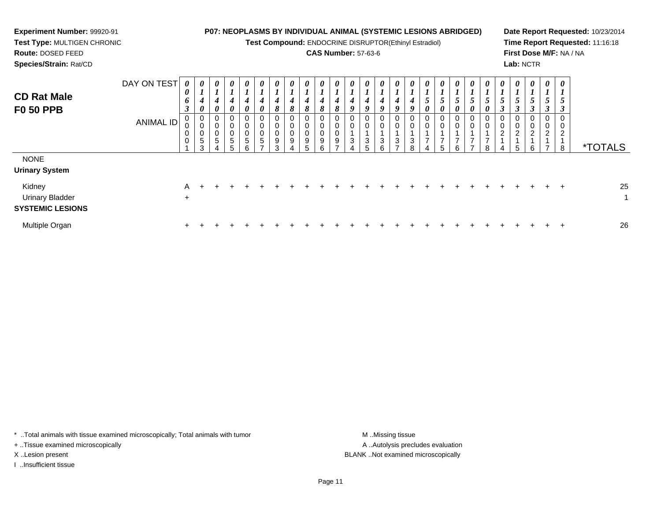| <b>Experiment Number: 99920-91</b><br>Test Type: MULTIGEN CHRONIC<br>Route: DOSED FEED<br>Species/Strain: Rat/CD |                          |                       |                                   |                                                                        |                            |                       |                                      |          |                                      | <b>CAS Number: 57-63-6</b> |                                 |                                           | <b>P07: NEOPLASMS BY INDIVIDUAL ANIMAL (SYSTEMIC LESIONS ABRIDGED)</b><br>Test Compound: ENDOCRINE DISRUPTOR(Ethinyl Estradiol) |   |        |          |   |   | Lab: NCTR             |                    |               |   | Date Report Requested: 10/23/2014<br>Time Report Requested: 11:16:18<br>First Dose M/F: NA / NA |
|------------------------------------------------------------------------------------------------------------------|--------------------------|-----------------------|-----------------------------------|------------------------------------------------------------------------|----------------------------|-----------------------|--------------------------------------|----------|--------------------------------------|----------------------------|---------------------------------|-------------------------------------------|---------------------------------------------------------------------------------------------------------------------------------|---|--------|----------|---|---|-----------------------|--------------------|---------------|---|-------------------------------------------------------------------------------------------------|
| <b>CD Rat Male</b><br><b>F0 50 PPB</b>                                                                           | DAY ON TEST<br>ANIMAL ID | $\boldsymbol{\theta}$ | $\theta$<br>0<br>0<br>0<br>5<br>3 | $\boldsymbol{\theta}$<br>$\mathbf{I}$<br>0<br>0<br>0<br>$\pmb{0}$<br>5 | $\boldsymbol{\theta}$<br>0 | $\boldsymbol{\theta}$ | $\boldsymbol{\theta}$<br>8<br>9<br>3 | $\theta$ | $\boldsymbol{\theta}$<br>8<br>9<br>5 | 8                          | $\boldsymbol{\theta}$<br>9<br>3 | $\boldsymbol{\theta}$<br>9<br>0<br>0<br>5 | $\theta$                                                                                                                        | 8 | 0<br>5 | $\theta$ | 0 | 8 | $\boldsymbol{\theta}$ | $\theta$<br>0<br>6 | $\theta$<br>3 | 8 | <i><b>*TOTALS</b></i>                                                                           |
| <b>NONE</b><br><b>Urinary System</b><br>Kidney<br><b>Urinary Bladder</b><br><b>SYSTEMIC LESIONS</b>              |                          | A<br>$\ddot{}$        |                                   |                                                                        |                            |                       |                                      |          |                                      |                            |                                 |                                           |                                                                                                                                 |   |        |          |   |   |                       |                    |               |   | 25                                                                                              |

\* ..Total animals with tissue examined microscopically; Total animals with tumor M..Missing tissue M ..Missing tissue

n  $+$ 

+ ..Tissue examined microscopically

I ..Insufficient tissue

Multiple Organ

A ..Autolysis precludes evaluation X ..Lesion present BLANK ..Not examined microscopically

<sup>+</sup> <sup>+</sup> <sup>+</sup> <sup>+</sup> <sup>+</sup> <sup>+</sup> <sup>+</sup> <sup>+</sup> <sup>+</sup> <sup>+</sup> <sup>+</sup> <sup>+</sup> <sup>+</sup> <sup>+</sup> <sup>+</sup> <sup>+</sup> <sup>+</sup> <sup>+</sup> <sup>+</sup> <sup>+</sup> <sup>+</sup> <sup>+</sup> <sup>+</sup> <sup>+</sup> <sup>+</sup> <sup>26</sup>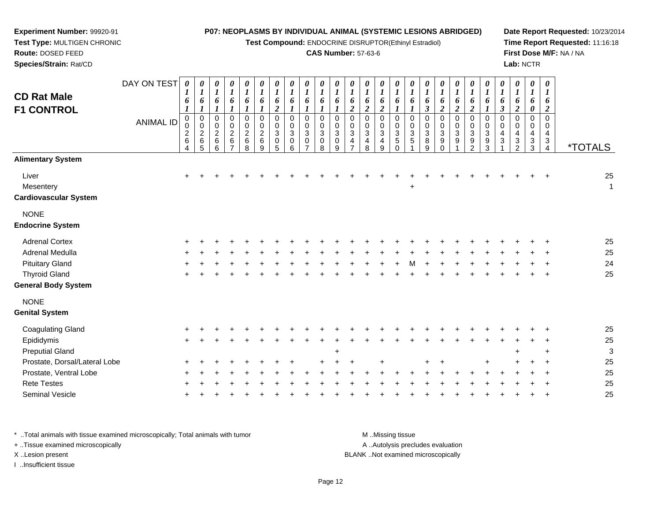**Test Compound:** ENDOCRINE DISRUPTOR(Ethinyl Estradiol)

### **CAS Number:** 57-63-6

**Date Report Requested:** 10/23/2014**Time Report Requested:** 11:16:18**First Dose M/F:** NA / NA**Lab:** NCTR

 **Test Type:** MULTIGEN CHRONIC**Route:** DOSED FEED **Species/Strain:** Rat/CDDAY ON TEST*0000000000000000000000000*

**Experiment Number:** 99920-91

| <b>CD Rat Male</b><br><b>F1 CONTROL</b>            | <b>ANIMAL ID</b> | 6<br>0<br>$\pmb{0}$<br>$\overline{c}$<br>$\,6$<br>4 | $\bm{l}$<br>6<br>$\boldsymbol{l}$<br>$\mathbf 0$<br>$\mathbf 0$<br>$\overline{c}$<br>$\,6\,$<br>5 | $\boldsymbol{l}$<br>$\pmb{6}$<br>$\boldsymbol{l}$<br>$\pmb{0}$<br>$\mathbf 0$<br>$\overline{c}$<br>$\,6\,$<br>$\,6\,$ | $\boldsymbol{l}$<br>6<br>$\boldsymbol{l}$<br>$\pmb{0}$<br>$\mathbf 0$<br>$\overline{2}$<br>$\,6$<br>$\overline{7}$ | $\boldsymbol{l}$<br>$\frac{6}{1}$<br>$\begin{matrix} 0 \\ 0 \\ 2 \end{matrix}$<br>$\,6\,$<br>8 | $\boldsymbol{l}$<br>$\pmb{6}$<br>$\boldsymbol{l}$<br>$\pmb{0}$<br>$\begin{smallmatrix} 0\\2 \end{smallmatrix}$<br>$\,6\,$<br>9 | 1<br>6<br>$\overline{c}$<br>$\mathsf 0$<br>$\mathbf 0$<br>$\overline{3}$<br>$\pmb{0}$<br>$\sqrt{5}$ | 6<br>$\mathbf{I}$<br>$\pmb{0}$<br>$\mathbf 0$<br>$\sqrt{3}$<br>$\pmb{0}$<br>6 | 1<br>6<br>$\boldsymbol{l}$<br>0<br>$\mathbf 0$<br>3<br>0<br>$\overline{7}$ | 1<br>6<br>$\boldsymbol{l}$<br>$\pmb{0}$<br>0<br>$\mathbf{3}$<br>$\pmb{0}$<br>8 | 1<br>6<br>$\boldsymbol{l}$<br>$\mathbf 0$<br>$\mathbf 0$<br>3<br>$\mathbf 0$<br>9 | 6<br>$\boldsymbol{2}$<br>$\pmb{0}$<br>$\pmb{0}$<br>$\sqrt{3}$<br>4 | 1<br>6<br>$\overline{c}$<br>0<br>$\mathbf 0$<br>$\mathbf{3}$<br>$\overline{4}$<br>8 | $\boldsymbol{l}$<br>$\frac{6}{2}$<br>$\,0\,$<br>0<br>$\overline{3}$<br>$\overline{\mathbf{4}}$<br>9 | $\pmb{6}$<br>$\mathbf 0$<br>$\mathbf 0$<br>$\mathbf{3}$<br>$\overline{5}$<br>$\Omega$ | 6<br>$\mathbf{I}$<br>0<br>0<br>$\sqrt{3}$<br>5 | 1<br>6<br>$\mathfrak{z}$<br>$\mathbf 0$<br>0<br>3<br>8<br>9 | 1<br>6<br>$\boldsymbol{2}$<br>$\mathbf 0$<br>0<br>3<br>9 | $\pmb{6}$<br>$\boldsymbol{2}$<br>$\mathbf 0$<br>$\mathbf 0$<br>$\sqrt{3}$<br>9 | 1<br>$\boldsymbol{6}$<br>$\overline{c}$<br>0<br>$\mathbf 0$<br>3<br>9<br>$\mathfrak{p}$ | 1<br>6<br>$\pmb{0}$<br>$\mathbf 0$<br>$\mathbf{3}$<br>$\boldsymbol{9}$<br>3 | $\boldsymbol{l}$<br>$\boldsymbol{\delta}$<br>$\mathfrak{z}$<br>$\pmb{0}$<br>$\mathbf 0$<br>$\overline{\mathbf{4}}$<br>$\ensuremath{\mathsf{3}}$ | $\boldsymbol{l}$<br>$\pmb{6}$<br>$\boldsymbol{2}$<br>$\pmb{0}$<br>0<br>$\overline{\mathbf{4}}$<br>$\ensuremath{\mathsf{3}}$<br>$\overline{2}$ | $\boldsymbol{l}$<br>$\pmb{6}$<br>$\pmb{\theta}$<br>$\mathbf 0$<br>0<br>$\overline{4}$<br>$\sqrt{3}$<br>$\sqrt{3}$ | $\boldsymbol{l}$<br>6<br>$\boldsymbol{2}$<br>$\mathbf 0$<br>0<br>4<br>$\sqrt{3}$<br>4 | <i><b>*TOTALS</b></i> |
|----------------------------------------------------|------------------|-----------------------------------------------------|---------------------------------------------------------------------------------------------------|-----------------------------------------------------------------------------------------------------------------------|--------------------------------------------------------------------------------------------------------------------|------------------------------------------------------------------------------------------------|--------------------------------------------------------------------------------------------------------------------------------|-----------------------------------------------------------------------------------------------------|-------------------------------------------------------------------------------|----------------------------------------------------------------------------|--------------------------------------------------------------------------------|-----------------------------------------------------------------------------------|--------------------------------------------------------------------|-------------------------------------------------------------------------------------|-----------------------------------------------------------------------------------------------------|---------------------------------------------------------------------------------------|------------------------------------------------|-------------------------------------------------------------|----------------------------------------------------------|--------------------------------------------------------------------------------|-----------------------------------------------------------------------------------------|-----------------------------------------------------------------------------|-------------------------------------------------------------------------------------------------------------------------------------------------|-----------------------------------------------------------------------------------------------------------------------------------------------|-------------------------------------------------------------------------------------------------------------------|---------------------------------------------------------------------------------------|-----------------------|
| <b>Alimentary System</b>                           |                  |                                                     |                                                                                                   |                                                                                                                       |                                                                                                                    |                                                                                                |                                                                                                                                |                                                                                                     |                                                                               |                                                                            |                                                                                |                                                                                   |                                                                    |                                                                                     |                                                                                                     |                                                                                       |                                                |                                                             |                                                          |                                                                                |                                                                                         |                                                                             |                                                                                                                                                 |                                                                                                                                               |                                                                                                                   |                                                                                       |                       |
| Liver<br>Mesentery<br><b>Cardiovascular System</b> |                  |                                                     |                                                                                                   |                                                                                                                       |                                                                                                                    |                                                                                                |                                                                                                                                |                                                                                                     |                                                                               |                                                                            |                                                                                |                                                                                   |                                                                    |                                                                                     |                                                                                                     |                                                                                       | $\ddot{}$                                      |                                                             |                                                          |                                                                                |                                                                                         |                                                                             |                                                                                                                                                 |                                                                                                                                               |                                                                                                                   |                                                                                       | 25<br>$\mathbf{1}$    |
| <b>NONE</b><br><b>Endocrine System</b>             |                  |                                                     |                                                                                                   |                                                                                                                       |                                                                                                                    |                                                                                                |                                                                                                                                |                                                                                                     |                                                                               |                                                                            |                                                                                |                                                                                   |                                                                    |                                                                                     |                                                                                                     |                                                                                       |                                                |                                                             |                                                          |                                                                                |                                                                                         |                                                                             |                                                                                                                                                 |                                                                                                                                               |                                                                                                                   |                                                                                       |                       |
| <b>Adrenal Cortex</b>                              |                  |                                                     |                                                                                                   |                                                                                                                       |                                                                                                                    |                                                                                                |                                                                                                                                |                                                                                                     |                                                                               |                                                                            |                                                                                |                                                                                   |                                                                    |                                                                                     |                                                                                                     |                                                                                       |                                                |                                                             |                                                          |                                                                                |                                                                                         |                                                                             |                                                                                                                                                 |                                                                                                                                               |                                                                                                                   |                                                                                       | 25                    |
| Adrenal Medulla                                    |                  |                                                     |                                                                                                   |                                                                                                                       |                                                                                                                    |                                                                                                |                                                                                                                                |                                                                                                     |                                                                               |                                                                            |                                                                                |                                                                                   |                                                                    |                                                                                     |                                                                                                     |                                                                                       |                                                |                                                             |                                                          |                                                                                |                                                                                         |                                                                             |                                                                                                                                                 |                                                                                                                                               |                                                                                                                   |                                                                                       | 25                    |
| <b>Pituitary Gland</b>                             |                  |                                                     |                                                                                                   |                                                                                                                       |                                                                                                                    |                                                                                                |                                                                                                                                |                                                                                                     |                                                                               |                                                                            |                                                                                |                                                                                   |                                                                    |                                                                                     |                                                                                                     |                                                                                       |                                                |                                                             |                                                          |                                                                                |                                                                                         |                                                                             |                                                                                                                                                 |                                                                                                                                               |                                                                                                                   |                                                                                       | 24                    |
| <b>Thyroid Gland</b>                               |                  |                                                     |                                                                                                   |                                                                                                                       |                                                                                                                    |                                                                                                |                                                                                                                                |                                                                                                     |                                                                               |                                                                            |                                                                                |                                                                                   |                                                                    |                                                                                     |                                                                                                     |                                                                                       |                                                |                                                             |                                                          |                                                                                |                                                                                         |                                                                             |                                                                                                                                                 |                                                                                                                                               |                                                                                                                   |                                                                                       | 25                    |
| <b>General Body System</b>                         |                  |                                                     |                                                                                                   |                                                                                                                       |                                                                                                                    |                                                                                                |                                                                                                                                |                                                                                                     |                                                                               |                                                                            |                                                                                |                                                                                   |                                                                    |                                                                                     |                                                                                                     |                                                                                       |                                                |                                                             |                                                          |                                                                                |                                                                                         |                                                                             |                                                                                                                                                 |                                                                                                                                               |                                                                                                                   |                                                                                       |                       |
| <b>NONE</b>                                        |                  |                                                     |                                                                                                   |                                                                                                                       |                                                                                                                    |                                                                                                |                                                                                                                                |                                                                                                     |                                                                               |                                                                            |                                                                                |                                                                                   |                                                                    |                                                                                     |                                                                                                     |                                                                                       |                                                |                                                             |                                                          |                                                                                |                                                                                         |                                                                             |                                                                                                                                                 |                                                                                                                                               |                                                                                                                   |                                                                                       |                       |
| <b>Genital System</b>                              |                  |                                                     |                                                                                                   |                                                                                                                       |                                                                                                                    |                                                                                                |                                                                                                                                |                                                                                                     |                                                                               |                                                                            |                                                                                |                                                                                   |                                                                    |                                                                                     |                                                                                                     |                                                                                       |                                                |                                                             |                                                          |                                                                                |                                                                                         |                                                                             |                                                                                                                                                 |                                                                                                                                               |                                                                                                                   |                                                                                       |                       |
| <b>Coagulating Gland</b>                           |                  |                                                     |                                                                                                   |                                                                                                                       |                                                                                                                    |                                                                                                |                                                                                                                                |                                                                                                     |                                                                               |                                                                            |                                                                                |                                                                                   |                                                                    |                                                                                     |                                                                                                     |                                                                                       |                                                |                                                             |                                                          |                                                                                |                                                                                         |                                                                             |                                                                                                                                                 |                                                                                                                                               |                                                                                                                   |                                                                                       | 25                    |
| Epididymis                                         |                  | $\div$                                              |                                                                                                   |                                                                                                                       |                                                                                                                    |                                                                                                |                                                                                                                                |                                                                                                     |                                                                               |                                                                            |                                                                                |                                                                                   |                                                                    |                                                                                     |                                                                                                     |                                                                                       |                                                |                                                             |                                                          |                                                                                |                                                                                         |                                                                             |                                                                                                                                                 |                                                                                                                                               |                                                                                                                   |                                                                                       | 25                    |
| <b>Preputial Gland</b>                             |                  |                                                     |                                                                                                   |                                                                                                                       |                                                                                                                    |                                                                                                |                                                                                                                                |                                                                                                     |                                                                               |                                                                            |                                                                                |                                                                                   |                                                                    |                                                                                     |                                                                                                     |                                                                                       |                                                |                                                             |                                                          |                                                                                |                                                                                         |                                                                             |                                                                                                                                                 |                                                                                                                                               |                                                                                                                   |                                                                                       | 3                     |
| Prostate, Dorsal/Lateral Lobe                      |                  |                                                     |                                                                                                   |                                                                                                                       |                                                                                                                    |                                                                                                |                                                                                                                                |                                                                                                     |                                                                               |                                                                            |                                                                                |                                                                                   |                                                                    |                                                                                     |                                                                                                     |                                                                                       |                                                | +                                                           |                                                          |                                                                                |                                                                                         | $\ddot{}$                                                                   |                                                                                                                                                 |                                                                                                                                               |                                                                                                                   |                                                                                       | 25                    |
| Prostate, Ventral Lobe                             |                  |                                                     |                                                                                                   |                                                                                                                       |                                                                                                                    |                                                                                                |                                                                                                                                |                                                                                                     |                                                                               |                                                                            |                                                                                |                                                                                   |                                                                    |                                                                                     |                                                                                                     |                                                                                       |                                                |                                                             |                                                          |                                                                                |                                                                                         |                                                                             |                                                                                                                                                 |                                                                                                                                               |                                                                                                                   |                                                                                       | 25                    |
| <b>Rete Testes</b>                                 |                  |                                                     |                                                                                                   |                                                                                                                       |                                                                                                                    |                                                                                                |                                                                                                                                |                                                                                                     |                                                                               |                                                                            |                                                                                |                                                                                   |                                                                    |                                                                                     |                                                                                                     |                                                                                       |                                                |                                                             |                                                          |                                                                                |                                                                                         |                                                                             |                                                                                                                                                 |                                                                                                                                               |                                                                                                                   |                                                                                       | 25                    |
| Seminal Vesicle                                    |                  |                                                     |                                                                                                   |                                                                                                                       |                                                                                                                    |                                                                                                |                                                                                                                                |                                                                                                     |                                                                               |                                                                            |                                                                                |                                                                                   |                                                                    |                                                                                     |                                                                                                     |                                                                                       |                                                |                                                             |                                                          |                                                                                |                                                                                         |                                                                             |                                                                                                                                                 |                                                                                                                                               |                                                                                                                   |                                                                                       | 25                    |

\* ..Total animals with tissue examined microscopically; Total animals with tumor **M** ...Missing tissue M ...Missing tissue A .. Autolysis precludes evaluation + ..Tissue examined microscopically X ..Lesion present BLANK ..Not examined microscopicallyI ..Insufficient tissue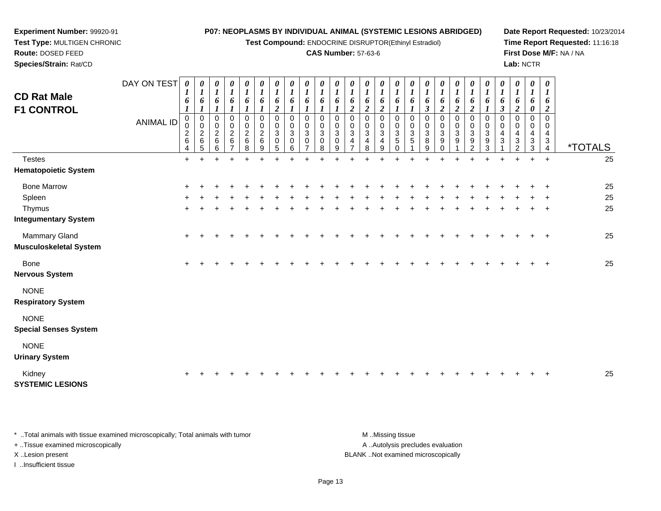**Test Compound:** ENDOCRINE DISRUPTOR(Ethinyl Estradiol)

## **CAS Number:** 57-63-6

**Date Report Requested:** 10/23/2014**Time Report Requested:** 11:16:18**First Dose M/F:** NA / NA**Lab:** NCTR

| <b>CD Rat Male</b><br><b>F1 CONTROL</b>        | DAY ON TEST      | $\boldsymbol{\theta}$<br>1<br>6<br>1 | $\bm{l}$<br>6<br>1                                 | $\boldsymbol{\mathit{U}}$<br>$\bm{l}$<br>6 | 0<br>$\boldsymbol{l}$<br>6    | 0<br>$\boldsymbol{l}$<br>6                     | 0<br>$\boldsymbol{l}$<br>6<br>$\boldsymbol{l}$ | 0<br>$\boldsymbol{l}$<br>6<br>$\boldsymbol{2}$   | 0<br>$\boldsymbol{l}$<br>6                           | 0<br>$\boldsymbol{l}$<br>6 | 0<br>$\boldsymbol{l}$<br>6 | $\boldsymbol{\theta}$<br>$\boldsymbol{l}$<br>6 | 0<br>$\boldsymbol{l}$<br>6<br>$\boldsymbol{2}$             | 0<br>6<br>$\overline{2}$ | 0<br>$\boldsymbol{l}$<br>6<br>$\boldsymbol{2}$                     | $\boldsymbol{\theta}$<br>$\boldsymbol{l}$<br>6                 | 0<br>$\boldsymbol{l}$<br>6          | 0<br>$\boldsymbol{l}$<br>6<br>3 | $\boldsymbol{\theta}$<br>$\boldsymbol{l}$<br>6<br>$\boldsymbol{2}$ | $\boldsymbol{\theta}$<br>$\boldsymbol{l}$<br>6<br>$\boldsymbol{2}$ | 0<br>$\boldsymbol{l}$<br>6<br>2                                    | 0<br>$\boldsymbol{l}$<br>6 | 0<br>$\boldsymbol{l}$<br>6<br>3     | 0<br>$\boldsymbol{l}$<br>6<br>$\boldsymbol{2}$                  | 0<br>$\boldsymbol{l}$<br>6<br>0 | 0<br>1<br>6<br>2             |                       |
|------------------------------------------------|------------------|--------------------------------------|----------------------------------------------------|--------------------------------------------|-------------------------------|------------------------------------------------|------------------------------------------------|--------------------------------------------------|------------------------------------------------------|----------------------------|----------------------------|------------------------------------------------|------------------------------------------------------------|--------------------------|--------------------------------------------------------------------|----------------------------------------------------------------|-------------------------------------|---------------------------------|--------------------------------------------------------------------|--------------------------------------------------------------------|--------------------------------------------------------------------|----------------------------|-------------------------------------|-----------------------------------------------------------------|---------------------------------|------------------------------|-----------------------|
|                                                | <b>ANIMAL ID</b> | 0<br>0<br>$\sqrt{2}$<br>$\,6\,$<br>4 | 0<br>$\pmb{0}$<br>$\boldsymbol{2}$<br>$\,6\,$<br>5 | 0<br>$\pmb{0}$<br>$\overline{2}$<br>6<br>6 | 0<br>0<br>$\overline{c}$<br>6 | 0<br>$\mathbf 0$<br>$\sqrt{2}$<br>$\,6\,$<br>8 | 0<br>$\pmb{0}$<br>$\overline{c}$<br>6<br>9     | $\mathbf 0$<br>$\pmb{0}$<br>$\sqrt{3}$<br>0<br>5 | $\,0\,$<br>$\pmb{0}$<br>$\sqrt{3}$<br>$\pmb{0}$<br>6 | 0<br>$\mathbf 0$<br>3<br>0 | 0<br>0<br>3<br>0<br>8      | 0<br>$\mathbf 0$<br>$\mathbf{3}$<br>0<br>9     | $\mathbf 0$<br>$\pmb{0}$<br>$\ensuremath{\mathsf{3}}$<br>4 | 0<br>0<br>3<br>4<br>8    | 0<br>$\pmb{0}$<br>$\ensuremath{\mathsf{3}}$<br>$\overline{4}$<br>9 | 0<br>$\mathbf 0$<br>$\ensuremath{\mathsf{3}}$<br>5<br>$\Omega$ | 0<br>$\mathbf 0$<br>$\sqrt{3}$<br>5 | $\mathbf 0$<br>0<br>3<br>8<br>9 | 0<br>$\mathbf 0$<br>$\sqrt{3}$<br>9<br>$\Omega$                    | $\mathbf 0$<br>0<br>3<br>9                                         | 0<br>$\pmb{0}$<br>$\sqrt{3}$<br>$\boldsymbol{9}$<br>$\mathfrak{p}$ | 0<br>0<br>3<br>9<br>3      | 0<br>$\pmb{0}$<br>4<br>$\mathbf{3}$ | $\mathbf 0$<br>$\mathbf 0$<br>4<br>$\sqrt{3}$<br>$\mathfrak{p}$ | 0<br>0<br>4<br>$\sqrt{3}$<br>3  | $\Omega$<br>0<br>4<br>3<br>4 | <i><b>*TOTALS</b></i> |
| <b>Testes</b>                                  |                  | $+$                                  | $\ddot{}$                                          |                                            | $\ddot{}$                     | $\ddot{}$                                      | $\div$                                         | $\ddot{}$                                        | $\div$                                               | ÷                          |                            |                                                |                                                            | $\ddot{}$                | $\ddot{}$                                                          |                                                                | $\overline{+}$                      | ÷                               | ٠                                                                  |                                                                    |                                                                    | $\ddot{}$                  | $\ddot{}$                           | $\ddot{}$                                                       | $+$                             | $+$                          | 25                    |
| <b>Hematopoietic System</b>                    |                  |                                      |                                                    |                                            |                               |                                                |                                                |                                                  |                                                      |                            |                            |                                                |                                                            |                          |                                                                    |                                                                |                                     |                                 |                                                                    |                                                                    |                                                                    |                            |                                     |                                                                 |                                 |                              |                       |
| <b>Bone Marrow</b>                             |                  | +                                    |                                                    |                                            |                               |                                                |                                                |                                                  |                                                      |                            |                            |                                                |                                                            |                          |                                                                    |                                                                |                                     |                                 |                                                                    |                                                                    |                                                                    |                            |                                     |                                                                 |                                 |                              | 25                    |
| Spleen                                         |                  |                                      |                                                    |                                            |                               |                                                |                                                |                                                  |                                                      |                            |                            |                                                |                                                            |                          |                                                                    |                                                                |                                     |                                 |                                                                    |                                                                    |                                                                    |                            |                                     |                                                                 |                                 |                              | 25                    |
| Thymus                                         |                  |                                      |                                                    |                                            |                               |                                                |                                                |                                                  |                                                      |                            |                            |                                                |                                                            |                          |                                                                    |                                                                |                                     |                                 |                                                                    |                                                                    |                                                                    |                            |                                     |                                                                 |                                 | $\div$                       | 25                    |
| <b>Integumentary System</b>                    |                  |                                      |                                                    |                                            |                               |                                                |                                                |                                                  |                                                      |                            |                            |                                                |                                                            |                          |                                                                    |                                                                |                                     |                                 |                                                                    |                                                                    |                                                                    |                            |                                     |                                                                 |                                 |                              |                       |
| Mammary Gland<br><b>Musculoskeletal System</b> |                  | $\ddot{}$                            |                                                    |                                            |                               |                                                |                                                |                                                  |                                                      |                            |                            |                                                |                                                            |                          |                                                                    |                                                                |                                     |                                 |                                                                    |                                                                    |                                                                    |                            |                                     |                                                                 |                                 | $\ddot{}$                    | 25                    |
| Bone<br><b>Nervous System</b>                  |                  | $\ddot{}$                            |                                                    |                                            |                               |                                                |                                                |                                                  |                                                      |                            |                            |                                                |                                                            |                          |                                                                    |                                                                |                                     |                                 |                                                                    |                                                                    |                                                                    |                            |                                     |                                                                 |                                 |                              | 25                    |
| <b>NONE</b><br><b>Respiratory System</b>       |                  |                                      |                                                    |                                            |                               |                                                |                                                |                                                  |                                                      |                            |                            |                                                |                                                            |                          |                                                                    |                                                                |                                     |                                 |                                                                    |                                                                    |                                                                    |                            |                                     |                                                                 |                                 |                              |                       |
| <b>NONE</b><br><b>Special Senses System</b>    |                  |                                      |                                                    |                                            |                               |                                                |                                                |                                                  |                                                      |                            |                            |                                                |                                                            |                          |                                                                    |                                                                |                                     |                                 |                                                                    |                                                                    |                                                                    |                            |                                     |                                                                 |                                 |                              |                       |
| <b>NONE</b><br><b>Urinary System</b>           |                  |                                      |                                                    |                                            |                               |                                                |                                                |                                                  |                                                      |                            |                            |                                                |                                                            |                          |                                                                    |                                                                |                                     |                                 |                                                                    |                                                                    |                                                                    |                            |                                     |                                                                 |                                 |                              |                       |

Kidney <sup>+</sup> <sup>+</sup> <sup>+</sup> <sup>+</sup> <sup>+</sup> <sup>+</sup> <sup>+</sup> <sup>+</sup> <sup>+</sup> <sup>+</sup> <sup>+</sup> <sup>+</sup> <sup>+</sup> <sup>+</sup> <sup>+</sup> <sup>+</sup> <sup>+</sup> <sup>+</sup> <sup>+</sup> <sup>+</sup> <sup>+</sup> <sup>+</sup> <sup>+</sup> <sup>+</sup> <sup>+</sup> <sup>25</sup> **SYSTEMIC LESIONS**

\* ..Total animals with tissue examined microscopically; Total animals with tumor **M** ...Missing tissue M ...Missing tissue A ..Autolysis precludes evaluation + ..Tissue examined microscopically X ..Lesion present BLANK ..Not examined microscopicallyI ..Insufficient tissue

**Experiment Number:** 99920-91**Test Type:** MULTIGEN CHRONIC

**Route:** DOSED FEED**Species/Strain:** Rat/CD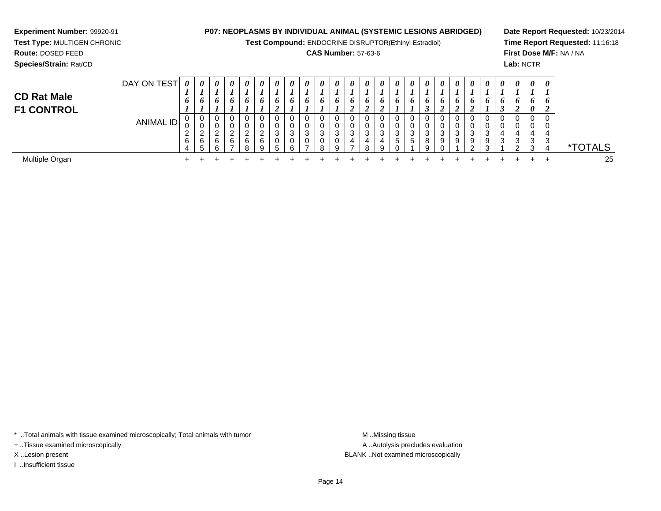**Test Compound:** ENDOCRINE DISRUPTOR(Ethinyl Estradiol)

## **CAS Number:** 57-63-6

**Date Report Requested:** 10/23/2014**Time Report Requested:** 11:16:18**First Dose M/F:** NA / NA**Lab:** NCTR

<sup>4</sup> \*TOTALS

25

| <b>Species/Strain: Rat/CD</b>           |             |                                          |                            |                    |                   |                  |   |                  |                       |               |         |        |                                        |              |                            |                             |        |             |             |        |                 |                                 |                  | Lab:        |
|-----------------------------------------|-------------|------------------------------------------|----------------------------|--------------------|-------------------|------------------|---|------------------|-----------------------|---------------|---------|--------|----------------------------------------|--------------|----------------------------|-----------------------------|--------|-------------|-------------|--------|-----------------|---------------------------------|------------------|-------------|
| <b>CD Rat Male</b><br><b>F1 CONTROL</b> | DAY ON TEST | $\boldsymbol{\theta}$<br>o               | $\boldsymbol{\theta}$<br>6 | 0<br>6             | 0<br>6            | 0<br>o           | 0 | 0<br>6<br>◢      | 0<br>o                | 0<br>6        | 0<br>6  | 0<br>o | $\boldsymbol{\theta}$<br>$\bm{o}$<br>◢ | 0<br>O.<br>◢ | 0<br>6<br>$\epsilon$       | 0<br>o                      | 0<br>6 | 0<br>o<br>◡ | 0<br>o<br>◢ | U<br>O | 0<br>$\epsilon$ | 0<br>o                          | 0<br>o<br>◠<br>J | 0<br>6<br>2 |
|                                         | ANIMAL ID   | υ<br>$\Omega$<br>U<br>ົ<br><u>_</u><br>6 | - 0<br>υ<br>2<br>6<br>.5   | ◠<br><b>6</b><br>n | <sup>o</sup><br>6 | 0<br>ົ<br>6<br>8 | 6 | U<br>ົ<br>J<br>5 | 0<br>0<br>3<br>0<br>6 | -0<br>ັບ<br>3 | 3<br>R. | 3<br>9 | 3<br>4                                 | ົ            | 0<br>v<br>◠<br>J<br>4<br>9 | 0<br>0<br>3<br><sub>5</sub> | 3<br>5 | 3<br>8      | ◠<br>9      | ົ<br>a |                 | 0<br>0<br>◠<br>ت<br>9<br>ົ<br>ື | 0<br>4<br>3      | 3<br>ി      |

 $\ddot{}$ 

 $\ddot{}$ 

 $\ddot{}$ 

 $\ddot{}$ 

 $\ddot{}$ 

 $\ddot{}$ 

 $\ddot{}$ 

0<br>3<br>3<br>4

 $+$ 

 $\ddot{}$ 

 $\ddot{}$ 

 $\ddot{}$ 

 $\ddot{}$ 

<sup>+</sup> <sup>+</sup> <sup>+</sup> <sup>+</sup> <sup>+</sup> <sup>+</sup> <sup>+</sup> <sup>+</sup> <sup>+</sup> <sup>+</sup> <sup>+</sup> <sup>+</sup> <sup>+</sup> <sup>+</sup> <sup>+</sup> <sup>+</sup> <sup>+</sup> <sup>+</sup> <sup>+</sup> <sup>+</sup> <sup>+</sup> <sup>+</sup> <sup>+</sup> <sup>+</sup> <sup>25</sup>

 $\ddot{}$ 

 $\ddot{}$ 

 $+$ 

 $+$ 

 $\pm$ 

 $\ddot{}$ 

 $\ddot{}$ 

Multiple Organn  $+$ 

**Experiment Number:** 99920-91**Test Type:** MULTIGEN CHRONIC

**Route:** DOSED FEED

\* ..Total animals with tissue examined microscopically; Total animals with tumor **M** ..Missing tissue M ..Missing tissue

+ ..Tissue examined microscopically

I ..Insufficient tissue

A ..Autolysis precludes evaluation X ..Lesion present BLANK ..Not examined microscopically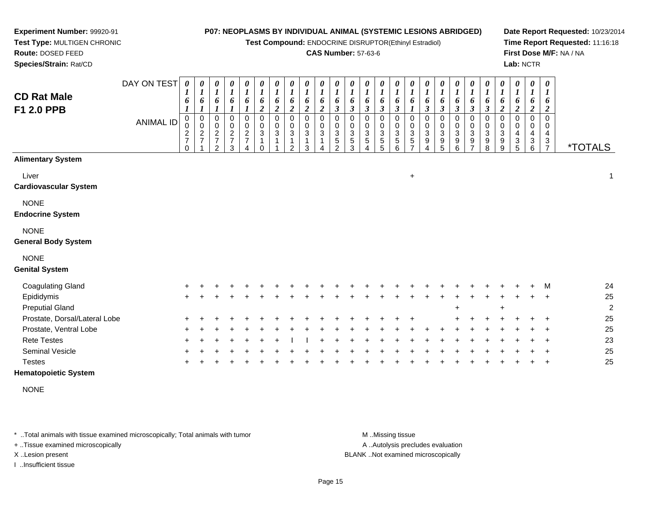**Test Compound:** ENDOCRINE DISRUPTOR(Ethinyl Estradiol)

#### **CAS Number:** 57-63-6

**Date Report Requested:** 10/23/2014**Time Report Requested:** 11:16:18**First Dose M/F:** NA / NA**Lab:** NCTR

| <b>CD Rat Male</b><br>F1 2.0 PPB          | DAY ON TEST<br><b>ANIMAL ID</b> | $\boldsymbol{\theta}$<br>6<br>$\boldsymbol{l}$<br>$\mathbf 0$<br>0<br>$\overline{\mathbf{c}}$<br>$\overline{7}$<br>$\Omega$ | $\boldsymbol{\theta}$<br>6<br>$_{\rm 0}^{\rm 0}$<br>$\overline{c}$<br>$\overline{7}$ | 0<br>6<br>0<br>$\mathbf 0$<br>$\overline{c}$<br>$\overline{7}$<br>$\overline{2}$ | 0<br>$\boldsymbol{l}$<br>6<br>0<br>$\pmb{0}$<br>$\overline{c}$<br>$\overline{7}$<br>3 | 0<br>$\boldsymbol{l}$<br>6<br>$\mathbf 0$<br>$\mathbf 0$<br>$\boldsymbol{2}$<br>$\overline{7}$<br>4 | 0<br>$\boldsymbol{l}$<br>6<br>$\boldsymbol{2}$<br>$\mathbf 0$<br>0<br>$\ensuremath{\mathsf{3}}$<br>$\Omega$ | 0<br>6<br>$\overline{2}$<br>$\Omega$<br>$\Omega$<br>3 | 0<br>6<br>$\overline{\mathbf{c}}$<br>$\Omega$<br>$\Omega$<br>3<br>2 | 0<br>6<br>$\boldsymbol{2}$<br>$\Omega$<br>$\Omega$<br>3<br>3 | 0<br>6<br>$\boldsymbol{2}$<br>$\mathbf 0$<br>0<br>$\ensuremath{\mathsf{3}}$ | 0<br>6<br>$\mathfrak{z}$<br>0<br>0<br>3<br>5<br>2 | 0<br>$\boldsymbol{l}$<br>6<br>$\boldsymbol{\beta}$<br>$\Omega$<br>0<br>3<br>$\mathbf 5$<br>3 | 0<br>$\boldsymbol{l}$<br>6<br>$\mathfrak{z}$<br>$\mathbf 0$<br>0<br>3<br>5<br>4 | 0<br>$\boldsymbol{l}$<br>6<br>$\boldsymbol{\beta}$<br>0<br>0<br>$\ensuremath{\mathsf{3}}$<br>$\mathbf 5$<br>5 | 0<br>$\boldsymbol{l}$<br>6<br>$\mathbf{3}$<br>$\Omega$<br>0<br>3<br>5<br>6 | $\frac{\theta}{I}$<br>6<br>$\boldsymbol{l}$<br>$\Omega$<br>0<br>3<br>5<br>$\overline{ }$ | 0<br>6<br>$\boldsymbol{\beta}$<br>0<br>0<br>3<br>9<br>4 | $\begin{matrix} 0 \\ 1 \end{matrix}$<br>6<br>$\boldsymbol{\mathfrak{z}}$<br>$\pmb{0}$<br>$\pmb{0}$<br>$\overline{3}$<br>$\begin{array}{c} 9 \\ 5 \end{array}$ | $\frac{\theta}{I}$<br>6<br>$\overline{\mathbf{3}}$<br>0<br>$\mathbf 0$<br>$\mathbf{3}$<br>$\boldsymbol{9}$<br>6 | 0<br>$\boldsymbol{l}$<br>6<br>$\mathfrak{z}$<br>0<br>$\pmb{0}$<br>$\mathbf{3}$<br>9<br>$\overline{ }$ | $\boldsymbol{\theta}$<br>$\boldsymbol{l}$<br>6<br>$\boldsymbol{\beta}$<br>0<br>$\pmb{0}$<br>$\sqrt{3}$<br>$\boldsymbol{9}$<br>8 | $\begin{matrix} 0 \\ 1 \end{matrix}$<br>6<br>$\boldsymbol{2}$<br>$\mathbf 0$<br>0<br>$\sqrt{3}$<br>$\mathsf g$<br>9 | $\boldsymbol{\theta}$<br>$\boldsymbol{l}$<br>6<br>$\boldsymbol{2}$<br>$\Omega$<br>0<br>4<br>3<br>5 | 0<br>6<br>$\boldsymbol{2}$<br>0<br>0<br>4<br>3<br>6 | $\boldsymbol{\theta}$<br>6<br>$\boldsymbol{2}$<br>$\Omega$<br>$\Omega$<br>4<br>3<br>$\overline{7}$ | <i><b>*TOTALS</b></i> |
|-------------------------------------------|---------------------------------|-----------------------------------------------------------------------------------------------------------------------------|--------------------------------------------------------------------------------------|----------------------------------------------------------------------------------|---------------------------------------------------------------------------------------|-----------------------------------------------------------------------------------------------------|-------------------------------------------------------------------------------------------------------------|-------------------------------------------------------|---------------------------------------------------------------------|--------------------------------------------------------------|-----------------------------------------------------------------------------|---------------------------------------------------|----------------------------------------------------------------------------------------------|---------------------------------------------------------------------------------|---------------------------------------------------------------------------------------------------------------|----------------------------------------------------------------------------|------------------------------------------------------------------------------------------|---------------------------------------------------------|---------------------------------------------------------------------------------------------------------------------------------------------------------------|-----------------------------------------------------------------------------------------------------------------|-------------------------------------------------------------------------------------------------------|---------------------------------------------------------------------------------------------------------------------------------|---------------------------------------------------------------------------------------------------------------------|----------------------------------------------------------------------------------------------------|-----------------------------------------------------|----------------------------------------------------------------------------------------------------|-----------------------|
| <b>Alimentary System</b>                  |                                 |                                                                                                                             |                                                                                      |                                                                                  |                                                                                       |                                                                                                     |                                                                                                             |                                                       |                                                                     |                                                              |                                                                             |                                                   |                                                                                              |                                                                                 |                                                                                                               |                                                                            |                                                                                          |                                                         |                                                                                                                                                               |                                                                                                                 |                                                                                                       |                                                                                                                                 |                                                                                                                     |                                                                                                    |                                                     |                                                                                                    |                       |
| Liver<br><b>Cardiovascular System</b>     |                                 |                                                                                                                             |                                                                                      |                                                                                  |                                                                                       |                                                                                                     |                                                                                                             |                                                       |                                                                     |                                                              |                                                                             |                                                   |                                                                                              |                                                                                 |                                                                                                               |                                                                            | $\ddot{}$                                                                                |                                                         |                                                                                                                                                               |                                                                                                                 |                                                                                                       |                                                                                                                                 |                                                                                                                     |                                                                                                    |                                                     |                                                                                                    | $\mathbf{1}$          |
| <b>NONE</b><br><b>Endocrine System</b>    |                                 |                                                                                                                             |                                                                                      |                                                                                  |                                                                                       |                                                                                                     |                                                                                                             |                                                       |                                                                     |                                                              |                                                                             |                                                   |                                                                                              |                                                                                 |                                                                                                               |                                                                            |                                                                                          |                                                         |                                                                                                                                                               |                                                                                                                 |                                                                                                       |                                                                                                                                 |                                                                                                                     |                                                                                                    |                                                     |                                                                                                    |                       |
| <b>NONE</b><br><b>General Body System</b> |                                 |                                                                                                                             |                                                                                      |                                                                                  |                                                                                       |                                                                                                     |                                                                                                             |                                                       |                                                                     |                                                              |                                                                             |                                                   |                                                                                              |                                                                                 |                                                                                                               |                                                                            |                                                                                          |                                                         |                                                                                                                                                               |                                                                                                                 |                                                                                                       |                                                                                                                                 |                                                                                                                     |                                                                                                    |                                                     |                                                                                                    |                       |
| <b>NONE</b><br><b>Genital System</b>      |                                 |                                                                                                                             |                                                                                      |                                                                                  |                                                                                       |                                                                                                     |                                                                                                             |                                                       |                                                                     |                                                              |                                                                             |                                                   |                                                                                              |                                                                                 |                                                                                                               |                                                                            |                                                                                          |                                                         |                                                                                                                                                               |                                                                                                                 |                                                                                                       |                                                                                                                                 |                                                                                                                     |                                                                                                    |                                                     |                                                                                                    |                       |
| <b>Coagulating Gland</b>                  |                                 |                                                                                                                             |                                                                                      |                                                                                  |                                                                                       |                                                                                                     |                                                                                                             |                                                       |                                                                     |                                                              |                                                                             |                                                   |                                                                                              |                                                                                 |                                                                                                               |                                                                            |                                                                                          |                                                         |                                                                                                                                                               |                                                                                                                 |                                                                                                       |                                                                                                                                 |                                                                                                                     |                                                                                                    |                                                     | M                                                                                                  | 24                    |
| Epididymis                                |                                 |                                                                                                                             |                                                                                      |                                                                                  |                                                                                       |                                                                                                     |                                                                                                             |                                                       |                                                                     |                                                              |                                                                             |                                                   |                                                                                              |                                                                                 |                                                                                                               |                                                                            |                                                                                          |                                                         |                                                                                                                                                               |                                                                                                                 |                                                                                                       |                                                                                                                                 |                                                                                                                     |                                                                                                    |                                                     |                                                                                                    | $25\,$                |
| <b>Preputial Gland</b>                    |                                 |                                                                                                                             |                                                                                      |                                                                                  |                                                                                       |                                                                                                     |                                                                                                             |                                                       |                                                                     |                                                              |                                                                             |                                                   |                                                                                              |                                                                                 |                                                                                                               |                                                                            |                                                                                          |                                                         |                                                                                                                                                               | $\ddot{}$                                                                                                       |                                                                                                       |                                                                                                                                 | $\ddot{}$                                                                                                           |                                                                                                    |                                                     |                                                                                                    | $\overline{2}$        |
| Prostate, Dorsal/Lateral Lobe             |                                 |                                                                                                                             |                                                                                      |                                                                                  |                                                                                       |                                                                                                     |                                                                                                             |                                                       |                                                                     |                                                              |                                                                             |                                                   |                                                                                              |                                                                                 |                                                                                                               |                                                                            |                                                                                          |                                                         |                                                                                                                                                               |                                                                                                                 |                                                                                                       |                                                                                                                                 |                                                                                                                     |                                                                                                    |                                                     |                                                                                                    | 25                    |
| Prostate, Ventral Lobe                    |                                 |                                                                                                                             |                                                                                      |                                                                                  |                                                                                       |                                                                                                     |                                                                                                             |                                                       |                                                                     |                                                              |                                                                             |                                                   |                                                                                              |                                                                                 |                                                                                                               |                                                                            |                                                                                          |                                                         |                                                                                                                                                               |                                                                                                                 |                                                                                                       |                                                                                                                                 |                                                                                                                     |                                                                                                    |                                                     |                                                                                                    | 25                    |
| <b>Rete Testes</b>                        |                                 |                                                                                                                             |                                                                                      |                                                                                  |                                                                                       |                                                                                                     |                                                                                                             |                                                       |                                                                     |                                                              |                                                                             |                                                   |                                                                                              |                                                                                 |                                                                                                               |                                                                            |                                                                                          |                                                         |                                                                                                                                                               |                                                                                                                 |                                                                                                       |                                                                                                                                 |                                                                                                                     |                                                                                                    |                                                     |                                                                                                    | 23                    |
| Seminal Vesicle                           |                                 |                                                                                                                             |                                                                                      |                                                                                  |                                                                                       |                                                                                                     |                                                                                                             |                                                       |                                                                     |                                                              |                                                                             |                                                   |                                                                                              |                                                                                 |                                                                                                               |                                                                            |                                                                                          |                                                         |                                                                                                                                                               |                                                                                                                 |                                                                                                       |                                                                                                                                 |                                                                                                                     |                                                                                                    |                                                     |                                                                                                    | 25                    |
| <b>Testes</b>                             |                                 |                                                                                                                             |                                                                                      |                                                                                  |                                                                                       |                                                                                                     |                                                                                                             |                                                       |                                                                     |                                                              |                                                                             |                                                   |                                                                                              |                                                                                 |                                                                                                               |                                                                            |                                                                                          |                                                         |                                                                                                                                                               |                                                                                                                 |                                                                                                       |                                                                                                                                 |                                                                                                                     |                                                                                                    |                                                     |                                                                                                    | 25                    |

 <sup>+</sup>**Hematopoietic System**

NONE

\* ..Total animals with tissue examined microscopically; Total animals with tumor **M** ...Missing tissue M ...Missing tissue

+ ..Tissue examined microscopically

**Experiment Number:** 99920-91**Test Type:** MULTIGEN CHRONIC

**Route:** DOSED FEED**Species/Strain:** Rat/CD

I ..Insufficient tissue

A .. Autolysis precludes evaluation

X ..Lesion present BLANK ..Not examined microscopically

<sup>+</sup> <sup>+</sup> <sup>+</sup> <sup>+</sup> <sup>+</sup> <sup>+</sup> <sup>+</sup> <sup>+</sup> <sup>+</sup> <sup>+</sup> <sup>+</sup> <sup>+</sup> <sup>+</sup> <sup>+</sup> <sup>+</sup> <sup>+</sup> <sup>+</sup> <sup>+</sup> <sup>+</sup> <sup>+</sup> <sup>+</sup> <sup>+</sup> <sup>+</sup> <sup>+</sup> <sup>25</sup>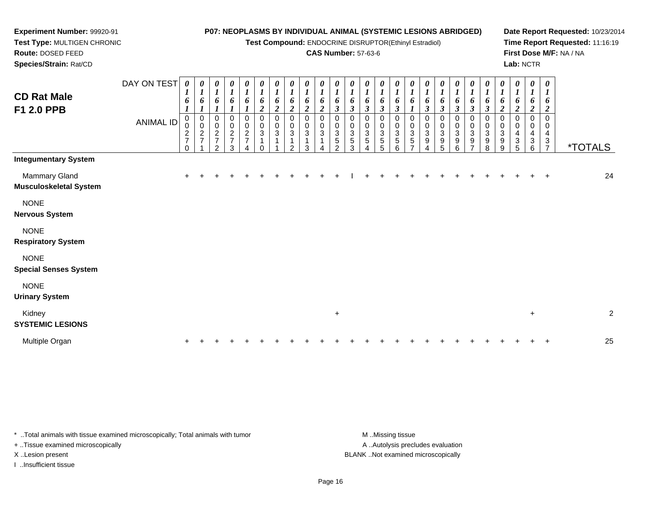**Test Compound:** ENDOCRINE DISRUPTOR(Ethinyl Estradiol)

#### **CAS Number:** 57-63-6

 $+$  2

**Date Report Requested:** 10/23/2014**Time Report Requested:** 11:16:19**First Dose M/F:** NA / NA**Lab:** NCTR

<sup>7</sup> \*TOTALS

 **Species/Strain:** Rat/CDDAY ON TEST**CD Rat MaleF1 2.0 PPB**ANIMAL ID*0 1 6 1* 0 0 2 7 0*0 1 6 1* 0 0 2 7 1*0 1 6 1* 0 0 2 7 2*0 1 6 1* 0 0 2 7 3*0 1 6 1* 0 0 2 7 4*0 1 6 2* 0 0 3 1 0*0 1 6 2* 0 0 3 1 1*0 1 6 2* 0 0 3 1 2*0 1 6 2* 0 0 3 1 3*0 1 6 2* 0 0 3 1 4*0 1 6 3* 0 0 3 5 2*0 1 6 3* 0 0 3 5 3*0 1 6 3* 0 0 3 5 4*0 1 6 3* 0 0 3 5 5*0 1 6 3* 0 0 3 5 6*0 1 6 1* 0 0 3 5 7*0 1 6 3* 0 0 3 9 4**Integumentary System**Mammary Glandd  $+$  <sup>+</sup> <sup>+</sup> <sup>+</sup> <sup>+</sup> <sup>+</sup> <sup>+</sup> <sup>+</sup> <sup>+</sup> <sup>+</sup> <sup>+</sup> <sup>I</sup> <sup>+</sup> <sup>+</sup> <sup>+</sup> <sup>+</sup> <sup>+</sup> <sup>+</sup> <sup>+</sup> <sup>+</sup> <sup>+</sup> <sup>+</sup> <sup>+</sup> <sup>+</sup> <sup>+</sup> <sup>24</sup> **Musculoskeletal System**

NONE

**Nervous System**

NONE

**Respiratory System**

**NONE** 

**Special Senses System**

**Experiment Number:** 99920-91**Test Type:** MULTIGEN CHRONIC

**Route:** DOSED FEED

NONE

**Urinary System**

Kidney $\mathsf y$ 

**SYSTEMIC LESIONS**

Multiple Organn  $+$ <sup>+</sup> <sup>+</sup> <sup>+</sup> <sup>+</sup> <sup>+</sup> <sup>+</sup> <sup>+</sup> <sup>+</sup> <sup>+</sup> <sup>+</sup> <sup>+</sup> <sup>+</sup> <sup>+</sup> <sup>+</sup> <sup>+</sup> <sup>+</sup> <sup>+</sup> <sup>+</sup> <sup>+</sup> <sup>+</sup> <sup>+</sup> <sup>+</sup> <sup>+</sup> <sup>+</sup> <sup>25</sup>

\* ..Total animals with tissue examined microscopically; Total animals with tumor M ...Missing tissue M ...Missing tissue

+ ..Tissue examined microscopically

I ..Insufficient tissue

A ..Autolysis precludes evaluation X ..Lesion present BLANK ..Not examined microscopically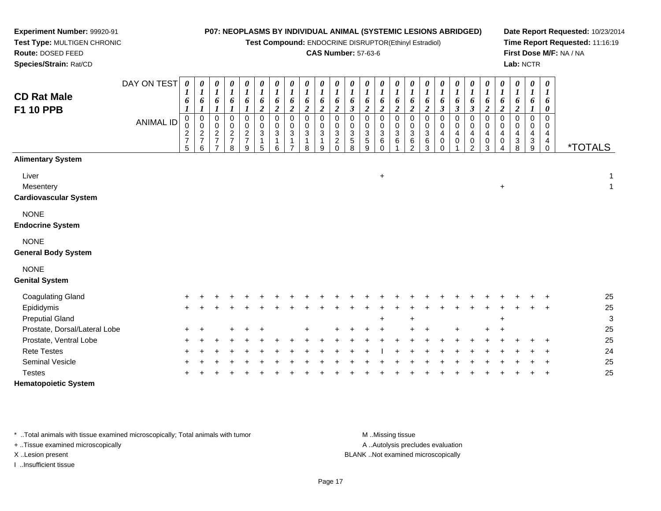**Test Compound:** ENDOCRINE DISRUPTOR(Ethinyl Estradiol)

## **CAS Number:** 57-63-6

**Date Report Requested:** 10/23/2014**Time Report Requested:** 11:16:19**First Dose M/F:** NA / NA**Lab:** NCTR

| <b>CD Rat Male</b><br><b>F1 10 PPB</b>                  | DAY ON TEST<br><b>ANIMAL ID</b> | $\boldsymbol{\theta}$<br>6<br>$\pmb{0}$<br>$\overline{\mathbf{c}}$<br>$\boldsymbol{7}$<br>5 | $\pmb{\theta}$<br>$\boldsymbol{l}$<br>6<br>$\begin{array}{c} 0 \\ 0 \\ 2 \\ 7 \end{array}$<br>6 | $\pmb{\theta}$<br>$\boldsymbol{l}$<br>6<br>0<br>$\pmb{0}$<br>$\frac{2}{7}$<br>$\overline{7}$ | $\pmb{\theta}$<br>$\boldsymbol{l}$<br>6<br>$\pmb{0}$<br>0<br>$\frac{2}{7}$ | $\boldsymbol{\theta}$<br>$\boldsymbol{l}$<br>6<br>$\,0\,$<br>$\pmb{0}$<br>$\overline{c}$<br>$\boldsymbol{7}$<br>9 | $\pmb{\theta}$<br>$\boldsymbol{l}$<br>6<br>$\boldsymbol{2}$<br>$\,0\,$<br>$_{3}^{\rm 0}$<br>$\mathbf{1}$<br>5 | $\pmb{\theta}$<br>$\boldsymbol{l}$<br>$\pmb{6}$<br>$\overline{2}$<br>0<br>0<br>$\mathbf{3}$<br>$\mathbf{1}$<br>6 | 0<br>$\boldsymbol{l}$<br>6<br>$\boldsymbol{2}$<br>$\mathbf 0$<br>0<br>3<br>$\mathbf 1$<br>$\overline{ }$ | $\boldsymbol{\theta}$<br>$\boldsymbol{l}$<br>6<br>$\overline{2}$<br>$\Omega$<br>0<br>3<br>$\mathbf{1}$<br>8 | 0<br>$\boldsymbol{l}$<br>6<br>$\boldsymbol{2}$<br>$\Omega$<br>0<br>$\,$ 3 $\,$<br>$\mathbf{1}$<br>9 | $\pmb{\theta}$<br>$\boldsymbol{l}$<br>$\boldsymbol{\delta}$<br>$\overline{c}$<br>0<br>0<br>$\sqrt{3}$<br>$\boldsymbol{2}$<br>$\Omega$ | 0<br>$\boldsymbol{l}$<br>6<br>3<br>0<br>0<br>3<br>5<br>8 | 0<br>$\boldsymbol{l}$<br>6<br>$\overline{2}$<br>$\mathbf 0$<br>0<br>3<br>$\sqrt{5}$<br>9 | 0<br>$\boldsymbol{l}$<br>6<br>$\overline{c}$<br>0<br>0<br>3<br>6<br>$\Omega$ | $\pmb{\theta}$<br>$\boldsymbol{l}$<br>6<br>$\overline{c}$<br>$\mathbf 0$<br>0<br>$\ensuremath{\mathsf{3}}$<br>6 | 0<br>$\boldsymbol{l}$<br>6<br>$\overline{c}$<br>$\mathbf 0$<br>0<br>3<br>6<br>$\overline{2}$ | $\pmb{\theta}$<br>$\boldsymbol{l}$<br>6<br>$\overline{c}$<br>$\mathbf 0$<br>0<br>$\ensuremath{\mathsf{3}}$<br>6<br>3 | $\pmb{\theta}$<br>$\boldsymbol{l}$<br>6<br>$\overline{\mathbf{3}}$<br>0<br>0<br>$\overline{\mathbf{4}}$<br>$\boldsymbol{0}$<br>$\Omega$ | 0<br>1<br>6<br>$\boldsymbol{\beta}$<br>0<br>0<br>4<br>0 | 0<br>$\boldsymbol{l}$<br>6<br>$\boldsymbol{\beta}$<br>0<br>0<br>4<br>$\,0\,$<br>$\overline{2}$ | $\pmb{\theta}$<br>$\boldsymbol{l}$<br>$\pmb{6}$<br>$\boldsymbol{2}$<br>0<br>0<br>4<br>$\pmb{0}$<br>3 | $\pmb{\theta}$<br>$\boldsymbol{l}$<br>6<br>$\boldsymbol{2}$<br>$\Omega$<br>0<br>4<br>0<br>4 | $\pmb{\theta}$<br>$\boldsymbol{l}$<br>6<br>$\boldsymbol{2}$<br>$\Omega$<br>0<br>4<br>3<br>8 | 0<br>1<br>6<br>$\Omega$<br>3<br>9 | $\boldsymbol{\theta}$<br>6<br>0<br>$\Omega$<br>0<br>4<br>$\begin{matrix} 4 \\ 0 \end{matrix}$ | *TOTALS |                                 |
|---------------------------------------------------------|---------------------------------|---------------------------------------------------------------------------------------------|-------------------------------------------------------------------------------------------------|----------------------------------------------------------------------------------------------|----------------------------------------------------------------------------|-------------------------------------------------------------------------------------------------------------------|---------------------------------------------------------------------------------------------------------------|------------------------------------------------------------------------------------------------------------------|----------------------------------------------------------------------------------------------------------|-------------------------------------------------------------------------------------------------------------|-----------------------------------------------------------------------------------------------------|---------------------------------------------------------------------------------------------------------------------------------------|----------------------------------------------------------|------------------------------------------------------------------------------------------|------------------------------------------------------------------------------|-----------------------------------------------------------------------------------------------------------------|----------------------------------------------------------------------------------------------|----------------------------------------------------------------------------------------------------------------------|-----------------------------------------------------------------------------------------------------------------------------------------|---------------------------------------------------------|------------------------------------------------------------------------------------------------|------------------------------------------------------------------------------------------------------|---------------------------------------------------------------------------------------------|---------------------------------------------------------------------------------------------|-----------------------------------|-----------------------------------------------------------------------------------------------|---------|---------------------------------|
| <b>Alimentary System</b>                                |                                 |                                                                                             |                                                                                                 |                                                                                              |                                                                            |                                                                                                                   |                                                                                                               |                                                                                                                  |                                                                                                          |                                                                                                             |                                                                                                     |                                                                                                                                       |                                                          |                                                                                          |                                                                              |                                                                                                                 |                                                                                              |                                                                                                                      |                                                                                                                                         |                                                         |                                                                                                |                                                                                                      |                                                                                             |                                                                                             |                                   |                                                                                               |         |                                 |
| Liver<br>Mesentery<br><b>Cardiovascular System</b>      |                                 |                                                                                             |                                                                                                 |                                                                                              |                                                                            |                                                                                                                   |                                                                                                               |                                                                                                                  |                                                                                                          |                                                                                                             |                                                                                                     |                                                                                                                                       |                                                          |                                                                                          | $\ddot{}$                                                                    |                                                                                                                 |                                                                                              |                                                                                                                      |                                                                                                                                         |                                                         |                                                                                                |                                                                                                      | $\ddot{}$                                                                                   |                                                                                             |                                   |                                                                                               |         | $\mathbf{1}$<br>$\mathbf{1}$    |
| <b>NONE</b><br><b>Endocrine System</b>                  |                                 |                                                                                             |                                                                                                 |                                                                                              |                                                                            |                                                                                                                   |                                                                                                               |                                                                                                                  |                                                                                                          |                                                                                                             |                                                                                                     |                                                                                                                                       |                                                          |                                                                                          |                                                                              |                                                                                                                 |                                                                                              |                                                                                                                      |                                                                                                                                         |                                                         |                                                                                                |                                                                                                      |                                                                                             |                                                                                             |                                   |                                                                                               |         |                                 |
| <b>NONE</b><br><b>General Body System</b>               |                                 |                                                                                             |                                                                                                 |                                                                                              |                                                                            |                                                                                                                   |                                                                                                               |                                                                                                                  |                                                                                                          |                                                                                                             |                                                                                                     |                                                                                                                                       |                                                          |                                                                                          |                                                                              |                                                                                                                 |                                                                                              |                                                                                                                      |                                                                                                                                         |                                                         |                                                                                                |                                                                                                      |                                                                                             |                                                                                             |                                   |                                                                                               |         |                                 |
| <b>NONE</b><br><b>Genital System</b>                    |                                 |                                                                                             |                                                                                                 |                                                                                              |                                                                            |                                                                                                                   |                                                                                                               |                                                                                                                  |                                                                                                          |                                                                                                             |                                                                                                     |                                                                                                                                       |                                                          |                                                                                          |                                                                              |                                                                                                                 |                                                                                              |                                                                                                                      |                                                                                                                                         |                                                         |                                                                                                |                                                                                                      |                                                                                             |                                                                                             |                                   |                                                                                               |         |                                 |
| <b>Coagulating Gland</b>                                |                                 |                                                                                             |                                                                                                 |                                                                                              |                                                                            |                                                                                                                   |                                                                                                               |                                                                                                                  |                                                                                                          |                                                                                                             |                                                                                                     |                                                                                                                                       |                                                          |                                                                                          |                                                                              |                                                                                                                 |                                                                                              |                                                                                                                      |                                                                                                                                         |                                                         |                                                                                                |                                                                                                      |                                                                                             |                                                                                             |                                   |                                                                                               |         | 25                              |
| Epididymis                                              |                                 |                                                                                             |                                                                                                 |                                                                                              |                                                                            |                                                                                                                   |                                                                                                               |                                                                                                                  |                                                                                                          |                                                                                                             |                                                                                                     |                                                                                                                                       |                                                          |                                                                                          |                                                                              |                                                                                                                 |                                                                                              |                                                                                                                      |                                                                                                                                         |                                                         |                                                                                                |                                                                                                      |                                                                                             |                                                                                             |                                   |                                                                                               |         | 25                              |
| <b>Preputial Gland</b><br>Prostate, Dorsal/Lateral Lobe |                                 |                                                                                             |                                                                                                 |                                                                                              |                                                                            |                                                                                                                   |                                                                                                               |                                                                                                                  |                                                                                                          |                                                                                                             |                                                                                                     |                                                                                                                                       |                                                          |                                                                                          | $\ddot{}$                                                                    |                                                                                                                 |                                                                                              |                                                                                                                      |                                                                                                                                         |                                                         |                                                                                                |                                                                                                      | ÷                                                                                           |                                                                                             |                                   |                                                                                               |         | $\ensuremath{\mathsf{3}}$<br>25 |
| Prostate, Ventral Lobe                                  |                                 |                                                                                             |                                                                                                 |                                                                                              |                                                                            |                                                                                                                   |                                                                                                               |                                                                                                                  |                                                                                                          |                                                                                                             |                                                                                                     |                                                                                                                                       |                                                          |                                                                                          |                                                                              |                                                                                                                 |                                                                                              |                                                                                                                      |                                                                                                                                         |                                                         |                                                                                                |                                                                                                      |                                                                                             |                                                                                             |                                   |                                                                                               |         | 25                              |
| <b>Rete Testes</b>                                      |                                 |                                                                                             |                                                                                                 |                                                                                              |                                                                            |                                                                                                                   |                                                                                                               |                                                                                                                  |                                                                                                          |                                                                                                             |                                                                                                     |                                                                                                                                       |                                                          |                                                                                          |                                                                              |                                                                                                                 |                                                                                              |                                                                                                                      |                                                                                                                                         |                                                         |                                                                                                |                                                                                                      |                                                                                             |                                                                                             |                                   |                                                                                               |         | 24                              |
| Seminal Vesicle                                         |                                 |                                                                                             |                                                                                                 |                                                                                              |                                                                            |                                                                                                                   |                                                                                                               |                                                                                                                  |                                                                                                          |                                                                                                             |                                                                                                     |                                                                                                                                       |                                                          |                                                                                          |                                                                              |                                                                                                                 |                                                                                              |                                                                                                                      |                                                                                                                                         |                                                         |                                                                                                |                                                                                                      |                                                                                             |                                                                                             |                                   |                                                                                               |         | 25                              |
| <b>Testes</b>                                           |                                 |                                                                                             |                                                                                                 |                                                                                              |                                                                            |                                                                                                                   |                                                                                                               |                                                                                                                  |                                                                                                          |                                                                                                             |                                                                                                     |                                                                                                                                       |                                                          |                                                                                          |                                                                              |                                                                                                                 |                                                                                              |                                                                                                                      |                                                                                                                                         |                                                         |                                                                                                |                                                                                                      |                                                                                             |                                                                                             |                                   |                                                                                               |         | 25                              |
|                                                         |                                 |                                                                                             |                                                                                                 |                                                                                              |                                                                            |                                                                                                                   |                                                                                                               |                                                                                                                  |                                                                                                          |                                                                                                             |                                                                                                     |                                                                                                                                       |                                                          |                                                                                          |                                                                              |                                                                                                                 |                                                                                              |                                                                                                                      |                                                                                                                                         |                                                         |                                                                                                |                                                                                                      |                                                                                             |                                                                                             |                                   |                                                                                               |         |                                 |

**Hematopoietic System**

**Experiment Number:** 99920-91**Test Type:** MULTIGEN CHRONIC

**Route:** DOSED FEED**Species/Strain:** Rat/CD

\* ..Total animals with tissue examined microscopically; Total animals with tumor **M** ...Missing tissue M ...Missing tissue

+ ..Tissue examined microscopically

I ..Insufficient tissue

A ..Autolysis precludes evaluation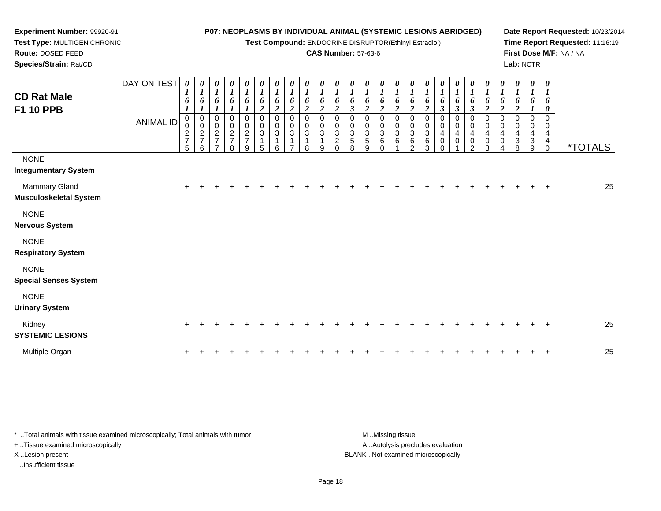**Test Compound:** ENDOCRINE DISRUPTOR(Ethinyl Estradiol)

## **CAS Number:** 57-63-6

**Date Report Requested:** 10/23/2014 **Time Report Requested:** 11:16:19**First Dose M/F:** NA / NA**Lab:** NCTR

| <b>CD Rat Male</b><br><b>F1 10 PPB</b>         | DAY ON TEST<br>ANIMAL ID | 0<br>$\mathbf{I}$<br>6<br>1<br>$\mathbf 0$<br>0<br>$\frac{2}{7}$<br>5 | $\pmb{\theta}$<br>$\boldsymbol{l}$<br>6<br>$\boldsymbol{l}$<br>$\pmb{0}$<br>$\pmb{0}$<br>$\frac{2}{7}$<br>6 | $\boldsymbol{\theta}$<br>$\boldsymbol{l}$<br>6<br>$\pmb{0}$<br>0<br>$\frac{2}{7}$<br>$\overline{z}$ | $\pmb{\theta}$<br>$\boldsymbol{l}$<br>6<br>0<br>$\pmb{0}$<br>$\frac{2}{7}$<br>8 | 0<br>$\boldsymbol{l}$<br>6<br>0<br>$\mathbf 0$<br>$\frac{2}{7}$<br>9 | $\pmb{\theta}$<br>$\boldsymbol{l}$<br>6<br>$\overline{\mathbf{2}}$<br>$\pmb{0}$<br>$\pmb{0}$<br>$\mathbf{3}$<br>1<br>5 | $\pmb{\theta}$<br>$\mathbf{I}$<br>6<br>$\boldsymbol{2}$<br>$\mathbf 0$<br>$\pmb{0}$<br>$\ensuremath{\mathsf{3}}$<br>1<br>6 | $\pmb{\theta}$<br>$\boldsymbol{l}$<br>6<br>$\overline{2}$<br>$\mathbf 0$<br>0<br>3<br>$\overline{\phantom{0}}$ | $\pmb{\theta}$<br>$\boldsymbol{l}$<br>6<br>$\boldsymbol{2}$<br>$\Omega$<br>0<br>$\mathbf{3}$<br>8 | $\frac{\theta}{I}$<br>6<br>$\boldsymbol{2}$<br>$\mathbf 0$<br>0<br>$\mathbf{3}$<br>1<br>9 | $\pmb{\theta}$<br>$\boldsymbol{l}$<br>6<br>$\boldsymbol{2}$<br>$\Omega$<br>0<br>$\mathbf{3}$<br>$\boldsymbol{2}$<br>$\Omega$ | $\boldsymbol{\theta}$<br>$\boldsymbol{l}$<br>6<br>$\boldsymbol{\beta}$<br>$\Omega$<br>0<br>$\ensuremath{\mathsf{3}}$<br>$\,$ 5 $\,$<br>8 | 0<br>$\boldsymbol{l}$<br>6<br>$\boldsymbol{2}$<br>$\mathbf 0$<br>0<br>$\ensuremath{\mathsf{3}}$<br>5<br>9 | $\pmb{\theta}$<br>$\mathbf{r}$<br>6<br>$\boldsymbol{2}$<br>0<br>0<br>$\ensuremath{\mathsf{3}}$<br>6<br>$\Omega$ | 0<br>6<br>$\overline{2}$<br>0<br>0<br>$\sqrt{3}$<br>6 | 0<br>$\boldsymbol{l}$<br>6<br>$\overline{2}$<br>0<br>$\pmb{0}$<br>$\sqrt{3}$<br>$\,6$<br>$\overline{2}$ | $\boldsymbol{\theta}$<br>$\boldsymbol{l}$<br>6<br>$\boldsymbol{2}$<br>$\mathbf 0$<br>0<br>$\sqrt{3}$<br>$\,6$<br>3 | $\frac{\theta}{I}$<br>6<br>$\mathfrak{z}$<br>$\pmb{0}$<br>$\pmb{0}$<br>$\overline{\mathbf{4}}$<br>$\pmb{0}$<br>$\Omega$ | 0<br>$\boldsymbol{l}$<br>6<br>$\mathfrak{z}$<br>0<br>$\pmb{0}$<br>$\overline{4}$<br>$\boldsymbol{0}$ | $\pmb{\theta}$<br>$\boldsymbol{l}$<br>6<br>$\boldsymbol{\beta}$<br>0<br>$\pmb{0}$<br>$\overline{\mathbf{4}}$<br>$\frac{0}{2}$ | $\pmb{\theta}$<br>$\boldsymbol{l}$<br>6<br>$\boldsymbol{2}$<br>$\mathbf 0$<br>0<br>$\overline{\mathbf{4}}$<br>$\pmb{0}$<br>3 | 0<br>$\boldsymbol{l}$<br>6<br>$\overline{\mathbf{c}}$<br>$\Omega$<br>0<br>4<br>0 | $\pmb{\theta}$<br>$\boldsymbol{l}$<br>6<br>$\boldsymbol{2}$<br>$\Omega$<br>0<br>4<br>3<br>8 | $\boldsymbol{\theta}$<br>$\boldsymbol{l}$<br>6<br>1<br>$\Omega$<br>$\mathbf 0$<br>4<br>3<br>9 | $\pmb{\theta}$<br>6<br>$\boldsymbol{\theta}$<br>$\mathbf 0$<br>0<br>$\overline{\mathbf{4}}$<br>$^{\,4}_{\,0}$ | <i><b>*TOTALS</b></i> |
|------------------------------------------------|--------------------------|-----------------------------------------------------------------------|-------------------------------------------------------------------------------------------------------------|-----------------------------------------------------------------------------------------------------|---------------------------------------------------------------------------------|----------------------------------------------------------------------|------------------------------------------------------------------------------------------------------------------------|----------------------------------------------------------------------------------------------------------------------------|----------------------------------------------------------------------------------------------------------------|---------------------------------------------------------------------------------------------------|-------------------------------------------------------------------------------------------|------------------------------------------------------------------------------------------------------------------------------|------------------------------------------------------------------------------------------------------------------------------------------|-----------------------------------------------------------------------------------------------------------|-----------------------------------------------------------------------------------------------------------------|-------------------------------------------------------|---------------------------------------------------------------------------------------------------------|--------------------------------------------------------------------------------------------------------------------|-------------------------------------------------------------------------------------------------------------------------|------------------------------------------------------------------------------------------------------|-------------------------------------------------------------------------------------------------------------------------------|------------------------------------------------------------------------------------------------------------------------------|----------------------------------------------------------------------------------|---------------------------------------------------------------------------------------------|-----------------------------------------------------------------------------------------------|---------------------------------------------------------------------------------------------------------------|-----------------------|
| <b>NONE</b><br><b>Integumentary System</b>     |                          |                                                                       |                                                                                                             |                                                                                                     |                                                                                 |                                                                      |                                                                                                                        |                                                                                                                            |                                                                                                                |                                                                                                   |                                                                                           |                                                                                                                              |                                                                                                                                          |                                                                                                           |                                                                                                                 |                                                       |                                                                                                         |                                                                                                                    |                                                                                                                         |                                                                                                      |                                                                                                                               |                                                                                                                              |                                                                                  |                                                                                             |                                                                                               |                                                                                                               |                       |
| Mammary Gland<br><b>Musculoskeletal System</b> |                          | $\pm$                                                                 |                                                                                                             |                                                                                                     |                                                                                 |                                                                      |                                                                                                                        |                                                                                                                            |                                                                                                                |                                                                                                   |                                                                                           |                                                                                                                              |                                                                                                                                          |                                                                                                           |                                                                                                                 |                                                       |                                                                                                         |                                                                                                                    |                                                                                                                         |                                                                                                      |                                                                                                                               |                                                                                                                              |                                                                                  |                                                                                             |                                                                                               | $\overline{ }$                                                                                                | 25                    |
| <b>NONE</b><br><b>Nervous System</b>           |                          |                                                                       |                                                                                                             |                                                                                                     |                                                                                 |                                                                      |                                                                                                                        |                                                                                                                            |                                                                                                                |                                                                                                   |                                                                                           |                                                                                                                              |                                                                                                                                          |                                                                                                           |                                                                                                                 |                                                       |                                                                                                         |                                                                                                                    |                                                                                                                         |                                                                                                      |                                                                                                                               |                                                                                                                              |                                                                                  |                                                                                             |                                                                                               |                                                                                                               |                       |
| <b>NONE</b><br><b>Respiratory System</b>       |                          |                                                                       |                                                                                                             |                                                                                                     |                                                                                 |                                                                      |                                                                                                                        |                                                                                                                            |                                                                                                                |                                                                                                   |                                                                                           |                                                                                                                              |                                                                                                                                          |                                                                                                           |                                                                                                                 |                                                       |                                                                                                         |                                                                                                                    |                                                                                                                         |                                                                                                      |                                                                                                                               |                                                                                                                              |                                                                                  |                                                                                             |                                                                                               |                                                                                                               |                       |
| <b>NONE</b><br><b>Special Senses System</b>    |                          |                                                                       |                                                                                                             |                                                                                                     |                                                                                 |                                                                      |                                                                                                                        |                                                                                                                            |                                                                                                                |                                                                                                   |                                                                                           |                                                                                                                              |                                                                                                                                          |                                                                                                           |                                                                                                                 |                                                       |                                                                                                         |                                                                                                                    |                                                                                                                         |                                                                                                      |                                                                                                                               |                                                                                                                              |                                                                                  |                                                                                             |                                                                                               |                                                                                                               |                       |
| <b>NONE</b><br><b>Urinary System</b>           |                          |                                                                       |                                                                                                             |                                                                                                     |                                                                                 |                                                                      |                                                                                                                        |                                                                                                                            |                                                                                                                |                                                                                                   |                                                                                           |                                                                                                                              |                                                                                                                                          |                                                                                                           |                                                                                                                 |                                                       |                                                                                                         |                                                                                                                    |                                                                                                                         |                                                                                                      |                                                                                                                               |                                                                                                                              |                                                                                  |                                                                                             |                                                                                               |                                                                                                               |                       |
| Kidney<br><b>SYSTEMIC LESIONS</b>              |                          | +                                                                     |                                                                                                             |                                                                                                     |                                                                                 |                                                                      |                                                                                                                        |                                                                                                                            |                                                                                                                |                                                                                                   |                                                                                           |                                                                                                                              |                                                                                                                                          |                                                                                                           |                                                                                                                 |                                                       |                                                                                                         |                                                                                                                    |                                                                                                                         |                                                                                                      |                                                                                                                               |                                                                                                                              |                                                                                  |                                                                                             |                                                                                               | $\div$                                                                                                        | 25                    |

| Multiple Organ |  |  |  |  |  |  |  |  |  |  |  |  |  | 25 |
|----------------|--|--|--|--|--|--|--|--|--|--|--|--|--|----|
|                |  |  |  |  |  |  |  |  |  |  |  |  |  |    |

| * Total animals with tissue examined microscopically; Total animals with tumor | M Missing tissue                   |
|--------------------------------------------------------------------------------|------------------------------------|
| + Tissue examined microscopically                                              | A Autolysis precludes evaluation   |
| X Lesion present                                                               | BLANK Not examined microscopically |
| Insufficient tissue                                                            |                                    |

**Experiment Number:** 99920-91**Test Type:** MULTIGEN CHRONIC

**Route:** DOSED FEED**Species/Strain:** Rat/CD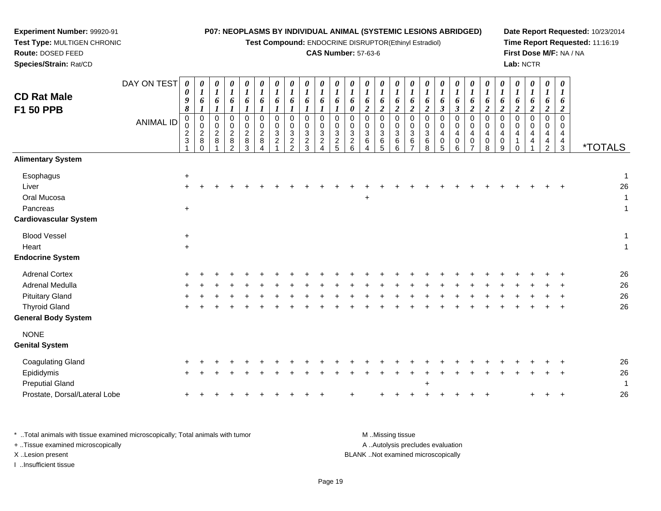**Test Compound:** ENDOCRINE DISRUPTOR(Ethinyl Estradiol)

## **CAS Number:** 57-63-6

**Date Report Requested:** 10/23/2014**Time Report Requested:** 11:16:19**First Dose M/F:** NA / NA**Lab:** NCTR

| <b>CD Rat Male</b><br><b>F1 50 PPB</b>                                                                            | DAY ON TEST<br><b>ANIMAL ID</b> | 0<br>0<br>9<br>8<br>0<br>0<br>$\frac{2}{3}$ | $\boldsymbol{\theta}$<br>$\boldsymbol{l}$<br>6<br>$\boldsymbol{l}$<br>$\mathbf 0$<br>$\mathbf 0$<br>$\frac{2}{8}$<br>$\Omega$ | 0<br>$\boldsymbol{l}$<br>6<br>0<br>0<br>$\overline{a}$<br>8 | $\boldsymbol{\theta}$<br>$\boldsymbol{l}$<br>6<br>$\boldsymbol{\mathit{1}}$<br>0<br>0<br>$\begin{array}{c} 2 \\ 8 \\ 2 \end{array}$ | 0<br>6<br>$\boldsymbol{l}$<br>$\Omega$<br>0<br>$\overline{2}$<br>$\bf8$<br>3 | 0<br>6<br>0<br>0<br>$\overline{a}$<br>$\,8\,$<br>$\boldsymbol{\Lambda}$ | 0<br>6<br>0<br>0<br>$\mathbf{3}$<br>$\overline{c}$ | 0<br>$\boldsymbol{l}$<br>6<br>$\Omega$<br>0<br>$\sqrt{3}$<br>$\frac{2}{2}$ | 0<br>$\boldsymbol{l}$<br>6<br>$\mathbf 0$<br>$\mathbf 0$<br>3<br>$\frac{2}{3}$ | $\boldsymbol{\theta}$<br>$\boldsymbol{l}$<br>6<br>$\boldsymbol{l}$<br>0<br>0<br>$\ensuremath{\mathsf{3}}$<br>$\frac{2}{4}$ | $\boldsymbol{\theta}$<br>$\boldsymbol{l}$<br>6<br>1<br>$\mathbf 0$<br>0<br>$\sqrt{3}$<br>$\frac{2}{5}$ | 0<br>6<br>0<br>0<br>0<br>$\mathbf{3}$<br>$\frac{2}{6}$ | 0<br>$\boldsymbol{l}$<br>6<br>$\overline{2}$<br>0<br>$\pmb{0}$<br>$\mathbf{3}$<br>6<br>$\boldsymbol{\Lambda}$ | $\boldsymbol{\theta}$<br>$\boldsymbol{l}$<br>6<br>$\boldsymbol{2}$<br>$\mathbf 0$<br>$\mathbf 0$<br>$\mathbf{3}$<br>$\frac{6}{5}$ | $\frac{\theta}{I}$<br>6<br>$\overline{a}$<br>$\Omega$<br>0<br>3<br>6<br>6 | $\boldsymbol{\theta}$<br>$\boldsymbol{l}$<br>6<br>$\boldsymbol{2}$<br>$\Omega$<br>$\mathbf 0$<br>$\mathbf{3}$<br>$\,6\,$<br>$\overline{7}$ | $\boldsymbol{\theta}$<br>$\boldsymbol{l}$<br>6<br>$\boldsymbol{2}$<br>$\mathbf 0$<br>0<br>$\sqrt{3}$<br>$\,6$<br>8 | 0<br>6<br>$\boldsymbol{\beta}$<br>$\Omega$<br>0<br>4<br>$\pmb{0}$<br>5 | 0<br>$\boldsymbol{l}$<br>6<br>$\mathfrak{z}$<br>0<br>0<br>4<br>$\pmb{0}$<br>$6\phantom{a}$ | $\boldsymbol{\theta}$<br>$\boldsymbol{l}$<br>6<br>$\boldsymbol{2}$<br>$\mathbf 0$<br>$\mathbf 0$<br>4<br>$\pmb{0}$<br>$\overline{7}$ | 0<br>6<br>$\overline{2}$<br>$\Omega$<br>0<br>4<br>0<br>8 | 0<br>$\boldsymbol{l}$<br>6<br>$\boldsymbol{2}$<br>$\Omega$<br>0<br>4<br>$\pmb{0}$<br>$\boldsymbol{9}$ | $\boldsymbol{\theta}$<br>$\boldsymbol{l}$<br>6<br>$\boldsymbol{2}$<br>$\mathbf 0$<br>0<br>4<br>1<br>$\Omega$ | 0<br>6<br>$\boldsymbol{2}$<br>$\Omega$<br>$\mathbf{0}$<br>4 | 0<br>$\boldsymbol{l}$<br>6<br>$\boldsymbol{2}$<br>$\Omega$<br>0<br>4<br>$\frac{4}{2}$ | $\boldsymbol{\theta}$<br>$\boldsymbol{l}$<br>6<br>$\boldsymbol{2}$<br>$\mathbf 0$<br>0<br>$\overline{4}$<br>$\frac{4}{3}$ | <i><b>*TOTALS</b></i> |
|-------------------------------------------------------------------------------------------------------------------|---------------------------------|---------------------------------------------|-------------------------------------------------------------------------------------------------------------------------------|-------------------------------------------------------------|-------------------------------------------------------------------------------------------------------------------------------------|------------------------------------------------------------------------------|-------------------------------------------------------------------------|----------------------------------------------------|----------------------------------------------------------------------------|--------------------------------------------------------------------------------|----------------------------------------------------------------------------------------------------------------------------|--------------------------------------------------------------------------------------------------------|--------------------------------------------------------|---------------------------------------------------------------------------------------------------------------|-----------------------------------------------------------------------------------------------------------------------------------|---------------------------------------------------------------------------|--------------------------------------------------------------------------------------------------------------------------------------------|--------------------------------------------------------------------------------------------------------------------|------------------------------------------------------------------------|--------------------------------------------------------------------------------------------|--------------------------------------------------------------------------------------------------------------------------------------|----------------------------------------------------------|-------------------------------------------------------------------------------------------------------|--------------------------------------------------------------------------------------------------------------|-------------------------------------------------------------|---------------------------------------------------------------------------------------|---------------------------------------------------------------------------------------------------------------------------|-----------------------|
| <b>Alimentary System</b>                                                                                          |                                 |                                             |                                                                                                                               |                                                             |                                                                                                                                     |                                                                              |                                                                         |                                                    |                                                                            |                                                                                |                                                                                                                            |                                                                                                        |                                                        |                                                                                                               |                                                                                                                                   |                                                                           |                                                                                                                                            |                                                                                                                    |                                                                        |                                                                                            |                                                                                                                                      |                                                          |                                                                                                       |                                                                                                              |                                                             |                                                                                       |                                                                                                                           |                       |
| Esophagus<br>Liver<br>Oral Mucosa<br>Pancreas<br><b>Cardiovascular System</b>                                     |                                 | $\ddot{}$<br>$+$<br>$\ddot{}$               |                                                                                                                               |                                                             |                                                                                                                                     |                                                                              |                                                                         |                                                    |                                                                            |                                                                                |                                                                                                                            |                                                                                                        |                                                        | $+$                                                                                                           |                                                                                                                                   |                                                                           |                                                                                                                                            |                                                                                                                    |                                                                        |                                                                                            |                                                                                                                                      |                                                          |                                                                                                       |                                                                                                              |                                                             |                                                                                       |                                                                                                                           | -1<br>26<br>1         |
| <b>Blood Vessel</b><br>Heart<br><b>Endocrine System</b>                                                           |                                 | $\ddot{}$<br>$\ddot{}$                      |                                                                                                                               |                                                             |                                                                                                                                     |                                                                              |                                                                         |                                                    |                                                                            |                                                                                |                                                                                                                            |                                                                                                        |                                                        |                                                                                                               |                                                                                                                                   |                                                                           |                                                                                                                                            |                                                                                                                    |                                                                        |                                                                                            |                                                                                                                                      |                                                          |                                                                                                       |                                                                                                              |                                                             |                                                                                       |                                                                                                                           | 1<br>$\mathbf{1}$     |
| <b>Adrenal Cortex</b><br>Adrenal Medulla<br><b>Pituitary Gland</b><br><b>Thyroid Gland</b><br>General Body System |                                 |                                             |                                                                                                                               |                                                             |                                                                                                                                     |                                                                              |                                                                         |                                                    |                                                                            |                                                                                |                                                                                                                            |                                                                                                        |                                                        |                                                                                                               |                                                                                                                                   |                                                                           |                                                                                                                                            |                                                                                                                    |                                                                        |                                                                                            |                                                                                                                                      |                                                          |                                                                                                       |                                                                                                              |                                                             |                                                                                       |                                                                                                                           | 26<br>26<br>26<br>26  |
| <b>NONE</b><br><b>Genital System</b>                                                                              |                                 |                                             |                                                                                                                               |                                                             |                                                                                                                                     |                                                                              |                                                                         |                                                    |                                                                            |                                                                                |                                                                                                                            |                                                                                                        |                                                        |                                                                                                               |                                                                                                                                   |                                                                           |                                                                                                                                            |                                                                                                                    |                                                                        |                                                                                            |                                                                                                                                      |                                                          |                                                                                                       |                                                                                                              |                                                             |                                                                                       |                                                                                                                           |                       |
| <b>Coagulating Gland</b><br>Epididymis<br><b>Preputial Gland</b><br>Prostate, Dorsal/Lateral Lobe                 |                                 |                                             |                                                                                                                               |                                                             |                                                                                                                                     |                                                                              |                                                                         |                                                    |                                                                            |                                                                                |                                                                                                                            |                                                                                                        |                                                        |                                                                                                               |                                                                                                                                   |                                                                           |                                                                                                                                            |                                                                                                                    |                                                                        |                                                                                            |                                                                                                                                      |                                                          |                                                                                                       |                                                                                                              |                                                             |                                                                                       |                                                                                                                           | 26<br>26<br>-1<br>26  |

\* ..Total animals with tissue examined microscopically; Total animals with tumor **M** . Missing tissue M ..Missing tissue A ..Autolysis precludes evaluation + ..Tissue examined microscopically X ..Lesion present BLANK ..Not examined microscopicallyI ..Insufficient tissue

**Experiment Number:** 99920-91**Test Type:** MULTIGEN CHRONIC

**Route:** DOSED FEED**Species/Strain:** Rat/CD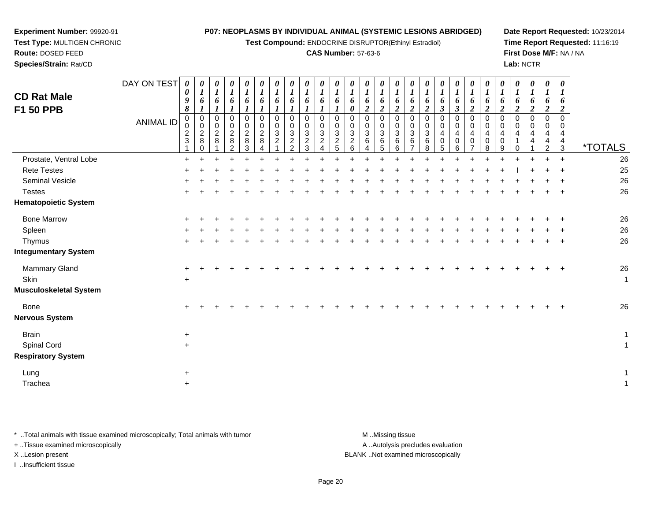**Test Compound:** ENDOCRINE DISRUPTOR(Ethinyl Estradiol)

#### **CAS Number:** 57-63-6

**Date Report Requested:** 10/23/2014**Time Report Requested:** 11:16:19**First Dose M/F:** NA / NA**Lab:** NCTR

**Experiment Number:** 99920-91 **Test Type:** MULTIGEN CHRONIC**Route:** DOSED FEED**Species/Strain:** Rat/CD

| <b>CD Rat Male</b><br>F1 50 PPB | DAY ON TEST<br><b>ANIMAL ID</b> | $\boldsymbol{\theta}$<br>$\boldsymbol{\theta}$<br>$\boldsymbol{9}$<br>$\pmb{8}$<br>$\mathbf 0$<br>$\mathbf 0$<br>$\frac{2}{3}$ | 0<br>$\boldsymbol{I}$<br>6<br>$\mathsf{O}\xspace$<br>$\mathbf 0$<br>$\overline{c}$<br>8<br>$\Omega$ | 0<br>$\boldsymbol{I}$<br>6<br>$\boldsymbol{l}$<br>$\pmb{0}$<br>$\pmb{0}$<br>$\overline{c}$<br>8 | 0<br>$\boldsymbol{l}$<br>6<br>$\mathbf{I}$<br>$\pmb{0}$<br>$\pmb{0}$<br>$\overline{c}$<br>8<br>2 | 0<br>$\boldsymbol{l}$<br>6<br>$\mathbf 0$<br>$\mathbf 0$<br>$\boldsymbol{2}$<br>8<br>3 | 0<br>$\boldsymbol{l}$<br>6<br>$\Omega$<br>$\mathbf 0$<br>$\boldsymbol{2}$<br>8 | 0<br>$\boldsymbol{l}$<br>6<br>$\mathbf 0$<br>$\mathbf 0$<br>$\sqrt{3}$<br>$\overline{2}$ | 0<br>$\boldsymbol{l}$<br>6<br>$\boldsymbol{l}$<br>$\pmb{0}$<br>$\pmb{0}$<br>$\sqrt{3}$<br>$\overline{2}$<br>2 | 0<br>$\boldsymbol{l}$<br>6<br>$\mathbf{I}$<br>$\mathbf 0$<br>$\mathbf 0$<br>$\sqrt{3}$<br>$\overline{c}$<br>3 | 0<br>$\boldsymbol{l}$<br>6<br>$\mathbf 0$<br>$\,0\,$<br>$\sqrt{3}$<br>$\overline{c}$<br>Δ | 0<br>$\boldsymbol{l}$<br>6<br>$\mathbf 0$<br>$\mathbf 0$<br>$\sqrt{3}$<br>$\overline{2}$<br>5 | $\boldsymbol{\theta}$<br>$\boldsymbol{l}$<br>6<br>$\boldsymbol{\theta}$<br>$\mathbf 0$<br>$\mathbf 0$<br>$\sqrt{3}$<br>$\sqrt{2}$<br>6 | 0<br>$\boldsymbol{l}$<br>6<br>$\overline{\mathbf{c}}$<br>0<br>0<br>$\ensuremath{\mathsf{3}}$<br>6 | 0<br>$\boldsymbol{l}$<br>6<br>$\overline{2}$<br>$\pmb{0}$<br>$\pmb{0}$<br>$\ensuremath{\mathsf{3}}$<br>$\,6\,$<br>5 | 0<br>$\boldsymbol{l}$<br>6<br>$\boldsymbol{2}$<br>$\pmb{0}$<br>$\pmb{0}$<br>$\mathbf{3}$<br>$\,6$<br>6 | 0<br>$\boldsymbol{l}$<br>6<br>$\overline{2}$<br>$\Omega$<br>$\Omega$<br>$\mathbf{3}$<br>6 | 0<br>$\boldsymbol{l}$<br>6<br>$\overline{2}$<br>$\Omega$<br>$\mathbf 0$<br>$\mathbf{3}$<br>6<br>8 | $\boldsymbol{\theta}$<br>$\boldsymbol{l}$<br>6<br>$\boldsymbol{\beta}$<br>$\Omega$<br>$\Omega$<br>$\overline{4}$<br>$\Omega$<br>5 | 0<br>6<br>$\mathbf{3}$<br>$\mathbf 0$<br>$\mathbf 0$<br>$\overline{4}$<br>$\Omega$<br>6 | 0<br>$\boldsymbol{l}$<br>6<br>$\overline{2}$<br>0<br>0<br>$\overline{\mathbf{4}}$<br>$\mathbf 0$ | 0<br>$\boldsymbol{l}$<br>6<br>$\overline{2}$<br>$\mathbf 0$<br>$\mathbf 0$<br>$\overline{4}$<br>$\mathbf 0$<br>8 | 0<br>$\boldsymbol{l}$<br>6<br>$\boldsymbol{2}$<br>$\Omega$<br>$\mathbf 0$<br>4<br>$\mathbf 0$<br>9 | 0<br>$\boldsymbol{l}$<br>6<br>$\boldsymbol{2}$<br>$\Omega$<br>$\Omega$<br>4 | 0<br>1<br>6<br>$\overline{2}$<br>$\mathbf 0$<br>$\mathbf 0$<br>4<br>4 | $\boldsymbol{\theta}$<br>$\boldsymbol{l}$<br>6<br>$\overline{c}$<br>0<br>$\pmb{0}$<br>$\overline{4}$<br>$\overline{\mathbf{4}}$<br>$\overline{c}$ | 0<br>$\boldsymbol{l}$<br>6<br>$\overline{2}$<br>$\mathbf 0$<br>0<br>4<br>4<br>$\mathbf{3}$ | <i><b>*TOTALS</b></i> |
|---------------------------------|---------------------------------|--------------------------------------------------------------------------------------------------------------------------------|-----------------------------------------------------------------------------------------------------|-------------------------------------------------------------------------------------------------|--------------------------------------------------------------------------------------------------|----------------------------------------------------------------------------------------|--------------------------------------------------------------------------------|------------------------------------------------------------------------------------------|---------------------------------------------------------------------------------------------------------------|---------------------------------------------------------------------------------------------------------------|-------------------------------------------------------------------------------------------|-----------------------------------------------------------------------------------------------|----------------------------------------------------------------------------------------------------------------------------------------|---------------------------------------------------------------------------------------------------|---------------------------------------------------------------------------------------------------------------------|--------------------------------------------------------------------------------------------------------|-------------------------------------------------------------------------------------------|---------------------------------------------------------------------------------------------------|-----------------------------------------------------------------------------------------------------------------------------------|-----------------------------------------------------------------------------------------|--------------------------------------------------------------------------------------------------|------------------------------------------------------------------------------------------------------------------|----------------------------------------------------------------------------------------------------|-----------------------------------------------------------------------------|-----------------------------------------------------------------------|---------------------------------------------------------------------------------------------------------------------------------------------------|--------------------------------------------------------------------------------------------|-----------------------|
| Prostate, Ventral Lobe          |                                 | $\pm$                                                                                                                          |                                                                                                     |                                                                                                 |                                                                                                  |                                                                                        |                                                                                |                                                                                          |                                                                                                               |                                                                                                               |                                                                                           |                                                                                               |                                                                                                                                        |                                                                                                   |                                                                                                                     |                                                                                                        |                                                                                           |                                                                                                   |                                                                                                                                   |                                                                                         |                                                                                                  |                                                                                                                  |                                                                                                    |                                                                             |                                                                       | $+$                                                                                                                                               | $+$                                                                                        | 26                    |
| <b>Rete Testes</b>              |                                 |                                                                                                                                |                                                                                                     |                                                                                                 |                                                                                                  |                                                                                        |                                                                                |                                                                                          |                                                                                                               |                                                                                                               |                                                                                           |                                                                                               |                                                                                                                                        |                                                                                                   |                                                                                                                     |                                                                                                        |                                                                                           |                                                                                                   |                                                                                                                                   |                                                                                         |                                                                                                  |                                                                                                                  |                                                                                                    |                                                                             |                                                                       |                                                                                                                                                   |                                                                                            | 25                    |
| Seminal Vesicle                 |                                 |                                                                                                                                |                                                                                                     |                                                                                                 |                                                                                                  |                                                                                        |                                                                                |                                                                                          |                                                                                                               |                                                                                                               |                                                                                           |                                                                                               |                                                                                                                                        |                                                                                                   |                                                                                                                     |                                                                                                        |                                                                                           |                                                                                                   |                                                                                                                                   |                                                                                         |                                                                                                  |                                                                                                                  |                                                                                                    |                                                                             |                                                                       |                                                                                                                                                   |                                                                                            | 26                    |
| <b>Testes</b>                   |                                 |                                                                                                                                |                                                                                                     |                                                                                                 |                                                                                                  |                                                                                        |                                                                                |                                                                                          |                                                                                                               |                                                                                                               |                                                                                           |                                                                                               |                                                                                                                                        |                                                                                                   |                                                                                                                     |                                                                                                        |                                                                                           |                                                                                                   |                                                                                                                                   |                                                                                         |                                                                                                  |                                                                                                                  |                                                                                                    |                                                                             |                                                                       |                                                                                                                                                   |                                                                                            | 26                    |
| <b>Hematopoietic System</b>     |                                 |                                                                                                                                |                                                                                                     |                                                                                                 |                                                                                                  |                                                                                        |                                                                                |                                                                                          |                                                                                                               |                                                                                                               |                                                                                           |                                                                                               |                                                                                                                                        |                                                                                                   |                                                                                                                     |                                                                                                        |                                                                                           |                                                                                                   |                                                                                                                                   |                                                                                         |                                                                                                  |                                                                                                                  |                                                                                                    |                                                                             |                                                                       |                                                                                                                                                   |                                                                                            |                       |
| <b>Bone Marrow</b>              |                                 |                                                                                                                                |                                                                                                     |                                                                                                 |                                                                                                  |                                                                                        |                                                                                |                                                                                          |                                                                                                               |                                                                                                               |                                                                                           |                                                                                               |                                                                                                                                        |                                                                                                   |                                                                                                                     |                                                                                                        |                                                                                           |                                                                                                   |                                                                                                                                   |                                                                                         |                                                                                                  |                                                                                                                  |                                                                                                    |                                                                             |                                                                       |                                                                                                                                                   |                                                                                            | 26                    |
| Spleen                          |                                 |                                                                                                                                |                                                                                                     |                                                                                                 |                                                                                                  |                                                                                        |                                                                                |                                                                                          |                                                                                                               |                                                                                                               |                                                                                           |                                                                                               |                                                                                                                                        |                                                                                                   |                                                                                                                     |                                                                                                        |                                                                                           |                                                                                                   |                                                                                                                                   |                                                                                         |                                                                                                  |                                                                                                                  |                                                                                                    |                                                                             |                                                                       |                                                                                                                                                   |                                                                                            | 26                    |
| Thymus                          |                                 |                                                                                                                                |                                                                                                     |                                                                                                 |                                                                                                  |                                                                                        |                                                                                |                                                                                          |                                                                                                               |                                                                                                               |                                                                                           |                                                                                               |                                                                                                                                        |                                                                                                   |                                                                                                                     |                                                                                                        |                                                                                           |                                                                                                   |                                                                                                                                   |                                                                                         |                                                                                                  |                                                                                                                  |                                                                                                    |                                                                             |                                                                       |                                                                                                                                                   |                                                                                            | 26                    |
| <b>Integumentary System</b>     |                                 |                                                                                                                                |                                                                                                     |                                                                                                 |                                                                                                  |                                                                                        |                                                                                |                                                                                          |                                                                                                               |                                                                                                               |                                                                                           |                                                                                               |                                                                                                                                        |                                                                                                   |                                                                                                                     |                                                                                                        |                                                                                           |                                                                                                   |                                                                                                                                   |                                                                                         |                                                                                                  |                                                                                                                  |                                                                                                    |                                                                             |                                                                       |                                                                                                                                                   |                                                                                            |                       |
| Mammary Gland                   |                                 |                                                                                                                                |                                                                                                     |                                                                                                 |                                                                                                  |                                                                                        |                                                                                |                                                                                          |                                                                                                               |                                                                                                               |                                                                                           |                                                                                               |                                                                                                                                        |                                                                                                   |                                                                                                                     |                                                                                                        |                                                                                           |                                                                                                   |                                                                                                                                   |                                                                                         |                                                                                                  |                                                                                                                  |                                                                                                    |                                                                             |                                                                       |                                                                                                                                                   |                                                                                            | 26                    |
| Skin                            |                                 | $\ddot{}$                                                                                                                      |                                                                                                     |                                                                                                 |                                                                                                  |                                                                                        |                                                                                |                                                                                          |                                                                                                               |                                                                                                               |                                                                                           |                                                                                               |                                                                                                                                        |                                                                                                   |                                                                                                                     |                                                                                                        |                                                                                           |                                                                                                   |                                                                                                                                   |                                                                                         |                                                                                                  |                                                                                                                  |                                                                                                    |                                                                             |                                                                       |                                                                                                                                                   |                                                                                            | $\mathbf 1$           |
| <b>Musculoskeletal System</b>   |                                 |                                                                                                                                |                                                                                                     |                                                                                                 |                                                                                                  |                                                                                        |                                                                                |                                                                                          |                                                                                                               |                                                                                                               |                                                                                           |                                                                                               |                                                                                                                                        |                                                                                                   |                                                                                                                     |                                                                                                        |                                                                                           |                                                                                                   |                                                                                                                                   |                                                                                         |                                                                                                  |                                                                                                                  |                                                                                                    |                                                                             |                                                                       |                                                                                                                                                   |                                                                                            |                       |
| Bone                            |                                 | $\pm$                                                                                                                          |                                                                                                     |                                                                                                 |                                                                                                  |                                                                                        |                                                                                |                                                                                          |                                                                                                               |                                                                                                               |                                                                                           |                                                                                               |                                                                                                                                        |                                                                                                   |                                                                                                                     |                                                                                                        |                                                                                           |                                                                                                   |                                                                                                                                   |                                                                                         |                                                                                                  |                                                                                                                  |                                                                                                    |                                                                             |                                                                       |                                                                                                                                                   |                                                                                            | 26                    |
| <b>Nervous System</b>           |                                 |                                                                                                                                |                                                                                                     |                                                                                                 |                                                                                                  |                                                                                        |                                                                                |                                                                                          |                                                                                                               |                                                                                                               |                                                                                           |                                                                                               |                                                                                                                                        |                                                                                                   |                                                                                                                     |                                                                                                        |                                                                                           |                                                                                                   |                                                                                                                                   |                                                                                         |                                                                                                  |                                                                                                                  |                                                                                                    |                                                                             |                                                                       |                                                                                                                                                   |                                                                                            |                       |
| <b>Brain</b>                    |                                 | $\ddot{}$                                                                                                                      |                                                                                                     |                                                                                                 |                                                                                                  |                                                                                        |                                                                                |                                                                                          |                                                                                                               |                                                                                                               |                                                                                           |                                                                                               |                                                                                                                                        |                                                                                                   |                                                                                                                     |                                                                                                        |                                                                                           |                                                                                                   |                                                                                                                                   |                                                                                         |                                                                                                  |                                                                                                                  |                                                                                                    |                                                                             |                                                                       |                                                                                                                                                   |                                                                                            | 1                     |
| Spinal Cord                     |                                 | $+$                                                                                                                            |                                                                                                     |                                                                                                 |                                                                                                  |                                                                                        |                                                                                |                                                                                          |                                                                                                               |                                                                                                               |                                                                                           |                                                                                               |                                                                                                                                        |                                                                                                   |                                                                                                                     |                                                                                                        |                                                                                           |                                                                                                   |                                                                                                                                   |                                                                                         |                                                                                                  |                                                                                                                  |                                                                                                    |                                                                             |                                                                       |                                                                                                                                                   |                                                                                            | 1                     |
| <b>Respiratory System</b>       |                                 |                                                                                                                                |                                                                                                     |                                                                                                 |                                                                                                  |                                                                                        |                                                                                |                                                                                          |                                                                                                               |                                                                                                               |                                                                                           |                                                                                               |                                                                                                                                        |                                                                                                   |                                                                                                                     |                                                                                                        |                                                                                           |                                                                                                   |                                                                                                                                   |                                                                                         |                                                                                                  |                                                                                                                  |                                                                                                    |                                                                             |                                                                       |                                                                                                                                                   |                                                                                            |                       |
| Lung                            |                                 | $\pm$                                                                                                                          |                                                                                                     |                                                                                                 |                                                                                                  |                                                                                        |                                                                                |                                                                                          |                                                                                                               |                                                                                                               |                                                                                           |                                                                                               |                                                                                                                                        |                                                                                                   |                                                                                                                     |                                                                                                        |                                                                                           |                                                                                                   |                                                                                                                                   |                                                                                         |                                                                                                  |                                                                                                                  |                                                                                                    |                                                                             |                                                                       |                                                                                                                                                   |                                                                                            | 1                     |
| Trachea                         |                                 | $+$                                                                                                                            |                                                                                                     |                                                                                                 |                                                                                                  |                                                                                        |                                                                                |                                                                                          |                                                                                                               |                                                                                                               |                                                                                           |                                                                                               |                                                                                                                                        |                                                                                                   |                                                                                                                     |                                                                                                        |                                                                                           |                                                                                                   |                                                                                                                                   |                                                                                         |                                                                                                  |                                                                                                                  |                                                                                                    |                                                                             |                                                                       |                                                                                                                                                   |                                                                                            | 1                     |

\* ..Total animals with tissue examined microscopically; Total animals with tumor **M** . Missing tissue M ..Missing tissue

+ ..Tissue examined microscopically

I ..Insufficient tissue

A ..Autolysis precludes evaluation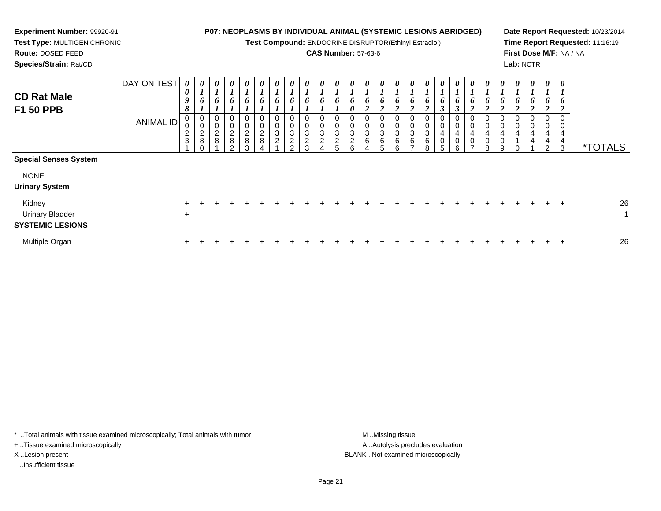**Test Compound:** ENDOCRINE DISRUPTOR(Ethinyl Estradiol)

## **CAS Number:** 57-63-6

**Date Report Requested:** 10/23/2014**Time Report Requested:** 11:16:19**First Dose M/F:** NA / NA**Lab:** NCTR

**Route:** DOSED FEED**Species/Strain:** Rat/CD

**Experiment Number:** 99920-91**Test Type:** MULTIGEN CHRONIC

| <b>CD Rat Male</b><br><b>F1 50 PPB</b>                      | DAY ON TEST<br>ANIMAL ID | $\boldsymbol{\theta}$<br>0<br>9<br>8<br>0<br>$\mathbf 0$<br>$\frac{2}{3}$ | $\boldsymbol{\theta}$<br>$\boldsymbol{l}$<br>6<br>$\boldsymbol{0}$<br>$\pmb{0}$<br>$\frac{2}{8}$<br>$\Omega$ | 0<br>6<br>0<br>0<br>$\frac{2}{8}$ | $\boldsymbol{\theta}$<br>$\mathbf{r}$<br>6<br>0<br>$\pmb{0}$<br>$\sqrt{2}$<br>8<br>$\Omega$ | $\boldsymbol{\theta}$<br>$\mathbf{r}$<br>6<br>0<br>$\pmb{0}$<br>$\frac{2}{8}$<br>3 | $\boldsymbol{\theta}$<br>$\overline{ }$<br>6<br>0<br>$\,0\,$<br>$\begin{array}{c} 2 \\ 8 \end{array}$ | $\boldsymbol{\theta}$<br>$\boldsymbol{l}$<br>6<br>0<br>$\mathbf 0$<br>$\sqrt{3}$<br>$\overline{2}$ | $\boldsymbol{\theta}$<br>6<br>0<br>0<br>$\ensuremath{\mathsf{3}}$<br>$\overline{c}$<br>$\Omega$ | $\boldsymbol{\theta}$<br>$\mathbf{r}$<br>$\mathbf{I}$<br>6<br>0<br>$\pmb{0}$<br>$\sqrt{3}$<br>$\overline{c}$<br>3 | $\pmb{\theta}$<br>$\boldsymbol{l}$<br>6<br>0<br>$\mathbf 0$<br>3<br>$\overline{c}$ | 0<br>$\overline{ }$<br>6<br>0<br>0<br>3<br>$\overline{c}$<br>5 | 0<br>$\mathbf{I}$<br>6<br>0<br>0<br>$\mathsf 0$<br>$\ensuremath{\mathsf{3}}$<br>$\overline{c}$<br>6 | $\boldsymbol{\theta}$<br>$\boldsymbol{l}$<br>6<br>2<br>$\pmb{0}$<br>$\pmb{0}$<br>$\ensuremath{\mathsf{3}}$<br>$\,6\,$<br>4 | $\boldsymbol{\theta}$<br>6<br>$\mathbf{\hat{z}}$<br>0<br>$\pmb{0}$<br>3<br>6<br>5 | $\boldsymbol{\theta}$<br>$\mathbf{I}$<br>$\mathbf{I}$<br>6<br>$\sim$<br>∠<br>$\mathbf 0$<br>0<br>$\ensuremath{\mathsf{3}}$<br>6<br>6 | 0<br>6<br>◠<br>$\pmb{0}$<br>$\pmb{0}$<br>$\ensuremath{\mathsf{3}}$<br>$\,6$<br>⇁ | 0<br>$\mathbf{I}$<br>6<br>$\mathbf{\Omega}$<br>◢<br>0<br>$\pmb{0}$<br>$\ensuremath{\mathsf{3}}$<br>$\,6$<br>8 | $\boldsymbol{\theta}$<br>1<br>6<br>$\mathbf 0$<br>4<br>$\mathbf 0$<br>5 | $\boldsymbol{\theta}$<br>6<br>$\rightarrow$<br>0<br>$\pmb{0}$<br>$\overline{4}$<br>0<br>6 | $\boldsymbol{\theta}$<br>6<br>0<br>0<br>4<br>$\pmb{0}$ | $\boldsymbol{\theta}$<br>$\bm{o}$<br>ി<br>0<br>$\mathbf 0$<br>4<br>$\pmb{0}$<br>8 | $\boldsymbol{\theta}$<br>6<br>0<br>4<br>0<br>9 | 0<br>$\boldsymbol{l}$<br>6<br>0<br>4 | $\boldsymbol{\theta}$<br>$\mathbf{I}$<br>6<br>0<br>0<br>4<br>4 | $\boldsymbol{\theta}$<br>$\mathbf{I}$<br>6<br><sup>1</sup><br>0<br>0<br>$\overline{4}$<br>4<br>2 | $\boldsymbol{\theta}$<br>$\bm{l}$<br>6<br>0<br>4<br>4<br>3 | <i><b>*TOTALS</b></i> |
|-------------------------------------------------------------|--------------------------|---------------------------------------------------------------------------|--------------------------------------------------------------------------------------------------------------|-----------------------------------|---------------------------------------------------------------------------------------------|------------------------------------------------------------------------------------|-------------------------------------------------------------------------------------------------------|----------------------------------------------------------------------------------------------------|-------------------------------------------------------------------------------------------------|-------------------------------------------------------------------------------------------------------------------|------------------------------------------------------------------------------------|----------------------------------------------------------------|-----------------------------------------------------------------------------------------------------|----------------------------------------------------------------------------------------------------------------------------|-----------------------------------------------------------------------------------|--------------------------------------------------------------------------------------------------------------------------------------|----------------------------------------------------------------------------------|---------------------------------------------------------------------------------------------------------------|-------------------------------------------------------------------------|-------------------------------------------------------------------------------------------|--------------------------------------------------------|-----------------------------------------------------------------------------------|------------------------------------------------|--------------------------------------|----------------------------------------------------------------|--------------------------------------------------------------------------------------------------|------------------------------------------------------------|-----------------------|
| <b>Special Senses System</b>                                |                          |                                                                           |                                                                                                              |                                   |                                                                                             |                                                                                    |                                                                                                       |                                                                                                    |                                                                                                 |                                                                                                                   |                                                                                    |                                                                |                                                                                                     |                                                                                                                            |                                                                                   |                                                                                                                                      |                                                                                  |                                                                                                               |                                                                         |                                                                                           |                                                        |                                                                                   |                                                |                                      |                                                                |                                                                                                  |                                                            |                       |
| <b>NONE</b><br><b>Urinary System</b>                        |                          |                                                                           |                                                                                                              |                                   |                                                                                             |                                                                                    |                                                                                                       |                                                                                                    |                                                                                                 |                                                                                                                   |                                                                                    |                                                                |                                                                                                     |                                                                                                                            |                                                                                   |                                                                                                                                      |                                                                                  |                                                                                                               |                                                                         |                                                                                           |                                                        |                                                                                   |                                                |                                      |                                                                |                                                                                                  |                                                            |                       |
| Kidney<br><b>Urinary Bladder</b><br><b>SYSTEMIC LESIONS</b> |                          | $+$                                                                       |                                                                                                              |                                   |                                                                                             |                                                                                    |                                                                                                       |                                                                                                    |                                                                                                 |                                                                                                                   |                                                                                    |                                                                |                                                                                                     |                                                                                                                            |                                                                                   |                                                                                                                                      |                                                                                  |                                                                                                               |                                                                         |                                                                                           |                                                        |                                                                                   |                                                |                                      |                                                                |                                                                                                  | $\pm$                                                      | 26                    |
| Multiple Organ                                              |                          | $\pm$                                                                     |                                                                                                              |                                   |                                                                                             |                                                                                    |                                                                                                       |                                                                                                    |                                                                                                 |                                                                                                                   |                                                                                    |                                                                |                                                                                                     |                                                                                                                            |                                                                                   |                                                                                                                                      |                                                                                  |                                                                                                               |                                                                         |                                                                                           |                                                        |                                                                                   |                                                |                                      |                                                                |                                                                                                  |                                                            | 26                    |

\* ..Total animals with tissue examined microscopically; Total animals with tumor **M** . Missing tissue M ..Missing tissue

+ ..Tissue examined microscopically

I ..Insufficient tissue

A ..Autolysis precludes evaluation X ..Lesion present BLANK ..Not examined microscopically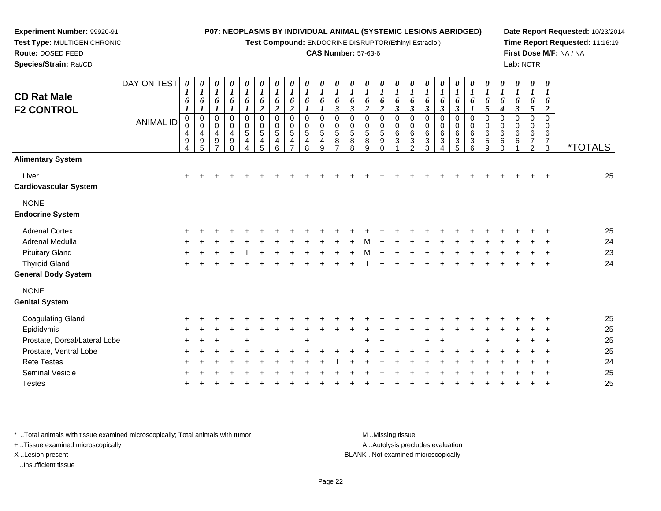**Test Compound:** ENDOCRINE DISRUPTOR(Ethinyl Estradiol)

#### **CAS Number:** 57-63-6

**Date Report Requested:** 10/23/2014**Time Report Requested:** 11:16:19**First Dose M/F:** NA / NA**Lab:** NCTR

**Route:** DOSED FEED **Species/Strain:** Rat/CDDAY ON TEST**CD Rat Male F2 CONTROL**ANIMAL ID*0 1 6 1* 0 0 4 9 4*0 1 6 1* 0 0 4 9 5*0 1 6 1* 0 0 4 9 7*0 1 6 1* 0 0 4 9 8*0 1 6 1* 0 0 5 4 4*0 1 6 2* 0 0 5 4 5*0 1 6 2* 0 0 5 46*0 1 6 2* 0 0 5 4 7*0 1 6 1* 0 0 5 4 8*0 1 6 1* 0 0 5 4 9*0 1 6 3* 0 0 5 8 7*0 1 6 3* 0 0 5 8 8*0 1 6 2* 0 0 5 8 9*0 1 6 2* 00 5 9 0

|                               | <b>ANIMAL ID</b> | 0<br>$\mathbf 0$<br>$\overline{4}$<br>9<br>4 | 0<br>$\pmb{0}$<br>$\begin{array}{c} 4 \\ 9 \end{array}$<br>5 | 0<br>0<br>$\overline{\mathbf{4}}$<br>$\mathsf g$<br>$\overline{ }$ | $\begin{matrix} 0 \\ 0 \\ 4 \end{matrix}$<br>$\boldsymbol{9}$<br>8 | 0<br>$\frac{0}{5}$<br>$\overline{\mathbf{4}}$<br>$\overline{4}$ | 0<br>$\begin{array}{c} 0 \\ 5 \end{array}$<br>4<br>5 | 0<br>$\pmb{0}$<br>$\sqrt{5}$<br>4<br>6 | 0<br>$\pmb{0}$<br>5<br>4<br>⇁ | 0<br>$\pmb{0}$<br>5<br>4<br>8 | 0<br>0<br>5<br>4<br>9 | 0<br>0<br>$\overline{5}$<br>8<br>- | 0<br>$\mathsf{O}\xspace$<br>5<br>8<br>8 | 0<br>$\pmb{0}$<br>$\,$ 5 $\,$<br>8<br>9 | 0<br>$\pmb{0}$<br>$\overline{5}$<br>9<br>$\Omega$ | 0<br>$\mathbf 0$<br>$\,6$<br>$\ensuremath{\mathsf{3}}$ | 0<br>$\pmb{0}$<br>$\,6\,$<br>$\sqrt{3}$<br>$\overline{c}$ | O<br>$\pmb{0}$<br>$6\phantom{a}$<br>$\ensuremath{\mathsf{3}}$<br>3 | 0<br>$\pmb{0}$<br>$6\phantom{1}$<br>$\mathbf{3}$ | 0<br>$\mathbf 0$<br>6<br>3<br>5 | 0<br>$\mathbf 0$<br>6<br>$\mathbf{3}$<br>6 | 0<br>$\mathbf 0$<br>6<br>$\sqrt{5}$<br>9 | 0<br>$\pmb{0}$<br>$\,6$<br>6<br>$\Omega$ | 0<br>$\mathsf{O}\xspace$<br>6<br>6 | 0<br>$\pmb{0}$<br>6<br>$\overline{7}$<br>$\overline{2}$ | 0<br>0<br>6<br>$\overline{7}$<br>3 | <i><b>*TOTALS</b></i> |
|-------------------------------|------------------|----------------------------------------------|--------------------------------------------------------------|--------------------------------------------------------------------|--------------------------------------------------------------------|-----------------------------------------------------------------|------------------------------------------------------|----------------------------------------|-------------------------------|-------------------------------|-----------------------|------------------------------------|-----------------------------------------|-----------------------------------------|---------------------------------------------------|--------------------------------------------------------|-----------------------------------------------------------|--------------------------------------------------------------------|--------------------------------------------------|---------------------------------|--------------------------------------------|------------------------------------------|------------------------------------------|------------------------------------|---------------------------------------------------------|------------------------------------|-----------------------|
| <b>Alimentary System</b>      |                  |                                              |                                                              |                                                                    |                                                                    |                                                                 |                                                      |                                        |                               |                               |                       |                                    |                                         |                                         |                                                   |                                                        |                                                           |                                                                    |                                                  |                                 |                                            |                                          |                                          |                                    |                                                         |                                    |                       |
| Liver                         |                  | $\ddot{}$                                    |                                                              |                                                                    |                                                                    |                                                                 |                                                      |                                        |                               |                               |                       |                                    |                                         |                                         |                                                   |                                                        |                                                           |                                                                    |                                                  |                                 |                                            |                                          |                                          |                                    |                                                         | $\ddot{}$                          | 25                    |
| <b>Cardiovascular System</b>  |                  |                                              |                                                              |                                                                    |                                                                    |                                                                 |                                                      |                                        |                               |                               |                       |                                    |                                         |                                         |                                                   |                                                        |                                                           |                                                                    |                                                  |                                 |                                            |                                          |                                          |                                    |                                                         |                                    |                       |
| <b>NONE</b>                   |                  |                                              |                                                              |                                                                    |                                                                    |                                                                 |                                                      |                                        |                               |                               |                       |                                    |                                         |                                         |                                                   |                                                        |                                                           |                                                                    |                                                  |                                 |                                            |                                          |                                          |                                    |                                                         |                                    |                       |
| <b>Endocrine System</b>       |                  |                                              |                                                              |                                                                    |                                                                    |                                                                 |                                                      |                                        |                               |                               |                       |                                    |                                         |                                         |                                                   |                                                        |                                                           |                                                                    |                                                  |                                 |                                            |                                          |                                          |                                    |                                                         |                                    |                       |
| <b>Adrenal Cortex</b>         |                  |                                              |                                                              |                                                                    |                                                                    |                                                                 |                                                      |                                        |                               |                               |                       |                                    |                                         |                                         |                                                   |                                                        |                                                           |                                                                    |                                                  |                                 |                                            |                                          |                                          |                                    |                                                         |                                    | 25                    |
| Adrenal Medulla               |                  |                                              |                                                              |                                                                    |                                                                    |                                                                 |                                                      |                                        |                               |                               |                       |                                    |                                         |                                         |                                                   |                                                        |                                                           |                                                                    |                                                  |                                 |                                            |                                          |                                          |                                    |                                                         | $\div$                             | 24                    |
| <b>Pituitary Gland</b>        |                  | ÷                                            |                                                              |                                                                    |                                                                    |                                                                 |                                                      |                                        |                               |                               |                       |                                    |                                         |                                         |                                                   |                                                        |                                                           |                                                                    |                                                  |                                 |                                            |                                          |                                          |                                    |                                                         |                                    | 23                    |
| <b>Thyroid Gland</b>          |                  | $\ddot{}$                                    |                                                              |                                                                    |                                                                    |                                                                 |                                                      |                                        |                               |                               |                       |                                    |                                         |                                         |                                                   |                                                        |                                                           |                                                                    |                                                  |                                 |                                            |                                          |                                          |                                    |                                                         | $\ddot{}$                          | 24                    |
| <b>General Body System</b>    |                  |                                              |                                                              |                                                                    |                                                                    |                                                                 |                                                      |                                        |                               |                               |                       |                                    |                                         |                                         |                                                   |                                                        |                                                           |                                                                    |                                                  |                                 |                                            |                                          |                                          |                                    |                                                         |                                    |                       |
| <b>NONE</b>                   |                  |                                              |                                                              |                                                                    |                                                                    |                                                                 |                                                      |                                        |                               |                               |                       |                                    |                                         |                                         |                                                   |                                                        |                                                           |                                                                    |                                                  |                                 |                                            |                                          |                                          |                                    |                                                         |                                    |                       |
| <b>Genital System</b>         |                  |                                              |                                                              |                                                                    |                                                                    |                                                                 |                                                      |                                        |                               |                               |                       |                                    |                                         |                                         |                                                   |                                                        |                                                           |                                                                    |                                                  |                                 |                                            |                                          |                                          |                                    |                                                         |                                    |                       |
| <b>Coagulating Gland</b>      |                  |                                              |                                                              |                                                                    |                                                                    |                                                                 |                                                      |                                        |                               |                               |                       |                                    |                                         |                                         |                                                   |                                                        |                                                           |                                                                    |                                                  |                                 |                                            |                                          |                                          |                                    |                                                         |                                    | 25                    |
| Epididymis                    |                  |                                              |                                                              |                                                                    |                                                                    |                                                                 |                                                      |                                        |                               |                               |                       |                                    |                                         |                                         |                                                   |                                                        |                                                           |                                                                    |                                                  |                                 |                                            |                                          |                                          |                                    |                                                         | $\div$                             | 25                    |
| Prostate, Dorsal/Lateral Lobe |                  | $\ddot{}$                                    |                                                              |                                                                    |                                                                    |                                                                 |                                                      |                                        |                               | $\ddot{}$                     |                       |                                    |                                         | $+$                                     | $\ddot{}$                                         |                                                        |                                                           | $\pm$                                                              |                                                  |                                 |                                            |                                          |                                          |                                    |                                                         | $\overline{+}$                     | 25                    |
| Prostate, Ventral Lobe        |                  |                                              |                                                              |                                                                    |                                                                    |                                                                 |                                                      |                                        |                               |                               |                       |                                    |                                         |                                         |                                                   |                                                        |                                                           |                                                                    |                                                  |                                 |                                            |                                          |                                          |                                    |                                                         | $\ddot{}$                          | 25                    |
| <b>Rete Testes</b>            |                  |                                              |                                                              |                                                                    |                                                                    |                                                                 |                                                      |                                        |                               |                               |                       |                                    |                                         |                                         |                                                   |                                                        |                                                           |                                                                    |                                                  |                                 |                                            |                                          |                                          |                                    |                                                         |                                    | 24                    |

\* ..Total animals with tissue examined microscopically; Total animals with tumor **M** ..Missing tissue M ..Missing tissue

<sup>+</sup>

<sup>+</sup>

e +

+ ..Tissue examined microscopically

**Experiment Number:** 99920-91**Test Type:** MULTIGEN CHRONIC

I ..Insufficient tissue

Seminal Vesicle

Testes

A ..Autolysis precludes evaluation

<sup>+</sup> <sup>+</sup> <sup>+</sup> <sup>+</sup> <sup>+</sup> <sup>+</sup> <sup>+</sup> <sup>+</sup> <sup>+</sup> <sup>I</sup> <sup>+</sup> <sup>+</sup> <sup>+</sup> <sup>+</sup> <sup>+</sup> <sup>+</sup> <sup>+</sup> <sup>+</sup> <sup>+</sup> <sup>+</sup> <sup>+</sup> <sup>+</sup> <sup>+</sup> <sup>+</sup> <sup>24</sup>

<sup>+</sup> <sup>+</sup> <sup>+</sup> <sup>+</sup> <sup>+</sup> <sup>+</sup> <sup>+</sup> <sup>+</sup> <sup>+</sup> <sup>+</sup> <sup>+</sup> <sup>+</sup> <sup>+</sup> <sup>+</sup> <sup>+</sup> <sup>+</sup> <sup>+</sup> <sup>+</sup> <sup>+</sup> <sup>+</sup> <sup>+</sup> <sup>+</sup> <sup>+</sup> <sup>+</sup> <sup>25</sup>

<sup>+</sup> <sup>+</sup> <sup>+</sup> <sup>+</sup> <sup>+</sup> <sup>+</sup> <sup>+</sup> <sup>+</sup> <sup>+</sup> <sup>+</sup> <sup>+</sup> <sup>+</sup> <sup>+</sup> <sup>+</sup> <sup>+</sup> <sup>+</sup> <sup>+</sup> <sup>+</sup> <sup>+</sup> <sup>+</sup> <sup>+</sup> <sup>+</sup> <sup>+</sup> <sup>+</sup> <sup>25</sup>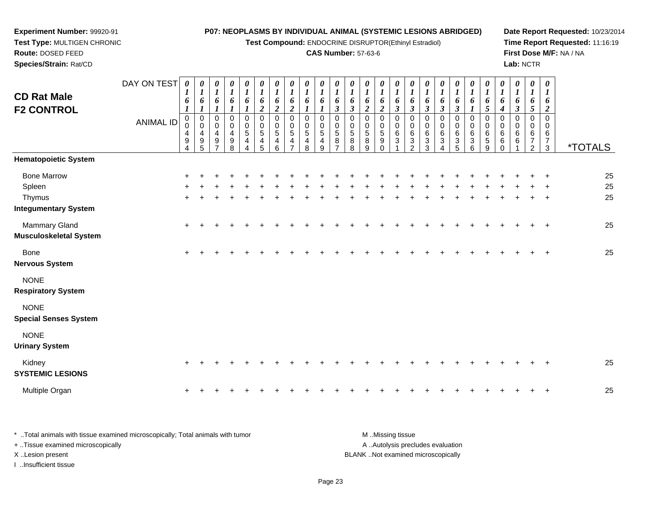**Test Compound:** ENDOCRINE DISRUPTOR(Ethinyl Estradiol)

## **CAS Number:** 57-63-6

**Date Report Requested:** 10/23/2014**Time Report Requested:** 11:16:19**First Dose M/F:** NA / NA**Lab:** NCTR

| <b>CD Rat Male</b><br><b>F2 CONTROL</b>                               | DAY ON TEST<br><b>ANIMAL ID</b> | 0<br>6<br>$_{\rm 0}^{\rm 0}$<br>4<br>$\mathsf g$<br>4 | 0<br>$\boldsymbol{l}$<br>6<br>$\boldsymbol{l}$<br>$\begin{smallmatrix} 0\\0 \end{smallmatrix}$<br>$\overline{4}$<br>9<br>5 | 0<br>$\boldsymbol{l}$<br>6<br>$\boldsymbol{l}$<br>0<br>0<br>4<br>9 | $\boldsymbol{\theta}$<br>$\boldsymbol{l}$<br>6<br>$\mathbf 0$<br>0<br>4<br>$\boldsymbol{9}$<br>8 | 0<br>$\boldsymbol{l}$<br>6<br>0<br>0<br>$\overline{5}$<br>$\overline{4}$ | 0<br>$\boldsymbol{l}$<br>6<br>$\boldsymbol{2}$<br>0<br>$\pmb{0}$<br>$\overline{5}$<br>4<br>5 | 0<br>$\boldsymbol{l}$<br>6<br>$\boldsymbol{2}$<br>$\mathbf 0$<br>0<br>$\overline{5}$<br>4<br>6 | $\boldsymbol{\theta}$<br>$\boldsymbol{l}$<br>6<br>$\overline{2}$<br>$\mathbf 0$<br>0<br>$\sqrt{5}$<br>4 | 0<br>$\boldsymbol{I}$<br>6<br>0<br>0<br>$\sqrt{5}$<br>4<br>8 | 0<br>$\boldsymbol{l}$<br>6<br>$\mathbf 0$<br>0<br>5<br>4<br>9 | $\bm{l}$<br>6<br>$\mathfrak{z}$<br>$\Omega$<br>0<br>5<br>8 | $\boldsymbol{\theta}$<br>$\boldsymbol{I}$<br>6<br>$\boldsymbol{\beta}$<br>$\Omega$<br>$\mathbf 0$<br>5<br>8<br>8 | 0<br>1<br>6<br>$\overline{c}$<br>$\Omega$<br>0<br>$\sqrt{5}$<br>8<br>g | 0<br>$\bm{l}$<br>6<br>$\overline{2}$<br>$\Omega$<br>0<br>$\sqrt{5}$<br>9<br>$\Omega$ | 0<br>$\boldsymbol{l}$<br>6<br>$\boldsymbol{\beta}$<br>0<br>0<br>$\,6\,$<br>$\mathbf{3}$ | 0<br>$\boldsymbol{I}$<br>6<br>$\mathfrak{z}$<br>$\mathbf 0$<br>0<br>6<br>$\mathbf{3}$<br>$\mathcal{P}$ | 0<br>1<br>6<br>$\boldsymbol{\beta}$<br>0<br>0<br>6<br>$\sqrt{3}$<br>3 | 0<br>$\boldsymbol{l}$<br>6<br>$\mathfrak{z}$<br>$\mathbf 0$<br>0<br>6<br>3<br>Δ | 1<br>6<br>$\boldsymbol{\beta}$<br>0<br>0<br>6<br>$\sqrt{3}$<br>5 | 0<br>1<br>6<br>1<br>$\mathbf 0$<br>0<br>6<br>$\mathbf{3}$<br>6 | 0<br>1<br>6<br>$\mathfrak{s}$<br>$\mathbf 0$<br>0<br>$\,6\,$<br>$\sqrt{5}$<br>9 | 0<br>$\boldsymbol{l}$<br>6<br>$\boldsymbol{4}$<br>$\mathbf 0$<br>0<br>6<br>$\,6\,$<br>$\Omega$ | 0<br>$\boldsymbol{\mathit{1}}$<br>6<br>$\boldsymbol{\beta}$<br>$\mathbf 0$<br>0<br>6<br>6 | 0<br>$\boldsymbol{l}$<br>6<br>$\sqrt{5}$<br>$\mathbf 0$<br>0<br>$\,6\,$<br>$\overline{7}$<br>$\overline{2}$ | 0<br>$\bm{l}$<br>6<br>$\overline{a}$<br>$\Omega$<br>0<br>6<br>$\overline{7}$<br>3 | <i><b>*TOTALS</b></i> |
|-----------------------------------------------------------------------|---------------------------------|-------------------------------------------------------|----------------------------------------------------------------------------------------------------------------------------|--------------------------------------------------------------------|--------------------------------------------------------------------------------------------------|--------------------------------------------------------------------------|----------------------------------------------------------------------------------------------|------------------------------------------------------------------------------------------------|---------------------------------------------------------------------------------------------------------|--------------------------------------------------------------|---------------------------------------------------------------|------------------------------------------------------------|------------------------------------------------------------------------------------------------------------------|------------------------------------------------------------------------|--------------------------------------------------------------------------------------|-----------------------------------------------------------------------------------------|--------------------------------------------------------------------------------------------------------|-----------------------------------------------------------------------|---------------------------------------------------------------------------------|------------------------------------------------------------------|----------------------------------------------------------------|---------------------------------------------------------------------------------|------------------------------------------------------------------------------------------------|-------------------------------------------------------------------------------------------|-------------------------------------------------------------------------------------------------------------|-----------------------------------------------------------------------------------|-----------------------|
| <b>Hematopoietic System</b>                                           |                                 |                                                       |                                                                                                                            |                                                                    |                                                                                                  |                                                                          |                                                                                              |                                                                                                |                                                                                                         |                                                              |                                                               |                                                            |                                                                                                                  |                                                                        |                                                                                      |                                                                                         |                                                                                                        |                                                                       |                                                                                 |                                                                  |                                                                |                                                                                 |                                                                                                |                                                                                           |                                                                                                             |                                                                                   |                       |
| <b>Bone Marrow</b><br>Spleen<br>Thymus<br><b>Integumentary System</b> |                                 |                                                       |                                                                                                                            |                                                                    |                                                                                                  |                                                                          |                                                                                              |                                                                                                |                                                                                                         |                                                              |                                                               |                                                            |                                                                                                                  |                                                                        |                                                                                      |                                                                                         |                                                                                                        |                                                                       |                                                                                 |                                                                  |                                                                |                                                                                 |                                                                                                |                                                                                           |                                                                                                             |                                                                                   | 25<br>25<br>25        |
| Mammary Gland<br><b>Musculoskeletal System</b>                        |                                 | $\ddot{}$                                             |                                                                                                                            |                                                                    |                                                                                                  |                                                                          |                                                                                              |                                                                                                |                                                                                                         |                                                              |                                                               |                                                            |                                                                                                                  |                                                                        |                                                                                      |                                                                                         |                                                                                                        |                                                                       |                                                                                 |                                                                  |                                                                |                                                                                 |                                                                                                |                                                                                           |                                                                                                             |                                                                                   | 25                    |
| Bone<br><b>Nervous System</b>                                         |                                 | $\ddot{}$                                             |                                                                                                                            |                                                                    |                                                                                                  |                                                                          |                                                                                              |                                                                                                |                                                                                                         |                                                              |                                                               |                                                            |                                                                                                                  |                                                                        |                                                                                      |                                                                                         |                                                                                                        |                                                                       |                                                                                 |                                                                  |                                                                |                                                                                 |                                                                                                |                                                                                           |                                                                                                             |                                                                                   | 25                    |
| <b>NONE</b><br><b>Respiratory System</b>                              |                                 |                                                       |                                                                                                                            |                                                                    |                                                                                                  |                                                                          |                                                                                              |                                                                                                |                                                                                                         |                                                              |                                                               |                                                            |                                                                                                                  |                                                                        |                                                                                      |                                                                                         |                                                                                                        |                                                                       |                                                                                 |                                                                  |                                                                |                                                                                 |                                                                                                |                                                                                           |                                                                                                             |                                                                                   |                       |
| <b>NONE</b><br><b>Special Senses System</b>                           |                                 |                                                       |                                                                                                                            |                                                                    |                                                                                                  |                                                                          |                                                                                              |                                                                                                |                                                                                                         |                                                              |                                                               |                                                            |                                                                                                                  |                                                                        |                                                                                      |                                                                                         |                                                                                                        |                                                                       |                                                                                 |                                                                  |                                                                |                                                                                 |                                                                                                |                                                                                           |                                                                                                             |                                                                                   |                       |
| <b>NONE</b><br><b>Urinary System</b>                                  |                                 |                                                       |                                                                                                                            |                                                                    |                                                                                                  |                                                                          |                                                                                              |                                                                                                |                                                                                                         |                                                              |                                                               |                                                            |                                                                                                                  |                                                                        |                                                                                      |                                                                                         |                                                                                                        |                                                                       |                                                                                 |                                                                  |                                                                |                                                                                 |                                                                                                |                                                                                           |                                                                                                             |                                                                                   |                       |
| Kidney<br><b>SYSTEMIC LESIONS</b>                                     |                                 | $\pm$                                                 |                                                                                                                            |                                                                    |                                                                                                  |                                                                          |                                                                                              |                                                                                                |                                                                                                         |                                                              |                                                               |                                                            |                                                                                                                  |                                                                        |                                                                                      |                                                                                         |                                                                                                        |                                                                       |                                                                                 |                                                                  |                                                                |                                                                                 |                                                                                                |                                                                                           |                                                                                                             |                                                                                   | 25                    |
| Multiple Organ                                                        |                                 | +                                                     |                                                                                                                            |                                                                    |                                                                                                  |                                                                          |                                                                                              |                                                                                                |                                                                                                         |                                                              |                                                               |                                                            |                                                                                                                  |                                                                        |                                                                                      |                                                                                         |                                                                                                        |                                                                       |                                                                                 |                                                                  |                                                                |                                                                                 |                                                                                                |                                                                                           |                                                                                                             |                                                                                   | 25                    |

\* ..Total animals with tissue examined microscopically; Total animals with tumor **M** . Missing tissue M ..Missing tissue A ..Autolysis precludes evaluation + ..Tissue examined microscopically X ..Lesion present BLANK ..Not examined microscopicallyI ..Insufficient tissue

**Experiment Number:** 99920-91**Test Type:** MULTIGEN CHRONIC

**Route:** DOSED FEED**Species/Strain:** Rat/CD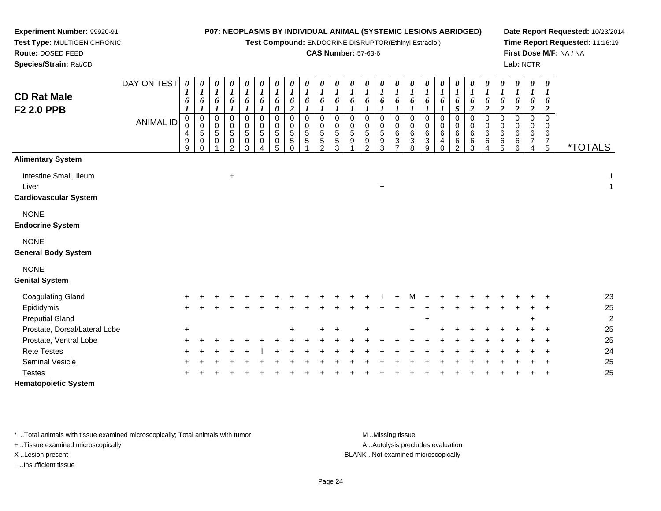**Test Compound:** ENDOCRINE DISRUPTOR(Ethinyl Estradiol)

#### **CAS Number:** 57-63-6

*0 1*

 *6 5*0

**Date Report Requested:** 10/23/2014**Time Report Requested:** 11:16:19**First Dose M/F:** NA / NA**Lab:** NCTR

5 \*TOTALS

**Route:** DOSED FEED **Species/Strain:** Rat/CDDAY ON TEST**CD Rat MaleF2 2.0 PPB**ANIMAL ID*0 1 6 1* 0 0 4 9 9*0 1 6 1*0<br>0<br>5<br>0<br>0 *0 1 6 1*0<br>0<br>5<br>0 1*0 1 6 1* 0 0 5 0 2*0 1 6 1* 0 0 5 0 3*0 1 6 1* 0 0 5 0 4*0 1 6 0* 0 0 5 0 5*0 1 6 2*0<br>0<br>5<br>5<br>0<br>0 *0 1 6 1* 0 0 5 5 1*0 1 6 1* 0 0 5 5 2*0 1 6 1* 0 0 5 5 3*0 1 6 1* 0 0 5 9 1*0 1 6 1* 0 0 5 9 2*0 1 6 1* 0 0 5 9 3*0 1 6 1*0<br>0<br>6<br>3<br>7 **Alimentary System**Intestine Small, Ileum

 $+$  1 Liver <sup>+</sup> $\overline{1}$ **Cardiovascular System**

# NONE

**Endocrine System**

## NONE

**General Body System**

**Experiment Number:** 99920-91**Test Type:** MULTIGEN CHRONIC

#### NONE

**Genital System**

| <b>Coagulating Gland</b>      | $+$    |  |  |  |     |  |         | $+$ $+$ | $+$ | M   | $+$ |     |  |  |       | $+$ $+$ | 23             |
|-------------------------------|--------|--|--|--|-----|--|---------|---------|-----|-----|-----|-----|--|--|-------|---------|----------------|
| Epididymis                    | $+$    |  |  |  |     |  |         |         |     |     |     |     |  |  |       | $+$ $+$ | 25             |
| <b>Preputial Gland</b>        |        |  |  |  |     |  |         |         |     |     |     |     |  |  | $\pm$ |         | $\overline{2}$ |
| Prostate, Dorsal/Lateral Lobe | $\div$ |  |  |  | $+$ |  | $+$ $+$ | $+$     |     | $+$ |     | $+$ |  |  |       | $+$ $+$ | 25             |
| Prostate, Ventral Lobe        | $+$    |  |  |  |     |  |         |         |     |     |     |     |  |  |       | $+$ $+$ | 25             |
| <b>Rete Testes</b>            | $+$    |  |  |  |     |  |         |         |     |     |     |     |  |  |       | $+$ $+$ | 24             |
| <b>Seminal Vesicle</b>        | $+$    |  |  |  |     |  |         |         |     |     |     |     |  |  |       | $+$ $+$ | 25             |
| <b>Testes</b>                 | $+$    |  |  |  |     |  |         |         |     |     |     |     |  |  |       | $+$ $+$ | 25             |
| <b>Hematopoietic System</b>   |        |  |  |  |     |  |         |         |     |     |     |     |  |  |       |         |                |

\* ..Total animals with tissue examined microscopically; Total animals with tumor **M** ..Missing tissue M ..Missing tissue

+ ..Tissue examined microscopically

I ..Insufficient tissue

A ..Autolysis precludes evaluation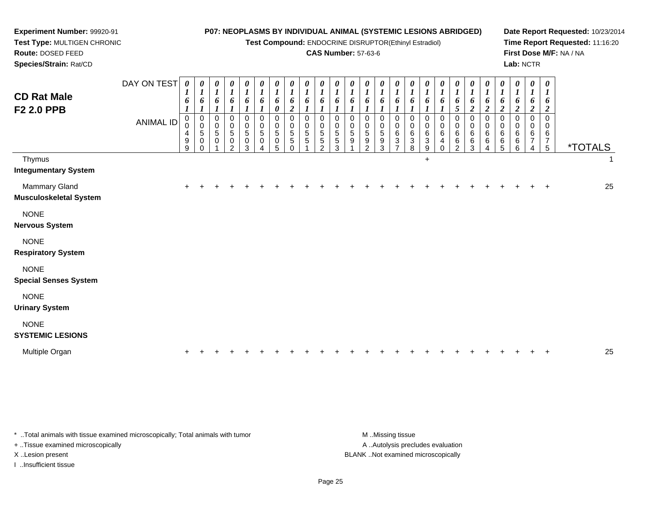| Experiment Number: 99920-91                           |                  |                  |                                                          |                                                                    |                                                |                                                |                                 |                                 |                                                |                                                |                                                |                                                                    |                                 |                                                       |                                                |                                                |                                 |                                 | P07: NEOPLASMS BY INDIVIDUAL ANIMAL (SYSTEMIC LESIONS ABRIDGED) |                                               |                                        |                                                                           |                                 |                                                     |                                 |                                                | Date Report Requested: 10/23/2014 |
|-------------------------------------------------------|------------------|------------------|----------------------------------------------------------|--------------------------------------------------------------------|------------------------------------------------|------------------------------------------------|---------------------------------|---------------------------------|------------------------------------------------|------------------------------------------------|------------------------------------------------|--------------------------------------------------------------------|---------------------------------|-------------------------------------------------------|------------------------------------------------|------------------------------------------------|---------------------------------|---------------------------------|-----------------------------------------------------------------|-----------------------------------------------|----------------------------------------|---------------------------------------------------------------------------|---------------------------------|-----------------------------------------------------|---------------------------------|------------------------------------------------|-----------------------------------|
| Test Type: MULTIGEN CHRONIC                           |                  |                  |                                                          |                                                                    |                                                |                                                |                                 |                                 |                                                |                                                |                                                |                                                                    |                                 | Test Compound: ENDOCRINE DISRUPTOR(Ethinyl Estradiol) |                                                |                                                |                                 |                                 |                                                                 |                                               |                                        |                                                                           |                                 |                                                     |                                 |                                                | Time Report Requested: 11:16:20   |
| Route: DOSED FEED                                     |                  |                  |                                                          |                                                                    |                                                |                                                |                                 |                                 |                                                |                                                |                                                |                                                                    |                                 | <b>CAS Number: 57-63-6</b>                            |                                                |                                                |                                 |                                 |                                                                 |                                               |                                        |                                                                           |                                 |                                                     |                                 |                                                | First Dose M/F: NA / NA           |
| Species/Strain: Rat/CD                                |                  |                  |                                                          |                                                                    |                                                |                                                |                                 |                                 |                                                |                                                |                                                |                                                                    |                                 |                                                       |                                                |                                                |                                 |                                 |                                                                 |                                               |                                        |                                                                           |                                 |                                                     | Lab: NCTR                       |                                                |                                   |
| <b>CD Rat Male</b><br>F2 2.0 PPB                      | DAY ON TEST      | 0<br>6           | $\boldsymbol{\theta}$<br>1<br>6<br>$\boldsymbol{l}$      | $\boldsymbol{\theta}$<br>$\boldsymbol{l}$<br>6<br>$\boldsymbol{l}$ | $\boldsymbol{\theta}$<br>$\boldsymbol{l}$<br>6 | 0<br>$\boldsymbol{l}$<br>6<br>$\boldsymbol{l}$ | U<br>$\boldsymbol{l}$<br>6<br>1 | 0<br>$\boldsymbol{l}$<br>6<br>0 | 0<br>$\boldsymbol{l}$<br>6<br>$\boldsymbol{2}$ | $\boldsymbol{\theta}$<br>$\boldsymbol{l}$<br>6 | $\boldsymbol{\theta}$<br>$\boldsymbol{l}$<br>6 | $\boldsymbol{\theta}$<br>$\boldsymbol{l}$<br>6<br>$\boldsymbol{l}$ | U<br>1<br>6<br>$\boldsymbol{l}$ | 0<br>1<br>6                                           | 0<br>$\boldsymbol{l}$<br>6<br>$\boldsymbol{l}$ | 0<br>$\boldsymbol{l}$<br>6<br>$\boldsymbol{l}$ | 0<br>$\boldsymbol{l}$<br>6      | 0<br>$\boldsymbol{l}$<br>6      | U<br>1<br>6                                                     | $\boldsymbol{\theta}$<br>1<br>6<br>$\sqrt{5}$ | 0<br>6<br>$\boldsymbol{2}$             | $\boldsymbol{\theta}$<br>$\boldsymbol{l}$<br>6<br>$\overline{\mathbf{c}}$ | 0<br>6<br>$\boldsymbol{2}$      | $\boldsymbol{\theta}$<br>1<br>6<br>$\boldsymbol{2}$ | U<br>1<br>6<br>$\boldsymbol{2}$ | 0<br>$\boldsymbol{l}$<br>6<br>$\boldsymbol{2}$ |                                   |
|                                                       | <b>ANIMAL ID</b> | 0<br>4<br>9<br>9 | $\pmb{0}$<br>$\mathbf 0$<br>5<br>$\mathbf 0$<br>$\Omega$ | 0<br>0<br>5<br>0                                                   | 0<br>0<br>$\,$ 5 $\,$<br>0<br>$\mathcal{P}$    | $\mathbf 0$<br>$\mathbf 0$<br>5<br>0<br>3      | $\Omega$<br>$\Omega$<br>5<br>0  | 0<br>$\mathbf 0$<br>5<br>0<br>5 | $\mathbf 0$<br>0<br>5<br>5                     | 0<br>0<br>5<br>5                               | $\mathbf 0$<br>0<br>5<br>5<br>$\mathfrak{p}$   | $\mathbf 0$<br>0<br>$\sqrt{5}$<br>5<br>3                           | 0<br>0<br>5<br>9                | $\pmb{0}$<br>0<br>$\sqrt{5}$<br>9<br>$\mathfrak{p}$   | $\mathbf 0$<br>0<br>$\sqrt{5}$<br>9<br>3       | $\mathbf 0$<br>0<br>6<br>3                     | $\mathbf 0$<br>0<br>6<br>3<br>8 | $\mathbf 0$<br>0<br>6<br>3<br>9 | $\Omega$<br>6<br>4                                              | 0<br>0<br>6<br>6<br>$\mathfrak{p}$            | $\mathbf 0$<br>$\Omega$<br>6<br>6<br>3 | $\mathbf 0$<br>0<br>6<br>6                                                | $\mathbf 0$<br>0<br>6<br>6<br>5 | $\mathbf 0$<br>$\Omega$<br>6<br>6<br>6              | $\mathbf 0$<br>0<br>6<br>7<br>4 | $\pmb{0}$<br>0<br>6<br>$\overline{7}$<br>5     | <i><b>*TOTALS</b></i>             |
| Thymus<br><b>Integumentary System</b>                 |                  |                  |                                                          |                                                                    |                                                |                                                |                                 |                                 |                                                |                                                |                                                |                                                                    |                                 |                                                       |                                                |                                                |                                 | $+$                             |                                                                 |                                               |                                        |                                                                           |                                 |                                                     |                                 |                                                |                                   |
| <b>Mammary Gland</b><br><b>Musculoskeletal System</b> |                  |                  |                                                          |                                                                    |                                                |                                                |                                 |                                 |                                                |                                                |                                                |                                                                    |                                 |                                                       |                                                |                                                |                                 |                                 |                                                                 |                                               |                                        |                                                                           |                                 |                                                     |                                 | $\ddot{}$                                      | 25                                |
| <b>NONE</b><br><b>Nervous System</b>                  |                  |                  |                                                          |                                                                    |                                                |                                                |                                 |                                 |                                                |                                                |                                                |                                                                    |                                 |                                                       |                                                |                                                |                                 |                                 |                                                                 |                                               |                                        |                                                                           |                                 |                                                     |                                 |                                                |                                   |
| <b>NONE</b><br><b>Respiratory System</b>              |                  |                  |                                                          |                                                                    |                                                |                                                |                                 |                                 |                                                |                                                |                                                |                                                                    |                                 |                                                       |                                                |                                                |                                 |                                 |                                                                 |                                               |                                        |                                                                           |                                 |                                                     |                                 |                                                |                                   |
| <b>NONE</b><br><b>Special Senses System</b>           |                  |                  |                                                          |                                                                    |                                                |                                                |                                 |                                 |                                                |                                                |                                                |                                                                    |                                 |                                                       |                                                |                                                |                                 |                                 |                                                                 |                                               |                                        |                                                                           |                                 |                                                     |                                 |                                                |                                   |
| <b>NONE</b><br><b>Urinary System</b>                  |                  |                  |                                                          |                                                                    |                                                |                                                |                                 |                                 |                                                |                                                |                                                |                                                                    |                                 |                                                       |                                                |                                                |                                 |                                 |                                                                 |                                               |                                        |                                                                           |                                 |                                                     |                                 |                                                |                                   |
| <b>NONE</b><br><b>SYSTEMIC LESIONS</b>                |                  |                  |                                                          |                                                                    |                                                |                                                |                                 |                                 |                                                |                                                |                                                |                                                                    |                                 |                                                       |                                                |                                                |                                 |                                 |                                                                 |                                               |                                        |                                                                           |                                 |                                                     |                                 |                                                |                                   |
| Multiple Organ                                        |                  | $\pm$            |                                                          |                                                                    |                                                |                                                |                                 |                                 |                                                |                                                |                                                |                                                                    |                                 |                                                       |                                                |                                                |                                 |                                 |                                                                 |                                               |                                        |                                                                           |                                 |                                                     |                                 |                                                | 25                                |

\* ..Total animals with tissue examined microscopically; Total animals with tumor **M** ..Missing tissue M ..Missing tissue + ..Tissue examined microscopically

n  $+$ 

I ..Insufficient tissue

A ..Autolysis precludes evaluation X ..Lesion present BLANK ..Not examined microscopically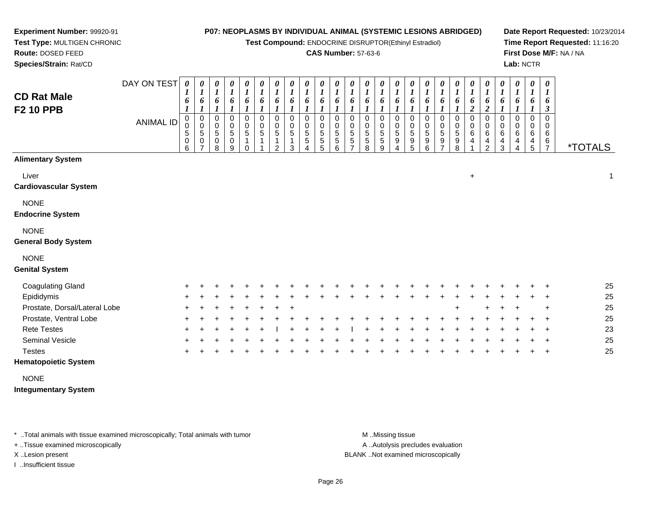**Test Compound:** ENDOCRINE DISRUPTOR(Ethinyl Estradiol)

#### **CAS Number:** 57-63-6

**Date Report Requested:** 10/23/2014**Time Report Requested:** 11:16:20**First Dose M/F:** NA / NA**Lab:** NCTR

**Route:** DOSED FEED **Species/Strain:** Rat/CDDAY ON TEST*0000000000000000000000000***CD R F2 10** 

| <b>CD Rat Male</b><br><b>F2 10 PPB</b>    | <b>ANIMAL ID</b> | $\overline{I}$<br>6<br>0<br>0<br>$\mathbf 5$<br>$\mathsf 0$<br>6 | $\overline{I}$<br>6<br>$\pmb{0}$<br>$\pmb{0}$<br>$\sqrt{5}$<br>$\mathbf 0$<br>7 | $\boldsymbol{l}$<br>6<br>$_{\rm 0}^{\rm 0}$<br>$\mathbf 5$<br>$\pmb{0}$<br>8 | $\boldsymbol{I}$<br>$\boldsymbol{6}$<br>0<br>$\pmb{0}$<br>5<br>$\pmb{0}$<br>9 | $\boldsymbol{I}$<br>6<br>0<br>$\pmb{0}$<br>$\sqrt{5}$ | 6<br>0<br>$\pmb{0}$<br>5 | 6<br>0<br>0<br>5<br>2 | $\mathbf{I}$<br>6<br>$\Omega$<br>0<br>5<br>3 | 1<br>6<br>$\Omega$<br>0<br>5<br>5 | 6<br>$\Omega$<br>0<br>5<br>5<br>5 | $\overline{1}$<br>6<br>0<br>0<br>5<br>5<br>6 | 1<br>6<br>0<br>$\pmb{0}$<br>$\sqrt{5}$<br>$\sqrt{5}$ | 6<br>0<br>$\pmb{0}$<br>5<br>5<br>8 | 6<br>0<br>$\pmb{0}$<br>$\sqrt{5}$<br>$\,$ 5 $\,$<br>9 | $\bf{l}$<br>$\boldsymbol{6}$<br>0<br>$\,0\,$<br>5<br>9<br>4 | $\overline{1}$<br>6<br>0<br>0<br>5<br>9<br>5 | 6<br>$\mathbf 0$<br>$\pmb{0}$<br>$\sqrt{5}$<br>9<br>6 | 6<br>0<br>$\pmb{0}$<br>5<br>$\boldsymbol{9}$<br>⇁ | ı<br>6<br>0<br>0<br>5<br>9<br>8 | $\boldsymbol{I}$<br>6<br>$\overline{\mathbf{c}}$<br>$\Omega$<br>$\,0\,$<br>$\,6$<br>4 | 6<br>$\overline{c}$<br>0<br>$\pmb{0}$<br>$\,6$<br>4<br>$\overline{2}$ | $\mathbf{I}$<br>6<br>$\Omega$<br>0<br>6<br>4<br>3 | $\overline{I}$<br>6<br>0<br>6<br>4<br>4 | 1<br>6<br>0<br>0<br>6<br>4<br>5 | 1<br>6<br>$\mathfrak{z}$<br>0<br>0<br>6<br>$\frac{6}{7}$ | <i><b>*TOTALS</b></i> |
|-------------------------------------------|------------------|------------------------------------------------------------------|---------------------------------------------------------------------------------|------------------------------------------------------------------------------|-------------------------------------------------------------------------------|-------------------------------------------------------|--------------------------|-----------------------|----------------------------------------------|-----------------------------------|-----------------------------------|----------------------------------------------|------------------------------------------------------|------------------------------------|-------------------------------------------------------|-------------------------------------------------------------|----------------------------------------------|-------------------------------------------------------|---------------------------------------------------|---------------------------------|---------------------------------------------------------------------------------------|-----------------------------------------------------------------------|---------------------------------------------------|-----------------------------------------|---------------------------------|----------------------------------------------------------|-----------------------|
| <b>Alimentary System</b>                  |                  |                                                                  |                                                                                 |                                                                              |                                                                               |                                                       |                          |                       |                                              |                                   |                                   |                                              |                                                      |                                    |                                                       |                                                             |                                              |                                                       |                                                   |                                 |                                                                                       |                                                                       |                                                   |                                         |                                 |                                                          |                       |
| Liver<br><b>Cardiovascular System</b>     |                  |                                                                  |                                                                                 |                                                                              |                                                                               |                                                       |                          |                       |                                              |                                   |                                   |                                              |                                                      |                                    |                                                       |                                                             |                                              |                                                       |                                                   |                                 | $\ddot{}$                                                                             |                                                                       |                                                   |                                         |                                 |                                                          | 1                     |
| <b>NONE</b><br><b>Endocrine System</b>    |                  |                                                                  |                                                                                 |                                                                              |                                                                               |                                                       |                          |                       |                                              |                                   |                                   |                                              |                                                      |                                    |                                                       |                                                             |                                              |                                                       |                                                   |                                 |                                                                                       |                                                                       |                                                   |                                         |                                 |                                                          |                       |
| <b>NONE</b><br><b>General Body System</b> |                  |                                                                  |                                                                                 |                                                                              |                                                                               |                                                       |                          |                       |                                              |                                   |                                   |                                              |                                                      |                                    |                                                       |                                                             |                                              |                                                       |                                                   |                                 |                                                                                       |                                                                       |                                                   |                                         |                                 |                                                          |                       |
| <b>NONE</b><br><b>Genital System</b>      |                  |                                                                  |                                                                                 |                                                                              |                                                                               |                                                       |                          |                       |                                              |                                   |                                   |                                              |                                                      |                                    |                                                       |                                                             |                                              |                                                       |                                                   |                                 |                                                                                       |                                                                       |                                                   |                                         |                                 |                                                          |                       |
| <b>Coagulating Gland</b>                  |                  |                                                                  |                                                                                 |                                                                              |                                                                               |                                                       |                          |                       |                                              |                                   |                                   |                                              |                                                      |                                    |                                                       |                                                             |                                              |                                                       |                                                   |                                 |                                                                                       |                                                                       |                                                   |                                         |                                 |                                                          | 25                    |
| Epididymis                                |                  |                                                                  |                                                                                 |                                                                              |                                                                               |                                                       |                          |                       |                                              |                                   |                                   |                                              |                                                      |                                    |                                                       |                                                             |                                              |                                                       |                                                   |                                 |                                                                                       |                                                                       |                                                   |                                         |                                 |                                                          | 25                    |
| Prostate, Dorsal/Lateral Lobe             |                  |                                                                  |                                                                                 |                                                                              |                                                                               |                                                       |                          |                       |                                              |                                   |                                   |                                              |                                                      |                                    |                                                       |                                                             |                                              |                                                       |                                                   |                                 |                                                                                       |                                                                       |                                                   |                                         |                                 | $\ddot{}$                                                | 25                    |
| Prostate, Ventral Lobe                    |                  |                                                                  |                                                                                 |                                                                              |                                                                               |                                                       |                          |                       |                                              |                                   |                                   |                                              |                                                      |                                    |                                                       |                                                             |                                              |                                                       |                                                   |                                 |                                                                                       |                                                                       |                                                   |                                         |                                 |                                                          | 25                    |
| <b>Rete Testes</b>                        |                  |                                                                  |                                                                                 |                                                                              |                                                                               |                                                       |                          |                       |                                              |                                   |                                   |                                              |                                                      |                                    |                                                       |                                                             |                                              |                                                       |                                                   |                                 |                                                                                       |                                                                       |                                                   |                                         |                                 |                                                          | 23                    |
| Seminal Vesicle                           |                  |                                                                  |                                                                                 |                                                                              |                                                                               |                                                       |                          |                       |                                              |                                   |                                   |                                              |                                                      |                                    |                                                       |                                                             |                                              |                                                       |                                                   |                                 |                                                                                       |                                                                       |                                                   |                                         |                                 |                                                          | 25                    |
| <b>Testes</b>                             |                  |                                                                  |                                                                                 |                                                                              |                                                                               |                                                       |                          |                       |                                              |                                   |                                   |                                              |                                                      |                                    |                                                       |                                                             |                                              |                                                       |                                                   |                                 |                                                                                       |                                                                       |                                                   |                                         |                                 | $\ddot{}$                                                | 25                    |

## **Hematopoietic System**

**Experiment Number:** 99920-91**Test Type:** MULTIGEN CHRONIC

NONE

**Integumentary System**

\* ..Total animals with tissue examined microscopically; Total animals with tumor **M** ..Missing tissue M ..Missing tissue

+ ..Tissue examined microscopically

I ..Insufficient tissue

A .. Autolysis precludes evaluation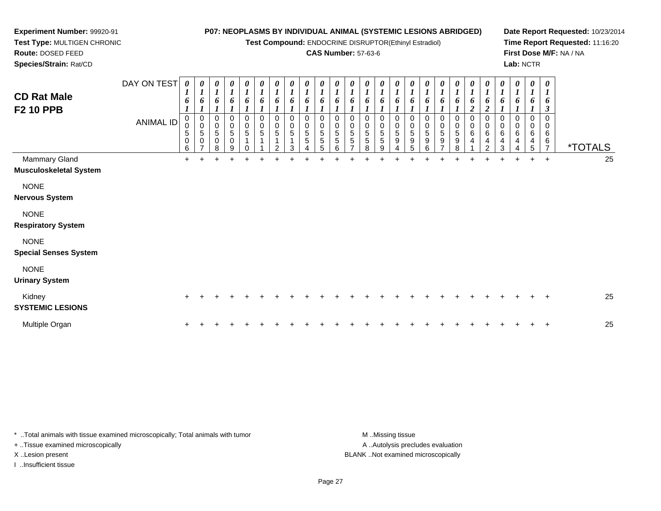**Test Compound:** ENDOCRINE DISRUPTOR(Ethinyl Estradiol)

## **CAS Number:** 57-63-6

**Date Report Requested:** 10/23/2014**Time Report Requested:** 11:16:20**First Dose M/F:** NA / NA**Lab:** NCTR

 **Test Type:** MULTIGEN CHRONIC**Route:** DOSED FEED **Species/Strain:** Rat/CDDAY ON TEST*0000000000000000000000000***CD Rat MaleF2 10 PPB**

**Experiment Number:** 99920-91

| <b>CD Rat Male</b><br><b>F2 10 PPB</b>         | <b>ANIMAL ID</b> | $\mathbf{I}$<br>6<br>$\pmb{0}$<br>$\pmb{0}$<br>$\sqrt{5}$<br>$\pmb{0}$<br>6 | $\overline{I}$<br>6<br>$\pmb{0}$<br>$\mathbf 0$<br>5<br>0<br>$\overline{\phantom{a}}$ | $\bf{l}$<br>6<br>0<br>$\pmb{0}$<br>$\sqrt{5}$<br>$\mathbf 0$<br>8 | $\overline{I}$<br>6<br>0<br>$\pmb{0}$<br>$\sqrt{5}$<br>$\mathbf 0$<br>9 | $\mathbf{I}$<br>6<br>0<br>$\pmb{0}$<br>$\overline{5}$ | $\boldsymbol{l}$<br>6<br>0<br>$\frac{0}{5}$ | 1<br>6<br>$\mathbf 0$<br>$\pmb{0}$<br>$\sqrt{5}$<br>C | $\boldsymbol{l}$<br>6<br>$\mathbf 0$<br>$\mathbf 0$<br>$\overline{5}$<br>$\mathbf{1}$<br>3 | $\boldsymbol{l}$<br>6<br>0<br>$\pmb{0}$<br>$\overline{5}$<br>$\sqrt{5}$ | $\boldsymbol{I}$<br>6<br>$\mathbf 0$<br>$\mathsf 0$<br>5<br>5 | 6<br>0<br>$\,0\,$<br>$\overline{5}$<br>5<br>6 | 6<br>$\mathbf 0$<br>5<br>5 | 6<br>0<br>$\sqrt{5}$<br>5<br>8 | 6<br>$\pmb{0}$<br>5<br>5<br>9 | 6<br>0<br>$\mathbf 0$<br>5<br>$\boldsymbol{9}$ | 6<br>0<br>$\pmb{0}$<br>$\sqrt{5}$<br>9<br>5 | $\overline{I}$<br>6<br>$\mathbf 0$<br>5<br>9<br>6 | 6<br>0<br>$\frac{0}{5}$<br>$\boldsymbol{9}$ | $\boldsymbol{I}$<br>6<br>0<br>$\begin{array}{c} 0 \\ 5 \end{array}$<br>$\boldsymbol{9}$<br>8 | 1<br>6<br>$\overline{2}$<br>0<br>$\begin{array}{c} 0 \\ 6 \end{array}$<br>$\overline{\mathbf{4}}$ | 6<br>$\overline{2}$<br>$\pmb{0}$<br>$\,0\,$<br>$\,6\,$<br>4<br>2 | 1<br>6<br>$\Omega$<br>0<br>6<br>4<br>3 | $\boldsymbol{l}$<br>6<br>0<br>6<br>4 | 1<br>6<br>0<br>6<br>4<br>5 | $\boldsymbol{l}$<br>6<br>$\mathfrak{z}$<br>0<br>0<br>6<br>$\frac{6}{7}$ | <i><b>*TOTALS</b></i> |
|------------------------------------------------|------------------|-----------------------------------------------------------------------------|---------------------------------------------------------------------------------------|-------------------------------------------------------------------|-------------------------------------------------------------------------|-------------------------------------------------------|---------------------------------------------|-------------------------------------------------------|--------------------------------------------------------------------------------------------|-------------------------------------------------------------------------|---------------------------------------------------------------|-----------------------------------------------|----------------------------|--------------------------------|-------------------------------|------------------------------------------------|---------------------------------------------|---------------------------------------------------|---------------------------------------------|----------------------------------------------------------------------------------------------|---------------------------------------------------------------------------------------------------|------------------------------------------------------------------|----------------------------------------|--------------------------------------|----------------------------|-------------------------------------------------------------------------|-----------------------|
| Mammary Gland<br><b>Musculoskeletal System</b> |                  | $\ddot{}$                                                                   |                                                                                       |                                                                   |                                                                         |                                                       |                                             |                                                       |                                                                                            |                                                                         |                                                               |                                               |                            |                                |                               |                                                |                                             |                                                   |                                             |                                                                                              |                                                                                                   |                                                                  |                                        | $\pm$                                |                            | $+$                                                                     | 25                    |
| <b>NONE</b><br><b>Nervous System</b>           |                  |                                                                             |                                                                                       |                                                                   |                                                                         |                                                       |                                             |                                                       |                                                                                            |                                                                         |                                                               |                                               |                            |                                |                               |                                                |                                             |                                                   |                                             |                                                                                              |                                                                                                   |                                                                  |                                        |                                      |                            |                                                                         |                       |
| <b>NONE</b><br><b>Respiratory System</b>       |                  |                                                                             |                                                                                       |                                                                   |                                                                         |                                                       |                                             |                                                       |                                                                                            |                                                                         |                                                               |                                               |                            |                                |                               |                                                |                                             |                                                   |                                             |                                                                                              |                                                                                                   |                                                                  |                                        |                                      |                            |                                                                         |                       |
| <b>NONE</b><br><b>Special Senses System</b>    |                  |                                                                             |                                                                                       |                                                                   |                                                                         |                                                       |                                             |                                                       |                                                                                            |                                                                         |                                                               |                                               |                            |                                |                               |                                                |                                             |                                                   |                                             |                                                                                              |                                                                                                   |                                                                  |                                        |                                      |                            |                                                                         |                       |
| <b>NONE</b><br><b>Urinary System</b>           |                  |                                                                             |                                                                                       |                                                                   |                                                                         |                                                       |                                             |                                                       |                                                                                            |                                                                         |                                                               |                                               |                            |                                |                               |                                                |                                             |                                                   |                                             |                                                                                              |                                                                                                   |                                                                  |                                        |                                      |                            |                                                                         |                       |
| Kidney<br><b>SYSTEMIC LESIONS</b>              |                  | $\pm$                                                                       |                                                                                       |                                                                   |                                                                         |                                                       |                                             |                                                       |                                                                                            |                                                                         |                                                               |                                               |                            |                                |                               |                                                |                                             |                                                   |                                             |                                                                                              |                                                                                                   |                                                                  |                                        |                                      |                            | $\overline{+}$                                                          | 25                    |
| Multiple Organ                                 |                  |                                                                             |                                                                                       |                                                                   |                                                                         |                                                       |                                             |                                                       |                                                                                            |                                                                         |                                                               |                                               |                            |                                |                               |                                                |                                             |                                                   |                                             |                                                                                              |                                                                                                   |                                                                  |                                        |                                      |                            | $\ddot{}$                                                               | 25                    |

\* ..Total animals with tissue examined microscopically; Total animals with tumor **M** ...Missing tissue M ...Missing tissue A .. Autolysis precludes evaluation + ..Tissue examined microscopically X ..Lesion present BLANK ..Not examined microscopicallyI ..Insufficient tissue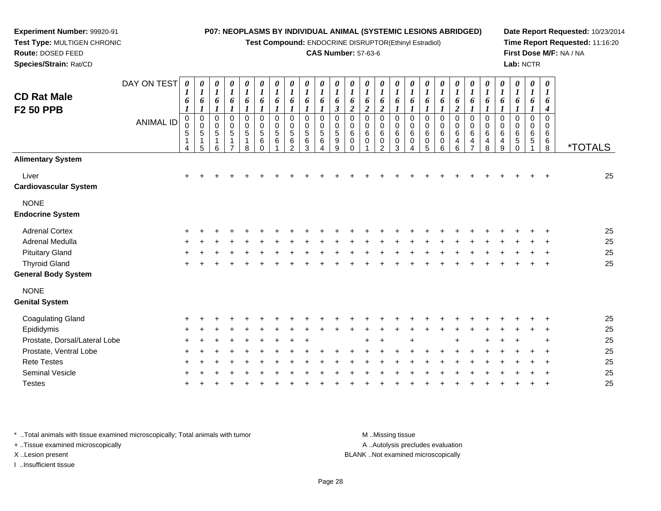**Test Compound:** ENDOCRINE DISRUPTOR(Ethinyl Estradiol)

#### **CAS Number:** 57-63-6

**Date Report Requested:** 10/23/2014**Time Report Requested:** 11:16:20**First Dose M/F:** NA / NA**Lab:** NCTR

| <b>CD Rat Male</b><br><b>F2 50 PPB</b> | DAY ON TEST<br><b>ANIMAL ID</b> | 0<br>$\boldsymbol{l}$<br>6<br>$\boldsymbol{l}$<br>$\mathbf 0$<br>0<br>5<br>1<br>4 | $\boldsymbol{\theta}$<br>$\boldsymbol{l}$<br>6<br>$\boldsymbol{l}$<br>$\pmb{0}$<br>$\pmb{0}$<br>$\,$ 5 $\,$<br>$\mathbf{1}$<br>$\sqrt{5}$ | $\boldsymbol{\theta}$<br>$\boldsymbol{l}$<br>6<br>$\boldsymbol{l}$<br>$\mathbf 0$<br>$\mathbf 0$<br>$\overline{5}$<br>1<br>6 | $\begin{matrix} 0 \\ 1 \end{matrix}$<br>6<br>$\boldsymbol{l}$<br>$\mathbf 0$<br>$\pmb{0}$<br>$\,$ 5 $\,$<br>1<br>7 | $\frac{\theta}{1}$<br>6<br>$\boldsymbol{l}$<br>$\pmb{0}$<br>$\mathbf 0$<br>$\sqrt{5}$<br>$\mathbf{1}$<br>8 | 0<br>$\boldsymbol{l}$<br>6<br>$\boldsymbol{l}$<br>0<br>$\pmb{0}$<br>$\sqrt{5}$<br>6<br>0 | 0<br>$\boldsymbol{l}$<br>6<br>1<br>$\mathbf 0$<br>$\mathbf 0$<br>$\sqrt{5}$<br>6 | 0<br>$\boldsymbol{l}$<br>6<br>1<br>$\mathbf 0$<br>0<br>5<br>6<br>$\mathcal{P}$ | 0<br>$\boldsymbol{l}$<br>6<br>$\bm{l}$<br>$\mathbf 0$<br>0<br>5<br>$\,6$<br>3 | $\boldsymbol{\theta}$<br>$\boldsymbol{l}$<br>6<br>$\boldsymbol{l}$<br>$\mathbf 0$<br>$\mathbf 0$<br>5<br>6 | $\boldsymbol{\theta}$<br>$\boldsymbol{l}$<br>6<br>$\boldsymbol{\beta}$<br>$\mathbf 0$<br>$\mathbf 0$<br>$\,$ 5 $\,$<br>$\boldsymbol{9}$<br>$\boldsymbol{9}$ | 0<br>$\boldsymbol{l}$<br>6<br>$\overline{\mathbf{c}}$<br>$\mathbf 0$<br>0<br>6<br>$\pmb{0}$<br>$\Omega$ | 0<br>$\boldsymbol{l}$<br>6<br>$\boldsymbol{2}$<br>0<br>$\pmb{0}$<br>6<br>$\pmb{0}$ | $\boldsymbol{\theta}$<br>$\boldsymbol{l}$<br>6<br>$\boldsymbol{2}$<br>$\mathbf 0$<br>$\mathbf 0$<br>$\,6$<br>$\pmb{0}$<br>$\overline{2}$ | 0<br>$\boldsymbol{l}$<br>6<br>$\mathbf 0$<br>$\pmb{0}$<br>$\,6\,$<br>$\mathbf 0$<br>3 | $\boldsymbol{\theta}$<br>$\boldsymbol{l}$<br>6<br>$\boldsymbol{l}$<br>$\mathbf 0$<br>0<br>$\,6\,$<br>0<br>4 | 0<br>$\boldsymbol{l}$<br>6<br>$\boldsymbol{l}$<br>$\mathbf 0$<br>0<br>6<br>0<br>5 | $\boldsymbol{\theta}$<br>$\boldsymbol{l}$<br>6<br>1<br>$\pmb{0}$<br>0<br>6<br>0<br>6 | $\frac{\theta}{I}$<br>6<br>$\boldsymbol{2}$<br>0<br>$\mathbf 0$<br>6<br>4<br>6 | $\boldsymbol{\theta}$<br>$\boldsymbol{l}$<br>6<br>$\boldsymbol{l}$<br>$\pmb{0}$<br>$\pmb{0}$<br>$\,6\,$<br>$\overline{4}$<br>$\overline{7}$ | 0<br>$\boldsymbol{l}$<br>6<br>$\boldsymbol{l}$<br>$\mathbf 0$<br>$\mathbf 0$<br>6<br>4<br>8 | $\frac{\theta}{I}$<br>6<br>$\boldsymbol{l}$<br>$\pmb{0}$<br>0<br>6<br>4<br>$\boldsymbol{9}$ | $\frac{\theta}{I}$<br>6<br>$\boldsymbol{l}$<br>0<br>0<br>$\,6$<br>$\sqrt{5}$<br>0 | 0<br>$\boldsymbol{l}$<br>6<br>1<br>0<br>0<br>$\,6\,$<br>5 | $\boldsymbol{\theta}$<br>$\boldsymbol{l}$<br>6<br>$\boldsymbol{4}$<br>$\mathbf 0$<br>$\mathbf 0$<br>$\,6\,$<br>6<br>$\,8\,$ | <i><b>*TOTALS</b></i> |
|----------------------------------------|---------------------------------|-----------------------------------------------------------------------------------|-------------------------------------------------------------------------------------------------------------------------------------------|------------------------------------------------------------------------------------------------------------------------------|--------------------------------------------------------------------------------------------------------------------|------------------------------------------------------------------------------------------------------------|------------------------------------------------------------------------------------------|----------------------------------------------------------------------------------|--------------------------------------------------------------------------------|-------------------------------------------------------------------------------|------------------------------------------------------------------------------------------------------------|-------------------------------------------------------------------------------------------------------------------------------------------------------------|---------------------------------------------------------------------------------------------------------|------------------------------------------------------------------------------------|------------------------------------------------------------------------------------------------------------------------------------------|---------------------------------------------------------------------------------------|-------------------------------------------------------------------------------------------------------------|-----------------------------------------------------------------------------------|--------------------------------------------------------------------------------------|--------------------------------------------------------------------------------|---------------------------------------------------------------------------------------------------------------------------------------------|---------------------------------------------------------------------------------------------|---------------------------------------------------------------------------------------------|-----------------------------------------------------------------------------------|-----------------------------------------------------------|-----------------------------------------------------------------------------------------------------------------------------|-----------------------|
| <b>Alimentary System</b>               |                                 |                                                                                   |                                                                                                                                           |                                                                                                                              |                                                                                                                    |                                                                                                            |                                                                                          |                                                                                  |                                                                                |                                                                               |                                                                                                            |                                                                                                                                                             |                                                                                                         |                                                                                    |                                                                                                                                          |                                                                                       |                                                                                                             |                                                                                   |                                                                                      |                                                                                |                                                                                                                                             |                                                                                             |                                                                                             |                                                                                   |                                                           |                                                                                                                             |                       |
| Liver<br><b>Cardiovascular System</b>  |                                 | $\ddot{}$                                                                         |                                                                                                                                           |                                                                                                                              |                                                                                                                    |                                                                                                            |                                                                                          |                                                                                  |                                                                                |                                                                               |                                                                                                            |                                                                                                                                                             |                                                                                                         |                                                                                    |                                                                                                                                          |                                                                                       |                                                                                                             |                                                                                   |                                                                                      |                                                                                |                                                                                                                                             |                                                                                             |                                                                                             |                                                                                   |                                                           |                                                                                                                             | 25                    |
| <b>NONE</b><br><b>Endocrine System</b> |                                 |                                                                                   |                                                                                                                                           |                                                                                                                              |                                                                                                                    |                                                                                                            |                                                                                          |                                                                                  |                                                                                |                                                                               |                                                                                                            |                                                                                                                                                             |                                                                                                         |                                                                                    |                                                                                                                                          |                                                                                       |                                                                                                             |                                                                                   |                                                                                      |                                                                                |                                                                                                                                             |                                                                                             |                                                                                             |                                                                                   |                                                           |                                                                                                                             |                       |
| <b>Adrenal Cortex</b>                  |                                 |                                                                                   |                                                                                                                                           |                                                                                                                              |                                                                                                                    |                                                                                                            |                                                                                          |                                                                                  |                                                                                |                                                                               |                                                                                                            |                                                                                                                                                             |                                                                                                         |                                                                                    |                                                                                                                                          |                                                                                       |                                                                                                             |                                                                                   |                                                                                      |                                                                                |                                                                                                                                             |                                                                                             |                                                                                             |                                                                                   |                                                           |                                                                                                                             | 25                    |
| Adrenal Medulla                        |                                 |                                                                                   |                                                                                                                                           |                                                                                                                              |                                                                                                                    |                                                                                                            |                                                                                          |                                                                                  |                                                                                |                                                                               |                                                                                                            |                                                                                                                                                             |                                                                                                         |                                                                                    |                                                                                                                                          |                                                                                       |                                                                                                             |                                                                                   |                                                                                      |                                                                                |                                                                                                                                             |                                                                                             |                                                                                             |                                                                                   |                                                           |                                                                                                                             | 25                    |
| <b>Pituitary Gland</b>                 |                                 |                                                                                   |                                                                                                                                           |                                                                                                                              |                                                                                                                    |                                                                                                            |                                                                                          |                                                                                  |                                                                                |                                                                               |                                                                                                            |                                                                                                                                                             |                                                                                                         |                                                                                    |                                                                                                                                          |                                                                                       |                                                                                                             |                                                                                   |                                                                                      |                                                                                |                                                                                                                                             |                                                                                             |                                                                                             |                                                                                   |                                                           |                                                                                                                             | 25                    |
| <b>Thyroid Gland</b>                   |                                 |                                                                                   |                                                                                                                                           |                                                                                                                              |                                                                                                                    |                                                                                                            |                                                                                          |                                                                                  |                                                                                |                                                                               |                                                                                                            |                                                                                                                                                             |                                                                                                         |                                                                                    |                                                                                                                                          |                                                                                       |                                                                                                             |                                                                                   |                                                                                      |                                                                                |                                                                                                                                             |                                                                                             |                                                                                             |                                                                                   |                                                           |                                                                                                                             | 25                    |
| <b>General Body System</b>             |                                 |                                                                                   |                                                                                                                                           |                                                                                                                              |                                                                                                                    |                                                                                                            |                                                                                          |                                                                                  |                                                                                |                                                                               |                                                                                                            |                                                                                                                                                             |                                                                                                         |                                                                                    |                                                                                                                                          |                                                                                       |                                                                                                             |                                                                                   |                                                                                      |                                                                                |                                                                                                                                             |                                                                                             |                                                                                             |                                                                                   |                                                           |                                                                                                                             |                       |
| <b>NONE</b>                            |                                 |                                                                                   |                                                                                                                                           |                                                                                                                              |                                                                                                                    |                                                                                                            |                                                                                          |                                                                                  |                                                                                |                                                                               |                                                                                                            |                                                                                                                                                             |                                                                                                         |                                                                                    |                                                                                                                                          |                                                                                       |                                                                                                             |                                                                                   |                                                                                      |                                                                                |                                                                                                                                             |                                                                                             |                                                                                             |                                                                                   |                                                           |                                                                                                                             |                       |
| <b>Genital System</b>                  |                                 |                                                                                   |                                                                                                                                           |                                                                                                                              |                                                                                                                    |                                                                                                            |                                                                                          |                                                                                  |                                                                                |                                                                               |                                                                                                            |                                                                                                                                                             |                                                                                                         |                                                                                    |                                                                                                                                          |                                                                                       |                                                                                                             |                                                                                   |                                                                                      |                                                                                |                                                                                                                                             |                                                                                             |                                                                                             |                                                                                   |                                                           |                                                                                                                             |                       |
| <b>Coagulating Gland</b>               |                                 |                                                                                   |                                                                                                                                           |                                                                                                                              |                                                                                                                    |                                                                                                            |                                                                                          |                                                                                  |                                                                                |                                                                               |                                                                                                            |                                                                                                                                                             |                                                                                                         |                                                                                    |                                                                                                                                          |                                                                                       |                                                                                                             |                                                                                   |                                                                                      |                                                                                |                                                                                                                                             |                                                                                             |                                                                                             |                                                                                   |                                                           |                                                                                                                             | 25                    |
| Epididymis                             |                                 |                                                                                   |                                                                                                                                           |                                                                                                                              |                                                                                                                    |                                                                                                            |                                                                                          |                                                                                  |                                                                                |                                                                               |                                                                                                            |                                                                                                                                                             |                                                                                                         |                                                                                    |                                                                                                                                          |                                                                                       |                                                                                                             |                                                                                   |                                                                                      |                                                                                |                                                                                                                                             |                                                                                             |                                                                                             |                                                                                   |                                                           |                                                                                                                             | 25                    |
| Prostate, Dorsal/Lateral Lobe          |                                 |                                                                                   |                                                                                                                                           |                                                                                                                              |                                                                                                                    |                                                                                                            |                                                                                          |                                                                                  |                                                                                |                                                                               |                                                                                                            |                                                                                                                                                             |                                                                                                         |                                                                                    |                                                                                                                                          |                                                                                       |                                                                                                             |                                                                                   |                                                                                      |                                                                                |                                                                                                                                             |                                                                                             |                                                                                             |                                                                                   |                                                           |                                                                                                                             | 25                    |
| Prostate, Ventral Lobe                 |                                 |                                                                                   |                                                                                                                                           |                                                                                                                              |                                                                                                                    |                                                                                                            |                                                                                          |                                                                                  |                                                                                |                                                                               |                                                                                                            |                                                                                                                                                             |                                                                                                         |                                                                                    |                                                                                                                                          |                                                                                       |                                                                                                             |                                                                                   |                                                                                      |                                                                                |                                                                                                                                             |                                                                                             |                                                                                             |                                                                                   |                                                           |                                                                                                                             | 25                    |
| <b>Rete Testes</b>                     |                                 |                                                                                   |                                                                                                                                           |                                                                                                                              |                                                                                                                    |                                                                                                            |                                                                                          |                                                                                  |                                                                                |                                                                               |                                                                                                            |                                                                                                                                                             |                                                                                                         |                                                                                    |                                                                                                                                          |                                                                                       |                                                                                                             |                                                                                   |                                                                                      |                                                                                |                                                                                                                                             |                                                                                             |                                                                                             |                                                                                   |                                                           |                                                                                                                             | 25                    |
| <b>Seminal Vesicle</b>                 |                                 |                                                                                   |                                                                                                                                           |                                                                                                                              |                                                                                                                    |                                                                                                            |                                                                                          |                                                                                  |                                                                                |                                                                               |                                                                                                            |                                                                                                                                                             |                                                                                                         |                                                                                    |                                                                                                                                          |                                                                                       |                                                                                                             |                                                                                   |                                                                                      |                                                                                |                                                                                                                                             |                                                                                             |                                                                                             |                                                                                   |                                                           |                                                                                                                             | 25                    |
| <b>Testes</b>                          |                                 |                                                                                   |                                                                                                                                           |                                                                                                                              |                                                                                                                    |                                                                                                            |                                                                                          |                                                                                  |                                                                                |                                                                               |                                                                                                            |                                                                                                                                                             |                                                                                                         |                                                                                    |                                                                                                                                          |                                                                                       |                                                                                                             |                                                                                   |                                                                                      |                                                                                |                                                                                                                                             |                                                                                             |                                                                                             |                                                                                   |                                                           |                                                                                                                             | 25                    |

\* ..Total animals with tissue examined microscopically; Total animals with tumor **M** . Missing tissue M ..Missing tissue

+ ..Tissue examined microscopically

**Experiment Number:** 99920-91**Test Type:** MULTIGEN CHRONIC

**Route:** DOSED FEED**Species/Strain:** Rat/CD

I ..Insufficient tissue

A ..Autolysis precludes evaluation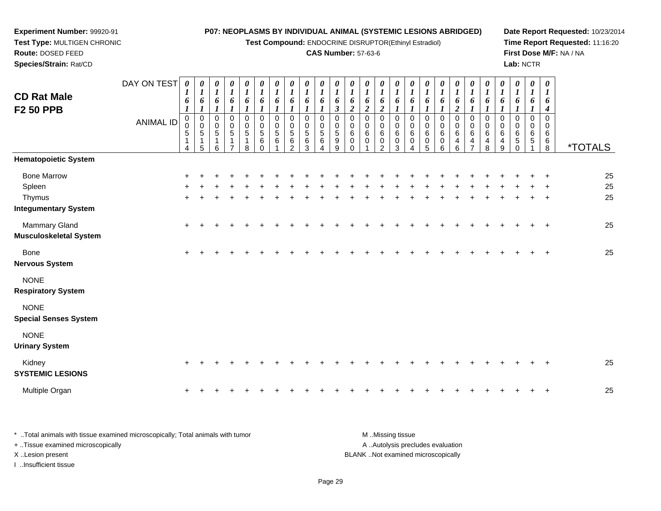**Test Compound:** ENDOCRINE DISRUPTOR(Ethinyl Estradiol)

<sup>+</sup> <sup>+</sup> <sup>+</sup> <sup>+</sup> <sup>+</sup> <sup>+</sup> <sup>+</sup> <sup>+</sup> <sup>+</sup> <sup>+</sup> <sup>+</sup> <sup>+</sup> <sup>+</sup> <sup>+</sup> <sup>+</sup> <sup>+</sup> <sup>+</sup> <sup>+</sup> <sup>+</sup> <sup>+</sup> <sup>+</sup> <sup>+</sup> <sup>+</sup> <sup>+</sup> <sup>25</sup>

<sup>+</sup> <sup>+</sup> <sup>+</sup> <sup>+</sup> <sup>+</sup> <sup>+</sup> <sup>+</sup> <sup>+</sup> <sup>+</sup> <sup>+</sup> <sup>+</sup> <sup>+</sup> <sup>+</sup> <sup>+</sup> <sup>+</sup> <sup>+</sup> <sup>+</sup> <sup>+</sup> <sup>+</sup> <sup>+</sup> <sup>+</sup> <sup>+</sup> <sup>+</sup> <sup>+</sup> <sup>25</sup>

**Date Report Requested:** 10/23/2014**Time Report Requested:** 11:16:20**First Dose M/F:** NA / NA**Lab:** NCTR

| Route: DOSED FEED<br>Species/Strain: Rat/CD |                          |                                      |                                                                |                                                           |                                                                    |                                                                                     |                                                                                       |                                                                                          |                                                |                                                                         |                                           |                                                     |                                             | <b>CAS Number: 57-63-6</b>                                                                                      |                            |                            |                                                       |                                 |                                                                                       |                                                       |                                                                    |                                           |                            |                       | Lab: NCTR                                                              |                                                                                               | First Dose M/F: NA / NA |
|---------------------------------------------|--------------------------|--------------------------------------|----------------------------------------------------------------|-----------------------------------------------------------|--------------------------------------------------------------------|-------------------------------------------------------------------------------------|---------------------------------------------------------------------------------------|------------------------------------------------------------------------------------------|------------------------------------------------|-------------------------------------------------------------------------|-------------------------------------------|-----------------------------------------------------|---------------------------------------------|-----------------------------------------------------------------------------------------------------------------|----------------------------|----------------------------|-------------------------------------------------------|---------------------------------|---------------------------------------------------------------------------------------|-------------------------------------------------------|--------------------------------------------------------------------|-------------------------------------------|----------------------------|-----------------------|------------------------------------------------------------------------|-----------------------------------------------------------------------------------------------|-------------------------|
| <b>CD Rat Male</b><br><b>F2 50 PPB</b>      | DAY ON TEST<br>ANIMAL ID | $\boldsymbol{\theta}$<br>6<br>5<br>4 | 0<br>$\mathbf{r}$<br>$\mathbf{I}$<br>6<br>0<br>U<br>$5\,$<br>5 | 0<br>6<br>0<br>$\begin{array}{c} 0 \\ 5 \end{array}$<br>6 | $\boldsymbol{\theta}$<br><b>J</b><br>0<br>0<br>5<br>$\overline{ }$ | $\boldsymbol{\theta}$<br>$\mathbf{I}$<br>6<br>$_{\rm 0}^{\rm 0}$<br>$\sqrt{5}$<br>8 | $\boldsymbol{\theta}$<br>$\overline{ }$<br>6<br>0<br>0<br>$\sqrt{5}$<br>6<br>$\Omega$ | $\boldsymbol{\theta}$<br>$\boldsymbol{l}$<br>$\bm{o}$<br>0<br>$\boldsymbol{0}$<br>5<br>6 | $\boldsymbol{\theta}$<br>o<br>0<br>5<br>6<br>ົ | $\boldsymbol{\theta}$<br>$\boldsymbol{l}$<br>$\mathbf 0$<br>5<br>6<br>3 | $\boldsymbol{\theta}$<br>o<br>0<br>5<br>6 | $\boldsymbol{\theta}$<br>O<br>0<br>0<br>5<br>9<br>9 | 0<br>$\mathbf{I}$<br>$\bm{o}$<br>0<br>$\,6$ | $\boldsymbol{\theta}$<br>$\overline{\mathbf{r}}$<br>$\bm{o}$<br>◠<br>0<br>$\mathsf 0$<br>$\,6\,$<br>$\mathbf 0$ | $\boldsymbol{\theta}$<br>6 | 0<br>0<br>0<br>6<br>0<br>3 | $\boldsymbol{\theta}$<br>$\bm{o}$<br>0<br>0<br>6<br>0 | 0<br>o<br>0<br>0<br>6<br>0<br>5 | $\boldsymbol{\theta}$<br>L<br>$\bm{b}$<br>0<br>$\pmb{0}$<br>$\,6\,$<br>$\pmb{0}$<br>6 | $\boldsymbol{\theta}$<br>6<br>$\pmb{0}$<br>$\,6$<br>ี | $\boldsymbol{\theta}$<br>$\bm{o}$<br>0<br>0<br>6<br>$\overline{4}$ | $\boldsymbol{\theta}$<br>6<br>6<br>4<br>R | 0<br>0<br>0<br>6<br>4<br>9 | $\mathbf 0$<br>6<br>5 | $\boldsymbol{\theta}$<br>$\bm{b}$<br>0<br>$\pmb{0}$<br>6<br>$\sqrt{5}$ | $\boldsymbol{\theta}$<br>$\mathbf{I}$<br>6<br>$\boldsymbol{4}$<br>0<br>0<br>6<br>$\,6\,$<br>8 | <i><b>*TOTALS</b></i>   |
| <b>Hematopoietic System</b>                 |                          |                                      |                                                                |                                                           |                                                                    |                                                                                     |                                                                                       |                                                                                          |                                                |                                                                         |                                           |                                                     |                                             |                                                                                                                 |                            |                            |                                                       |                                 |                                                                                       |                                                       |                                                                    |                                           |                            |                       |                                                                        |                                                                                               |                         |
| <b>Bone Marrow</b>                          |                          |                                      |                                                                |                                                           |                                                                    |                                                                                     |                                                                                       |                                                                                          |                                                |                                                                         |                                           |                                                     |                                             |                                                                                                                 |                            |                            |                                                       |                                 |                                                                                       |                                                       |                                                                    |                                           |                            |                       |                                                                        | +                                                                                             | 25                      |
| Spleen                                      |                          | ÷.                                   |                                                                |                                                           |                                                                    |                                                                                     |                                                                                       |                                                                                          |                                                |                                                                         |                                           |                                                     |                                             |                                                                                                                 |                            |                            |                                                       |                                 |                                                                                       |                                                       |                                                                    |                                           | $+$                        |                       |                                                                        | $\div$                                                                                        | 25                      |
| Thymus                                      |                          |                                      |                                                                |                                                           |                                                                    |                                                                                     |                                                                                       |                                                                                          |                                                |                                                                         |                                           |                                                     |                                             |                                                                                                                 |                            |                            |                                                       |                                 |                                                                                       |                                                       |                                                                    |                                           |                            |                       |                                                                        | $+$                                                                                           | 25                      |
| <b>Integumentary System</b>                 |                          |                                      |                                                                |                                                           |                                                                    |                                                                                     |                                                                                       |                                                                                          |                                                |                                                                         |                                           |                                                     |                                             |                                                                                                                 |                            |                            |                                                       |                                 |                                                                                       |                                                       |                                                                    |                                           |                            |                       |                                                                        |                                                                                               |                         |

Mammary Gland

 $\alpha$  + **Musculoskeletal System**

**Experiment Number:** 99920-91**Test Type:** MULTIGEN CHRONIC

Bone $e$  +

**Nervous System**

NONE

**Respiratory System**

NONE

**Special Senses System**

NONE

**Urinary System**

| Kidney<br><b>SYSTEMIC LESIONS</b> |  |  |  |  |  |  |  |  |  |  |  |  |  | 25 |
|-----------------------------------|--|--|--|--|--|--|--|--|--|--|--|--|--|----|
| Multiple Organ                    |  |  |  |  |  |  |  |  |  |  |  |  |  | 25 |

\* ..Total animals with tissue examined microscopically; Total animals with tumor **M** ..Missing tissue M ..Missing tissue A ..Autolysis precludes evaluation + ..Tissue examined microscopically X ..Lesion present BLANK ..Not examined microscopicallyI ..Insufficient tissue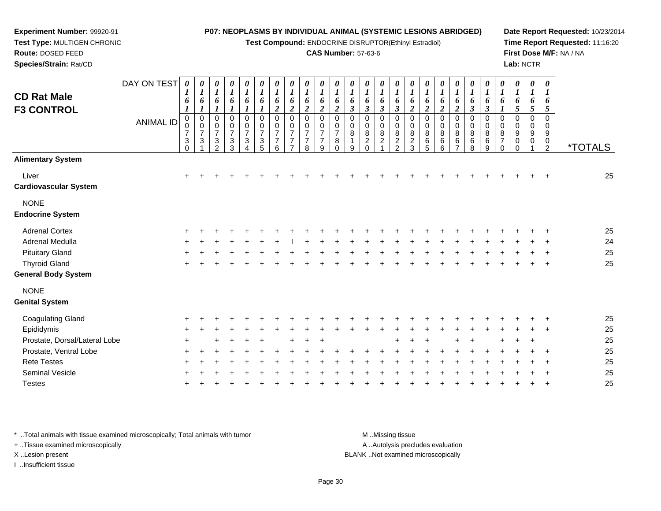**Test Compound:** ENDOCRINE DISRUPTOR(Ethinyl Estradiol)

## **CAS Number:** 57-63-6

**Date Report Requested:** 10/23/2014**Time Report Requested:** 11:16:20**First Dose M/F:** NA / NA**Lab:** NCTR

| <b>CD Rat Male</b><br><b>F3 CONTROL</b> | DAY ON TEST<br>ANIMAL ID | 0<br>6<br>$\pmb{0}$<br>$\mathbf 0$<br>$\overline{7}$<br>3 | $\boldsymbol{\theta}$<br>$\boldsymbol{l}$<br>6<br>$\mathbf 0$<br>$\mathbf 0$<br>$\overline{7}$<br>$\mathbf{3}$ | 0<br>$\boldsymbol{l}$<br>6<br>0<br>0<br>$\overline{7}$<br>$\frac{3}{2}$ | $\boldsymbol{\theta}$<br>$\boldsymbol{l}$<br>6<br>$\mathbf 0$<br>0<br>$\overline{7}$<br>$\mathbf{3}$ | 0<br>$\boldsymbol{l}$<br>6<br>0<br>0<br>$\overline{7}$<br>3 | 0<br>$\boldsymbol{l}$<br>6<br>$\mathbf 0$<br>$\mathsf{O}\xspace$<br>$\overline{7}$<br>$\sqrt{3}$ | 0<br>$\boldsymbol{l}$<br>6<br>$\overline{c}$<br>0<br>0<br>$\overline{7}$<br>$\overline{7}$ | 0<br>$\boldsymbol{l}$<br>6<br>2<br>$\mathbf 0$<br>0<br>$\overline{7}$<br>$\overline{7}$ | 0<br>$\boldsymbol{l}$<br>6<br>$\overline{2}$<br>$\Omega$<br>0<br>$\overline{7}$<br>7 | 0<br>$\boldsymbol{l}$<br>6<br>$\boldsymbol{2}$<br>$\Omega$<br>0<br>$\overline{7}$<br>$\overline{7}$ | 0<br>$\boldsymbol{l}$<br>6<br>$\overline{c}$<br>$\Omega$<br>0<br>$\overline{7}$<br>8 | 0<br>6<br>$\boldsymbol{\beta}$<br>$\Omega$<br>0<br>8 | 0<br>6<br>$\boldsymbol{\beta}$<br>$\Omega$<br>0<br>$\bf 8$<br>$\overline{c}$ | 0<br>1<br>6<br>$\boldsymbol{\beta}$<br>$\Omega$<br>0<br>$\,8\,$<br>$\sqrt{2}$ | 0<br>$\boldsymbol{l}$<br>6<br>3<br>$\mathbf 0$<br>0<br>$\bf 8$<br>$\frac{2}{2}$ | 0<br>$\boldsymbol{l}$<br>6<br>$\overline{2}$<br>$\mathbf 0$<br>0<br>8<br>$\overline{c}$ | 0<br>$\boldsymbol{l}$<br>6<br>$\overline{2}$<br>$\mathbf 0$<br>0<br>8<br>6 | 0<br>$\boldsymbol{l}$<br>6<br>$\boldsymbol{2}$<br>$\mathbf 0$<br>0<br>8<br>$\,6$ | 0<br>1<br>6<br>$\boldsymbol{2}$<br>$\mathbf 0$<br>0<br>8<br>6 | 0<br>6<br>$\boldsymbol{\beta}$<br>$\mathbf 0$<br>0<br>8<br>$\,6$ | 0<br>6<br>3<br>$\mathbf 0$<br>0<br>8<br>$\,6$ | 0<br>1<br>6<br>$\Omega$<br>0<br>8<br>$\overline{7}$ | 0<br>$\boldsymbol{l}$<br>6<br>5<br>$\mathbf 0$<br>0<br>9<br>0 | $\boldsymbol{\theta}$<br>$\boldsymbol{l}$<br>6<br>$\sqrt{5}$<br>$\mathbf 0$<br>0<br>9<br>0 | 0<br>1<br>6<br>$\mathfrak{H}$<br>$\Omega$<br>0<br>9<br>0 |                       |
|-----------------------------------------|--------------------------|-----------------------------------------------------------|----------------------------------------------------------------------------------------------------------------|-------------------------------------------------------------------------|------------------------------------------------------------------------------------------------------|-------------------------------------------------------------|--------------------------------------------------------------------------------------------------|--------------------------------------------------------------------------------------------|-----------------------------------------------------------------------------------------|--------------------------------------------------------------------------------------|-----------------------------------------------------------------------------------------------------|--------------------------------------------------------------------------------------|------------------------------------------------------|------------------------------------------------------------------------------|-------------------------------------------------------------------------------|---------------------------------------------------------------------------------|-----------------------------------------------------------------------------------------|----------------------------------------------------------------------------|----------------------------------------------------------------------------------|---------------------------------------------------------------|------------------------------------------------------------------|-----------------------------------------------|-----------------------------------------------------|---------------------------------------------------------------|--------------------------------------------------------------------------------------------|----------------------------------------------------------|-----------------------|
| <b>Alimentary System</b>                |                          | $\Omega$                                                  |                                                                                                                |                                                                         | 3                                                                                                    |                                                             | 5                                                                                                | 6                                                                                          | $\overline{7}$                                                                          | 8                                                                                    | 9                                                                                                   | $\Omega$                                                                             | 9                                                    | $\Omega$                                                                     |                                                                               |                                                                                 | 3                                                                                       | 5                                                                          | 6                                                                                | $\overline{7}$                                                | 8                                                                | 9                                             | $\Omega$                                            | $\Omega$                                                      |                                                                                            | $\overline{2}$                                           | <i><b>*TOTALS</b></i> |
|                                         |                          |                                                           |                                                                                                                |                                                                         |                                                                                                      |                                                             |                                                                                                  |                                                                                            |                                                                                         |                                                                                      |                                                                                                     |                                                                                      |                                                      |                                                                              |                                                                               |                                                                                 |                                                                                         |                                                                            |                                                                                  |                                                               |                                                                  |                                               |                                                     |                                                               |                                                                                            |                                                          |                       |
| Liver<br><b>Cardiovascular System</b>   |                          | $\ddot{}$                                                 |                                                                                                                |                                                                         |                                                                                                      |                                                             |                                                                                                  |                                                                                            |                                                                                         |                                                                                      |                                                                                                     |                                                                                      |                                                      |                                                                              |                                                                               |                                                                                 |                                                                                         |                                                                            |                                                                                  |                                                               |                                                                  |                                               |                                                     |                                                               |                                                                                            |                                                          | 25                    |
| <b>NONE</b>                             |                          |                                                           |                                                                                                                |                                                                         |                                                                                                      |                                                             |                                                                                                  |                                                                                            |                                                                                         |                                                                                      |                                                                                                     |                                                                                      |                                                      |                                                                              |                                                                               |                                                                                 |                                                                                         |                                                                            |                                                                                  |                                                               |                                                                  |                                               |                                                     |                                                               |                                                                                            |                                                          |                       |
| <b>Endocrine System</b>                 |                          |                                                           |                                                                                                                |                                                                         |                                                                                                      |                                                             |                                                                                                  |                                                                                            |                                                                                         |                                                                                      |                                                                                                     |                                                                                      |                                                      |                                                                              |                                                                               |                                                                                 |                                                                                         |                                                                            |                                                                                  |                                                               |                                                                  |                                               |                                                     |                                                               |                                                                                            |                                                          |                       |
| <b>Adrenal Cortex</b>                   |                          |                                                           |                                                                                                                |                                                                         |                                                                                                      |                                                             |                                                                                                  |                                                                                            |                                                                                         |                                                                                      |                                                                                                     |                                                                                      |                                                      |                                                                              |                                                                               |                                                                                 |                                                                                         |                                                                            |                                                                                  |                                                               |                                                                  |                                               |                                                     |                                                               |                                                                                            |                                                          | 25                    |
| Adrenal Medulla                         |                          |                                                           |                                                                                                                |                                                                         |                                                                                                      |                                                             |                                                                                                  |                                                                                            |                                                                                         |                                                                                      |                                                                                                     |                                                                                      |                                                      |                                                                              |                                                                               |                                                                                 |                                                                                         |                                                                            |                                                                                  |                                                               |                                                                  |                                               |                                                     |                                                               |                                                                                            |                                                          | 24                    |
| <b>Pituitary Gland</b>                  |                          |                                                           |                                                                                                                |                                                                         |                                                                                                      |                                                             |                                                                                                  |                                                                                            |                                                                                         |                                                                                      |                                                                                                     |                                                                                      |                                                      |                                                                              |                                                                               |                                                                                 |                                                                                         |                                                                            |                                                                                  |                                                               |                                                                  |                                               |                                                     |                                                               |                                                                                            |                                                          | 25                    |
| <b>Thyroid Gland</b>                    |                          |                                                           |                                                                                                                |                                                                         |                                                                                                      |                                                             |                                                                                                  |                                                                                            |                                                                                         |                                                                                      |                                                                                                     |                                                                                      |                                                      |                                                                              |                                                                               |                                                                                 |                                                                                         |                                                                            |                                                                                  |                                                               |                                                                  |                                               |                                                     |                                                               |                                                                                            |                                                          | 25                    |
| <b>General Body System</b>              |                          |                                                           |                                                                                                                |                                                                         |                                                                                                      |                                                             |                                                                                                  |                                                                                            |                                                                                         |                                                                                      |                                                                                                     |                                                                                      |                                                      |                                                                              |                                                                               |                                                                                 |                                                                                         |                                                                            |                                                                                  |                                                               |                                                                  |                                               |                                                     |                                                               |                                                                                            |                                                          |                       |
| <b>NONE</b>                             |                          |                                                           |                                                                                                                |                                                                         |                                                                                                      |                                                             |                                                                                                  |                                                                                            |                                                                                         |                                                                                      |                                                                                                     |                                                                                      |                                                      |                                                                              |                                                                               |                                                                                 |                                                                                         |                                                                            |                                                                                  |                                                               |                                                                  |                                               |                                                     |                                                               |                                                                                            |                                                          |                       |
| <b>Genital System</b>                   |                          |                                                           |                                                                                                                |                                                                         |                                                                                                      |                                                             |                                                                                                  |                                                                                            |                                                                                         |                                                                                      |                                                                                                     |                                                                                      |                                                      |                                                                              |                                                                               |                                                                                 |                                                                                         |                                                                            |                                                                                  |                                                               |                                                                  |                                               |                                                     |                                                               |                                                                                            |                                                          |                       |
| <b>Coagulating Gland</b>                |                          |                                                           |                                                                                                                |                                                                         |                                                                                                      |                                                             |                                                                                                  |                                                                                            |                                                                                         |                                                                                      |                                                                                                     |                                                                                      |                                                      |                                                                              |                                                                               |                                                                                 |                                                                                         |                                                                            |                                                                                  |                                                               |                                                                  |                                               |                                                     |                                                               |                                                                                            |                                                          | 25                    |
| Epididymis                              |                          |                                                           |                                                                                                                |                                                                         |                                                                                                      |                                                             |                                                                                                  |                                                                                            |                                                                                         |                                                                                      |                                                                                                     |                                                                                      |                                                      |                                                                              |                                                                               |                                                                                 |                                                                                         |                                                                            |                                                                                  |                                                               |                                                                  |                                               |                                                     |                                                               |                                                                                            |                                                          | 25                    |
| Prostate, Dorsal/Lateral Lobe           |                          |                                                           |                                                                                                                |                                                                         |                                                                                                      |                                                             |                                                                                                  |                                                                                            |                                                                                         |                                                                                      |                                                                                                     |                                                                                      |                                                      |                                                                              |                                                                               |                                                                                 |                                                                                         |                                                                            |                                                                                  |                                                               |                                                                  |                                               |                                                     |                                                               |                                                                                            |                                                          | 25                    |
| Prostate, Ventral Lobe                  |                          |                                                           |                                                                                                                |                                                                         |                                                                                                      |                                                             |                                                                                                  |                                                                                            |                                                                                         |                                                                                      |                                                                                                     |                                                                                      |                                                      |                                                                              |                                                                               |                                                                                 |                                                                                         |                                                                            |                                                                                  |                                                               |                                                                  |                                               |                                                     |                                                               |                                                                                            |                                                          | 25                    |
| <b>Rete Testes</b>                      |                          |                                                           |                                                                                                                |                                                                         |                                                                                                      |                                                             |                                                                                                  |                                                                                            |                                                                                         |                                                                                      |                                                                                                     |                                                                                      |                                                      |                                                                              |                                                                               |                                                                                 |                                                                                         |                                                                            |                                                                                  |                                                               |                                                                  |                                               |                                                     |                                                               |                                                                                            |                                                          | 25                    |
| Seminal Vesicle                         |                          |                                                           |                                                                                                                |                                                                         |                                                                                                      |                                                             |                                                                                                  |                                                                                            |                                                                                         |                                                                                      |                                                                                                     |                                                                                      |                                                      |                                                                              |                                                                               |                                                                                 |                                                                                         |                                                                            |                                                                                  |                                                               |                                                                  |                                               |                                                     |                                                               |                                                                                            |                                                          | 25                    |
| <b>Testes</b>                           |                          |                                                           |                                                                                                                |                                                                         |                                                                                                      |                                                             |                                                                                                  |                                                                                            |                                                                                         |                                                                                      |                                                                                                     |                                                                                      |                                                      |                                                                              |                                                                               |                                                                                 |                                                                                         |                                                                            |                                                                                  |                                                               |                                                                  |                                               |                                                     |                                                               |                                                                                            |                                                          | 25                    |

\* ..Total animals with tissue examined microscopically; Total animals with tumor **M** ...Missing tissue M ...Missing tissue

+ ..Tissue examined microscopically

**Experiment Number:** 99920-91**Test Type:** MULTIGEN CHRONIC

**Route:** DOSED FEED**Species/Strain:** Rat/CD

I ..Insufficient tissue

A ..Autolysis precludes evaluation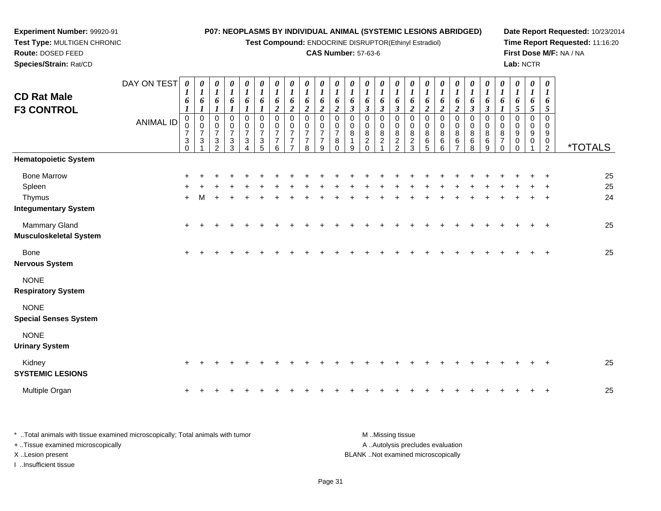**Test Compound:** ENDOCRINE DISRUPTOR(Ethinyl Estradiol)

#### **CAS Number:** 57-63-6

**Date Report Requested:** 10/23/2014**Time Report Requested:** 11:16:20**First Dose M/F:** NA / NA**Lab:** NCTR

| <b>CD Rat Male</b><br><b>F3 CONTROL</b>     | DAY ON TEST      | 0<br>1<br>6<br>1                     | 0<br>1<br>6<br>1                                     | 0<br>$\boldsymbol{l}$<br>6                      | 0<br>$\boldsymbol{l}$<br>6<br>$\boldsymbol{l}$                       | 0<br>$\boldsymbol{l}$<br>6<br>$\boldsymbol{l}$ | 0<br>$\boldsymbol{l}$<br>6<br>1         | 0<br>$\boldsymbol{l}$<br>6<br>$\overline{a}$            | 0<br>$\boldsymbol{l}$<br>6<br>$\overline{2}$         | 0<br>$\boldsymbol{l}$<br>6<br>$\boldsymbol{2}$  | 0<br>$\boldsymbol{l}$<br>6<br>$\overline{2}$              | 0<br>$\boldsymbol{l}$<br>6<br>$\overline{2}$ | 0<br>$\boldsymbol{l}$<br>6<br>$\mathfrak{z}$ | 0<br>$\boldsymbol{l}$<br>6<br>$\mathfrak{z}$              | 0<br>$\boldsymbol{l}$<br>6<br>$\mathfrak{z}$  | 0<br>$\boldsymbol{l}$<br>6<br>$\boldsymbol{\beta}$ | 0<br>$\boldsymbol{l}$<br>6<br>$\overline{2}$ | 0<br>$\boldsymbol{l}$<br>6<br>$\boldsymbol{2}$ | 0<br>$\boldsymbol{l}$<br>6<br>$\overline{2}$ | 0<br>$\boldsymbol{l}$<br>6<br>$\boldsymbol{2}$ | 0<br>$\boldsymbol{l}$<br>6<br>$\boldsymbol{\mathfrak{z}}$ | 0<br>$\boldsymbol{l}$<br>6<br>$\boldsymbol{\beta}$ | 0<br>$\boldsymbol{l}$<br>6<br>1                     | 0<br>$\boldsymbol{l}$<br>6<br>5 | 0<br>$\boldsymbol{l}$<br>6<br>5 | 0<br>$\bm{l}$<br>6<br>5             |                       |
|---------------------------------------------|------------------|--------------------------------------|------------------------------------------------------|-------------------------------------------------|----------------------------------------------------------------------|------------------------------------------------|-----------------------------------------|---------------------------------------------------------|------------------------------------------------------|-------------------------------------------------|-----------------------------------------------------------|----------------------------------------------|----------------------------------------------|-----------------------------------------------------------|-----------------------------------------------|----------------------------------------------------|----------------------------------------------|------------------------------------------------|----------------------------------------------|------------------------------------------------|-----------------------------------------------------------|----------------------------------------------------|-----------------------------------------------------|---------------------------------|---------------------------------|-------------------------------------|-----------------------|
|                                             | <b>ANIMAL ID</b> | 0<br>$\overline{7}$<br>3<br>$\Omega$ | $\,0\,$<br>$\,0\,$<br>$\overline{7}$<br>$\mathbf{3}$ | 0<br>0<br>$\overline{7}$<br>3<br>$\mathfrak{p}$ | 0<br>$\pmb{0}$<br>$\boldsymbol{7}$<br>$\ensuremath{\mathsf{3}}$<br>3 | $\mathbf 0$<br>$\,0\,$<br>$\overline{7}$<br>3  | 0<br>$\frac{0}{7}$<br>$\mathbf{3}$<br>5 | $\pmb{0}$<br>0<br>$\overline{7}$<br>$\overline{7}$<br>6 | 0<br>$\mathbf 0$<br>$\overline{7}$<br>$\overline{7}$ | 0<br>0<br>$\overline{7}$<br>$\overline{7}$<br>8 | $\mathbf 0$<br>0<br>$\overline{7}$<br>$\overline{7}$<br>9 | 0<br>0<br>$\overline{7}$<br>8<br>$\Omega$    | 0<br>0<br>8<br>1<br>9                        | 0<br>$\mathbf 0$<br>$\bf 8$<br>$\overline{c}$<br>$\Omega$ | 0<br>$\pmb{0}$<br>$\bf 8$<br>$\boldsymbol{2}$ | 0<br>0<br>8<br>$\overline{c}$<br>$\mathcal{P}$     | 0<br>0<br>8<br>$\boldsymbol{2}$<br>3         | 0<br>0<br>8<br>6<br>5                          | $\pmb{0}$<br>0<br>8<br>6<br>6                | 0<br>$\pmb{0}$<br>8<br>6                       | 0<br>$\pmb{0}$<br>$^8_6$<br>8                             | 0<br>0<br>8<br>6<br>9                              | 0<br>$\mathbf 0$<br>8<br>$\overline{7}$<br>$\Omega$ | 0<br>0<br>9<br>0<br>$\Omega$    | 0<br>0<br>9<br>0                | $\Omega$<br>$\Omega$<br>9<br>0<br>2 | <i><b>*TOTALS</b></i> |
| <b>Hematopoietic System</b>                 |                  |                                      |                                                      |                                                 |                                                                      |                                                |                                         |                                                         |                                                      |                                                 |                                                           |                                              |                                              |                                                           |                                               |                                                    |                                              |                                                |                                              |                                                |                                                           |                                                    |                                                     |                                 |                                 |                                     |                       |
| <b>Bone Marrow</b><br>Spleen<br>Thymus      |                  |                                      |                                                      |                                                 |                                                                      |                                                |                                         |                                                         |                                                      |                                                 |                                                           |                                              |                                              |                                                           |                                               |                                                    |                                              |                                                |                                              |                                                |                                                           |                                                    |                                                     |                                 |                                 |                                     | 25<br>25<br>24        |
| <b>Integumentary System</b>                 |                  | $\ddot{}$                            |                                                      |                                                 |                                                                      |                                                |                                         |                                                         |                                                      |                                                 |                                                           |                                              |                                              |                                                           |                                               |                                                    |                                              |                                                |                                              |                                                |                                                           |                                                    |                                                     |                                 |                                 |                                     |                       |
| Mammary Gland<br>Musculoskeletal System     |                  | $+$                                  |                                                      |                                                 |                                                                      |                                                |                                         |                                                         |                                                      |                                                 |                                                           |                                              |                                              |                                                           |                                               |                                                    |                                              |                                                |                                              |                                                |                                                           |                                                    |                                                     |                                 |                                 | $\ddot{}$                           | 25                    |
| <b>Bone</b><br>Nervous System               |                  | $+$                                  |                                                      |                                                 |                                                                      |                                                |                                         |                                                         |                                                      |                                                 |                                                           |                                              |                                              |                                                           |                                               |                                                    |                                              |                                                |                                              |                                                |                                                           |                                                    |                                                     |                                 |                                 |                                     | 25                    |
| <b>NONE</b><br><b>Respiratory System</b>    |                  |                                      |                                                      |                                                 |                                                                      |                                                |                                         |                                                         |                                                      |                                                 |                                                           |                                              |                                              |                                                           |                                               |                                                    |                                              |                                                |                                              |                                                |                                                           |                                                    |                                                     |                                 |                                 |                                     |                       |
| <b>NONE</b><br><b>Special Senses System</b> |                  |                                      |                                                      |                                                 |                                                                      |                                                |                                         |                                                         |                                                      |                                                 |                                                           |                                              |                                              |                                                           |                                               |                                                    |                                              |                                                |                                              |                                                |                                                           |                                                    |                                                     |                                 |                                 |                                     |                       |
| <b>NONE</b><br><b>Urinary System</b>        |                  |                                      |                                                      |                                                 |                                                                      |                                                |                                         |                                                         |                                                      |                                                 |                                                           |                                              |                                              |                                                           |                                               |                                                    |                                              |                                                |                                              |                                                |                                                           |                                                    |                                                     |                                 |                                 |                                     |                       |
| Kidney<br><b>SYSTEMIC LESIONS</b>           |                  | $^+$                                 |                                                      |                                                 |                                                                      |                                                |                                         |                                                         |                                                      |                                                 |                                                           |                                              |                                              |                                                           |                                               |                                                    |                                              |                                                |                                              |                                                |                                                           |                                                    |                                                     |                                 |                                 | $\ddot{}$                           | 25                    |
| Multiple Organ                              |                  | $\ddot{}$                            |                                                      |                                                 |                                                                      |                                                |                                         |                                                         |                                                      |                                                 |                                                           |                                              |                                              |                                                           |                                               |                                                    |                                              |                                                |                                              |                                                |                                                           |                                                    |                                                     |                                 |                                 |                                     | 25                    |
|                                             |                  |                                      |                                                      |                                                 |                                                                      |                                                |                                         |                                                         |                                                      |                                                 |                                                           |                                              |                                              |                                                           |                                               |                                                    |                                              |                                                |                                              |                                                |                                                           |                                                    |                                                     |                                 |                                 |                                     |                       |

\* ..Total animals with tissue examined microscopically; Total animals with tumor **M** ...Missing tissue M ...Missing tissue A ..Autolysis precludes evaluation + ..Tissue examined microscopically X ..Lesion present BLANK ..Not examined microscopicallyI ..Insufficient tissue

**Experiment Number:** 99920-91**Test Type:** MULTIGEN CHRONIC

**Route:** DOSED FEED**Species/Strain:** Rat/CD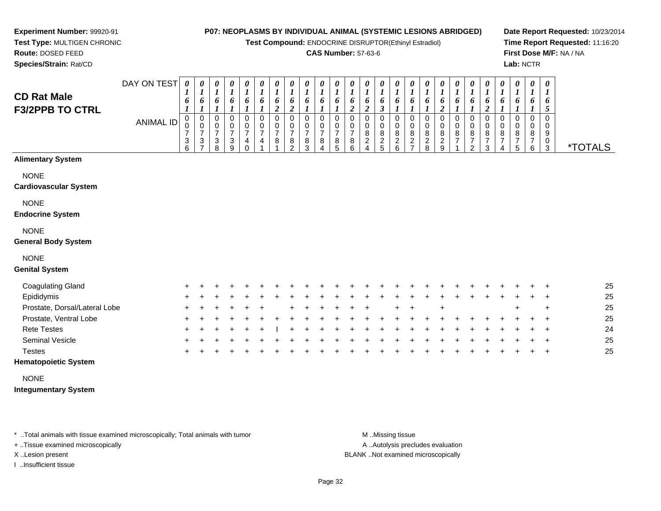**Test Compound:** ENDOCRINE DISRUPTOR(Ethinyl Estradiol)

#### **CAS Number:** 57-63-6

**Date Report Requested:** 10/23/2014**Time Report Requested:** 11:16:20**First Dose M/F:** NA / NA**Lab:** NCTR

**Experiment Number:** 99920-91 **Test Type:** MULTIGEN CHRONIC**Route:** DOSED FEED

**Species/Strain:** Rat/CD

|                                              | DAY ON TEST | 0      | 0<br>$\overline{ }$      | 0                        | $\boldsymbol{\theta}$<br>$\boldsymbol{l}$ | $\boldsymbol{\theta}$                        | $\boldsymbol{\theta}$    | 0<br><sup>T</sup>              | $\boldsymbol{\theta}$ | $\boldsymbol{\theta}$ | 0                   | $\boldsymbol{\theta}$              | $\boldsymbol{\theta}$    | $\boldsymbol{\theta}$                             | $\theta$              | $\boldsymbol{\theta}$ |                         | $\boldsymbol{\theta}$        | $\theta$            | $\boldsymbol{\theta}$<br>$\mathbf{I}$ | 0                                | 0      | 0      | 0                   | 0      | $\boldsymbol{\theta}$<br>$\mathbf{I}$ |                       |
|----------------------------------------------|-------------|--------|--------------------------|--------------------------|-------------------------------------------|----------------------------------------------|--------------------------|--------------------------------|-----------------------|-----------------------|---------------------|------------------------------------|--------------------------|---------------------------------------------------|-----------------------|-----------------------|-------------------------|------------------------------|---------------------|---------------------------------------|----------------------------------|--------|--------|---------------------|--------|---------------------------------------|-----------------------|
| <b>CD Rat Male</b><br><b>F3/2PPB TO CTRL</b> |             | 6      | 6                        | 6                        | 6                                         | 6                                            | 6                        | 6<br>↑<br>◢                    | 6<br>◢                | $\bm{o}$              | 6                   | 6                                  | 6<br>∠                   | $\bm{o}$                                          | 6                     | 6                     |                         | $\bm{o}$                     | 6                   | 6                                     | 6                                | 6      | 6      | 6                   | 6      | 6                                     |                       |
|                                              | ANIMAL ID   | v      | 0<br>0<br>$\overline{ }$ | 0<br>0<br>$\overline{ }$ | 0<br>0<br>$\overline{ }$                  | 0<br>$\mathbf 0$<br>$\overline{\phantom{0}}$ | 0<br>0<br>$\overline{ }$ | 0<br>$\,0\,$<br>$\overline{ }$ | 0<br>$\overline{ }$   | U<br>$\overline{ }$   | 0<br>$\frac{0}{7}$  | 0<br>$\mathbf 0$<br>$\overline{ }$ | 0<br>0<br>$\overline{ }$ | U<br>U<br>8                                       | 0<br>0<br>8           | 0<br>0<br>$\bf 8$     | 0<br>8                  | U<br>8                       | 0<br>8              | U<br>0<br>8                           | 0<br>8                           | U<br>8 | 0<br>8 | 0<br>8              | 0<br>8 | 0<br>0<br>9                           |                       |
|                                              |             | 3<br>6 | $\frac{3}{7}$            | 3<br>8                   | 3<br>9                                    | 4                                            | 4                        | 8                              | 8<br>$\mathcal{D}$    | $\bf 8$<br>3          | 8<br>$\overline{A}$ | 8<br>5                             | 8<br>6                   | $\overline{\mathbf{c}}$<br>$\boldsymbol{\Lambda}$ | $\boldsymbol{2}$<br>5 | $\boldsymbol{2}$<br>6 | $\overline{\mathbf{c}}$ | $\overline{\mathbf{c}}$<br>8 | $\overline{c}$<br>9 | $\overline{\phantom{0}}$              | $\overline{7}$<br>$\mathfrak{p}$ | 3      |        | $\overline{ }$<br>5 | 7<br>6 | 0<br>3                                | <i><b>*TOTALS</b></i> |
| <b>Alimentary System</b>                     |             |        |                          |                          |                                           |                                              |                          |                                |                       |                       |                     |                                    |                          |                                                   |                       |                       |                         |                              |                     |                                       |                                  |        |        |                     |        |                                       |                       |
| <b>NONE</b><br><b>Cardiovascular System</b>  |             |        |                          |                          |                                           |                                              |                          |                                |                       |                       |                     |                                    |                          |                                                   |                       |                       |                         |                              |                     |                                       |                                  |        |        |                     |        |                                       |                       |
| <b>NONE</b>                                  |             |        |                          |                          |                                           |                                              |                          |                                |                       |                       |                     |                                    |                          |                                                   |                       |                       |                         |                              |                     |                                       |                                  |        |        |                     |        |                                       |                       |
| <b>Endocrine System</b>                      |             |        |                          |                          |                                           |                                              |                          |                                |                       |                       |                     |                                    |                          |                                                   |                       |                       |                         |                              |                     |                                       |                                  |        |        |                     |        |                                       |                       |

#### NONE

#### **General Body System**

## NONE

#### **Genital System**

| Coagulating Gland             |     | $+$ $+$ | $+$ |         |     |  |             | + + + +     |         | $+$ $+$ |     | + + + + + + + |  |  |  |     | $+$ $+$ $+$ |         | 25 |
|-------------------------------|-----|---------|-----|---------|-----|--|-------------|-------------|---------|---------|-----|---------------|--|--|--|-----|-------------|---------|----|
| Epididymis                    |     | $+$ $+$ | $+$ |         |     |  | $+$         | $+$ $+$ $+$ |         | $+$ $+$ | $+$ |               |  |  |  |     | $+ + +$     |         | 25 |
| Prostate, Dorsal/Lateral Lobe |     | $+$ $+$ | $+$ |         |     |  | $+$ $+$ $+$ | $+$         | $+$ $+$ |         |     | $+$ $+$       |  |  |  | $+$ |             | $+$     | 25 |
| Prostate, Ventral Lobe        |     | $+$ $+$ | $+$ |         |     |  |             |             |         |         |     |               |  |  |  |     | $+$ $+$     |         | 25 |
| <b>Rete Testes</b>            |     | $+$ $+$ |     | $+$ $+$ | $+$ |  |             |             |         |         |     |               |  |  |  |     | $+$ $+$     |         | 24 |
| Seminal Vesicle               |     | $+$ $+$ | $+$ |         |     |  |             |             |         |         |     |               |  |  |  |     | $+$ $+$ $+$ |         | 25 |
| <b>Testes</b>                 | $+$ |         | · + |         |     |  |             |             |         |         |     |               |  |  |  |     |             | $+$ $+$ | 25 |

## **Hematopoietic System**

#### NONE

#### **Integumentary System**

\* ..Total animals with tissue examined microscopically; Total animals with tumor **M** ...Missing tissue M ...Missing tissue

+ ..Tissue examined microscopically

I ..Insufficient tissue

A .. Autolysis precludes evaluation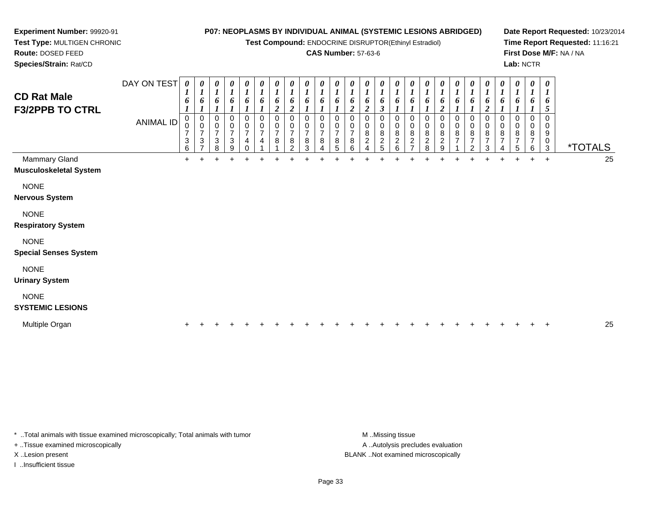**Test Compound:** ENDOCRINE DISRUPTOR(Ethinyl Estradiol)

#### **CAS Number:** 57-63-6

**Date Report Requested:** 10/23/2014**Time Report Requested:** 11:16:21**First Dose M/F:** NA / NA**Lab:** NCTR

3 \*TOTALS

25

 **Species/Strain:** Rat/CDDAY ON TEST**CD Rat Male F3/2PPB TO CTRL**ANIMAL ID*0 1 6 1* 0 0 7 3 6 $\ddot{}$ *0 1 6 1* 0 0 7 3 7 $\ddot{}$ *0 1 6 1* 0 0 7 3 8*0 1 6 1* 0 0 7 3 9*0 1 6 1* 0 0 7 4 0*0 1 6 1* 0 0 7 4 1 $\ddot{}$ *0 1 6 2* 0 0 7 8 1*0 1 6 2* 0 0 7 8 2*0 1 6 1* 0 0 7 8 3*0 1 6 1* 0 0 7 8 4*0 1 6 1* 0 0 7 8 5 $\ddot{}$ *0 1 6 2* 0 0 7 8 6*0 1 6 2* 0 0 8 2 4 $\ddot{}$ *0 1 6 3* 0 0 8 2 5*0 1 6 1* 0 0 8 2 6*0 1 6 1* 0 0 8 2 7 $\ddot{}$ *0 1 6 1* 0 0 8 2 8*0 1 6 2* 0 0 8 2 9 $\ddot{}$ *0 1 6 1* 0 0 8 7 1*0 1 6 1* 0 0 8 7 2*0 1 6 2* 0 0 8 7 3*0 1 6 1* 0 0 8 7 4Mammary Gland $\alpha$  + <sup>+</sup> <sup>+</sup> <sup>+</sup> <sup>+</sup> <sup>+</sup> <sup>+</sup> <sup>+</sup> <sup>+</sup> <sup>+</sup> <sup>+</sup> <sup>+</sup> <sup>+</sup> <sup>+</sup> <sup>+</sup> <sup>+</sup> <sup>+</sup> <sup>+</sup> <sup>+</sup> <sup>+</sup> <sup>+</sup> <sup>+</sup> <sup>+</sup> <sup>+</sup> <sup>+</sup> <sup>25</sup> **Musculoskeletal System**NONE**Nervous System**

#### NONE

**Respiratory System**

#### NONE

**Special Senses System**

**Experiment Number:** 99920-91**Test Type:** MULTIGEN CHRONIC

**Route:** DOSED FEED

#### NONE

**Urinary System**

## NONE

#### **SYSTEMIC LESIONS**

| Multiple Organ |  |  |  |  |  |  |  |  |  |  |  |  |  |  |  |  |  |  |  |  |  |  |  |  |  |  |  | つら<br>w |
|----------------|--|--|--|--|--|--|--|--|--|--|--|--|--|--|--|--|--|--|--|--|--|--|--|--|--|--|--|---------|
|----------------|--|--|--|--|--|--|--|--|--|--|--|--|--|--|--|--|--|--|--|--|--|--|--|--|--|--|--|---------|

\* ..Total animals with tissue examined microscopically; Total animals with tumor **M** ..Missing tissue M ..Missing tissue

+ ..Tissue examined microscopically

I ..Insufficient tissue

A ..Autolysis precludes evaluation X ..Lesion present BLANK ..Not examined microscopically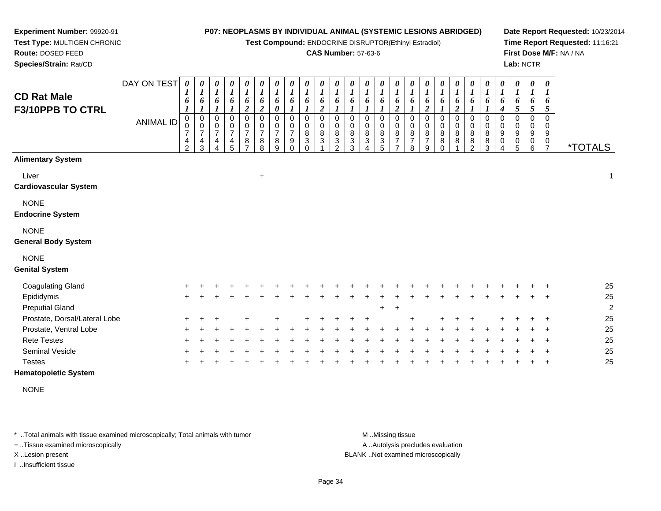**Test Compound:** ENDOCRINE DISRUPTOR(Ethinyl Estradiol)

#### **CAS Number:** 57-63-6

**Date Report Requested:** 10/23/2014**Time Report Requested:** 11:16:21**First Dose M/F:** NA / NA**Lab:** NCTR

DAY ON TEST**CD Rat Male F3/10PPB TO CTRL**ANIMAL ID*0 1 6 1* 0 0 7 4 2*0 1 6 1* 0 0 7 4 3*0 1 6 1* 0 0 7 4 4*0 1 6 1* 0 0 7 4 5*0 1 6 2* 0 0 7 8 7*0 1 6 2* 0 0 7 8 8*0 1 6 0* 0 0 7 8 9*0 1 6 1* 0 0 7 9 0*0 1 6 1* 0 0 8 3 0*0 1 6 2* 0 0 8 3 1*0 1 6 1* 0 0 8 3 2*0 1 6 1* 0 0 8 3 3*0 1 6 1* 0 0 8 3 4*0 1 6 1* 0 0 8 3 5*0 1 6 2* 0 0 8 7 7*0 1 6 1* 0 0 8 7 8*0 1 6 2* 0 0 8 7 9*0 1 6 1* 0 0 8 8 0*0 1 6 2* 0 0 8 8 1*0 1 6 1* 0 0 8 8 2*0 1 6 1* 0 0 8 8 3*0 1 6 4* 0 0 9 0 4*0 1 6 5* 0 0 9 0 5*0 1 6 5* 0 0 9 0 6*0 1 6 5* 0 0 9 $\frac{0}{7}$ <sup>7</sup> \*TOTALS**Alimentary System**Liver $\mathsf{r}$  +  $\ddot{\phantom{a}}$  1 **Cardiovascular System**NONE **Endocrine System**NONE **General Body System**NONE **Genital System**Coagulating Glandd  $+$  <sup>+</sup> <sup>+</sup> <sup>+</sup> <sup>+</sup> <sup>+</sup> <sup>+</sup> <sup>+</sup> <sup>+</sup> <sup>+</sup> <sup>+</sup> <sup>+</sup> <sup>+</sup> <sup>+</sup> <sup>+</sup> <sup>+</sup> <sup>+</sup> <sup>+</sup> <sup>+</sup> <sup>+</sup> <sup>+</sup> <sup>+</sup> <sup>+</sup> <sup>+</sup> <sup>+</sup> <sup>25</sup> Epididymis $\mathsf{S}$  + <sup>+</sup> <sup>+</sup> <sup>+</sup> <sup>+</sup> <sup>+</sup> <sup>+</sup> <sup>+</sup> <sup>+</sup> <sup>+</sup> <sup>+</sup> <sup>+</sup> <sup>+</sup> <sup>+</sup> <sup>+</sup> <sup>+</sup> <sup>+</sup> <sup>+</sup> <sup>+</sup> <sup>+</sup> <sup>+</sup> <sup>+</sup> <sup>+</sup> <sup>+</sup> <sup>+</sup> <sup>25</sup> Preputial Gland $\alpha$  <sup>+</sup> <sup>2</sup> Prostate, Dorsal/Lateral Lobee + <sup>+</sup> <sup>+</sup> <sup>+</sup> <sup>+</sup> <sup>+</sup> <sup>+</sup> <sup>+</sup> <sup>+</sup> <sup>+</sup> <sup>+</sup> <sup>+</sup> <sup>+</sup> <sup>+</sup> <sup>+</sup> <sup>+</sup> <sup>+</sup> <sup>+</sup> <sup>25</sup> Prostate, Ventral Lobee + <sup>+</sup> <sup>+</sup> <sup>+</sup> <sup>+</sup> <sup>+</sup> <sup>+</sup> <sup>+</sup> <sup>+</sup> <sup>+</sup> <sup>+</sup> <sup>+</sup> <sup>+</sup> <sup>+</sup> <sup>+</sup> <sup>+</sup> <sup>+</sup> <sup>+</sup> <sup>+</sup> <sup>+</sup> <sup>+</sup> <sup>+</sup> <sup>+</sup> <sup>+</sup> <sup>+</sup> <sup>25</sup> Rete Testes <sup>+</sup> <sup>+</sup> <sup>+</sup> <sup>+</sup> <sup>+</sup> <sup>+</sup> <sup>+</sup> <sup>+</sup> <sup>+</sup> <sup>+</sup> <sup>+</sup> <sup>+</sup> <sup>+</sup> <sup>+</sup> <sup>+</sup> <sup>+</sup> <sup>+</sup> <sup>+</sup> <sup>+</sup> <sup>+</sup> <sup>+</sup> <sup>+</sup> <sup>+</sup> <sup>+</sup> <sup>+</sup> <sup>25</sup> Seminal Vesicle

**Hematopoietic System**

**Experiment Number:** 99920-91**Test Type:** MULTIGEN CHRONIC

**Route:** DOSED FEED**Species/Strain:** Rat/CD

NONE

**Testes** 

\* ..Total animals with tissue examined microscopically; Total animals with tumor M ...Missing tissue M ...Missing tissue

e +

<sup>+</sup>

+ ..Tissue examined microscopically

I ..Insufficient tissue

A ..Autolysis precludes evaluation

X ..Lesion present BLANK ..Not examined microscopically

<sup>+</sup> <sup>+</sup> <sup>+</sup> <sup>+</sup> <sup>+</sup> <sup>+</sup> <sup>+</sup> <sup>+</sup> <sup>+</sup> <sup>+</sup> <sup>+</sup> <sup>+</sup> <sup>+</sup> <sup>+</sup> <sup>+</sup> <sup>+</sup> <sup>+</sup> <sup>+</sup> <sup>+</sup> <sup>+</sup> <sup>+</sup> <sup>+</sup> <sup>+</sup> <sup>+</sup> <sup>25</sup>

<sup>+</sup> <sup>+</sup> <sup>+</sup> <sup>+</sup> <sup>+</sup> <sup>+</sup> <sup>+</sup> <sup>+</sup> <sup>+</sup> <sup>+</sup> <sup>+</sup> <sup>+</sup> <sup>+</sup> <sup>+</sup> <sup>+</sup> <sup>+</sup> <sup>+</sup> <sup>+</sup> <sup>+</sup> <sup>+</sup> <sup>+</sup> <sup>+</sup> <sup>+</sup> <sup>+</sup> <sup>25</sup>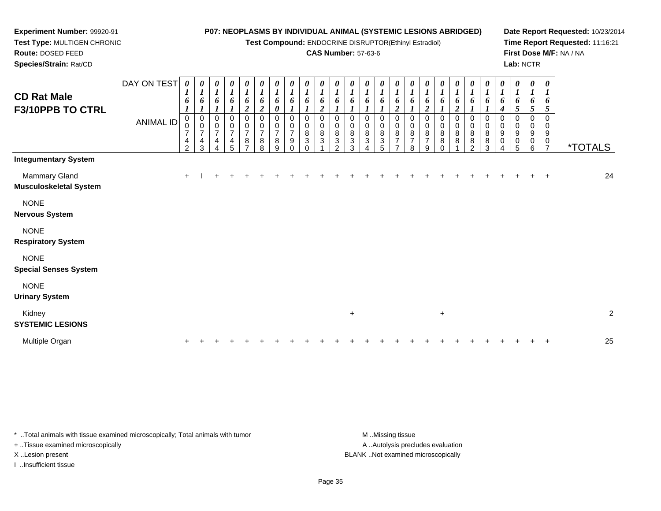**Test Compound:** ENDOCRINE DISRUPTOR(Ethinyl Estradiol)

#### **CAS Number:** 57-63-6

**Date Report Requested:** 10/23/2014**Time Report Requested:** 11:16:21**First Dose M/F:** NA / NA**Lab:** NCTR

DAY ON TEST**CD Rat Male F3/10PPB TO CTRL**ANIMAL ID*0 1 6 1* 0 0 7 4 2*0 1 6 1* 0 0 7 4 3*0 1 6 1* 0 0 7 4 4*0 1 6 1* 0 0 7 4 5*0 1 6 2* 0 0 7 8 7*0 1 6 2* 0 0 7 8 8*0 1 6 0* 0 0 7 8 9*0 1 6 1* 0 0 7 9 0*0 1 6 1* 0 0 8 3 0*0 1 6 2* 0 0 8 3 1*0 1 6 1* 0 0 8 3 2*0 1 6 1* 0 0 8 3 3*0 1 6 1* 0 0 8 3 4*0 1 6 1* 0 0 8 3 5*0 1 6 2* 0 0 8 7 7*0 1 6 1* 0 0 8 7 8*0 1 6 2* 0 0 8 7 9*0 1 6 1* 0 0 8 8 0*0 1 6 2* 0 0 8 8 1*0 1 6 1* 0 0 8 8 2*0 1 6 1* 0 0 8 8 3*0 1 6 4* 0 0 9 0 4*0 1 6 5* 0 0 9 0 5*0 1 6 5* 0 0 9 0 6*0 1 6 5* 0 0 9 $\frac{0}{7}$ <sup>7</sup> \*TOTALS**Integumentary System**Mammary Glandd  $+$  <sup>I</sup> <sup>+</sup> <sup>+</sup> <sup>+</sup> <sup>+</sup> <sup>+</sup> <sup>+</sup> <sup>+</sup> <sup>+</sup> <sup>+</sup> <sup>+</sup> <sup>+</sup> <sup>+</sup> <sup>+</sup> <sup>+</sup> <sup>+</sup> <sup>+</sup> <sup>+</sup> <sup>+</sup> <sup>+</sup> <sup>+</sup> <sup>+</sup> <sup>+</sup> <sup>+</sup> <sup>24</sup> **Musculoskeletal System**NONE **Nervous System**NONE **Respiratory SystemNONE Special Senses System**NONE**Urinary System**

Kidney $\mathsf y$  $+$  2 **SYSTEMIC LESIONS**Multiple Organn  $+$ <sup>+</sup> <sup>+</sup> <sup>+</sup> <sup>+</sup> <sup>+</sup> <sup>+</sup> <sup>+</sup> <sup>+</sup> <sup>+</sup> <sup>+</sup> <sup>+</sup> <sup>+</sup> <sup>+</sup> <sup>+</sup> <sup>+</sup> <sup>+</sup> <sup>+</sup> <sup>+</sup> <sup>+</sup> <sup>+</sup> <sup>+</sup> <sup>+</sup> <sup>+</sup> <sup>+</sup> <sup>25</sup>

\* ..Total animals with tissue examined microscopically; Total animals with tumor M ...Missing tissue M ...Missing tissue

+ ..Tissue examined microscopically

**Experiment Number:** 99920-91**Test Type:** MULTIGEN CHRONIC

**Route:** DOSED FEED**Species/Strain:** Rat/CD

I ..Insufficient tissue

A ..Autolysis precludes evaluation X ..Lesion present BLANK ..Not examined microscopically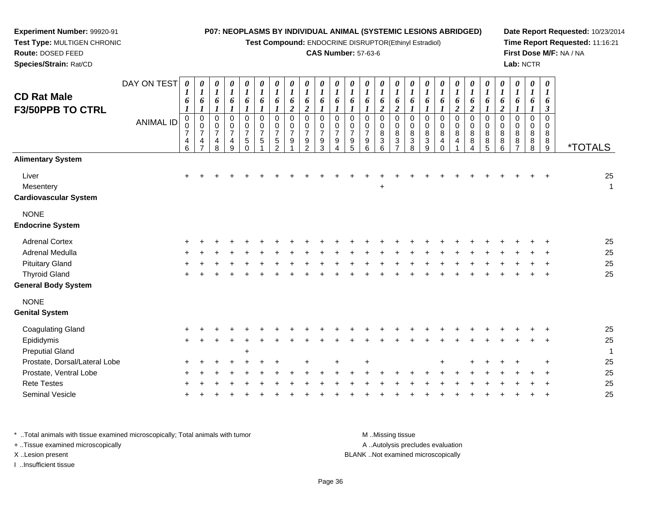**Test Compound:** ENDOCRINE DISRUPTOR(Ethinyl Estradiol)

## **CAS Number:** 57-63-6

**Date Report Requested:** 10/23/2014**Time Report Requested:** 11:16:21**First Dose M/F:** NA / NA**Lab:** NCTR

| <b>CD Rat Male</b><br><b>F3/50PPB TO CTRL</b>      | DAY ON TEST<br><b>ANIMAL ID</b> | 0<br>6<br>$\boldsymbol{l}$<br>$\pmb{0}$<br>$\overline{7}$<br>4<br>$6\phantom{a}$ | 0<br>$\boldsymbol{l}$<br>6<br>$\mathbf 0$<br>$\pmb{0}$<br>$\overline{7}$<br>4<br>$\overline{ }$ | 0<br>$\boldsymbol{l}$<br>6<br>$\mathbf 0$<br>$\pmb{0}$<br>$\overline{7}$<br>4<br>8 | 0<br>$\boldsymbol{l}$<br>6<br>0<br>$\mathbf 0$<br>$\overline{7}$<br>4<br>9 | 0<br>$\boldsymbol{l}$<br>6<br>0<br>$\pmb{0}$<br>$\overline{7}$<br>$\sqrt{5}$<br>$\Omega$ | 0<br>$\boldsymbol{l}$<br>6<br>$\boldsymbol{l}$<br>$\mathbf 0$<br>$\pmb{0}$<br>$\overline{7}$<br>5 | $\boldsymbol{\theta}$<br>$\boldsymbol{l}$<br>6<br>$\mathbf 0$<br>$\pmb{0}$<br>$\overline{7}$<br>5<br>$\mathcal{P}$ | 0<br>$\boldsymbol{l}$<br>6<br>$\boldsymbol{2}$<br>$\mathbf 0$<br>0<br>$\overline{7}$<br>9 | 0<br>$\boldsymbol{l}$<br>6<br>$\boldsymbol{2}$<br>$\mathbf 0$<br>0<br>$\overline{7}$<br>9<br>$\mathfrak{p}$ | $\Omega$<br>$\Omega$<br>$\overline{7}$<br>9<br>3 | $\boldsymbol{\theta}$<br>6<br>$\Omega$<br>0<br>$\overline{7}$<br>9 | 0<br>6<br>$\Omega$<br>0<br>$\overline{7}$<br>9<br>5 | 0<br>6<br>0<br>0<br>$\overline{7}$<br>9<br>6 | 0<br>1<br>6<br>$\boldsymbol{2}$<br>0<br>0<br>$\bf 8$<br>$\mathbf{3}$<br>6 | 0<br>6<br>$\boldsymbol{2}$<br>$\mathbf 0$<br>0<br>8<br>$\mathbf{3}$ | 0<br>$\boldsymbol{l}$<br>6<br>$\mathbf 0$<br>0<br>$\bf 8$<br>$\sqrt{3}$<br>8 | 0<br>$\boldsymbol{l}$<br>6<br>$\mathbf 0$<br>$\mathbf 0$<br>8<br>$\mathbf{3}$<br>9 | 0<br>6<br>0<br>0<br>$\bf 8$<br>4<br>$\Omega$ | 0<br>6<br>$\boldsymbol{2}$<br>$\mathbf 0$<br>$\mathbf 0$<br>$\,8\,$<br>4 | 0<br>6<br>$\boldsymbol{2}$<br>$\mathsf 0$<br>$\mathbf 0$<br>$\bf 8$<br>$\bf 8$<br>$\lambda$ | 0<br>6<br>0<br>0<br>8<br>$\bf 8$<br>5 | 0<br>$\boldsymbol{l}$<br>6<br>$\overline{c}$<br>0<br>0<br>$\,8\,$<br>8<br>6 | 0<br>$\boldsymbol{l}$<br>6<br>$\mathbf 0$<br>0<br>$\,8\,$<br>8<br>$\overline{ }$ | 0<br>$\boldsymbol{l}$<br>6<br>$\mathbf 0$<br>$\mathbf 0$<br>$\bf 8$<br>8<br>8 | $\boldsymbol{\theta}$<br>$\boldsymbol{l}$<br>6<br>3<br>$\Omega$<br>0<br>8<br>8<br>9 | <i><b>*TOTALS</b></i> |
|----------------------------------------------------|---------------------------------|----------------------------------------------------------------------------------|-------------------------------------------------------------------------------------------------|------------------------------------------------------------------------------------|----------------------------------------------------------------------------|------------------------------------------------------------------------------------------|---------------------------------------------------------------------------------------------------|--------------------------------------------------------------------------------------------------------------------|-------------------------------------------------------------------------------------------|-------------------------------------------------------------------------------------------------------------|--------------------------------------------------|--------------------------------------------------------------------|-----------------------------------------------------|----------------------------------------------|---------------------------------------------------------------------------|---------------------------------------------------------------------|------------------------------------------------------------------------------|------------------------------------------------------------------------------------|----------------------------------------------|--------------------------------------------------------------------------|---------------------------------------------------------------------------------------------|---------------------------------------|-----------------------------------------------------------------------------|----------------------------------------------------------------------------------|-------------------------------------------------------------------------------|-------------------------------------------------------------------------------------|-----------------------|
| <b>Alimentary System</b>                           |                                 |                                                                                  |                                                                                                 |                                                                                    |                                                                            |                                                                                          |                                                                                                   |                                                                                                                    |                                                                                           |                                                                                                             |                                                  |                                                                    |                                                     |                                              |                                                                           |                                                                     |                                                                              |                                                                                    |                                              |                                                                          |                                                                                             |                                       |                                                                             |                                                                                  |                                                                               |                                                                                     |                       |
| Liver<br>Mesentery<br><b>Cardiovascular System</b> |                                 | $\ddot{}$                                                                        |                                                                                                 |                                                                                    |                                                                            |                                                                                          |                                                                                                   |                                                                                                                    |                                                                                           |                                                                                                             |                                                  |                                                                    |                                                     |                                              | $\ddot{}$                                                                 |                                                                     |                                                                              |                                                                                    |                                              |                                                                          |                                                                                             |                                       |                                                                             |                                                                                  |                                                                               |                                                                                     | 25<br>1               |
| <b>NONE</b>                                        |                                 |                                                                                  |                                                                                                 |                                                                                    |                                                                            |                                                                                          |                                                                                                   |                                                                                                                    |                                                                                           |                                                                                                             |                                                  |                                                                    |                                                     |                                              |                                                                           |                                                                     |                                                                              |                                                                                    |                                              |                                                                          |                                                                                             |                                       |                                                                             |                                                                                  |                                                                               |                                                                                     |                       |
| <b>Endocrine System</b>                            |                                 |                                                                                  |                                                                                                 |                                                                                    |                                                                            |                                                                                          |                                                                                                   |                                                                                                                    |                                                                                           |                                                                                                             |                                                  |                                                                    |                                                     |                                              |                                                                           |                                                                     |                                                                              |                                                                                    |                                              |                                                                          |                                                                                             |                                       |                                                                             |                                                                                  |                                                                               |                                                                                     |                       |
| <b>Adrenal Cortex</b>                              |                                 |                                                                                  |                                                                                                 |                                                                                    |                                                                            |                                                                                          |                                                                                                   |                                                                                                                    |                                                                                           |                                                                                                             |                                                  |                                                                    |                                                     |                                              |                                                                           |                                                                     |                                                                              |                                                                                    |                                              |                                                                          |                                                                                             |                                       |                                                                             |                                                                                  |                                                                               |                                                                                     | 25                    |
| <b>Adrenal Medulla</b>                             |                                 |                                                                                  |                                                                                                 |                                                                                    |                                                                            |                                                                                          |                                                                                                   |                                                                                                                    |                                                                                           |                                                                                                             |                                                  |                                                                    |                                                     |                                              |                                                                           |                                                                     |                                                                              |                                                                                    |                                              |                                                                          |                                                                                             |                                       |                                                                             |                                                                                  |                                                                               |                                                                                     | 25                    |
| <b>Pituitary Gland</b>                             |                                 |                                                                                  |                                                                                                 |                                                                                    |                                                                            |                                                                                          |                                                                                                   |                                                                                                                    |                                                                                           |                                                                                                             |                                                  |                                                                    |                                                     |                                              |                                                                           |                                                                     |                                                                              |                                                                                    |                                              |                                                                          |                                                                                             |                                       |                                                                             |                                                                                  |                                                                               |                                                                                     | 25                    |
| <b>Thyroid Gland</b>                               |                                 | ÷                                                                                |                                                                                                 |                                                                                    |                                                                            |                                                                                          |                                                                                                   |                                                                                                                    |                                                                                           |                                                                                                             |                                                  |                                                                    |                                                     |                                              |                                                                           |                                                                     |                                                                              |                                                                                    |                                              |                                                                          |                                                                                             |                                       |                                                                             |                                                                                  |                                                                               |                                                                                     | 25                    |
| <b>General Body System</b>                         |                                 |                                                                                  |                                                                                                 |                                                                                    |                                                                            |                                                                                          |                                                                                                   |                                                                                                                    |                                                                                           |                                                                                                             |                                                  |                                                                    |                                                     |                                              |                                                                           |                                                                     |                                                                              |                                                                                    |                                              |                                                                          |                                                                                             |                                       |                                                                             |                                                                                  |                                                                               |                                                                                     |                       |
| <b>NONE</b><br><b>Genital System</b>               |                                 |                                                                                  |                                                                                                 |                                                                                    |                                                                            |                                                                                          |                                                                                                   |                                                                                                                    |                                                                                           |                                                                                                             |                                                  |                                                                    |                                                     |                                              |                                                                           |                                                                     |                                                                              |                                                                                    |                                              |                                                                          |                                                                                             |                                       |                                                                             |                                                                                  |                                                                               |                                                                                     |                       |
| <b>Coagulating Gland</b>                           |                                 |                                                                                  |                                                                                                 |                                                                                    |                                                                            |                                                                                          |                                                                                                   |                                                                                                                    |                                                                                           |                                                                                                             |                                                  |                                                                    |                                                     |                                              |                                                                           |                                                                     |                                                                              |                                                                                    |                                              |                                                                          |                                                                                             |                                       |                                                                             |                                                                                  |                                                                               |                                                                                     | 25                    |
| Epididymis                                         |                                 | +                                                                                |                                                                                                 |                                                                                    |                                                                            |                                                                                          |                                                                                                   |                                                                                                                    |                                                                                           |                                                                                                             |                                                  |                                                                    |                                                     |                                              |                                                                           |                                                                     |                                                                              |                                                                                    |                                              |                                                                          |                                                                                             |                                       |                                                                             |                                                                                  |                                                                               |                                                                                     | 25                    |
| <b>Preputial Gland</b>                             |                                 |                                                                                  |                                                                                                 |                                                                                    |                                                                            | $\ddot{}$                                                                                |                                                                                                   |                                                                                                                    |                                                                                           |                                                                                                             |                                                  |                                                                    |                                                     |                                              |                                                                           |                                                                     |                                                                              |                                                                                    |                                              |                                                                          |                                                                                             |                                       |                                                                             |                                                                                  |                                                                               |                                                                                     | 1                     |
| Prostate, Dorsal/Lateral Lobe                      |                                 |                                                                                  |                                                                                                 |                                                                                    |                                                                            |                                                                                          |                                                                                                   |                                                                                                                    |                                                                                           |                                                                                                             |                                                  |                                                                    |                                                     |                                              |                                                                           |                                                                     |                                                                              |                                                                                    |                                              |                                                                          |                                                                                             |                                       |                                                                             |                                                                                  |                                                                               |                                                                                     | 25                    |
| Prostate, Ventral Lobe                             |                                 |                                                                                  |                                                                                                 |                                                                                    |                                                                            |                                                                                          |                                                                                                   |                                                                                                                    |                                                                                           |                                                                                                             |                                                  |                                                                    |                                                     |                                              |                                                                           |                                                                     |                                                                              |                                                                                    |                                              |                                                                          |                                                                                             |                                       |                                                                             |                                                                                  |                                                                               |                                                                                     | 25                    |
| <b>Rete Testes</b>                                 |                                 |                                                                                  |                                                                                                 |                                                                                    |                                                                            |                                                                                          |                                                                                                   |                                                                                                                    |                                                                                           |                                                                                                             |                                                  |                                                                    |                                                     |                                              |                                                                           |                                                                     |                                                                              |                                                                                    |                                              |                                                                          |                                                                                             |                                       |                                                                             |                                                                                  |                                                                               |                                                                                     | 25                    |
|                                                    |                                 |                                                                                  |                                                                                                 |                                                                                    |                                                                            |                                                                                          |                                                                                                   |                                                                                                                    |                                                                                           |                                                                                                             |                                                  |                                                                    |                                                     |                                              |                                                                           |                                                                     |                                                                              |                                                                                    |                                              |                                                                          |                                                                                             |                                       |                                                                             |                                                                                  |                                                                               |                                                                                     |                       |

\* ..Total animals with tissue examined microscopically; Total animals with tumor **M** ...Missing tissue M ...Missing tissue A ..Autolysis precludes evaluation + ..Tissue examined microscopically X ..Lesion present BLANK ..Not examined microscopicallyI ..Insufficient tissue

**Experiment Number:** 99920-91**Test Type:** MULTIGEN CHRONIC

**Route:** DOSED FEED**Species/Strain:** Rat/CD

Seminal Vesicle

e +

Page 36

<sup>+</sup> <sup>+</sup> <sup>+</sup> <sup>+</sup> <sup>+</sup> <sup>+</sup> <sup>+</sup> <sup>+</sup> <sup>+</sup> <sup>+</sup> <sup>+</sup> <sup>+</sup> <sup>+</sup> <sup>+</sup> <sup>+</sup> <sup>+</sup> <sup>+</sup> <sup>+</sup> <sup>+</sup> <sup>+</sup> <sup>+</sup> <sup>+</sup> <sup>+</sup> <sup>+</sup> <sup>25</sup>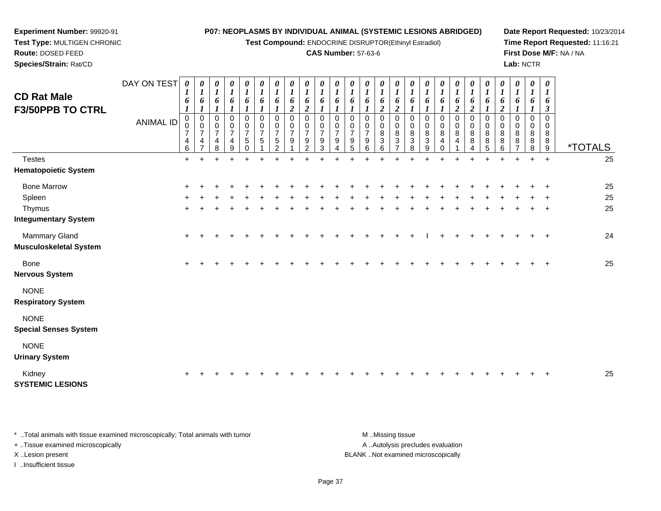**Test Compound:** ENDOCRINE DISRUPTOR(Ethinyl Estradiol)

### **CAS Number:** 57-63-6

**Date Report Requested:** 10/23/2014**Time Report Requested:** 11:16:21**First Dose M/F:** NA / NA**Lab:** NCTR

| <b>CD Rat Male</b><br><b>F3/50PPB TO CTRL</b>  | DAY ON TEST<br><b>ANIMAL ID</b> | 0<br>1<br>6<br>0<br>$\mathbf 0$<br>$\overline{7}$<br>4<br>6 | $\boldsymbol{\theta}$<br>$\boldsymbol{l}$<br>6<br>0<br>0<br>$\overline{7}$<br>4<br>$\overline{7}$ | $\boldsymbol{l}$<br>6<br>$\mathbf 0$<br>0<br>$\overline{7}$<br>4<br>8 | $\boldsymbol{\theta}$<br>$\boldsymbol{l}$<br>6<br>$\mathbf 0$<br>0<br>$\overline{7}$<br>4<br>9 | 0<br>$\boldsymbol{l}$<br>6<br>0<br>$\pmb{0}$<br>$\overline{7}$<br>5<br>$\Omega$ | 0<br>$\boldsymbol{l}$<br>6<br>0<br>$\pmb{0}$<br>$\overline{7}$<br>5 | 0<br>$\boldsymbol{l}$<br>6<br>0<br>$\,0\,$<br>$\overline{7}$<br>$\sqrt{5}$<br>$\mathcal{D}$ | 0<br>$\boldsymbol{l}$<br>6<br>$\boldsymbol{2}$<br>$\,0\,$<br>$\,0\,$<br>$\overline{7}$<br>9 | 0<br>$\boldsymbol{l}$<br>6<br>$\overline{2}$<br>0<br>0<br>$\overline{7}$<br>9<br>$\overline{2}$ | 0<br>$\boldsymbol{l}$<br>6<br>0<br>0<br>$\overline{7}$<br>9<br>$\sqrt{3}$ | $\boldsymbol{\theta}$<br>$\boldsymbol{l}$<br>6<br>1<br>$\Omega$<br>0<br>$\overline{7}$<br>9 | 0<br>$\boldsymbol{l}$<br>6<br>$\mathbf 0$<br>0<br>$\overline{7}$<br>9<br>5 | 0<br>$\boldsymbol{l}$<br>6<br>0<br>0<br>$\overline{7}$<br>9<br>6 | 0<br>$\boldsymbol{l}$<br>6<br>$\boldsymbol{2}$<br>0<br>$\pmb{0}$<br>$\bf 8$<br>$\ensuremath{\mathsf{3}}$<br>6 | $\boldsymbol{\theta}$<br>$\boldsymbol{I}$<br>6<br>$\boldsymbol{2}$<br>0<br>$\pmb{0}$<br>$\,$ 8 $\,$<br>$\ensuremath{\mathsf{3}}$<br>$\overline{ }$ | 0<br>$\boldsymbol{I}$<br>6<br>0<br>$\,0\,$<br>$\bf8$<br>$\sqrt{3}$<br>8 | $\boldsymbol{\theta}$<br>$\boldsymbol{l}$<br>6<br>0<br>$\pmb{0}$<br>$\, 8$<br>$\sqrt{3}$<br>9 | $\boldsymbol{l}$<br>6<br>0<br>$\bf 8$<br>4 | 6<br>$\boldsymbol{2}$<br>0<br>0<br>$\bf 8$<br>4 | $\boldsymbol{\theta}$<br>6<br>$\overline{2}$<br>0<br>0<br>8<br>8 | 0<br>$\boldsymbol{l}$<br>6<br>0<br>$\pmb{0}$<br>$\bf 8$<br>$\bf 8$<br>5 | 0<br>$\boldsymbol{l}$<br>6<br>2<br>0<br>$\mathbf 0$<br>8<br>8<br>6 | $\pmb{\theta}$<br>$\boldsymbol{l}$<br>6<br>0<br>0<br>8<br>8<br>$\overline{\phantom{a}}$ | 0<br>$\boldsymbol{I}$<br>6<br>$\mathbf 0$<br>0<br>8<br>8<br>8 | 0<br>$\boldsymbol{l}$<br>6<br>3<br>$\mathbf 0$<br>$\Omega$<br>8<br>8<br>9 | <i><b>*TOTALS</b></i> |
|------------------------------------------------|---------------------------------|-------------------------------------------------------------|---------------------------------------------------------------------------------------------------|-----------------------------------------------------------------------|------------------------------------------------------------------------------------------------|---------------------------------------------------------------------------------|---------------------------------------------------------------------|---------------------------------------------------------------------------------------------|---------------------------------------------------------------------------------------------|-------------------------------------------------------------------------------------------------|---------------------------------------------------------------------------|---------------------------------------------------------------------------------------------|----------------------------------------------------------------------------|------------------------------------------------------------------|---------------------------------------------------------------------------------------------------------------|----------------------------------------------------------------------------------------------------------------------------------------------------|-------------------------------------------------------------------------|-----------------------------------------------------------------------------------------------|--------------------------------------------|-------------------------------------------------|------------------------------------------------------------------|-------------------------------------------------------------------------|--------------------------------------------------------------------|-----------------------------------------------------------------------------------------|---------------------------------------------------------------|---------------------------------------------------------------------------|-----------------------|
| <b>Testes</b>                                  |                                 | $\ddot{}$                                                   |                                                                                                   |                                                                       |                                                                                                |                                                                                 |                                                                     |                                                                                             |                                                                                             |                                                                                                 |                                                                           |                                                                                             |                                                                            |                                                                  |                                                                                                               |                                                                                                                                                    |                                                                         |                                                                                               |                                            |                                                 |                                                                  |                                                                         |                                                                    |                                                                                         | $\ddot{}$                                                     | $\ddot{}$                                                                 | 25                    |
| <b>Hematopoietic System</b>                    |                                 |                                                             |                                                                                                   |                                                                       |                                                                                                |                                                                                 |                                                                     |                                                                                             |                                                                                             |                                                                                                 |                                                                           |                                                                                             |                                                                            |                                                                  |                                                                                                               |                                                                                                                                                    |                                                                         |                                                                                               |                                            |                                                 |                                                                  |                                                                         |                                                                    |                                                                                         |                                                               |                                                                           |                       |
| <b>Bone Marrow</b>                             |                                 |                                                             |                                                                                                   |                                                                       |                                                                                                |                                                                                 |                                                                     |                                                                                             |                                                                                             |                                                                                                 |                                                                           |                                                                                             |                                                                            |                                                                  |                                                                                                               |                                                                                                                                                    |                                                                         |                                                                                               |                                            |                                                 |                                                                  |                                                                         |                                                                    |                                                                                         |                                                               |                                                                           | 25                    |
| Spleen                                         |                                 |                                                             |                                                                                                   |                                                                       |                                                                                                |                                                                                 |                                                                     |                                                                                             |                                                                                             |                                                                                                 |                                                                           |                                                                                             |                                                                            |                                                                  |                                                                                                               |                                                                                                                                                    |                                                                         |                                                                                               |                                            |                                                 |                                                                  |                                                                         |                                                                    |                                                                                         |                                                               |                                                                           | 25                    |
| Thymus                                         |                                 | $\ddot{}$                                                   |                                                                                                   |                                                                       |                                                                                                |                                                                                 |                                                                     |                                                                                             |                                                                                             |                                                                                                 |                                                                           |                                                                                             |                                                                            |                                                                  |                                                                                                               |                                                                                                                                                    |                                                                         |                                                                                               |                                            |                                                 |                                                                  |                                                                         |                                                                    |                                                                                         |                                                               | $\ddot{}$                                                                 | 25                    |
| <b>Integumentary System</b>                    |                                 |                                                             |                                                                                                   |                                                                       |                                                                                                |                                                                                 |                                                                     |                                                                                             |                                                                                             |                                                                                                 |                                                                           |                                                                                             |                                                                            |                                                                  |                                                                                                               |                                                                                                                                                    |                                                                         |                                                                                               |                                            |                                                 |                                                                  |                                                                         |                                                                    |                                                                                         |                                                               |                                                                           |                       |
| Mammary Gland<br><b>Musculoskeletal System</b> |                                 | $\pm$                                                       |                                                                                                   |                                                                       |                                                                                                |                                                                                 |                                                                     |                                                                                             |                                                                                             |                                                                                                 |                                                                           |                                                                                             |                                                                            |                                                                  |                                                                                                               |                                                                                                                                                    |                                                                         |                                                                                               |                                            |                                                 |                                                                  |                                                                         |                                                                    |                                                                                         |                                                               | $\pm$                                                                     | 24                    |
| Bone<br><b>Nervous System</b>                  |                                 | $\pm$                                                       |                                                                                                   |                                                                       |                                                                                                |                                                                                 |                                                                     |                                                                                             |                                                                                             |                                                                                                 |                                                                           |                                                                                             |                                                                            |                                                                  |                                                                                                               |                                                                                                                                                    |                                                                         |                                                                                               |                                            |                                                 |                                                                  |                                                                         |                                                                    |                                                                                         |                                                               |                                                                           | 25                    |
| <b>NONE</b><br><b>Respiratory System</b>       |                                 |                                                             |                                                                                                   |                                                                       |                                                                                                |                                                                                 |                                                                     |                                                                                             |                                                                                             |                                                                                                 |                                                                           |                                                                                             |                                                                            |                                                                  |                                                                                                               |                                                                                                                                                    |                                                                         |                                                                                               |                                            |                                                 |                                                                  |                                                                         |                                                                    |                                                                                         |                                                               |                                                                           |                       |
| <b>NONE</b><br><b>Special Senses System</b>    |                                 |                                                             |                                                                                                   |                                                                       |                                                                                                |                                                                                 |                                                                     |                                                                                             |                                                                                             |                                                                                                 |                                                                           |                                                                                             |                                                                            |                                                                  |                                                                                                               |                                                                                                                                                    |                                                                         |                                                                                               |                                            |                                                 |                                                                  |                                                                         |                                                                    |                                                                                         |                                                               |                                                                           |                       |
| <b>NONE</b>                                    |                                 |                                                             |                                                                                                   |                                                                       |                                                                                                |                                                                                 |                                                                     |                                                                                             |                                                                                             |                                                                                                 |                                                                           |                                                                                             |                                                                            |                                                                  |                                                                                                               |                                                                                                                                                    |                                                                         |                                                                                               |                                            |                                                 |                                                                  |                                                                         |                                                                    |                                                                                         |                                                               |                                                                           |                       |

**Urinary System**

Kidney<sup>+</sup>

**SYSTEMIC LESIONS**

**Experiment Number:** 99920-91**Test Type:** MULTIGEN CHRONIC

**Route:** DOSED FEED**Species/Strain:** Rat/CD

\* ..Total animals with tissue examined microscopically; Total animals with tumor **M** ...Missing tissue M ...Missing tissue A .. Autolysis precludes evaluation + ..Tissue examined microscopically X ..Lesion present BLANK ..Not examined microscopicallyI ..Insufficient tissue

<sup>+</sup> <sup>+</sup> <sup>+</sup> <sup>+</sup> <sup>+</sup> <sup>+</sup> <sup>+</sup> <sup>+</sup> <sup>+</sup> <sup>+</sup> <sup>+</sup> <sup>+</sup> <sup>+</sup> <sup>+</sup> <sup>+</sup> <sup>+</sup> <sup>+</sup> <sup>+</sup> <sup>+</sup> <sup>+</sup> <sup>+</sup> <sup>+</sup> <sup>+</sup> <sup>+</sup> <sup>25</sup>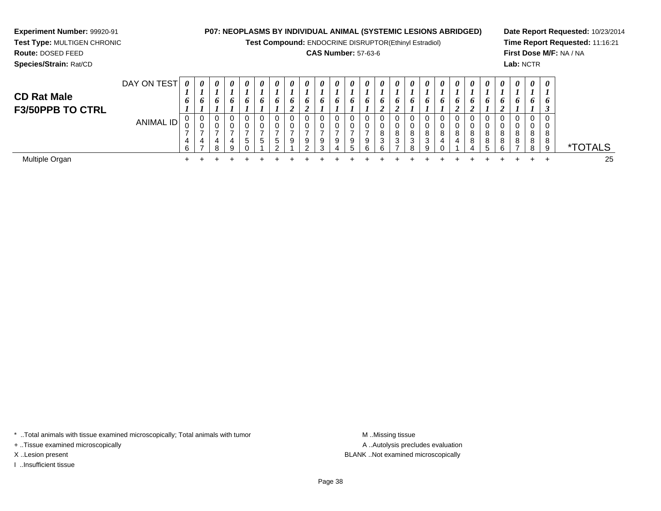**Test Compound:** ENDOCRINE DISRUPTOR(Ethinyl Estradiol)

### **CAS Number:** 57-63-6

**Date Report Requested:** 10/23/2014**Time Report Requested:** 11:16:21**First Dose M/F:** NA / NA**Lab:** NCTR

**Experiment Number:** 99920-91**Test Type:** MULTIGEN CHRONIC

| <b>CD Rat Male</b><br><b>F3/50PPB TO CTRL</b> | DAY ON TEST | $\boldsymbol{\theta}$<br>6 | 0<br>6 | 0<br>o           | $\boldsymbol{\theta}$<br>o | $\theta$<br>6     | $\boldsymbol{\theta}$<br>o | $\boldsymbol{\theta}$ | $\theta$<br>o | 0<br>o | 0<br>6           | $\boldsymbol{\theta}$<br>6 | $\boldsymbol{\theta}$<br>6 | $\theta$<br>$\bm{o}$ | 0<br>$\bm{o}$    | $\theta$<br>O | $\boldsymbol{\theta}$ | 0<br>O.     | $\theta$<br>o    | $\boldsymbol{\theta}$<br>$\bm{o}$ | 0<br>o<br>◢      | $\boldsymbol{\theta}$<br>6 | $\theta$ | $\theta$<br>0           | $\boldsymbol{\theta}$<br>6 | $\boldsymbol{\theta}$<br>6 |                 |
|-----------------------------------------------|-------------|----------------------------|--------|------------------|----------------------------|-------------------|----------------------------|-----------------------|---------------|--------|------------------|----------------------------|----------------------------|----------------------|------------------|---------------|-----------------------|-------------|------------------|-----------------------------------|------------------|----------------------------|----------|-------------------------|----------------------------|----------------------------|-----------------|
|                                               | ANIMAL ID   | 0<br>0<br>4<br>6           | U      | 0<br>0<br>4<br>8 | 0<br>v<br>4<br>9           | U<br><sub>5</sub> | U<br>v<br>$\mathbf b$      | đ                     | 0<br>0<br>9   | 9<br>റ | 0<br>0<br>9<br>3 | 0<br>0<br>9<br>Δ           | 9                          | 0<br>0<br>9<br>ี     | 8<br>ົ<br>ັ<br>а | 8<br>3        | 0<br>υ<br>8<br>3<br>R | 8<br>3<br>Q | 0<br>0<br>8<br>4 | 8<br>4                            | 0<br>0<br>8<br>8 | 8<br>8<br>5                | $\Omega$ | $\Omega$<br>0<br>8<br>8 | 0<br>v<br>8<br>8<br>8      | J<br>v<br>8<br>8<br>9      | <i>*</i> TOTALS |
| Multiple Organ                                |             |                            |        |                  |                            |                   |                            |                       |               |        |                  |                            |                            |                      |                  |               |                       |             |                  |                                   |                  |                            |          |                         |                            |                            | 25              |

\* ..Total animals with tissue examined microscopically; Total animals with tumor **M** . Missing tissue M ..Missing tissue

+ ..Tissue examined microscopically

I ..Insufficient tissue

A ..Autolysis precludes evaluation X ..Lesion present BLANK ..Not examined microscopically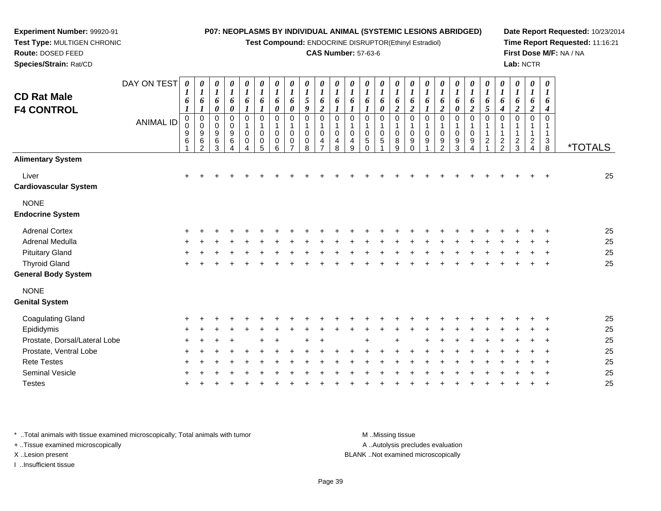**Test Compound:** ENDOCRINE DISRUPTOR(Ethinyl Estradiol)

### **CAS Number:** 57-63-6

**Date Report Requested:** 10/23/2014**Time Report Requested:** 11:16:21**First Dose M/F:** NA / NA**Lab:** NCTR

| <b>CD Rat Male</b><br><b>F4 CONTROL</b> | DAY ON TEST<br><b>ANIMAL ID</b> | 1<br>6<br>0<br>0<br>9<br>$\,6$ | $\boldsymbol{\theta}$<br>$\boldsymbol{l}$<br>6<br>0<br>$\pmb{0}$<br>9<br>6 | 0<br>$\boldsymbol{l}$<br>6<br>0<br>0<br>$\pmb{0}$<br>9<br>6 | 0<br>$\boldsymbol{l}$<br>6<br>0<br>0<br>$\pmb{0}$<br>$\boldsymbol{9}$<br>$\,6$ | 0<br>$\boldsymbol{l}$<br>6<br>$\mathbf 0$<br>$\overline{1}$<br>$\boldsymbol{0}$<br>$\boldsymbol{0}$ | 0<br>$\boldsymbol{l}$<br>6<br>0<br>$\overline{1}$<br>$\pmb{0}$<br>$\pmb{0}$ | 0<br>$\boldsymbol{l}$<br>6<br>0<br>0<br>$\mathbf{1}$<br>$\boldsymbol{0}$<br>$\boldsymbol{0}$ | 0<br>$\boldsymbol{l}$<br>6<br>0<br>$\Omega$<br>$\mathbf 0$<br>$\mathbf 0$ | $\boldsymbol{l}$<br>5<br>9<br>$\Omega$<br>$\mathbf 0$<br>$\pmb{0}$ | 0<br>$\boldsymbol{l}$<br>6<br>$\boldsymbol{2}$<br>0<br>$\mathbf 0$<br>4 | 0<br>$\boldsymbol{l}$<br>6<br>$\Omega$<br>0<br>4 | 0<br>1<br>6<br>0<br>0<br>4 | 0<br>$\boldsymbol{l}$<br>6<br>$\Omega$<br>1<br>$\pmb{0}$<br>5 | 0<br>$\boldsymbol{l}$<br>6<br>0<br>0<br>1<br>$\pmb{0}$<br>$\mathbf 5$ | 0<br>$\boldsymbol{l}$<br>6<br>$\overline{c}$<br>0<br>1<br>$\mathbf 0$<br>8 | 0<br>$\boldsymbol{l}$<br>6<br>$\boldsymbol{2}$<br>0<br>$\mathbf 0$<br>9 | $\boldsymbol{l}$<br>0<br>0<br>9 | 0<br>$\boldsymbol{l}$<br>6<br>2<br>0<br>$\mathbf 0$<br>9 | 0<br>1<br>6<br>0<br>0<br>1<br>0<br>9 | 0<br>$\boldsymbol{l}$<br>6<br>$\overline{c}$<br>0<br>$\pmb{0}$<br>9 | 0<br>$\boldsymbol{l}$<br>6<br>5<br>$\Omega$<br>1<br>$\mathbf{1}$<br>$\boldsymbol{2}$ | 0<br>$\boldsymbol{l}$<br>6<br>$\boldsymbol{4}$<br>0<br>1<br>$\frac{2}{2}$ | 0<br>$\boldsymbol{l}$<br>6<br>$\boldsymbol{2}$<br>0<br>1<br>$\frac{2}{3}$ | 0<br>$\boldsymbol{l}$<br>6<br>$\overline{c}$<br>0<br>$\frac{2}{4}$ | 0<br>$\boldsymbol{l}$<br>6<br>$\Omega$<br>$\mathbf{1}$<br>3 |                       |
|-----------------------------------------|---------------------------------|--------------------------------|----------------------------------------------------------------------------|-------------------------------------------------------------|--------------------------------------------------------------------------------|-----------------------------------------------------------------------------------------------------|-----------------------------------------------------------------------------|----------------------------------------------------------------------------------------------|---------------------------------------------------------------------------|--------------------------------------------------------------------|-------------------------------------------------------------------------|--------------------------------------------------|----------------------------|---------------------------------------------------------------|-----------------------------------------------------------------------|----------------------------------------------------------------------------|-------------------------------------------------------------------------|---------------------------------|----------------------------------------------------------|--------------------------------------|---------------------------------------------------------------------|--------------------------------------------------------------------------------------|---------------------------------------------------------------------------|---------------------------------------------------------------------------|--------------------------------------------------------------------|-------------------------------------------------------------|-----------------------|
|                                         |                                 |                                | 2                                                                          | 3                                                           | 4                                                                              | 4                                                                                                   | 5                                                                           | 6                                                                                            | $\overline{ }$                                                            | 8                                                                  | $\overline{ }$                                                          | 8                                                | 9                          | $\Omega$                                                      |                                                                       | 9                                                                          | $\Omega$                                                                |                                 | $\overline{2}$                                           | 3                                    | 4                                                                   |                                                                                      |                                                                           |                                                                           |                                                                    | 8                                                           | <i><b>*TOTALS</b></i> |
| <b>Alimentary System</b>                |                                 |                                |                                                                            |                                                             |                                                                                |                                                                                                     |                                                                             |                                                                                              |                                                                           |                                                                    |                                                                         |                                                  |                            |                                                               |                                                                       |                                                                            |                                                                         |                                 |                                                          |                                      |                                                                     |                                                                                      |                                                                           |                                                                           |                                                                    |                                                             |                       |
| Liver<br><b>Cardiovascular System</b>   |                                 |                                |                                                                            |                                                             |                                                                                |                                                                                                     |                                                                             |                                                                                              |                                                                           |                                                                    |                                                                         |                                                  |                            |                                                               |                                                                       |                                                                            |                                                                         |                                 |                                                          |                                      |                                                                     |                                                                                      |                                                                           |                                                                           |                                                                    |                                                             | 25                    |
| <b>NONE</b>                             |                                 |                                |                                                                            |                                                             |                                                                                |                                                                                                     |                                                                             |                                                                                              |                                                                           |                                                                    |                                                                         |                                                  |                            |                                                               |                                                                       |                                                                            |                                                                         |                                 |                                                          |                                      |                                                                     |                                                                                      |                                                                           |                                                                           |                                                                    |                                                             |                       |
| <b>Endocrine System</b>                 |                                 |                                |                                                                            |                                                             |                                                                                |                                                                                                     |                                                                             |                                                                                              |                                                                           |                                                                    |                                                                         |                                                  |                            |                                                               |                                                                       |                                                                            |                                                                         |                                 |                                                          |                                      |                                                                     |                                                                                      |                                                                           |                                                                           |                                                                    |                                                             |                       |
| <b>Adrenal Cortex</b>                   |                                 |                                |                                                                            |                                                             |                                                                                |                                                                                                     |                                                                             |                                                                                              |                                                                           |                                                                    |                                                                         |                                                  |                            |                                                               |                                                                       |                                                                            |                                                                         |                                 |                                                          |                                      |                                                                     |                                                                                      |                                                                           |                                                                           |                                                                    |                                                             | 25                    |
| Adrenal Medulla                         |                                 |                                |                                                                            |                                                             |                                                                                |                                                                                                     |                                                                             |                                                                                              |                                                                           |                                                                    |                                                                         |                                                  |                            |                                                               |                                                                       |                                                                            |                                                                         |                                 |                                                          |                                      |                                                                     |                                                                                      |                                                                           |                                                                           |                                                                    |                                                             | 25                    |
| <b>Pituitary Gland</b>                  |                                 |                                |                                                                            |                                                             |                                                                                |                                                                                                     |                                                                             |                                                                                              |                                                                           |                                                                    |                                                                         |                                                  |                            |                                                               |                                                                       |                                                                            |                                                                         |                                 |                                                          |                                      |                                                                     |                                                                                      |                                                                           |                                                                           |                                                                    |                                                             | 25                    |
| <b>Thyroid Gland</b>                    |                                 |                                |                                                                            |                                                             |                                                                                |                                                                                                     |                                                                             |                                                                                              |                                                                           |                                                                    |                                                                         |                                                  |                            |                                                               |                                                                       |                                                                            |                                                                         |                                 |                                                          |                                      |                                                                     |                                                                                      |                                                                           |                                                                           |                                                                    | $\overline{ }$                                              | 25                    |
| <b>General Body System</b>              |                                 |                                |                                                                            |                                                             |                                                                                |                                                                                                     |                                                                             |                                                                                              |                                                                           |                                                                    |                                                                         |                                                  |                            |                                                               |                                                                       |                                                                            |                                                                         |                                 |                                                          |                                      |                                                                     |                                                                                      |                                                                           |                                                                           |                                                                    |                                                             |                       |
| <b>NONE</b>                             |                                 |                                |                                                                            |                                                             |                                                                                |                                                                                                     |                                                                             |                                                                                              |                                                                           |                                                                    |                                                                         |                                                  |                            |                                                               |                                                                       |                                                                            |                                                                         |                                 |                                                          |                                      |                                                                     |                                                                                      |                                                                           |                                                                           |                                                                    |                                                             |                       |
| <b>Genital System</b>                   |                                 |                                |                                                                            |                                                             |                                                                                |                                                                                                     |                                                                             |                                                                                              |                                                                           |                                                                    |                                                                         |                                                  |                            |                                                               |                                                                       |                                                                            |                                                                         |                                 |                                                          |                                      |                                                                     |                                                                                      |                                                                           |                                                                           |                                                                    |                                                             |                       |
| <b>Coagulating Gland</b>                |                                 |                                |                                                                            |                                                             |                                                                                |                                                                                                     |                                                                             |                                                                                              |                                                                           |                                                                    |                                                                         |                                                  |                            |                                                               |                                                                       |                                                                            |                                                                         |                                 |                                                          |                                      |                                                                     |                                                                                      |                                                                           |                                                                           |                                                                    |                                                             | 25                    |
| Epididymis                              |                                 |                                |                                                                            |                                                             |                                                                                |                                                                                                     |                                                                             |                                                                                              |                                                                           |                                                                    |                                                                         |                                                  |                            |                                                               |                                                                       |                                                                            |                                                                         |                                 |                                                          |                                      |                                                                     |                                                                                      |                                                                           |                                                                           |                                                                    |                                                             | 25                    |
| Prostate, Dorsal/Lateral Lobe           |                                 |                                |                                                                            |                                                             |                                                                                |                                                                                                     |                                                                             |                                                                                              |                                                                           |                                                                    |                                                                         |                                                  |                            | $\pm$                                                         |                                                                       | ÷                                                                          |                                                                         |                                 |                                                          |                                      |                                                                     |                                                                                      |                                                                           |                                                                           |                                                                    |                                                             | 25                    |

| Luuuvuu                       |         |  |         |  |         |  |  |         |  |  |  |                   |  |  | Ë   |
|-------------------------------|---------|--|---------|--|---------|--|--|---------|--|--|--|-------------------|--|--|-----|
| Prostate, Dorsal/Lateral Lobe | + + + + |  | $+$ $+$ |  | $+$ $+$ |  |  | $+$ $+$ |  |  |  | + + + + + + + + + |  |  | -25 |
| Prostate, Ventral Lobe        |         |  |         |  |         |  |  |         |  |  |  |                   |  |  | 25  |
| <b>Rete Testes</b>            |         |  |         |  |         |  |  |         |  |  |  |                   |  |  | -25 |
| <b>Seminal Vesicle</b>        |         |  |         |  |         |  |  |         |  |  |  |                   |  |  | -25 |
| Testes                        |         |  |         |  |         |  |  |         |  |  |  |                   |  |  | 25  |
|                               |         |  |         |  |         |  |  |         |  |  |  |                   |  |  |     |

\* ..Total animals with tissue examined microscopically; Total animals with tumor **M** . Missing tissue M ..Missing tissue

+ ..Tissue examined microscopically

**Experiment Number:** 99920-91**Test Type:** MULTIGEN CHRONIC

**Route:** DOSED FEED**Species/Strain:** Rat/CD

I ..Insufficient tissue

A ..Autolysis precludes evaluation

X ..Lesion present BLANK ..Not examined microscopically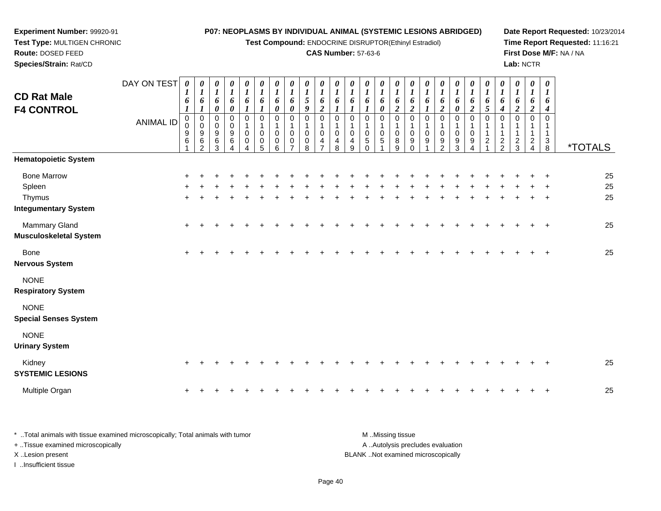**Test Compound:** ENDOCRINE DISRUPTOR(Ethinyl Estradiol)

### **CAS Number:** 57-63-6

**Date Report Requested:** 10/23/2014**Time Report Requested:** 11:16:21**First Dose M/F:** NA / NA**Lab:** NCTR

 **Species/Strain:** Rat/CDDAY ON TEST**CD Rat Male F4 CONTROL**ANIMAL ID*0 1 6 1* 0 0 9 6 1*0 1 6 1* 0 0 9 6 2*0 1 6 0* 0 0 9 6 3*0 1 6 0* 0 0 9 6 4*0 1 6 1* 0 1 0 0 4*0 1 6 1* 0 1 0 0 5*0 1 6 0* 0 1 0 0 6*0 1 6 0* 0 1 0 0 7*0 1 5 9* 0 1 0 0 8*0 1 6 2* 0 1 0 4 7*0 1 6 1* 0 1 0 4 8*0 1 6 1* 0 1 0 4 9*0 1 6 1* 0 1 0 5 0*0 1 6 0* 0 1 0 5 1*0 1 6 2* 0 1 0 8 9*0 1 6 2* 0 1 0 9 0*0 1 6 1* 0 1 0 9 1*0 1 6 2* 0 1 0 9 2*0 1 6 0* 0 1 0 9 3*0 1 6 2* 0 1 0 9 4*0 1 6 5* 0 1 1 2 1*0 1 6 4* 0 1 1 2 2*0 1 6 2* 0 1 1 2 3*0 1 6 2* 0 1 1 2 4*0 1 6 4* 0 1 13<br>օ 8 \*TOTALS**Hematopoietic System**Bone Marrow <sup>+</sup> <sup>+</sup> <sup>+</sup> <sup>+</sup> <sup>+</sup> <sup>+</sup> <sup>+</sup> <sup>+</sup> <sup>+</sup> <sup>+</sup> <sup>+</sup> <sup>+</sup> <sup>+</sup> <sup>+</sup> <sup>+</sup> <sup>+</sup> <sup>+</sup> <sup>+</sup> <sup>+</sup> <sup>+</sup> <sup>+</sup> <sup>+</sup> <sup>+</sup> <sup>+</sup> <sup>+</sup> <sup>25</sup> Spleenn  $+$  <sup>+</sup> <sup>+</sup> <sup>+</sup> <sup>+</sup> <sup>+</sup> <sup>+</sup> <sup>+</sup> <sup>+</sup> <sup>+</sup> <sup>+</sup> <sup>+</sup> <sup>+</sup> <sup>+</sup> <sup>+</sup> <sup>+</sup> <sup>+</sup> <sup>+</sup> <sup>+</sup> <sup>+</sup> <sup>+</sup> <sup>+</sup> <sup>+</sup> <sup>+</sup> <sup>+</sup> <sup>25</sup> Thymus <sup>+</sup> <sup>+</sup> <sup>+</sup> <sup>+</sup> <sup>+</sup> <sup>+</sup> <sup>+</sup> <sup>+</sup> <sup>+</sup> <sup>+</sup> <sup>+</sup> <sup>+</sup> <sup>+</sup> <sup>+</sup> <sup>+</sup> <sup>+</sup> <sup>+</sup> <sup>+</sup> <sup>+</sup> <sup>+</sup> <sup>+</sup> <sup>+</sup> <sup>+</sup> <sup>+</sup> <sup>+</sup> <sup>25</sup> **Integumentary System**Mammary Gland $\alpha$  + <sup>+</sup> <sup>+</sup> <sup>+</sup> <sup>+</sup> <sup>+</sup> <sup>+</sup> <sup>+</sup> <sup>+</sup> <sup>+</sup> <sup>+</sup> <sup>+</sup> <sup>+</sup> <sup>+</sup> <sup>+</sup> <sup>+</sup> <sup>+</sup> <sup>+</sup> <sup>+</sup> <sup>+</sup> <sup>+</sup> <sup>+</sup> <sup>+</sup> <sup>+</sup> <sup>+</sup> <sup>25</sup> **Musculoskeletal System**Bone $e$  + <sup>+</sup> <sup>+</sup> <sup>+</sup> <sup>+</sup> <sup>+</sup> <sup>+</sup> <sup>+</sup> <sup>+</sup> <sup>+</sup> <sup>+</sup> <sup>+</sup> <sup>+</sup> <sup>+</sup> <sup>+</sup> <sup>+</sup> <sup>+</sup> <sup>+</sup> <sup>+</sup> <sup>+</sup> <sup>+</sup> <sup>+</sup> <sup>+</sup> <sup>+</sup> <sup>+</sup> <sup>25</sup> **Nervous System**NONE **Respiratory System**NONE **Special Senses System**NONE

**Urinary System**

**Experiment Number:** 99920-91**Test Type:** MULTIGEN CHRONIC

**Route:** DOSED FEED

| Kidney<br><b>SYSTEMIC LESIONS</b> |  |  |  |  |  |  |  |  |  |  |  |  |  | 25 |
|-----------------------------------|--|--|--|--|--|--|--|--|--|--|--|--|--|----|
| Multiple Organ                    |  |  |  |  |  |  |  |  |  |  |  |  |  | 25 |

| Total animals with tissue examined microscopically; Total animals with tumor | M Missing tissue                   |
|------------------------------------------------------------------------------|------------------------------------|
| + Tissue examined microscopically                                            | A Autolysis precludes evaluation   |
| X Lesion present                                                             | BLANK Not examined microscopically |
| Insufficient tissue                                                          |                                    |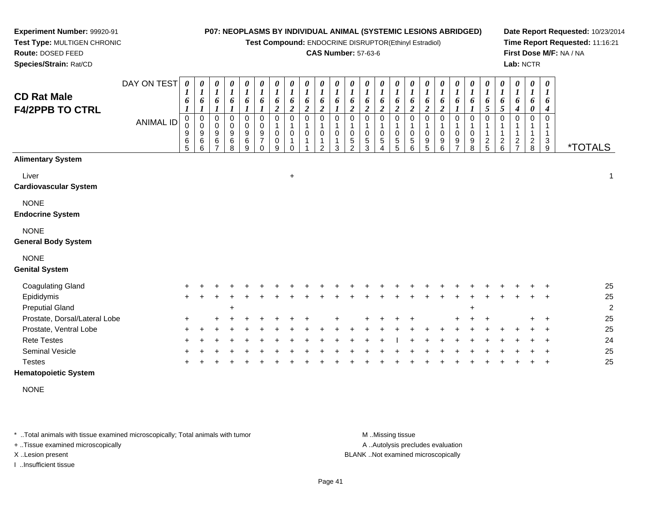**Test Compound:** ENDOCRINE DISRUPTOR(Ethinyl Estradiol)

### **CAS Number:** 57-63-6

**Date Report Requested:** 10/23/2014**Time Report Requested:** 11:16:21**First Dose M/F:** NA / NA**Lab:** NCTR

| <b>CD Rat Male</b><br><b>F4/2PPB TO CTRL</b> | DAY ON TEST<br><b>ANIMAL ID</b> | $\boldsymbol{\theta}$<br>$\boldsymbol{l}$<br>6<br>$\overline{0}$<br>0<br>9<br>6<br>5 | 0<br>1<br>6<br>1<br>$\mathbf 0$<br>$\mathbf 0$<br>9<br>6<br>6 | 0<br>6<br>0<br>0<br>9<br>6 | 0<br>$\boldsymbol{l}$<br>6<br>0<br>$\boldsymbol{0}$<br>$\boldsymbol{9}$<br>6<br>8 | 0<br>$\boldsymbol{l}$<br>6<br>$\boldsymbol{l}$<br>0<br>0<br>9<br>6<br>9 | $\boldsymbol{\theta}$<br>$\boldsymbol{l}$<br>6<br>$\boldsymbol{l}$<br>$\mathbf 0$<br>$\pmb{0}$<br>$\boldsymbol{9}$<br>$\overline{7}$<br>$\Omega$ | 0<br>$\boldsymbol{l}$<br>6<br>$\overline{c}$<br>$\Omega$<br>$\mathbf{1}$<br>$\pmb{0}$<br>$\pmb{0}$<br>9 | 0<br>$\boldsymbol{l}$<br>6<br>$\overline{2}$<br>$\Omega$<br>$\mathbf 0$<br>$\Omega$ | 0<br>$\boldsymbol{l}$<br>6<br>$\boldsymbol{2}$<br>$\Omega$<br>0 | 0<br>$\boldsymbol{l}$<br>6<br>$\boldsymbol{2}$<br>0<br>0<br>າ | $\frac{\theta}{I}$<br>6<br>0<br>1<br>$\pmb{0}$<br>1<br>3 | $\pmb{\theta}$<br>$\boldsymbol{l}$<br>6<br>$\overline{c}$<br>$\Omega$<br>1<br>0<br>$\sqrt{5}$<br>$\mathcal{P}$ | 0<br>$\boldsymbol{l}$<br>6<br>$\boldsymbol{2}$<br>$\Omega$<br>$\mathbf 1$<br>$\pmb{0}$<br>$\sqrt{5}$<br>3 | 0<br>$\boldsymbol{l}$<br>6<br>$\boldsymbol{2}$<br>$\Omega$<br>1<br>$\mathbf 0$<br>$\sqrt{5}$<br>Δ | 0<br>$\boldsymbol{l}$<br>6<br>$\boldsymbol{2}$<br>$\Omega$<br>1<br>$\mathbf 0$<br>5<br>5 | 0<br>$\boldsymbol{l}$<br>6<br>$\boldsymbol{2}$<br>$\Omega$<br>0<br>5<br>6 | 0<br>$\boldsymbol{l}$<br>6<br>$\boldsymbol{2}$<br>$\Omega$<br>0<br>9<br>5 | 0<br>$\boldsymbol{l}$<br>6<br>$\overline{c}$<br>$\mathbf 0$<br>0<br>9<br>6 | 0<br>$\boldsymbol{l}$<br>6<br>0<br>0<br>9<br>7 | $\pmb{\theta}$<br>$\boldsymbol{l}$<br>6<br>$\Omega$<br>$\pmb{0}$<br>9<br>8 | $\pmb{\theta}$<br>$\boldsymbol{l}$<br>6<br>5<br>0<br>1<br>$\mathbf{1}$<br>$\frac{2}{5}$ | $\pmb{\theta}$<br>$\boldsymbol{l}$<br>6<br>5<br>$\Omega$<br>$\mathbf 1$<br>$\frac{2}{6}$ | $\pmb{\theta}$<br>$\boldsymbol{l}$<br>6<br>4<br>$\Omega$<br>$\frac{2}{7}$ | 0<br>$\boldsymbol{l}$<br>6<br>0<br>$\frac{2}{8}$ | $\pmb{\theta}$<br>1<br>6<br>4<br>$\Omega$<br>1<br>$\sqrt{3}$<br>$9\,$ | <i><b>*TOTALS</b></i> |
|----------------------------------------------|---------------------------------|--------------------------------------------------------------------------------------|---------------------------------------------------------------|----------------------------|-----------------------------------------------------------------------------------|-------------------------------------------------------------------------|--------------------------------------------------------------------------------------------------------------------------------------------------|---------------------------------------------------------------------------------------------------------|-------------------------------------------------------------------------------------|-----------------------------------------------------------------|---------------------------------------------------------------|----------------------------------------------------------|----------------------------------------------------------------------------------------------------------------|-----------------------------------------------------------------------------------------------------------|---------------------------------------------------------------------------------------------------|------------------------------------------------------------------------------------------|---------------------------------------------------------------------------|---------------------------------------------------------------------------|----------------------------------------------------------------------------|------------------------------------------------|----------------------------------------------------------------------------|-----------------------------------------------------------------------------------------|------------------------------------------------------------------------------------------|---------------------------------------------------------------------------|--------------------------------------------------|-----------------------------------------------------------------------|-----------------------|
| <b>Alimentary System</b>                     |                                 |                                                                                      |                                                               |                            |                                                                                   |                                                                         |                                                                                                                                                  |                                                                                                         |                                                                                     |                                                                 |                                                               |                                                          |                                                                                                                |                                                                                                           |                                                                                                   |                                                                                          |                                                                           |                                                                           |                                                                            |                                                |                                                                            |                                                                                         |                                                                                          |                                                                           |                                                  |                                                                       |                       |
| Liver<br><b>Cardiovascular System</b>        |                                 |                                                                                      |                                                               |                            |                                                                                   |                                                                         |                                                                                                                                                  |                                                                                                         | $\boldsymbol{+}$                                                                    |                                                                 |                                                               |                                                          |                                                                                                                |                                                                                                           |                                                                                                   |                                                                                          |                                                                           |                                                                           |                                                                            |                                                |                                                                            |                                                                                         |                                                                                          |                                                                           |                                                  |                                                                       | 1                     |
| <b>NONE</b><br><b>Endocrine System</b>       |                                 |                                                                                      |                                                               |                            |                                                                                   |                                                                         |                                                                                                                                                  |                                                                                                         |                                                                                     |                                                                 |                                                               |                                                          |                                                                                                                |                                                                                                           |                                                                                                   |                                                                                          |                                                                           |                                                                           |                                                                            |                                                |                                                                            |                                                                                         |                                                                                          |                                                                           |                                                  |                                                                       |                       |
| <b>NONE</b><br><b>General Body System</b>    |                                 |                                                                                      |                                                               |                            |                                                                                   |                                                                         |                                                                                                                                                  |                                                                                                         |                                                                                     |                                                                 |                                                               |                                                          |                                                                                                                |                                                                                                           |                                                                                                   |                                                                                          |                                                                           |                                                                           |                                                                            |                                                |                                                                            |                                                                                         |                                                                                          |                                                                           |                                                  |                                                                       |                       |
| <b>NONE</b><br><b>Genital System</b>         |                                 |                                                                                      |                                                               |                            |                                                                                   |                                                                         |                                                                                                                                                  |                                                                                                         |                                                                                     |                                                                 |                                                               |                                                          |                                                                                                                |                                                                                                           |                                                                                                   |                                                                                          |                                                                           |                                                                           |                                                                            |                                                |                                                                            |                                                                                         |                                                                                          |                                                                           |                                                  |                                                                       |                       |
| <b>Coagulating Gland</b>                     |                                 |                                                                                      |                                                               |                            |                                                                                   |                                                                         |                                                                                                                                                  |                                                                                                         |                                                                                     |                                                                 |                                                               |                                                          |                                                                                                                |                                                                                                           |                                                                                                   |                                                                                          |                                                                           |                                                                           |                                                                            |                                                |                                                                            |                                                                                         |                                                                                          |                                                                           |                                                  |                                                                       | 25                    |
| Epididymis<br><b>Preputial Gland</b>         |                                 |                                                                                      |                                                               |                            | $\div$                                                                            |                                                                         |                                                                                                                                                  |                                                                                                         |                                                                                     |                                                                 |                                                               |                                                          |                                                                                                                |                                                                                                           |                                                                                                   |                                                                                          |                                                                           |                                                                           |                                                                            |                                                | $\pm$                                                                      |                                                                                         |                                                                                          |                                                                           |                                                  |                                                                       | 25<br>$\overline{2}$  |
| Prostate, Dorsal/Lateral Lobe                |                                 |                                                                                      |                                                               |                            |                                                                                   |                                                                         |                                                                                                                                                  |                                                                                                         |                                                                                     |                                                                 |                                                               |                                                          |                                                                                                                |                                                                                                           |                                                                                                   |                                                                                          |                                                                           |                                                                           |                                                                            |                                                |                                                                            |                                                                                         |                                                                                          |                                                                           |                                                  |                                                                       | 25                    |
| Prostate, Ventral Lobe                       |                                 |                                                                                      |                                                               |                            |                                                                                   |                                                                         |                                                                                                                                                  |                                                                                                         |                                                                                     |                                                                 |                                                               |                                                          |                                                                                                                |                                                                                                           |                                                                                                   |                                                                                          |                                                                           |                                                                           |                                                                            |                                                |                                                                            |                                                                                         |                                                                                          |                                                                           |                                                  |                                                                       | 25                    |
| <b>Rete Testes</b>                           |                                 |                                                                                      |                                                               |                            |                                                                                   |                                                                         |                                                                                                                                                  |                                                                                                         |                                                                                     |                                                                 |                                                               |                                                          |                                                                                                                |                                                                                                           |                                                                                                   |                                                                                          |                                                                           |                                                                           |                                                                            |                                                |                                                                            |                                                                                         |                                                                                          |                                                                           |                                                  |                                                                       | 24                    |
| <b>Seminal Vesicle</b><br><b>Testes</b>      |                                 |                                                                                      |                                                               |                            |                                                                                   |                                                                         |                                                                                                                                                  |                                                                                                         |                                                                                     |                                                                 |                                                               |                                                          |                                                                                                                |                                                                                                           |                                                                                                   |                                                                                          |                                                                           |                                                                           |                                                                            |                                                |                                                                            |                                                                                         |                                                                                          |                                                                           |                                                  |                                                                       | 25<br>25              |
|                                              |                                 |                                                                                      |                                                               |                            |                                                                                   |                                                                         |                                                                                                                                                  |                                                                                                         |                                                                                     |                                                                 |                                                               |                                                          |                                                                                                                |                                                                                                           |                                                                                                   |                                                                                          |                                                                           |                                                                           |                                                                            |                                                |                                                                            |                                                                                         |                                                                                          |                                                                           |                                                  |                                                                       |                       |

### **Hematopoietic System**

**Experiment Number:** 99920-91**Test Type:** MULTIGEN CHRONIC

**Route:** DOSED FEED**Species/Strain:** Rat/CD

NONE

\* ..Total animals with tissue examined microscopically; Total animals with tumor **M** ...Missing tissue M ...Missing tissue

+ ..Tissue examined microscopically

I ..Insufficient tissue

A ..Autolysis precludes evaluation

X ..Lesion present BLANK ..Not examined microscopically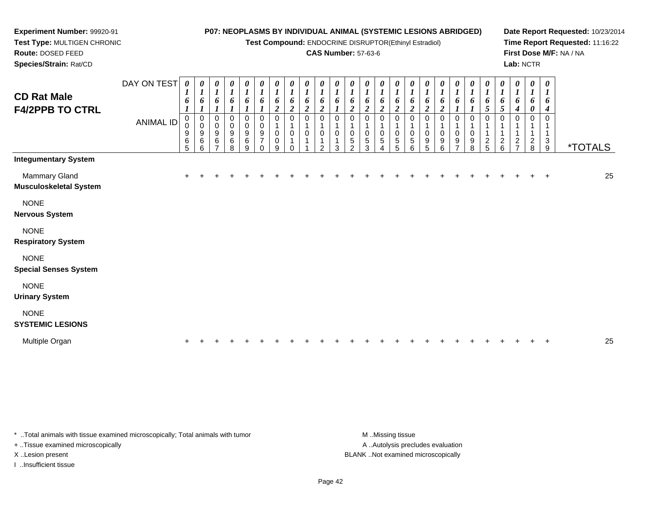**Test Compound:** ENDOCRINE DISRUPTOR(Ethinyl Estradiol)

### **CAS Number:** 57-63-6

**Date Report Requested:** 10/23/2014**Time Report Requested:** 11:16:22**First Dose M/F:** NA / NA**Lab:** NCTR

| <b>CD Rat Male</b><br><b>F4/2PPB TO CTRL</b>   | DAY ON TEST<br><b>ANIMAL ID</b> | 0<br>$\boldsymbol{l}$<br>6<br>$\mathbf 0$<br>$\mathbf 0$<br>9<br>6<br>5 | 0<br>$\boldsymbol{l}$<br>6<br>0<br>$\pmb{0}$<br>9<br>6<br>6 | 0<br>$\boldsymbol{l}$<br>6<br>$\mathbf{I}$<br>0<br>0<br>9<br>6 | $\boldsymbol{\theta}$<br>$\boldsymbol{l}$<br>6<br>0<br>$\mathbf 0$<br>9<br>6<br>8 | $\begin{matrix} 0 \\ 1 \end{matrix}$<br>6<br>$\pmb{0}$<br>$\mathbf 0$<br>$\boldsymbol{9}$<br>$\,6$<br>9 | $\frac{\theta}{I}$<br>6<br>0<br>$\pmb{0}$<br>9<br>$\overline{7}$<br>$\Omega$ | 0<br>$\boldsymbol{l}$<br>6<br>$\overline{\mathbf{c}}$<br>0<br>0<br>0<br>9 | $\pmb{\theta}$<br>$\boldsymbol{l}$<br>6<br>$\overline{c}$<br>0<br>1<br>$\pmb{0}$<br>1<br>$\Omega$ | $\frac{\boldsymbol{\theta}}{\boldsymbol{I}}$<br>6<br>$\boldsymbol{2}$<br>0<br>1<br>0<br>$\overline{ }$ | $\frac{\theta}{I}$<br>6<br>$\boldsymbol{2}$<br>0<br>0<br>1<br>$\mathcal{P}$ | 0<br>$\boldsymbol{l}$<br>3 | $\boldsymbol{\theta}$<br>$\boldsymbol{l}$<br>o<br>$\boldsymbol{2}$<br>0<br>5<br>$\Omega$ | $\frac{\theta}{I}$<br>6<br>$\boldsymbol{2}$<br>0<br>0<br>$\mathbf 5$<br>3 | $\boldsymbol{\theta}$<br>$\boldsymbol{l}$<br>6<br>$\boldsymbol{2}$<br>0<br>0<br>$\sqrt{5}$<br>4 | 0<br>$\boldsymbol{l}$<br>6<br>$\overline{2}$<br>0<br>0<br>5<br>5 | $\boldsymbol{\theta}$<br>$\boldsymbol{l}$<br>6<br>0<br>0<br>5<br>6 | 0<br>6<br>$\boldsymbol{2}$<br>0<br>0<br>9<br>5 | $\boldsymbol{\theta}$<br>$\boldsymbol{l}$<br>6<br>$\overline{2}$<br>0<br>0<br>9<br>6 | 0<br>0<br>0<br>9<br>$\overline{ }$ | $\boldsymbol{\theta}$<br>o<br>0<br>0<br>9<br>8 | 0<br>$\mathbf{r}$<br>6<br>5<br>0<br>$\overline{\mathbf{c}}$<br>5 | 0<br>$\boldsymbol{l}$<br>6<br>$\sqrt{5}$<br>0<br>$\overline{c}$<br>6 | 0<br>$\boldsymbol{l}$<br>6<br>4<br>0<br>$\frac{2}{7}$ | 0<br>$\boldsymbol{l}$<br>6<br>0<br>$\mathbf 0$<br>$_{8}^2$ | 0<br>$\overline{ }$<br>6<br>4<br>0<br>3<br>9 | <i><b>*TOTALS</b></i> |
|------------------------------------------------|---------------------------------|-------------------------------------------------------------------------|-------------------------------------------------------------|----------------------------------------------------------------|-----------------------------------------------------------------------------------|---------------------------------------------------------------------------------------------------------|------------------------------------------------------------------------------|---------------------------------------------------------------------------|---------------------------------------------------------------------------------------------------|--------------------------------------------------------------------------------------------------------|-----------------------------------------------------------------------------|----------------------------|------------------------------------------------------------------------------------------|---------------------------------------------------------------------------|-------------------------------------------------------------------------------------------------|------------------------------------------------------------------|--------------------------------------------------------------------|------------------------------------------------|--------------------------------------------------------------------------------------|------------------------------------|------------------------------------------------|------------------------------------------------------------------|----------------------------------------------------------------------|-------------------------------------------------------|------------------------------------------------------------|----------------------------------------------|-----------------------|
| <b>Integumentary System</b>                    |                                 |                                                                         |                                                             |                                                                |                                                                                   |                                                                                                         |                                                                              |                                                                           |                                                                                                   |                                                                                                        |                                                                             |                            |                                                                                          |                                                                           |                                                                                                 |                                                                  |                                                                    |                                                |                                                                                      |                                    |                                                |                                                                  |                                                                      |                                                       |                                                            |                                              |                       |
| Mammary Gland<br><b>Musculoskeletal System</b> |                                 | $\pm$                                                                   |                                                             |                                                                |                                                                                   |                                                                                                         |                                                                              |                                                                           |                                                                                                   |                                                                                                        |                                                                             |                            |                                                                                          |                                                                           |                                                                                                 |                                                                  |                                                                    |                                                |                                                                                      |                                    |                                                |                                                                  |                                                                      |                                                       |                                                            | $\div$                                       | 25                    |
| <b>NONE</b><br><b>Nervous System</b>           |                                 |                                                                         |                                                             |                                                                |                                                                                   |                                                                                                         |                                                                              |                                                                           |                                                                                                   |                                                                                                        |                                                                             |                            |                                                                                          |                                                                           |                                                                                                 |                                                                  |                                                                    |                                                |                                                                                      |                                    |                                                |                                                                  |                                                                      |                                                       |                                                            |                                              |                       |
| <b>NONE</b><br><b>Respiratory System</b>       |                                 |                                                                         |                                                             |                                                                |                                                                                   |                                                                                                         |                                                                              |                                                                           |                                                                                                   |                                                                                                        |                                                                             |                            |                                                                                          |                                                                           |                                                                                                 |                                                                  |                                                                    |                                                |                                                                                      |                                    |                                                |                                                                  |                                                                      |                                                       |                                                            |                                              |                       |
| <b>NONE</b><br><b>Special Senses System</b>    |                                 |                                                                         |                                                             |                                                                |                                                                                   |                                                                                                         |                                                                              |                                                                           |                                                                                                   |                                                                                                        |                                                                             |                            |                                                                                          |                                                                           |                                                                                                 |                                                                  |                                                                    |                                                |                                                                                      |                                    |                                                |                                                                  |                                                                      |                                                       |                                                            |                                              |                       |
| <b>NONE</b><br><b>Urinary System</b>           |                                 |                                                                         |                                                             |                                                                |                                                                                   |                                                                                                         |                                                                              |                                                                           |                                                                                                   |                                                                                                        |                                                                             |                            |                                                                                          |                                                                           |                                                                                                 |                                                                  |                                                                    |                                                |                                                                                      |                                    |                                                |                                                                  |                                                                      |                                                       |                                                            |                                              |                       |
| <b>NONE</b>                                    |                                 |                                                                         |                                                             |                                                                |                                                                                   |                                                                                                         |                                                                              |                                                                           |                                                                                                   |                                                                                                        |                                                                             |                            |                                                                                          |                                                                           |                                                                                                 |                                                                  |                                                                    |                                                |                                                                                      |                                    |                                                |                                                                  |                                                                      |                                                       |                                                            |                                              |                       |

**SYSTEMIC LESIONS**

**Experiment Number:** 99920-91**Test Type:** MULTIGEN CHRONIC

**Route:** DOSED FEED**Species/Strain:** Rat/CD

| Multiple C |  |  |  |  |  |  |  |  |  |  |  |  |  |  |  |  |  |  |  |  |  |  |  |  |  |  |  | $\sim$ |
|------------|--|--|--|--|--|--|--|--|--|--|--|--|--|--|--|--|--|--|--|--|--|--|--|--|--|--|--|--------|
|------------|--|--|--|--|--|--|--|--|--|--|--|--|--|--|--|--|--|--|--|--|--|--|--|--|--|--|--|--------|

\* ..Total animals with tissue examined microscopically; Total animals with tumor **M** ...Missing tissue M ...Missing tissue

+ ..Tissue examined microscopically

I ..Insufficient tissue

A .. Autolysis precludes evaluation X ..Lesion present BLANK ..Not examined microscopically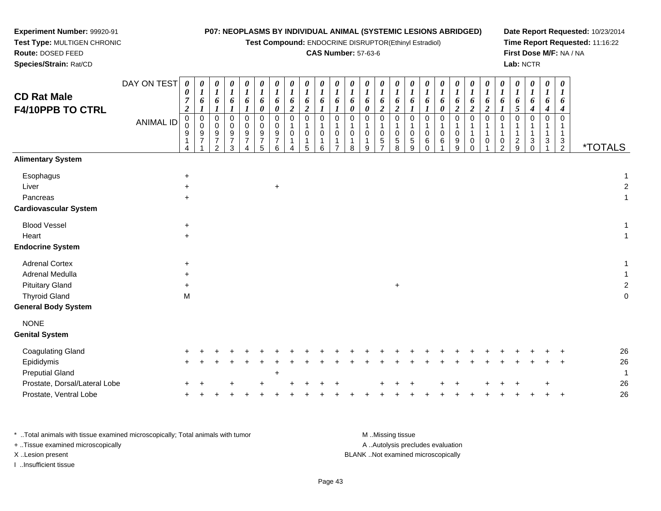| Experiment Number: 99920-91                   |                  |                       |                       |                                      |                  |        |             |   |   |                            |                                 |        |                                 | P07: NEOPLASMS BY INDIVIDUAL ANIMAL (SYSTEMIC LESIONS ABRIDGED) |   |                       |               |   |                    |           |   |                    |                     | Date Report Requested: 10/23/2014 |
|-----------------------------------------------|------------------|-----------------------|-----------------------|--------------------------------------|------------------|--------|-------------|---|---|----------------------------|---------------------------------|--------|---------------------------------|-----------------------------------------------------------------|---|-----------------------|---------------|---|--------------------|-----------|---|--------------------|---------------------|-----------------------------------|
| Test Type: MULTIGEN CHRONIC                   |                  |                       |                       |                                      |                  |        |             |   |   |                            |                                 |        |                                 | Test Compound: ENDOCRINE DISRUPTOR(Ethinyl Estradiol)           |   |                       |               |   |                    |           |   |                    |                     | Time Report Requested: 11:16:22   |
| Route: DOSED FEED                             |                  |                       |                       |                                      |                  |        |             |   |   | <b>CAS Number: 57-63-6</b> |                                 |        |                                 |                                                                 |   |                       |               |   |                    |           |   |                    |                     | First Dose M/F: NA / NA           |
| Species/Strain: Rat/CD                        |                  |                       |                       |                                      |                  |        |             |   |   |                            |                                 |        |                                 |                                                                 |   |                       |               |   |                    | Lab: NCTR |   |                    |                     |                                   |
| <b>CD Rat Male</b><br><b>F4/10PPB TO CTRL</b> | DAY ON TEST      | $\boldsymbol{\theta}$ | $\theta$<br>6         | $\boldsymbol{\theta}$<br>6           |                  | 6<br>0 | 6<br>0      |   | U | 6<br>$\theta$              | $\boldsymbol{\theta}$<br>6<br>0 | 0<br>6 | $\boldsymbol{\theta}$<br>6<br>2 |                                                                 |   | $\boldsymbol{\theta}$ | $\theta$<br>6 |   |                    |           | 4 | $\theta$<br>o<br>4 | 6                   |                                   |
|                                               | <b>ANIMAL ID</b> | $\mathbf{0}$<br>9     | 0<br>$\mathbf 0$<br>9 | $\mathbf 0$<br>$\mathbf 0$<br>9<br>2 | 0<br>0<br>9<br>3 | 0      | 0<br>9<br>6 | 5 | 6 | 0                          | $\Omega$<br>9                   | 0<br>5 | $\Omega$<br>0<br>5<br>8         | 5<br>9                                                          | 6 | 6                     | 0<br>9<br>9   | 0 | 0<br>$\mathcal{P}$ | q         | 3 | $\Omega$<br>3      | 3<br>$\overline{2}$ | <i><b>*TOTALS</b></i>             |
| <b>Alimentary System</b>                      |                  |                       |                       |                                      |                  |        |             |   |   |                            |                                 |        |                                 |                                                                 |   |                       |               |   |                    |           |   |                    |                     |                                   |
| Esophagus                                     |                  | $\ddot{}$             |                       |                                      |                  |        |             |   |   |                            |                                 |        |                                 |                                                                 |   |                       |               |   |                    |           |   |                    |                     |                                   |
| Liver                                         |                  | ÷                     |                       |                                      |                  |        | +           |   |   |                            |                                 |        |                                 |                                                                 |   |                       |               |   |                    |           |   |                    |                     |                                   |
| Pancreas                                      |                  | ÷                     |                       |                                      |                  |        |             |   |   |                            |                                 |        |                                 |                                                                 |   |                       |               |   |                    |           |   |                    |                     |                                   |
| <b>Cardiovascular System</b>                  |                  |                       |                       |                                      |                  |        |             |   |   |                            |                                 |        |                                 |                                                                 |   |                       |               |   |                    |           |   |                    |                     |                                   |
| <b>Blood Vessel</b>                           |                  | $\ddot{}$             |                       |                                      |                  |        |             |   |   |                            |                                 |        |                                 |                                                                 |   |                       |               |   |                    |           |   |                    |                     |                                   |
| Heart                                         |                  | $\ddot{}$             |                       |                                      |                  |        |             |   |   |                            |                                 |        |                                 |                                                                 |   |                       |               |   |                    |           |   |                    |                     |                                   |
| <b>Endocrine System</b>                       |                  |                       |                       |                                      |                  |        |             |   |   |                            |                                 |        |                                 |                                                                 |   |                       |               |   |                    |           |   |                    |                     |                                   |
| <b>Adrenal Cortex</b>                         |                  | $\ddot{}$             |                       |                                      |                  |        |             |   |   |                            |                                 |        |                                 |                                                                 |   |                       |               |   |                    |           |   |                    |                     |                                   |
| Adrenal Medulla                               |                  |                       |                       |                                      |                  |        |             |   |   |                            |                                 |        |                                 |                                                                 |   |                       |               |   |                    |           |   |                    |                     |                                   |
| <b>Pituitary Gland</b>                        |                  |                       |                       |                                      |                  |        |             |   |   |                            |                                 |        | $\ddot{}$                       |                                                                 |   |                       |               |   |                    |           |   |                    |                     |                                   |

Thyroid Gland

| Thyroid Gland<br><b>General Body System</b> | M   |  |   |        |   |     |  |  |     |  |  |  |  |  |       |        | 0  |
|---------------------------------------------|-----|--|---|--------|---|-----|--|--|-----|--|--|--|--|--|-------|--------|----|
| <b>NONE</b><br><b>Genital System</b>        |     |  |   |        |   |     |  |  |     |  |  |  |  |  |       |        |    |
| <b>Coagulating Gland</b>                    | $+$ |  |   |        |   |     |  |  |     |  |  |  |  |  |       |        | 26 |
| Epididymis                                  | $+$ |  |   |        |   |     |  |  |     |  |  |  |  |  | $+$   | $\div$ | 26 |
| <b>Preputial Gland</b>                      |     |  |   |        | ÷ |     |  |  |     |  |  |  |  |  |       |        |    |
| Prostate, Dorsal/Lateral Lobe               | $+$ |  | ÷ | $\div$ |   | $+$ |  |  | $+$ |  |  |  |  |  | $\pm$ |        | 26 |
| Prostate, Ventral Lobe                      | $+$ |  |   |        |   |     |  |  |     |  |  |  |  |  |       |        | 26 |
|                                             |     |  |   |        |   |     |  |  |     |  |  |  |  |  |       |        |    |

\* ..Total animals with tissue examined microscopically; Total animals with tumor **M** ..Missing tissue M ..Missing tissue A ..Autolysis precludes evaluation + ..Tissue examined microscopically X ..Lesion present BLANK ..Not examined microscopicallyI ..Insufficient tissue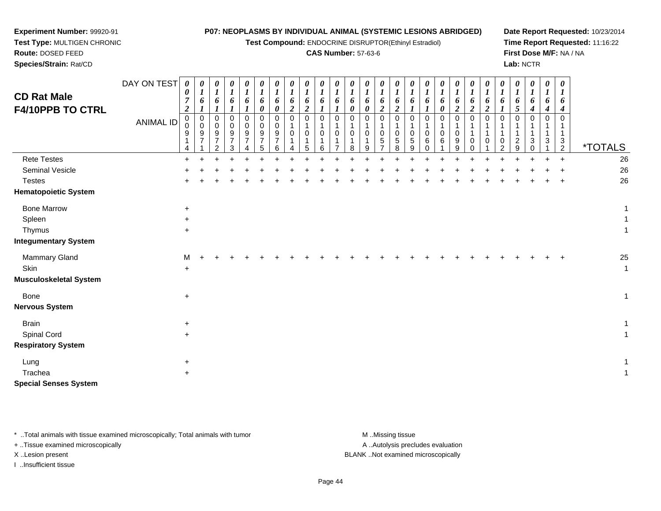#### **Test Type:** MULTIGEN CHRONIC**Route:** DOSED FEED **Species/Strain:** Rat/CD**Test Compound:** ENDOCRINE DISRUPTOR(Ethinyl Estradiol)**CAS Number:** 57-63-6**Time Report Requested:** 11:16:22**First Dose M/F:** NA / NA**Lab:** NCTRDAY ON TEST**CD Rat Male F4/10PPB TO CTRL**ANIMAL ID*0 0 7 2* 0 0 9 1 4 $\ddot{}$ *0 1 6 1* 0 0 9 7 1*0 1 6 1* 0 0 9 7 2*0 1 6 1* 0 0 9 7 3*0 1 6 1* 0 0 9 7 4*0 1 6 0* 0 0 9 7 5*0 1 6 0* 0 0 9 7 6*0 1 6 2* 0 1 0 1 4*0 1 6 2* 0 1 0 1 5*0 1 6 1* 0 1 0 1 6*0 1 6 1* 0 1 0 1 7*0 1 6 0* 0 1 0 1 8*0 1 6 0* 0 1 0 1 9*0 1 6 2* 0 1 0 5 7*0 1 6 2* 0 1 0 5 8*0 1 6 1* 0 1 0 5 9*0 1 6 1* 0 1 0 6 0*0 1 6 0* 0 1 0 6 1 $\ddot{}$ *0 1 6 2* 0 1 0 9 9*0 1 6 2* 0 1 1 0 0*0 1 6 2* 0 1 1 0 1*0 1 6 1* 0 1 1 0 2*0 1 6 5* 0 1 1 2 9*0 1 6 4* 0 1 1 3 0*0 1 6 4* 0 1 1 3 1*0 1 6 4* 0 1 1 3 $\frac{5}{2}$ <sup>2</sup> \*TOTALS26 Rete Testes <sup>+</sup> <sup>+</sup> <sup>+</sup> <sup>+</sup> <sup>+</sup> <sup>+</sup> <sup>+</sup> <sup>+</sup> <sup>+</sup> <sup>+</sup> <sup>+</sup> <sup>+</sup> <sup>+</sup> <sup>+</sup> <sup>+</sup> <sup>+</sup> <sup>+</sup> <sup>+</sup> <sup>+</sup> <sup>+</sup> <sup>+</sup> <sup>+</sup> <sup>+</sup> <sup>+</sup> <sup>+</sup> <sup>+</sup> <sup>26</sup> Seminal Vesiclee + <sup>+</sup> <sup>+</sup> <sup>+</sup> <sup>+</sup> <sup>+</sup> <sup>+</sup> <sup>+</sup> <sup>+</sup> <sup>+</sup> <sup>+</sup> <sup>+</sup> <sup>+</sup> <sup>+</sup> <sup>+</sup> <sup>+</sup> <sup>+</sup> <sup>+</sup> <sup>+</sup> <sup>+</sup> <sup>+</sup> <sup>+</sup> <sup>+</sup> <sup>+</sup> <sup>+</sup> <sup>+</sup> <sup>26</sup> Testes <sup>+</sup> <sup>+</sup> <sup>+</sup> <sup>+</sup> <sup>+</sup> <sup>+</sup> <sup>+</sup> <sup>+</sup> <sup>+</sup> <sup>+</sup> <sup>+</sup> <sup>+</sup> <sup>+</sup> <sup>+</sup> <sup>+</sup> <sup>+</sup> <sup>+</sup> <sup>+</sup> <sup>+</sup> <sup>+</sup> <sup>+</sup> <sup>+</sup> <sup>+</sup> <sup>+</sup> <sup>+</sup> <sup>+</sup> <sup>26</sup> **Hematopoietic System**Bone Marroww  $+$  1 Spleenn  $+$  $\ddot{\phantom{a}}$ **Thymus**  <sup>+</sup> $\ddot{\phantom{a}}$ **Integumentary System**Mammary Glandd M <sup>+</sup> <sup>+</sup> <sup>+</sup> <sup>+</sup> <sup>+</sup> <sup>+</sup> <sup>+</sup> <sup>+</sup> <sup>+</sup> <sup>+</sup> <sup>+</sup> <sup>+</sup> <sup>+</sup> <sup>+</sup> <sup>+</sup> <sup>+</sup> <sup>+</sup> <sup>+</sup> <sup>+</sup> <sup>+</sup> <sup>+</sup> <sup>+</sup> <sup>+</sup> <sup>+</sup> <sup>+</sup> <sup>25</sup> **Skin** n  $+$  $\ddot{\phantom{a}}$

**P07: NEOPLASMS BY INDIVIDUAL ANIMAL (SYSTEMIC LESIONS ABRIDGED)**

**Date Report Requested:** 10/23/2014

**Musculoskeletal System**

**Experiment Number:** 99920-91

| musculoskeletal əystem        |           |  |
|-------------------------------|-----------|--|
| Bone<br><b>Nervous System</b> | $\ddot{}$ |  |
| Brain                         | $\ddot{}$ |  |
| <b>Spinal Cord</b>            | $\ddot{}$ |  |
| <b>Respiratory System</b>     |           |  |
| Lung                          | $\ddot{}$ |  |
| Trachea                       | $\ddot{}$ |  |
|                               |           |  |

**Special Senses System**

\* ..Total animals with tissue examined microscopically; Total animals with tumor **M** ..Missing tissue M ..Missing tissue

+ ..Tissue examined microscopically

I ..Insufficient tissue

A ..Autolysis precludes evaluation

X ..Lesion present BLANK ..Not examined microscopically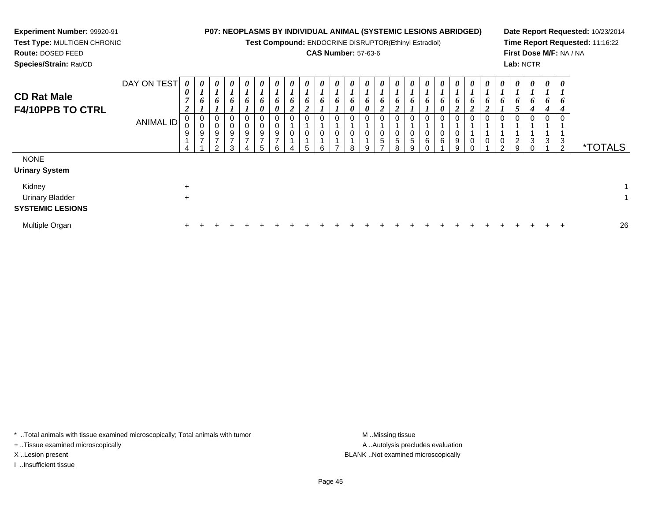#### **Experiment Number:** 99920-91 **Test Type:** MULTIGEN CHRONIC**P07: NEOPLASMS BY INDIVIDUAL ANIMAL (SYSTEMIC LESIONS ABRIDGED)Test Compound:** ENDOCRINE DISRUPTOR(Ethinyl Estradiol)

**Route:** DOSED FEED

**Species/Strain:** Rat/CD

**CAS Number:** 57-63-6

**Date Report Requested:** 10/23/2014**Time Report Requested:** 11:16:22**First Dose M/F:** NA / NA**Lab:** NCTR

| <b>CD Rat Male</b><br><b>F4/10PPB TO CTRL</b>                            | DAY ON TEST<br>ANIMAL ID | 0<br>$\boldsymbol{\theta}$<br>$\overline{7}$<br>2<br>9 | 0<br>$\overline{\phantom{a}}$<br>$\mathbf{I}$<br>6<br>$_{\rm 0}^{\rm 0}$<br>$\frac{9}{7}$ | 0<br>6<br>0<br>0<br>9<br>$\rightarrow$<br>$\mathcal{P}$ | 0<br>$\mathbf{r}$<br>6<br>$\pmb{0}$<br>$\mathbf 0$<br>$\boldsymbol{9}$<br>$\overline{ }$<br>3 | 0<br>6<br>$\mathbf 0$<br>$\boldsymbol{9}$<br>$\rightarrow$ | $\boldsymbol{\theta}$<br>6<br>0<br>0<br>$\mathbf 0$<br>$\boldsymbol{9}$<br>$\rightarrow$<br>5 | $\boldsymbol{\theta}$<br>$\bm{b}$<br>0<br>0<br>$\mathbf 0$<br>9<br>$\rightarrow$<br>ี | 0<br>6<br>$\overline{\mathbf{2}}$<br>0<br>0 | 0<br>6<br>$\sim$<br>0<br>г. | 0<br>6<br>0<br>0<br>6 | $\boldsymbol{\theta}$<br>$\bm{o}$<br>0<br>0<br>$\overline{ }$ | $\boldsymbol{\theta}$<br>$\bm{b}$<br>$\boldsymbol{\theta}$<br>0<br>$\mathbf 0$<br>R | 0<br>6<br>0<br>0<br>0<br>a | 0<br>6<br>$\mathbf{\Omega}$<br>∠<br>0<br>$\begin{smallmatrix}0\0\0\end{smallmatrix}$<br>$\rightarrow$ | $\boldsymbol{\theta}$<br>$\bm{b}$<br>$\rightarrow$<br>0<br>$\overline{5}$<br>8 | $\boldsymbol{\theta}$<br>6<br>0<br>0<br>$\sqrt{5}$<br>9 | $\boldsymbol{\theta}$<br>6<br>0<br>$\,6\,$ | $\boldsymbol{\theta}$<br>6<br>0<br>0<br>0<br>6 | 0<br>$\mathbf{I}$<br>6<br><u>ำ</u><br>0<br>$_{9}^{\rm 0}$<br>9 | 0<br>$\bm{b}$<br>$\overline{2}$<br>0<br>$\pmb{0}$ | 0<br>0<br>0<br>0 | $\boldsymbol{\theta}$<br>$\overline{ }$<br>6<br>0<br>$\boldsymbol{0}$<br>$\Omega$ | $\boldsymbol{\theta}$<br>$\bm{o}$<br>$\mathcal{L}$<br>$\overline{c}$<br>9 | $\boldsymbol{\theta}$<br>6<br>4<br>0<br>3<br>$\Omega$ | $\boldsymbol{\theta}$<br>$\mathbf{I}$<br>6<br>4<br>0<br>3 | 0<br>6<br>4<br>0<br>3<br>2 | <i><b>*TOTALS</b></i> |    |
|--------------------------------------------------------------------------|--------------------------|--------------------------------------------------------|-------------------------------------------------------------------------------------------|---------------------------------------------------------|-----------------------------------------------------------------------------------------------|------------------------------------------------------------|-----------------------------------------------------------------------------------------------|---------------------------------------------------------------------------------------|---------------------------------------------|-----------------------------|-----------------------|---------------------------------------------------------------|-------------------------------------------------------------------------------------|----------------------------|-------------------------------------------------------------------------------------------------------|--------------------------------------------------------------------------------|---------------------------------------------------------|--------------------------------------------|------------------------------------------------|----------------------------------------------------------------|---------------------------------------------------|------------------|-----------------------------------------------------------------------------------|---------------------------------------------------------------------------|-------------------------------------------------------|-----------------------------------------------------------|----------------------------|-----------------------|----|
| <b>NONE</b><br><b>Urinary System</b><br>Kidney<br><b>Urinary Bladder</b> |                          | $\ddot{}$<br>$\ddot{}$                                 |                                                                                           |                                                         |                                                                                               |                                                            |                                                                                               |                                                                                       |                                             |                             |                       |                                                               |                                                                                     |                            |                                                                                                       |                                                                                |                                                         |                                            |                                                |                                                                |                                                   |                  |                                                                                   |                                                                           |                                                       |                                                           |                            |                       |    |
| <b>SYSTEMIC LESIONS</b><br>Multiple Organ                                |                          | $\pm$                                                  |                                                                                           |                                                         |                                                                                               |                                                            |                                                                                               |                                                                                       |                                             |                             |                       |                                                               |                                                                                     |                            |                                                                                                       |                                                                                |                                                         |                                            |                                                |                                                                |                                                   |                  |                                                                                   |                                                                           |                                                       |                                                           | $\div$                     |                       | 26 |

\* ..Total animals with tissue examined microscopically; Total animals with tumor **M** . Missing tissue M ..Missing tissue

+ ..Tissue examined microscopically

I ..Insufficient tissue

A ..Autolysis precludes evaluation X ..Lesion present BLANK ..Not examined microscopically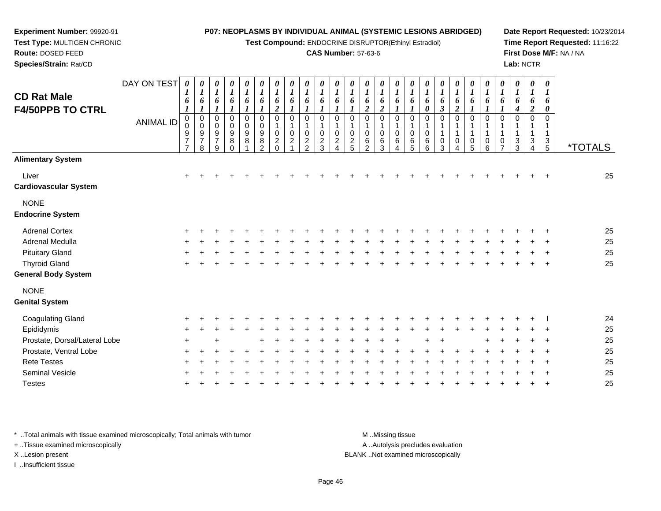**Test Compound:** ENDOCRINE DISRUPTOR(Ethinyl Estradiol)

### **CAS Number:** 57-63-6

**Date Report Requested:** 10/23/2014**Time Report Requested:** 11:16:22**First Dose M/F:** NA / NA**Lab:** NCTR

| <b>Species/Strain: Rat/CD</b>          |                  |                                                                           |                                       |                                    |                       |                                                           |                                           |                                    |                                   |                                    |                                 |                                               |                           |                                           |                            |                     |                        |                       |                       |                                       |                     |                                         |                                  |               | Lab: NCTR                             |                                           |                       |
|----------------------------------------|------------------|---------------------------------------------------------------------------|---------------------------------------|------------------------------------|-----------------------|-----------------------------------------------------------|-------------------------------------------|------------------------------------|-----------------------------------|------------------------------------|---------------------------------|-----------------------------------------------|---------------------------|-------------------------------------------|----------------------------|---------------------|------------------------|-----------------------|-----------------------|---------------------------------------|---------------------|-----------------------------------------|----------------------------------|---------------|---------------------------------------|-------------------------------------------|-----------------------|
| <b>CD Rat Male</b>                     | DAY ON TEST      | 0                                                                         | $\boldsymbol{\theta}$<br>$\mathbf{I}$ | 0<br>$\boldsymbol{I}$              | $\boldsymbol{\theta}$ | 0                                                         | $\boldsymbol{\theta}$<br>$\boldsymbol{l}$ | $\boldsymbol{\theta}$              | $\boldsymbol{\theta}$<br>$\bm{l}$ | $\boldsymbol{\theta}$              | $\boldsymbol{\theta}$           | $\boldsymbol{\theta}$                         | 0                         | $\boldsymbol{\theta}$<br>$\boldsymbol{l}$ | $\boldsymbol{\theta}$      | 0                   | $\theta$               | $\boldsymbol{\theta}$ | $\boldsymbol{\theta}$ | $\boldsymbol{\theta}$<br>$\mathbf{I}$ | 0                   | $\boldsymbol{\theta}$<br>$\overline{ }$ | 0<br>$\bm{l}$                    | 0             | $\boldsymbol{\theta}$<br>$\mathbf{I}$ | $\boldsymbol{\theta}$<br>$\boldsymbol{l}$ |                       |
| <b>F4/50PPB TO CTRL</b>                |                  | 6                                                                         | 6                                     | $\bm{o}$                           | O.                    | 6                                                         | 6                                         | 6                                  | 6                                 | $\bm{o}$                           | $\bm{o}$                        | 6                                             | 6                         | 6<br>$\mathbf{\hat{z}}$                   | 6                          | 6                   | o                      | $\bm{o}$<br>0         | 6                     | 6<br>$\mathbf{\Omega}$<br>∠           | 6                   | 6                                       | o                                | $\bm{o}$<br>4 | 6<br>2                                | 6<br>0                                    |                       |
|                                        | <b>ANIMAL ID</b> | $\mathbf{0}$<br>0<br>$\boldsymbol{9}$<br>$\overline{ }$<br>$\overline{ }$ | 0<br>0<br>9<br>⇁<br>8                 | 0<br>0<br>9<br>$\overline{ }$<br>9 | 0<br>9<br>8           | 0<br>$\mathbf 0$<br>$\begin{array}{c} 9 \\ 8 \end{array}$ | 0<br>$\frac{0}{9}$<br>$\,8\,$<br>$\sim$   | 0<br>0<br>$\overline{2}$<br>$\sim$ | 0<br>0<br>$\boldsymbol{2}$        | 0<br>0<br>$\overline{2}$<br>$\sim$ | 0<br>0<br>$\boldsymbol{2}$<br>3 | $\mathbf 0$<br>$\boldsymbol{0}$<br>$\sqrt{2}$ | 0<br>0<br>$\sqrt{2}$<br>5 | 0<br>$_{6}^{\rm 0}$<br>$\mathfrak{p}$     | 0<br>$\mathbf 0$<br>6<br>3 | 0<br>$_{6}^{\rm 0}$ | 0<br>0<br>$\,6\,$<br>5 | 0<br>0<br>6<br>6      | 0<br>3                | 0<br>0<br>4                           | 0<br>$\pmb{0}$<br>5 | 0<br>$\pmb{0}$<br>6                     | 0<br>$\pmb{0}$<br>$\overline{ }$ | 0<br>3<br>3   | 0<br>3<br>4                           | 3<br>5                                    | <i><b>*TOTALS</b></i> |
| <b>Alimentary System</b>               |                  |                                                                           |                                       |                                    |                       |                                                           |                                           |                                    |                                   |                                    |                                 |                                               |                           |                                           |                            |                     |                        |                       |                       |                                       |                     |                                         |                                  |               |                                       |                                           |                       |
| Liver<br><b>Cardiovascular System</b>  |                  | $+$                                                                       | $\div$                                | $\div$                             |                       |                                                           |                                           |                                    |                                   |                                    |                                 |                                               |                           |                                           |                            |                     |                        |                       |                       |                                       |                     |                                         |                                  |               | $\pm$                                 |                                           | 25                    |
| <b>NONE</b><br><b>Endocrine System</b> |                  |                                                                           |                                       |                                    |                       |                                                           |                                           |                                    |                                   |                                    |                                 |                                               |                           |                                           |                            |                     |                        |                       |                       |                                       |                     |                                         |                                  |               |                                       |                                           |                       |

| <b>Adrenal Cortex</b>      |  |  |  |  |  |  |  |  |  |  |  |  |  | 25  |
|----------------------------|--|--|--|--|--|--|--|--|--|--|--|--|--|-----|
| Adrenal Medulla            |  |  |  |  |  |  |  |  |  |  |  |  |  | -25 |
| <b>Pituitary Gland</b>     |  |  |  |  |  |  |  |  |  |  |  |  |  | -25 |
| Thyroid Gland              |  |  |  |  |  |  |  |  |  |  |  |  |  | 25  |
| <b>General Body System</b> |  |  |  |  |  |  |  |  |  |  |  |  |  |     |

NONE

### **Genital System**

**Experiment Number:** 99920-91**Test Type:** MULTIGEN CHRONIC

**Route:** DOSED FEED

| Coagulating Gland             |         |     |  |  |                         |  |  |  |  |  |  |  |           | -24 |
|-------------------------------|---------|-----|--|--|-------------------------|--|--|--|--|--|--|--|-----------|-----|
| Epididymis                    |         |     |  |  |                         |  |  |  |  |  |  |  |           | 25  |
| Prostate, Dorsal/Lateral Lobe | $+$ $-$ | $+$ |  |  | + + + + + + + + + + + + |  |  |  |  |  |  |  | + + + + + | 25  |
| Prostate, Ventral Lobe        |         |     |  |  |                         |  |  |  |  |  |  |  |           | 25  |
| <b>Rete Testes</b>            |         |     |  |  |                         |  |  |  |  |  |  |  |           | 25  |
| Seminal Vesicle               |         |     |  |  |                         |  |  |  |  |  |  |  |           | 25  |
| <b>Testes</b>                 |         |     |  |  |                         |  |  |  |  |  |  |  |           | 25  |
|                               |         |     |  |  |                         |  |  |  |  |  |  |  |           |     |

\* ..Total animals with tissue examined microscopically; Total animals with tumor **M** ...Missing tissue M ...Missing tissue

+ ..Tissue examined microscopically

I ..Insufficient tissue

A ..Autolysis precludes evaluation

X ..Lesion present BLANK ..Not examined microscopically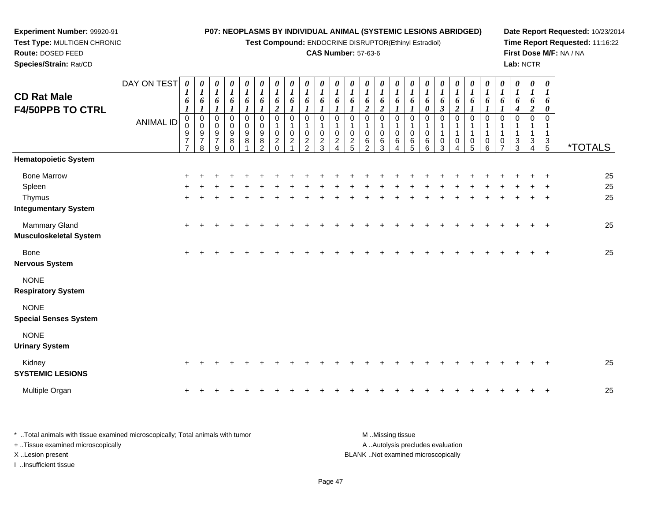**Test Compound:** ENDOCRINE DISRUPTOR(Ethinyl Estradiol)

### **CAS Number:** 57-63-6

**Date Report Requested:** 10/23/2014 **Time Report Requested:** 11:16:22**First Dose M/F:** NA / NA**Lab:** NCTR

| <b>CD Rat Male</b>                          | DAY ON TEST      | 1<br>6                                            | $\boldsymbol{\theta}$<br>$\boldsymbol{l}$<br>6 | 0<br>$\boldsymbol{l}$<br>6                     | $\pmb{\theta}$<br>$\boldsymbol{l}$<br>6<br>$\boldsymbol{l}$                        | 0<br>$\boldsymbol{l}$<br>6<br>$\boldsymbol{l}$       | 0<br>$\boldsymbol{l}$<br>6                                                          | 0<br>$\boldsymbol{l}$<br>6<br>$\overline{2}$                  | 0<br>$\boldsymbol{l}$<br>6            | 0<br>$\boldsymbol{l}$<br>6                                     | $\frac{\theta}{I}$<br>6                           | $\begin{matrix} 0 \\ 1 \end{matrix}$<br>6                        | 0<br>$\boldsymbol{l}$<br>6                | 0<br>$\boldsymbol{l}$<br>6<br>$\boldsymbol{2}$                      | $\begin{matrix} 0 \\ 1 \end{matrix}$<br>6<br>$\boldsymbol{2}$             | $\frac{\theta}{I}$<br>6                                  | $\boldsymbol{\theta}$<br>$\boldsymbol{l}$<br>6 | 6<br>0                          | 0<br>$\boldsymbol{l}$<br>6<br>$\boldsymbol{\beta}$ | 0<br>$\boldsymbol{l}$<br>6<br>$\overline{c}$ | 0<br>$\boldsymbol{l}$<br>6                 | 0<br>$\boldsymbol{l}$<br>6                   | 0<br>$\boldsymbol{l}$<br>6      | 0<br>$\boldsymbol{l}$<br>6<br>4 | 0<br>$\boldsymbol{l}$<br>6<br>$\overline{c}$ | 0<br>6<br>$\boldsymbol{\theta}$ |                       |
|---------------------------------------------|------------------|---------------------------------------------------|------------------------------------------------|------------------------------------------------|------------------------------------------------------------------------------------|------------------------------------------------------|-------------------------------------------------------------------------------------|---------------------------------------------------------------|---------------------------------------|----------------------------------------------------------------|---------------------------------------------------|------------------------------------------------------------------|-------------------------------------------|---------------------------------------------------------------------|---------------------------------------------------------------------------|----------------------------------------------------------|------------------------------------------------|---------------------------------|----------------------------------------------------|----------------------------------------------|--------------------------------------------|----------------------------------------------|---------------------------------|---------------------------------|----------------------------------------------|---------------------------------|-----------------------|
| <b>F4/50PPB TO CTRL</b>                     | <b>ANIMAL ID</b> | $\pmb{0}$<br>0<br>$\frac{9}{7}$<br>$\overline{7}$ | $\pmb{0}$<br>$\pmb{0}$<br>$\frac{9}{7}$<br>8   | $\pmb{0}$<br>$\mathbf 0$<br>$\frac{9}{7}$<br>9 | $\pmb{0}$<br>$\pmb{0}$<br>$\boldsymbol{9}$<br>$\begin{matrix} 8 \\ 0 \end{matrix}$ | $\pmb{0}$<br>$\overline{0}$<br>$\boldsymbol{9}$<br>8 | $\mathbf 0$<br>$\pmb{0}$<br>$\begin{array}{c} 9 \\ 8 \end{array}$<br>$\mathfrak{p}$ | $\mathbf 0$<br>1<br>$\mathbf 0$<br>$\overline{c}$<br>$\Omega$ | $\Omega$<br>$\mathbf 0$<br>$\sqrt{2}$ | $\mathbf 0$<br>$\mathbf 0$<br>$\overline{c}$<br>$\mathfrak{p}$ | $\mathbf 0$<br>$\mathsf 0$<br>$\overline{c}$<br>3 | $\mathbf 0$<br>$\mathsf 0$<br>$\boldsymbol{2}$<br>$\overline{A}$ | $\mathbf 0$<br>$\pmb{0}$<br>$\frac{2}{5}$ | $\pmb{0}$<br>$\mathbf{1}$<br>$\pmb{0}$<br>$\,6\,$<br>$\overline{2}$ | $\mathbf 0$<br>$\mathbf{1}$<br>$\begin{array}{c} 0 \\ 6 \\ 3 \end{array}$ | $\mathbf 0$<br>$\mathbf{1}$<br>$\pmb{0}$<br>$\,6\,$<br>4 | $\mathbf 0$<br>$\mathbf 1$<br>0<br>6<br>5      | $\mathbf 0$<br>1<br>0<br>6<br>6 | 0<br>1<br>0<br>3                                   | $\mathbf 0$<br>0<br>4                        | $\mathbf 0$<br>-1<br>$\mathbf 1$<br>0<br>5 | $\mathbf 0$<br>$\mathbf 1$<br>$\pmb{0}$<br>6 | $\Omega$<br>0<br>$\overline{7}$ | $\Omega$<br>$\frac{3}{3}$       | $\Omega$<br>3<br>$\overline{4}$              | $\Omega$<br>1<br>$\frac{3}{5}$  | <i><b>*TOTALS</b></i> |
| <b>Hematopoietic System</b>                 |                  |                                                   |                                                |                                                |                                                                                    |                                                      |                                                                                     |                                                               |                                       |                                                                |                                                   |                                                                  |                                           |                                                                     |                                                                           |                                                          |                                                |                                 |                                                    |                                              |                                            |                                              |                                 |                                 |                                              |                                 |                       |
| <b>Bone Marrow</b>                          |                  |                                                   |                                                |                                                |                                                                                    |                                                      |                                                                                     |                                                               |                                       |                                                                |                                                   |                                                                  |                                           |                                                                     |                                                                           |                                                          |                                                |                                 |                                                    |                                              |                                            |                                              |                                 |                                 |                                              |                                 | 25                    |
| Spleen                                      |                  |                                                   |                                                |                                                |                                                                                    |                                                      |                                                                                     |                                                               |                                       |                                                                |                                                   |                                                                  |                                           |                                                                     |                                                                           |                                                          |                                                |                                 |                                                    |                                              |                                            |                                              |                                 |                                 |                                              |                                 | 25                    |
| Thymus                                      |                  |                                                   |                                                |                                                |                                                                                    |                                                      |                                                                                     |                                                               |                                       |                                                                |                                                   |                                                                  |                                           |                                                                     |                                                                           |                                                          |                                                |                                 |                                                    |                                              |                                            |                                              |                                 |                                 |                                              |                                 | 25                    |
| <b>Integumentary System</b>                 |                  |                                                   |                                                |                                                |                                                                                    |                                                      |                                                                                     |                                                               |                                       |                                                                |                                                   |                                                                  |                                           |                                                                     |                                                                           |                                                          |                                                |                                 |                                                    |                                              |                                            |                                              |                                 |                                 |                                              |                                 |                       |
| Mammary Gland                               |                  | $\ddot{}$                                         |                                                |                                                |                                                                                    |                                                      |                                                                                     |                                                               |                                       |                                                                |                                                   |                                                                  |                                           |                                                                     |                                                                           |                                                          |                                                |                                 |                                                    |                                              |                                            |                                              |                                 |                                 |                                              | $\overline{ }$                  | 25                    |
| <b>Musculoskeletal System</b>               |                  |                                                   |                                                |                                                |                                                                                    |                                                      |                                                                                     |                                                               |                                       |                                                                |                                                   |                                                                  |                                           |                                                                     |                                                                           |                                                          |                                                |                                 |                                                    |                                              |                                            |                                              |                                 |                                 |                                              |                                 |                       |
| Bone<br><b>Nervous System</b>               |                  | $\ddot{}$                                         |                                                |                                                |                                                                                    |                                                      |                                                                                     |                                                               |                                       |                                                                |                                                   |                                                                  |                                           |                                                                     |                                                                           |                                                          |                                                |                                 |                                                    |                                              |                                            |                                              |                                 |                                 |                                              | $\overline{ }$                  | 25                    |
| <b>NONE</b><br><b>Respiratory System</b>    |                  |                                                   |                                                |                                                |                                                                                    |                                                      |                                                                                     |                                                               |                                       |                                                                |                                                   |                                                                  |                                           |                                                                     |                                                                           |                                                          |                                                |                                 |                                                    |                                              |                                            |                                              |                                 |                                 |                                              |                                 |                       |
| <b>NONE</b><br><b>Special Senses System</b> |                  |                                                   |                                                |                                                |                                                                                    |                                                      |                                                                                     |                                                               |                                       |                                                                |                                                   |                                                                  |                                           |                                                                     |                                                                           |                                                          |                                                |                                 |                                                    |                                              |                                            |                                              |                                 |                                 |                                              |                                 |                       |
| <b>NONE</b><br><b>Urinary System</b>        |                  |                                                   |                                                |                                                |                                                                                    |                                                      |                                                                                     |                                                               |                                       |                                                                |                                                   |                                                                  |                                           |                                                                     |                                                                           |                                                          |                                                |                                 |                                                    |                                              |                                            |                                              |                                 |                                 |                                              |                                 |                       |
| Kidney<br><b>SYSTEMIC LESIONS</b>           |                  | $\pm$                                             |                                                |                                                |                                                                                    |                                                      |                                                                                     |                                                               |                                       |                                                                |                                                   |                                                                  |                                           |                                                                     |                                                                           |                                                          |                                                |                                 |                                                    |                                              |                                            |                                              |                                 |                                 |                                              |                                 | 25                    |

\* ..Total animals with tissue examined microscopically; Total animals with tumor **M** ...Missing tissue M ...Missing tissue A ..Autolysis precludes evaluation + ..Tissue examined microscopically X ..Lesion present BLANK ..Not examined microscopically

I ..Insufficient tissue

Multiple Organ

n  $+$ 

**Experiment Number:** 99920-91**Test Type:** MULTIGEN CHRONIC

**Route:** DOSED FEED**Species/Strain:** Rat/CD

Page 47

<sup>+</sup> <sup>+</sup> <sup>+</sup> <sup>+</sup> <sup>+</sup> <sup>+</sup> <sup>+</sup> <sup>+</sup> <sup>+</sup> <sup>+</sup> <sup>+</sup> <sup>+</sup> <sup>+</sup> <sup>+</sup> <sup>+</sup> <sup>+</sup> <sup>+</sup> <sup>+</sup> <sup>+</sup> <sup>+</sup> <sup>+</sup> <sup>+</sup> <sup>+</sup> <sup>+</sup> <sup>25</sup>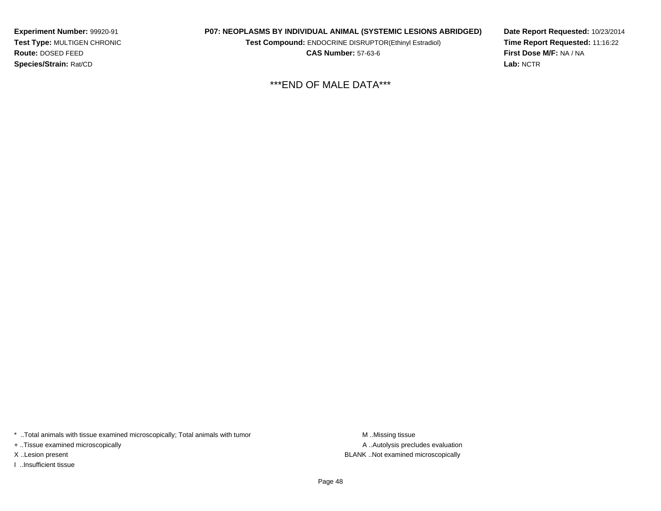**Experiment Number:** 99920-91 **Test Type:** MULTIGEN CHRONIC**Route:** DOSED FEED**Species/Strain:** Rat/CD

**P07: NEOPLASMS BY INDIVIDUAL ANIMAL (SYSTEMIC LESIONS ABRIDGED)**

**Test Compound:** ENDOCRINE DISRUPTOR(Ethinyl Estradiol)

**CAS Number:** 57-63-6

**Date Report Requested:** 10/23/2014**Time Report Requested:** 11:16:22**First Dose M/F:** NA / NA**Lab:** NCTR

\*\*\*END OF MALE DATA\*\*\*

\* ..Total animals with tissue examined microscopically; Total animals with tumor

+ ..Tissue examined microscopically

I ..Insufficient tissue

A ..Autolysis precludes evaluation X ..Lesion present BLANK ..Not examined microscopically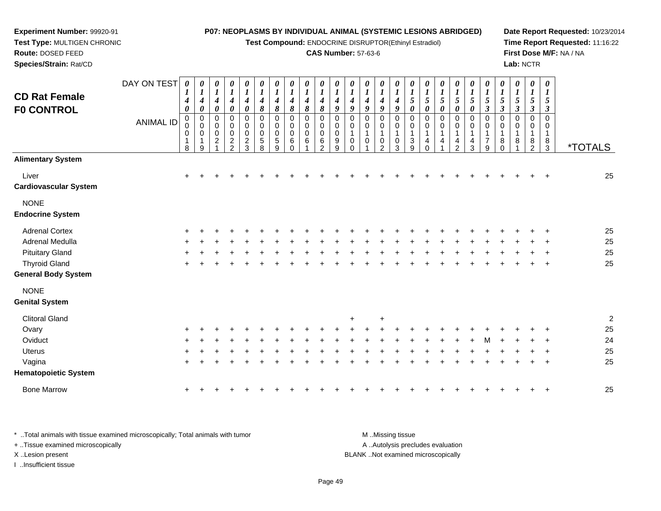**Test Compound:** ENDOCRINE DISRUPTOR(Ethinyl Estradiol)

### **CAS Number:** 57-63-6

**Date Report Requested:** 10/23/2014**Time Report Requested:** 11:16:22**First Dose M/F:** NA / NA**Lab:** NCTR

| <b>CD Rat Female</b><br><b>FO CONTROL</b>          | DAY ON TEST<br><b>ANIMAL ID</b> | 0<br>4<br>0<br>$\pmb{0}$<br>0<br>0<br>$\mathbf 1$<br>8 | 0<br>$\boldsymbol{l}$<br>4<br>$\boldsymbol{\theta}$<br>$\mathbf 0$<br>0<br>0<br>1<br>9 | 0<br>$\boldsymbol{l}$<br>$\boldsymbol{4}$<br>$\pmb{\theta}$<br>$\pmb{0}$<br>0<br>$\pmb{0}$<br>$\overline{c}$ | 0<br>$\boldsymbol{l}$<br>$\boldsymbol{4}$<br>$\pmb{\theta}$<br>0<br>0<br>$\pmb{0}$<br>$\overline{c}$<br>$\overline{2}$ | $\pmb{\theta}$<br>$\boldsymbol{l}$<br>$\boldsymbol{4}$<br>$\boldsymbol{\theta}$<br>$\pmb{0}$<br>$\mathbf 0$<br>0<br>$\overline{2}$<br>$\mathbf{3}$ | 0<br>$\boldsymbol{l}$<br>$\boldsymbol{4}$<br>8<br>$\mathbf 0$<br>$\mathbf 0$<br>$\overline{0}$<br>5<br>8 | $\boldsymbol{\theta}$<br>$\boldsymbol{l}$<br>$\boldsymbol{4}$<br>8<br>$\pmb{0}$<br>0<br>0<br>$\sqrt{5}$<br>9 | 0<br>$\boldsymbol{l}$<br>4<br>8<br>$\mathbf 0$<br>0<br>$\mathbf 0$<br>6<br>0 | 0<br>$\boldsymbol{l}$<br>4<br>8<br>$\mathbf 0$<br>0<br>0<br>6 | 0<br>$\boldsymbol{l}$<br>4<br>8<br>$\mathbf 0$<br>0<br>$\mathbf 0$<br>6<br>$\mathcal{P}$ | 0<br>1<br>4<br>$\boldsymbol{g}$<br>$\mathbf 0$<br>0<br>$\mathbf 0$<br>9<br>9 | 0<br>1<br>4<br>9<br>0<br>0<br>1<br>0<br>$\Omega$ | 0<br>$\bm{l}$<br>$\boldsymbol{4}$<br>9<br>0<br>0<br>1<br>$\mathbf 0$ | 0<br>$\boldsymbol{l}$<br>4<br>9<br>$\mathbf 0$<br>0<br>1<br>0<br>2 | 0<br>$\boldsymbol{l}$<br>$\boldsymbol{4}$<br>9<br>$\mathbf 0$<br>0<br>1<br>0<br>3 | 0<br>$\boldsymbol{l}$<br>$\sqrt{5}$<br>0<br>$\mathbf 0$<br>0<br>$\mathbf 1$<br>3<br>9 | $\boldsymbol{\theta}$<br>$\boldsymbol{l}$<br>$\mathfrak{I}$<br>$\boldsymbol{\theta}$<br>$\mathbf 0$<br>0<br>$\mathbf{1}$<br>4<br>$\Omega$ | 0<br>$\boldsymbol{l}$<br>$\sqrt{5}$<br>0<br>$\mathbf 0$<br>0<br>4 | $\boldsymbol{\theta}$<br>$\mathfrak{s}$<br>0<br>$\mathbf 0$<br>0<br>1<br>4<br>2 | 0<br>5<br>0<br>$\pmb{0}$<br>0<br>4<br>3 | 0<br>5<br>3<br>$\mathbf 0$<br>0<br>$\overline{7}$<br>9 | $\pmb{\theta}$<br>$\boldsymbol{l}$<br>$\sqrt{5}$<br>$\boldsymbol{\beta}$<br>$\mathbf 0$<br>0<br>8<br>0 | $\pmb{\theta}$<br>$\boldsymbol{l}$<br>$\mathfrak{H}$<br>$\mathfrak{z}$<br>$\mathbf 0$<br>0<br>$\mathbf{1}$<br>8 | $\boldsymbol{\theta}$<br>$\bm{l}$<br>$\mathfrak{s}$<br>$\boldsymbol{\beta}$<br>$\pmb{0}$<br>0<br>$\mathbf{1}$<br>8<br>2 | $\boldsymbol{\theta}$<br>$\boldsymbol{l}$<br>5<br>3<br>$\mathbf 0$<br>0<br>$\mathbf{1}$<br>8<br>3 | <i><b>*TOTALS</b></i> |
|----------------------------------------------------|---------------------------------|--------------------------------------------------------|----------------------------------------------------------------------------------------|--------------------------------------------------------------------------------------------------------------|------------------------------------------------------------------------------------------------------------------------|----------------------------------------------------------------------------------------------------------------------------------------------------|----------------------------------------------------------------------------------------------------------|--------------------------------------------------------------------------------------------------------------|------------------------------------------------------------------------------|---------------------------------------------------------------|------------------------------------------------------------------------------------------|------------------------------------------------------------------------------|--------------------------------------------------|----------------------------------------------------------------------|--------------------------------------------------------------------|-----------------------------------------------------------------------------------|---------------------------------------------------------------------------------------|-------------------------------------------------------------------------------------------------------------------------------------------|-------------------------------------------------------------------|---------------------------------------------------------------------------------|-----------------------------------------|--------------------------------------------------------|--------------------------------------------------------------------------------------------------------|-----------------------------------------------------------------------------------------------------------------|-------------------------------------------------------------------------------------------------------------------------|---------------------------------------------------------------------------------------------------|-----------------------|
| <b>Alimentary System</b>                           |                                 |                                                        |                                                                                        |                                                                                                              |                                                                                                                        |                                                                                                                                                    |                                                                                                          |                                                                                                              |                                                                              |                                                               |                                                                                          |                                                                              |                                                  |                                                                      |                                                                    |                                                                                   |                                                                                       |                                                                                                                                           |                                                                   |                                                                                 |                                         |                                                        |                                                                                                        |                                                                                                                 |                                                                                                                         |                                                                                                   |                       |
| Liver<br><b>Cardiovascular System</b>              |                                 | $\ddot{}$                                              |                                                                                        |                                                                                                              |                                                                                                                        |                                                                                                                                                    |                                                                                                          |                                                                                                              |                                                                              |                                                               |                                                                                          |                                                                              |                                                  |                                                                      |                                                                    |                                                                                   |                                                                                       |                                                                                                                                           |                                                                   |                                                                                 |                                         |                                                        |                                                                                                        |                                                                                                                 |                                                                                                                         |                                                                                                   | 25                    |
| <b>NONE</b><br><b>Endocrine System</b>             |                                 |                                                        |                                                                                        |                                                                                                              |                                                                                                                        |                                                                                                                                                    |                                                                                                          |                                                                                                              |                                                                              |                                                               |                                                                                          |                                                                              |                                                  |                                                                      |                                                                    |                                                                                   |                                                                                       |                                                                                                                                           |                                                                   |                                                                                 |                                         |                                                        |                                                                                                        |                                                                                                                 |                                                                                                                         |                                                                                                   |                       |
| <b>Adrenal Cortex</b>                              |                                 |                                                        |                                                                                        |                                                                                                              |                                                                                                                        |                                                                                                                                                    |                                                                                                          |                                                                                                              |                                                                              |                                                               |                                                                                          |                                                                              |                                                  |                                                                      |                                                                    |                                                                                   |                                                                                       |                                                                                                                                           |                                                                   |                                                                                 |                                         |                                                        |                                                                                                        |                                                                                                                 |                                                                                                                         |                                                                                                   | 25                    |
| Adrenal Medulla                                    |                                 |                                                        |                                                                                        |                                                                                                              |                                                                                                                        |                                                                                                                                                    |                                                                                                          |                                                                                                              |                                                                              |                                                               |                                                                                          |                                                                              |                                                  |                                                                      |                                                                    |                                                                                   |                                                                                       |                                                                                                                                           |                                                                   |                                                                                 |                                         |                                                        |                                                                                                        |                                                                                                                 |                                                                                                                         |                                                                                                   | 25                    |
| <b>Pituitary Gland</b>                             |                                 |                                                        |                                                                                        |                                                                                                              |                                                                                                                        |                                                                                                                                                    |                                                                                                          |                                                                                                              |                                                                              |                                                               |                                                                                          |                                                                              |                                                  |                                                                      |                                                                    |                                                                                   |                                                                                       |                                                                                                                                           |                                                                   |                                                                                 |                                         |                                                        |                                                                                                        |                                                                                                                 |                                                                                                                         |                                                                                                   | 25                    |
| <b>Thyroid Gland</b><br><b>General Body System</b> |                                 | +                                                      |                                                                                        |                                                                                                              |                                                                                                                        |                                                                                                                                                    |                                                                                                          |                                                                                                              |                                                                              |                                                               |                                                                                          |                                                                              |                                                  |                                                                      |                                                                    |                                                                                   |                                                                                       |                                                                                                                                           |                                                                   |                                                                                 |                                         |                                                        |                                                                                                        |                                                                                                                 |                                                                                                                         | $\ddot{}$                                                                                         | 25                    |
| <b>NONE</b><br><b>Genital System</b>               |                                 |                                                        |                                                                                        |                                                                                                              |                                                                                                                        |                                                                                                                                                    |                                                                                                          |                                                                                                              |                                                                              |                                                               |                                                                                          |                                                                              |                                                  |                                                                      |                                                                    |                                                                                   |                                                                                       |                                                                                                                                           |                                                                   |                                                                                 |                                         |                                                        |                                                                                                        |                                                                                                                 |                                                                                                                         |                                                                                                   |                       |
| <b>Clitoral Gland</b>                              |                                 |                                                        |                                                                                        |                                                                                                              |                                                                                                                        |                                                                                                                                                    |                                                                                                          |                                                                                                              |                                                                              |                                                               |                                                                                          |                                                                              | $\ddot{}$                                        |                                                                      | $\ddot{}$                                                          |                                                                                   |                                                                                       |                                                                                                                                           |                                                                   |                                                                                 |                                         |                                                        |                                                                                                        |                                                                                                                 |                                                                                                                         |                                                                                                   | 2                     |
| Ovary                                              |                                 |                                                        |                                                                                        |                                                                                                              |                                                                                                                        |                                                                                                                                                    |                                                                                                          |                                                                                                              |                                                                              |                                                               |                                                                                          |                                                                              |                                                  |                                                                      |                                                                    |                                                                                   |                                                                                       |                                                                                                                                           |                                                                   |                                                                                 |                                         |                                                        |                                                                                                        |                                                                                                                 |                                                                                                                         |                                                                                                   | 25                    |
| Oviduct                                            |                                 |                                                        |                                                                                        |                                                                                                              |                                                                                                                        |                                                                                                                                                    |                                                                                                          |                                                                                                              |                                                                              |                                                               |                                                                                          |                                                                              |                                                  |                                                                      |                                                                    |                                                                                   |                                                                                       |                                                                                                                                           |                                                                   |                                                                                 |                                         | M                                                      |                                                                                                        |                                                                                                                 |                                                                                                                         |                                                                                                   | 24                    |
| <b>Uterus</b>                                      |                                 |                                                        |                                                                                        |                                                                                                              |                                                                                                                        |                                                                                                                                                    |                                                                                                          |                                                                                                              |                                                                              |                                                               |                                                                                          |                                                                              |                                                  |                                                                      |                                                                    |                                                                                   |                                                                                       |                                                                                                                                           |                                                                   |                                                                                 |                                         |                                                        |                                                                                                        |                                                                                                                 |                                                                                                                         |                                                                                                   | 25                    |
| Vagina<br><b>Hematopoietic System</b>              |                                 |                                                        |                                                                                        |                                                                                                              |                                                                                                                        |                                                                                                                                                    |                                                                                                          |                                                                                                              |                                                                              |                                                               |                                                                                          |                                                                              |                                                  |                                                                      |                                                                    |                                                                                   |                                                                                       |                                                                                                                                           |                                                                   |                                                                                 |                                         |                                                        |                                                                                                        |                                                                                                                 |                                                                                                                         | $\ddot{}$                                                                                         | 25                    |
| <b>Bone Marrow</b>                                 |                                 | $\ddot{}$                                              |                                                                                        |                                                                                                              |                                                                                                                        |                                                                                                                                                    |                                                                                                          |                                                                                                              |                                                                              |                                                               |                                                                                          |                                                                              |                                                  |                                                                      |                                                                    |                                                                                   |                                                                                       |                                                                                                                                           |                                                                   |                                                                                 |                                         |                                                        |                                                                                                        |                                                                                                                 |                                                                                                                         |                                                                                                   | 25                    |
|                                                    |                                 |                                                        |                                                                                        |                                                                                                              |                                                                                                                        |                                                                                                                                                    |                                                                                                          |                                                                                                              |                                                                              |                                                               |                                                                                          |                                                                              |                                                  |                                                                      |                                                                    |                                                                                   |                                                                                       |                                                                                                                                           |                                                                   |                                                                                 |                                         |                                                        |                                                                                                        |                                                                                                                 |                                                                                                                         |                                                                                                   |                       |

\* ..Total animals with tissue examined microscopically; Total animals with tumor **M** . Missing tissue M ..Missing tissue A ..Autolysis precludes evaluation + ..Tissue examined microscopically X ..Lesion present BLANK ..Not examined microscopicallyI ..Insufficient tissue

**Experiment Number:** 99920-91**Test Type:** MULTIGEN CHRONIC

**Route:** DOSED FEED**Species/Strain:** Rat/CD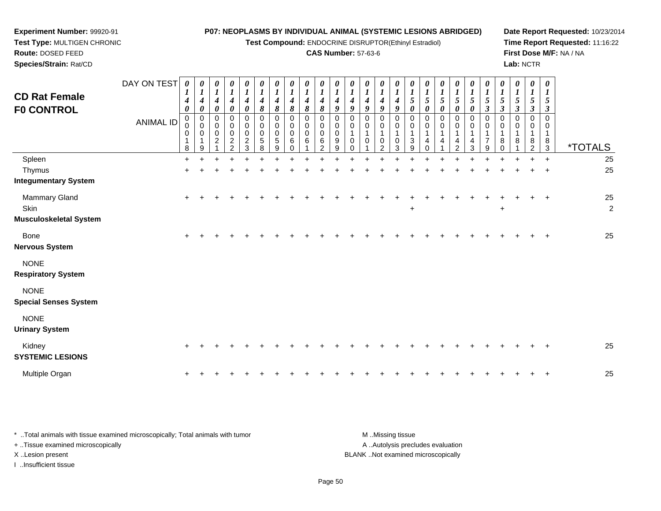**Test Compound:** ENDOCRINE DISRUPTOR(Ethinyl Estradiol)

### **CAS Number:** 57-63-6

*0 1*

*0 1*

*0 1*

*0 1*

*0 1*

*0 1*

*0 1*

*0 1*

*0 1*

*0 1*

*0 1*

*0 1*

*0 1*

*0 1*

**Date Report Requested:** 10/23/2014**Time Report Requested:** 11:16:22**First Dose M/F:** NA / NA**Lab:** NCTR

| Test Type: MULTIGEN CHRONIC |                |          |   |          |               |   |          |                       | <b>Test Compound: ENDOCRIN</b> |  |
|-----------------------------|----------------|----------|---|----------|---------------|---|----------|-----------------------|--------------------------------|--|
| <b>Route: DOSED FEED</b>    |                |          |   |          |               |   |          |                       | <b>CAS Numb</b>                |  |
| Species/Strain: Rat/CD      |                |          |   |          |               |   |          |                       |                                |  |
|                             | DAY ON TEST    |          |   | $\theta$ | 0             | U | $\theta$ | $\boldsymbol{\theta}$ | 0                              |  |
| <b>CD Rat Female</b>        |                |          | 4 | 4        | 4             |   |          |                       |                                |  |
| <b>FO CONTROL</b>           |                | $\theta$ |   | 0        | $\Omega$<br>σ | 8 | 8        |                       | 8                              |  |
|                             | <b>ANIIMAI</b> |          | 0 |          |               |   |          |                       |                                |  |

**Experiment Number:** 99920-91

| <b>F0 CONTROL</b>                                      |                  | 0                           | 0                                    | 0                                               | 0                                                  | 0                                                        | 8                                             | 8                             | 8                          | 8                          | 8                                 | 9                     | 9                                                                   | 9                                                    | 9                                                 | 9           | $\boldsymbol{\theta}$ | 0           | 0           | 0                                         | 0                        | $\boldsymbol{\beta}$               | $\boldsymbol{\beta}$ | $\boldsymbol{\beta}$ | $\boldsymbol{\beta}$              | $\boldsymbol{\beta}$                                        |                       |
|--------------------------------------------------------|------------------|-----------------------------|--------------------------------------|-------------------------------------------------|----------------------------------------------------|----------------------------------------------------------|-----------------------------------------------|-------------------------------|----------------------------|----------------------------|-----------------------------------|-----------------------|---------------------------------------------------------------------|------------------------------------------------------|---------------------------------------------------|-------------|-----------------------|-------------|-------------|-------------------------------------------|--------------------------|------------------------------------|----------------------|----------------------|-----------------------------------|-------------------------------------------------------------|-----------------------|
|                                                        | <b>ANIMAL ID</b> | 0<br>0<br>$\mathbf{1}$<br>8 | $_{\rm 0}^{\rm 0}$<br>$\pmb{0}$<br>9 | 0<br>$\mathsf{O}\xspace$<br>0<br>$\overline{c}$ | 0<br>$\pmb{0}$<br>$\pmb{0}$<br>$\overline{c}$<br>2 | $\pmb{0}$<br>$\pmb{0}$<br>$\,0\,$<br>$\overline{c}$<br>3 | 0<br>$\pmb{0}$<br>$\,0\,$<br>$\mathbf 5$<br>8 | 0<br>$\pmb{0}$<br>0<br>5<br>9 | 0<br>0<br>$\mathbf 0$<br>6 | 0<br>0<br>$\mathbf 0$<br>6 | 0<br>0<br>0<br>6<br>$\mathcal{P}$ | 0<br>0<br>0<br>9<br>9 | $\mathbf 0$<br>$\pmb{0}$<br>$\mathbf{1}$<br>$\mathbf 0$<br>$\Omega$ | $\pmb{0}$<br>$\pmb{0}$<br>$\mathbf 1$<br>$\mathbf 0$ | 0<br>$\boldsymbol{0}$<br>1<br>0<br>$\overline{2}$ | 0<br>0<br>3 | 0<br>0<br>3<br>9      | 0<br>0<br>4 | 0<br>0<br>4 | 0<br>$\pmb{0}$<br>1<br>4<br>$\mathcal{P}$ | 0<br>$\pmb{0}$<br>4<br>3 | 0<br>0<br>1<br>$\overline{7}$<br>9 | 0<br>$\Omega$<br>8   | 0<br>0<br>8          | 0<br>0<br>1<br>8<br>$\mathcal{P}$ | $\mathbf 0$<br>$\mathbf 0$<br>$\mathbf{1}$<br>$\frac{8}{3}$ | <i><b>*TOTALS</b></i> |
| Spleen                                                 |                  | $+$                         |                                      |                                                 |                                                    |                                                          |                                               |                               |                            |                            |                                   |                       |                                                                     |                                                      |                                                   |             |                       |             |             |                                           |                          |                                    |                      |                      |                                   | $+$                                                         | 25                    |
| Thymus                                                 |                  | $+$                         |                                      |                                                 |                                                    |                                                          |                                               |                               |                            |                            |                                   |                       |                                                                     |                                                      |                                                   |             |                       |             |             |                                           |                          |                                    |                      |                      |                                   | $+$                                                         | 25                    |
| <b>Integumentary System</b>                            |                  |                             |                                      |                                                 |                                                    |                                                          |                                               |                               |                            |                            |                                   |                       |                                                                     |                                                      |                                                   |             |                       |             |             |                                           |                          |                                    |                      |                      |                                   |                                                             |                       |
| Mammary Gland<br>Skin<br><b>Musculoskeletal System</b> |                  | $+$                         |                                      |                                                 |                                                    |                                                          |                                               |                               |                            |                            |                                   |                       |                                                                     |                                                      |                                                   |             | $\ddot{}$             |             |             |                                           |                          |                                    | $\ddot{}$            |                      |                                   | $+$                                                         | 25<br>$\overline{c}$  |
| Bone<br><b>Nervous System</b>                          |                  | $+$                         |                                      |                                                 |                                                    |                                                          |                                               |                               |                            |                            |                                   |                       |                                                                     |                                                      |                                                   |             |                       |             |             |                                           |                          |                                    |                      |                      |                                   | $^{+}$                                                      | 25                    |
| <b>NONE</b><br><b>Respiratory System</b>               |                  |                             |                                      |                                                 |                                                    |                                                          |                                               |                               |                            |                            |                                   |                       |                                                                     |                                                      |                                                   |             |                       |             |             |                                           |                          |                                    |                      |                      |                                   |                                                             |                       |
| <b>NONE</b><br><b>Special Senses System</b>            |                  |                             |                                      |                                                 |                                                    |                                                          |                                               |                               |                            |                            |                                   |                       |                                                                     |                                                      |                                                   |             |                       |             |             |                                           |                          |                                    |                      |                      |                                   |                                                             |                       |
| <b>NONE</b><br><b>Urinary System</b>                   |                  |                             |                                      |                                                 |                                                    |                                                          |                                               |                               |                            |                            |                                   |                       |                                                                     |                                                      |                                                   |             |                       |             |             |                                           |                          |                                    |                      |                      |                                   |                                                             |                       |
| Kidney<br><b>SYSTEMIC LESIONS</b>                      |                  | $+$                         |                                      |                                                 |                                                    |                                                          |                                               |                               |                            |                            |                                   |                       |                                                                     |                                                      |                                                   |             |                       |             |             |                                           |                          |                                    |                      |                      |                                   | $^{+}$                                                      | 25                    |
| Multiple Organ                                         |                  | $\ddot{}$                   |                                      |                                                 |                                                    |                                                          |                                               |                               |                            |                            |                                   |                       |                                                                     |                                                      |                                                   |             |                       |             |             |                                           |                          |                                    |                      |                      |                                   | $+$                                                         | 25                    |

\* ..Total animals with tissue examined microscopically; Total animals with tumor A ..Autolysis precludes evaluation + ..Tissue examined microscopically X ..Lesion present BLANK ..Not examined microscopicallyI ..Insufficient tissue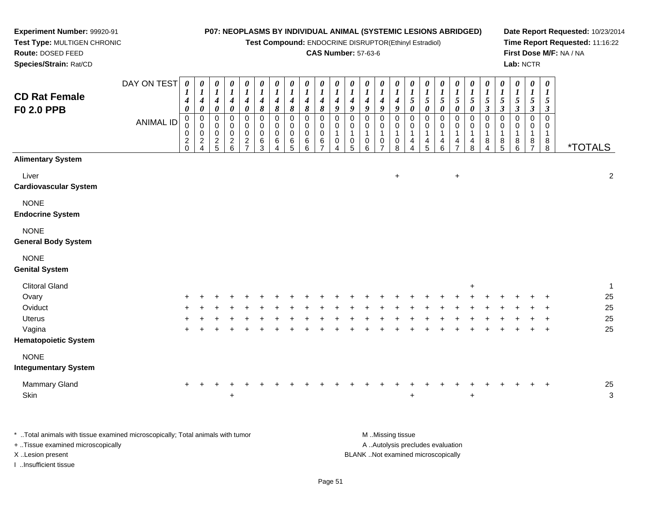**Test Compound:** ENDOCRINE DISRUPTOR(Ethinyl Estradiol)

### **CAS Number:** 57-63-6

**Date Report Requested:** 10/23/2014 **Time Report Requested:** 11:16:22**First Dose M/F:** NA / NA**Lab:** NCTR

| <b>CD Rat Female</b><br>F0 2.0 PPB                                             | DAY ON TEST      | $\boldsymbol{\theta}$<br>1<br>4<br>$\boldsymbol{\theta}$ | $\boldsymbol{\theta}$<br>$\boldsymbol{l}$<br>4<br>$\boldsymbol{\theta}$ | 0<br>$\boldsymbol{I}$<br>$\boldsymbol{4}$<br>$\boldsymbol{\theta}$ | $\boldsymbol{\theta}$<br>$\boldsymbol{l}$<br>$\boldsymbol{4}$<br>$\pmb{\theta}$ | 0<br>$\boldsymbol{l}$<br>$\boldsymbol{4}$<br>$\boldsymbol{\theta}$ | $\boldsymbol{\theta}$<br>$\boldsymbol{l}$<br>4<br>8 | 0<br>$\bm{l}$<br>4<br>8         | $\boldsymbol{\theta}$<br>$\boldsymbol{l}$<br>4<br>8 | $\pmb{\theta}$<br>$\boldsymbol{l}$<br>4<br>8 | $\boldsymbol{\theta}$<br>$\boldsymbol{l}$<br>4<br>8 | 0<br>$\boldsymbol{l}$<br>4<br>9                         | 0<br>$\boldsymbol{l}$<br>$\boldsymbol{4}$<br>9 | $\pmb{\theta}$<br>$\boldsymbol{l}$<br>4<br>9 | 0<br>$\boldsymbol{l}$<br>4<br>9                        | 0<br>$\bm{l}$<br>4<br>9          | $\boldsymbol{\theta}$<br>$\boldsymbol{l}$<br>$\sqrt{5}$<br>$\boldsymbol{\theta}$ | $\pmb{\theta}$<br>$\boldsymbol{l}$<br>$\sqrt{5}$<br>$\boldsymbol{\theta}$ | 0<br>$\boldsymbol{l}$<br>$\sqrt{5}$<br>$\boldsymbol{\theta}$ | 0<br>$\boldsymbol{l}$<br>$\mathfrak{s}$<br>$\pmb{\theta}$ | 0<br>$\boldsymbol{l}$<br>$\sqrt{5}$<br>$\pmb{\theta}$ | 0<br>$\boldsymbol{l}$<br>$\mathfrak{H}$<br>$\mathfrak{z}$ | $\boldsymbol{\theta}$<br>$\boldsymbol{l}$<br>$\sqrt{5}$<br>$\mathfrak{z}$ | 0<br>$\bm{l}$<br>5<br>$\boldsymbol{\beta}$ | $\boldsymbol{\theta}$<br>$\boldsymbol{l}$<br>5<br>$\boldsymbol{\beta}$ | $\pmb{\theta}$<br>$\boldsymbol{l}$<br>5<br>$\boldsymbol{\beta}$ |                       |                    |
|--------------------------------------------------------------------------------|------------------|----------------------------------------------------------|-------------------------------------------------------------------------|--------------------------------------------------------------------|---------------------------------------------------------------------------------|--------------------------------------------------------------------|-----------------------------------------------------|---------------------------------|-----------------------------------------------------|----------------------------------------------|-----------------------------------------------------|---------------------------------------------------------|------------------------------------------------|----------------------------------------------|--------------------------------------------------------|----------------------------------|----------------------------------------------------------------------------------|---------------------------------------------------------------------------|--------------------------------------------------------------|-----------------------------------------------------------|-------------------------------------------------------|-----------------------------------------------------------|---------------------------------------------------------------------------|--------------------------------------------|------------------------------------------------------------------------|-----------------------------------------------------------------|-----------------------|--------------------|
|                                                                                | <b>ANIMAL ID</b> | 0<br>0<br>$\overline{\mathbf{c}}$<br>$\Omega$            | $\,0\,$<br>0<br>0<br>$\frac{2}{4}$                                      | $\pmb{0}$<br>$\pmb{0}$<br>$\pmb{0}$<br>$rac{2}{5}$                 | $\pmb{0}$<br>$\pmb{0}$<br>$\pmb{0}$<br>$\frac{2}{6}$                            | $\mathbf 0$<br>0<br>0<br>$\frac{2}{7}$                             | $\mathbf 0$<br>0<br>0<br>6<br>3                     | 0<br>0<br>$\mathbf 0$<br>6<br>4 | $\mathbf 0$<br>0<br>0<br>6<br>5                     | $\mathbf 0$<br>0<br>0<br>6<br>6              | $\pmb{0}$<br>0<br>$\pmb{0}$<br>6                    | 0<br>$\boldsymbol{0}$<br>$\mathbf{1}$<br>$\pmb{0}$<br>4 | $\pmb{0}$<br>0<br>1<br>$\pmb{0}$<br>5          | 0<br>0<br>$\mathbf{1}$<br>$\pmb{0}$<br>6     | 0<br>0<br>$\mathbf 1$<br>$\mathbf 0$<br>$\overline{7}$ | 0<br>0<br>$\mathbf{1}$<br>0<br>8 | 0<br>0<br>$\mathbf 1$<br>4<br>4                                                  | $\pmb{0}$<br>0<br>1<br>4<br>5                                             | $\pmb{0}$<br>0<br>1<br>$\overline{\mathbf{r}}$<br>6          | $\pmb{0}$<br>$\pmb{0}$<br>1<br>4<br>$\overline{7}$        | $\pmb{0}$<br>$\pmb{0}$<br>$\mathbf 1$<br>4<br>8       | $\mathbf 0$<br>0<br>$\mathbf 1$<br>8<br>4                 | 0<br>0<br>1<br>8<br>5                                                     | 0<br>0<br>1<br>8<br>6                      | 0<br>0<br>$\mathbf 1$<br>8<br>$\overline{7}$                           | $\mathbf 0$<br>0<br>$\mathbf 1$<br>8<br>8                       | <i><b>*TOTALS</b></i> |                    |
| <b>Alimentary System</b>                                                       |                  |                                                          |                                                                         |                                                                    |                                                                                 |                                                                    |                                                     |                                 |                                                     |                                              |                                                     |                                                         |                                                |                                              |                                                        |                                  |                                                                                  |                                                                           |                                                              |                                                           |                                                       |                                                           |                                                                           |                                            |                                                                        |                                                                 |                       |                    |
| Liver<br><b>Cardiovascular System</b>                                          |                  |                                                          |                                                                         |                                                                    |                                                                                 |                                                                    |                                                     |                                 |                                                     |                                              |                                                     |                                                         |                                                |                                              |                                                        | $\ddot{}$                        |                                                                                  |                                                                           |                                                              | $\ddot{}$                                                 |                                                       |                                                           |                                                                           |                                            |                                                                        |                                                                 |                       | $\overline{c}$     |
| <b>NONE</b><br><b>Endocrine System</b>                                         |                  |                                                          |                                                                         |                                                                    |                                                                                 |                                                                    |                                                     |                                 |                                                     |                                              |                                                     |                                                         |                                                |                                              |                                                        |                                  |                                                                                  |                                                                           |                                                              |                                                           |                                                       |                                                           |                                                                           |                                            |                                                                        |                                                                 |                       |                    |
| <b>NONE</b><br><b>General Body System</b>                                      |                  |                                                          |                                                                         |                                                                    |                                                                                 |                                                                    |                                                     |                                 |                                                     |                                              |                                                     |                                                         |                                                |                                              |                                                        |                                  |                                                                                  |                                                                           |                                                              |                                                           |                                                       |                                                           |                                                                           |                                            |                                                                        |                                                                 |                       |                    |
| <b>NONE</b><br><b>Genital System</b>                                           |                  |                                                          |                                                                         |                                                                    |                                                                                 |                                                                    |                                                     |                                 |                                                     |                                              |                                                     |                                                         |                                                |                                              |                                                        |                                  |                                                                                  |                                                                           |                                                              |                                                           |                                                       |                                                           |                                                                           |                                            |                                                                        |                                                                 |                       |                    |
| <b>Clitoral Gland</b>                                                          |                  |                                                          |                                                                         |                                                                    |                                                                                 |                                                                    |                                                     |                                 |                                                     |                                              |                                                     |                                                         |                                                |                                              |                                                        |                                  |                                                                                  |                                                                           |                                                              |                                                           | $\pm$                                                 |                                                           |                                                                           |                                            |                                                                        |                                                                 |                       | $\mathbf{1}$       |
| Ovary                                                                          |                  |                                                          |                                                                         |                                                                    |                                                                                 |                                                                    |                                                     |                                 |                                                     |                                              |                                                     |                                                         |                                                |                                              |                                                        |                                  |                                                                                  |                                                                           |                                                              |                                                           |                                                       |                                                           |                                                                           |                                            |                                                                        |                                                                 |                       | 25                 |
| Oviduct                                                                        |                  |                                                          |                                                                         |                                                                    |                                                                                 |                                                                    |                                                     |                                 |                                                     |                                              |                                                     |                                                         |                                                |                                              |                                                        |                                  |                                                                                  |                                                                           |                                                              |                                                           |                                                       |                                                           |                                                                           |                                            |                                                                        |                                                                 |                       | 25                 |
| Uterus                                                                         |                  |                                                          |                                                                         |                                                                    |                                                                                 |                                                                    |                                                     |                                 |                                                     |                                              |                                                     |                                                         |                                                |                                              |                                                        |                                  |                                                                                  |                                                                           |                                                              |                                                           |                                                       |                                                           |                                                                           |                                            |                                                                        |                                                                 |                       | 25                 |
| Vagina<br><b>Hematopoietic System</b>                                          |                  |                                                          |                                                                         |                                                                    |                                                                                 |                                                                    |                                                     |                                 |                                                     |                                              |                                                     |                                                         |                                                |                                              |                                                        |                                  |                                                                                  |                                                                           |                                                              |                                                           |                                                       |                                                           |                                                                           |                                            |                                                                        |                                                                 |                       | 25                 |
| <b>NONE</b>                                                                    |                  |                                                          |                                                                         |                                                                    |                                                                                 |                                                                    |                                                     |                                 |                                                     |                                              |                                                     |                                                         |                                                |                                              |                                                        |                                  |                                                                                  |                                                                           |                                                              |                                                           |                                                       |                                                           |                                                                           |                                            |                                                                        |                                                                 |                       |                    |
| <b>Integumentary System</b>                                                    |                  |                                                          |                                                                         |                                                                    |                                                                                 |                                                                    |                                                     |                                 |                                                     |                                              |                                                     |                                                         |                                                |                                              |                                                        |                                  |                                                                                  |                                                                           |                                                              |                                                           |                                                       |                                                           |                                                                           |                                            |                                                                        |                                                                 |                       |                    |
| Mammary Gland<br>Skin                                                          |                  | +                                                        |                                                                         |                                                                    | $\ddot{}$<br>$\ddot{}$                                                          |                                                                    |                                                     |                                 |                                                     |                                              |                                                     |                                                         |                                                |                                              |                                                        |                                  | $\ddot{}$                                                                        |                                                                           |                                                              |                                                           | $\ddot{}$                                             |                                                           |                                                                           |                                            |                                                                        | $\ddot{}$                                                       |                       | 25<br>$\mathbf{3}$ |
| * Total animals with tissue examined microscopically; Total animals with tumor |                  |                                                          |                                                                         |                                                                    |                                                                                 |                                                                    |                                                     |                                 |                                                     |                                              |                                                     |                                                         |                                                |                                              | M Missing tissue                                       |                                  |                                                                                  |                                                                           |                                                              |                                                           |                                                       |                                                           |                                                                           |                                            |                                                                        |                                                                 |                       |                    |

+ ..Tissue examined microscopically

**Experiment Number:** 99920-91**Test Type:** MULTIGEN CHRONIC

**Route:** DOSED FEED**Species/Strain:** Rat/CD

I ..Insufficient tissue

A ..Autolysis precludes evaluation X ..Lesion present BLANK ..Not examined microscopically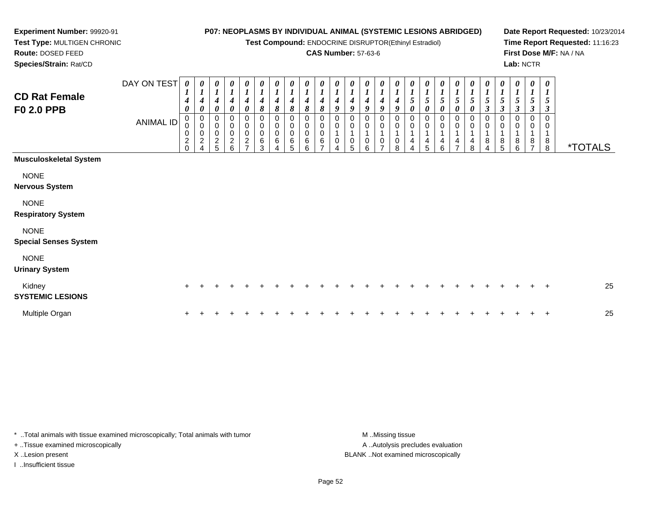**Test Compound:** ENDOCRINE DISRUPTOR(Ethinyl Estradiol)

### **CAS Number:** 57-63-6

**Date Report Requested:** 10/23/2014**Time Report Requested:** 11:16:23**First Dose M/F:** NA / NA**Lab:** NCTR

 **Test Type:** MULTIGEN CHRONIC**Route:** DOSED FEED**Species/Strain:** Rat/CD

**Experiment Number:** 99920-91

| <b>CD Rat Female</b><br><b>F0 2.0 PPB</b>   | DAY ON TEST<br><b>ANIMAL ID</b> | 0<br>$\boldsymbol{l}$<br>$\boldsymbol{4}$<br>0<br>$_{\rm 0}^{\rm 0}$<br>$\pmb{0}$<br>$\boldsymbol{2}$<br>$\Omega$ | 0<br>$\boldsymbol{l}$<br>$\boldsymbol{4}$<br>$\boldsymbol{\theta}$<br>0<br>$\pmb{0}$<br>$\pmb{0}$<br>$\sqrt{2}$<br>$\overline{\mathbf{4}}$ | $\boldsymbol{l}$<br>4<br>0<br>0<br>$\pmb{0}$<br>$\pmb{0}$<br>$\frac{2}{5}$ | 0<br>$\boldsymbol{l}$<br>4<br>$\boldsymbol{\theta}$<br>$\pmb{0}$<br>$\pmb{0}$<br>$\pmb{0}$<br>$\frac{2}{6}$ | 0<br>$\boldsymbol{l}$<br>$\boldsymbol{4}$<br>0<br>0<br>$\pmb{0}$<br>$\pmb{0}$<br>$\frac{2}{7}$ | 0<br>$\boldsymbol{l}$<br>$\boldsymbol{4}$<br>8<br>0<br>$\pmb{0}$<br>0<br>6<br>3 | 0<br>$\boldsymbol{l}$<br>$\boldsymbol{4}$<br>8<br>0<br>$\pmb{0}$<br>$\mathbf 0$<br>$\,6$ | 0<br>$\boldsymbol{l}$<br>$\boldsymbol{4}$<br>$\pmb{8}$<br>0<br>$\pmb{0}$<br>$\pmb{0}$<br>$\,6$<br>5 | 0<br>$\boldsymbol{l}$<br>$\pmb{8}$<br>0<br>0<br>$\pmb{0}$<br>$\,6$<br>6 | 0<br>$\boldsymbol{l}$<br>$\overline{\mathcal{A}}$<br>8<br>0<br>0<br>$\mathbf 0$<br>6 | $\boldsymbol{\theta}$<br>$\boldsymbol{l}$<br>$\boldsymbol{4}$<br>9<br>0<br>$\boldsymbol{0}$<br>0 | $\begin{bmatrix} 0 \\ 1 \\ 4 \end{bmatrix}$<br>$\boldsymbol{g}$<br>0<br>$\mathsf 0$<br>$\mathbf{1}$<br>$\pmb{0}$<br>5 | 0<br>$\boldsymbol{I}$<br>$\boldsymbol{4}$<br>$\boldsymbol{9}$<br>0<br>$\pmb{0}$<br>$\mathbf{1}$<br>0<br>6 | 0<br>$\boldsymbol{l}$<br>$\boldsymbol{4}$<br>9<br>0<br>$\pmb{0}$<br>$\mathbf{1}$<br>0<br>$\overline{ }$ | 0<br>4<br>9<br>0<br>$\pmb{0}$<br>4<br>0<br>8 | 0<br>$\boldsymbol{l}$<br>$\mathfrak{S}$<br>0<br>0<br>0<br>$\overline{ }$<br>4<br>4 | 0<br>$\boldsymbol{l}$<br>$\sqrt{5}$<br>$\pmb{\theta}$<br>0<br>0<br>4<br>5 | $\boldsymbol{l}$<br>5<br>0<br>0<br>0<br>4<br>6 | $\boldsymbol{\theta}$<br>1<br>5<br>$\boldsymbol{\theta}$<br>0<br>0<br>4<br>⇁ | 0<br>$\boldsymbol{l}$<br>$\sqrt{5}$<br>$\boldsymbol{\theta}$<br>0<br>$\mathbf 0$<br>4<br>8 | 0<br>$\boldsymbol{l}$<br>$\sqrt{5}$<br>$\boldsymbol{\beta}$<br>0<br>0<br>8<br>$\overline{4}$ | 0<br>$\boldsymbol{l}$<br>5<br>$\mathfrak{z}$<br>0<br>0<br>1<br>$\,8\,$<br>5 | 0<br>$\boldsymbol{l}$<br>$\mathfrak{s}$<br>$\boldsymbol{\beta}$<br>$\,0\,$<br>$\mathbf 0$<br>$\mathbf{1}$<br>8<br>6 | 0<br>$\boldsymbol{l}$<br>$\mathfrak{s}$<br>$\boldsymbol{\beta}$<br>0<br>0<br>$\mathbf{1}$<br>8<br>$\overline{7}$ | 0<br>$\boldsymbol{l}$<br>$\sqrt{5}$<br>$\boldsymbol{\beta}$<br>0<br>$\mathbf 1$<br>$\bf 8$<br>8 | <i><b>*TOTALS</b></i> |
|---------------------------------------------|---------------------------------|-------------------------------------------------------------------------------------------------------------------|--------------------------------------------------------------------------------------------------------------------------------------------|----------------------------------------------------------------------------|-------------------------------------------------------------------------------------------------------------|------------------------------------------------------------------------------------------------|---------------------------------------------------------------------------------|------------------------------------------------------------------------------------------|-----------------------------------------------------------------------------------------------------|-------------------------------------------------------------------------|--------------------------------------------------------------------------------------|--------------------------------------------------------------------------------------------------|-----------------------------------------------------------------------------------------------------------------------|-----------------------------------------------------------------------------------------------------------|---------------------------------------------------------------------------------------------------------|----------------------------------------------|------------------------------------------------------------------------------------|---------------------------------------------------------------------------|------------------------------------------------|------------------------------------------------------------------------------|--------------------------------------------------------------------------------------------|----------------------------------------------------------------------------------------------|-----------------------------------------------------------------------------|---------------------------------------------------------------------------------------------------------------------|------------------------------------------------------------------------------------------------------------------|-------------------------------------------------------------------------------------------------|-----------------------|
| <b>Musculoskeletal System</b>               |                                 |                                                                                                                   |                                                                                                                                            |                                                                            |                                                                                                             |                                                                                                |                                                                                 |                                                                                          |                                                                                                     |                                                                         |                                                                                      |                                                                                                  |                                                                                                                       |                                                                                                           |                                                                                                         |                                              |                                                                                    |                                                                           |                                                |                                                                              |                                                                                            |                                                                                              |                                                                             |                                                                                                                     |                                                                                                                  |                                                                                                 |                       |
| <b>NONE</b><br><b>Nervous System</b>        |                                 |                                                                                                                   |                                                                                                                                            |                                                                            |                                                                                                             |                                                                                                |                                                                                 |                                                                                          |                                                                                                     |                                                                         |                                                                                      |                                                                                                  |                                                                                                                       |                                                                                                           |                                                                                                         |                                              |                                                                                    |                                                                           |                                                |                                                                              |                                                                                            |                                                                                              |                                                                             |                                                                                                                     |                                                                                                                  |                                                                                                 |                       |
| <b>NONE</b><br><b>Respiratory System</b>    |                                 |                                                                                                                   |                                                                                                                                            |                                                                            |                                                                                                             |                                                                                                |                                                                                 |                                                                                          |                                                                                                     |                                                                         |                                                                                      |                                                                                                  |                                                                                                                       |                                                                                                           |                                                                                                         |                                              |                                                                                    |                                                                           |                                                |                                                                              |                                                                                            |                                                                                              |                                                                             |                                                                                                                     |                                                                                                                  |                                                                                                 |                       |
| <b>NONE</b><br><b>Special Senses System</b> |                                 |                                                                                                                   |                                                                                                                                            |                                                                            |                                                                                                             |                                                                                                |                                                                                 |                                                                                          |                                                                                                     |                                                                         |                                                                                      |                                                                                                  |                                                                                                                       |                                                                                                           |                                                                                                         |                                              |                                                                                    |                                                                           |                                                |                                                                              |                                                                                            |                                                                                              |                                                                             |                                                                                                                     |                                                                                                                  |                                                                                                 |                       |
| <b>NONE</b><br><b>Urinary System</b>        |                                 |                                                                                                                   |                                                                                                                                            |                                                                            |                                                                                                             |                                                                                                |                                                                                 |                                                                                          |                                                                                                     |                                                                         |                                                                                      |                                                                                                  |                                                                                                                       |                                                                                                           |                                                                                                         |                                              |                                                                                    |                                                                           |                                                |                                                                              |                                                                                            |                                                                                              |                                                                             |                                                                                                                     |                                                                                                                  |                                                                                                 |                       |
| Kidney<br><b>SYSTEMIC LESIONS</b>           |                                 | $\pm$                                                                                                             |                                                                                                                                            |                                                                            |                                                                                                             |                                                                                                |                                                                                 |                                                                                          |                                                                                                     |                                                                         |                                                                                      |                                                                                                  |                                                                                                                       |                                                                                                           |                                                                                                         |                                              |                                                                                    |                                                                           |                                                |                                                                              |                                                                                            |                                                                                              |                                                                             |                                                                                                                     |                                                                                                                  | $\ddot{}$                                                                                       | 25                    |
| Multiple Organ                              |                                 |                                                                                                                   |                                                                                                                                            |                                                                            |                                                                                                             |                                                                                                |                                                                                 |                                                                                          |                                                                                                     |                                                                         |                                                                                      |                                                                                                  |                                                                                                                       |                                                                                                           |                                                                                                         |                                              |                                                                                    |                                                                           |                                                |                                                                              |                                                                                            |                                                                                              |                                                                             |                                                                                                                     |                                                                                                                  | $\ddot{}$                                                                                       | 25                    |

\* ..Total animals with tissue examined microscopically; Total animals with tumor **M** . Missing tissue M ..Missing tissue A ..Autolysis precludes evaluation + ..Tissue examined microscopically X ..Lesion present BLANK ..Not examined microscopicallyI ..Insufficient tissue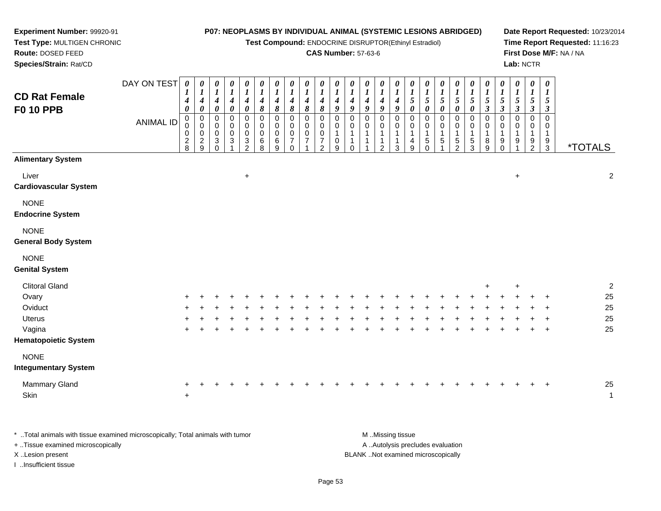**Test Compound:** ENDOCRINE DISRUPTOR(Ethinyl Estradiol)

### **CAS Number:** 57-63-6

**Date Report Requested:** 10/23/2014**Time Report Requested:** 11:16:23**First Dose M/F:** NA / NA**Lab:** NCTR

| <b>CD Rat Female</b><br><b>F0 10 PPB</b>   | DAY ON TEST<br><b>ANIMAL ID</b> | $\boldsymbol{\theta}$<br>$\boldsymbol{4}$<br>$\boldsymbol{\theta}$<br>$\mathbf 0$<br>0<br>$\mathbf 0$<br>$\frac{2}{8}$ | 0<br>$\boldsymbol{\mathit{1}}$<br>$\boldsymbol{4}$<br>$\boldsymbol{\theta}$<br>$\mathbf 0$<br>$\mathbf 0$<br>$\mathbf 0$<br>$\frac{2}{9}$ | $\boldsymbol{\theta}$<br>$\boldsymbol{l}$<br>$\boldsymbol{4}$<br>$\pmb{\theta}$<br>0<br>0<br>$\mathbf 0$<br>$\mathbf{3}$<br>$\mathbf 0$ | $\boldsymbol{\theta}$<br>$\boldsymbol{l}$<br>$\boldsymbol{4}$<br>$\pmb{\theta}$<br>$\mathbf 0$<br>$\mathbf 0$<br>$\mathbf 0$<br>3 | $\boldsymbol{\theta}$<br>$\boldsymbol{l}$<br>$\boldsymbol{4}$<br>$\pmb{\theta}$<br>$\pmb{0}$<br>$\pmb{0}$<br>$\pmb{0}$<br>$\ensuremath{\mathsf{3}}$<br>$\overline{2}$ | 0<br>$\boldsymbol{l}$<br>$\boldsymbol{4}$<br>8<br>0<br>0<br>$\mathsf 0$<br>$\,6\,$<br>8 | 0<br>$\boldsymbol{l}$<br>$\boldsymbol{4}$<br>8<br>0<br>0<br>0<br>$\,6\,$<br>9 | 0<br>$\boldsymbol{l}$<br>$\boldsymbol{4}$<br>$\pmb{8}$<br>0<br>$\mathbf 0$<br>$\mathbf 0$<br>$\overline{7}$<br>$\mathbf 0$ | 0<br>$\boldsymbol{l}$<br>$\boldsymbol{4}$<br>8<br>0<br>$\mathsf 0$<br>$\pmb{0}$<br>$\overline{7}$ | 0<br>$\boldsymbol{l}$<br>$\boldsymbol{4}$<br>$\boldsymbol{\delta}$<br>0<br>0<br>$\mathbf 0$<br>$\overline{7}$<br>$\overline{2}$ | 0<br>$\boldsymbol{l}$<br>4<br>$\boldsymbol{9}$<br>0<br>0<br>0<br>9 | $\boldsymbol{\theta}$<br>$\boldsymbol{l}$<br>$\boldsymbol{4}$<br>$\boldsymbol{9}$<br>0<br>0<br>$\mathbf{1}$<br>1<br>$\Omega$ | $\frac{\theta}{I}$<br>$\boldsymbol{4}$<br>9<br>0<br>$\pmb{0}$<br>$\mathbf{1}$<br>1 | $\frac{\theta}{I}$<br>$\boldsymbol{4}$<br>9<br>$\mathbf 0$<br>0<br>$\mathbf{1}$<br>1<br>2 | 0<br>$\boldsymbol{l}$<br>$\boldsymbol{4}$<br>9<br>0<br>$\pmb{0}$<br>$\mathbf{1}$<br>$\mathbf{1}$<br>3 | $\boldsymbol{\theta}$<br>$\frac{1}{5}$<br>$\pmb{\theta}$<br>0<br>$\mathbf 0$<br>$\mathbf{1}$<br>$\overline{4}$<br>9 | $\frac{\theta}{I}$<br>$\pmb{\theta}$<br>0<br>$\pmb{0}$<br>$\mathbf{1}$<br>$\,$ 5 $\,$<br>$\mathbf 0$ | $\boldsymbol{\theta}$<br>$\frac{1}{5}$<br>$\boldsymbol{\theta}$<br>0<br>0<br>$\mathbf{1}$<br>5<br>1 | 0<br>$\frac{1}{5}$<br>$\pmb{\theta}$<br>0<br>0<br>$\mathbf{1}$<br>$\sqrt{5}$<br>$\overline{c}$ | 0<br>$\boldsymbol{l}$<br>$\mathfrak{s}$<br>$\pmb{\theta}$<br>0<br>0<br>$\mathbf{1}$<br>$\sqrt{5}$<br>3 | 0<br>$\boldsymbol{l}$<br>$\mathfrak{s}$<br>$\boldsymbol{\mathfrak{z}}$<br>0<br>0<br>$\mathbf{1}$<br>8<br>9 | $\boldsymbol{\theta}$<br>$\boldsymbol{l}$<br>$\sqrt{5}$<br>$\boldsymbol{\beta}$<br>0<br>0<br>$\mathbf{1}$<br>9<br>$\mathbf 0$ | 0<br>$\boldsymbol{l}$<br>$\mathfrak{s}$<br>$\mathfrak{z}$<br>0<br>0<br>$\mathbf{1}$<br>9 | 0<br>$\boldsymbol{l}$<br>$\sqrt{5}$<br>$\boldsymbol{\beta}$<br>$\mathbf 0$<br>0<br>$\mathbf{1}$<br>9<br>$\overline{2}$ | 0<br>1<br>5<br>3<br>$\Omega$<br>0<br>$\mathbf{1}$<br>9<br>$\mathbf{3}$ | <i><b>*TOTALS</b></i> |
|--------------------------------------------|---------------------------------|------------------------------------------------------------------------------------------------------------------------|-------------------------------------------------------------------------------------------------------------------------------------------|-----------------------------------------------------------------------------------------------------------------------------------------|-----------------------------------------------------------------------------------------------------------------------------------|-----------------------------------------------------------------------------------------------------------------------------------------------------------------------|-----------------------------------------------------------------------------------------|-------------------------------------------------------------------------------|----------------------------------------------------------------------------------------------------------------------------|---------------------------------------------------------------------------------------------------|---------------------------------------------------------------------------------------------------------------------------------|--------------------------------------------------------------------|------------------------------------------------------------------------------------------------------------------------------|------------------------------------------------------------------------------------|-------------------------------------------------------------------------------------------|-------------------------------------------------------------------------------------------------------|---------------------------------------------------------------------------------------------------------------------|------------------------------------------------------------------------------------------------------|-----------------------------------------------------------------------------------------------------|------------------------------------------------------------------------------------------------|--------------------------------------------------------------------------------------------------------|------------------------------------------------------------------------------------------------------------|-------------------------------------------------------------------------------------------------------------------------------|------------------------------------------------------------------------------------------|------------------------------------------------------------------------------------------------------------------------|------------------------------------------------------------------------|-----------------------|
| <b>Alimentary System</b>                   |                                 |                                                                                                                        |                                                                                                                                           |                                                                                                                                         |                                                                                                                                   |                                                                                                                                                                       |                                                                                         |                                                                               |                                                                                                                            |                                                                                                   |                                                                                                                                 |                                                                    |                                                                                                                              |                                                                                    |                                                                                           |                                                                                                       |                                                                                                                     |                                                                                                      |                                                                                                     |                                                                                                |                                                                                                        |                                                                                                            |                                                                                                                               |                                                                                          |                                                                                                                        |                                                                        |                       |
| Liver<br><b>Cardiovascular System</b>      |                                 |                                                                                                                        |                                                                                                                                           |                                                                                                                                         |                                                                                                                                   | $\ddot{}$                                                                                                                                                             |                                                                                         |                                                                               |                                                                                                                            |                                                                                                   |                                                                                                                                 |                                                                    |                                                                                                                              |                                                                                    |                                                                                           |                                                                                                       |                                                                                                                     |                                                                                                      |                                                                                                     |                                                                                                |                                                                                                        |                                                                                                            |                                                                                                                               | $\ddot{}$                                                                                |                                                                                                                        |                                                                        | 2                     |
| <b>NONE</b><br><b>Endocrine System</b>     |                                 |                                                                                                                        |                                                                                                                                           |                                                                                                                                         |                                                                                                                                   |                                                                                                                                                                       |                                                                                         |                                                                               |                                                                                                                            |                                                                                                   |                                                                                                                                 |                                                                    |                                                                                                                              |                                                                                    |                                                                                           |                                                                                                       |                                                                                                                     |                                                                                                      |                                                                                                     |                                                                                                |                                                                                                        |                                                                                                            |                                                                                                                               |                                                                                          |                                                                                                                        |                                                                        |                       |
| <b>NONE</b><br><b>General Body System</b>  |                                 |                                                                                                                        |                                                                                                                                           |                                                                                                                                         |                                                                                                                                   |                                                                                                                                                                       |                                                                                         |                                                                               |                                                                                                                            |                                                                                                   |                                                                                                                                 |                                                                    |                                                                                                                              |                                                                                    |                                                                                           |                                                                                                       |                                                                                                                     |                                                                                                      |                                                                                                     |                                                                                                |                                                                                                        |                                                                                                            |                                                                                                                               |                                                                                          |                                                                                                                        |                                                                        |                       |
| <b>NONE</b><br><b>Genital System</b>       |                                 |                                                                                                                        |                                                                                                                                           |                                                                                                                                         |                                                                                                                                   |                                                                                                                                                                       |                                                                                         |                                                                               |                                                                                                                            |                                                                                                   |                                                                                                                                 |                                                                    |                                                                                                                              |                                                                                    |                                                                                           |                                                                                                       |                                                                                                                     |                                                                                                      |                                                                                                     |                                                                                                |                                                                                                        |                                                                                                            |                                                                                                                               |                                                                                          |                                                                                                                        |                                                                        |                       |
| <b>Clitoral Gland</b>                      |                                 |                                                                                                                        |                                                                                                                                           |                                                                                                                                         |                                                                                                                                   |                                                                                                                                                                       |                                                                                         |                                                                               |                                                                                                                            |                                                                                                   |                                                                                                                                 |                                                                    |                                                                                                                              |                                                                                    |                                                                                           |                                                                                                       |                                                                                                                     |                                                                                                      |                                                                                                     |                                                                                                |                                                                                                        | $\ddot{}$                                                                                                  |                                                                                                                               |                                                                                          |                                                                                                                        |                                                                        | 2                     |
| Ovary                                      |                                 |                                                                                                                        |                                                                                                                                           |                                                                                                                                         |                                                                                                                                   |                                                                                                                                                                       |                                                                                         |                                                                               |                                                                                                                            |                                                                                                   |                                                                                                                                 |                                                                    |                                                                                                                              |                                                                                    |                                                                                           |                                                                                                       |                                                                                                                     |                                                                                                      |                                                                                                     |                                                                                                |                                                                                                        |                                                                                                            |                                                                                                                               |                                                                                          |                                                                                                                        |                                                                        | 25                    |
| Oviduct                                    |                                 |                                                                                                                        |                                                                                                                                           |                                                                                                                                         |                                                                                                                                   |                                                                                                                                                                       |                                                                                         |                                                                               |                                                                                                                            |                                                                                                   |                                                                                                                                 |                                                                    |                                                                                                                              |                                                                                    |                                                                                           |                                                                                                       |                                                                                                                     |                                                                                                      |                                                                                                     |                                                                                                |                                                                                                        |                                                                                                            |                                                                                                                               |                                                                                          |                                                                                                                        |                                                                        | 25                    |
| Uterus                                     |                                 |                                                                                                                        |                                                                                                                                           |                                                                                                                                         |                                                                                                                                   |                                                                                                                                                                       |                                                                                         |                                                                               |                                                                                                                            |                                                                                                   |                                                                                                                                 |                                                                    |                                                                                                                              |                                                                                    |                                                                                           |                                                                                                       |                                                                                                                     |                                                                                                      |                                                                                                     |                                                                                                |                                                                                                        |                                                                                                            |                                                                                                                               |                                                                                          |                                                                                                                        |                                                                        | 25                    |
| Vagina<br><b>Hematopoietic System</b>      |                                 |                                                                                                                        |                                                                                                                                           |                                                                                                                                         |                                                                                                                                   |                                                                                                                                                                       |                                                                                         |                                                                               |                                                                                                                            |                                                                                                   |                                                                                                                                 |                                                                    |                                                                                                                              |                                                                                    |                                                                                           |                                                                                                       |                                                                                                                     |                                                                                                      |                                                                                                     |                                                                                                |                                                                                                        |                                                                                                            |                                                                                                                               |                                                                                          |                                                                                                                        | $\ddot{}$                                                              | 25                    |
| <b>NONE</b><br><b>Integumentary System</b> |                                 |                                                                                                                        |                                                                                                                                           |                                                                                                                                         |                                                                                                                                   |                                                                                                                                                                       |                                                                                         |                                                                               |                                                                                                                            |                                                                                                   |                                                                                                                                 |                                                                    |                                                                                                                              |                                                                                    |                                                                                           |                                                                                                       |                                                                                                                     |                                                                                                      |                                                                                                     |                                                                                                |                                                                                                        |                                                                                                            |                                                                                                                               |                                                                                          |                                                                                                                        |                                                                        |                       |
| Mammary Gland<br>Skin                      |                                 | $\ddot{}$                                                                                                              |                                                                                                                                           |                                                                                                                                         |                                                                                                                                   |                                                                                                                                                                       |                                                                                         |                                                                               |                                                                                                                            |                                                                                                   |                                                                                                                                 |                                                                    |                                                                                                                              |                                                                                    |                                                                                           |                                                                                                       |                                                                                                                     |                                                                                                      |                                                                                                     |                                                                                                |                                                                                                        |                                                                                                            |                                                                                                                               |                                                                                          |                                                                                                                        |                                                                        | 25<br>$\mathbf 1$     |

\* ..Total animals with tissue examined microscopically; Total animals with tumor **M** . Missing tissue M ..Missing tissue A ..Autolysis precludes evaluation + ..Tissue examined microscopically X ..Lesion present BLANK ..Not examined microscopicallyI ..Insufficient tissue

**Experiment Number:** 99920-91**Test Type:** MULTIGEN CHRONIC

**Route:** DOSED FEED**Species/Strain:** Rat/CD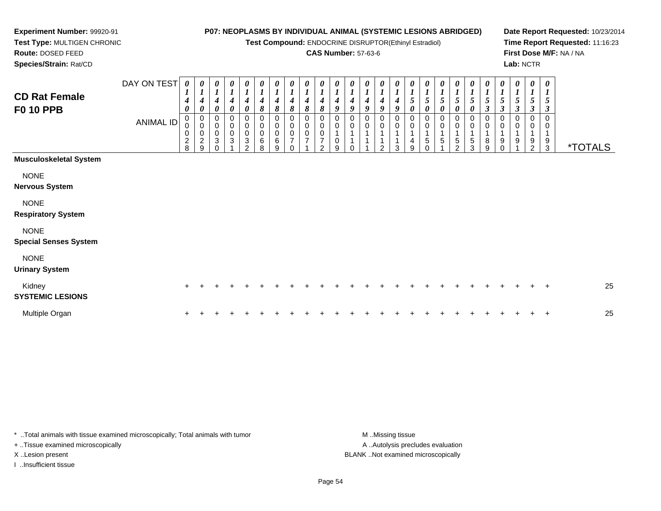**Test Compound:** ENDOCRINE DISRUPTOR(Ethinyl Estradiol)

### **CAS Number:** 57-63-6

**Date Report Requested:** 10/23/2014**Time Report Requested:** 11:16:23**First Dose M/F:** NA / NA**Lab:** NCTR

 **Test Type:** MULTIGEN CHRONIC**Route:** DOSED FEED**Species/Strain:** Rat/CD

**Experiment Number:** 99920-91

| <b>CD Rat Female</b><br><b>F0 10 PPB</b>    | DAY ON TEST<br><b>ANIMAL ID</b> | $\boldsymbol{\theta}$<br>$\boldsymbol{l}$<br>$\boldsymbol{4}$<br>$\theta$<br>$\pmb{0}$<br>$\pmb{0}$<br>$\pmb{0}$<br>$\frac{2}{8}$ | 0<br>$\boldsymbol{4}$<br>0<br>0<br>$\mathsf 0$<br>$\pmb{0}$<br>$\boldsymbol{2}$<br>9 | 0<br>$\boldsymbol{l}$<br>$\boldsymbol{4}$<br>$\boldsymbol{\theta}$<br>0<br>$\pmb{0}$<br>$\pmb{0}$<br>$\sqrt{3}$<br>$\Omega$ | 1<br>$\boldsymbol{4}$<br>0<br>0<br>$\mathsf 0$<br>$\pmb{0}$<br>$\ensuremath{\mathsf{3}}$ | $\boldsymbol{\theta}$<br>$\boldsymbol{4}$<br>0<br>0<br>$\pmb{0}$<br>$\pmb{0}$<br>3<br>$\mathfrak{p}$ | 0<br>$\boldsymbol{l}$<br>4<br>8<br>0<br>$\pmb{0}$<br>$\pmb{0}$<br>6<br>8 | 0<br>$\boldsymbol{l}$<br>$\boldsymbol{4}$<br>8<br>0<br>$\mathsf 0$<br>0<br>$\,6$<br>9 | 0<br>$\boldsymbol{l}$<br>$\boldsymbol{4}$<br>8<br>0<br>$\pmb{0}$<br>$\pmb{0}$<br>$\overline{\mathbf{7}}$<br>$\Omega$ | 0<br>$\boldsymbol{l}$<br>$\boldsymbol{4}$<br>8<br>0<br>$\begin{matrix} 0 \\ 0 \end{matrix}$<br>$\overline{7}$ | 0<br>$\boldsymbol{l}$<br>4<br>8<br>0<br>$\pmb{0}$<br>$\mathbf 0$<br>$\overline{7}$<br>$\mathfrak{p}$ | $\boldsymbol{\theta}$<br>4<br>9<br>0<br>9 | U<br>4<br>$\boldsymbol{q}$<br>0 | 0<br>4<br>Q<br>0<br>0 | 0<br>4<br>9<br>0<br>$\mathbf 0$<br>$\mathcal{P}$ | 0<br>$\boldsymbol{4}$<br>$\boldsymbol{Q}$<br>0<br>$\mathbf 0$<br>1<br>3 | 0<br>$\mathfrak{s}$<br>0<br>0<br>$\pmb{0}$<br>$\overline{4}$<br>9 | 0<br>$5\overline{)}$<br>$\boldsymbol{\theta}$<br>0<br>$\mathbf 0$<br>1<br>$\overline{5}$<br>$\Omega$ | $\boldsymbol{\theta}$<br>$\sqrt{5}$<br>$\boldsymbol{\theta}$<br>0<br>0<br>5 | $\boldsymbol{\theta}$<br>$\mathfrak{s}$<br>0<br>0<br>$\mathbf 0$<br>5<br>C. | 0<br>$\boldsymbol{l}$<br>5<br>$\pmb{\theta}$<br>$\pmb{0}$<br>$\pmb{0}$<br>1<br>$\,$ 5 $\,$<br>3 | 0<br>$\boldsymbol{I}$<br>$\mathfrak{s}$<br>3<br>0<br>$\pmb{0}$<br>$\mathbf{1}$<br>$\bf 8$<br>9 | 0<br>$\boldsymbol{l}$<br>$\sqrt{5}$<br>3<br>0<br>1<br>9<br>C | 0<br>$\mathbf{I}$<br>5<br>$\boldsymbol{\beta}$<br>0<br>1<br>9 | 0<br>$\boldsymbol{l}$<br>5<br>3<br>0<br>0<br>$\mathbf 1$<br>9<br>$\overline{2}$ | $\boldsymbol{\theta}$<br>5<br>3<br>0<br>0<br>9<br>3 | <i><b>*TOTALS</b></i> |
|---------------------------------------------|---------------------------------|-----------------------------------------------------------------------------------------------------------------------------------|--------------------------------------------------------------------------------------|-----------------------------------------------------------------------------------------------------------------------------|------------------------------------------------------------------------------------------|------------------------------------------------------------------------------------------------------|--------------------------------------------------------------------------|---------------------------------------------------------------------------------------|----------------------------------------------------------------------------------------------------------------------|---------------------------------------------------------------------------------------------------------------|------------------------------------------------------------------------------------------------------|-------------------------------------------|---------------------------------|-----------------------|--------------------------------------------------|-------------------------------------------------------------------------|-------------------------------------------------------------------|------------------------------------------------------------------------------------------------------|-----------------------------------------------------------------------------|-----------------------------------------------------------------------------|-------------------------------------------------------------------------------------------------|------------------------------------------------------------------------------------------------|--------------------------------------------------------------|---------------------------------------------------------------|---------------------------------------------------------------------------------|-----------------------------------------------------|-----------------------|
| <b>Musculoskeletal System</b>               |                                 |                                                                                                                                   |                                                                                      |                                                                                                                             |                                                                                          |                                                                                                      |                                                                          |                                                                                       |                                                                                                                      |                                                                                                               |                                                                                                      |                                           |                                 |                       |                                                  |                                                                         |                                                                   |                                                                                                      |                                                                             |                                                                             |                                                                                                 |                                                                                                |                                                              |                                                               |                                                                                 |                                                     |                       |
| <b>NONE</b><br><b>Nervous System</b>        |                                 |                                                                                                                                   |                                                                                      |                                                                                                                             |                                                                                          |                                                                                                      |                                                                          |                                                                                       |                                                                                                                      |                                                                                                               |                                                                                                      |                                           |                                 |                       |                                                  |                                                                         |                                                                   |                                                                                                      |                                                                             |                                                                             |                                                                                                 |                                                                                                |                                                              |                                                               |                                                                                 |                                                     |                       |
| <b>NONE</b><br><b>Respiratory System</b>    |                                 |                                                                                                                                   |                                                                                      |                                                                                                                             |                                                                                          |                                                                                                      |                                                                          |                                                                                       |                                                                                                                      |                                                                                                               |                                                                                                      |                                           |                                 |                       |                                                  |                                                                         |                                                                   |                                                                                                      |                                                                             |                                                                             |                                                                                                 |                                                                                                |                                                              |                                                               |                                                                                 |                                                     |                       |
| <b>NONE</b><br><b>Special Senses System</b> |                                 |                                                                                                                                   |                                                                                      |                                                                                                                             |                                                                                          |                                                                                                      |                                                                          |                                                                                       |                                                                                                                      |                                                                                                               |                                                                                                      |                                           |                                 |                       |                                                  |                                                                         |                                                                   |                                                                                                      |                                                                             |                                                                             |                                                                                                 |                                                                                                |                                                              |                                                               |                                                                                 |                                                     |                       |
| <b>NONE</b><br><b>Urinary System</b>        |                                 |                                                                                                                                   |                                                                                      |                                                                                                                             |                                                                                          |                                                                                                      |                                                                          |                                                                                       |                                                                                                                      |                                                                                                               |                                                                                                      |                                           |                                 |                       |                                                  |                                                                         |                                                                   |                                                                                                      |                                                                             |                                                                             |                                                                                                 |                                                                                                |                                                              |                                                               |                                                                                 |                                                     |                       |
| Kidney<br><b>SYSTEMIC LESIONS</b>           |                                 | $+$                                                                                                                               |                                                                                      |                                                                                                                             |                                                                                          |                                                                                                      |                                                                          |                                                                                       |                                                                                                                      |                                                                                                               |                                                                                                      |                                           |                                 |                       |                                                  |                                                                         |                                                                   |                                                                                                      |                                                                             |                                                                             |                                                                                                 |                                                                                                |                                                              |                                                               | $^+$                                                                            | $+$                                                 | 25                    |
| Multiple Organ                              |                                 |                                                                                                                                   |                                                                                      |                                                                                                                             |                                                                                          |                                                                                                      |                                                                          |                                                                                       |                                                                                                                      |                                                                                                               |                                                                                                      |                                           |                                 |                       |                                                  |                                                                         |                                                                   |                                                                                                      |                                                                             |                                                                             |                                                                                                 |                                                                                                |                                                              |                                                               |                                                                                 | $\overline{+}$                                      | 25                    |

\* ..Total animals with tissue examined microscopically; Total animals with tumor **M** . Missing tissue M ..Missing tissue + ..Tissue examined microscopically

I ..Insufficient tissue

A ..Autolysis precludes evaluation X ..Lesion present BLANK ..Not examined microscopically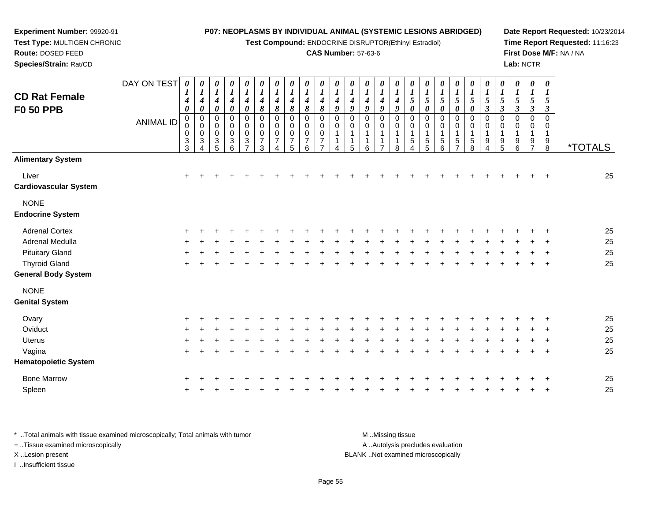**Test Compound:** ENDOCRINE DISRUPTOR(Ethinyl Estradiol)

### **CAS Number:** 57-63-6

**Date Report Requested:** 10/23/2014**Time Report Requested:** 11:16:23**First Dose M/F:** NA / NA**Lab:** NCTR

|                                                    |             |                                                               |                                                        |                                                     |                                        |                                                                    |                                      |                               |                                                                    |                              |                                 |             |                                                |                       |                                 |             |                                                     |                                               |                     |                                   |                       |        |                           |             | Lab: NCTR                                                 |                                                    |                       |
|----------------------------------------------------|-------------|---------------------------------------------------------------|--------------------------------------------------------|-----------------------------------------------------|----------------------------------------|--------------------------------------------------------------------|--------------------------------------|-------------------------------|--------------------------------------------------------------------|------------------------------|---------------------------------|-------------|------------------------------------------------|-----------------------|---------------------------------|-------------|-----------------------------------------------------|-----------------------------------------------|---------------------|-----------------------------------|-----------------------|--------|---------------------------|-------------|-----------------------------------------------------------|----------------------------------------------------|-----------------------|
| <b>CD Rat Female</b><br><b>F0 50 PPB</b>           | DAY ON TEST | 0<br>$\boldsymbol{4}$<br>0                                    | $\theta$<br>$\mathbf{I}$<br>4<br>$\boldsymbol{\theta}$ | U<br>$\boldsymbol{l}$<br>4<br>$\boldsymbol{\theta}$ | 0<br>4<br>0                            | $\boldsymbol{\theta}$<br>$\boldsymbol{l}$<br>$\boldsymbol{4}$<br>0 | 0<br>4<br>8                          | 0<br>4<br>$\pmb{8}$           | 0<br>$\boldsymbol{l}$<br>$\boldsymbol{4}$<br>$\boldsymbol{\delta}$ | $\overline{4}$<br>8          | $\boldsymbol{\theta}$<br>4<br>8 | 0<br>4<br>9 | 0<br>$\boldsymbol{l}$<br>$\boldsymbol{4}$<br>9 | 0<br>4<br>9           | $\boldsymbol{\theta}$<br>4<br>9 | 0<br>4<br>9 | $\boldsymbol{\theta}$<br>5<br>$\boldsymbol{\theta}$ | 0<br>$5\overline{)}$<br>$\boldsymbol{\theta}$ | 0<br>5<br>0         | 0<br>5<br>0                       | 0<br>5<br>0           | 3      | U<br>$\boldsymbol{\beta}$ | 0<br>3      | 0<br>$\boldsymbol{l}$<br>$\mathfrak{s}$<br>$\mathfrak{z}$ | 0<br>$\boldsymbol{l}$<br>5<br>$\boldsymbol{\beta}$ |                       |
|                                                    | ANIMAL ID   | 0<br>$\pmb{0}$<br>$\pmb{0}$<br>$\ensuremath{\mathsf{3}}$<br>3 | $\pmb{0}$<br>$\mathbf 0$<br>$\pmb{0}$<br>3             | $\mathbf 0$<br>$\mathbf 0$<br>3                     | 0<br>$\pmb{0}$<br>0<br>$\sqrt{3}$<br>6 | 0<br>$\mathbf 0$<br>0<br>$\sqrt{3}$<br>$\overline{z}$              | $\mathbf 0$<br>$\mathbf 0$<br>7<br>3 | 0<br>0<br>0<br>$\overline{ }$ | 0<br>$\pmb{0}$<br>$\mathbf 0$<br>$\overline{7}$<br>5               | $\mathbf 0$<br>$\Omega$<br>6 | 0<br>0<br>0                     | 0<br>0      | 0<br>0<br>5                                    | 0<br>$\mathbf 0$<br>6 | 0<br>0<br>$\overline{ }$        | 8           | $\Omega$<br>$\Omega$<br>5                           | 0<br>5<br>5                                   | $\pmb{0}$<br>5<br>6 | 0<br>$\sqrt{5}$<br>$\overline{ }$ | $\mathbf 0$<br>5<br>8 | 0<br>9 | 9<br>5                    | 0<br>9<br>6 | 0<br>0<br>9<br>$\overline{z}$                             | $\mathbf 0$<br>0<br>1<br>9<br>8                    | <i><b>*TOTALS</b></i> |
| <b>Alimentary System</b>                           |             |                                                               |                                                        |                                                     |                                        |                                                                    |                                      |                               |                                                                    |                              |                                 |             |                                                |                       |                                 |             |                                                     |                                               |                     |                                   |                       |        |                           |             |                                                           |                                                    |                       |
| Liver<br><b>Cardiovascular System</b>              |             | $\pm$                                                         |                                                        |                                                     |                                        |                                                                    |                                      |                               |                                                                    |                              |                                 |             |                                                |                       |                                 |             |                                                     |                                               |                     |                                   |                       |        |                           |             |                                                           | $\pm$                                              | 25                    |
| <b>NONE</b><br><b>Endocrine System</b>             |             |                                                               |                                                        |                                                     |                                        |                                                                    |                                      |                               |                                                                    |                              |                                 |             |                                                |                       |                                 |             |                                                     |                                               |                     |                                   |                       |        |                           |             |                                                           |                                                    |                       |
| <b>Adrenal Cortex</b>                              |             |                                                               |                                                        |                                                     |                                        |                                                                    |                                      |                               |                                                                    |                              |                                 |             |                                                |                       |                                 |             |                                                     |                                               |                     |                                   |                       |        |                           |             |                                                           |                                                    | 25                    |
| Adrenal Medulla                                    |             |                                                               |                                                        |                                                     |                                        |                                                                    |                                      |                               |                                                                    |                              |                                 |             |                                                |                       |                                 |             |                                                     |                                               |                     |                                   |                       |        |                           |             | $\pm$                                                     | $+$                                                | 25                    |
| <b>Pituitary Gland</b>                             |             |                                                               |                                                        |                                                     |                                        |                                                                    |                                      |                               |                                                                    |                              |                                 |             |                                                |                       |                                 |             |                                                     |                                               |                     |                                   |                       |        |                           |             | +                                                         | $+$                                                | 25                    |
| <b>Thyroid Gland</b><br><b>General Body System</b> |             |                                                               |                                                        |                                                     |                                        |                                                                    |                                      |                               |                                                                    |                              |                                 |             |                                                |                       |                                 |             |                                                     |                                               |                     |                                   |                       |        |                           |             | $\pm$                                                     | $+$                                                | 25                    |

NONE

**Experiment Number:** 99920-91**Test Type:** MULTIGEN CHRONIC

**Route:** DOSED FEED

| <b>Genital System</b>       |     |     |  |  |  |  |     |        |     |  |     |     |  |         |    |  |
|-----------------------------|-----|-----|--|--|--|--|-----|--------|-----|--|-----|-----|--|---------|----|--|
| Ovary                       | $+$ | $+$ |  |  |  |  |     |        |     |  |     |     |  | $+$     | 25 |  |
| Oviduct                     | $+$ | $+$ |  |  |  |  |     |        | $+$ |  | ÷.  |     |  | $+$     | 25 |  |
| <b>Uterus</b>               | $+$ |     |  |  |  |  |     |        |     |  | ÷   |     |  | $+$     | 25 |  |
| Vagina                      | $+$ | $+$ |  |  |  |  | $+$ | $\div$ | $+$ |  | $+$ | $+$ |  | $+$ $+$ | 25 |  |
| <b>Hematopoietic System</b> |     |     |  |  |  |  |     |        |     |  |     |     |  |         |    |  |
| <b>Bone Marrow</b>          | $+$ | $+$ |  |  |  |  |     |        |     |  |     |     |  | $+$     | 25 |  |
| Spleen                      | $+$ |     |  |  |  |  |     |        |     |  |     |     |  | $+$     | 25 |  |
|                             |     |     |  |  |  |  |     |        |     |  |     |     |  |         |    |  |

\* ..Total animals with tissue examined microscopically; Total animals with tumor **M** . Missing tissue M ..Missing tissue A ..Autolysis precludes evaluation + ..Tissue examined microscopically X ..Lesion present BLANK ..Not examined microscopicallyI ..Insufficient tissue

Page 55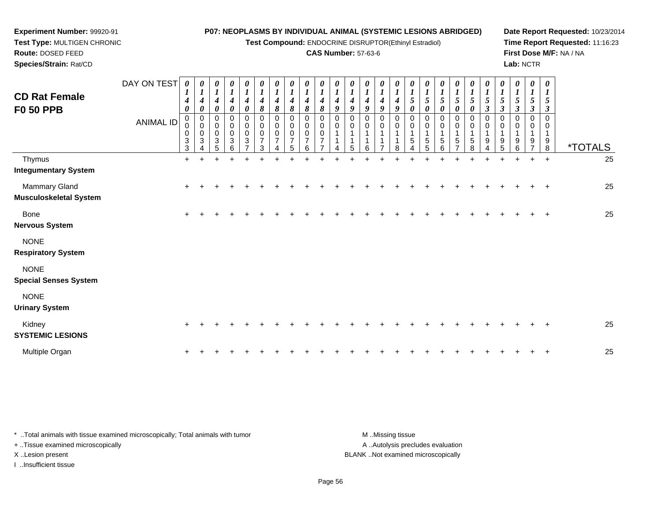**Test Compound:** ENDOCRINE DISRUPTOR(Ethinyl Estradiol)

### **CAS Number:** 57-63-6

**Date Report Requested:** 10/23/2014**Time Report Requested:** 11:16:23**First Dose M/F:** NA / NA**Lab:** NCTR

| <b>CD Rat Female</b><br><b>F0 50 PPB</b>       | DAY ON TEST<br><b>ANIMAL ID</b> | $\boldsymbol{\theta}$<br>$\boldsymbol{l}$<br>$\boldsymbol{4}$<br>$\boldsymbol{\theta}$<br>0<br>0<br>$\pmb{0}$<br>$\sqrt{3}$<br>3 | 0<br>$\boldsymbol{l}$<br>4<br>0<br>$\pmb{0}$<br>$\pmb{0}$<br>$\pmb{0}$<br>$\sqrt{3}$ | 0<br>$\boldsymbol{l}$<br>4<br>0<br>0<br>$\pmb{0}$<br>$\mathbf 0$<br>3<br>5 | 0<br>$\boldsymbol{l}$<br>$\boldsymbol{4}$<br>0<br>0<br>$\pmb{0}$<br>$\pmb{0}$<br>$\ensuremath{\mathsf{3}}$<br>6 | 0<br>1<br>$\boldsymbol{4}$<br>0<br>0<br>0<br>0<br>$\ensuremath{\mathsf{3}}$<br>$\overline{ }$ | 0<br>$\boldsymbol{l}$<br>$\boldsymbol{4}$<br>8<br>0<br>$\pmb{0}$<br>$\pmb{0}$<br>$\overline{7}$<br>3 | 0<br>$\boldsymbol{l}$<br>$\boldsymbol{4}$<br>8<br>0<br>0<br>$\pmb{0}$<br>$\overline{7}$<br>4 | 0<br>$\boldsymbol{l}$<br>4<br>8<br>0<br>0<br>0<br>$\overline{7}$<br>5 | $\pmb{\theta}$<br>$\boldsymbol{l}$<br>4<br>8<br>0<br>0<br>$\mathbf 0$<br>$\overline{7}$<br>6 | $\boldsymbol{\theta}$<br>$\boldsymbol{l}$<br>4<br>8<br>$\Omega$<br>$\mathbf 0$<br>$\mathbf 0$<br>$\overline{7}$ | 0<br>$\boldsymbol{l}$<br>4<br>9<br>0<br>$\mathbf 0$ | $\boldsymbol{\theta}$<br>4<br>9<br>0<br>0<br>5 | $\boldsymbol{\theta}$<br>$\boldsymbol{l}$<br>$\boldsymbol{4}$<br>9<br>$\Omega$<br>0<br>$\overline{A}$<br>6 | $\pmb{\theta}$<br>$\boldsymbol{l}$<br>$\boldsymbol{4}$<br>9<br>0<br>0<br>$\mathbf 1$<br>$\mathbf{1}$<br>$\overline{ }$ | $\pmb{\theta}$<br>$\boldsymbol{l}$<br>$\boldsymbol{4}$<br>9<br>0<br>0<br>$\mathbf{1}$<br>$\mathbf{1}$<br>8 | 0<br>$\overline{\mathbf{I}}$<br>$5\overline{)}$<br>0<br>0<br>0<br>5<br>4 | 0<br>$\boldsymbol{l}$<br>5<br>$\boldsymbol{\theta}$<br>0<br>0<br>5<br>5 | $\boldsymbol{\theta}$<br>$\boldsymbol{l}$<br>5<br>$\boldsymbol{\theta}$<br>0<br>0<br>1<br>$\,$ 5 $\,$<br>6 | $\begin{matrix} 0 \\ 1 \end{matrix}$<br>5<br>$\pmb{\theta}$<br>$\,0\,$<br>$\pmb{0}$<br>1<br>$\sqrt{5}$<br>$\overline{\phantom{a}}$ | 0<br>$\boldsymbol{l}$<br>$\sqrt{5}$<br>$\boldsymbol{\theta}$<br>$\mathbf 0$<br>$\pmb{0}$<br>1<br>$\sqrt{5}$<br>8 | 0<br>$\boldsymbol{l}$<br>$\sqrt{5}$<br>3<br>0<br>0<br>9<br>$\overline{4}$ | $\boldsymbol{\theta}$<br>$\boldsymbol{l}$<br>5<br>$\boldsymbol{\beta}$<br>0<br>0<br>$\mathbf 1$<br>9<br>5 | 0<br>$\mathbf{I}$<br>5<br>3<br>0<br>0<br>9<br>6 | 0<br>$\boldsymbol{l}$<br>5<br>$\boldsymbol{\beta}$<br>$\mathbf 0$<br>0<br>-1<br>9<br>$\overline{z}$ | $\boldsymbol{\theta}$<br>$\boldsymbol{l}$<br>5<br>$\boldsymbol{\beta}$<br>$\Omega$<br>0<br>1<br>9<br>8 | <i><b>*TOTALS</b></i> |
|------------------------------------------------|---------------------------------|----------------------------------------------------------------------------------------------------------------------------------|--------------------------------------------------------------------------------------|----------------------------------------------------------------------------|-----------------------------------------------------------------------------------------------------------------|-----------------------------------------------------------------------------------------------|------------------------------------------------------------------------------------------------------|----------------------------------------------------------------------------------------------|-----------------------------------------------------------------------|----------------------------------------------------------------------------------------------|-----------------------------------------------------------------------------------------------------------------|-----------------------------------------------------|------------------------------------------------|------------------------------------------------------------------------------------------------------------|------------------------------------------------------------------------------------------------------------------------|------------------------------------------------------------------------------------------------------------|--------------------------------------------------------------------------|-------------------------------------------------------------------------|------------------------------------------------------------------------------------------------------------|------------------------------------------------------------------------------------------------------------------------------------|------------------------------------------------------------------------------------------------------------------|---------------------------------------------------------------------------|-----------------------------------------------------------------------------------------------------------|-------------------------------------------------|-----------------------------------------------------------------------------------------------------|--------------------------------------------------------------------------------------------------------|-----------------------|
| Thymus<br><b>Integumentary System</b>          |                                 | $\ddot{}$                                                                                                                        | $+$                                                                                  |                                                                            | $\div$                                                                                                          |                                                                                               |                                                                                                      |                                                                                              |                                                                       |                                                                                              |                                                                                                                 |                                                     |                                                |                                                                                                            |                                                                                                                        |                                                                                                            |                                                                          |                                                                         |                                                                                                            |                                                                                                                                    |                                                                                                                  | ÷                                                                         | $+$                                                                                                       | $\ddot{}$                                       | $+$                                                                                                 | $+$                                                                                                    | 25                    |
| Mammary Gland<br><b>Musculoskeletal System</b> |                                 | $\ddot{}$                                                                                                                        |                                                                                      |                                                                            |                                                                                                                 |                                                                                               |                                                                                                      |                                                                                              |                                                                       |                                                                                              |                                                                                                                 |                                                     |                                                |                                                                                                            |                                                                                                                        |                                                                                                            |                                                                          |                                                                         |                                                                                                            |                                                                                                                                    |                                                                                                                  |                                                                           |                                                                                                           |                                                 |                                                                                                     | $\ddot{}$                                                                                              | 25                    |
| Bone<br><b>Nervous System</b>                  |                                 | $\ddot{}$                                                                                                                        |                                                                                      |                                                                            |                                                                                                                 |                                                                                               |                                                                                                      |                                                                                              |                                                                       |                                                                                              |                                                                                                                 |                                                     |                                                |                                                                                                            |                                                                                                                        |                                                                                                            |                                                                          |                                                                         |                                                                                                            |                                                                                                                                    |                                                                                                                  |                                                                           |                                                                                                           |                                                 |                                                                                                     |                                                                                                        | 25                    |
| <b>NONE</b><br><b>Respiratory System</b>       |                                 |                                                                                                                                  |                                                                                      |                                                                            |                                                                                                                 |                                                                                               |                                                                                                      |                                                                                              |                                                                       |                                                                                              |                                                                                                                 |                                                     |                                                |                                                                                                            |                                                                                                                        |                                                                                                            |                                                                          |                                                                         |                                                                                                            |                                                                                                                                    |                                                                                                                  |                                                                           |                                                                                                           |                                                 |                                                                                                     |                                                                                                        |                       |
| <b>NONE</b><br><b>Special Senses System</b>    |                                 |                                                                                                                                  |                                                                                      |                                                                            |                                                                                                                 |                                                                                               |                                                                                                      |                                                                                              |                                                                       |                                                                                              |                                                                                                                 |                                                     |                                                |                                                                                                            |                                                                                                                        |                                                                                                            |                                                                          |                                                                         |                                                                                                            |                                                                                                                                    |                                                                                                                  |                                                                           |                                                                                                           |                                                 |                                                                                                     |                                                                                                        |                       |
| <b>NONE</b><br><b>Urinary System</b>           |                                 |                                                                                                                                  |                                                                                      |                                                                            |                                                                                                                 |                                                                                               |                                                                                                      |                                                                                              |                                                                       |                                                                                              |                                                                                                                 |                                                     |                                                |                                                                                                            |                                                                                                                        |                                                                                                            |                                                                          |                                                                         |                                                                                                            |                                                                                                                                    |                                                                                                                  |                                                                           |                                                                                                           |                                                 |                                                                                                     |                                                                                                        |                       |
| Kidney<br><b>SYSTEMIC LESIONS</b>              |                                 |                                                                                                                                  |                                                                                      |                                                                            |                                                                                                                 |                                                                                               |                                                                                                      |                                                                                              |                                                                       |                                                                                              |                                                                                                                 |                                                     |                                                |                                                                                                            |                                                                                                                        |                                                                                                            |                                                                          |                                                                         |                                                                                                            |                                                                                                                                    |                                                                                                                  |                                                                           |                                                                                                           |                                                 |                                                                                                     |                                                                                                        | 25                    |

Multiple Organn  $+$ <sup>+</sup> <sup>+</sup> <sup>+</sup> <sup>+</sup> <sup>+</sup> <sup>+</sup> <sup>+</sup> <sup>+</sup> <sup>+</sup> <sup>+</sup> <sup>+</sup> <sup>+</sup> <sup>+</sup> <sup>+</sup> <sup>+</sup> <sup>+</sup> <sup>+</sup> <sup>+</sup> <sup>+</sup> <sup>+</sup> <sup>+</sup> <sup>+</sup> <sup>+</sup> <sup>+</sup> <sup>25</sup>

\* ..Total animals with tissue examined microscopically; Total animals with tumor **M** ...Missing tissue M ...Missing tissue A ..Autolysis precludes evaluation + ..Tissue examined microscopically X ..Lesion present BLANK ..Not examined microscopicallyI ..Insufficient tissue

**Experiment Number:** 99920-91**Test Type:** MULTIGEN CHRONIC

**Route:** DOSED FEED**Species/Strain:** Rat/CD

Page 56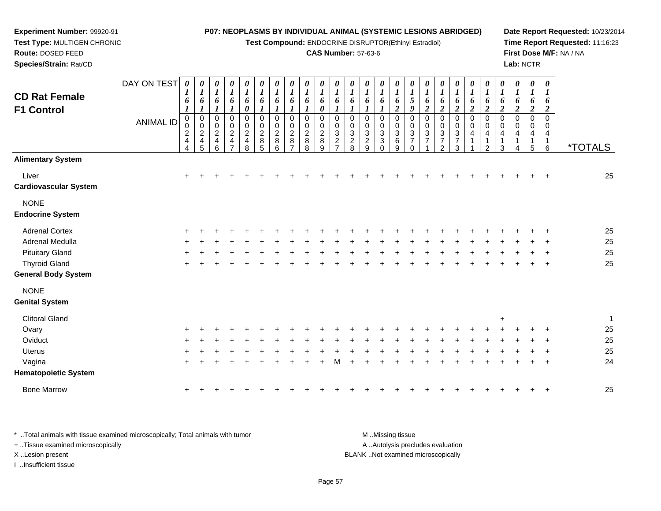**Test Compound:** ENDOCRINE DISRUPTOR(Ethinyl Estradiol)

### **CAS Number:** 57-63-6

**Date Report Requested:** 10/23/2014**Time Report Requested:** 11:16:23**First Dose M/F:** NA / NA**Lab:** NCTR

| <b>CD Rat Female</b><br><b>F1 Control</b>          | DAY ON TEST<br><b>ANIMAL ID</b> | 0<br>1<br>6<br>$\boldsymbol{l}$<br>$\pmb{0}$<br>0<br>$\boldsymbol{2}$<br>$\overline{\mathbf{4}}$<br>$\overline{4}$ | $\boldsymbol{\theta}$<br>$\bm{l}$<br>6<br>$\boldsymbol{l}$<br>$\pmb{0}$<br>$\pmb{0}$<br>$\sqrt{2}$<br>4<br>5 | 0<br>$\boldsymbol{l}$<br>6<br>$\mathbf 0$<br>$\pmb{0}$<br>$\overline{c}$<br>$\overline{4}$<br>6 | 0<br>$\boldsymbol{l}$<br>6<br>1<br>0<br>$\mathbf 0$<br>$\boldsymbol{2}$<br>$\overline{\mathbf{4}}$<br>7 | 0<br>$\boldsymbol{l}$<br>6<br>0<br>0<br>$\pmb{0}$<br>$\boldsymbol{2}$<br>4<br>8 | 0<br>$\boldsymbol{l}$<br>6<br>$\boldsymbol{l}$<br>$\mathbf 0$<br>$\mathbf 0$<br>$\boldsymbol{2}$<br>8<br>5 | 0<br>$\boldsymbol{l}$<br>6<br>$\boldsymbol{\mathit{1}}$<br>0<br>$\pmb{0}$<br>$\overline{2}$<br>8<br>6 | 0<br>$\boldsymbol{l}$<br>6<br>1<br>0<br>0<br>$\overline{c}$<br>8 | 0<br>$\boldsymbol{l}$<br>6<br>$\boldsymbol{l}$<br>$\pmb{0}$<br>0<br>$\overline{c}$<br>8<br>8 | 0<br>$\boldsymbol{l}$<br>6<br>0<br>$\mathbf 0$<br>0<br>$\overline{c}$<br>8<br>9 | $\boldsymbol{\theta}$<br>1<br>6<br>$\mathbf 0$<br>0<br>3<br>$\overline{c}$<br>$\overline{\phantom{a}}$ | 0<br>1<br>6<br>0<br>0<br>$\mathbf{3}$<br>$\frac{2}{8}$ | 0<br>$\bm{l}$<br>6<br>$\mathbf 0$<br>$\mathbf 0$<br>$\sqrt{3}$<br>$\overline{2}$<br>9 | 0<br>$\bm{l}$<br>6<br>1<br>$\mathbf 0$<br>0<br>3<br>$\mathbf{3}$<br>$\Omega$ | 0<br>$\boldsymbol{l}$<br>6<br>$\boldsymbol{2}$<br>$\mathbf 0$<br>0<br>$\mathbf{3}$<br>6<br>9 | 0<br>$\boldsymbol{l}$<br>$\mathfrak{s}$<br>9<br>0<br>$\pmb{0}$<br>$\ensuremath{\mathsf{3}}$<br>$\overline{7}$<br>$\Omega$ | $\boldsymbol{\theta}$<br>$\boldsymbol{l}$<br>6<br>$\boldsymbol{2}$<br>$\mathbf 0$<br>$\mathbf 0$<br>$\mathbf{3}$<br>$\overline{7}$ | 0<br>$\boldsymbol{l}$<br>6<br>$\boldsymbol{2}$<br>$\pmb{0}$<br>$\pmb{0}$<br>$\ensuremath{\mathsf{3}}$<br>$\overline{7}$<br>2 | $\boldsymbol{\theta}$<br>1<br>6<br>$\boldsymbol{2}$<br>$\mathbf 0$<br>$\mathbf 0$<br>$\mathbf{3}$<br>$\overline{7}$<br>3 | 0<br>$\boldsymbol{l}$<br>6<br>$\boldsymbol{2}$<br>$\mathbf 0$<br>$\mathbf 0$<br>4 | 0<br>1<br>6<br>$\overline{\mathbf{c}}$<br>$\mathbf 0$<br>0<br>4<br>$\mathcal{P}$ | 0<br>$\boldsymbol{l}$<br>6<br>$\boldsymbol{2}$<br>$\mathbf 0$<br>0<br>4<br>3 | 0<br>$\boldsymbol{l}$<br>6<br>$\boldsymbol{2}$<br>$\mathbf 0$<br>0<br>4<br>$\mathbf 1$ | 0<br>$\boldsymbol{l}$<br>6<br>$\boldsymbol{2}$<br>$\mathbf 0$<br>0<br>4<br>1<br>5 | 0<br>$\boldsymbol{l}$<br>6<br>2<br>$\mathbf 0$<br>0<br>4<br>1<br>6 | <i><b>*TOTALS</b></i> |
|----------------------------------------------------|---------------------------------|--------------------------------------------------------------------------------------------------------------------|--------------------------------------------------------------------------------------------------------------|-------------------------------------------------------------------------------------------------|---------------------------------------------------------------------------------------------------------|---------------------------------------------------------------------------------|------------------------------------------------------------------------------------------------------------|-------------------------------------------------------------------------------------------------------|------------------------------------------------------------------|----------------------------------------------------------------------------------------------|---------------------------------------------------------------------------------|--------------------------------------------------------------------------------------------------------|--------------------------------------------------------|---------------------------------------------------------------------------------------|------------------------------------------------------------------------------|----------------------------------------------------------------------------------------------|---------------------------------------------------------------------------------------------------------------------------|------------------------------------------------------------------------------------------------------------------------------------|------------------------------------------------------------------------------------------------------------------------------|--------------------------------------------------------------------------------------------------------------------------|-----------------------------------------------------------------------------------|----------------------------------------------------------------------------------|------------------------------------------------------------------------------|----------------------------------------------------------------------------------------|-----------------------------------------------------------------------------------|--------------------------------------------------------------------|-----------------------|
| <b>Alimentary System</b>                           |                                 |                                                                                                                    |                                                                                                              |                                                                                                 |                                                                                                         |                                                                                 |                                                                                                            |                                                                                                       |                                                                  |                                                                                              |                                                                                 |                                                                                                        |                                                        |                                                                                       |                                                                              |                                                                                              |                                                                                                                           |                                                                                                                                    |                                                                                                                              |                                                                                                                          |                                                                                   |                                                                                  |                                                                              |                                                                                        |                                                                                   |                                                                    |                       |
| Liver<br>Cardiovascular System                     |                                 | $\ddot{}$                                                                                                          |                                                                                                              |                                                                                                 |                                                                                                         |                                                                                 |                                                                                                            |                                                                                                       |                                                                  |                                                                                              |                                                                                 |                                                                                                        |                                                        |                                                                                       |                                                                              |                                                                                              |                                                                                                                           |                                                                                                                                    |                                                                                                                              |                                                                                                                          |                                                                                   |                                                                                  |                                                                              |                                                                                        |                                                                                   |                                                                    | 25                    |
| <b>NONE</b><br><b>Endocrine System</b>             |                                 |                                                                                                                    |                                                                                                              |                                                                                                 |                                                                                                         |                                                                                 |                                                                                                            |                                                                                                       |                                                                  |                                                                                              |                                                                                 |                                                                                                        |                                                        |                                                                                       |                                                                              |                                                                                              |                                                                                                                           |                                                                                                                                    |                                                                                                                              |                                                                                                                          |                                                                                   |                                                                                  |                                                                              |                                                                                        |                                                                                   |                                                                    |                       |
| <b>Adrenal Cortex</b>                              |                                 |                                                                                                                    |                                                                                                              |                                                                                                 |                                                                                                         |                                                                                 |                                                                                                            |                                                                                                       |                                                                  |                                                                                              |                                                                                 |                                                                                                        |                                                        |                                                                                       |                                                                              |                                                                                              |                                                                                                                           |                                                                                                                                    |                                                                                                                              |                                                                                                                          |                                                                                   |                                                                                  |                                                                              |                                                                                        |                                                                                   |                                                                    | 25                    |
| Adrenal Medulla                                    |                                 |                                                                                                                    |                                                                                                              |                                                                                                 |                                                                                                         |                                                                                 |                                                                                                            |                                                                                                       |                                                                  |                                                                                              |                                                                                 |                                                                                                        |                                                        |                                                                                       |                                                                              |                                                                                              |                                                                                                                           |                                                                                                                                    |                                                                                                                              |                                                                                                                          |                                                                                   |                                                                                  |                                                                              |                                                                                        |                                                                                   |                                                                    | 25                    |
| <b>Pituitary Gland</b>                             |                                 |                                                                                                                    |                                                                                                              |                                                                                                 |                                                                                                         |                                                                                 |                                                                                                            |                                                                                                       |                                                                  |                                                                                              |                                                                                 |                                                                                                        |                                                        |                                                                                       |                                                                              |                                                                                              |                                                                                                                           |                                                                                                                                    |                                                                                                                              |                                                                                                                          |                                                                                   |                                                                                  |                                                                              |                                                                                        |                                                                                   |                                                                    | 25                    |
| <b>Thyroid Gland</b><br><b>General Body System</b> |                                 |                                                                                                                    |                                                                                                              |                                                                                                 |                                                                                                         |                                                                                 |                                                                                                            |                                                                                                       |                                                                  |                                                                                              |                                                                                 |                                                                                                        |                                                        |                                                                                       |                                                                              |                                                                                              |                                                                                                                           |                                                                                                                                    |                                                                                                                              |                                                                                                                          |                                                                                   |                                                                                  |                                                                              |                                                                                        |                                                                                   |                                                                    | 25                    |
| <b>NONE</b><br><b>Genital System</b>               |                                 |                                                                                                                    |                                                                                                              |                                                                                                 |                                                                                                         |                                                                                 |                                                                                                            |                                                                                                       |                                                                  |                                                                                              |                                                                                 |                                                                                                        |                                                        |                                                                                       |                                                                              |                                                                                              |                                                                                                                           |                                                                                                                                    |                                                                                                                              |                                                                                                                          |                                                                                   |                                                                                  |                                                                              |                                                                                        |                                                                                   |                                                                    |                       |
| <b>Clitoral Gland</b>                              |                                 |                                                                                                                    |                                                                                                              |                                                                                                 |                                                                                                         |                                                                                 |                                                                                                            |                                                                                                       |                                                                  |                                                                                              |                                                                                 |                                                                                                        |                                                        |                                                                                       |                                                                              |                                                                                              |                                                                                                                           |                                                                                                                                    |                                                                                                                              |                                                                                                                          |                                                                                   |                                                                                  | $\ddot{}$                                                                    |                                                                                        |                                                                                   |                                                                    | 1                     |
| Ovary                                              |                                 |                                                                                                                    |                                                                                                              |                                                                                                 |                                                                                                         |                                                                                 |                                                                                                            |                                                                                                       |                                                                  |                                                                                              |                                                                                 |                                                                                                        |                                                        |                                                                                       |                                                                              |                                                                                              |                                                                                                                           |                                                                                                                                    |                                                                                                                              |                                                                                                                          |                                                                                   |                                                                                  |                                                                              |                                                                                        |                                                                                   |                                                                    | 25                    |
| Oviduct                                            |                                 |                                                                                                                    |                                                                                                              |                                                                                                 |                                                                                                         |                                                                                 |                                                                                                            |                                                                                                       |                                                                  |                                                                                              |                                                                                 |                                                                                                        |                                                        |                                                                                       |                                                                              |                                                                                              |                                                                                                                           |                                                                                                                                    |                                                                                                                              |                                                                                                                          |                                                                                   |                                                                                  |                                                                              |                                                                                        |                                                                                   |                                                                    | 25                    |
| <b>Uterus</b>                                      |                                 |                                                                                                                    |                                                                                                              |                                                                                                 |                                                                                                         |                                                                                 |                                                                                                            |                                                                                                       |                                                                  |                                                                                              |                                                                                 |                                                                                                        |                                                        |                                                                                       |                                                                              |                                                                                              |                                                                                                                           |                                                                                                                                    |                                                                                                                              |                                                                                                                          |                                                                                   |                                                                                  |                                                                              |                                                                                        |                                                                                   |                                                                    | 25                    |
| Vagina<br><b>Hematopoietic System</b>              |                                 |                                                                                                                    |                                                                                                              |                                                                                                 |                                                                                                         |                                                                                 |                                                                                                            |                                                                                                       |                                                                  |                                                                                              |                                                                                 |                                                                                                        |                                                        |                                                                                       |                                                                              |                                                                                              |                                                                                                                           |                                                                                                                                    |                                                                                                                              |                                                                                                                          |                                                                                   |                                                                                  |                                                                              |                                                                                        |                                                                                   |                                                                    | 24                    |
| <b>Bone Marrow</b>                                 |                                 | $\ddot{}$                                                                                                          |                                                                                                              |                                                                                                 |                                                                                                         |                                                                                 |                                                                                                            |                                                                                                       |                                                                  |                                                                                              |                                                                                 |                                                                                                        |                                                        |                                                                                       |                                                                              |                                                                                              |                                                                                                                           |                                                                                                                                    |                                                                                                                              |                                                                                                                          |                                                                                   |                                                                                  |                                                                              |                                                                                        |                                                                                   |                                                                    | 25                    |
|                                                    |                                 |                                                                                                                    |                                                                                                              |                                                                                                 |                                                                                                         |                                                                                 |                                                                                                            |                                                                                                       |                                                                  |                                                                                              |                                                                                 |                                                                                                        |                                                        |                                                                                       |                                                                              |                                                                                              |                                                                                                                           |                                                                                                                                    |                                                                                                                              |                                                                                                                          |                                                                                   |                                                                                  |                                                                              |                                                                                        |                                                                                   |                                                                    |                       |

\* ..Total animals with tissue examined microscopically; Total animals with tumor **M** ...Missing tissue M ...Missing tissue A ..Autolysis precludes evaluation + ..Tissue examined microscopically X ..Lesion present BLANK ..Not examined microscopicallyI ..Insufficient tissue

**Experiment Number:** 99920-91**Test Type:** MULTIGEN CHRONIC

**Route:** DOSED FEED**Species/Strain:** Rat/CD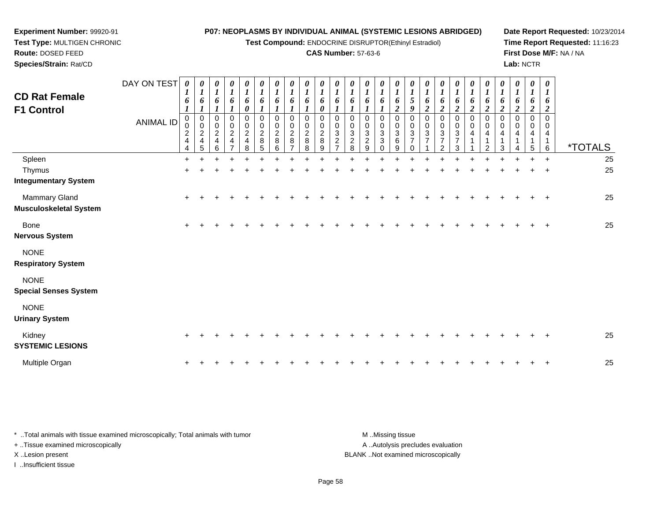**Test Compound:** ENDOCRINE DISRUPTOR(Ethinyl Estradiol)

### **CAS Number:** 57-63-6

**Date Report Requested:** 10/23/2014 **Time Report Requested:** 11:16:23**First Dose M/F:** NA / NA**Lab:** NCTR

| Species/Strain: Rat/CD                                |             |                                                   |                              |                                                |                                          |                                                      |                                        |                                                      |                           |                                    |                         |                                             |                                                              |                                 |                   |                         |                                                          |                                                |                                    |                                               |                       |                               |                          |                       | Lab: NCTR |                          |                       |                       |
|-------------------------------------------------------|-------------|---------------------------------------------------|------------------------------|------------------------------------------------|------------------------------------------|------------------------------------------------------|----------------------------------------|------------------------------------------------------|---------------------------|------------------------------------|-------------------------|---------------------------------------------|--------------------------------------------------------------|---------------------------------|-------------------|-------------------------|----------------------------------------------------------|------------------------------------------------|------------------------------------|-----------------------------------------------|-----------------------|-------------------------------|--------------------------|-----------------------|-----------|--------------------------|-----------------------|-----------------------|
|                                                       | DAY ON TEST | $\boldsymbol{\theta}$<br>$\mathbf{I}$             | 0<br>$\mathbf{I}$            | $\boldsymbol{\theta}$<br>$\boldsymbol{l}$      | $\boldsymbol{\theta}$<br>$\mathbf{I}$    | $\boldsymbol{\theta}$                                | $\boldsymbol{\theta}$                  | $\boldsymbol{\theta}$                                | $\boldsymbol{\theta}$     | 0                                  | $\boldsymbol{\theta}$   | $\boldsymbol{\theta}$                       | $\theta$                                                     | $\boldsymbol{\theta}$           | 0<br>$\mathbf{I}$ | $\boldsymbol{\theta}$   | $\boldsymbol{\theta}$                                    | $\boldsymbol{\theta}$                          | $\boldsymbol{\theta}$              | 0                                             | $\boldsymbol{\theta}$ | $\boldsymbol{\theta}$         | $\boldsymbol{\theta}$    | $\boldsymbol{\theta}$ |           | $\boldsymbol{\theta}$    | $\boldsymbol{\theta}$ |                       |
| <b>CD Rat Female</b><br><b>F1 Control</b>             |             | 6                                                 | 6<br><b>L</b>                | 6                                              | 6                                        | 6                                                    | $\bm{b}$                               | $\bm{o}$                                             | o                         | 6                                  | 6                       | $\bm{o}$                                    | $\bm{o}$                                                     | 6                               | 6                 | 6                       | $\mathcal{L}$                                            | $\bm{o}$<br>◢                                  | o                                  | 6                                             | 6                     | $\bm{o}$                      | $\bm{o}$<br>$\epsilon$   | o                     |           | 6<br>◢                   | 6<br>$\boldsymbol{2}$ |                       |
|                                                       | ANIMAL ID   | 0<br>$\pmb{0}$<br>$\frac{2}{4}$<br>$\overline{4}$ | 0<br>0<br>$\frac{2}{4}$<br>5 | $\overline{2}$<br>$\overline{\mathbf{4}}$<br>ĥ | 0<br>0<br>$\frac{2}{4}$<br>$\rightarrow$ | 0<br>0<br>$\sqrt{2}$<br>$\overline{\mathbf{4}}$<br>8 | 0<br>$\mathbf 0$<br>$\frac{2}{8}$<br>5 | 0<br>0<br>$\begin{array}{c} 2 \\ 8 \end{array}$<br>6 | $\overline{2}$<br>$\,8\,$ | 0<br>0<br>$\frac{2}{8}$<br>$\circ$ | 0<br>$\frac{2}{8}$<br>9 | $\mathbf 0$<br>$\sqrt{3}$<br>$\overline{2}$ | 0<br>0<br>$\ensuremath{\mathsf{3}}$<br>$\boldsymbol{2}$<br>8 | 3<br>$\overline{2}$<br>$\Omega$ | 0<br>0<br>3<br>3  | 0<br>$\frac{3}{6}$<br>9 | $\pmb{0}$<br>$\pmb{0}$<br>$\mathbf{3}$<br>$\overline{ }$ | 0<br>$\pmb{0}$<br>$\sqrt{3}$<br>$\overline{ }$ | $\mathbf 0$<br>3<br>$\overline{ }$ | 0<br>0<br>$\mathbf{3}$<br>$\overline{ }$<br>◠ | 0<br>4                | $\mathbf 0$<br>$\overline{4}$ | 0<br>$\pmb{0}$<br>4<br>3 | 4                     |           | 0<br>$\pmb{0}$<br>4<br>5 | 0<br>4<br>6           | <i><b>*TOTALS</b></i> |
| Spleen                                                |             |                                                   |                              |                                                |                                          |                                                      |                                        |                                                      |                           |                                    |                         |                                             |                                                              |                                 |                   |                         |                                                          |                                                |                                    |                                               |                       |                               |                          |                       |           | $\div$                   | $\pm$                 | 25                    |
| Thymus                                                |             |                                                   |                              |                                                |                                          |                                                      |                                        |                                                      |                           |                                    |                         |                                             |                                                              |                                 |                   |                         |                                                          |                                                |                                    |                                               |                       |                               |                          |                       |           |                          | $\pm$                 | 25                    |
| <b>Integumentary System</b>                           |             |                                                   |                              |                                                |                                          |                                                      |                                        |                                                      |                           |                                    |                         |                                             |                                                              |                                 |                   |                         |                                                          |                                                |                                    |                                               |                       |                               |                          |                       |           |                          |                       |                       |
| <b>Mammary Gland</b><br><b>Musculoskeletal System</b> |             |                                                   |                              |                                                |                                          |                                                      |                                        |                                                      |                           |                                    |                         |                                             |                                                              |                                 |                   |                         |                                                          |                                                |                                    |                                               |                       |                               |                          |                       |           |                          | $+$                   | 25                    |
| Bone                                                  |             |                                                   |                              |                                                |                                          |                                                      |                                        |                                                      |                           |                                    |                         |                                             |                                                              |                                 |                   |                         |                                                          |                                                |                                    |                                               |                       |                               |                          |                       |           |                          | ÷                     | 25                    |

**Nervous System**

NONE**Respiratory System**

**Experiment Number:** 99920-91**Test Type:** MULTIGEN CHRONIC

**Route:** DOSED FEED

NONE

**Special Senses System**

NONE

**Urinary System**

| Kidney<br>SYSTEMIC LESIONS |  |  |  |  |  |  |  |  |  |  |  |  |  | 25 |
|----------------------------|--|--|--|--|--|--|--|--|--|--|--|--|--|----|
| Multiple Organ             |  |  |  |  |  |  |  |  |  |  |  |  |  | 25 |

| * Total animals with tissue examined microscopically; Total animals with tumor | M Missing tissue                   |
|--------------------------------------------------------------------------------|------------------------------------|
| + Tissue examined microscopically                                              | A Autolysis precludes evaluation   |
| X Lesion present                                                               | BLANK Not examined microscopically |
| Insufficient tissue                                                            |                                    |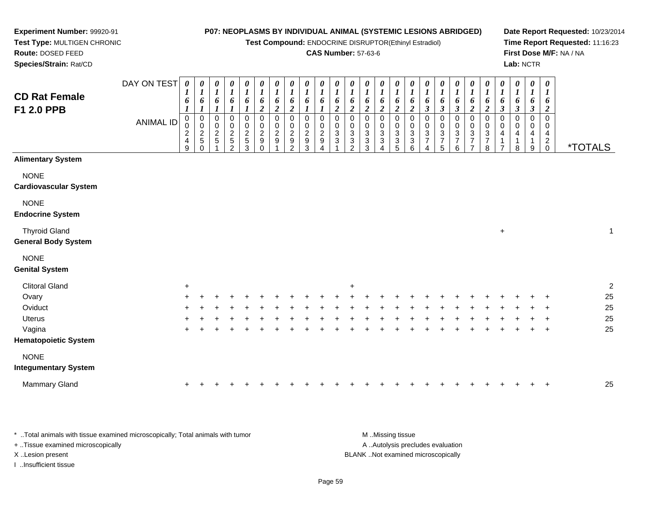**Test Compound:** ENDOCRINE DISRUPTOR(Ethinyl Estradiol)

### **CAS Number:** 57-63-6

7

**Date Report Requested:** 10/23/2014**Time Report Requested:** 11:16:23**First Dose M/F:** NA / NA**Lab:** NCTR

0 \*TOTALS

 **Species/Strain:** Rat/CDDAY ON TEST**CD Rat FemaleF1 2.0 PPB**ANIMAL ID*0 1 6 1* 0 0 2 4 9*0 1 6 1*0<br>0<br>0<br>5<br>0 *0 1 6 1* 0 0 2 5 1*0 1 6 1* 0 0 2 5 2*0 1 6 1* 0 0 2 5 3*0 1 6 2* 00<br>9<br>0<br>0 *0 1 6 2* 0 0 2 9 1*0 1 6 2*0<br>0<br>2<br>9<br>2 *0 1 6 1* 0 0 2 9 3*0 1 6 1* 0 0 2 9 4*0 1 6 2* 0 0 3 3 1*0 1 6 2* 0 0 3 3 2*0 1 6 2* 0 0 3 3 3*0 1 6 2* 0 0 3 3 4*0 1 6 2* 0 0 3 3 5**Alimentary System**

#### **NONE**

**Cardiovascular System**

**Experiment Number:** 99920-91**Test Type:** MULTIGEN CHRONIC

**Route:** DOSED FEED

#### NONE

#### **Endocrine System**

Thyroid Gland $\alpha$  +  $\overline{1}$ **General Body System**

### NONE

#### **Genital System**

| <b>Clitoral Gland</b>       | +   |         |     |     |  |    |  |   |     | $\pm$ |   |   |   |     |   |     |    |        |  |         | C  |
|-----------------------------|-----|---------|-----|-----|--|----|--|---|-----|-------|---|---|---|-----|---|-----|----|--------|--|---------|----|
| Ovary                       |     | $+$ $+$ | $+$ | $+$ |  |    |  |   |     |       |   |   |   |     |   |     |    |        |  | $+$ $+$ | 25 |
| Oviduct                     | $+$ | -+      | $+$ |     |  |    |  |   | ÷   |       |   |   |   | $+$ |   | $+$ | ÷. |        |  | $+$ $+$ | 25 |
| <b>Uterus</b>               | $+$ |         | $+$ |     |  |    |  |   |     |       |   |   |   |     |   |     |    |        |  | $+$ $+$ | 25 |
| Vagina                      | $+$ | +       | $+$ | $+$ |  | ÷. |  | ÷ | $+$ |       | ÷ | ÷ | ÷ | $+$ | ÷ | ÷   | ÷  | $\div$ |  | $+$ $+$ | 25 |
| <b>Hematopoietic System</b> |     |         |     |     |  |    |  |   |     |       |   |   |   |     |   |     |    |        |  |         |    |
| <b>NONE</b>                 |     |         |     |     |  |    |  |   |     |       |   |   |   |     |   |     |    |        |  |         |    |
| <b>Integumentary System</b> |     |         |     |     |  |    |  |   |     |       |   |   |   |     |   |     |    |        |  |         |    |

| 25<br>Mammary Gland |
|---------------------|
|---------------------|

\* ..Total animals with tissue examined microscopically; Total animals with tumor **M** ..Missing tissue M ..Missing tissue A ..Autolysis precludes evaluation + ..Tissue examined microscopically X ..Lesion present BLANK ..Not examined microscopicallyI ..Insufficient tissue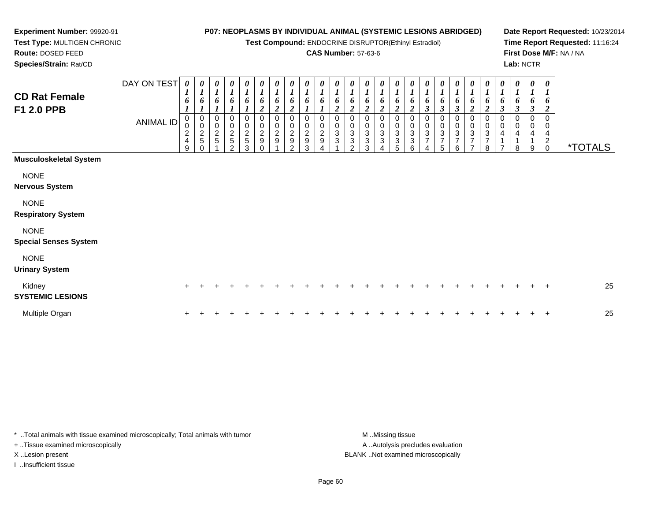**Test Compound:** ENDOCRINE DISRUPTOR(Ethinyl Estradiol)

### **CAS Number:** 57-63-6

**Date Report Requested:** 10/23/2014**Time Report Requested:** 11:16:24**First Dose M/F:** NA / NA**Lab:** NCTR

 **Test Type:** MULTIGEN CHRONIC**Route:** DOSED FEED**Species/Strain:** Rat/CD

**Experiment Number:** 99920-91

| <b>CD Rat Female</b><br>F1 2.0 PPB          | DAY ON TEST<br><b>ANIMAL ID</b> | 0<br>1<br>6<br>$\pmb{0}$<br>$\pmb{0}$<br>$\overline{\mathbf{c}}$<br>$\overline{4}$<br>9 | 0<br>$\boldsymbol{l}$<br>6<br>$\mathbf 0$<br>$\mathsf 0$<br>$\frac{2}{5}$<br>$\Omega$ | 0<br>$\boldsymbol{l}$<br>6<br>1<br>0<br>$\pmb{0}$<br>$\frac{2}{5}$ | 0<br>$\boldsymbol{l}$<br>6<br>1<br>$\pmb{0}$<br>$\frac{2}{5}$<br>C | 0<br>1<br>6<br>0<br>$\frac{0}{2}$<br>3 | 0<br>$\boldsymbol{l}$<br>6<br>$\overline{2}$<br>0<br>$\mathsf{O}\xspace$<br>$\frac{2}{9}$<br>$\Omega$ | 0<br>$\boldsymbol{l}$<br>6<br>$\overline{2}$<br>0<br>$\frac{0}{2}$ | $\boldsymbol{\theta}$<br>$\boldsymbol{l}$<br>6<br>$\boldsymbol{2}$<br>$\pmb{0}$<br>$\frac{0}{2}$<br>$\Omega$ | 0<br>$\boldsymbol{l}$<br>6<br>0<br>0<br>$\frac{2}{9}$<br>3 | $\boldsymbol{\theta}$<br>$\boldsymbol{l}$<br>6<br>0<br>0<br>$\frac{2}{9}$ | 0<br>$\boldsymbol{l}$<br>2<br>$\mathbf 0$<br>0<br>$\overline{3}$<br>3 | 0<br>1<br>6<br>2<br>0<br>0<br>$\mathbf{3}$<br>3<br>$\mathfrak{p}$ | 0<br>$\boldsymbol{l}$<br>6<br>$\overline{\mathbf{c}}$<br>0<br>$\mathbf 0$<br>$\mathbf{3}$<br>3<br>3 | 0<br>$\boldsymbol{l}$<br>6<br>$\boldsymbol{2}$<br>0<br>0<br>$\ensuremath{\mathsf{3}}$<br>$\ensuremath{\mathsf{3}}$ | $\pmb{\theta}$<br>$\boldsymbol{l}$<br>6<br>$\boldsymbol{2}$<br>0<br>$\pmb{0}$<br>$\ensuremath{\mathsf{3}}$<br>3<br>5 | 0<br>$\boldsymbol{l}$<br>6<br>$\boldsymbol{2}$<br>$\,0\,$<br>$\,0\,$<br>$\frac{3}{3}$<br>6 | $\boldsymbol{\theta}$<br>$\boldsymbol{l}$<br>6<br>$\boldsymbol{\beta}$<br>0<br>$\pmb{0}$<br>$\overline{3}$<br>$\overline{7}$<br>4 | $\boldsymbol{l}$<br>6<br>$\boldsymbol{\beta}$<br>$\begin{array}{c} 0 \\ 3 \\ 7 \end{array}$<br>5 | 0<br>$\boldsymbol{l}$<br>6<br>$\boldsymbol{\beta}$<br>0<br>$\pmb{0}$<br>$\ensuremath{\mathsf{3}}$<br>$\overline{7}$<br>6 | 0<br>$\boldsymbol{l}$<br>6<br>$\overline{c}$<br>0<br>$\pmb{0}$<br>3<br>$\overline{7}$<br>$\overline{ }$ | 0<br>$\boldsymbol{l}$<br>6<br>$\overline{c}$<br>0<br>$\pmb{0}$<br>$\ensuremath{\mathsf{3}}$<br>$\overline{7}$<br>8 | $\pmb{\theta}$<br>$\boldsymbol{l}$<br>6<br>$\mathfrak{z}$<br>0<br>$\pmb{0}$<br>4<br>1<br>$\overline{ }$ | $\boldsymbol{\theta}$<br>$\boldsymbol{l}$<br>6<br>$\boldsymbol{\beta}$<br>0<br>$\pmb{0}$<br>4<br>8 | $\boldsymbol{\theta}$<br>$\boldsymbol{l}$<br>6<br>$\boldsymbol{\beta}$<br>0<br>0<br>4<br>9 | 0<br>$\boldsymbol{l}$<br>6<br>$\boldsymbol{2}$<br>$\mathbf 0$<br>4<br>$\overline{a}$<br>$\mathbf 0$ | <i><b>*TOTALS</b></i> |
|---------------------------------------------|---------------------------------|-----------------------------------------------------------------------------------------|---------------------------------------------------------------------------------------|--------------------------------------------------------------------|--------------------------------------------------------------------|----------------------------------------|-------------------------------------------------------------------------------------------------------|--------------------------------------------------------------------|--------------------------------------------------------------------------------------------------------------|------------------------------------------------------------|---------------------------------------------------------------------------|-----------------------------------------------------------------------|-------------------------------------------------------------------|-----------------------------------------------------------------------------------------------------|--------------------------------------------------------------------------------------------------------------------|----------------------------------------------------------------------------------------------------------------------|--------------------------------------------------------------------------------------------|-----------------------------------------------------------------------------------------------------------------------------------|--------------------------------------------------------------------------------------------------|--------------------------------------------------------------------------------------------------------------------------|---------------------------------------------------------------------------------------------------------|--------------------------------------------------------------------------------------------------------------------|---------------------------------------------------------------------------------------------------------|----------------------------------------------------------------------------------------------------|--------------------------------------------------------------------------------------------|-----------------------------------------------------------------------------------------------------|-----------------------|
| <b>Musculoskeletal System</b>               |                                 |                                                                                         |                                                                                       |                                                                    |                                                                    |                                        |                                                                                                       |                                                                    |                                                                                                              |                                                            |                                                                           |                                                                       |                                                                   |                                                                                                     |                                                                                                                    |                                                                                                                      |                                                                                            |                                                                                                                                   |                                                                                                  |                                                                                                                          |                                                                                                         |                                                                                                                    |                                                                                                         |                                                                                                    |                                                                                            |                                                                                                     |                       |
| <b>NONE</b><br><b>Nervous System</b>        |                                 |                                                                                         |                                                                                       |                                                                    |                                                                    |                                        |                                                                                                       |                                                                    |                                                                                                              |                                                            |                                                                           |                                                                       |                                                                   |                                                                                                     |                                                                                                                    |                                                                                                                      |                                                                                            |                                                                                                                                   |                                                                                                  |                                                                                                                          |                                                                                                         |                                                                                                                    |                                                                                                         |                                                                                                    |                                                                                            |                                                                                                     |                       |
| <b>NONE</b><br><b>Respiratory System</b>    |                                 |                                                                                         |                                                                                       |                                                                    |                                                                    |                                        |                                                                                                       |                                                                    |                                                                                                              |                                                            |                                                                           |                                                                       |                                                                   |                                                                                                     |                                                                                                                    |                                                                                                                      |                                                                                            |                                                                                                                                   |                                                                                                  |                                                                                                                          |                                                                                                         |                                                                                                                    |                                                                                                         |                                                                                                    |                                                                                            |                                                                                                     |                       |
| <b>NONE</b><br><b>Special Senses System</b> |                                 |                                                                                         |                                                                                       |                                                                    |                                                                    |                                        |                                                                                                       |                                                                    |                                                                                                              |                                                            |                                                                           |                                                                       |                                                                   |                                                                                                     |                                                                                                                    |                                                                                                                      |                                                                                            |                                                                                                                                   |                                                                                                  |                                                                                                                          |                                                                                                         |                                                                                                                    |                                                                                                         |                                                                                                    |                                                                                            |                                                                                                     |                       |
| <b>NONE</b><br><b>Urinary System</b>        |                                 |                                                                                         |                                                                                       |                                                                    |                                                                    |                                        |                                                                                                       |                                                                    |                                                                                                              |                                                            |                                                                           |                                                                       |                                                                   |                                                                                                     |                                                                                                                    |                                                                                                                      |                                                                                            |                                                                                                                                   |                                                                                                  |                                                                                                                          |                                                                                                         |                                                                                                                    |                                                                                                         |                                                                                                    |                                                                                            |                                                                                                     |                       |
| Kidney<br><b>SYSTEMIC LESIONS</b>           |                                 |                                                                                         |                                                                                       |                                                                    |                                                                    |                                        |                                                                                                       |                                                                    |                                                                                                              |                                                            |                                                                           |                                                                       |                                                                   |                                                                                                     |                                                                                                                    |                                                                                                                      |                                                                                            |                                                                                                                                   |                                                                                                  |                                                                                                                          |                                                                                                         |                                                                                                                    |                                                                                                         |                                                                                                    |                                                                                            | $\pm$                                                                                               | 25                    |
| Multiple Organ                              |                                 |                                                                                         |                                                                                       |                                                                    |                                                                    |                                        |                                                                                                       |                                                                    |                                                                                                              |                                                            |                                                                           |                                                                       |                                                                   |                                                                                                     |                                                                                                                    |                                                                                                                      |                                                                                            |                                                                                                                                   |                                                                                                  |                                                                                                                          |                                                                                                         |                                                                                                                    |                                                                                                         |                                                                                                    |                                                                                            | $\pm$                                                                                               | 25                    |

\* ..Total animals with tissue examined microscopically; Total animals with tumor **M** . Missing tissue M ..Missing tissue + ..Tissue examined microscopically X ..Lesion present BLANK ..Not examined microscopically

I ..Insufficient tissue

A ..Autolysis precludes evaluation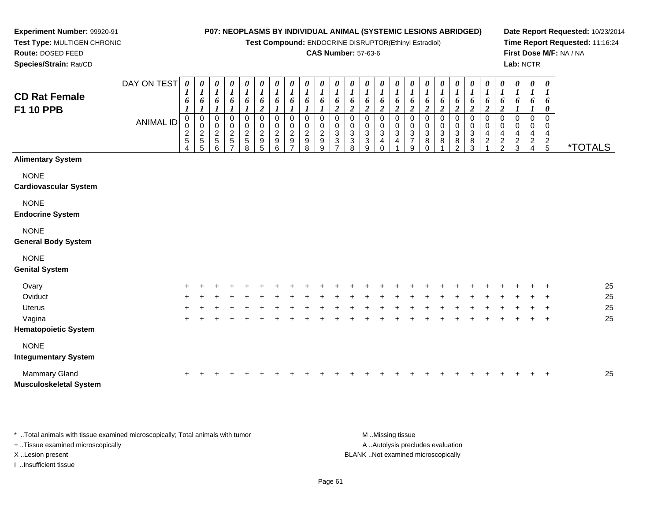**Test Compound:** ENDOCRINE DISRUPTOR(Ethinyl Estradiol)

### **CAS Number:** 57-63-6

**Date Report Requested:** 10/23/2014**Time Report Requested:** 11:16:24**First Dose M/F:** NA / NA**Lab:** NCTR

| <b>CD Rat Female</b><br><b>F1 10 PPB</b>    | DAY ON TEST<br><b>ANIMAL ID</b> | 0<br>6<br>0<br>0<br>$\frac{2}{5}$<br>4 | 0<br>$\overline{ }$<br>6<br>$\frac{2}{5}$<br>5 | $\boldsymbol{\theta}$<br>$\boldsymbol{l}$<br>6<br>0<br>$\boldsymbol{2}$<br>$\sqrt{5}$<br>6 | 0<br>$\boldsymbol{l}$<br>6<br>$\pmb{0}$<br>$\begin{array}{c} 0 \\ 2 \\ 5 \end{array}$<br>$\overline{ }$ | $\boldsymbol{\theta}$<br>$\boldsymbol{l}$<br>6<br>0<br>$\begin{array}{c} 0 \\ 2 \\ 5 \end{array}$<br>8 | 0<br>$\boldsymbol{l}$<br>6<br>$\boldsymbol{2}$<br>0<br>0<br>$\frac{2}{9}$<br>5 | $\boldsymbol{\theta}$<br>$\boldsymbol{l}$<br>6<br>0<br>0<br>$\frac{2}{9}$<br>6 | 0<br>$\boldsymbol{l}$<br>6<br>0<br>$\frac{0}{2}$<br>⇁ | 0<br>6<br>0<br>$\boldsymbol{2}$<br>9<br>8 | 0<br>$\boldsymbol{l}$<br>0<br>$\overline{c}$<br>9<br>9 | 0<br>o<br>$\boldsymbol{2}$<br>0<br>3 | $\boldsymbol{\theta}$<br>6<br>$\boldsymbol{2}$<br>0<br>$_{3}^{\rm 0}$<br>3<br>8 | 0<br>6<br>$\overline{c}$<br>0<br>3<br>3<br>9 | 0<br>$\boldsymbol{l}$<br>6<br>$\boldsymbol{2}$<br>0<br>3<br>4<br>$\Omega$ | $\boldsymbol{\theta}$<br>$\boldsymbol{l}$<br>6<br>$\boldsymbol{2}$<br>$\mathbf 0$<br>3<br>4 | 0<br>6<br>C<br>0<br>0<br>$\ensuremath{\mathsf{3}}$<br>$\overline{7}$<br>9 | 0<br>$\boldsymbol{l}$<br>6<br>$\overline{2}$<br>0<br>3<br>8 | 0<br>$\boldsymbol{l}$<br>6<br>$\boldsymbol{2}$<br>0<br>$\ensuremath{\mathsf{3}}$<br>8 | 0<br>$\boldsymbol{l}$<br>6<br>2<br>$\mathbf 0$<br>3<br>8<br>2 | 0<br>6<br>2<br>0<br>$\frac{0}{3}$<br>8<br>3 | 0<br>6<br>$\overline{\mathbf{c}}$<br>0<br>0<br>4<br>$\overline{c}$ | 0<br>1<br>6<br>$\overline{c}$<br>0<br>0<br>4<br>$\frac{2}{2}$ | 0<br>$\boldsymbol{l}$<br>6<br>0<br>4<br>$\frac{2}{3}$ | 0<br>$\boldsymbol{l}$<br>6<br>0<br>0<br>4<br>$\frac{2}{4}$ | 0<br>1<br>6<br>0<br>0<br>0<br>4<br>$rac{2}{5}$ | <i><b>*TOTALS</b></i> |
|---------------------------------------------|---------------------------------|----------------------------------------|------------------------------------------------|--------------------------------------------------------------------------------------------|---------------------------------------------------------------------------------------------------------|--------------------------------------------------------------------------------------------------------|--------------------------------------------------------------------------------|--------------------------------------------------------------------------------|-------------------------------------------------------|-------------------------------------------|--------------------------------------------------------|--------------------------------------|---------------------------------------------------------------------------------|----------------------------------------------|---------------------------------------------------------------------------|---------------------------------------------------------------------------------------------|---------------------------------------------------------------------------|-------------------------------------------------------------|---------------------------------------------------------------------------------------|---------------------------------------------------------------|---------------------------------------------|--------------------------------------------------------------------|---------------------------------------------------------------|-------------------------------------------------------|------------------------------------------------------------|------------------------------------------------|-----------------------|
| <b>Alimentary System</b>                    |                                 |                                        |                                                |                                                                                            |                                                                                                         |                                                                                                        |                                                                                |                                                                                |                                                       |                                           |                                                        |                                      |                                                                                 |                                              |                                                                           |                                                                                             |                                                                           |                                                             |                                                                                       |                                                               |                                             |                                                                    |                                                               |                                                       |                                                            |                                                |                       |
| <b>NONE</b><br><b>Cardiovascular System</b> |                                 |                                        |                                                |                                                                                            |                                                                                                         |                                                                                                        |                                                                                |                                                                                |                                                       |                                           |                                                        |                                      |                                                                                 |                                              |                                                                           |                                                                                             |                                                                           |                                                             |                                                                                       |                                                               |                                             |                                                                    |                                                               |                                                       |                                                            |                                                |                       |
| <b>NONE</b><br><b>Endocrine System</b>      |                                 |                                        |                                                |                                                                                            |                                                                                                         |                                                                                                        |                                                                                |                                                                                |                                                       |                                           |                                                        |                                      |                                                                                 |                                              |                                                                           |                                                                                             |                                                                           |                                                             |                                                                                       |                                                               |                                             |                                                                    |                                                               |                                                       |                                                            |                                                |                       |
| <b>NONE</b><br><b>General Body System</b>   |                                 |                                        |                                                |                                                                                            |                                                                                                         |                                                                                                        |                                                                                |                                                                                |                                                       |                                           |                                                        |                                      |                                                                                 |                                              |                                                                           |                                                                                             |                                                                           |                                                             |                                                                                       |                                                               |                                             |                                                                    |                                                               |                                                       |                                                            |                                                |                       |
| <b>NONE</b><br><b>Genital System</b>        |                                 |                                        |                                                |                                                                                            |                                                                                                         |                                                                                                        |                                                                                |                                                                                |                                                       |                                           |                                                        |                                      |                                                                                 |                                              |                                                                           |                                                                                             |                                                                           |                                                             |                                                                                       |                                                               |                                             |                                                                    |                                                               |                                                       |                                                            |                                                |                       |
| Ovary                                       |                                 |                                        |                                                |                                                                                            |                                                                                                         |                                                                                                        |                                                                                |                                                                                |                                                       |                                           |                                                        |                                      |                                                                                 |                                              |                                                                           |                                                                                             |                                                                           |                                                             |                                                                                       |                                                               |                                             |                                                                    |                                                               |                                                       |                                                            |                                                | 25                    |
| Oviduct                                     |                                 |                                        |                                                |                                                                                            |                                                                                                         |                                                                                                        |                                                                                |                                                                                |                                                       |                                           |                                                        |                                      |                                                                                 |                                              |                                                                           |                                                                                             |                                                                           |                                                             |                                                                                       |                                                               |                                             |                                                                    |                                                               |                                                       |                                                            | $\ddot{}$                                      | 25                    |
| <b>Uterus</b>                               |                                 | ÷                                      |                                                |                                                                                            |                                                                                                         |                                                                                                        | ÷                                                                              |                                                                                |                                                       |                                           |                                                        |                                      |                                                                                 |                                              |                                                                           |                                                                                             |                                                                           |                                                             |                                                                                       |                                                               |                                             |                                                                    | $\pm$                                                         |                                                       | $\pm$                                                      | $\div$                                         | 25                    |

### **Hematopoietic System**

<sup>+</sup>

a  $+$ 

**Experiment Number:** 99920-91**Test Type:** MULTIGEN CHRONIC

**Route:** DOSED FEED**Species/Strain:** Rat/CD

Vagina

#### **Integumentary System**

| Mammary Gland          |  |  |  |  |  |  |  |  |  |  |  |  |  | 25 |
|------------------------|--|--|--|--|--|--|--|--|--|--|--|--|--|----|
| Musculoskeletal System |  |  |  |  |  |  |  |  |  |  |  |  |  |    |

<sup>+</sup> <sup>+</sup> <sup>+</sup> <sup>+</sup> <sup>+</sup> <sup>+</sup> <sup>+</sup> <sup>+</sup> <sup>+</sup> <sup>+</sup> <sup>+</sup> <sup>+</sup> <sup>+</sup> <sup>+</sup> <sup>+</sup> <sup>+</sup> <sup>+</sup> <sup>+</sup> <sup>+</sup> <sup>+</sup> <sup>+</sup> <sup>+</sup> <sup>+</sup> <sup>+</sup> <sup>25</sup>

<sup>+</sup> <sup>+</sup> <sup>+</sup> <sup>+</sup> <sup>+</sup> <sup>+</sup> <sup>+</sup> <sup>+</sup> <sup>+</sup> <sup>+</sup> <sup>+</sup> <sup>+</sup> <sup>+</sup> <sup>+</sup> <sup>+</sup> <sup>+</sup> <sup>+</sup> <sup>+</sup> <sup>+</sup> <sup>+</sup> <sup>+</sup> <sup>+</sup> <sup>+</sup> <sup>+</sup> <sup>25</sup>

\* ..Total animals with tissue examined microscopically; Total animals with tumor **M** ...Missing tissue M ...Missing tissue A .. Autolysis precludes evaluation + ..Tissue examined microscopically X ..Lesion present BLANK ..Not examined microscopicallyI ..Insufficient tissue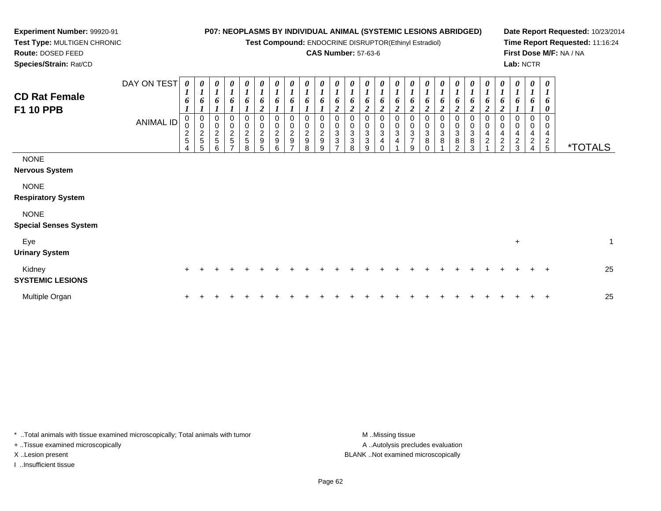**Test Compound:** ENDOCRINE DISRUPTOR(Ethinyl Estradiol)

### **CAS Number:** 57-63-6

**Date Report Requested:** 10/23/2014**Time Report Requested:** 11:16:24**First Dose M/F:** NA / NA**Lab:** NCTR

 **Test Type:** MULTIGEN CHRONIC**Route:** DOSED FEED**Species/Strain:** Rat/CD

**Experiment Number:** 99920-91

| <b>CD Rat Female</b><br><b>F1 10 PPB</b>    | DAY ON TEST<br>ANIMAL ID | $\boldsymbol{\theta}$<br>$\boldsymbol{l}$<br>6<br>$\mathbf{I}$<br>0<br>0<br>$rac{2}{5}$<br>4 | $\boldsymbol{\theta}$<br>$\boldsymbol{l}$<br>6<br>1<br>$\mathbf 0$<br>0<br>$\frac{2}{5}$<br>5 | $\boldsymbol{\mathit{U}}$<br>$\boldsymbol{l}$<br>6<br>0<br>$\pmb{0}$<br>$\sqrt{2}$<br>$\sqrt{5}$<br>6 | $\frac{\boldsymbol{\theta}}{\boldsymbol{I}}$<br>6<br>0<br>$\begin{array}{c} 0 \\ 2 \\ 5 \end{array}$<br>$\overline{ }$ | $\boldsymbol{\theta}$<br>$\boldsymbol{l}$<br>6<br>0<br>$\pmb{0}$<br>$\frac{2}{5}$<br>8 | 0<br>$\boldsymbol{l}$<br>6<br>$\boldsymbol{2}$<br>0<br>$\pmb{0}$<br>$\overline{\mathbf{c}}$<br>9<br>5 | 0<br>$\boldsymbol{l}$<br>6<br>0<br>$\pmb{0}$<br>$\boldsymbol{2}$<br>$\boldsymbol{9}$<br>6 | 0<br>$\boldsymbol{l}$<br>6<br>0<br>0<br>$\overline{\mathbf{c}}$<br>9<br>⇁ | 0<br>$\boldsymbol{l}$<br>6<br>0<br>$\pmb{0}$<br>$\boldsymbol{2}$<br>$\boldsymbol{9}$<br>8 | $\boldsymbol{\mathit{U}}$<br>$\boldsymbol{l}$<br>6<br>1<br>$\mathbf 0$<br>$\overline{c}$<br>9<br>9 | 0<br>$\boldsymbol{l}$<br>6<br>2<br>0<br>$\pmb{0}$<br>$\,$ 3 $\,$<br>3 | 0<br>6<br>2<br>0<br>0<br>3<br>3<br>8 | 0<br>$\boldsymbol{l}$<br>6<br>2<br>0<br>$\pmb{0}$<br>$\ensuremath{\mathsf{3}}$<br>$\mathbf{3}$<br>9 | $\boldsymbol{\theta}$<br>$\boldsymbol{l}$<br>6<br>2<br>0<br>$\pmb{0}$<br>$\ensuremath{\mathsf{3}}$<br>$\overline{\mathbf{4}}$<br>$\Omega$ | 0<br>$\boldsymbol{l}$<br>6<br>2<br>0<br>$\pmb{0}$<br>$\ensuremath{\mathsf{3}}$<br>$\overline{\mathbf{4}}$ | $\boldsymbol{\theta}$<br>$\boldsymbol{l}$<br>6<br>$\boldsymbol{2}$<br>0<br>$_{3}^{\rm 0}$<br>$\overline{7}$<br>9 | $\boldsymbol{l}$<br>6<br>2<br>$_3^0$<br>8 | $\boldsymbol{\mathit{U}}$<br>6<br>2<br>0<br>$\pmb{0}$<br>$\sqrt{3}$<br>8 | 0<br>$\boldsymbol{l}$<br>6<br>$\overline{2}$<br>0<br>$_{3}^{\rm 0}$<br>8<br>$\mathcal{P}$ | 0<br>$\boldsymbol{l}$<br>6<br>$\boldsymbol{2}$<br>0<br>$\frac{0}{3}$<br>$\bf 8$<br>3 | 0<br>$\boldsymbol{l}$<br>6<br>2<br>0<br>$\,0\,$<br>4<br>$\overline{c}$ | 0<br>$\boldsymbol{l}$<br>6<br>$\boldsymbol{2}$<br>0<br>$\pmb{0}$<br>4<br>$\boldsymbol{2}$<br>2 | $\frac{\theta}{I}$<br>6<br>0<br>$\mathbf 0$<br>4<br>$\overline{c}$<br>3 | 0<br>$\boldsymbol{l}$<br>6<br>0<br>0<br>4<br>$\overline{c}$<br>4 | $\boldsymbol{\theta}$<br>$\boldsymbol{l}$<br>6<br>0<br>$\mathbf 0$<br>$\mathbf 0$<br>4<br>$rac{2}{5}$ | <i><b>*TOTALS</b></i> |
|---------------------------------------------|--------------------------|----------------------------------------------------------------------------------------------|-----------------------------------------------------------------------------------------------|-------------------------------------------------------------------------------------------------------|------------------------------------------------------------------------------------------------------------------------|----------------------------------------------------------------------------------------|-------------------------------------------------------------------------------------------------------|-------------------------------------------------------------------------------------------|---------------------------------------------------------------------------|-------------------------------------------------------------------------------------------|----------------------------------------------------------------------------------------------------|-----------------------------------------------------------------------|--------------------------------------|-----------------------------------------------------------------------------------------------------|-------------------------------------------------------------------------------------------------------------------------------------------|-----------------------------------------------------------------------------------------------------------|------------------------------------------------------------------------------------------------------------------|-------------------------------------------|--------------------------------------------------------------------------|-------------------------------------------------------------------------------------------|--------------------------------------------------------------------------------------|------------------------------------------------------------------------|------------------------------------------------------------------------------------------------|-------------------------------------------------------------------------|------------------------------------------------------------------|-------------------------------------------------------------------------------------------------------|-----------------------|
| <b>NONE</b><br><b>Nervous System</b>        |                          |                                                                                              |                                                                                               |                                                                                                       |                                                                                                                        |                                                                                        |                                                                                                       |                                                                                           |                                                                           |                                                                                           |                                                                                                    |                                                                       |                                      |                                                                                                     |                                                                                                                                           |                                                                                                           |                                                                                                                  |                                           |                                                                          |                                                                                           |                                                                                      |                                                                        |                                                                                                |                                                                         |                                                                  |                                                                                                       |                       |
| <b>NONE</b><br><b>Respiratory System</b>    |                          |                                                                                              |                                                                                               |                                                                                                       |                                                                                                                        |                                                                                        |                                                                                                       |                                                                                           |                                                                           |                                                                                           |                                                                                                    |                                                                       |                                      |                                                                                                     |                                                                                                                                           |                                                                                                           |                                                                                                                  |                                           |                                                                          |                                                                                           |                                                                                      |                                                                        |                                                                                                |                                                                         |                                                                  |                                                                                                       |                       |
| <b>NONE</b><br><b>Special Senses System</b> |                          |                                                                                              |                                                                                               |                                                                                                       |                                                                                                                        |                                                                                        |                                                                                                       |                                                                                           |                                                                           |                                                                                           |                                                                                                    |                                                                       |                                      |                                                                                                     |                                                                                                                                           |                                                                                                           |                                                                                                                  |                                           |                                                                          |                                                                                           |                                                                                      |                                                                        |                                                                                                |                                                                         |                                                                  |                                                                                                       |                       |
| Eye<br><b>Urinary System</b>                |                          |                                                                                              |                                                                                               |                                                                                                       |                                                                                                                        |                                                                                        |                                                                                                       |                                                                                           |                                                                           |                                                                                           |                                                                                                    |                                                                       |                                      |                                                                                                     |                                                                                                                                           |                                                                                                           |                                                                                                                  |                                           |                                                                          |                                                                                           |                                                                                      |                                                                        |                                                                                                | $\ddot{}$                                                               |                                                                  |                                                                                                       | $\mathbf 1$           |
| Kidney<br><b>SYSTEMIC LESIONS</b>           |                          | $\ddot{}$                                                                                    |                                                                                               |                                                                                                       |                                                                                                                        |                                                                                        |                                                                                                       |                                                                                           |                                                                           |                                                                                           |                                                                                                    |                                                                       |                                      |                                                                                                     |                                                                                                                                           |                                                                                                           |                                                                                                                  |                                           |                                                                          |                                                                                           |                                                                                      |                                                                        |                                                                                                |                                                                         |                                                                  | $\div$                                                                                                | 25                    |
| Multiple Organ                              |                          | ÷                                                                                            |                                                                                               |                                                                                                       |                                                                                                                        |                                                                                        |                                                                                                       |                                                                                           |                                                                           |                                                                                           |                                                                                                    |                                                                       |                                      |                                                                                                     |                                                                                                                                           |                                                                                                           |                                                                                                                  |                                           |                                                                          |                                                                                           |                                                                                      |                                                                        |                                                                                                |                                                                         |                                                                  | $\ddot{}$                                                                                             | 25                    |

\* ..Total animals with tissue examined microscopically; Total animals with tumor **M** . Missing tissue M ..Missing tissue A ..Autolysis precludes evaluation + ..Tissue examined microscopically X ..Lesion present BLANK ..Not examined microscopicallyI ..Insufficient tissue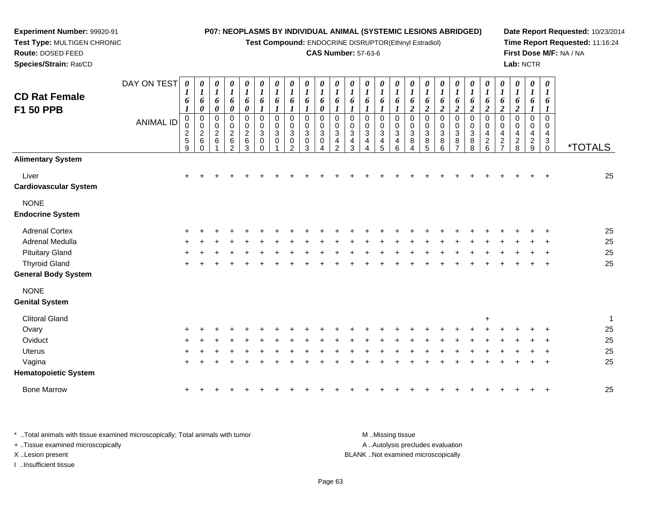**Test Compound:** ENDOCRINE DISRUPTOR(Ethinyl Estradiol)

### **CAS Number:** 57-63-6

**Date Report Requested:** 10/23/2014**Time Report Requested:** 11:16:24**First Dose M/F:** NA / NA**Lab:** NCTR

| <b>CD Rat Female</b><br>F1 50 PPB                  | DAY ON TEST<br><b>ANIMAL ID</b> | 0<br>1<br>6<br>1<br>$\pmb{0}$<br>0<br>$\frac{2}{5}$<br>9 | $\boldsymbol{\theta}$<br>$\bm{l}$<br>6<br>0<br>$\pmb{0}$<br>$\pmb{0}$<br>$\sqrt{2}$<br>6<br>$\Omega$ | 0<br>$\boldsymbol{l}$<br>6<br>$\pmb{\theta}$<br>$\mathbf 0$<br>$\pmb{0}$<br>$\boldsymbol{2}$<br>6 | 0<br>$\boldsymbol{l}$<br>6<br>$\pmb{\theta}$<br>0<br>$\mathbf 0$<br>$\frac{2}{6}$<br>$\mathcal{P}$ | 0<br>$\boldsymbol{l}$<br>6<br>$\pmb{\theta}$<br>0<br>$\pmb{0}$<br>$\boldsymbol{2}$<br>$\,6\,$<br>3 | 0<br>$\boldsymbol{l}$<br>6<br>$\boldsymbol{l}$<br>$\boldsymbol{0}$<br>$\mathbf 0$<br>$\mathbf{3}$<br>$\mathbf 0$<br>$\Omega$ | 0<br>$\boldsymbol{l}$<br>6<br>$\boldsymbol{\mathit{1}}$<br>0<br>$\mathbf 0$<br>$\mathbf{3}$<br>$\mathbf 0$ | 0<br>$\boldsymbol{l}$<br>6<br>$\boldsymbol{l}$<br>0<br>0<br>$\mathbf{3}$<br>$\mathbf 0$<br>$\mathcal{P}$ | 0<br>$\boldsymbol{l}$<br>6<br>$\boldsymbol{l}$<br>$\pmb{0}$<br>0<br>3<br>0<br>3 | 0<br>$\boldsymbol{l}$<br>6<br>0<br>$\mathbf 0$<br>0<br>3<br>0 | $\boldsymbol{\theta}$<br>1<br>6<br>$\mathbf 0$<br>0<br>$\mathbf{3}$<br>4<br>$\mathcal{P}$ | 0<br>1<br>6<br>0<br>0<br>$\mathbf{3}$<br>4<br>3 | 0<br>1<br>6<br>$\Omega$<br>0<br>$\sqrt{3}$<br>$\overline{4}$<br>Δ | 0<br>$\bm{l}$<br>6<br>1<br>$\mathbf 0$<br>0<br>$\sqrt{3}$<br>4<br>5 | 0<br>$\boldsymbol{l}$<br>6<br>$\mathbf 0$<br>0<br>$\mathbf{3}$<br>4<br>6 | 0<br>$\boldsymbol{l}$<br>6<br>$\boldsymbol{2}$<br>$\mathbf 0$<br>$\,0\,$<br>$\sqrt{3}$<br>8<br>4 | $\boldsymbol{\theta}$<br>$\boldsymbol{l}$<br>6<br>$\boldsymbol{2}$<br>$\mathbf 0$<br>0<br>3<br>8<br>5 | 0<br>$\boldsymbol{l}$<br>6<br>$\boldsymbol{2}$<br>$\pmb{0}$<br>$\pmb{0}$<br>$\ensuremath{\mathsf{3}}$<br>8<br>6 | $\boldsymbol{\theta}$<br>1<br>6<br>$\boldsymbol{2}$<br>$\mathbf 0$<br>0<br>$\mathbf{3}$<br>8 | 0<br>$\boldsymbol{l}$<br>6<br>$\boldsymbol{2}$<br>$\mathbf 0$<br>$\pmb{0}$<br>$\ensuremath{\mathsf{3}}$<br>8<br>8 | 0<br>1<br>6<br>$\overline{\mathbf{c}}$<br>$\mathbf 0$<br>0<br>4<br>$\overline{c}$<br>6 | 0<br>$\boldsymbol{l}$<br>6<br>$\boldsymbol{2}$<br>$\mathbf 0$<br>0<br>$\overline{4}$<br>$\overline{2}$<br>$\overline{ }$ | 0<br>$\boldsymbol{l}$<br>6<br>$\boldsymbol{2}$<br>$\mathbf 0$<br>0<br>$\overline{4}$<br>$\overline{2}$<br>8 | 0<br>$\boldsymbol{l}$<br>6<br>1<br>$\mathbf 0$<br>0<br>4<br>$\overline{c}$<br>9 | 0<br>$\boldsymbol{l}$<br>6<br>$\mathbf 0$<br>0<br>4<br>3<br>$\Omega$ | <i><b>*TOTALS</b></i> |
|----------------------------------------------------|---------------------------------|----------------------------------------------------------|------------------------------------------------------------------------------------------------------|---------------------------------------------------------------------------------------------------|----------------------------------------------------------------------------------------------------|----------------------------------------------------------------------------------------------------|------------------------------------------------------------------------------------------------------------------------------|------------------------------------------------------------------------------------------------------------|----------------------------------------------------------------------------------------------------------|---------------------------------------------------------------------------------|---------------------------------------------------------------|-------------------------------------------------------------------------------------------|-------------------------------------------------|-------------------------------------------------------------------|---------------------------------------------------------------------|--------------------------------------------------------------------------|--------------------------------------------------------------------------------------------------|-------------------------------------------------------------------------------------------------------|-----------------------------------------------------------------------------------------------------------------|----------------------------------------------------------------------------------------------|-------------------------------------------------------------------------------------------------------------------|----------------------------------------------------------------------------------------|--------------------------------------------------------------------------------------------------------------------------|-------------------------------------------------------------------------------------------------------------|---------------------------------------------------------------------------------|----------------------------------------------------------------------|-----------------------|
| <b>Alimentary System</b>                           |                                 |                                                          |                                                                                                      |                                                                                                   |                                                                                                    |                                                                                                    |                                                                                                                              |                                                                                                            |                                                                                                          |                                                                                 |                                                               |                                                                                           |                                                 |                                                                   |                                                                     |                                                                          |                                                                                                  |                                                                                                       |                                                                                                                 |                                                                                              |                                                                                                                   |                                                                                        |                                                                                                                          |                                                                                                             |                                                                                 |                                                                      |                       |
| Liver<br>Cardiovascular System                     |                                 | $\ddot{}$                                                |                                                                                                      |                                                                                                   |                                                                                                    |                                                                                                    |                                                                                                                              |                                                                                                            |                                                                                                          |                                                                                 |                                                               |                                                                                           |                                                 |                                                                   |                                                                     |                                                                          |                                                                                                  |                                                                                                       |                                                                                                                 |                                                                                              |                                                                                                                   |                                                                                        |                                                                                                                          |                                                                                                             |                                                                                 |                                                                      | 25                    |
| <b>NONE</b><br><b>Endocrine System</b>             |                                 |                                                          |                                                                                                      |                                                                                                   |                                                                                                    |                                                                                                    |                                                                                                                              |                                                                                                            |                                                                                                          |                                                                                 |                                                               |                                                                                           |                                                 |                                                                   |                                                                     |                                                                          |                                                                                                  |                                                                                                       |                                                                                                                 |                                                                                              |                                                                                                                   |                                                                                        |                                                                                                                          |                                                                                                             |                                                                                 |                                                                      |                       |
| <b>Adrenal Cortex</b>                              |                                 |                                                          |                                                                                                      |                                                                                                   |                                                                                                    |                                                                                                    |                                                                                                                              |                                                                                                            |                                                                                                          |                                                                                 |                                                               |                                                                                           |                                                 |                                                                   |                                                                     |                                                                          |                                                                                                  |                                                                                                       |                                                                                                                 |                                                                                              |                                                                                                                   |                                                                                        |                                                                                                                          |                                                                                                             |                                                                                 |                                                                      | 25                    |
| Adrenal Medulla                                    |                                 |                                                          |                                                                                                      |                                                                                                   |                                                                                                    |                                                                                                    |                                                                                                                              |                                                                                                            |                                                                                                          |                                                                                 |                                                               |                                                                                           |                                                 |                                                                   |                                                                     |                                                                          |                                                                                                  |                                                                                                       |                                                                                                                 |                                                                                              |                                                                                                                   |                                                                                        |                                                                                                                          |                                                                                                             |                                                                                 |                                                                      | 25                    |
| <b>Pituitary Gland</b>                             |                                 |                                                          |                                                                                                      |                                                                                                   |                                                                                                    |                                                                                                    |                                                                                                                              |                                                                                                            |                                                                                                          |                                                                                 |                                                               |                                                                                           |                                                 |                                                                   |                                                                     |                                                                          |                                                                                                  |                                                                                                       |                                                                                                                 |                                                                                              |                                                                                                                   |                                                                                        |                                                                                                                          |                                                                                                             |                                                                                 |                                                                      | 25                    |
| <b>Thyroid Gland</b><br><b>General Body System</b> |                                 |                                                          |                                                                                                      |                                                                                                   |                                                                                                    |                                                                                                    |                                                                                                                              |                                                                                                            |                                                                                                          |                                                                                 |                                                               |                                                                                           |                                                 |                                                                   |                                                                     |                                                                          |                                                                                                  |                                                                                                       |                                                                                                                 |                                                                                              |                                                                                                                   |                                                                                        |                                                                                                                          |                                                                                                             |                                                                                 |                                                                      | 25                    |
| <b>NONE</b><br><b>Genital System</b>               |                                 |                                                          |                                                                                                      |                                                                                                   |                                                                                                    |                                                                                                    |                                                                                                                              |                                                                                                            |                                                                                                          |                                                                                 |                                                               |                                                                                           |                                                 |                                                                   |                                                                     |                                                                          |                                                                                                  |                                                                                                       |                                                                                                                 |                                                                                              |                                                                                                                   |                                                                                        |                                                                                                                          |                                                                                                             |                                                                                 |                                                                      |                       |
| <b>Clitoral Gland</b>                              |                                 |                                                          |                                                                                                      |                                                                                                   |                                                                                                    |                                                                                                    |                                                                                                                              |                                                                                                            |                                                                                                          |                                                                                 |                                                               |                                                                                           |                                                 |                                                                   |                                                                     |                                                                          |                                                                                                  |                                                                                                       |                                                                                                                 |                                                                                              |                                                                                                                   | $\ddot{}$                                                                              |                                                                                                                          |                                                                                                             |                                                                                 |                                                                      | 1                     |
| Ovary                                              |                                 |                                                          |                                                                                                      |                                                                                                   |                                                                                                    |                                                                                                    |                                                                                                                              |                                                                                                            |                                                                                                          |                                                                                 |                                                               |                                                                                           |                                                 |                                                                   |                                                                     |                                                                          |                                                                                                  |                                                                                                       |                                                                                                                 |                                                                                              |                                                                                                                   |                                                                                        |                                                                                                                          |                                                                                                             |                                                                                 |                                                                      | 25                    |
| Oviduct                                            |                                 |                                                          |                                                                                                      |                                                                                                   |                                                                                                    |                                                                                                    |                                                                                                                              |                                                                                                            |                                                                                                          |                                                                                 |                                                               |                                                                                           |                                                 |                                                                   |                                                                     |                                                                          |                                                                                                  |                                                                                                       |                                                                                                                 |                                                                                              |                                                                                                                   |                                                                                        |                                                                                                                          |                                                                                                             |                                                                                 |                                                                      | 25                    |
| <b>Uterus</b>                                      |                                 |                                                          |                                                                                                      |                                                                                                   |                                                                                                    |                                                                                                    |                                                                                                                              |                                                                                                            |                                                                                                          |                                                                                 |                                                               |                                                                                           |                                                 |                                                                   |                                                                     |                                                                          |                                                                                                  |                                                                                                       |                                                                                                                 |                                                                                              |                                                                                                                   |                                                                                        |                                                                                                                          |                                                                                                             |                                                                                 |                                                                      | 25                    |
| Vagina<br><b>Hematopoietic System</b>              |                                 |                                                          |                                                                                                      |                                                                                                   |                                                                                                    |                                                                                                    |                                                                                                                              |                                                                                                            |                                                                                                          |                                                                                 |                                                               |                                                                                           |                                                 |                                                                   |                                                                     |                                                                          |                                                                                                  |                                                                                                       |                                                                                                                 |                                                                                              |                                                                                                                   |                                                                                        |                                                                                                                          |                                                                                                             |                                                                                 |                                                                      | 25                    |
| <b>Bone Marrow</b>                                 |                                 | $\ddot{}$                                                |                                                                                                      |                                                                                                   |                                                                                                    |                                                                                                    |                                                                                                                              |                                                                                                            |                                                                                                          |                                                                                 |                                                               |                                                                                           |                                                 |                                                                   |                                                                     |                                                                          |                                                                                                  |                                                                                                       |                                                                                                                 |                                                                                              |                                                                                                                   |                                                                                        |                                                                                                                          |                                                                                                             |                                                                                 |                                                                      | 25                    |
|                                                    |                                 |                                                          |                                                                                                      |                                                                                                   |                                                                                                    |                                                                                                    |                                                                                                                              |                                                                                                            |                                                                                                          |                                                                                 |                                                               |                                                                                           |                                                 |                                                                   |                                                                     |                                                                          |                                                                                                  |                                                                                                       |                                                                                                                 |                                                                                              |                                                                                                                   |                                                                                        |                                                                                                                          |                                                                                                             |                                                                                 |                                                                      |                       |

\* ..Total animals with tissue examined microscopically; Total animals with tumor **M** ...Missing tissue M ...Missing tissue A ..Autolysis precludes evaluation + ..Tissue examined microscopically X ..Lesion present BLANK ..Not examined microscopicallyI ..Insufficient tissue

**Experiment Number:** 99920-91**Test Type:** MULTIGEN CHRONIC

**Route:** DOSED FEED**Species/Strain:** Rat/CD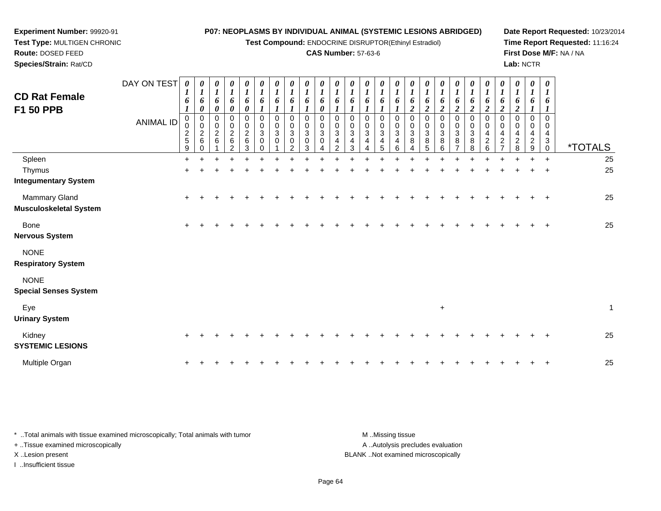**Test Compound:** ENDOCRINE DISRUPTOR(Ethinyl Estradiol)

# **CAS Number:** 57-63-6

0<br>0<br>2<br>2

0<br>0<br>2<br>2

0<br>0<br>2<br>2

0<br>0<br>2<br>2

*1 6*

**Date Report Requested:** 10/23/2014**Time Report Requested:** 11:16:24**First Dose M/F:** NA / NA**Lab:** NCTR

| <b>Route: DOSED FEED</b><br>Species/Strain: Rat/CD |                  |             |        |             |        |                          |             |             |             |             |                            |             | <b>CAS Number: 57-63-6</b> |             |             |             |             |                                           |
|----------------------------------------------------|------------------|-------------|--------|-------------|--------|--------------------------|-------------|-------------|-------------|-------------|----------------------------|-------------|----------------------------|-------------|-------------|-------------|-------------|-------------------------------------------|
|                                                    | DAY ON TEST      | 0           | 0      | 0           |        | 0<br>п.                  | 0<br>п      | 0           | 0           | 0           | $\boldsymbol{\theta}$<br>× | 0           | 0                          | $\theta$    | 0           | 0           | 0           | $\boldsymbol{\theta}$<br>$\boldsymbol{l}$ |
| <b>CD Rat Female</b><br><b>F1 50 PPB</b>           |                  | o           | 6<br>0 | 6<br>0      | 6      | 6<br>0                   | o           | o           | 6           | n           | 6<br>0                     | o           | 6                          | 6           | 6           | o           | o<br>ി<br>∠ | 6<br>$\overline{2}$                       |
|                                                    | <b>ANIMAL ID</b> | 0<br>◠      | 0<br>⌒ | 0<br>0<br>2 | 0<br>2 | 0<br>0<br>$\overline{2}$ | 0<br>0<br>3 | 0<br>0<br>3 | 0<br>0<br>3 | 0<br>0<br>3 | $\mathbf 0$<br>0<br>3      | 0<br>0<br>3 | 0<br>0<br>3                | 0<br>0<br>3 | 0<br>0<br>3 | 0<br>0<br>3 | 0<br>0<br>3 | $\mathbf 0$<br>$\mathbf 0$<br>3           |
|                                                    |                  | ے<br>5<br>9 | 6      | 6           | 6<br>ົ | 6<br>3                   | 0<br>0      | $\Omega$    | 0<br>◠      | 3           | 0<br>4                     | 4<br>ົ      | 4<br>3                     | 4<br>4      | 4<br>5      | 4<br>6      | 8<br>4      | 8<br>5                                    |
| Spleen                                             |                  | ÷           |        |             |        |                          |             |             |             |             |                            |             |                            |             |             |             |             | ÷                                         |

**Experiment Number:** 99920-91**Test Type:** MULTIGEN CHRONIC

|                               | 9   | $\mathbf 0$ | $\overline{2}$ | 3 | $\mathbf 0$ | 2 | 3 | 4 | 2 | 3 | 4 | 5 | 6 | 4 | 5 | 6         | $\overline{7}$ | 8 | 6 | $\overline{7}$ | 8 | 9         | $\mathbf 0$ | <i><b>*TOTALS</b></i> |
|-------------------------------|-----|-------------|----------------|---|-------------|---|---|---|---|---|---|---|---|---|---|-----------|----------------|---|---|----------------|---|-----------|-------------|-----------------------|
| Spleen                        | $+$ |             |                |   |             |   |   |   |   |   |   |   |   |   |   |           |                |   |   |                |   | $\ddot{}$ | $+$         | 25                    |
| Thymus                        | $+$ |             |                |   |             |   |   |   |   |   |   |   |   |   |   |           |                |   |   |                |   | $+$       | $+$         | 25                    |
| <b>Integumentary System</b>   |     |             |                |   |             |   |   |   |   |   |   |   |   |   |   |           |                |   |   |                |   |           |             |                       |
| <b>Mammary Gland</b>          | $+$ |             |                |   |             |   |   |   |   |   |   |   |   |   |   |           |                |   |   |                |   |           | $+$         | 25                    |
| <b>Musculoskeletal System</b> |     |             |                |   |             |   |   |   |   |   |   |   |   |   |   |           |                |   |   |                |   |           |             |                       |
| Bone                          | $+$ |             |                |   |             |   |   |   |   |   |   |   |   |   |   |           |                |   |   |                |   |           | $+$         | 25                    |
| <b>Nervous System</b>         |     |             |                |   |             |   |   |   |   |   |   |   |   |   |   |           |                |   |   |                |   |           |             |                       |
| <b>NONE</b>                   |     |             |                |   |             |   |   |   |   |   |   |   |   |   |   |           |                |   |   |                |   |           |             |                       |
| <b>Respiratory System</b>     |     |             |                |   |             |   |   |   |   |   |   |   |   |   |   |           |                |   |   |                |   |           |             |                       |
| <b>NONE</b>                   |     |             |                |   |             |   |   |   |   |   |   |   |   |   |   |           |                |   |   |                |   |           |             |                       |
| <b>Special Senses System</b>  |     |             |                |   |             |   |   |   |   |   |   |   |   |   |   |           |                |   |   |                |   |           |             |                       |
| Eye                           |     |             |                |   |             |   |   |   |   |   |   |   |   |   |   | $\ddot{}$ |                |   |   |                |   |           |             | $\mathbf{1}$          |
| <b>Urinary System</b>         |     |             |                |   |             |   |   |   |   |   |   |   |   |   |   |           |                |   |   |                |   |           |             |                       |
| Kidney                        | $+$ |             |                |   |             |   |   |   |   |   |   |   |   |   |   |           |                |   |   |                |   |           | $^{+}$      | 25                    |
| <b>SYSTEMIC LESIONS</b>       |     |             |                |   |             |   |   |   |   |   |   |   |   |   |   |           |                |   |   |                |   |           |             |                       |
| Multiple Organ                | $+$ |             |                |   |             |   |   |   |   |   |   |   |   |   |   |           |                |   |   |                |   |           | $^{+}$      | 25                    |

| Total animals with tissue examined microscopically; Total animals with tumor | M Missing tissue                   |
|------------------------------------------------------------------------------|------------------------------------|
| + Tissue examined microscopically                                            | A  Autolysis precludes evaluation  |
| X Lesion present                                                             | BLANK Not examined microscopically |
| Insufficient tissue                                                          |                                    |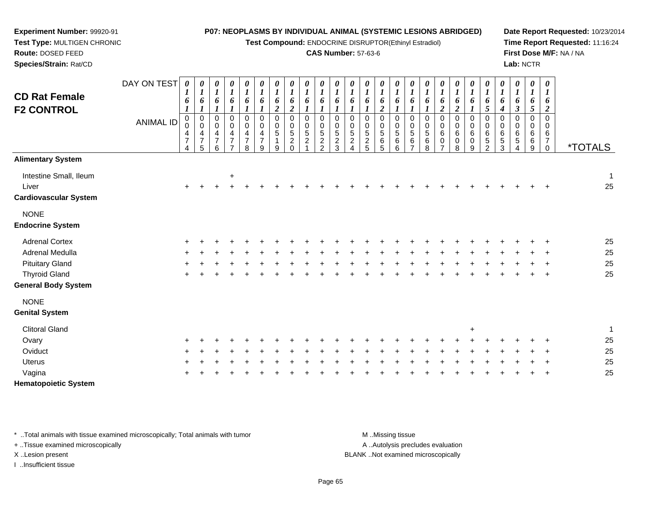**Test Compound:** ENDOCRINE DISRUPTOR(Ethinyl Estradiol)

### **CAS Number:** 57-63-6

**Date Report Requested:** 10/23/2014**Time Report Requested:** 11:16:24**First Dose M/F:** NA / NA**Lab:** NCTR

| Species/Strain: Rat/CD                                          |             |                                            |                                                                          |                                                                    |                                                              |                                                                 |                                                         |                                   |                                                  |                                   |                                     |                                                     |                                    |                                                       |                                 |                                                      |                                                                           |                                            |                                 |                       |                       |                                             |                                                  |                                       | Lab: NCTR                     |                                    |                       |
|-----------------------------------------------------------------|-------------|--------------------------------------------|--------------------------------------------------------------------------|--------------------------------------------------------------------|--------------------------------------------------------------|-----------------------------------------------------------------|---------------------------------------------------------|-----------------------------------|--------------------------------------------------|-----------------------------------|-------------------------------------|-----------------------------------------------------|------------------------------------|-------------------------------------------------------|---------------------------------|------------------------------------------------------|---------------------------------------------------------------------------|--------------------------------------------|---------------------------------|-----------------------|-----------------------|---------------------------------------------|--------------------------------------------------|---------------------------------------|-------------------------------|------------------------------------|-----------------------|
|                                                                 | DAY ON TEST | $\boldsymbol{\theta}$                      | 0<br>$\mathbf{I}$                                                        | $\boldsymbol{\theta}$<br>$\boldsymbol{l}$                          | $\frac{\theta}{\tau}$<br>$\mathbf{I}$                        | $\boldsymbol{\theta}$<br>$\mathbf{I}$                           | $\boldsymbol{\theta}$                                   | 0<br><b>L</b>                     | 0<br>$\boldsymbol{l}$                            | 0<br>$\mathbf{r}$<br>$\mathbf{I}$ | $\boldsymbol{\theta}$               | $\boldsymbol{\theta}$                               | 0<br><b>L</b>                      | $\boldsymbol{\theta}$                                 | 0<br>$\mathbf{I}$               | $\boldsymbol{\theta}$<br>x.                          | $\boldsymbol{\theta}$                                                     | 0<br><b>L</b>                              | $\boldsymbol{\theta}$           | 0                     | 0<br>L                | $\boldsymbol{\theta}$<br>$\overline{ }$     | 0<br><b>L</b>                                    | $\boldsymbol{\theta}$<br>$\mathbf{I}$ | 0<br>$\mathbf{I}$             | 0<br>x.                            |                       |
| <b>CD Rat Female</b><br><b>F2 CONTROL</b>                       |             | 6                                          | $\bm{o}$<br>L                                                            | 6                                                                  | 6                                                            | 6                                                               | $\bm{b}$                                                | $\bm{o}$<br>$\boldsymbol{2}$      | 6<br>$\overline{c}$                              | 6                                 | 6                                   | $\bm{o}$                                            | $\bm{o}$                           | 6                                                     | 6                               | 6                                                    | 6                                                                         | $\bm{b}$                                   | 6                               | 6                     | 6                     | $\bm{b}$<br>$\mathcal{L}$                   | $\bm{o}$<br>4                                    | 6<br>J                                | 6<br>$5\overline{)}$          | 6<br>$\boldsymbol{2}$              |                       |
|                                                                 | ANIMAL ID   | 0<br>$\pmb{0}$<br>4<br>$\overline{ }$<br>4 | $\begin{smallmatrix} 0\\0 \end{smallmatrix}$<br>4<br>$\overline{ }$<br>5 | 0<br>$\mathbf 0$<br>$\overline{\mathbf{4}}$<br>$\overline{ }$<br>ี | 0<br>0<br>$\overline{4}$<br>$\overline{ }$<br>$\overline{ }$ | 0<br>$\pmb{0}$<br>$\overline{\mathbf{4}}$<br>$\rightarrow$<br>8 | 0<br>$\pmb{0}$<br>$\overline{4}$<br>$\overline{ }$<br>9 | 0<br>$\pmb{0}$<br>$\sqrt{5}$<br>9 | $\boldsymbol{0}$<br>$\sqrt{5}$<br>$\overline{2}$ | 0<br>0<br>5<br>$\overline{a}$     | 0<br>0<br>$\frac{5}{2}$<br>$\Omega$ | 0<br>$\pmb{0}$<br>$\sqrt{5}$<br>$\overline{2}$<br>3 | 0<br>0<br>$\sqrt{5}$<br>$\sqrt{2}$ | $\boldsymbol{0}$<br>$\sqrt{5}$<br>$\overline{c}$<br>5 | 0<br>$\mathbf 0$<br>5<br>6<br>5 | 0<br>$\begin{array}{c} 0 \\ 5 \end{array}$<br>6<br>6 | 0<br>$\pmb{0}$<br>$\begin{array}{c} 5 \\ 6 \end{array}$<br>$\overline{ }$ | 0<br>$\pmb{0}$<br>$\sqrt{5}$<br>$\,6$<br>8 | $\mathbf 0$<br>6<br>$\mathbf 0$ | 0<br>0<br>6<br>0<br>8 | 0<br>0<br>6<br>0<br>9 | $\pmb{0}$<br>$\,6\,$<br>$\overline{5}$<br>ົ | 0<br>$\pmb{0}$<br>$\,6\,$<br>$\overline{5}$<br>3 | $\mathbf 0$<br>6<br>5                 | 0<br>$\pmb{0}$<br>6<br>6<br>9 | 0<br>0<br>6<br>$\overline{ }$<br>0 | <i><b>*TOTALS</b></i> |
| <b>Alimentary System</b>                                        |             |                                            |                                                                          |                                                                    |                                                              |                                                                 |                                                         |                                   |                                                  |                                   |                                     |                                                     |                                    |                                                       |                                 |                                                      |                                                                           |                                            |                                 |                       |                       |                                             |                                                  |                                       |                               |                                    |                       |
| Intestine Small, Ileum<br>Liver<br><b>Cardiovascular System</b> |             | $\pm$                                      |                                                                          |                                                                    | $\ddot{}$                                                    |                                                                 |                                                         |                                   |                                                  |                                   |                                     |                                                     |                                    |                                                       |                                 |                                                      |                                                                           |                                            |                                 |                       | ÷.                    |                                             | $\pm$                                            |                                       | $+$                           | $\pm$                              | 25                    |
| <b>NONE</b>                                                     |             |                                            |                                                                          |                                                                    |                                                              |                                                                 |                                                         |                                   |                                                  |                                   |                                     |                                                     |                                    |                                                       |                                 |                                                      |                                                                           |                                            |                                 |                       |                       |                                             |                                                  |                                       |                               |                                    |                       |

### **Endocrine System**

**Experiment Number:** 99920-91**Test Type:** MULTIGEN CHRONIC

**Route:** DOSED FEED

| Adrenal Cortex      |  |  |  |  |  |  |  |  |  |  |  |  | -25 |
|---------------------|--|--|--|--|--|--|--|--|--|--|--|--|-----|
| Adrenal Medulla     |  |  |  |  |  |  |  |  |  |  |  |  | -25 |
| Pituitary Gland     |  |  |  |  |  |  |  |  |  |  |  |  | -25 |
| Thyroid Gland       |  |  |  |  |  |  |  |  |  |  |  |  | -25 |
| Sanaral Dady Custam |  |  |  |  |  |  |  |  |  |  |  |  |     |

# **General Body System**

| <b>NONE</b>           |         |     |     |             |         |  |     |     |                               |         |         |         |         |               |     |         |         |     |             |         |    |
|-----------------------|---------|-----|-----|-------------|---------|--|-----|-----|-------------------------------|---------|---------|---------|---------|---------------|-----|---------|---------|-----|-------------|---------|----|
| <b>Genital System</b> |         |     |     |             |         |  |     |     |                               |         |         |         |         |               |     |         |         |     |             |         |    |
| <b>Clitoral Gland</b> |         |     |     |             |         |  |     |     |                               |         |         |         |         |               |     | $\pm$   |         |     |             |         |    |
| Ovary                 |         |     |     |             |         |  |     |     | + + + + + + + + + + + + + + + |         |         |         |         | + + + + + + + |     |         |         |     | $+$ $+$ $+$ |         | 25 |
| Oviduct               |         |     |     | + + + + + + | $\pm$ . |  |     |     | + + + + + +                   | $+$ $-$ | $\pm$ . |         | $+$ $+$ | $+$           | $+$ |         | $+$ $+$ | $+$ |             | $+$ $+$ | 25 |
| <b>Uterus</b>         | $+$ $+$ | $+$ | $+$ |             |         |  | $+$ | $+$ |                               | $+$ $+$ | $+$ $-$ | $+$ $-$ | $+$ $-$ | $+$ $+$       |     | $+$ $+$ |         |     |             | $+$ $+$ | 25 |
| Vagina                | $+$ $+$ |     |     |             |         |  |     |     |                               |         |         |         |         |               |     |         |         |     |             | $+$ $+$ | 25 |
|                       |         |     |     |             |         |  |     |     |                               |         |         |         |         |               |     |         |         |     |             |         |    |

**Hematopoietic System**

\* ..Total animals with tissue examined microscopically; Total animals with tumor **M** ...Missing tissue M ...Missing tissue

+ ..Tissue examined microscopically

I ..Insufficient tissue

A .. Autolysis precludes evaluation

X ..Lesion present BLANK ..Not examined microscopically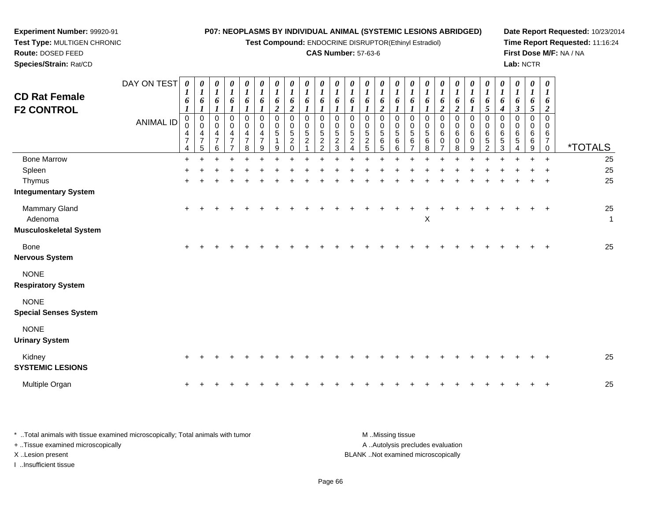**Test Compound:** ENDOCRINE DISRUPTOR(Ethinyl Estradiol)

## **CAS Number:** 57-63-6

**Date Report Requested:** 10/23/2014 **Time Report Requested:** 11:16:24**First Dose M/F:** NA / NA**Lab:** NCTR

**Experiment Number:** 99920-91 **Test Type:** MULTIGEN CHRONIC**Route:** DOSED FEED**Species/Strain:** Rat/CD

| <b>CD Rat Female</b><br><b>F2 CONTROL</b>                             | DAY ON TEST<br><b>ANIMAL ID</b> | 0<br>$\boldsymbol{l}$<br>6<br>$\pmb{0}$<br>$\mathsf{O}\xspace$<br>4<br>$\overline{7}$<br>4 | 0<br>$\boldsymbol{l}$<br>6<br>$\boldsymbol{l}$<br>0<br>$\mathbf 0$<br>4<br>$\overline{7}$<br>5 | 0<br>$\boldsymbol{l}$<br>6<br>0<br>0<br>4<br>$\overline{7}$<br>6 | 0<br>$\boldsymbol{l}$<br>6<br>$\mathbf 0$<br>0<br>4<br>$\overline{7}$<br>$\overline{ }$ | 0<br>$\boldsymbol{l}$<br>6<br>0<br>0<br>4<br>$\overline{7}$<br>8 | 0<br>$\boldsymbol{l}$<br>6<br>1<br>0<br>$\mathsf 0$<br>4<br>$\overline{7}$<br>9 | 0<br>$\boldsymbol{l}$<br>6<br>$\boldsymbol{2}$<br>$\boldsymbol{0}$<br>$\pmb{0}$<br>5<br>1<br>9 | 0<br>$\overline{\mathbf{I}}$<br>6<br>$\boldsymbol{2}$<br>$\pmb{0}$<br>$\mathbf 0$<br>$\sqrt{5}$<br>$\overline{c}$<br>$\mathbf 0$ | $\frac{\theta}{I}$<br>6<br>$\Omega$<br>$\mathbf 0$<br>5<br>$\overline{c}$ | 0<br>$\boldsymbol{l}$<br>6<br>0<br>0<br>5<br>$\overline{c}$<br>2 | $\boldsymbol{\theta}$<br>$\boldsymbol{l}$<br>6<br>$\Omega$<br>0<br>5<br>$\overline{2}$<br>3 | 0<br>$\boldsymbol{l}$<br>6<br>$\Omega$<br>0<br>5<br>$\overline{c}$ | 0<br>$\boldsymbol{l}$<br>6<br>0<br>0<br>5<br>$\overline{c}$<br>5 | 0<br>$\boldsymbol{l}$<br>6<br>$\boldsymbol{2}$<br>$\Omega$<br>$\mathbf 0$<br>5<br>6<br>5 | 0<br>$\boldsymbol{l}$<br>6<br>$\mathbf 0$<br>$\mathbf 0$<br>$\sqrt{5}$<br>$\,6$<br>6 | 0<br>$\overline{\mathbf{I}}$<br>6<br>$\Omega$<br>0<br>5<br>6<br>$\overline{7}$ | 0<br>$\boldsymbol{l}$<br>6<br>0<br>0<br>5<br>6<br>8 | $\boldsymbol{\theta}$<br>$\boldsymbol{l}$<br>6<br>$\boldsymbol{2}$<br>$\Omega$<br>0<br>6<br>0<br>$\overline{7}$ | 0<br>$\boldsymbol{l}$<br>6<br>$\overline{2}$<br>$\mathbf 0$<br>0<br>6<br>0<br>8 | 0<br>$\boldsymbol{l}$<br>6<br>0<br>0<br>6<br>0<br>9 | 0<br>$\boldsymbol{l}$<br>6<br>5<br>$\Omega$<br>$\pmb{0}$<br>6<br>$\,$ 5 $\,$<br>2 | 0<br>$\boldsymbol{l}$<br>6<br>$\boldsymbol{4}$<br>$\mathbf 0$<br>0<br>6<br>$\sqrt{5}$<br>3 | 0<br>$\boldsymbol{l}$<br>6<br>$\mathfrak{z}$<br>$\Omega$<br>0<br>6<br>5<br>4 | $\pmb{\theta}$<br>$\boldsymbol{l}$<br>6<br>$\mathfrak{H}$<br>0<br>0<br>6<br>6<br>9 | $\boldsymbol{\theta}$<br>$\boldsymbol{l}$<br>6<br>$\overline{2}$<br>$\mathbf 0$<br>$\mathbf 0$<br>6<br>7<br>$\mathbf 0$ | <i><b>*TOTALS</b></i> |
|-----------------------------------------------------------------------|---------------------------------|--------------------------------------------------------------------------------------------|------------------------------------------------------------------------------------------------|------------------------------------------------------------------|-----------------------------------------------------------------------------------------|------------------------------------------------------------------|---------------------------------------------------------------------------------|------------------------------------------------------------------------------------------------|----------------------------------------------------------------------------------------------------------------------------------|---------------------------------------------------------------------------|------------------------------------------------------------------|---------------------------------------------------------------------------------------------|--------------------------------------------------------------------|------------------------------------------------------------------|------------------------------------------------------------------------------------------|--------------------------------------------------------------------------------------|--------------------------------------------------------------------------------|-----------------------------------------------------|-----------------------------------------------------------------------------------------------------------------|---------------------------------------------------------------------------------|-----------------------------------------------------|-----------------------------------------------------------------------------------|--------------------------------------------------------------------------------------------|------------------------------------------------------------------------------|------------------------------------------------------------------------------------|-------------------------------------------------------------------------------------------------------------------------|-----------------------|
| <b>Bone Marrow</b><br>Spleen<br>Thymus<br><b>Integumentary System</b> |                                 | $\ddot{}$                                                                                  |                                                                                                |                                                                  |                                                                                         |                                                                  |                                                                                 |                                                                                                |                                                                                                                                  |                                                                           |                                                                  |                                                                                             |                                                                    |                                                                  |                                                                                          |                                                                                      |                                                                                |                                                     |                                                                                                                 |                                                                                 |                                                     |                                                                                   |                                                                                            |                                                                              |                                                                                    | $\ddot{}$                                                                                                               | 25<br>25<br>25        |
| Mammary Gland<br>Adenoma<br><b>Musculoskeletal System</b>             |                                 |                                                                                            |                                                                                                |                                                                  |                                                                                         |                                                                  |                                                                                 |                                                                                                |                                                                                                                                  |                                                                           |                                                                  |                                                                                             |                                                                    |                                                                  |                                                                                          |                                                                                      |                                                                                | X                                                   |                                                                                                                 |                                                                                 |                                                     |                                                                                   |                                                                                            |                                                                              |                                                                                    |                                                                                                                         | 25<br>$\mathbf{1}$    |
| Bone<br><b>Nervous System</b>                                         |                                 |                                                                                            |                                                                                                |                                                                  |                                                                                         |                                                                  |                                                                                 |                                                                                                |                                                                                                                                  |                                                                           |                                                                  |                                                                                             |                                                                    |                                                                  |                                                                                          |                                                                                      |                                                                                |                                                     |                                                                                                                 |                                                                                 |                                                     |                                                                                   |                                                                                            |                                                                              |                                                                                    |                                                                                                                         | 25                    |
| <b>NONE</b><br><b>Respiratory System</b>                              |                                 |                                                                                            |                                                                                                |                                                                  |                                                                                         |                                                                  |                                                                                 |                                                                                                |                                                                                                                                  |                                                                           |                                                                  |                                                                                             |                                                                    |                                                                  |                                                                                          |                                                                                      |                                                                                |                                                     |                                                                                                                 |                                                                                 |                                                     |                                                                                   |                                                                                            |                                                                              |                                                                                    |                                                                                                                         |                       |
| <b>NONE</b><br><b>Special Senses System</b>                           |                                 |                                                                                            |                                                                                                |                                                                  |                                                                                         |                                                                  |                                                                                 |                                                                                                |                                                                                                                                  |                                                                           |                                                                  |                                                                                             |                                                                    |                                                                  |                                                                                          |                                                                                      |                                                                                |                                                     |                                                                                                                 |                                                                                 |                                                     |                                                                                   |                                                                                            |                                                                              |                                                                                    |                                                                                                                         |                       |
| <b>NONE</b><br><b>Urinary System</b>                                  |                                 |                                                                                            |                                                                                                |                                                                  |                                                                                         |                                                                  |                                                                                 |                                                                                                |                                                                                                                                  |                                                                           |                                                                  |                                                                                             |                                                                    |                                                                  |                                                                                          |                                                                                      |                                                                                |                                                     |                                                                                                                 |                                                                                 |                                                     |                                                                                   |                                                                                            |                                                                              |                                                                                    |                                                                                                                         |                       |
| Kidney<br><b>SYSTEMIC LESIONS</b>                                     |                                 |                                                                                            |                                                                                                |                                                                  |                                                                                         |                                                                  |                                                                                 |                                                                                                |                                                                                                                                  |                                                                           |                                                                  |                                                                                             |                                                                    |                                                                  |                                                                                          |                                                                                      |                                                                                |                                                     |                                                                                                                 |                                                                                 |                                                     |                                                                                   |                                                                                            |                                                                              |                                                                                    |                                                                                                                         | 25                    |
| Multiple Organ                                                        |                                 |                                                                                            |                                                                                                |                                                                  |                                                                                         |                                                                  |                                                                                 |                                                                                                |                                                                                                                                  |                                                                           |                                                                  |                                                                                             |                                                                    |                                                                  |                                                                                          |                                                                                      |                                                                                |                                                     |                                                                                                                 |                                                                                 |                                                     |                                                                                   |                                                                                            |                                                                              |                                                                                    |                                                                                                                         | 25                    |

| Total animals with tissue examined microscopically; Total animals with tumor | M Missing tissue                   |
|------------------------------------------------------------------------------|------------------------------------|
| + . Tissue examined microscopically                                          | A Autolysis precludes evaluation   |
| X Lesion present                                                             | BLANK Not examined microscopically |
| …Insufficient tissue                                                         |                                    |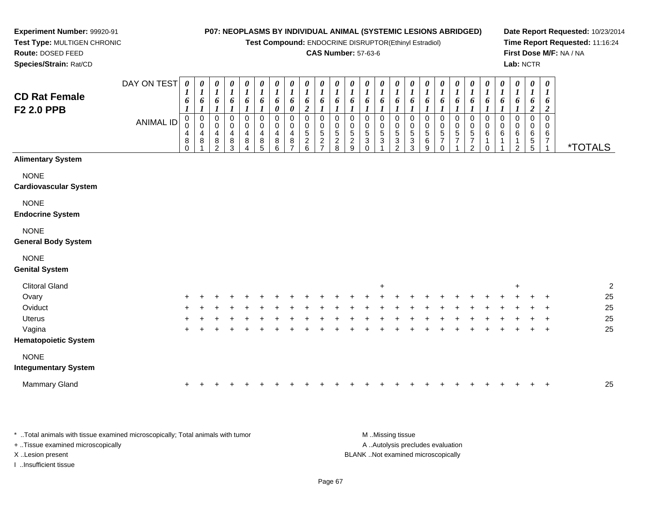**Test Compound:** ENDOCRINE DISRUPTOR(Ethinyl Estradiol)

### **CAS Number:** 57-63-6

**Date Report Requested:** 10/23/2014**Time Report Requested:** 11:16:24**First Dose M/F:** NA / NA**Lab:** NCTR

\*TOTALS

0<br>0<br>6<br>1

1

1

| Species/Strain: Rat/CD       |                  |                                        |                  |                                 |                              |                                 |                       |                       |                            |                              |                            |                                    |                       |                       |                  |                                 |                       |                       |                                              |
|------------------------------|------------------|----------------------------------------|------------------|---------------------------------|------------------------------|---------------------------------|-----------------------|-----------------------|----------------------------|------------------------------|----------------------------|------------------------------------|-----------------------|-----------------------|------------------|---------------------------------|-----------------------|-----------------------|----------------------------------------------|
|                              | DAY ON TEST      | 0                                      | 0                | 0<br>1                          | 0                            | 0<br>1                          | 0                     | 0                     | 0<br>1                     | 0                            | 0                          | 0                                  | 0                     | 0                     | 0                | 0                               | $\boldsymbol{\theta}$ | 0                     | $\boldsymbol{\theta}$                        |
| <b>CD Rat Female</b>         |                  | 6                                      | o                | 6                               | 6                            | 6                               | 6                     | 6<br>0                | 6<br>0                     | o<br>$\overline{2}$          | 6                          | o                                  | 6                     | 6                     | 6                | 6                               | 6                     | o                     | 6                                            |
| F <sub>2</sub> 2.0 PPB       | <b>ANIMAL ID</b> | 0<br>$\mathbf 0$<br>4<br>8<br>$\Omega$ | 0<br>0<br>4<br>8 | $\mathbf 0$<br>0<br>4<br>8<br>2 | $\Omega$<br>0<br>4<br>8<br>3 | $\mathbf 0$<br>0<br>4<br>8<br>4 | 0<br>0<br>4<br>8<br>5 | 0<br>0<br>4<br>8<br>6 | $\mathbf 0$<br>0<br>4<br>8 | $\Omega$<br>0<br>5<br>2<br>6 | $\mathbf 0$<br>0<br>5<br>2 | 0<br>0<br>5<br>$\overline{c}$<br>8 | 0<br>0<br>5<br>2<br>9 | 0<br>0<br>5<br>3<br>0 | 0<br>0<br>5<br>3 | $\mathbf 0$<br>0<br>5<br>3<br>2 | 0<br>0<br>5<br>3<br>3 | 0<br>0<br>5<br>6<br>9 | $\mathbf 0$<br>0<br>5<br>$\overline{7}$<br>0 |
| <b>Alimentary System</b>     |                  |                                        |                  |                                 |                              |                                 |                       |                       |                            |                              |                            |                                    |                       |                       |                  |                                 |                       |                       |                                              |
| <b>NONE</b>                  |                  |                                        |                  |                                 |                              |                                 |                       |                       |                            |                              |                            |                                    |                       |                       |                  |                                 |                       |                       |                                              |
| <b>Cardiovascular System</b> |                  |                                        |                  |                                 |                              |                                 |                       |                       |                            |                              |                            |                                    |                       |                       |                  |                                 |                       |                       |                                              |
| <b>NONE</b><br>.             |                  |                                        |                  |                                 |                              |                                 |                       |                       |                            |                              |                            |                                    |                       |                       |                  |                                 |                       |                       |                                              |

**Endocrine System**

#### NONE

#### **General Body System**

**Experiment Number:** 99920-91**Test Type:** MULTIGEN CHRONIC

**Route:** DOSED FEED

### NONE

#### **Genital System**

| <b>Clitoral Gland</b>                      |     |  |  |  |  |   |  | $\overline{+}$ |  |   |    |     |   | $\ddot{}$ |         |         | 2  |
|--------------------------------------------|-----|--|--|--|--|---|--|----------------|--|---|----|-----|---|-----------|---------|---------|----|
| Ovary                                      | $+$ |  |  |  |  |   |  |                |  |   |    |     |   |           |         | $+$     | 25 |
| Oviduct                                    | $+$ |  |  |  |  |   |  |                |  | ÷ |    |     |   |           |         | $+$ $+$ | 25 |
| Uterus                                     | $+$ |  |  |  |  |   |  |                |  |   |    |     |   |           | $+$ $-$ | $+$     | 25 |
| Vagina                                     | $+$ |  |  |  |  | ÷ |  |                |  | ÷ | ÷. | $+$ | ÷ |           |         | $+$ $+$ | 25 |
| <b>Hematopoietic System</b>                |     |  |  |  |  |   |  |                |  |   |    |     |   |           |         |         |    |
| <b>NONE</b><br><b>Integumentary System</b> |     |  |  |  |  |   |  |                |  |   |    |     |   |           |         |         |    |
| <b>Mammary Gland</b>                       | $+$ |  |  |  |  |   |  |                |  |   |    |     |   |           |         | $+$     | 25 |

\* ..Total animals with tissue examined microscopically; Total animals with tumor **M** ...Missing tissue M ...Missing tissue A .. Autolysis precludes evaluation + ..Tissue examined microscopically X ..Lesion present BLANK ..Not examined microscopicallyI ..Insufficient tissue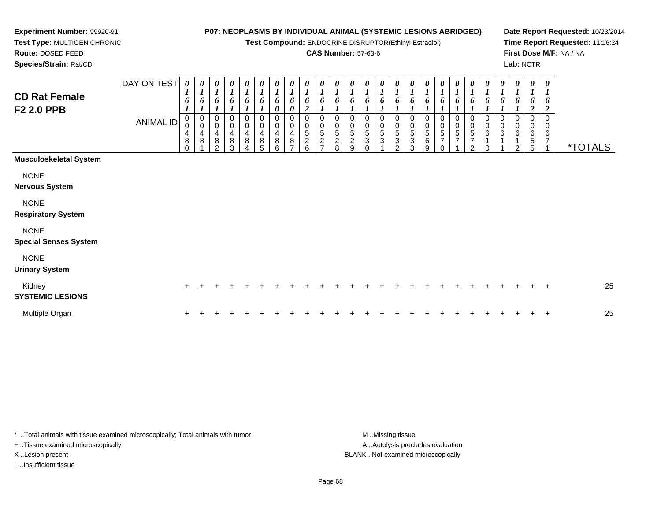**Test Compound:** ENDOCRINE DISRUPTOR(Ethinyl Estradiol)

### **CAS Number:** 57-63-6

**Date Report Requested:** 10/23/2014**Time Report Requested:** 11:16:24**First Dose M/F:** NA / NA**Lab:** NCTR

 **Test Type:** MULTIGEN CHRONIC**Route:** DOSED FEED**Species/Strain:** Rat/CD

**Experiment Number:** 99920-91

| <b>CD Rat Female</b><br><b>F2 2.0 PPB</b>   | DAY ON TEST<br>ANIMAL ID | $\boldsymbol{\theta}$<br>$\boldsymbol{l}$<br>6<br>0<br>$\,0\,$<br>$\overline{\mathbf{r}}$<br>$\bf 8$<br>$\Omega$ | 0<br>$\boldsymbol{l}$<br>6<br>$\pmb{0}$<br>$\pmb{0}$<br>$\overline{\mathbf{r}}$<br>$\bf8$ | 0<br>$\boldsymbol{l}$<br>6<br>0<br>$\pmb{0}$<br>$\overline{4}$<br>$\, 8$<br>2 | 0<br>$\boldsymbol{l}$<br>0<br>4<br>8<br>3 | $\boldsymbol{\theta}$<br>$\boldsymbol{l}$<br>6<br>0<br>$\,0\,$<br>4<br>8 | $\frac{\theta}{I}$<br>6<br>0<br>$\overline{0}$<br>$\overline{\mathbf{4}}$<br>$\bf 8$<br>5 | 0<br>$\boldsymbol{l}$<br>6<br>0<br>0<br>$\pmb{0}$<br>$^{\,4}_{\,8}$<br>6 | $\boldsymbol{\theta}$<br>$\boldsymbol{l}$<br>6<br>0<br>0<br>$\pmb{0}$<br>$\overline{\mathbf{4}}$<br>$\bf 8$<br>$\overline{ }$ | $\begin{matrix} 0 \\ 1 \end{matrix}$<br>6<br>$\overline{2}$<br>0<br>$\begin{array}{c} 0 \\ 5 \end{array}$<br>$\overline{c}$<br>6 | $\boldsymbol{\theta}$<br>$\mathbf{r}$<br>6<br>0<br>0<br>$\,$ 5 $\,$<br>$\overline{2}$<br>$\overline{ }$ | 0<br>$\boldsymbol{l}$<br>0<br>5<br>$\overline{\mathbf{c}}$<br>8 | $\boldsymbol{\theta}$<br>$\mathbf{r}$<br>6<br>0<br>0<br>5<br>$\boldsymbol{2}$<br>9 | $\boldsymbol{\theta}$<br>6<br>$\mathbf 0$<br>5<br>3<br>$\Omega$ | 0<br>$\boldsymbol{l}$<br>6<br>$\pmb{0}$<br>$\sqrt{5}$<br>$\mathbf{3}$ | 0<br>$\boldsymbol{l}$<br>6<br>0<br>$\pmb{0}$<br>$\sqrt{5}$<br>$\sqrt{3}$<br>2 | 0<br>$\mathbf{I}$<br>6<br>0<br>$\begin{array}{c} 0 \\ 5 \end{array}$<br>3<br>3 | $\boldsymbol{\theta}$<br>6<br>0<br>$\pmb{0}$<br>$\,$ 5 $\,$<br>$\,6$<br>9 | 0<br>0<br>5<br>$\overline{7}$ | $\boldsymbol{\theta}$<br>$\mathbf{r}$<br>6<br>0<br>$\pmb{0}$<br>5<br>$\overline{7}$ | $\frac{\theta}{I}$<br>6<br>0<br>$\mathbf 0$<br>5<br>7<br>2 | 0<br>$\boldsymbol{l}$<br>6<br>0<br>$\pmb{0}$<br>$\,6$ | $\boldsymbol{\theta}$<br>$\boldsymbol{l}$<br>6<br>0<br>$\pmb{0}$<br>$\,6$<br>1 | 0<br>$\boldsymbol{l}$<br>6<br>0<br>0<br>6<br>$\overline{A}$<br>$\overline{2}$ | 0<br>$\boldsymbol{l}$<br>6<br>$\boldsymbol{2}$<br>0<br>0<br>6<br>$\sqrt{5}$<br>5 | $\pmb{\theta}$<br>$\boldsymbol{l}$<br>6<br>$\overline{2}$<br>$\Omega$<br>0<br>6<br>7 | <i><b>*TOTALS</b></i> |
|---------------------------------------------|--------------------------|------------------------------------------------------------------------------------------------------------------|-------------------------------------------------------------------------------------------|-------------------------------------------------------------------------------|-------------------------------------------|--------------------------------------------------------------------------|-------------------------------------------------------------------------------------------|--------------------------------------------------------------------------|-------------------------------------------------------------------------------------------------------------------------------|----------------------------------------------------------------------------------------------------------------------------------|---------------------------------------------------------------------------------------------------------|-----------------------------------------------------------------|------------------------------------------------------------------------------------|-----------------------------------------------------------------|-----------------------------------------------------------------------|-------------------------------------------------------------------------------|--------------------------------------------------------------------------------|---------------------------------------------------------------------------|-------------------------------|-------------------------------------------------------------------------------------|------------------------------------------------------------|-------------------------------------------------------|--------------------------------------------------------------------------------|-------------------------------------------------------------------------------|----------------------------------------------------------------------------------|--------------------------------------------------------------------------------------|-----------------------|
| <b>Musculoskeletal System</b>               |                          |                                                                                                                  |                                                                                           |                                                                               |                                           |                                                                          |                                                                                           |                                                                          |                                                                                                                               |                                                                                                                                  |                                                                                                         |                                                                 |                                                                                    |                                                                 |                                                                       |                                                                               |                                                                                |                                                                           |                               |                                                                                     |                                                            |                                                       |                                                                                |                                                                               |                                                                                  |                                                                                      |                       |
| <b>NONE</b><br><b>Nervous System</b>        |                          |                                                                                                                  |                                                                                           |                                                                               |                                           |                                                                          |                                                                                           |                                                                          |                                                                                                                               |                                                                                                                                  |                                                                                                         |                                                                 |                                                                                    |                                                                 |                                                                       |                                                                               |                                                                                |                                                                           |                               |                                                                                     |                                                            |                                                       |                                                                                |                                                                               |                                                                                  |                                                                                      |                       |
| <b>NONE</b><br><b>Respiratory System</b>    |                          |                                                                                                                  |                                                                                           |                                                                               |                                           |                                                                          |                                                                                           |                                                                          |                                                                                                                               |                                                                                                                                  |                                                                                                         |                                                                 |                                                                                    |                                                                 |                                                                       |                                                                               |                                                                                |                                                                           |                               |                                                                                     |                                                            |                                                       |                                                                                |                                                                               |                                                                                  |                                                                                      |                       |
| <b>NONE</b><br><b>Special Senses System</b> |                          |                                                                                                                  |                                                                                           |                                                                               |                                           |                                                                          |                                                                                           |                                                                          |                                                                                                                               |                                                                                                                                  |                                                                                                         |                                                                 |                                                                                    |                                                                 |                                                                       |                                                                               |                                                                                |                                                                           |                               |                                                                                     |                                                            |                                                       |                                                                                |                                                                               |                                                                                  |                                                                                      |                       |
| <b>NONE</b><br><b>Urinary System</b>        |                          |                                                                                                                  |                                                                                           |                                                                               |                                           |                                                                          |                                                                                           |                                                                          |                                                                                                                               |                                                                                                                                  |                                                                                                         |                                                                 |                                                                                    |                                                                 |                                                                       |                                                                               |                                                                                |                                                                           |                               |                                                                                     |                                                            |                                                       |                                                                                |                                                                               |                                                                                  |                                                                                      |                       |
| Kidney<br><b>SYSTEMIC LESIONS</b>           |                          | $+$                                                                                                              |                                                                                           |                                                                               |                                           |                                                                          |                                                                                           |                                                                          |                                                                                                                               |                                                                                                                                  |                                                                                                         |                                                                 |                                                                                    |                                                                 |                                                                       |                                                                               |                                                                                |                                                                           |                               |                                                                                     |                                                            |                                                       |                                                                                |                                                                               |                                                                                  | $_{+}$                                                                               | 25                    |
| Multiple Organ                              |                          |                                                                                                                  |                                                                                           |                                                                               |                                           |                                                                          |                                                                                           |                                                                          |                                                                                                                               |                                                                                                                                  |                                                                                                         |                                                                 |                                                                                    |                                                                 |                                                                       |                                                                               |                                                                                |                                                                           |                               |                                                                                     |                                                            |                                                       |                                                                                |                                                                               |                                                                                  | $\ddot{}$                                                                            | 25                    |

\* ..Total animals with tissue examined microscopically; Total animals with tumor **M** . Missing tissue M ..Missing tissue + ..Tissue examined microscopically

I ..Insufficient tissue

A ..Autolysis precludes evaluation X ..Lesion present BLANK ..Not examined microscopically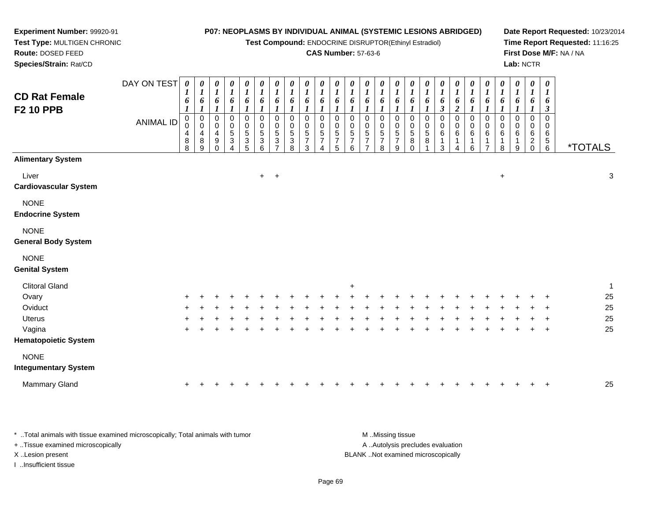**Test Compound:** ENDOCRINE DISRUPTOR(Ethinyl Estradiol)

### **CAS Number:** 57-63-6

**Date Report Requested:** 10/23/2014**Time Report Requested:** 11:16:25**First Dose M/F:** NA / NA**Lab:** NCTR

| <b>CD Rat Female</b><br><b>F2 10 PPB</b>   | DAY ON TEST<br><b>ANIMAL ID</b> | 0<br>1<br>6<br>$\boldsymbol{l}$<br>$\mathbf 0$<br>0<br>4<br>8<br>8 | $\boldsymbol{\theta}$<br>$\boldsymbol{l}$<br>6<br>$\boldsymbol{l}$<br>0<br>0<br>4<br>$\bf 8$<br>9 | 0<br>$\boldsymbol{l}$<br>6<br>$\boldsymbol{l}$<br>$\mathbf 0$<br>0<br>4<br>9<br>$\Omega$ | $\boldsymbol{\theta}$<br>$\boldsymbol{l}$<br>6<br>$\boldsymbol{l}$<br>$\mathbf 0$<br>$\mathbf 0$<br>$\frac{5}{3}$ | $\frac{\boldsymbol{0}}{\boldsymbol{1}}$<br>6<br>0<br>$\pmb{0}$<br>$\frac{5}{3}$ | 0<br>$\boldsymbol{l}$<br>6<br>0<br>$\boldsymbol{0}$<br>$\mathbf 5$<br>$\ensuremath{\mathsf{3}}$<br>6 | $\boldsymbol{\theta}$<br>$\boldsymbol{l}$<br>6<br>1<br>$\pmb{0}$<br>$\pmb{0}$<br>5<br>$\mathbf{3}$<br>$\overline{7}$ | 0<br>$\boldsymbol{l}$<br>6<br>$\mathbf 0$<br>0<br>5<br>3<br>8 | $\pmb{\theta}$<br>$\boldsymbol{l}$<br>6<br>$\Omega$<br>0<br>$\sqrt{5}$<br>$\overline{7}$<br>3 | 0<br>$\boldsymbol{l}$<br>6<br>1<br>0<br>0<br>5<br>$\overline{7}$ | $\pmb{\theta}$<br>$\boldsymbol{l}$<br>6<br>$\mathbf 0$<br>0<br>5<br>7<br>5 | 0<br>$\boldsymbol{l}$<br>6<br>0<br>0<br>$\frac{5}{7}$<br>6 | 0<br>$\boldsymbol{l}$<br>6<br>1<br>0<br>0<br>$\frac{5}{7}$<br>$\overline{7}$ | 0<br>$\boldsymbol{l}$<br>6<br>1<br>$\mathbf 0$<br>$\mathbf 0$<br>$\sqrt{5}$<br>$\overline{7}$<br>8 | $\boldsymbol{\theta}$<br>$\boldsymbol{l}$<br>6<br>$\mathbf{I}$<br>$\pmb{0}$<br>$\pmb{0}$<br>$\,$ 5 $\,$<br>$\overline{7}$<br>9 | 0<br>$\boldsymbol{l}$<br>6<br>0<br>0<br>5<br>8<br>$\Omega$ | $\pmb{\theta}$<br>$\boldsymbol{l}$<br>6<br>1<br>0<br>0<br>5<br>8 | $\boldsymbol{\theta}$<br>$\boldsymbol{l}$<br>6<br>$\boldsymbol{\beta}$<br>$\mathbf 0$<br>0<br>$\,6$<br>1<br>3 | 0<br>$\boldsymbol{l}$<br>6<br>$\overline{c}$<br>0<br>0<br>6<br>1<br>$\overline{A}$ | 0<br>$\boldsymbol{l}$<br>6<br>0<br>0<br>$\,6$<br>1<br>6 | 0<br>$\boldsymbol{l}$<br>6<br>0<br>0<br>6<br>1<br>$\overline{7}$ | $\pmb{\theta}$<br>$\boldsymbol{l}$<br>6<br>1<br>$\mathbf 0$<br>0<br>6<br>$\mathbf 1$<br>8 | 0<br>$\boldsymbol{l}$<br>6<br>0<br>0<br>6<br>1<br>9 | $\pmb{\theta}$<br>$\boldsymbol{l}$<br>6<br>$\boldsymbol{I}$<br>0<br>0<br>$\,6\,$<br>$^2_{0}$ | $\boldsymbol{\theta}$<br>$\boldsymbol{l}$<br>6<br>$\mathfrak{z}$<br>$\mathbf 0$<br>$\mathbf 0$<br>$\,6$<br>$\begin{array}{c} 5 \\ 6 \end{array}$ | <i><b>*TOTALS</b></i> |              |
|--------------------------------------------|---------------------------------|--------------------------------------------------------------------|---------------------------------------------------------------------------------------------------|------------------------------------------------------------------------------------------|-------------------------------------------------------------------------------------------------------------------|---------------------------------------------------------------------------------|------------------------------------------------------------------------------------------------------|----------------------------------------------------------------------------------------------------------------------|---------------------------------------------------------------|-----------------------------------------------------------------------------------------------|------------------------------------------------------------------|----------------------------------------------------------------------------|------------------------------------------------------------|------------------------------------------------------------------------------|----------------------------------------------------------------------------------------------------|--------------------------------------------------------------------------------------------------------------------------------|------------------------------------------------------------|------------------------------------------------------------------|---------------------------------------------------------------------------------------------------------------|------------------------------------------------------------------------------------|---------------------------------------------------------|------------------------------------------------------------------|-------------------------------------------------------------------------------------------|-----------------------------------------------------|----------------------------------------------------------------------------------------------|--------------------------------------------------------------------------------------------------------------------------------------------------|-----------------------|--------------|
| <b>Alimentary System</b>                   |                                 |                                                                    |                                                                                                   |                                                                                          |                                                                                                                   |                                                                                 |                                                                                                      |                                                                                                                      |                                                               |                                                                                               |                                                                  |                                                                            |                                                            |                                                                              |                                                                                                    |                                                                                                                                |                                                            |                                                                  |                                                                                                               |                                                                                    |                                                         |                                                                  |                                                                                           |                                                     |                                                                                              |                                                                                                                                                  |                       |              |
| Liver<br><b>Cardiovascular System</b>      |                                 |                                                                    |                                                                                                   |                                                                                          |                                                                                                                   |                                                                                 |                                                                                                      | $+$ $+$                                                                                                              |                                                               |                                                                                               |                                                                  |                                                                            |                                                            |                                                                              |                                                                                                    |                                                                                                                                |                                                            |                                                                  |                                                                                                               |                                                                                    |                                                         |                                                                  | $\ddot{}$                                                                                 |                                                     |                                                                                              |                                                                                                                                                  |                       | $\sqrt{3}$   |
| <b>NONE</b><br><b>Endocrine System</b>     |                                 |                                                                    |                                                                                                   |                                                                                          |                                                                                                                   |                                                                                 |                                                                                                      |                                                                                                                      |                                                               |                                                                                               |                                                                  |                                                                            |                                                            |                                                                              |                                                                                                    |                                                                                                                                |                                                            |                                                                  |                                                                                                               |                                                                                    |                                                         |                                                                  |                                                                                           |                                                     |                                                                                              |                                                                                                                                                  |                       |              |
| <b>NONE</b><br><b>General Body System</b>  |                                 |                                                                    |                                                                                                   |                                                                                          |                                                                                                                   |                                                                                 |                                                                                                      |                                                                                                                      |                                                               |                                                                                               |                                                                  |                                                                            |                                                            |                                                                              |                                                                                                    |                                                                                                                                |                                                            |                                                                  |                                                                                                               |                                                                                    |                                                         |                                                                  |                                                                                           |                                                     |                                                                                              |                                                                                                                                                  |                       |              |
| <b>NONE</b><br><b>Genital System</b>       |                                 |                                                                    |                                                                                                   |                                                                                          |                                                                                                                   |                                                                                 |                                                                                                      |                                                                                                                      |                                                               |                                                                                               |                                                                  |                                                                            |                                                            |                                                                              |                                                                                                    |                                                                                                                                |                                                            |                                                                  |                                                                                                               |                                                                                    |                                                         |                                                                  |                                                                                           |                                                     |                                                                                              |                                                                                                                                                  |                       |              |
| <b>Clitoral Gland</b>                      |                                 |                                                                    |                                                                                                   |                                                                                          |                                                                                                                   |                                                                                 |                                                                                                      |                                                                                                                      |                                                               |                                                                                               |                                                                  |                                                                            | $\ddot{}$                                                  |                                                                              |                                                                                                    |                                                                                                                                |                                                            |                                                                  |                                                                                                               |                                                                                    |                                                         |                                                                  |                                                                                           |                                                     |                                                                                              |                                                                                                                                                  |                       | $\mathbf{1}$ |
| Ovary                                      |                                 |                                                                    |                                                                                                   |                                                                                          |                                                                                                                   |                                                                                 |                                                                                                      |                                                                                                                      |                                                               |                                                                                               |                                                                  |                                                                            |                                                            |                                                                              |                                                                                                    |                                                                                                                                |                                                            |                                                                  |                                                                                                               |                                                                                    |                                                         |                                                                  |                                                                                           |                                                     |                                                                                              |                                                                                                                                                  |                       | 25           |
| Oviduct                                    |                                 |                                                                    |                                                                                                   |                                                                                          |                                                                                                                   |                                                                                 |                                                                                                      |                                                                                                                      |                                                               |                                                                                               |                                                                  |                                                                            |                                                            |                                                                              |                                                                                                    |                                                                                                                                |                                                            |                                                                  |                                                                                                               |                                                                                    |                                                         |                                                                  |                                                                                           |                                                     |                                                                                              |                                                                                                                                                  |                       | 25           |
| <b>Uterus</b>                              |                                 |                                                                    |                                                                                                   |                                                                                          |                                                                                                                   |                                                                                 |                                                                                                      |                                                                                                                      |                                                               |                                                                                               |                                                                  |                                                                            |                                                            |                                                                              |                                                                                                    |                                                                                                                                |                                                            |                                                                  |                                                                                                               |                                                                                    |                                                         |                                                                  |                                                                                           |                                                     |                                                                                              |                                                                                                                                                  |                       | 25           |
| Vagina                                     |                                 | ÷                                                                  |                                                                                                   |                                                                                          |                                                                                                                   |                                                                                 |                                                                                                      |                                                                                                                      |                                                               |                                                                                               |                                                                  |                                                                            |                                                            |                                                                              |                                                                                                    |                                                                                                                                |                                                            |                                                                  |                                                                                                               |                                                                                    |                                                         |                                                                  |                                                                                           |                                                     |                                                                                              | $\overline{ }$                                                                                                                                   |                       | 25           |
| <b>Hematopoietic System</b>                |                                 |                                                                    |                                                                                                   |                                                                                          |                                                                                                                   |                                                                                 |                                                                                                      |                                                                                                                      |                                                               |                                                                                               |                                                                  |                                                                            |                                                            |                                                                              |                                                                                                    |                                                                                                                                |                                                            |                                                                  |                                                                                                               |                                                                                    |                                                         |                                                                  |                                                                                           |                                                     |                                                                                              |                                                                                                                                                  |                       |              |
| <b>NONE</b><br><b>Integumentary System</b> |                                 |                                                                    |                                                                                                   |                                                                                          |                                                                                                                   |                                                                                 |                                                                                                      |                                                                                                                      |                                                               |                                                                                               |                                                                  |                                                                            |                                                            |                                                                              |                                                                                                    |                                                                                                                                |                                                            |                                                                  |                                                                                                               |                                                                                    |                                                         |                                                                  |                                                                                           |                                                     |                                                                                              |                                                                                                                                                  |                       |              |
| Mammary Gland                              |                                 |                                                                    |                                                                                                   |                                                                                          |                                                                                                                   |                                                                                 |                                                                                                      |                                                                                                                      |                                                               |                                                                                               |                                                                  |                                                                            |                                                            |                                                                              |                                                                                                    |                                                                                                                                |                                                            |                                                                  |                                                                                                               |                                                                                    |                                                         |                                                                  |                                                                                           |                                                     |                                                                                              |                                                                                                                                                  |                       | 25           |

\* ..Total animals with tissue examined microscopically; Total animals with tumor **M** ...Missing tissue M ...Missing tissue A ..Autolysis precludes evaluation + ..Tissue examined microscopically X ..Lesion present BLANK ..Not examined microscopicallyI ..Insufficient tissue

**Experiment Number:** 99920-91**Test Type:** MULTIGEN CHRONIC

**Route:** DOSED FEED**Species/Strain:** Rat/CD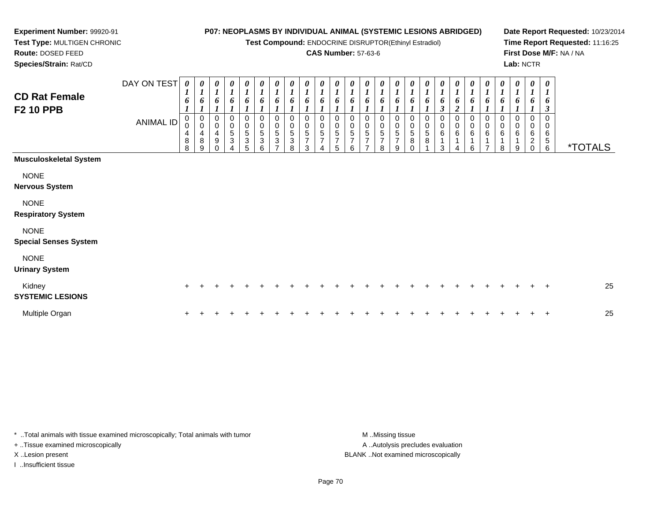**Test Compound:** ENDOCRINE DISRUPTOR(Ethinyl Estradiol)

### **CAS Number:** 57-63-6

**Date Report Requested:** 10/23/2014**Time Report Requested:** 11:16:25**First Dose M/F:** NA / NA**Lab:** NCTR

 **Test Type:** MULTIGEN CHRONIC**Route:** DOSED FEED**Species/Strain:** Rat/CD

**Experiment Number:** 99920-91

| <b>CD Rat Female</b><br><b>F2 10 PPB</b>    | DAY ON TEST<br><b>ANIMAL ID</b> | 0<br>6<br>0<br>$\pmb{0}$<br>4<br>8<br>8 | 0<br>$\boldsymbol{l}$<br>6<br>$\mathbf 0$<br>$\mathbf 0$<br>$\overline{\mathbf{4}}$<br>8<br>9 | 0<br>$\boldsymbol{l}$<br>6<br>0<br>$\pmb{0}$<br>$\overline{4}$<br>$\boldsymbol{9}$<br>$\Omega$ | $\pmb{\theta}$<br>$\boldsymbol{l}$<br>6<br>0<br>$\pmb{0}$<br>$\mathbf 5$<br>$\ensuremath{\mathsf{3}}$ | $\begin{matrix} 0 \\ 1 \end{matrix}$<br>6<br>$\begin{array}{c} 0 \\ 0 \\ 5 \\ 3 \end{array}$<br>$\overline{5}$ | 0<br>$\boldsymbol{l}$<br>6<br>0<br>$\frac{0}{5}$<br>$6\phantom{a}$ | 0<br>$\boldsymbol{l}$<br>6<br>0<br>$\begin{array}{c} 0 \\ 5 \end{array}$<br>$\ensuremath{\mathsf{3}}$<br>$\overline{ }$ | 0<br>1<br>6<br>0<br>$\pmb{0}$<br>$\sqrt{5}$<br>$\ensuremath{\mathsf{3}}$<br>8 | 0<br>6<br>0<br>0<br>5<br>$\overline{7}$<br>3 | 0<br>$\boldsymbol{l}$<br>6<br>0<br>$\pmb{0}$<br>5<br>$\overline{7}$<br>4 | 0<br>$\boldsymbol{l}$<br>6<br>$\mathbf 0$<br>$\boldsymbol{0}$<br>5<br>$\overline{7}$<br>5 | 0<br>6<br>0<br>$\overline{0}$<br>5<br>$\overline{7}$<br>6 | 0<br>6<br>0<br>$\boldsymbol{0}$<br>$\frac{5}{7}$<br>$\overline{ }$ | 0<br>$\boldsymbol{l}$<br>6<br>0<br>0<br>$\,$ 5 $\,$<br>$\boldsymbol{7}$<br>8 | 0<br>$\boldsymbol{l}$<br>6<br>0<br>$\mathbf 0$<br>$\overline{5}$<br>$\overline{7}$<br>9 | 0<br>6<br>0<br>$\mathbf 0$<br>$\,$ 5 $\,$<br>$\bf 8$<br>∩ | 0<br>6<br>0<br>$\pmb{0}$<br>$\mathbf 5$<br>8 | 6<br>3<br>$\mathbf 0$<br>6<br>3 | 0<br>6<br>$\overline{\mathbf{c}}$<br>0<br>$\pmb{0}$<br>$\,6$<br>4 | 0<br>6<br>0<br>$\pmb{0}$<br>$\,6$<br>6 | 0<br>6<br>0<br>$\pmb{0}$<br>6<br>$\overline{ }$ | $\boldsymbol{\theta}$<br>$\boldsymbol{l}$<br>6<br>0<br>$\mathbf 0$<br>$\,6\,$<br>1<br>8 | $\pmb{\theta}$<br>$\boldsymbol{l}$<br>6<br>0<br>$\,0\,$<br>$\,6$<br>1<br>9 | $\boldsymbol{\theta}$<br>$\boldsymbol{l}$<br>6<br>0<br>$\pmb{0}$<br>$\,6$<br>$\sqrt{2}$<br>$\mathbf 0$ | 0<br>$\boldsymbol{l}$<br>6<br>3<br>0<br>$\mathbf 0$<br>6<br>$\,$ 5 $\,$<br>6 | <i><b>*TOTALS</b></i> |
|---------------------------------------------|---------------------------------|-----------------------------------------|-----------------------------------------------------------------------------------------------|------------------------------------------------------------------------------------------------|-------------------------------------------------------------------------------------------------------|----------------------------------------------------------------------------------------------------------------|--------------------------------------------------------------------|-------------------------------------------------------------------------------------------------------------------------|-------------------------------------------------------------------------------|----------------------------------------------|--------------------------------------------------------------------------|-------------------------------------------------------------------------------------------|-----------------------------------------------------------|--------------------------------------------------------------------|------------------------------------------------------------------------------|-----------------------------------------------------------------------------------------|-----------------------------------------------------------|----------------------------------------------|---------------------------------|-------------------------------------------------------------------|----------------------------------------|-------------------------------------------------|-----------------------------------------------------------------------------------------|----------------------------------------------------------------------------|--------------------------------------------------------------------------------------------------------|------------------------------------------------------------------------------|-----------------------|
| <b>Musculoskeletal System</b>               |                                 |                                         |                                                                                               |                                                                                                |                                                                                                       |                                                                                                                |                                                                    |                                                                                                                         |                                                                               |                                              |                                                                          |                                                                                           |                                                           |                                                                    |                                                                              |                                                                                         |                                                           |                                              |                                 |                                                                   |                                        |                                                 |                                                                                         |                                                                            |                                                                                                        |                                                                              |                       |
| <b>NONE</b><br><b>Nervous System</b>        |                                 |                                         |                                                                                               |                                                                                                |                                                                                                       |                                                                                                                |                                                                    |                                                                                                                         |                                                                               |                                              |                                                                          |                                                                                           |                                                           |                                                                    |                                                                              |                                                                                         |                                                           |                                              |                                 |                                                                   |                                        |                                                 |                                                                                         |                                                                            |                                                                                                        |                                                                              |                       |
| <b>NONE</b><br><b>Respiratory System</b>    |                                 |                                         |                                                                                               |                                                                                                |                                                                                                       |                                                                                                                |                                                                    |                                                                                                                         |                                                                               |                                              |                                                                          |                                                                                           |                                                           |                                                                    |                                                                              |                                                                                         |                                                           |                                              |                                 |                                                                   |                                        |                                                 |                                                                                         |                                                                            |                                                                                                        |                                                                              |                       |
| <b>NONE</b><br><b>Special Senses System</b> |                                 |                                         |                                                                                               |                                                                                                |                                                                                                       |                                                                                                                |                                                                    |                                                                                                                         |                                                                               |                                              |                                                                          |                                                                                           |                                                           |                                                                    |                                                                              |                                                                                         |                                                           |                                              |                                 |                                                                   |                                        |                                                 |                                                                                         |                                                                            |                                                                                                        |                                                                              |                       |
| <b>NONE</b><br><b>Urinary System</b>        |                                 |                                         |                                                                                               |                                                                                                |                                                                                                       |                                                                                                                |                                                                    |                                                                                                                         |                                                                               |                                              |                                                                          |                                                                                           |                                                           |                                                                    |                                                                              |                                                                                         |                                                           |                                              |                                 |                                                                   |                                        |                                                 |                                                                                         |                                                                            |                                                                                                        |                                                                              |                       |
| Kidney<br><b>SYSTEMIC LESIONS</b>           |                                 | $\pm$                                   |                                                                                               |                                                                                                |                                                                                                       |                                                                                                                |                                                                    |                                                                                                                         |                                                                               |                                              |                                                                          |                                                                                           |                                                           |                                                                    |                                                                              |                                                                                         |                                                           |                                              |                                 |                                                                   |                                        |                                                 |                                                                                         |                                                                            |                                                                                                        | $\ddot{}$                                                                    | 25                    |
| Multiple Organ                              |                                 |                                         |                                                                                               |                                                                                                |                                                                                                       |                                                                                                                |                                                                    |                                                                                                                         |                                                                               |                                              |                                                                          |                                                                                           |                                                           |                                                                    |                                                                              |                                                                                         |                                                           |                                              |                                 |                                                                   |                                        |                                                 |                                                                                         |                                                                            |                                                                                                        | $\ddot{}$                                                                    | 25                    |

\* ..Total animals with tissue examined microscopically; Total animals with tumor **M** . Missing tissue M ..Missing tissue + ..Tissue examined microscopically

I ..Insufficient tissue

A ..Autolysis precludes evaluation X ..Lesion present BLANK ..Not examined microscopically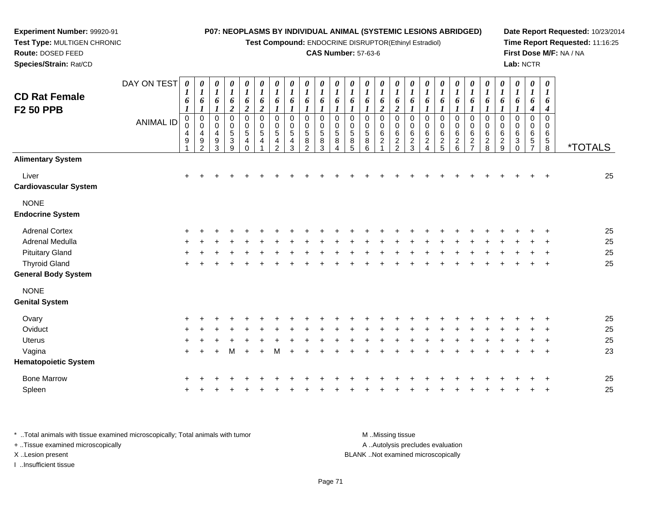**Test Compound:** ENDOCRINE DISRUPTOR(Ethinyl Estradiol)

### **CAS Number:** 57-63-6

**Date Report Requested:** 10/23/2014**Time Report Requested:** 11:16:25**First Dose M/F:** NA / NA**Lab:** NCTR

> *1 6*

**Route:** DOSED FEED **Species/Strain:** Rat/CDDAY ON TEST **CD Rat FemaleF2 50 PPB***0 1 6 10 1 6 10 1 6 10 1 6 0 1 6 0 1 6 0 1 6 10 1 6 10 1 6 10 1 6 1*

**Experiment Number:** 99920-91**Test Type:** MULTIGEN CHRONIC

| <b>CD Rat Female</b><br><b>F2 50 PPB</b>           | DAY ON TEST<br><b>ANIMAL ID</b> | 0<br>$\boldsymbol{l}$<br>6<br>$\begin{smallmatrix}0\\0\end{smallmatrix}$<br>$\overline{\mathbf{4}}$ | 0<br>$\boldsymbol{l}$<br>6<br>$\boldsymbol{l}$<br>$\mathbf 0$<br>$\mathbf 0$<br>$\overline{4}$ | 0<br>$\boldsymbol{l}$<br>6<br>$\boldsymbol{l}$<br>$\mathsf 0$<br>$\mathbf 0$<br>$\overline{4}$ | 0<br>$\boldsymbol{l}$<br>6<br>$\boldsymbol{2}$<br>$\overline{0}$<br>0<br>$\,$ 5 $\,$ | 0<br>$\boldsymbol{l}$<br>6<br>$\overline{2}$<br>$\pmb{0}$<br>$\begin{array}{c} 0 \\ 5 \end{array}$ | 0<br>$\boldsymbol{l}$<br>6<br>$\overline{2}$<br>$\pmb{0}$<br>$\begin{array}{c} 0 \\ 5 \end{array}$ | 0<br>$\boldsymbol{l}$<br>6<br>$\pmb{0}$<br>$\pmb{0}$<br>$\overline{5}$ | 0<br>$\boldsymbol{l}$<br>6<br>$\pmb{0}$<br>$\begin{array}{c} 0 \\ 5 \end{array}$ | $\boldsymbol{\theta}$<br>$\boldsymbol{l}$<br>6<br>$\mathbf 0$<br>0<br>$\sqrt{5}$ | 0<br>1<br>6<br>1<br>$\mathbf 0$<br>0<br>5 | 0<br>6<br>$\mathbf 0$<br>0<br>$\sqrt{5}$ | $\boldsymbol{\theta}$<br>$\boldsymbol{l}$<br>6<br>$\mathbf 0$<br>0<br>$\overline{5}$ | 0<br>$\boldsymbol{l}$<br>6<br>$\mathbf 0$<br>$\pmb{0}$<br>$\overline{5}$ | 0<br>$\boldsymbol{l}$<br>6<br>$\overline{\mathbf{c}}$<br>$\mathbf 0$<br>$\mathbf 0$<br>$\,6\,$ | 0<br>$\boldsymbol{l}$<br>6<br>$\overline{2}$<br>$\mathbf 0$<br>$_{6}^{\rm 0}$ | 0<br>$\boldsymbol{l}$<br>6<br>$\mathbf 0$<br>$\mathbf 0$<br>$\,6\,$ | $\boldsymbol{l}$<br>6<br>$\mathbf 0$<br>0<br>6 | 0<br>$\boldsymbol{l}$<br>6<br>$\mathbf 0$<br>$\pmb{0}$<br>$\,6$ | $\boldsymbol{\theta}$<br>$\boldsymbol{l}$<br>6<br>0<br>0<br>6 | 0<br>$\boldsymbol{l}$<br>6<br>$\mathbf 0$<br>$\pmb{0}$<br>$\,6$ | 0<br>$\boldsymbol{l}$<br>6<br>$\pmb{0}$<br>$\pmb{0}$<br>$\,6$ | 0<br>$\boldsymbol{l}$<br>6<br>$\mathbf 0$<br>0<br>$\,6\,$ | 0<br>1<br>6<br>$\mathbf 0$<br>0<br>6 | 0<br>1<br>6<br>4<br>$\Omega$<br>0<br>6 | 0<br>6<br>4<br>$\mathbf 0$<br>$\mathbf 0$<br>$\,6$ |                       |
|----------------------------------------------------|---------------------------------|-----------------------------------------------------------------------------------------------------|------------------------------------------------------------------------------------------------|------------------------------------------------------------------------------------------------|--------------------------------------------------------------------------------------|----------------------------------------------------------------------------------------------------|----------------------------------------------------------------------------------------------------|------------------------------------------------------------------------|----------------------------------------------------------------------------------|----------------------------------------------------------------------------------|-------------------------------------------|------------------------------------------|--------------------------------------------------------------------------------------|--------------------------------------------------------------------------|------------------------------------------------------------------------------------------------|-------------------------------------------------------------------------------|---------------------------------------------------------------------|------------------------------------------------|-----------------------------------------------------------------|---------------------------------------------------------------|-----------------------------------------------------------------|---------------------------------------------------------------|-----------------------------------------------------------|--------------------------------------|----------------------------------------|----------------------------------------------------|-----------------------|
|                                                    |                                 | $\boldsymbol{9}$                                                                                    | $\boldsymbol{9}$<br>$\overline{2}$                                                             | $\boldsymbol{9}$<br>3                                                                          | $\ensuremath{\mathsf{3}}$<br>9                                                       | $\overline{4}$<br>$\Omega$                                                                         | 4                                                                                                  | 4<br>$\overline{2}$                                                    | $\overline{\mathbf{4}}$<br>3                                                     | $\bf8$<br>2                                                                      | 8<br>3                                    | 8<br>4                                   | $\bf 8$<br>5                                                                         | 8<br>6                                                                   | $\overline{c}$<br>$\overline{1}$                                                               | $\frac{2}{2}$                                                                 | $\sqrt{2}$<br>3                                                     | $\overline{c}$<br>$\overline{4}$               | $\sqrt{2}$<br>5                                                 | $\begin{array}{c} 2 \\ 6 \end{array}$                         | $\boldsymbol{2}$                                                | $\boldsymbol{2}$<br>8                                         | $\overline{c}$<br>$\boldsymbol{9}$                        | 3<br>$\Omega$                        | 5                                      | $\sqrt{5}$<br>8                                    | <i><b>*TOTALS</b></i> |
| <b>Alimentary System</b>                           |                                 |                                                                                                     |                                                                                                |                                                                                                |                                                                                      |                                                                                                    |                                                                                                    |                                                                        |                                                                                  |                                                                                  |                                           |                                          |                                                                                      |                                                                          |                                                                                                |                                                                               |                                                                     |                                                |                                                                 |                                                               |                                                                 |                                                               |                                                           |                                      |                                        |                                                    |                       |
| Liver<br><b>Cardiovascular System</b>              |                                 | $+$                                                                                                 |                                                                                                |                                                                                                |                                                                                      |                                                                                                    |                                                                                                    |                                                                        |                                                                                  |                                                                                  |                                           |                                          |                                                                                      |                                                                          |                                                                                                |                                                                               |                                                                     |                                                |                                                                 |                                                               |                                                                 |                                                               |                                                           |                                      |                                        | $\overline{+}$                                     | 25                    |
| <b>NONE</b><br><b>Endocrine System</b>             |                                 |                                                                                                     |                                                                                                |                                                                                                |                                                                                      |                                                                                                    |                                                                                                    |                                                                        |                                                                                  |                                                                                  |                                           |                                          |                                                                                      |                                                                          |                                                                                                |                                                                               |                                                                     |                                                |                                                                 |                                                               |                                                                 |                                                               |                                                           |                                      |                                        |                                                    |                       |
| <b>Adrenal Cortex</b>                              |                                 | $\div$                                                                                              |                                                                                                |                                                                                                |                                                                                      |                                                                                                    |                                                                                                    |                                                                        |                                                                                  |                                                                                  |                                           |                                          |                                                                                      |                                                                          |                                                                                                |                                                                               |                                                                     |                                                |                                                                 |                                                               |                                                                 |                                                               |                                                           |                                      |                                        |                                                    | 25                    |
| Adrenal Medulla                                    |                                 |                                                                                                     |                                                                                                |                                                                                                |                                                                                      |                                                                                                    |                                                                                                    |                                                                        |                                                                                  |                                                                                  |                                           |                                          |                                                                                      |                                                                          |                                                                                                |                                                                               |                                                                     |                                                |                                                                 |                                                               |                                                                 |                                                               |                                                           |                                      |                                        |                                                    | 25                    |
| <b>Pituitary Gland</b>                             |                                 | $\div$                                                                                              |                                                                                                |                                                                                                |                                                                                      |                                                                                                    |                                                                                                    |                                                                        |                                                                                  |                                                                                  |                                           |                                          |                                                                                      |                                                                          |                                                                                                |                                                                               |                                                                     |                                                |                                                                 |                                                               |                                                                 |                                                               |                                                           |                                      |                                        |                                                    | 25                    |
| <b>Thyroid Gland</b><br><b>General Body System</b> |                                 |                                                                                                     |                                                                                                |                                                                                                |                                                                                      |                                                                                                    |                                                                                                    |                                                                        |                                                                                  |                                                                                  |                                           |                                          |                                                                                      |                                                                          |                                                                                                |                                                                               |                                                                     |                                                |                                                                 |                                                               |                                                                 |                                                               |                                                           |                                      |                                        |                                                    | 25                    |
| <b>NONE</b><br><b>Genital System</b>               |                                 |                                                                                                     |                                                                                                |                                                                                                |                                                                                      |                                                                                                    |                                                                                                    |                                                                        |                                                                                  |                                                                                  |                                           |                                          |                                                                                      |                                                                          |                                                                                                |                                                                               |                                                                     |                                                |                                                                 |                                                               |                                                                 |                                                               |                                                           |                                      |                                        |                                                    |                       |
| Ovary                                              |                                 |                                                                                                     |                                                                                                |                                                                                                |                                                                                      |                                                                                                    |                                                                                                    |                                                                        |                                                                                  |                                                                                  |                                           |                                          |                                                                                      |                                                                          |                                                                                                |                                                                               |                                                                     |                                                |                                                                 |                                                               |                                                                 |                                                               |                                                           |                                      |                                        |                                                    | 25                    |
| Oviduct                                            |                                 |                                                                                                     |                                                                                                |                                                                                                |                                                                                      |                                                                                                    |                                                                                                    |                                                                        |                                                                                  |                                                                                  |                                           |                                          |                                                                                      |                                                                          |                                                                                                |                                                                               |                                                                     |                                                |                                                                 |                                                               |                                                                 |                                                               |                                                           |                                      |                                        |                                                    | 25                    |
| <b>Uterus</b>                                      |                                 |                                                                                                     |                                                                                                |                                                                                                |                                                                                      |                                                                                                    |                                                                                                    |                                                                        |                                                                                  |                                                                                  |                                           |                                          |                                                                                      |                                                                          |                                                                                                |                                                                               |                                                                     |                                                |                                                                 |                                                               |                                                                 |                                                               |                                                           |                                      |                                        |                                                    | 25                    |
| Vagina<br><b>Hematopoietic System</b>              |                                 | $\ddot{}$                                                                                           |                                                                                                |                                                                                                | м                                                                                    |                                                                                                    |                                                                                                    | м                                                                      |                                                                                  |                                                                                  |                                           |                                          |                                                                                      |                                                                          |                                                                                                |                                                                               |                                                                     |                                                |                                                                 |                                                               |                                                                 |                                                               |                                                           |                                      |                                        |                                                    | 23                    |
| <b>Bone Marrow</b>                                 |                                 |                                                                                                     |                                                                                                |                                                                                                |                                                                                      |                                                                                                    |                                                                                                    |                                                                        |                                                                                  |                                                                                  |                                           |                                          |                                                                                      |                                                                          |                                                                                                |                                                                               |                                                                     |                                                |                                                                 |                                                               |                                                                 |                                                               |                                                           |                                      |                                        |                                                    | 25                    |
| Spleen                                             |                                 |                                                                                                     |                                                                                                |                                                                                                |                                                                                      |                                                                                                    |                                                                                                    |                                                                        |                                                                                  |                                                                                  |                                           |                                          |                                                                                      |                                                                          |                                                                                                |                                                                               |                                                                     |                                                |                                                                 |                                                               |                                                                 |                                                               |                                                           |                                      |                                        |                                                    | 25                    |

\* ..Total animals with tissue examined microscopically; Total animals with tumor **M** ..Missing tissue M ..Missing tissue A ..Autolysis precludes evaluation + ..Tissue examined microscopically X ..Lesion present BLANK ..Not examined microscopicallyI ..Insufficient tissue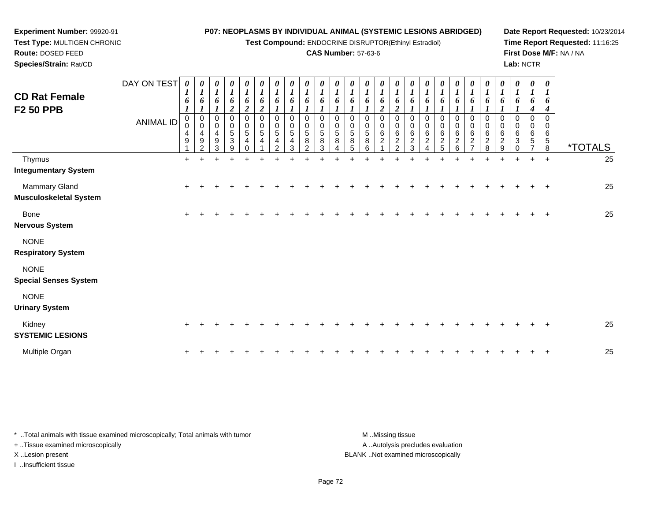**Test Compound:** ENDOCRINE DISRUPTOR(Ethinyl Estradiol)

### **CAS Number:** 57-63-6

**Date Report Requested:** 10/23/2014**Time Report Requested:** 11:16:25**First Dose M/F:** NA / NA**Lab:** NCTR

| <b>CD Rat Female</b><br><b>F2 50 PPB</b>       | DAY ON TEST<br><b>ANIMAL ID</b> | 0<br>$\boldsymbol{I}$<br>6<br>$\boldsymbol{l}$<br>0<br>0<br>4<br>9 | 0<br>$\boldsymbol{l}$<br>6<br>$\boldsymbol{l}$<br>0<br>$\mathbf 0$<br>4<br>$\boldsymbol{9}$<br>$\overline{2}$ | $\boldsymbol{\theta}$<br>$\boldsymbol{l}$<br>6<br>$\boldsymbol{l}$<br>0<br>$\pmb{0}$<br>$\overline{4}$<br>$9\,$<br>3 | $\frac{\theta}{I}$<br>6<br>$\boldsymbol{2}$<br>$\pmb{0}$<br>$\pmb{0}$<br>$\overline{5}$<br>$\ensuremath{\mathsf{3}}$<br>9 | $\frac{\boldsymbol{\theta}}{\boldsymbol{I}}$<br>6<br>$\overline{2}$<br>0<br>$\mathbf 0$<br>5<br>$\overline{4}$<br>$\Omega$ | 0<br>$\boldsymbol{l}$<br>6<br>$\boldsymbol{2}$<br>$\pmb{0}$<br>$\pmb{0}$<br>$\sqrt{5}$<br>$\overline{4}$ | $\boldsymbol{\theta}$<br>$\boldsymbol{l}$<br>6<br>$\boldsymbol{l}$<br>$\pmb{0}$<br>$\pmb{0}$<br>$\sqrt{5}$<br>4<br>$\overline{2}$ | $\frac{\theta}{I}$<br>6<br>$\boldsymbol{\eta}$<br>$\pmb{0}$<br>$\begin{array}{c} 0 \\ 5 \end{array}$<br>$\overline{\mathbf{4}}$<br>3 | $\frac{\theta}{I}$<br>6<br>0<br>0<br>5<br>8<br>$\overline{2}$ | $\frac{\theta}{I}$<br>6<br>$\mathbf 0$<br>5<br>8<br>3 | 0<br>6<br>$\Omega$<br>$\mathbf 0$<br>5<br>8<br>Δ | $\frac{\theta}{I}$<br>6<br>0<br>$\pmb{0}$<br>$\sqrt{5}$<br>8<br>5 | $\boldsymbol{\theta}$<br>6<br>0<br>0<br>5<br>8<br>6 | 0<br>$\boldsymbol{l}$<br>6<br>$\boldsymbol{2}$<br>0<br>$\pmb{0}$<br>6<br>$\overline{c}$ | $\boldsymbol{\theta}$<br>$\boldsymbol{l}$<br>6<br>$\overline{2}$<br>$\mathbf 0$<br>$\pmb{0}$<br>6<br>$\sqrt{2}$<br>$\overline{2}$ | $\boldsymbol{\theta}$<br>$\boldsymbol{l}$<br>6<br>$\mathbf 0$<br>$\pmb{0}$<br>$\,6\,$<br>$\frac{2}{3}$ | 0<br>6<br>0<br>$\pmb{0}$<br>$\,6$<br>$\frac{2}{4}$ | 6<br>0<br>6<br>$\frac{2}{5}$ | 6<br>0<br>0<br>6<br>$\boldsymbol{2}$<br>$6\phantom{1}6$ | $\boldsymbol{\theta}$<br>6<br>0<br>0<br>$\,6\,$<br>$\overline{c}$<br>$\overline{ }$ | $\boldsymbol{\theta}$<br>6<br>0<br>$\mathbf 0$<br>6<br>$\frac{2}{8}$ | $\boldsymbol{\theta}$<br>6<br>$\pmb{0}$<br>6<br>$\frac{2}{9}$ | 6<br>$\Omega$<br>$\mathbf 0$<br>6<br>3<br>0 | 0<br>6<br>4<br>$\Omega$<br>$\mathbf 0$<br>$\,6\,$<br>5<br>$\overline{ }$ | 0<br>6<br>4<br>$\Omega$<br>$\Omega$<br>6<br>$\sqrt{5}$<br>8 | <i><b>*TOTALS</b></i> |
|------------------------------------------------|---------------------------------|--------------------------------------------------------------------|---------------------------------------------------------------------------------------------------------------|----------------------------------------------------------------------------------------------------------------------|---------------------------------------------------------------------------------------------------------------------------|----------------------------------------------------------------------------------------------------------------------------|----------------------------------------------------------------------------------------------------------|-----------------------------------------------------------------------------------------------------------------------------------|--------------------------------------------------------------------------------------------------------------------------------------|---------------------------------------------------------------|-------------------------------------------------------|--------------------------------------------------|-------------------------------------------------------------------|-----------------------------------------------------|-----------------------------------------------------------------------------------------|-----------------------------------------------------------------------------------------------------------------------------------|--------------------------------------------------------------------------------------------------------|----------------------------------------------------|------------------------------|---------------------------------------------------------|-------------------------------------------------------------------------------------|----------------------------------------------------------------------|---------------------------------------------------------------|---------------------------------------------|--------------------------------------------------------------------------|-------------------------------------------------------------|-----------------------|
| Thymus<br><b>Integumentary System</b>          |                                 | $\ddot{}$                                                          | $\pm$                                                                                                         |                                                                                                                      |                                                                                                                           |                                                                                                                            |                                                                                                          |                                                                                                                                   |                                                                                                                                      |                                                               |                                                       |                                                  |                                                                   |                                                     |                                                                                         |                                                                                                                                   |                                                                                                        |                                                    |                              |                                                         |                                                                                     | +                                                                    | +                                                             | $\ddot{}$                                   | $\ddot{}$                                                                | $\ddot{}$                                                   | 25                    |
| Mammary Gland<br><b>Musculoskeletal System</b> |                                 | ÷                                                                  |                                                                                                               |                                                                                                                      |                                                                                                                           |                                                                                                                            |                                                                                                          |                                                                                                                                   |                                                                                                                                      |                                                               |                                                       |                                                  |                                                                   |                                                     |                                                                                         |                                                                                                                                   |                                                                                                        |                                                    |                              |                                                         |                                                                                     |                                                                      |                                                               |                                             |                                                                          |                                                             | 25                    |
| Bone<br><b>Nervous System</b>                  |                                 | $\ddot{}$                                                          |                                                                                                               |                                                                                                                      |                                                                                                                           |                                                                                                                            |                                                                                                          |                                                                                                                                   |                                                                                                                                      |                                                               |                                                       |                                                  |                                                                   |                                                     |                                                                                         |                                                                                                                                   |                                                                                                        |                                                    |                              |                                                         |                                                                                     |                                                                      |                                                               |                                             |                                                                          |                                                             | 25                    |
| <b>NONE</b><br><b>Respiratory System</b>       |                                 |                                                                    |                                                                                                               |                                                                                                                      |                                                                                                                           |                                                                                                                            |                                                                                                          |                                                                                                                                   |                                                                                                                                      |                                                               |                                                       |                                                  |                                                                   |                                                     |                                                                                         |                                                                                                                                   |                                                                                                        |                                                    |                              |                                                         |                                                                                     |                                                                      |                                                               |                                             |                                                                          |                                                             |                       |
| <b>NONE</b><br><b>Special Senses System</b>    |                                 |                                                                    |                                                                                                               |                                                                                                                      |                                                                                                                           |                                                                                                                            |                                                                                                          |                                                                                                                                   |                                                                                                                                      |                                                               |                                                       |                                                  |                                                                   |                                                     |                                                                                         |                                                                                                                                   |                                                                                                        |                                                    |                              |                                                         |                                                                                     |                                                                      |                                                               |                                             |                                                                          |                                                             |                       |
| <b>NONE</b><br><b>Urinary System</b>           |                                 |                                                                    |                                                                                                               |                                                                                                                      |                                                                                                                           |                                                                                                                            |                                                                                                          |                                                                                                                                   |                                                                                                                                      |                                                               |                                                       |                                                  |                                                                   |                                                     |                                                                                         |                                                                                                                                   |                                                                                                        |                                                    |                              |                                                         |                                                                                     |                                                                      |                                                               |                                             |                                                                          |                                                             |                       |
| Kidney<br><b>SYSTEMIC LESIONS</b>              |                                 | +                                                                  |                                                                                                               |                                                                                                                      |                                                                                                                           |                                                                                                                            |                                                                                                          |                                                                                                                                   |                                                                                                                                      |                                                               |                                                       |                                                  |                                                                   |                                                     |                                                                                         |                                                                                                                                   |                                                                                                        |                                                    |                              |                                                         |                                                                                     |                                                                      |                                                               |                                             |                                                                          |                                                             | 25                    |
| Multiple Organ                                 |                                 |                                                                    |                                                                                                               |                                                                                                                      |                                                                                                                           |                                                                                                                            |                                                                                                          |                                                                                                                                   |                                                                                                                                      |                                                               |                                                       |                                                  |                                                                   |                                                     |                                                                                         |                                                                                                                                   |                                                                                                        |                                                    |                              |                                                         |                                                                                     |                                                                      |                                                               |                                             |                                                                          |                                                             | 25                    |

\* ..Total animals with tissue examined microscopically; Total animals with tumor **M** . Missing tissue M ..Missing tissue A ..Autolysis precludes evaluation + ..Tissue examined microscopically X ..Lesion present BLANK ..Not examined microscopicallyI ..Insufficient tissue

**Experiment Number:** 99920-91**Test Type:** MULTIGEN CHRONIC

**Route:** DOSED FEED**Species/Strain:** Rat/CD

Page 72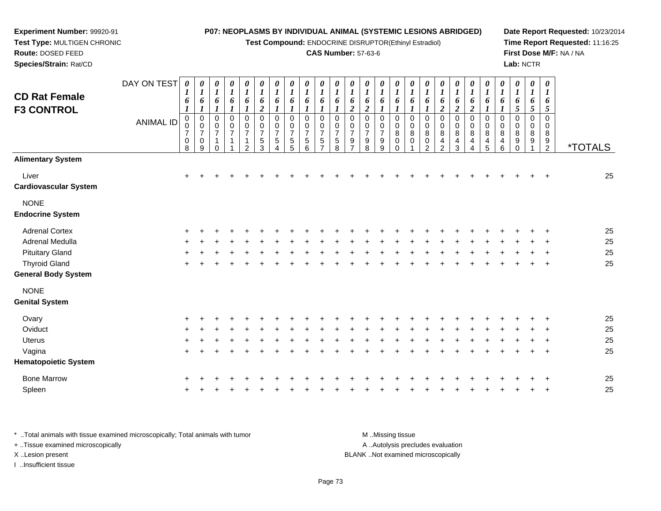**Test Compound:** ENDOCRINE DISRUPTOR(Ethinyl Estradiol)

*0 1*

0<br>0<br>0<br>0

**Date Report Requested:** 10/23/2014**Time Report Requested:** 11:16:25**First Dose M/F:** NA / NA**Lab:** NCTR

 $2 - 2 - 1 - 2$ 

**Route:** DOSED FEED **Species/Strain:** Rat/CD**CAS Number:** 57-63-6DAY ON TEST**CD Rat Female F3 CONTROL**ANIMAL ID*0 1 6 1*0<br>0<br>0<br>0 *0 1 6 1*0<br>0<br>0<br>0 *0 1 6 1* 0 0 7 1*0 1 6 1* 0 0 7 1*0 1 6 1* 0 0 7 1*0 1 6 2* 0 0 7 5*0 1 6 1* 0 0 7 5*0 1 6 1* 0 0 7 5*0 1 6 1* 0 0 7 5*0 1 6 1* 0 0 7 5*0 1 6 1* 0 0 7 5*0 1 6 2* 0 0 7 9*0 1 6 2* 0 0 7 9*0 1 6 1* 0 0 79

**Experiment Number:** 99920-91**Test Type:** MULTIGEN CHRONIC

|                              |                | 8         | 9 | 0 | 2 | 3 | 4 | 5 | 6 | 8 | 8 | 9 | 0         | 2 | 2 | 3 | 4 | 5 | 6 | $\mathbf{0}$ | 2              | $\cdot$<br><b>IOIALS</b> |
|------------------------------|----------------|-----------|---|---|---|---|---|---|---|---|---|---|-----------|---|---|---|---|---|---|--------------|----------------|--------------------------|
| <b>Alimentary System</b>     |                |           |   |   |   |   |   |   |   |   |   |   |           |   |   |   |   |   |   |              |                |                          |
| Liver                        | $\ddot{}$      |           |   |   |   |   |   |   |   |   |   |   |           |   |   |   |   |   |   |              | $+$            | 25                       |
| <b>Cardiovascular System</b> |                |           |   |   |   |   |   |   |   |   |   |   |           |   |   |   |   |   |   |              |                |                          |
| <b>NONE</b>                  |                |           |   |   |   |   |   |   |   |   |   |   |           |   |   |   |   |   |   |              |                |                          |
| <b>Endocrine System</b>      |                |           |   |   |   |   |   |   |   |   |   |   |           |   |   |   |   |   |   |              |                |                          |
| <b>Adrenal Cortex</b>        |                | $\ddot{}$ |   |   |   |   |   |   |   |   |   |   |           |   |   |   |   |   |   |              | $^{+}$         | 25                       |
| Adrenal Medulla              | $\overline{+}$ |           |   |   |   |   |   |   |   |   |   |   |           |   |   |   |   |   |   |              | $\overline{+}$ | 25                       |
| <b>Pituitary Gland</b>       |                | $\ddot{}$ |   |   |   |   |   |   |   |   |   |   | $\ddot{}$ |   |   |   |   |   |   |              | $^{+}$         | 25                       |
| <b>Thyroid Gland</b>         |                | $\ddot{}$ |   |   |   |   |   |   |   |   |   |   |           |   |   |   |   |   |   |              | $^{+}$         | 25                       |
| <b>General Body System</b>   |                |           |   |   |   |   |   |   |   |   |   |   |           |   |   |   |   |   |   |              |                |                          |
| <b>NONE</b>                  |                |           |   |   |   |   |   |   |   |   |   |   |           |   |   |   |   |   |   |              |                |                          |
| <b>Genital System</b>        |                |           |   |   |   |   |   |   |   |   |   |   |           |   |   |   |   |   |   |              |                |                          |
| Ovary                        |                | $\ddot{}$ |   |   |   |   |   |   |   |   |   |   |           |   |   |   |   |   |   |              | $\div$         | 25                       |
| Oviduct                      |                | $\ddot{}$ |   |   |   |   |   |   |   |   |   |   |           |   |   |   |   |   |   |              | $\ddot{}$      | 25                       |
| Uterus                       |                | $\ddot{}$ |   |   |   |   |   |   |   |   |   |   |           |   |   |   |   |   |   |              | $+$            | 25                       |
| Vagina                       |                | $\ddot{}$ |   |   |   |   |   |   |   |   |   |   |           |   |   |   |   |   |   |              | $+$            | 25                       |
| <b>Hematopoietic System</b>  |                |           |   |   |   |   |   |   |   |   |   |   |           |   |   |   |   |   |   |              |                |                          |
| <b>Bone Marrow</b>           |                | $\ddot{}$ |   |   |   |   |   |   |   |   |   |   |           |   |   |   |   |   |   |              | $\overline{+}$ | 25                       |
| Spleen                       |                | $\ddot{}$ |   |   |   |   |   |   |   |   |   |   |           |   |   |   |   |   |   |              | $\overline{+}$ | 25                       |
|                              |                |           |   |   |   |   |   |   |   |   |   |   |           |   |   |   |   |   |   |              |                |                          |

\* ..Total animals with tissue examined microscopically; Total animals with tumor **M** ..Missing tissue M ..Missing tissue A ..Autolysis precludes evaluation + ..Tissue examined microscopically X ..Lesion present BLANK ..Not examined microscopicallyI ..Insufficient tissue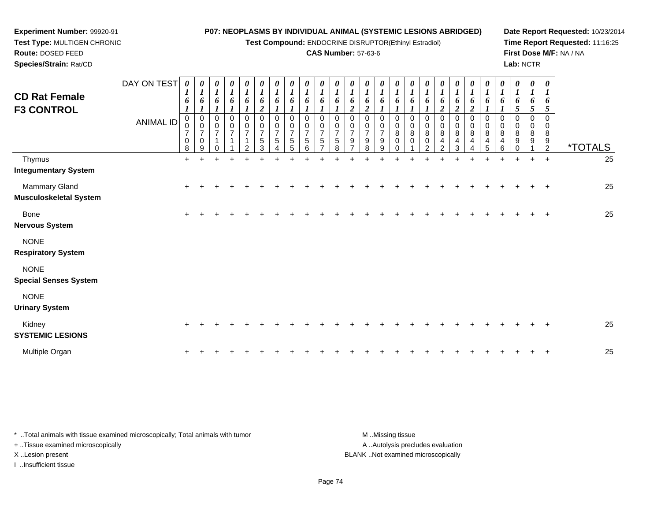**Test Compound:** ENDOCRINE DISRUPTOR(Ethinyl Estradiol)

### **CAS Number:** 57-63-6

**Date Report Requested:** 10/23/2014**Time Report Requested:** 11:16:25**First Dose M/F:** NA / NA**Lab:** NCTR

| <b>CD Rat Female</b><br><b>F3 CONTROL</b>   | DAY ON TEST<br><b>ANIMAL ID</b> | 0<br>$\boldsymbol{l}$<br>6<br>0<br>0<br>$\overline{7}$<br>$\pmb{0}$<br>8 | $\boldsymbol{\theta}$<br>$\boldsymbol{l}$<br>6<br>$\pmb{0}$<br>0<br>$\overline{7}$<br>$\mathbf 0$<br>9 | 0<br>$\boldsymbol{l}$<br>6<br>$\pmb{0}$<br>0<br>$\overline{7}$<br>$\Omega$ | 0<br>$\boldsymbol{l}$<br>6<br>$\mathbf 0$<br>0<br>7 | 0<br>$\boldsymbol{l}$<br>6<br>0<br>0<br>$\overline{7}$<br>2 | 0<br>$\boldsymbol{l}$<br>6<br>$\boldsymbol{2}$<br>$\mathbf 0$<br>0<br>$\overline{7}$<br>5<br>3 | 0<br>$\boldsymbol{l}$<br>6<br>0<br>0<br>$\overline{7}$<br>5 | 0<br>$\boldsymbol{l}$<br>6<br>$\Omega$<br>0<br>$\overline{7}$<br>5<br>5 | $\boldsymbol{\theta}$<br>$\boldsymbol{l}$<br>6<br>1<br>$\Omega$<br>0<br>7<br>5<br>6 | 0<br>$\boldsymbol{l}$<br>6<br>$\Omega$<br>0<br>7<br>5 | $\boldsymbol{\theta}$<br>1<br>6<br>$\Omega$<br>0<br>5<br>8 | $\boldsymbol{\theta}$<br>1<br>6<br>$\boldsymbol{2}$<br>0<br>0<br>9 | 0<br>$\boldsymbol{I}$<br>6<br>2<br>0<br>0<br>$\overline{7}$<br>9<br>8 | 0<br>$\boldsymbol{l}$<br>6<br>0<br>0<br>$\overline{7}$<br>9<br>9 | 0<br>6<br>$\Omega$<br>0<br>8<br>0 | 0<br>6<br>$\Omega$<br>0<br>8<br>0 | $\boldsymbol{\theta}$<br>$\boldsymbol{l}$<br>6<br>$\Omega$<br>0<br>8<br>$\mathbf 0$<br>$\mathcal{P}$ | $\boldsymbol{\theta}$<br>$\boldsymbol{l}$<br>6<br>$\boldsymbol{2}$<br>0<br>0<br>8<br>4<br>2 | $\boldsymbol{\theta}$<br>$\boldsymbol{l}$<br>6<br>$\boldsymbol{2}$<br>$\mathbf 0$<br>$\mathbf 0$<br>8<br>4<br>3 | 0<br>$\boldsymbol{l}$<br>6<br>$\boldsymbol{2}$<br>$\pmb{0}$<br>0<br>$\bf 8$<br>4 | 0<br>1<br>6<br>0<br>0<br>8<br>4<br>5 | 0<br>$\boldsymbol{l}$<br>6<br>$\Omega$<br>0<br>8<br>4<br>6 | 0<br>$\boldsymbol{l}$<br>6<br>5<br>$\mathbf 0$<br>0<br>8<br>9 | 0<br>$\boldsymbol{l}$<br>6<br>5<br>0<br>0<br>8<br>9 | $\boldsymbol{\theta}$<br>$\boldsymbol{l}$<br>6<br>5<br>$\Omega$<br>0<br>8<br>9<br>$\overline{2}$ | <i><b>*TOTALS</b></i> |    |
|---------------------------------------------|---------------------------------|--------------------------------------------------------------------------|--------------------------------------------------------------------------------------------------------|----------------------------------------------------------------------------|-----------------------------------------------------|-------------------------------------------------------------|------------------------------------------------------------------------------------------------|-------------------------------------------------------------|-------------------------------------------------------------------------|-------------------------------------------------------------------------------------|-------------------------------------------------------|------------------------------------------------------------|--------------------------------------------------------------------|-----------------------------------------------------------------------|------------------------------------------------------------------|-----------------------------------|-----------------------------------|------------------------------------------------------------------------------------------------------|---------------------------------------------------------------------------------------------|-----------------------------------------------------------------------------------------------------------------|----------------------------------------------------------------------------------|--------------------------------------|------------------------------------------------------------|---------------------------------------------------------------|-----------------------------------------------------|--------------------------------------------------------------------------------------------------|-----------------------|----|
| Thymus<br><b>Integumentary System</b>       |                                 | $+$                                                                      | $\div$                                                                                                 | $\div$                                                                     | $\ddot{}$                                           | ÷                                                           |                                                                                                | $\ddot{}$                                                   |                                                                         |                                                                                     |                                                       |                                                            |                                                                    |                                                                       | ÷                                                                |                                   | $\div$                            | ÷                                                                                                    |                                                                                             |                                                                                                                 | $\div$                                                                           | $\ddot{}$                            | $\ddot{}$                                                  | $\ddot{}$                                                     | $\ddot{+}$                                          | $+$                                                                                              |                       | 25 |
| Mammary Gland<br>Musculoskeletal System     |                                 | $\ddot{}$                                                                |                                                                                                        |                                                                            |                                                     |                                                             |                                                                                                |                                                             |                                                                         |                                                                                     |                                                       |                                                            |                                                                    |                                                                       |                                                                  |                                   |                                   |                                                                                                      |                                                                                             |                                                                                                                 |                                                                                  |                                      |                                                            |                                                               |                                                     |                                                                                                  |                       | 25 |
| Bone<br><b>Nervous System</b>               |                                 | $\ddot{}$                                                                |                                                                                                        |                                                                            |                                                     |                                                             |                                                                                                |                                                             |                                                                         |                                                                                     |                                                       |                                                            |                                                                    |                                                                       |                                                                  |                                   |                                   |                                                                                                      |                                                                                             |                                                                                                                 |                                                                                  |                                      |                                                            |                                                               |                                                     |                                                                                                  |                       | 25 |
| <b>NONE</b><br><b>Respiratory System</b>    |                                 |                                                                          |                                                                                                        |                                                                            |                                                     |                                                             |                                                                                                |                                                             |                                                                         |                                                                                     |                                                       |                                                            |                                                                    |                                                                       |                                                                  |                                   |                                   |                                                                                                      |                                                                                             |                                                                                                                 |                                                                                  |                                      |                                                            |                                                               |                                                     |                                                                                                  |                       |    |
| <b>NONE</b><br><b>Special Senses System</b> |                                 |                                                                          |                                                                                                        |                                                                            |                                                     |                                                             |                                                                                                |                                                             |                                                                         |                                                                                     |                                                       |                                                            |                                                                    |                                                                       |                                                                  |                                   |                                   |                                                                                                      |                                                                                             |                                                                                                                 |                                                                                  |                                      |                                                            |                                                               |                                                     |                                                                                                  |                       |    |
| <b>NONE</b><br><b>Urinary System</b>        |                                 |                                                                          |                                                                                                        |                                                                            |                                                     |                                                             |                                                                                                |                                                             |                                                                         |                                                                                     |                                                       |                                                            |                                                                    |                                                                       |                                                                  |                                   |                                   |                                                                                                      |                                                                                             |                                                                                                                 |                                                                                  |                                      |                                                            |                                                               |                                                     |                                                                                                  |                       |    |
| Kidney<br><b>SYSTEMIC LESIONS</b>           |                                 | $\ddot{}$                                                                |                                                                                                        |                                                                            |                                                     |                                                             |                                                                                                |                                                             |                                                                         |                                                                                     |                                                       |                                                            |                                                                    |                                                                       |                                                                  |                                   |                                   |                                                                                                      |                                                                                             |                                                                                                                 |                                                                                  |                                      |                                                            |                                                               |                                                     |                                                                                                  |                       | 25 |
| Multiple Organ                              |                                 | $\ddot{}$                                                                |                                                                                                        |                                                                            |                                                     |                                                             |                                                                                                |                                                             |                                                                         |                                                                                     |                                                       |                                                            |                                                                    |                                                                       |                                                                  |                                   |                                   |                                                                                                      |                                                                                             |                                                                                                                 |                                                                                  |                                      |                                                            |                                                               |                                                     |                                                                                                  |                       | 25 |

\* ..Total animals with tissue examined microscopically; Total animals with tumor **M** . Missing tissue M ..Missing tissue A ..Autolysis precludes evaluation + ..Tissue examined microscopically X ..Lesion present BLANK ..Not examined microscopicallyI ..Insufficient tissue

**Experiment Number:** 99920-91**Test Type:** MULTIGEN CHRONIC

**Route:** DOSED FEED**Species/Strain:** Rat/CD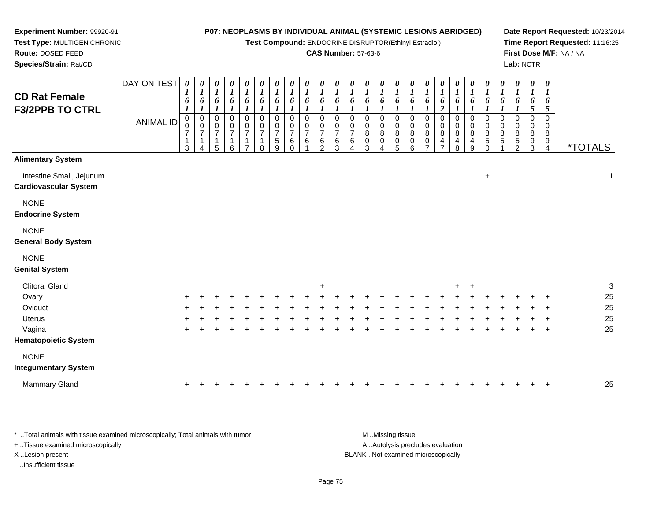**Test Compound:** ENDOCRINE DISRUPTOR(Ethinyl Estradiol)

# **CAS Number:** 57-63-6

**Date Report Requested:** 10/23/2014 **Time Report Requested:** 11:16:25**First Dose M/F:** NA / NA**Lab:** NCTR

| <b>CD Rat Female</b><br><b>F3/2PPB TO CTRL</b>           | DAY ON TEST<br>ANIMAL ID | 0<br>1<br>6<br>$\begin{smallmatrix} 0\\0 \end{smallmatrix}$<br>$\overline{7}$<br>1<br>3 | $\boldsymbol{\theta}$<br>$\bm{l}$<br>6<br>-1<br>0<br>$\mathbf 0$<br>$\overline{7}$<br>$\mathbf 1$<br>4 | 0<br>$\boldsymbol{l}$<br>6<br>1<br>0<br>0<br>$\overline{7}$<br>1<br>5 | $\pmb{\theta}$<br>$\boldsymbol{l}$<br>6<br>1<br>0<br>$\pmb{0}$<br>$\overline{7}$<br>1<br>6 | 0<br>$\boldsymbol{l}$<br>6<br>1<br>0<br>$\boldsymbol{0}$<br>$\overline{7}$ | $\pmb{\theta}$<br>$\boldsymbol{l}$<br>6<br>1<br>0<br>$\pmb{0}$<br>7<br>4<br>8 | $\pmb{\theta}$<br>$\boldsymbol{l}$<br>6<br>1<br>0<br>$\,0\,$<br>7<br>$\mathbf 5$<br>9 | $\pmb{\theta}$<br>$\boldsymbol{l}$<br>6<br>0<br>$\pmb{0}$<br>$\overline{\mathbf{7}}$<br>6<br>$\Omega$ | 0<br>$\boldsymbol{l}$<br>6<br>0<br>0<br>$\overline{7}$<br>6 | 0<br>$\boldsymbol{l}$<br>6<br>$\boldsymbol{l}$<br>0<br>0<br>$\overline{7}$<br>6<br>$\overline{2}$ | 0<br>$\boldsymbol{l}$<br>6<br>1<br>$\Omega$<br>0<br>$\overline{7}$<br>6<br>3 | $\pmb{\theta}$<br>$\boldsymbol{l}$<br>6<br>0<br>$\mathbf 0$<br>$\overline{7}$<br>6 | 0<br>$\boldsymbol{l}$<br>6<br>0<br>0<br>8<br>$\pmb{0}$<br>3 | $\pmb{\theta}$<br>$\boldsymbol{l}$<br>6<br>0<br>$\boldsymbol{0}$<br>$\bf 8$<br>$\pmb{0}$<br>4 | $\boldsymbol{\theta}$<br>$\boldsymbol{l}$<br>6<br>0<br>$\pmb{0}$<br>$\,$ 8 $\,$<br>$\pmb{0}$<br>5 | $\pmb{\theta}$<br>$\boldsymbol{l}$<br>6<br>0<br>$\,0\,$<br>$\bf8$<br>$\mathsf 0$<br>6 | $\pmb{\theta}$<br>$\boldsymbol{l}$<br>6<br>0<br>$\pmb{0}$<br>$\,8\,$<br>0<br>$\overline{ }$ | 0<br>$\boldsymbol{l}$<br>6<br>$\boldsymbol{2}$<br>0<br>0<br>8<br>$\overline{4}$<br>$\overline{7}$ | $\boldsymbol{\theta}$<br>$\boldsymbol{l}$<br>6<br>0<br>0<br>8<br>4<br>8 | 0<br>$\boldsymbol{l}$<br>6<br>0<br>$\boldsymbol{0}$<br>$\bf 8$<br>4<br>9 | 0<br>$\boldsymbol{l}$<br>6<br>1<br>0<br>0<br>8<br>5<br>0 | $\pmb{\theta}$<br>$\boldsymbol{l}$<br>6<br>1<br>0<br>$\mathbf 0$<br>8<br>5 | $\pmb{\theta}$<br>$\boldsymbol{l}$<br>6<br>$\boldsymbol{l}$<br>0<br>$\mathbf 0$<br>8<br>$\mathbf 5$<br>$\overline{2}$ | $\pmb{\theta}$<br>$\boldsymbol{l}$<br>6<br>5<br>0<br>0<br>8<br>9<br>$\mathbf{3}$ | $\boldsymbol{\theta}$<br>1<br>6<br>5<br>$\Omega$<br>0<br>8<br>9<br>$\overline{4}$ | <i><b>*TOTALS</b></i> |
|----------------------------------------------------------|--------------------------|-----------------------------------------------------------------------------------------|--------------------------------------------------------------------------------------------------------|-----------------------------------------------------------------------|--------------------------------------------------------------------------------------------|----------------------------------------------------------------------------|-------------------------------------------------------------------------------|---------------------------------------------------------------------------------------|-------------------------------------------------------------------------------------------------------|-------------------------------------------------------------|---------------------------------------------------------------------------------------------------|------------------------------------------------------------------------------|------------------------------------------------------------------------------------|-------------------------------------------------------------|-----------------------------------------------------------------------------------------------|---------------------------------------------------------------------------------------------------|---------------------------------------------------------------------------------------|---------------------------------------------------------------------------------------------|---------------------------------------------------------------------------------------------------|-------------------------------------------------------------------------|--------------------------------------------------------------------------|----------------------------------------------------------|----------------------------------------------------------------------------|-----------------------------------------------------------------------------------------------------------------------|----------------------------------------------------------------------------------|-----------------------------------------------------------------------------------|-----------------------|
| <b>Alimentary System</b>                                 |                          |                                                                                         |                                                                                                        |                                                                       |                                                                                            |                                                                            |                                                                               |                                                                                       |                                                                                                       |                                                             |                                                                                                   |                                                                              |                                                                                    |                                                             |                                                                                               |                                                                                                   |                                                                                       |                                                                                             |                                                                                                   |                                                                         |                                                                          |                                                          |                                                                            |                                                                                                                       |                                                                                  |                                                                                   |                       |
| Intestine Small, Jejunum<br><b>Cardiovascular System</b> |                          |                                                                                         |                                                                                                        |                                                                       |                                                                                            |                                                                            |                                                                               |                                                                                       |                                                                                                       |                                                             |                                                                                                   |                                                                              |                                                                                    |                                                             |                                                                                               |                                                                                                   |                                                                                       |                                                                                             |                                                                                                   |                                                                         |                                                                          | $\ddot{}$                                                |                                                                            |                                                                                                                       |                                                                                  |                                                                                   | 1                     |
| <b>NONE</b><br><b>Endocrine System</b>                   |                          |                                                                                         |                                                                                                        |                                                                       |                                                                                            |                                                                            |                                                                               |                                                                                       |                                                                                                       |                                                             |                                                                                                   |                                                                              |                                                                                    |                                                             |                                                                                               |                                                                                                   |                                                                                       |                                                                                             |                                                                                                   |                                                                         |                                                                          |                                                          |                                                                            |                                                                                                                       |                                                                                  |                                                                                   |                       |
| <b>NONE</b><br><b>General Body System</b>                |                          |                                                                                         |                                                                                                        |                                                                       |                                                                                            |                                                                            |                                                                               |                                                                                       |                                                                                                       |                                                             |                                                                                                   |                                                                              |                                                                                    |                                                             |                                                                                               |                                                                                                   |                                                                                       |                                                                                             |                                                                                                   |                                                                         |                                                                          |                                                          |                                                                            |                                                                                                                       |                                                                                  |                                                                                   |                       |
| <b>NONE</b><br><b>Genital System</b>                     |                          |                                                                                         |                                                                                                        |                                                                       |                                                                                            |                                                                            |                                                                               |                                                                                       |                                                                                                       |                                                             |                                                                                                   |                                                                              |                                                                                    |                                                             |                                                                                               |                                                                                                   |                                                                                       |                                                                                             |                                                                                                   |                                                                         |                                                                          |                                                          |                                                                            |                                                                                                                       |                                                                                  |                                                                                   |                       |
| <b>Clitoral Gland</b>                                    |                          |                                                                                         |                                                                                                        |                                                                       |                                                                                            |                                                                            |                                                                               |                                                                                       |                                                                                                       |                                                             | $\ddot{}$                                                                                         |                                                                              |                                                                                    |                                                             |                                                                                               |                                                                                                   |                                                                                       |                                                                                             |                                                                                                   | ٠                                                                       | $\ddot{}$                                                                |                                                          |                                                                            |                                                                                                                       |                                                                                  |                                                                                   | 3                     |
| Ovary                                                    |                          |                                                                                         |                                                                                                        |                                                                       |                                                                                            |                                                                            |                                                                               |                                                                                       |                                                                                                       |                                                             |                                                                                                   |                                                                              |                                                                                    |                                                             |                                                                                               |                                                                                                   |                                                                                       |                                                                                             |                                                                                                   |                                                                         |                                                                          |                                                          |                                                                            |                                                                                                                       |                                                                                  |                                                                                   | 25                    |
| Oviduct                                                  |                          |                                                                                         |                                                                                                        |                                                                       |                                                                                            |                                                                            |                                                                               |                                                                                       |                                                                                                       |                                                             |                                                                                                   |                                                                              |                                                                                    |                                                             |                                                                                               |                                                                                                   |                                                                                       |                                                                                             |                                                                                                   |                                                                         |                                                                          |                                                          |                                                                            |                                                                                                                       |                                                                                  |                                                                                   | 25                    |
| <b>Uterus</b>                                            |                          |                                                                                         |                                                                                                        |                                                                       |                                                                                            |                                                                            |                                                                               |                                                                                       |                                                                                                       |                                                             |                                                                                                   |                                                                              |                                                                                    |                                                             |                                                                                               |                                                                                                   |                                                                                       |                                                                                             |                                                                                                   |                                                                         |                                                                          |                                                          |                                                                            |                                                                                                                       |                                                                                  |                                                                                   | 25                    |
| Vagina                                                   |                          | $\ddot{}$                                                                               |                                                                                                        |                                                                       |                                                                                            |                                                                            |                                                                               |                                                                                       |                                                                                                       |                                                             |                                                                                                   |                                                                              |                                                                                    |                                                             |                                                                                               |                                                                                                   |                                                                                       |                                                                                             |                                                                                                   |                                                                         |                                                                          |                                                          |                                                                            |                                                                                                                       |                                                                                  | $\ddot{}$                                                                         | 25                    |
| <b>Hematopoietic System</b>                              |                          |                                                                                         |                                                                                                        |                                                                       |                                                                                            |                                                                            |                                                                               |                                                                                       |                                                                                                       |                                                             |                                                                                                   |                                                                              |                                                                                    |                                                             |                                                                                               |                                                                                                   |                                                                                       |                                                                                             |                                                                                                   |                                                                         |                                                                          |                                                          |                                                                            |                                                                                                                       |                                                                                  |                                                                                   |                       |
| <b>NONE</b>                                              |                          |                                                                                         |                                                                                                        |                                                                       |                                                                                            |                                                                            |                                                                               |                                                                                       |                                                                                                       |                                                             |                                                                                                   |                                                                              |                                                                                    |                                                             |                                                                                               |                                                                                                   |                                                                                       |                                                                                             |                                                                                                   |                                                                         |                                                                          |                                                          |                                                                            |                                                                                                                       |                                                                                  |                                                                                   |                       |

#### **Integumentary System**

**Experiment Number:** 99920-91**Test Type:** MULTIGEN CHRONIC

**Route:** DOSED FEED**Species/Strain:** Rat/CD

| Mammary Gland |  |  |  |  |  |  |  |  |  |  |  |  |  |  |  |  |  |  |  |  |  |  |  |  |  |  | 25 |
|---------------|--|--|--|--|--|--|--|--|--|--|--|--|--|--|--|--|--|--|--|--|--|--|--|--|--|--|----|
|---------------|--|--|--|--|--|--|--|--|--|--|--|--|--|--|--|--|--|--|--|--|--|--|--|--|--|--|----|

| * Total animals with tissue examined microscopically; Total animals with tumor | M Missing tissue                   |
|--------------------------------------------------------------------------------|------------------------------------|
| + Tissue examined microscopically                                              | A Autolysis precludes evaluation   |
| X Lesion present                                                               | BLANK Not examined microscopically |
| …Insufficient tissue                                                           |                                    |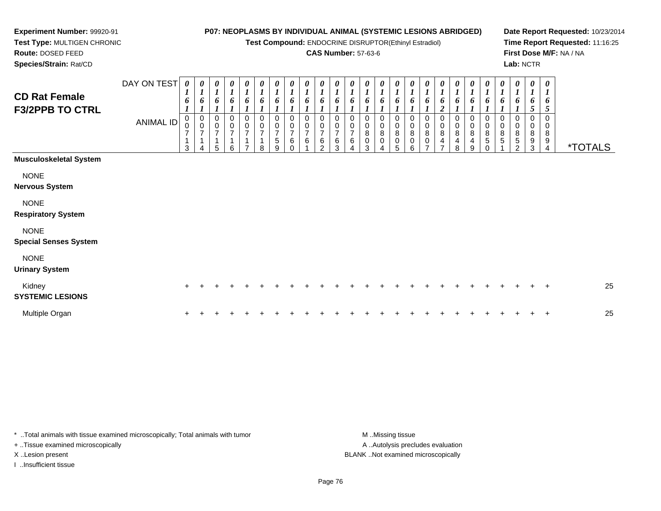**Test Compound:** ENDOCRINE DISRUPTOR(Ethinyl Estradiol)

#### **CAS Number:** 57-63-6

**Date Report Requested:** 10/23/2014**Time Report Requested:** 11:16:25**First Dose M/F:** NA / NA**Lab:** NCTR

<sup>4</sup> \*TOTALS

**Route:** DOSED FEED **Species/Strain:** Rat/CDDAY ON TEST**CD Rat Female F3/2PPB TO CTRL**ANIMAL ID*0 1 6 1* 0 0 7 1 3*0 1 6 1* 0 0 7 1 4*0 1 6 1* 0 0 7 1 5*0 1 6 1* 0 0 7 1 6*0 1 6 1* 0 0 7 1 7*0 1 6 1* 0 0 7 1 8*0 1 6 1* 0 0 7 5 9*0 1 6 1*0<br>0<br>0<br>0<br>0 *0 1 6 1*0<br>0<br>7<br>6<br>1 *0 1 6 1* 0 0 7 6 2*0 1 6 1* 0 0 7 6 3*0 1 6 1* 0 0 7 6 4*0 1 6 1* 0 0 8 0 3*0 1 6 1* 0 0 8 0 4*0 1 6 1* 0 0 8 0 5*0 1 6 1* 0 0 8 0 6*0 1 6 1* 0 0 8 07

# **Musculoskeletal System**

**Experiment Number:** 99920-91**Test Type:** MULTIGEN CHRONIC

NONE

**Nervous System**

NONE

**Respiratory System**

NONE

**Special Senses System**

NONE

**Urinary System**

| Kidney<br><b>SYSTEMIC LESIONS</b> |  |  |  |  |  |  |  |  |  |  |  |  |  | 25 |
|-----------------------------------|--|--|--|--|--|--|--|--|--|--|--|--|--|----|
| Multiple Organ                    |  |  |  |  |  |  |  |  |  |  |  |  |  | 25 |

\* ..Total animals with tissue examined microscopically; Total animals with tumor **M** ..Missing tissue M ..Missing tissue + ..Tissue examined microscopically

I ..Insufficient tissue

A ..Autolysis precludes evaluation X ..Lesion present BLANK ..Not examined microscopically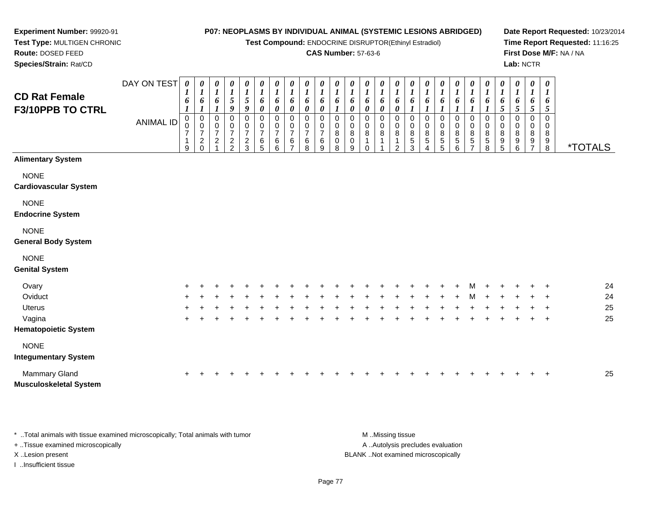**Test Compound:** ENDOCRINE DISRUPTOR(Ethinyl Estradiol)

### **CAS Number:** 57-63-6

**Date Report Requested:** 10/23/2014**Time Report Requested:** 11:16:25**First Dose M/F:** NA / NA**Lab:** NCTR

| <b>CD Rat Female</b><br>F3/10PPB TO CTRL    | DAY ON TEST<br><b>ANIMAL ID</b> | 0<br>1<br>6<br>0<br>9 | 0<br>$\boldsymbol{l}$<br>$\overline{7}$<br>$\overline{c}$ | 0<br>$\boldsymbol{l}$<br>6<br>0<br>0<br>$\overline{7}$<br>$\overline{c}$ | 0<br>$\frac{1}{5}$<br>9<br>$\frac{0}{7}$<br>$\frac{2}{2}$ | 0<br>$\boldsymbol{l}$<br>$\sqrt{5}$<br>9<br>$\frac{0}{7}$<br>$\frac{2}{3}$ | $\boldsymbol{\theta}$<br>$\boldsymbol{l}$<br>6<br>0<br>$\frac{0}{7}$<br>6<br>5 | 0<br>$\boldsymbol{l}$<br>6<br>0<br>0<br>$\frac{0}{7}$<br>6<br>6 | 0<br>$\boldsymbol{l}$<br>6<br>0<br>0<br>0<br>$\overline{7}$<br>6 | 0<br>$\boldsymbol{l}$<br>6<br>0<br>0<br>0<br>$\overline{7}$<br>6<br>8 | 0<br>$\boldsymbol{l}$<br>$\overline{ }$<br>6<br>9 | 0<br>$\boldsymbol{l}$<br>6<br>0<br>8<br>0<br>8 | 0<br>6<br>0<br>0<br>8<br>0<br>9 | 0<br>1<br>6<br>0<br>0<br>8 | 0<br>$\boldsymbol{l}$<br>6<br>0<br>8 | $\boldsymbol{\theta}$<br>o<br>0<br>8<br>c | 0<br>$\boldsymbol{l}$<br>6<br>0<br>$\bf8$<br>$\sqrt{5}$<br>3 | $\pmb{\theta}$<br>$\boldsymbol{l}$<br>6<br>0<br>$\bf 8$<br>$\mathbf 5$<br>4 | 0<br>$\boldsymbol{l}$<br>8<br>5<br>5 | $\boldsymbol{\theta}$<br>$\boldsymbol{l}$<br>0<br>$\boldsymbol{0}$<br>$\bf8$<br>5<br>6 | $\begin{matrix} 0 \\ 1 \end{matrix}$<br>6<br>0<br>$_{\rm 0}^{\rm 0}$<br>$\mathbf 5$<br>- | 0<br>6<br>0<br>8<br>5<br>8 | 0<br>$\boldsymbol{l}$<br>6<br>5<br>0<br>$\bf 8$<br>9<br>5 | 0<br>$\boldsymbol{l}$<br>6<br>5<br>0<br>8<br>9<br>6 | 0<br>$\boldsymbol{l}$<br>6<br>5<br>0<br>0<br>$\,8\,$<br>9 | $\boldsymbol{\theta}$<br>$\mathbf{I}$<br>6<br>5<br>0<br>8<br>9<br>8 | <i><b>*TOTALS</b></i> |    |
|---------------------------------------------|---------------------------------|-----------------------|-----------------------------------------------------------|--------------------------------------------------------------------------|-----------------------------------------------------------|----------------------------------------------------------------------------|--------------------------------------------------------------------------------|-----------------------------------------------------------------|------------------------------------------------------------------|-----------------------------------------------------------------------|---------------------------------------------------|------------------------------------------------|---------------------------------|----------------------------|--------------------------------------|-------------------------------------------|--------------------------------------------------------------|-----------------------------------------------------------------------------|--------------------------------------|----------------------------------------------------------------------------------------|------------------------------------------------------------------------------------------|----------------------------|-----------------------------------------------------------|-----------------------------------------------------|-----------------------------------------------------------|---------------------------------------------------------------------|-----------------------|----|
| <b>Alimentary System</b>                    |                                 |                       |                                                           |                                                                          |                                                           |                                                                            |                                                                                |                                                                 |                                                                  |                                                                       |                                                   |                                                |                                 |                            |                                      |                                           |                                                              |                                                                             |                                      |                                                                                        |                                                                                          |                            |                                                           |                                                     |                                                           |                                                                     |                       |    |
| <b>NONE</b><br><b>Cardiovascular System</b> |                                 |                       |                                                           |                                                                          |                                                           |                                                                            |                                                                                |                                                                 |                                                                  |                                                                       |                                                   |                                                |                                 |                            |                                      |                                           |                                                              |                                                                             |                                      |                                                                                        |                                                                                          |                            |                                                           |                                                     |                                                           |                                                                     |                       |    |
| <b>NONE</b><br><b>Endocrine System</b>      |                                 |                       |                                                           |                                                                          |                                                           |                                                                            |                                                                                |                                                                 |                                                                  |                                                                       |                                                   |                                                |                                 |                            |                                      |                                           |                                                              |                                                                             |                                      |                                                                                        |                                                                                          |                            |                                                           |                                                     |                                                           |                                                                     |                       |    |
| <b>NONE</b><br><b>General Body System</b>   |                                 |                       |                                                           |                                                                          |                                                           |                                                                            |                                                                                |                                                                 |                                                                  |                                                                       |                                                   |                                                |                                 |                            |                                      |                                           |                                                              |                                                                             |                                      |                                                                                        |                                                                                          |                            |                                                           |                                                     |                                                           |                                                                     |                       |    |
| <b>NONE</b><br><b>Genital System</b>        |                                 |                       |                                                           |                                                                          |                                                           |                                                                            |                                                                                |                                                                 |                                                                  |                                                                       |                                                   |                                                |                                 |                            |                                      |                                           |                                                              |                                                                             |                                      |                                                                                        |                                                                                          |                            |                                                           |                                                     |                                                           |                                                                     |                       |    |
| Ovary                                       |                                 | ÷.                    |                                                           |                                                                          |                                                           |                                                                            |                                                                                |                                                                 |                                                                  |                                                                       |                                                   |                                                |                                 |                            |                                      |                                           |                                                              |                                                                             |                                      |                                                                                        |                                                                                          |                            |                                                           |                                                     |                                                           | $\div$                                                              |                       | 24 |
| Oviduct                                     |                                 | $\ddot{}$             |                                                           |                                                                          |                                                           |                                                                            |                                                                                |                                                                 |                                                                  |                                                                       |                                                   |                                                |                                 |                            |                                      |                                           |                                                              |                                                                             |                                      |                                                                                        | м                                                                                        | $\ddot{}$                  | +                                                         |                                                     |                                                           | ÷                                                                   |                       | 24 |
|                                             |                                 |                       |                                                           |                                                                          |                                                           |                                                                            |                                                                                |                                                                 |                                                                  |                                                                       |                                                   |                                                |                                 |                            |                                      |                                           |                                                              |                                                                             |                                      |                                                                                        |                                                                                          |                            |                                                           |                                                     |                                                           |                                                                     |                       |    |

|  |  |  | <b>Hematopoietic System</b> |
|--|--|--|-----------------------------|
|--|--|--|-----------------------------|

<sup>+</sup>

a  $+$ 

**Experiment Number:** 99920-91**Test Type:** MULTIGEN CHRONIC

**Route:** DOSED FEED**Species/Strain:** Rat/CD

#### NONE

Uterus

Vagina

#### **Integumentary System**

| Mammary Gland                 |  |  |  |  |  |  |  |  |  |  |  |  |  | 25 |
|-------------------------------|--|--|--|--|--|--|--|--|--|--|--|--|--|----|
| <b>Musculoskeletal System</b> |  |  |  |  |  |  |  |  |  |  |  |  |  |    |

<sup>+</sup> <sup>+</sup> <sup>+</sup> <sup>+</sup> <sup>+</sup> <sup>+</sup> <sup>+</sup> <sup>+</sup> <sup>+</sup> <sup>+</sup> <sup>+</sup> <sup>+</sup> <sup>+</sup> <sup>+</sup> <sup>+</sup> <sup>+</sup> <sup>+</sup> <sup>+</sup> <sup>+</sup> <sup>+</sup> <sup>+</sup> <sup>+</sup> <sup>+</sup> <sup>+</sup> <sup>25</sup>

<sup>+</sup> <sup>+</sup> <sup>+</sup> <sup>+</sup> <sup>+</sup> <sup>+</sup> <sup>+</sup> <sup>+</sup> <sup>+</sup> <sup>+</sup> <sup>+</sup> <sup>+</sup> <sup>+</sup> <sup>+</sup> <sup>+</sup> <sup>+</sup> <sup>+</sup> <sup>+</sup> <sup>+</sup> <sup>+</sup> <sup>+</sup> <sup>+</sup> <sup>+</sup> <sup>+</sup> <sup>25</sup>

\* ..Total animals with tissue examined microscopically; Total animals with tumor **M** ...Missing tissue M ...Missing tissue A .. Autolysis precludes evaluation + ..Tissue examined microscopically X ..Lesion present BLANK ..Not examined microscopicallyI ..Insufficient tissue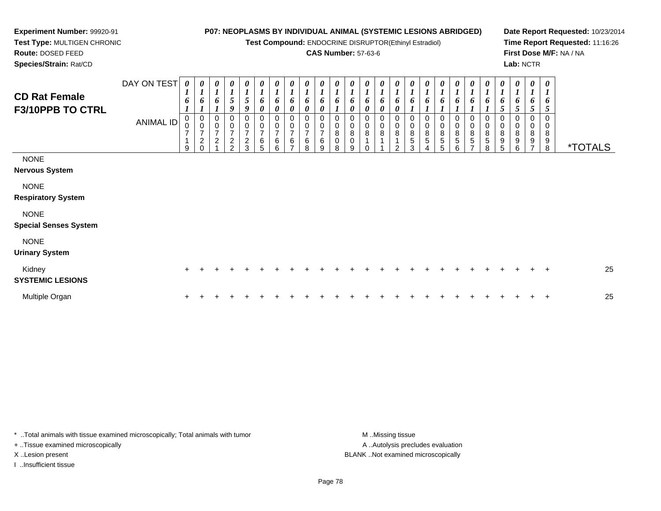**Test Compound:** ENDOCRINE DISRUPTOR(Ethinyl Estradiol)

## **CAS Number:** 57-63-6

**Date Report Requested:** 10/23/2014**Time Report Requested:** 11:16:26**First Dose M/F:** NA / NA**Lab:** NCTR

 **Test Type:** MULTIGEN CHRONIC**Route:** DOSED FEED

**Experiment Number:** 99920-91

**Species/Strain:** Rat/CD

| <b>CD Rat Female</b><br>F3/10PPB TO CTRL    | DAY ON TEST<br><b>ANIMAL ID</b> | 0<br>6<br>0<br>$\mathbf 0$<br>$\overline{ }$<br>9 | 0<br>$\boldsymbol{l}$<br>6<br>$\mathbf 0$<br>$\mathbf 0$<br>$\overline{7}$<br>$\boldsymbol{2}$<br>$\Omega$ | 0<br>$\boldsymbol{l}$<br>6<br>0<br>0<br>$\overline{7}$<br>$\sqrt{2}$ | $\boldsymbol{\theta}$<br>$\frac{1}{5}$<br>9<br>$\mathbf 0$<br>$\boldsymbol{0}$<br>$\frac{7}{2}$<br>$\mathcal{P}$ | 0<br>$\boldsymbol{l}$<br>$\sqrt{5}$<br>9<br>0<br>$\pmb{0}$<br>$\overline{7}$<br>$\frac{2}{3}$ | 0<br>6<br>0<br>0<br>$\mathbf 0$<br>$\overline{7}$<br>6<br>5 | 0<br>$\boldsymbol{l}$<br>6<br>0<br>0<br>$\frac{0}{7}$<br>$\,6\,$<br>6 | $\boldsymbol{\theta}$<br>$\boldsymbol{l}$<br>$\pmb{6}$<br>0<br>0<br>$\pmb{0}$<br>$\overline{7}$<br>$\,6\,$<br>$\overline{ }$ | $\frac{\boldsymbol{\theta}}{\boldsymbol{I}}$<br>6<br>0<br>$\mathbf 0$<br>$\mathbf 0$<br>$\overline{7}$<br>$\,6\,$<br>8 | $\frac{\theta}{1}$<br>6<br>0<br>0<br>$\,0\,$<br>$\overline{7}$<br>$\,6$<br>9 | $\boldsymbol{l}$<br>6<br>8<br>$\pmb{0}$<br>8 | 6<br>8<br>0<br>9 | 0<br>6<br>0<br>0<br>0<br>$\bf 8$ | 0<br>1<br>6<br>0<br>0<br>$\boldsymbol{0}$<br>8 | 0<br>$\boldsymbol{l}$<br>6<br>0<br>0<br>$\pmb{0}$<br>8<br>າ | 0<br>6<br>0<br>0<br>$\bf 8$<br>$\mathbf 5$<br>3 | 0<br>$\boldsymbol{l}$<br>6<br>0<br>0<br>8<br>5<br>4 | 0<br>$\boldsymbol{l}$<br>6<br>0<br>0<br>$\bf 8$<br>$\sqrt{5}$<br>5 | $\boldsymbol{l}$<br>6<br>0<br>$\bf 8$<br>5<br>6 | 0<br>1<br>6<br>0<br>$_{\rm 8}^{\rm 0}$<br>5 | 0<br>6<br>0<br>$\mathbf 0$<br>$\bf 8$<br>5<br>8 | 0<br>$\boldsymbol{l}$<br>6<br>0<br>$\bf 8$<br>9<br>5 | 0<br>$\boldsymbol{l}$<br>6<br>5<br>0<br>$\pmb{0}$<br>8<br>9<br>6 | 0<br>$\boldsymbol{l}$<br>6<br>5<br>0<br>$\pmb{0}$<br>$\bf 8$<br>9<br>$\overline{z}$ | 0<br>1<br>6<br>5<br>0<br>0<br>8<br>9<br>8 | <i><b>*TOTALS</b></i> |
|---------------------------------------------|---------------------------------|---------------------------------------------------|------------------------------------------------------------------------------------------------------------|----------------------------------------------------------------------|------------------------------------------------------------------------------------------------------------------|-----------------------------------------------------------------------------------------------|-------------------------------------------------------------|-----------------------------------------------------------------------|------------------------------------------------------------------------------------------------------------------------------|------------------------------------------------------------------------------------------------------------------------|------------------------------------------------------------------------------|----------------------------------------------|------------------|----------------------------------|------------------------------------------------|-------------------------------------------------------------|-------------------------------------------------|-----------------------------------------------------|--------------------------------------------------------------------|-------------------------------------------------|---------------------------------------------|-------------------------------------------------|------------------------------------------------------|------------------------------------------------------------------|-------------------------------------------------------------------------------------|-------------------------------------------|-----------------------|
| <b>NONE</b><br><b>Nervous System</b>        |                                 |                                                   |                                                                                                            |                                                                      |                                                                                                                  |                                                                                               |                                                             |                                                                       |                                                                                                                              |                                                                                                                        |                                                                              |                                              |                  |                                  |                                                |                                                             |                                                 |                                                     |                                                                    |                                                 |                                             |                                                 |                                                      |                                                                  |                                                                                     |                                           |                       |
| <b>NONE</b><br><b>Respiratory System</b>    |                                 |                                                   |                                                                                                            |                                                                      |                                                                                                                  |                                                                                               |                                                             |                                                                       |                                                                                                                              |                                                                                                                        |                                                                              |                                              |                  |                                  |                                                |                                                             |                                                 |                                                     |                                                                    |                                                 |                                             |                                                 |                                                      |                                                                  |                                                                                     |                                           |                       |
| <b>NONE</b><br><b>Special Senses System</b> |                                 |                                                   |                                                                                                            |                                                                      |                                                                                                                  |                                                                                               |                                                             |                                                                       |                                                                                                                              |                                                                                                                        |                                                                              |                                              |                  |                                  |                                                |                                                             |                                                 |                                                     |                                                                    |                                                 |                                             |                                                 |                                                      |                                                                  |                                                                                     |                                           |                       |
| <b>NONE</b><br><b>Urinary System</b>        |                                 |                                                   |                                                                                                            |                                                                      |                                                                                                                  |                                                                                               |                                                             |                                                                       |                                                                                                                              |                                                                                                                        |                                                                              |                                              |                  |                                  |                                                |                                                             |                                                 |                                                     |                                                                    |                                                 |                                             |                                                 |                                                      |                                                                  |                                                                                     |                                           |                       |
| Kidney<br><b>SYSTEMIC LESIONS</b>           |                                 | $\pm$                                             |                                                                                                            |                                                                      |                                                                                                                  |                                                                                               |                                                             |                                                                       |                                                                                                                              |                                                                                                                        |                                                                              |                                              |                  |                                  |                                                |                                                             |                                                 |                                                     |                                                                    |                                                 |                                             |                                                 |                                                      |                                                                  |                                                                                     | $\pm$                                     | 25                    |
| Multiple Organ                              |                                 |                                                   |                                                                                                            |                                                                      |                                                                                                                  |                                                                                               |                                                             |                                                                       |                                                                                                                              |                                                                                                                        |                                                                              |                                              |                  |                                  |                                                |                                                             |                                                 |                                                     |                                                                    |                                                 |                                             |                                                 |                                                      |                                                                  |                                                                                     | $\mathbf +$                               | 25                    |

\* ..Total animals with tissue examined microscopically; Total animals with tumor **M** . Missing tissue M ..Missing tissue A ..Autolysis precludes evaluation + ..Tissue examined microscopically X ..Lesion present BLANK ..Not examined microscopicallyI ..Insufficient tissue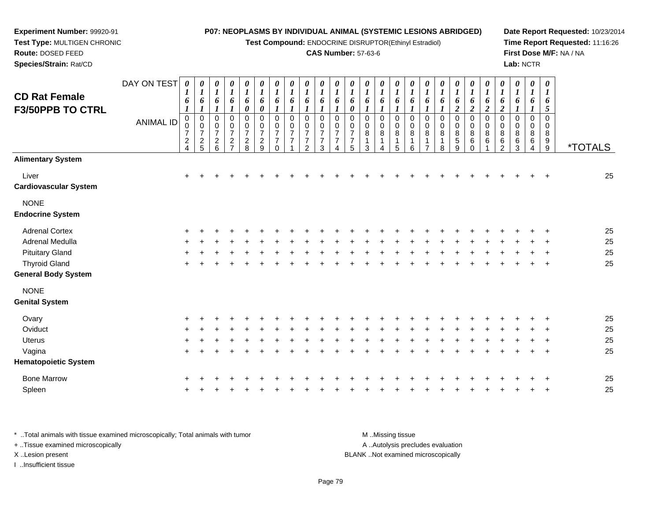**Test Compound:** ENDOCRINE DISRUPTOR(Ethinyl Estradiol)

## **CAS Number:** 57-63-6

**Date Report Requested:** 10/23/2014**Time Report Requested:** 11:16:26**First Dose M/F:** NA / NA**Lab:** NCTR

 **Test Type:** MULTIGEN CHRONIC**Route:** DOSED FEED**Species/Strain:** Rat/CD

**Experiment Number:** 99920-91

| <b>CD Rat Female</b><br><b>F3/50PPB TO CTRL</b> | DAY ON TEST<br><b>ANIMAL ID</b> | 0<br>$\boldsymbol{l}$<br>6<br>$\boldsymbol{l}$<br>$\pmb{0}$<br>$\mathbf 0$<br>$\overline{7}$<br>$\boldsymbol{2}$<br>$\overline{4}$ | 0<br>$\boldsymbol{l}$<br>6<br>$\boldsymbol{l}$<br>0<br>$\mathsf{O}\xspace$<br>$\overline{7}$<br>$\overline{2}$<br>5 | 0<br>$\boldsymbol{l}$<br>6<br>$\boldsymbol{l}$<br>0<br>0<br>$\overline{7}$<br>$\boldsymbol{2}$<br>6 | 0<br>$\boldsymbol{l}$<br>6<br>$\boldsymbol{l}$<br>$\pmb{0}$<br>$\mathbf 0$<br>$\overline{7}$<br>$\overline{2}$<br>$\overline{7}$ | 0<br>$\boldsymbol{l}$<br>6<br>0<br>0<br>0<br>$\overline{7}$<br>$\overline{\mathbf{c}}$<br>8 | 0<br>$\boldsymbol{l}$<br>6<br>$\boldsymbol{\theta}$<br>$\pmb{0}$<br>$\boldsymbol{0}$<br>$\overline{7}$<br>$\sqrt{2}$<br>9 | 0<br>$\boldsymbol{l}$<br>6<br>$\boldsymbol{l}$<br>0<br>$\pmb{0}$<br>$\overline{7}$<br>$\overline{7}$<br>$\Omega$ | 0<br>$\boldsymbol{l}$<br>6<br>$\boldsymbol{l}$<br>$\mathbf 0$<br>$\mathbf 0$<br>$\overline{7}$<br>$\overline{7}$ | 0<br>$\boldsymbol{l}$<br>6<br>$\boldsymbol{l}$<br>0<br>0<br>$\overline{7}$<br>$\overline{7}$<br>2 | $\pmb{\theta}$<br>$\boldsymbol{l}$<br>6<br>1<br>0<br>$\mathbf 0$<br>$\overline{7}$<br>$\overline{7}$<br>3 | 0<br>$\boldsymbol{l}$<br>6<br>1<br>$\Omega$<br>$\Omega$<br>$\overline{7}$<br>$\overline{7}$ | 0<br>$\boldsymbol{l}$<br>6<br>$\pmb{\theta}$<br>$\Omega$<br>$\Omega$<br>$\overline{7}$<br>$\overline{7}$<br>5 | 0<br>$\boldsymbol{l}$<br>6<br>$\mathbf 0$<br>0<br>8<br>1<br>3 | $\pmb{\theta}$<br>$\boldsymbol{l}$<br>6<br>$\boldsymbol{l}$<br>0<br>$\mathbf 0$<br>8<br>-1<br>4 | $\boldsymbol{\theta}$<br>$\boldsymbol{l}$<br>6<br>$\boldsymbol{l}$<br>0<br>$\mathbf 0$<br>8<br>$\mathbf 1$<br>5 | $\boldsymbol{\theta}$<br>$\boldsymbol{l}$<br>6<br>$\boldsymbol{l}$<br>0<br>$\pmb{0}$<br>$\bf 8$<br>1<br>6 | 0<br>$\boldsymbol{l}$<br>6<br>$\boldsymbol{l}$<br>$\mathbf 0$<br>$\mathbf 0$<br>$\,8\,$<br>1<br>$\overline{ }$ | 0<br>$\boldsymbol{l}$<br>6<br>$\boldsymbol{l}$<br>$\pmb{0}$<br>$\pmb{0}$<br>$\bf 8$<br>$\mathbf 1$<br>8 | 0<br>$\boldsymbol{l}$<br>6<br>$\boldsymbol{2}$<br>$\pmb{0}$<br>$\mathbf 0$<br>8<br>$\sqrt{5}$<br>9 | $\pmb{\theta}$<br>$\boldsymbol{l}$<br>6<br>$\boldsymbol{2}$<br>$\pmb{0}$<br>$\pmb{0}$<br>8<br>6<br>$\Omega$ | 0<br>$\boldsymbol{l}$<br>6<br>$\overline{2}$<br>0<br>$\mathbf 0$<br>8<br>$\,6\,$ | 0<br>$\boldsymbol{l}$<br>6<br>$\boldsymbol{2}$<br>$\pmb{0}$<br>$\pmb{0}$<br>$\bf 8$<br>$\,6\,$<br>$\overline{2}$ | 0<br>$\boldsymbol{l}$<br>6<br>$\boldsymbol{l}$<br>0<br>$\pmb{0}$<br>$\bf 8$<br>$\,6\,$<br>3 | $\pmb{\theta}$<br>$\boldsymbol{l}$<br>6<br>$\boldsymbol{\mathit{1}}$<br>$\pmb{0}$<br>$\pmb{0}$<br>8<br>$\,6\,$<br>4 | $\boldsymbol{\theta}$<br>$\boldsymbol{l}$<br>6<br>$\mathfrak{I}$<br>$\mathbf 0$<br>0<br>8<br>9<br>9 | <i><b>*TOTALS</b></i> |
|-------------------------------------------------|---------------------------------|------------------------------------------------------------------------------------------------------------------------------------|---------------------------------------------------------------------------------------------------------------------|-----------------------------------------------------------------------------------------------------|----------------------------------------------------------------------------------------------------------------------------------|---------------------------------------------------------------------------------------------|---------------------------------------------------------------------------------------------------------------------------|------------------------------------------------------------------------------------------------------------------|------------------------------------------------------------------------------------------------------------------|---------------------------------------------------------------------------------------------------|-----------------------------------------------------------------------------------------------------------|---------------------------------------------------------------------------------------------|---------------------------------------------------------------------------------------------------------------|---------------------------------------------------------------|-------------------------------------------------------------------------------------------------|-----------------------------------------------------------------------------------------------------------------|-----------------------------------------------------------------------------------------------------------|----------------------------------------------------------------------------------------------------------------|---------------------------------------------------------------------------------------------------------|----------------------------------------------------------------------------------------------------|-------------------------------------------------------------------------------------------------------------|----------------------------------------------------------------------------------|------------------------------------------------------------------------------------------------------------------|---------------------------------------------------------------------------------------------|---------------------------------------------------------------------------------------------------------------------|-----------------------------------------------------------------------------------------------------|-----------------------|
| <b>Alimentary System</b>                        |                                 |                                                                                                                                    |                                                                                                                     |                                                                                                     |                                                                                                                                  |                                                                                             |                                                                                                                           |                                                                                                                  |                                                                                                                  |                                                                                                   |                                                                                                           |                                                                                             |                                                                                                               |                                                               |                                                                                                 |                                                                                                                 |                                                                                                           |                                                                                                                |                                                                                                         |                                                                                                    |                                                                                                             |                                                                                  |                                                                                                                  |                                                                                             |                                                                                                                     |                                                                                                     |                       |
| Liver<br><b>Cardiovascular System</b>           |                                 | $\ddot{}$                                                                                                                          |                                                                                                                     |                                                                                                     |                                                                                                                                  |                                                                                             |                                                                                                                           |                                                                                                                  |                                                                                                                  |                                                                                                   |                                                                                                           |                                                                                             |                                                                                                               |                                                               |                                                                                                 |                                                                                                                 |                                                                                                           |                                                                                                                |                                                                                                         |                                                                                                    |                                                                                                             |                                                                                  |                                                                                                                  |                                                                                             |                                                                                                                     |                                                                                                     | 25                    |
| <b>NONE</b><br><b>Endocrine System</b>          |                                 |                                                                                                                                    |                                                                                                                     |                                                                                                     |                                                                                                                                  |                                                                                             |                                                                                                                           |                                                                                                                  |                                                                                                                  |                                                                                                   |                                                                                                           |                                                                                             |                                                                                                               |                                                               |                                                                                                 |                                                                                                                 |                                                                                                           |                                                                                                                |                                                                                                         |                                                                                                    |                                                                                                             |                                                                                  |                                                                                                                  |                                                                                             |                                                                                                                     |                                                                                                     |                       |
| <b>Adrenal Cortex</b>                           |                                 |                                                                                                                                    |                                                                                                                     |                                                                                                     |                                                                                                                                  |                                                                                             |                                                                                                                           |                                                                                                                  |                                                                                                                  |                                                                                                   |                                                                                                           |                                                                                             |                                                                                                               |                                                               |                                                                                                 |                                                                                                                 |                                                                                                           |                                                                                                                |                                                                                                         |                                                                                                    |                                                                                                             |                                                                                  |                                                                                                                  |                                                                                             |                                                                                                                     |                                                                                                     | 25                    |
| Adrenal Medulla                                 |                                 |                                                                                                                                    |                                                                                                                     |                                                                                                     |                                                                                                                                  |                                                                                             |                                                                                                                           |                                                                                                                  |                                                                                                                  |                                                                                                   |                                                                                                           |                                                                                             |                                                                                                               |                                                               |                                                                                                 |                                                                                                                 |                                                                                                           |                                                                                                                |                                                                                                         |                                                                                                    |                                                                                                             |                                                                                  |                                                                                                                  |                                                                                             |                                                                                                                     |                                                                                                     | 25                    |
| <b>Pituitary Gland</b>                          |                                 |                                                                                                                                    |                                                                                                                     |                                                                                                     |                                                                                                                                  |                                                                                             |                                                                                                                           |                                                                                                                  |                                                                                                                  |                                                                                                   |                                                                                                           |                                                                                             |                                                                                                               |                                                               |                                                                                                 |                                                                                                                 |                                                                                                           |                                                                                                                |                                                                                                         |                                                                                                    |                                                                                                             |                                                                                  |                                                                                                                  |                                                                                             |                                                                                                                     |                                                                                                     | 25                    |
| <b>Thyroid Gland</b>                            |                                 | $\div$                                                                                                                             |                                                                                                                     |                                                                                                     |                                                                                                                                  |                                                                                             |                                                                                                                           |                                                                                                                  |                                                                                                                  |                                                                                                   |                                                                                                           |                                                                                             |                                                                                                               |                                                               |                                                                                                 |                                                                                                                 |                                                                                                           |                                                                                                                |                                                                                                         |                                                                                                    |                                                                                                             |                                                                                  |                                                                                                                  |                                                                                             | $\pm$                                                                                                               | $\ddot{}$                                                                                           | 25                    |
| <b>General Body System</b>                      |                                 |                                                                                                                                    |                                                                                                                     |                                                                                                     |                                                                                                                                  |                                                                                             |                                                                                                                           |                                                                                                                  |                                                                                                                  |                                                                                                   |                                                                                                           |                                                                                             |                                                                                                               |                                                               |                                                                                                 |                                                                                                                 |                                                                                                           |                                                                                                                |                                                                                                         |                                                                                                    |                                                                                                             |                                                                                  |                                                                                                                  |                                                                                             |                                                                                                                     |                                                                                                     |                       |
| <b>NONE</b>                                     |                                 |                                                                                                                                    |                                                                                                                     |                                                                                                     |                                                                                                                                  |                                                                                             |                                                                                                                           |                                                                                                                  |                                                                                                                  |                                                                                                   |                                                                                                           |                                                                                             |                                                                                                               |                                                               |                                                                                                 |                                                                                                                 |                                                                                                           |                                                                                                                |                                                                                                         |                                                                                                    |                                                                                                             |                                                                                  |                                                                                                                  |                                                                                             |                                                                                                                     |                                                                                                     |                       |
| <b>Genital System</b>                           |                                 |                                                                                                                                    |                                                                                                                     |                                                                                                     |                                                                                                                                  |                                                                                             |                                                                                                                           |                                                                                                                  |                                                                                                                  |                                                                                                   |                                                                                                           |                                                                                             |                                                                                                               |                                                               |                                                                                                 |                                                                                                                 |                                                                                                           |                                                                                                                |                                                                                                         |                                                                                                    |                                                                                                             |                                                                                  |                                                                                                                  |                                                                                             |                                                                                                                     |                                                                                                     |                       |
| Ovary                                           |                                 |                                                                                                                                    |                                                                                                                     |                                                                                                     |                                                                                                                                  |                                                                                             |                                                                                                                           |                                                                                                                  |                                                                                                                  |                                                                                                   |                                                                                                           |                                                                                             |                                                                                                               |                                                               |                                                                                                 |                                                                                                                 |                                                                                                           |                                                                                                                |                                                                                                         |                                                                                                    |                                                                                                             |                                                                                  |                                                                                                                  |                                                                                             |                                                                                                                     |                                                                                                     | 25                    |
| Oviduct                                         |                                 |                                                                                                                                    |                                                                                                                     |                                                                                                     |                                                                                                                                  |                                                                                             |                                                                                                                           |                                                                                                                  |                                                                                                                  |                                                                                                   |                                                                                                           |                                                                                             |                                                                                                               |                                                               |                                                                                                 |                                                                                                                 |                                                                                                           |                                                                                                                |                                                                                                         |                                                                                                    |                                                                                                             |                                                                                  |                                                                                                                  |                                                                                             |                                                                                                                     |                                                                                                     | 25                    |
| <b>Uterus</b>                                   |                                 |                                                                                                                                    |                                                                                                                     |                                                                                                     |                                                                                                                                  |                                                                                             |                                                                                                                           |                                                                                                                  |                                                                                                                  |                                                                                                   |                                                                                                           |                                                                                             |                                                                                                               |                                                               |                                                                                                 |                                                                                                                 |                                                                                                           |                                                                                                                |                                                                                                         |                                                                                                    |                                                                                                             |                                                                                  |                                                                                                                  |                                                                                             |                                                                                                                     |                                                                                                     | 25                    |
| Vagina                                          |                                 | $+$                                                                                                                                |                                                                                                                     |                                                                                                     |                                                                                                                                  |                                                                                             |                                                                                                                           |                                                                                                                  |                                                                                                                  |                                                                                                   |                                                                                                           |                                                                                             |                                                                                                               |                                                               |                                                                                                 |                                                                                                                 |                                                                                                           |                                                                                                                |                                                                                                         |                                                                                                    |                                                                                                             |                                                                                  |                                                                                                                  |                                                                                             |                                                                                                                     | $\ddot{}$                                                                                           | 25                    |
| <b>Hematopoietic System</b>                     |                                 |                                                                                                                                    |                                                                                                                     |                                                                                                     |                                                                                                                                  |                                                                                             |                                                                                                                           |                                                                                                                  |                                                                                                                  |                                                                                                   |                                                                                                           |                                                                                             |                                                                                                               |                                                               |                                                                                                 |                                                                                                                 |                                                                                                           |                                                                                                                |                                                                                                         |                                                                                                    |                                                                                                             |                                                                                  |                                                                                                                  |                                                                                             |                                                                                                                     |                                                                                                     |                       |
| <b>Bone Marrow</b>                              |                                 |                                                                                                                                    |                                                                                                                     |                                                                                                     |                                                                                                                                  |                                                                                             |                                                                                                                           |                                                                                                                  |                                                                                                                  |                                                                                                   |                                                                                                           |                                                                                             |                                                                                                               |                                                               |                                                                                                 |                                                                                                                 |                                                                                                           |                                                                                                                |                                                                                                         |                                                                                                    |                                                                                                             |                                                                                  |                                                                                                                  |                                                                                             |                                                                                                                     |                                                                                                     | 25                    |
| Spleen                                          |                                 |                                                                                                                                    |                                                                                                                     |                                                                                                     |                                                                                                                                  |                                                                                             |                                                                                                                           |                                                                                                                  |                                                                                                                  |                                                                                                   |                                                                                                           |                                                                                             |                                                                                                               |                                                               |                                                                                                 |                                                                                                                 |                                                                                                           |                                                                                                                |                                                                                                         |                                                                                                    |                                                                                                             |                                                                                  |                                                                                                                  |                                                                                             |                                                                                                                     |                                                                                                     | 25                    |

\* ..Total animals with tissue examined microscopically; Total animals with tumor **M** . Missing tissue M ..Missing tissue A ..Autolysis precludes evaluation + ..Tissue examined microscopically X ..Lesion present BLANK ..Not examined microscopicallyI ..Insufficient tissue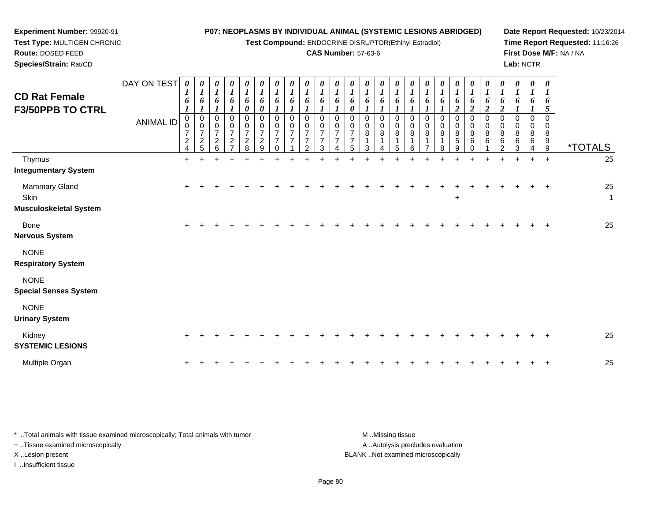**Test Compound:** ENDOCRINE DISRUPTOR(Ethinyl Estradiol)

## **CAS Number:** 57-63-6

**Date Report Requested:** 10/23/2014 **Time Report Requested:** 11:16:26**First Dose M/F:** NA / NA**Lab:** NCTR

**Experiment Number:** 99920-91

| <b>CD Rat Female</b><br><b>F3/50PPB TO CTRL</b>        | <b>ANIMAL ID</b> | $\boldsymbol{l}$<br>6<br>$\boldsymbol{l}$<br>0<br>0<br>$\overline{7}$<br>$\overline{c}$<br>4 | $\boldsymbol{l}$<br>6<br>$\boldsymbol{l}$<br>0<br>$\pmb{0}$<br>$\overline{7}$<br>$\frac{2}{5}$ | $\bm{l}$<br>6<br>0<br>$\mathbf 0$<br>$\overline{7}$<br>$\overline{c}$<br>6 | $\boldsymbol{l}$<br>6<br>0<br>$\pmb{0}$<br>$\overline{7}$<br>$\boldsymbol{2}$ | $\boldsymbol{l}$<br>$\boldsymbol{\delta}$<br>0<br>0<br>$\pmb{0}$<br>$\overline{7}$<br>$\boldsymbol{2}$<br>8 | $\boldsymbol{l}$<br>6<br>$\boldsymbol{\theta}$<br>0<br>$\pmb{0}$<br>$\boldsymbol{7}$<br>$\overline{c}$<br>9 | 6<br>0<br>0<br>$\overline{7}$<br>$\overline{7}$ | 6<br>0<br>0<br>$\overline{7}$<br>$\overline{7}$ | 6<br>$\Omega$<br>0<br>$\overline{7}$<br>7<br>$\overline{c}$ | 1<br>6 | 6<br>$\Omega$<br>0 | 6<br>0<br>0<br>0<br>$\overline{7}$<br>$\overline{7}$<br>5 | 6<br>0<br>0<br>8<br>3 | $\boldsymbol{l}$<br>6<br>0<br>0<br>8<br>1 | $\boldsymbol{l}$<br>6<br>0<br>$\,0\,$<br>8<br>1<br>5 | $\boldsymbol{l}$<br>6<br>0<br>0<br>$\bf 8$<br>1<br>6 | $\boldsymbol{l}$<br>6<br>0<br>$\bf 8$ | 6<br>0<br>0<br>8 | 6<br>$\boldsymbol{2}$<br>0<br>0<br>$\bf 8$<br>5<br>9 | 1<br>6<br>$\boldsymbol{2}$<br>0<br>$\pmb{0}$<br>8<br>6<br>0 | $\boldsymbol{l}$<br>6<br>$\boldsymbol{2}$<br>0<br>$\mathbf 0$<br>8<br>6 | 6<br>$\overline{2}$<br>0<br>0<br>8<br>6<br>ົ | 6<br>$\Omega$<br>0<br>8<br>6<br>3 | 1<br>6<br>0<br>0<br>8<br>6 | $\boldsymbol{l}$<br>6<br>5<br>$\Omega$<br>0<br>8<br>9<br>9 | <i><b>*TOTALS</b></i> |
|--------------------------------------------------------|------------------|----------------------------------------------------------------------------------------------|------------------------------------------------------------------------------------------------|----------------------------------------------------------------------------|-------------------------------------------------------------------------------|-------------------------------------------------------------------------------------------------------------|-------------------------------------------------------------------------------------------------------------|-------------------------------------------------|-------------------------------------------------|-------------------------------------------------------------|--------|--------------------|-----------------------------------------------------------|-----------------------|-------------------------------------------|------------------------------------------------------|------------------------------------------------------|---------------------------------------|------------------|------------------------------------------------------|-------------------------------------------------------------|-------------------------------------------------------------------------|----------------------------------------------|-----------------------------------|----------------------------|------------------------------------------------------------|-----------------------|
| Thymus                                                 |                  | $\ddot{}$                                                                                    |                                                                                                |                                                                            |                                                                               |                                                                                                             |                                                                                                             |                                                 |                                                 |                                                             |        |                    |                                                           |                       |                                           |                                                      |                                                      |                                       |                  |                                                      |                                                             |                                                                         |                                              |                                   | +                          | $\overline{+}$                                             | 25                    |
| <b>Integumentary System</b>                            |                  |                                                                                              |                                                                                                |                                                                            |                                                                               |                                                                                                             |                                                                                                             |                                                 |                                                 |                                                             |        |                    |                                                           |                       |                                           |                                                      |                                                      |                                       |                  |                                                      |                                                             |                                                                         |                                              |                                   |                            |                                                            |                       |
| Mammary Gland<br>Skin<br><b>Musculoskeletal System</b> |                  | $\ddot{}$                                                                                    |                                                                                                |                                                                            |                                                                               |                                                                                                             |                                                                                                             |                                                 |                                                 |                                                             |        |                    |                                                           |                       |                                           |                                                      |                                                      |                                       |                  | $\ddot{}$                                            |                                                             |                                                                         |                                              |                                   |                            | $\ddot{}$                                                  | 25<br>$\mathbf{1}$    |
| Bone<br><b>Nervous System</b>                          |                  | $\pm$                                                                                        |                                                                                                |                                                                            |                                                                               |                                                                                                             |                                                                                                             |                                                 |                                                 |                                                             |        |                    |                                                           |                       |                                           |                                                      |                                                      |                                       |                  |                                                      |                                                             |                                                                         |                                              |                                   |                            |                                                            | 25                    |
| <b>NONE</b><br><b>Respiratory System</b>               |                  |                                                                                              |                                                                                                |                                                                            |                                                                               |                                                                                                             |                                                                                                             |                                                 |                                                 |                                                             |        |                    |                                                           |                       |                                           |                                                      |                                                      |                                       |                  |                                                      |                                                             |                                                                         |                                              |                                   |                            |                                                            |                       |
| <b>NONE</b><br><b>Special Senses System</b>            |                  |                                                                                              |                                                                                                |                                                                            |                                                                               |                                                                                                             |                                                                                                             |                                                 |                                                 |                                                             |        |                    |                                                           |                       |                                           |                                                      |                                                      |                                       |                  |                                                      |                                                             |                                                                         |                                              |                                   |                            |                                                            |                       |
| <b>NONE</b><br><b>Urinary System</b>                   |                  |                                                                                              |                                                                                                |                                                                            |                                                                               |                                                                                                             |                                                                                                             |                                                 |                                                 |                                                             |        |                    |                                                           |                       |                                           |                                                      |                                                      |                                       |                  |                                                      |                                                             |                                                                         |                                              |                                   |                            |                                                            |                       |
| Kidney<br><b>SYSTEMIC LESIONS</b>                      |                  | $\ddot{}$                                                                                    |                                                                                                |                                                                            |                                                                               |                                                                                                             |                                                                                                             |                                                 |                                                 |                                                             |        |                    |                                                           |                       |                                           |                                                      |                                                      |                                       |                  |                                                      |                                                             |                                                                         |                                              |                                   |                            |                                                            | 25                    |
| Multiple Organ                                         |                  |                                                                                              |                                                                                                |                                                                            |                                                                               |                                                                                                             |                                                                                                             |                                                 |                                                 |                                                             |        |                    |                                                           |                       |                                           |                                                      |                                                      |                                       |                  |                                                      |                                                             |                                                                         |                                              |                                   |                            |                                                            | 25                    |

| Total animals with tissue examined microscopically; Total animals with tumor | M Missing tissue                   |
|------------------------------------------------------------------------------|------------------------------------|
| + Tissue examined microscopically                                            | A  Autolysis precludes evaluation  |
| X Lesion present                                                             | BLANK Not examined microscopically |
| Insufficient tissue                                                          |                                    |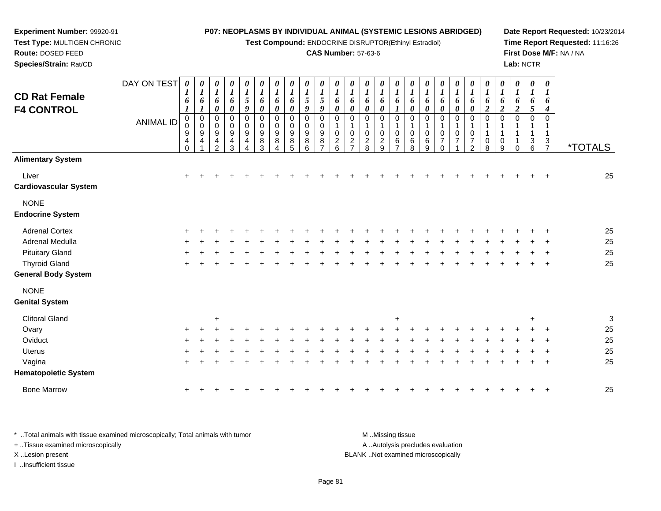**Test Compound:** ENDOCRINE DISRUPTOR(Ethinyl Estradiol)

#### **CAS Number:** 57-63-6

**Date Report Requested:** 10/23/2014**Time Report Requested:** 11:16:26**First Dose M/F:** NA / NA**Lab:** NCTR

 **Species/Strain:** Rat/CDDAY ON TEST**CD Rat FemaleF4 CONTROL**ANIMAL ID*0 1 6 1* 0 0 9 4 0*0 1 6 1* 0 0 9 4 1*0 1 6 0* 0 0 9 4 2*0 1 6 0* 0 0 9 4 3*0 1 5 9* 0 0 9 4 4*0 1 6 0* 0 0 9 8 3*0 1 6 0* 0 0 9 8 4*0 1 6 0* 0 0 9 8 5*0 1 5 9* 0 0 9 8 6*0 1 5 9* 0 0 9 8 7*0 1 6 0* 0 1 0 2 6*0 1 6 0* 0 1 0 2 7*0 1 6 0* 0 1 0 2 8*0 1 6 0* 0 1 0 2 9*0 1 6 1* 0 1 0 6 7*0 1 6 0* 0 1 0 6 8*0 1 6 0* 0 1 0 6 9*0 1 6 0* 0 1 0 7 0*0 1 6 0* 0 1 0 7 1*0 1 6 0* 0 1 0 7 2*0 1 6 2* 0 1 1 0 8*0 1 6 2* 0 1 1 0 9*0 1 6 2* 0 1 1 1 0*0 1 6 5* 0 1 1 3 6*0 1 6 4* 0 1 13<br>7 <sup>7</sup> \*TOTALS**Alimentary System**Liver $\mathsf{r}$  + <sup>+</sup> <sup>+</sup> <sup>+</sup> <sup>+</sup> <sup>+</sup> <sup>+</sup> <sup>+</sup> <sup>+</sup> <sup>+</sup> <sup>+</sup> <sup>+</sup> <sup>+</sup> <sup>+</sup> <sup>+</sup> <sup>+</sup> <sup>+</sup> <sup>+</sup> <sup>+</sup> <sup>+</sup> <sup>+</sup> <sup>+</sup> <sup>+</sup> <sup>+</sup> <sup>+</sup> <sup>25</sup> **Cardiovascular System**NONE **Endocrine System**Adrenal Cortex $\times$  + <sup>+</sup> <sup>+</sup> <sup>+</sup> <sup>+</sup> <sup>+</sup> <sup>+</sup> <sup>+</sup> <sup>+</sup> <sup>+</sup> <sup>+</sup> <sup>+</sup> <sup>+</sup> <sup>+</sup> <sup>+</sup> <sup>+</sup> <sup>+</sup> <sup>+</sup> <sup>+</sup> <sup>+</sup> <sup>+</sup> <sup>+</sup> <sup>+</sup> <sup>+</sup> <sup>+</sup> <sup>25</sup> Adrenal Medullaa  $+$  <sup>+</sup> <sup>+</sup> <sup>+</sup> <sup>+</sup> <sup>+</sup> <sup>+</sup> <sup>+</sup> <sup>+</sup> <sup>+</sup> <sup>+</sup> <sup>+</sup> <sup>+</sup> <sup>+</sup> <sup>+</sup> <sup>+</sup> <sup>+</sup> <sup>+</sup> <sup>+</sup> <sup>+</sup> <sup>+</sup> <sup>+</sup> <sup>+</sup> <sup>+</sup> <sup>+</sup> <sup>25</sup> Pituitary Gland $\alpha$  + <sup>+</sup> <sup>+</sup> <sup>+</sup> <sup>+</sup> <sup>+</sup> <sup>+</sup> <sup>+</sup> <sup>+</sup> <sup>+</sup> <sup>+</sup> <sup>+</sup> <sup>+</sup> <sup>+</sup> <sup>+</sup> <sup>+</sup> <sup>+</sup> <sup>+</sup> <sup>+</sup> <sup>+</sup> <sup>+</sup> <sup>+</sup> <sup>+</sup> <sup>+</sup> <sup>+</sup> <sup>25</sup> Thyroid Glandd  $+$  <sup>+</sup> <sup>+</sup> <sup>+</sup> <sup>+</sup> <sup>+</sup> <sup>+</sup> <sup>+</sup> <sup>+</sup> <sup>+</sup> <sup>+</sup> <sup>+</sup> <sup>+</sup> <sup>+</sup> <sup>+</sup> <sup>+</sup> <sup>+</sup> <sup>+</sup> <sup>+</sup> <sup>+</sup> <sup>+</sup> <sup>+</sup> <sup>+</sup> <sup>+</sup> <sup>+</sup> <sup>25</sup> **General Body System**NONE**Genital System**

**Experiment Number:** 99920-91**Test Type:** MULTIGEN CHRONIC

**Route:** DOSED FEED

| <b>Clitoral Gland</b>       |     |         | ÷   |     |         |     |         |         |         |             |        |     |         | $\pm$ |                 |              |         |             |             |         |         | $\div$ |         | 3  |
|-----------------------------|-----|---------|-----|-----|---------|-----|---------|---------|---------|-------------|--------|-----|---------|-------|-----------------|--------------|---------|-------------|-------------|---------|---------|--------|---------|----|
| Ovary                       | $+$ | $+$ $-$ |     |     |         |     |         |         | $\pm$ . | $+$         | $\div$ | $+$ | $+$ $-$ | $+$   |                 |              |         |             | $+$ $+$ $-$ |         | $+$ $+$ |        | $+$ $+$ | 25 |
| Oviduct                     | $+$ |         |     |     |         |     |         |         | $+$ $-$ | $+$         | ÷      | $+$ | $+$     | $+$   | $\pm$           | $\leftarrow$ | $+$     | $+$         | $+$         | $+$     | $+$     |        | $+$ $+$ | 25 |
| <b>Uterus</b>               |     | $+$ $+$ |     | $+$ | $+$     | $+$ | $+$     |         | $+$     |             | $\div$ | $+$ | $+$     | $+$   | $\pm$ .         | $\pm$ .      | $+$ $-$ | $+$         | $+$         | $+$     | $+$     |        | $+$ $+$ | 25 |
| Vagina                      |     | $+$ $+$ | $+$ | $+$ | $+$     |     | $+$ $-$ | $+$ $-$ |         | $+$ $+$ $+$ |        |     |         |       | $+$ $+$ $+$ $+$ | $+$          |         |             |             | + + + + | $+$     |        | $+$ $+$ | 25 |
| <b>Hematopoietic System</b> |     |         |     |     |         |     |         |         |         |             |        |     |         |       |                 |              |         |             |             |         |         |        |         |    |
| <b>Bone Marrow</b>          |     | $+$ $+$ |     | $+$ | $+$ $-$ |     | $+$ $+$ |         |         | + + + +     |        |     |         |       | $+$ $+$ $+$     | $+$ $-$      |         | $+$ $+$ $+$ |             |         |         |        | $+$ $+$ | 25 |

\* ..Total animals with tissue examined microscopically; Total animals with tumor **M** ..Missing tissue M ..Missing tissue A ..Autolysis precludes evaluation + ..Tissue examined microscopically X ..Lesion present BLANK ..Not examined microscopicallyI ..Insufficient tissue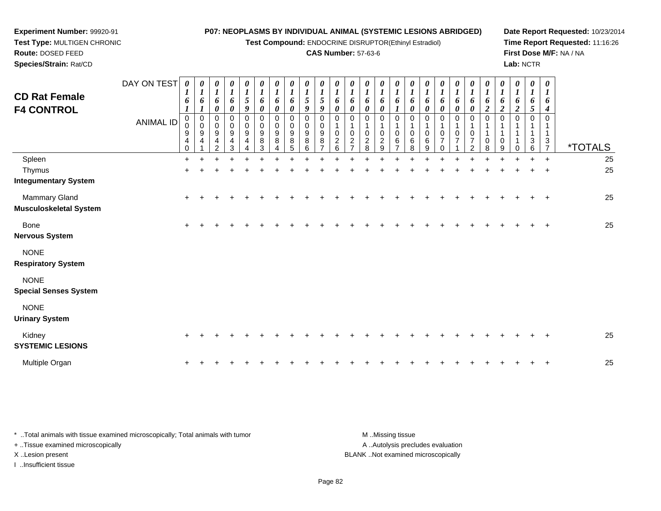**Test Compound: ENDOCRINE DISRUPTOR(Ethinyl Estradiol)** 

#### **CAS Number:** 57-63-6

**Date Report Requested:** 10/23/2014 **Time Report Requested:** 11:16:26**First Dose M/F:** NA / NA**Lab:** NCTR

| <b>Route: DOSED FEED</b><br>Species/Strain: Rat/CD |                                 |                                                                |                                                                                       |                                             |                         |                       |                                                          |                                                                                                               |                                                                              |                                           | <b>CAS Number: 57-63-6</b> |                                                                     |                                             |                                                                              |                                                                            |                         |                                                                     |                                                     |                  |                    |                                                |                    |        |                  | Lab: NCTR                  |                                                                       | First Dose M/F: NA / NA |
|----------------------------------------------------|---------------------------------|----------------------------------------------------------------|---------------------------------------------------------------------------------------|---------------------------------------------|-------------------------|-----------------------|----------------------------------------------------------|---------------------------------------------------------------------------------------------------------------|------------------------------------------------------------------------------|-------------------------------------------|----------------------------|---------------------------------------------------------------------|---------------------------------------------|------------------------------------------------------------------------------|----------------------------------------------------------------------------|-------------------------|---------------------------------------------------------------------|-----------------------------------------------------|------------------|--------------------|------------------------------------------------|--------------------|--------|------------------|----------------------------|-----------------------------------------------------------------------|-------------------------|
| <b>CD Rat Female</b><br><b>F4 CONTROL</b>          | DAY ON TEST<br><b>ANIMAL ID</b> | $\boldsymbol{\theta}$<br>$\mathbf{I}$<br>6<br>0<br>0<br>9<br>4 | 0<br>$\mathbf{I}$<br>6<br>-<br>$\overline{0}$<br>$\mathbf 0$<br>$\boldsymbol{9}$<br>4 | 0<br>6<br>0<br>$\Omega$<br>9<br>4<br>$\sim$ | $\theta$<br>0<br>9<br>3 | 0<br>Q<br>0<br>0<br>9 | 0<br>6<br>$\boldsymbol{\theta}$<br>0<br>0<br>9<br>8<br>3 | $\boldsymbol{\theta}$<br>$\overline{ }$<br>6<br>$\boldsymbol{\theta}$<br>0<br>0<br>$\boldsymbol{9}$<br>8<br>4 | $\boldsymbol{\theta}$<br>6<br>$\boldsymbol{\theta}$<br>0<br>0<br>9<br>8<br>5 | $\boldsymbol{\theta}$<br>9<br>8<br>$\sim$ | 0<br>O.<br>9<br>8          | $\boldsymbol{\theta}$<br>6<br>$\boldsymbol{\theta}$<br>U<br>2<br>Р. | 0<br>o<br>0<br>0<br>0<br>2<br>$\rightarrow$ | $\boldsymbol{\theta}$<br>o<br>$\boldsymbol{\theta}$<br>$\mathbf 0$<br>2<br>8 | 0<br>6<br>$\boldsymbol{\theta}$<br>$\mathbf 0$<br>0<br>$\overline{c}$<br>9 | 0<br>6<br>$\Omega$<br>6 | $\boldsymbol{\theta}$<br>6<br>$\boldsymbol{\theta}$<br>6<br>$\circ$ | 0<br>6<br>$\boldsymbol{\theta}$<br>0<br>0<br>6<br>9 | 0<br>o<br>0<br>0 | $\theta$<br>o<br>0 | $\boldsymbol{\theta}$<br>6<br>0<br>0<br>0<br>ົ | 0<br>6<br>$\Omega$ | 0<br>0 | 0<br>o<br>◢<br>0 | 0<br>6<br>J<br>0<br>3<br>6 | $\boldsymbol{\theta}$<br>$\mathbf{I}$<br>6<br>4<br>0<br>$\frac{3}{7}$ | <i><b>*TOTALS</b></i>   |
| Spleen                                             |                                 |                                                                |                                                                                       |                                             |                         |                       |                                                          |                                                                                                               |                                                                              |                                           |                            |                                                                     |                                             |                                                                              |                                                                            |                         |                                                                     |                                                     |                  |                    |                                                |                    |        |                  |                            |                                                                       | 25                      |
| Thymus                                             |                                 |                                                                |                                                                                       |                                             |                         |                       |                                                          |                                                                                                               |                                                                              |                                           |                            |                                                                     |                                             |                                                                              |                                                                            |                         |                                                                     |                                                     |                  |                    |                                                |                    |        |                  |                            | $\overline{ }$                                                        | 25                      |
| Integumentary System                               |                                 |                                                                |                                                                                       |                                             |                         |                       |                                                          |                                                                                                               |                                                                              |                                           |                            |                                                                     |                                             |                                                                              |                                                                            |                         |                                                                     |                                                     |                  |                    |                                                |                    |        |                  |                            |                                                                       |                         |

**Experiment Number:** 99920-91**Test Type:** MULTIGEN CHRONIC

| Thymus                       | $+$  | $+$   |  |  |  |  |  |  |  |    |  |  |        |   |     |         | $+$ | 25 |  |
|------------------------------|------|-------|--|--|--|--|--|--|--|----|--|--|--------|---|-----|---------|-----|----|--|
| <b>Integumentary System</b>  |      |       |  |  |  |  |  |  |  |    |  |  |        |   |     |         |     |    |  |
| Mammary Gland                | $+$  | $\pm$ |  |  |  |  |  |  |  | ÷. |  |  | $\div$ | ÷ | $+$ | $+$ $+$ |     | 25 |  |
| Musculoskeletal System       |      |       |  |  |  |  |  |  |  |    |  |  |        |   |     |         |     |    |  |
| Bone                         | $+$  |       |  |  |  |  |  |  |  |    |  |  |        |   |     |         | $+$ | 25 |  |
| <b>Nervous System</b>        |      |       |  |  |  |  |  |  |  |    |  |  |        |   |     |         |     |    |  |
| <b>NONE</b>                  |      |       |  |  |  |  |  |  |  |    |  |  |        |   |     |         |     |    |  |
| <b>Respiratory System</b>    |      |       |  |  |  |  |  |  |  |    |  |  |        |   |     |         |     |    |  |
| <b>NONE</b>                  |      |       |  |  |  |  |  |  |  |    |  |  |        |   |     |         |     |    |  |
| <b>Special Senses System</b> |      |       |  |  |  |  |  |  |  |    |  |  |        |   |     |         |     |    |  |
| <b>NONE</b>                  |      |       |  |  |  |  |  |  |  |    |  |  |        |   |     |         |     |    |  |
| <b>Urinary System</b>        |      |       |  |  |  |  |  |  |  |    |  |  |        |   |     |         |     |    |  |
| Kidney                       | $+$  | $\pm$ |  |  |  |  |  |  |  |    |  |  |        |   |     |         | $+$ | 25 |  |
| <b>SYSTEMIC LESIONS</b>      |      |       |  |  |  |  |  |  |  |    |  |  |        |   |     |         |     |    |  |
| Multiple Organ               | $^+$ |       |  |  |  |  |  |  |  |    |  |  |        |   |     |         | $+$ | 25 |  |
|                              |      |       |  |  |  |  |  |  |  |    |  |  |        |   |     |         |     |    |  |

| * Total animals with tissue examined microscopically; Total animals with tumor | M Missing tissue                   |
|--------------------------------------------------------------------------------|------------------------------------|
| + Tissue examined microscopically                                              | A Autolysis precludes evaluation   |
| X Lesion present                                                               | BLANK Not examined microscopically |
| …Insufficient tissue                                                           |                                    |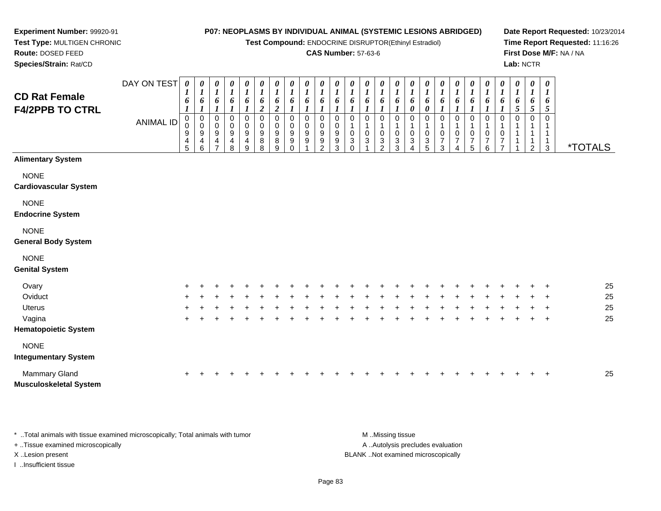**Test Compound:** ENDOCRINE DISRUPTOR(Ethinyl Estradiol)

### **CAS Number:** 57-63-6

**Date Report Requested:** 10/23/2014**Time Report Requested:** 11:16:26**First Dose M/F:** NA / NA**Lab:** NCTR

1 1 1

\*TOTALS

| <b>CD Rat Female</b><br><b>F4/2PPB TO CTRL</b> | DAY ON TEST<br>ANIMAL ID | $\boldsymbol{\theta}$<br>1<br>6<br>0<br>0<br>9<br>4<br>5 | $\boldsymbol{\theta}$<br>1<br>6<br>0<br>$\mathbf 0$<br>9<br>4<br>6 | $\boldsymbol{\theta}$<br>1<br>6<br>0<br>0<br>9<br>4<br>7 | $\boldsymbol{\theta}$<br>1<br>6<br>0<br>0<br>9<br>4<br>8 | 0<br>7<br>6<br>0<br>0<br>9<br>4<br>9 | $\boldsymbol{\theta}$<br>$\boldsymbol{l}$<br>6<br>0<br>0<br>9<br>$\,8\,$<br>8 | 0<br>1<br>6<br>2<br>0<br>0<br>9<br>8<br>9 | 0<br>6<br>0<br>0<br>9<br>9<br>0 | $\boldsymbol{\theta}$<br>1<br>6<br>0<br>0<br>9<br>9 | 0<br>6<br>0<br>9<br>9<br>2 | $\boldsymbol{\theta}$<br>$\boldsymbol{l}$<br>6<br>0<br>0<br>9<br>9<br>3 | $\boldsymbol{\theta}$<br>6<br>0<br>0<br>3<br>0 | 0<br>6<br>0<br>$\pmb{0}$<br>3 | 0<br>$\boldsymbol{l}$<br>6<br>0<br>0<br>3<br>2 | 0<br>6<br>0<br>0<br>3<br>3 | $\boldsymbol{\theta}$<br>6<br>0<br>0<br>0<br>3<br>4 | $\boldsymbol{\theta}$<br>6<br>0<br>0<br>0<br>3<br>5 | 0<br>$\boldsymbol{l}$<br>6<br>0<br>0<br>7<br>3 | 0<br>1<br>6<br>0<br>0<br>7<br>4 | $\boldsymbol{\theta}$<br>$\boldsymbol{l}$<br>6<br>$\boldsymbol{l}$<br>0<br>0<br>$\overline{7}$<br>5 |
|------------------------------------------------|--------------------------|----------------------------------------------------------|--------------------------------------------------------------------|----------------------------------------------------------|----------------------------------------------------------|--------------------------------------|-------------------------------------------------------------------------------|-------------------------------------------|---------------------------------|-----------------------------------------------------|----------------------------|-------------------------------------------------------------------------|------------------------------------------------|-------------------------------|------------------------------------------------|----------------------------|-----------------------------------------------------|-----------------------------------------------------|------------------------------------------------|---------------------------------|-----------------------------------------------------------------------------------------------------|
| <b>Alimentary System</b>                       |                          |                                                          |                                                                    |                                                          |                                                          |                                      |                                                                               |                                           |                                 |                                                     |                            |                                                                         |                                                |                               |                                                |                            |                                                     |                                                     |                                                |                                 |                                                                                                     |
| <b>NONE</b>                                    |                          |                                                          |                                                                    |                                                          |                                                          |                                      |                                                                               |                                           |                                 |                                                     |                            |                                                                         |                                                |                               |                                                |                            |                                                     |                                                     |                                                |                                 |                                                                                                     |
| <b>Cardiovascular System</b>                   |                          |                                                          |                                                                    |                                                          |                                                          |                                      |                                                                               |                                           |                                 |                                                     |                            |                                                                         |                                                |                               |                                                |                            |                                                     |                                                     |                                                |                                 |                                                                                                     |
| <b>NONE</b>                                    |                          |                                                          |                                                                    |                                                          |                                                          |                                      |                                                                               |                                           |                                 |                                                     |                            |                                                                         |                                                |                               |                                                |                            |                                                     |                                                     |                                                |                                 |                                                                                                     |
| <b>Endocrine System</b>                        |                          |                                                          |                                                                    |                                                          |                                                          |                                      |                                                                               |                                           |                                 |                                                     |                            |                                                                         |                                                |                               |                                                |                            |                                                     |                                                     |                                                |                                 |                                                                                                     |
| <b>NONE</b><br><b>General Body System</b>      |                          |                                                          |                                                                    |                                                          |                                                          |                                      |                                                                               |                                           |                                 |                                                     |                            |                                                                         |                                                |                               |                                                |                            |                                                     |                                                     |                                                |                                 |                                                                                                     |

# NONE

#### **Genital System**

**Experiment Number:** 99920-91**Test Type:** MULTIGEN CHRONIC

**Route:** DOSED FEED**Species/Strain:** Rat/CD

| Ovary                         | $+$ |  |    |  |  |   |     |  |   |   |     |     |        |   |   | $+$ $+$ | 25 |
|-------------------------------|-----|--|----|--|--|---|-----|--|---|---|-----|-----|--------|---|---|---------|----|
| Oviduct                       | $+$ |  |    |  |  | ÷ |     |  |   |   |     |     |        | ÷ |   | $+$ $+$ | 25 |
| <b>Uterus</b>                 | $+$ |  |    |  |  | ÷ |     |  |   |   |     |     |        |   |   | $+$     | 25 |
| Vagina                        | $+$ |  | ÷. |  |  |   | $+$ |  | ÷ | ÷ | $+$ | $+$ | $\div$ |   | ÷ | $+$ $+$ | 25 |
| <b>Hematopoietic System</b>   |     |  |    |  |  |   |     |  |   |   |     |     |        |   |   |         |    |
| <b>NONE</b>                   |     |  |    |  |  |   |     |  |   |   |     |     |        |   |   |         |    |
| <b>Integumentary System</b>   |     |  |    |  |  |   |     |  |   |   |     |     |        |   |   |         |    |
| <b>Mammary Gland</b>          | $+$ |  |    |  |  |   |     |  |   |   |     |     |        |   |   | $+$ $+$ | 25 |
| <b>Musculoskeletal System</b> |     |  |    |  |  |   |     |  |   |   |     |     |        |   |   |         |    |

\* ..Total animals with tissue examined microscopically; Total animals with tumor **M** ...Missing tissue M ...Missing tissue A .. Autolysis precludes evaluation + ..Tissue examined microscopically X ..Lesion present BLANK ..Not examined microscopicallyI ..Insufficient tissue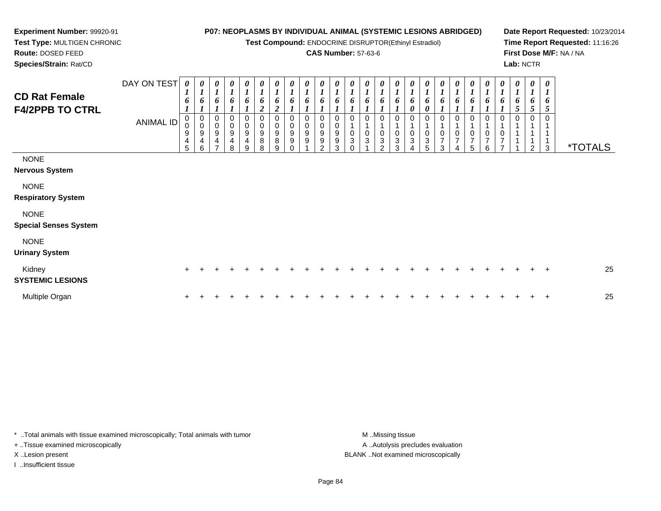**Test Compound:** ENDOCRINE DISRUPTOR(Ethinyl Estradiol)

### **CAS Number:** 57-63-6

**Date Report Requested:** 10/23/2014**Time Report Requested:** 11:16:26**First Dose M/F:** NA / NA**Lab:** NCTR

 **Test Type:** MULTIGEN CHRONIC**Route:** DOSED FEED**Species/Strain:** Rat/CD

**Experiment Number:** 99920-91

| <b>CD Rat Female</b><br><b>F4/2PPB TO CTRL</b> | DAY ON TEST<br><b>ANIMAL ID</b> | 0<br>6<br>$\pmb{0}$<br>$\pmb{0}$<br>9<br>$\overline{\mathbf{4}}$<br>5 | 0<br>$\boldsymbol{l}$<br>6<br>0<br>$\mathbf 0$<br>9<br>4<br>6 | $\boldsymbol{\theta}$<br>$\boldsymbol{l}$<br>6<br>0<br>$\pmb{0}$<br>9<br>$\overline{\mathbf{4}}$<br>$\overline{ }$ | $\boldsymbol{\theta}$<br>$\boldsymbol{l}$<br>6<br>0<br>$\pmb{0}$<br>$\boldsymbol{9}$<br>$\overline{\mathbf{4}}$<br>8 | $\frac{\boldsymbol{\theta}}{\boldsymbol{I}}$<br>6<br>$\mathbf{I}$<br>$\begin{smallmatrix}0\0\0\9\end{smallmatrix}$<br>$\overline{\mathbf{4}}$<br>9 | 0<br>$\boldsymbol{I}$<br>6<br>$\overline{c}$<br>0<br>$_{9}^{\rm 0}$<br>$\bf 8$<br>8 | $\boldsymbol{\theta}$<br>$\boldsymbol{l}$<br>6<br>$\overline{2}$<br>0<br>0<br>$\boldsymbol{9}$<br>$\bf 8$<br>9 | $\boldsymbol{\theta}$<br>$\boldsymbol{l}$<br>6<br>0<br>$\pmb{0}$<br>$\boldsymbol{9}$<br>9<br>$\Omega$ | 0<br>$\boldsymbol{l}$<br>6<br>0<br>$\pmb{0}$<br>$\boldsymbol{9}$<br>9 | $\boldsymbol{\theta}$<br>$\boldsymbol{l}$<br>6<br>0<br>$\pmb{0}$<br>$\boldsymbol{9}$<br>9<br>$\mathcal{P}$ | 1<br>0<br>0<br>9<br>9<br>3 | 6<br>$\Omega$<br>0<br>3<br>$\Omega$ | 0<br>$\boldsymbol{l}$<br>6<br>$\mathbf{0}$<br>$\mathsf{O}$<br>3 | 0<br>$\boldsymbol{l}$<br>6<br>0<br>0<br>$\ensuremath{\mathsf{3}}$<br>$\mathcal{P}$ | 0<br>$\boldsymbol{l}$<br>6<br>$\mathbf 0$<br>1<br>$\boldsymbol{0}$<br>3<br>3 | 0<br>$\boldsymbol{l}$<br>6<br>$\pmb{\theta}$<br>0<br>$\mathbf 0$<br>$\ensuremath{\mathsf{3}}$<br>4 | 0<br>$\boldsymbol{l}$<br>6<br>$\boldsymbol{\theta}$<br>0<br>0<br>$\sqrt{3}$<br>5 | U<br>$\boldsymbol{l}$<br>6<br>0<br>$\overline{7}$<br>3 | $\boldsymbol{l}$<br>$\bm{o}$<br>0<br>$\mathbf 0$<br>$\overline{7}$<br>4 | $\boldsymbol{l}$<br>6<br>0<br>0<br>$\overline{7}$<br>5 | $\boldsymbol{\theta}$<br>$\boldsymbol{I}$<br>6<br>$\mathbf 0$<br>$\pmb{0}$<br>$\overline{7}$<br>6 | 0<br>$\boldsymbol{l}$<br>6<br>$\boldsymbol{l}$<br>0<br>$\mathbf 0$<br>7<br>$\overline{ }$ | 0<br>$\boldsymbol{l}$<br>6<br>5<br>0 | 0<br>$\boldsymbol{l}$<br>6<br>5<br>0<br>2 | 0<br>1<br>6<br>5<br>3 | <i><b>*TOTALS</b></i> |
|------------------------------------------------|---------------------------------|-----------------------------------------------------------------------|---------------------------------------------------------------|--------------------------------------------------------------------------------------------------------------------|----------------------------------------------------------------------------------------------------------------------|----------------------------------------------------------------------------------------------------------------------------------------------------|-------------------------------------------------------------------------------------|----------------------------------------------------------------------------------------------------------------|-------------------------------------------------------------------------------------------------------|-----------------------------------------------------------------------|------------------------------------------------------------------------------------------------------------|----------------------------|-------------------------------------|-----------------------------------------------------------------|------------------------------------------------------------------------------------|------------------------------------------------------------------------------|----------------------------------------------------------------------------------------------------|----------------------------------------------------------------------------------|--------------------------------------------------------|-------------------------------------------------------------------------|--------------------------------------------------------|---------------------------------------------------------------------------------------------------|-------------------------------------------------------------------------------------------|--------------------------------------|-------------------------------------------|-----------------------|-----------------------|
| <b>NONE</b><br><b>Nervous System</b>           |                                 |                                                                       |                                                               |                                                                                                                    |                                                                                                                      |                                                                                                                                                    |                                                                                     |                                                                                                                |                                                                                                       |                                                                       |                                                                                                            |                            |                                     |                                                                 |                                                                                    |                                                                              |                                                                                                    |                                                                                  |                                                        |                                                                         |                                                        |                                                                                                   |                                                                                           |                                      |                                           |                       |                       |
| <b>NONE</b><br><b>Respiratory System</b>       |                                 |                                                                       |                                                               |                                                                                                                    |                                                                                                                      |                                                                                                                                                    |                                                                                     |                                                                                                                |                                                                                                       |                                                                       |                                                                                                            |                            |                                     |                                                                 |                                                                                    |                                                                              |                                                                                                    |                                                                                  |                                                        |                                                                         |                                                        |                                                                                                   |                                                                                           |                                      |                                           |                       |                       |
| <b>NONE</b><br><b>Special Senses System</b>    |                                 |                                                                       |                                                               |                                                                                                                    |                                                                                                                      |                                                                                                                                                    |                                                                                     |                                                                                                                |                                                                                                       |                                                                       |                                                                                                            |                            |                                     |                                                                 |                                                                                    |                                                                              |                                                                                                    |                                                                                  |                                                        |                                                                         |                                                        |                                                                                                   |                                                                                           |                                      |                                           |                       |                       |
| <b>NONE</b><br><b>Urinary System</b>           |                                 |                                                                       |                                                               |                                                                                                                    |                                                                                                                      |                                                                                                                                                    |                                                                                     |                                                                                                                |                                                                                                       |                                                                       |                                                                                                            |                            |                                     |                                                                 |                                                                                    |                                                                              |                                                                                                    |                                                                                  |                                                        |                                                                         |                                                        |                                                                                                   |                                                                                           |                                      |                                           |                       |                       |
| Kidney<br><b>SYSTEMIC LESIONS</b>              |                                 | $\div$                                                                |                                                               |                                                                                                                    |                                                                                                                      |                                                                                                                                                    |                                                                                     |                                                                                                                |                                                                                                       |                                                                       |                                                                                                            |                            |                                     |                                                                 |                                                                                    |                                                                              |                                                                                                    |                                                                                  |                                                        |                                                                         |                                                        |                                                                                                   |                                                                                           |                                      |                                           | $\ddot{}$             | 25                    |
| Multiple Organ                                 |                                 |                                                                       |                                                               |                                                                                                                    |                                                                                                                      |                                                                                                                                                    |                                                                                     |                                                                                                                |                                                                                                       |                                                                       |                                                                                                            |                            |                                     |                                                                 |                                                                                    |                                                                              |                                                                                                    |                                                                                  |                                                        |                                                                         |                                                        |                                                                                                   |                                                                                           |                                      |                                           | $\pm$                 | 25                    |

\* ..Total animals with tissue examined microscopically; Total animals with tumor **M** . Missing tissue M ..Missing tissue A ..Autolysis precludes evaluation + ..Tissue examined microscopically X ..Lesion present BLANK ..Not examined microscopicallyI ..Insufficient tissue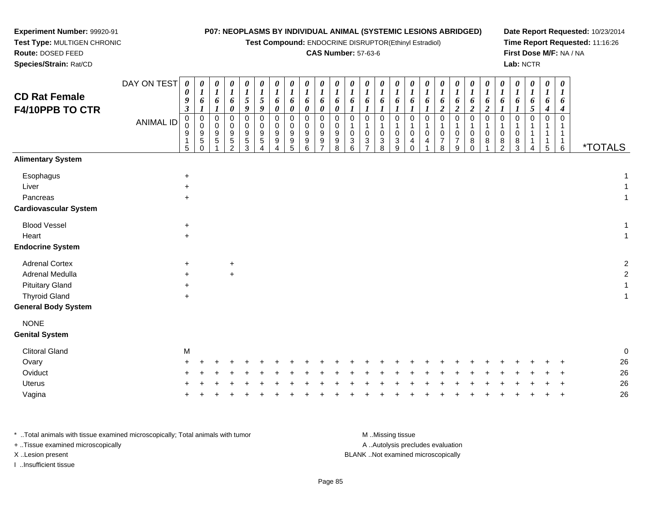**Test Compound:** ENDOCRINE DISRUPTOR(Ethinyl Estradiol)

### **CAS Number:** 57-63-6

**Date Report Requested:** 10/23/2014**Time Report Requested:** 11:16:26**First Dose M/F:** NA / NA**Lab:** NCTR

DAY ON TEST**CD Rat Female F4/10PPB TO CTR**ANIMAL ID*0 0 9 3* 0 0 9 1 5*0 1 6 1* 00<br>9<br>5<br>0 *0 1 6 1* 0 0 9 5 1*0 1 6 0* 0 0 9 5 2*0 1 5 9* 0 0 9 5 3*0 1 5 9* 0 0 9 5 4*0 1 6 0* 0 0 9 9 4*0 1 6 0* 0 0 9 9 5*0 1 6 0* 0 0 9 9 6*0 1 6 0* 0 0 9 9 7*0 1 6 0* 0 0 9 9 8*0 1 6 1* 0 1 0 3 6*0 1 6 1* 0 1 0 3 7*0 1 6 1* 0 1 0 3 8*0 1 6 1* 0 1 0 3 9*0 1 6 1* 0 1 0 4 0*0 1 6 1* 0 1 0 4 1*0 1 6 2* 0 1 0 7 8*0 1 6 2* 0 1 0 7 9*0 1 6 2* 0 1 0 8 0*0 1 6 2* 0 1 0 8 1*0 1 6 1* 0 1 0 8 2*0 1 6 1* 0 1 0 8 3*0 1 6 5* 0 1 1 1 4*0 1 6 4* 0 1 1 1 5*0 1 6 4* 0 1 1 1 $\overline{6}$ 6 \*TOTALS**Alimentary SystemEsophagus**  $\mathsf{S}$  +  $\ddot{\phantom{a}}$ Liver $\mathsf{r}$  +  $\ddot{\phantom{a}}$ Pancreas <sup>+</sup> $\ddot{\phantom{a}}$ **Cardiovascular System**Blood Vessel $\mathbf{+}$  $\ddot{\phantom{a}}$ Heart <sup>+</sup> $\ddot{\phantom{a}}$ **Endocrine System**Adrenal Cortex $\times$  + <sup>+</sup> <sup>2</sup> Adrenal Medullaa  $+$  <sup>+</sup> <sup>2</sup> Pituitary Gland $\alpha$  +  $\ddot{\phantom{a}}$ Thyroid Glandd  $+$  $\ddot{\phantom{a}}$ **General Body SystemNONE Genital System**Clitoral Glandd M  $\blacksquare$ Ovary $\mathsf y$  <sup>+</sup> <sup>+</sup> <sup>+</sup> <sup>+</sup> <sup>+</sup> <sup>+</sup> <sup>+</sup> <sup>+</sup> <sup>+</sup> <sup>+</sup> <sup>+</sup> <sup>+</sup> <sup>+</sup> <sup>+</sup> <sup>+</sup> <sup>+</sup> <sup>+</sup> <sup>+</sup> <sup>+</sup> <sup>+</sup> <sup>+</sup> <sup>+</sup> <sup>+</sup> <sup>+</sup> <sup>+</sup> <sup>26</sup> **Oviduct**  $\frac{1}{2}$  <sup>+</sup> <sup>+</sup> <sup>+</sup> <sup>+</sup> <sup>+</sup> <sup>+</sup> <sup>+</sup> <sup>+</sup> <sup>+</sup> <sup>+</sup> <sup>+</sup> <sup>+</sup> <sup>+</sup> <sup>+</sup> <sup>+</sup> <sup>+</sup> <sup>+</sup> <sup>+</sup> <sup>+</sup> <sup>+</sup> <sup>+</sup> <sup>+</sup> <sup>+</sup> <sup>+</sup> <sup>+</sup> <sup>26</sup> Uterus <sup>+</sup><sup>+</sup> <sup>+</sup> <sup>+</sup> <sup>+</sup> <sup>+</sup> <sup>+</sup> <sup>+</sup> <sup>+</sup> <sup>+</sup> <sup>+</sup> <sup>+</sup> <sup>+</sup> <sup>+</sup> <sup>+</sup> <sup>+</sup> <sup>+</sup> <sup>+</sup> <sup>+</sup> <sup>+</sup> <sup>+</sup> <sup>+</sup> <sup>+</sup> <sup>+</sup> <sup>+</sup> <sup>+</sup> <sup>26</sup>

\* ..Total animals with tissue examined microscopically; Total animals with tumor M ...Missing tissue M ...Missing tissue A ..Autolysis precludes evaluation + ..Tissue examined microscopically X ..Lesion present BLANK ..Not examined microscopicallyI ..Insufficient tissue

**Experiment Number:** 99920-91**Test Type:** MULTIGEN CHRONIC

**Route:** DOSED FEED**Species/Strain:** Rat/CD

Vagina

a  $+$ 

<sup>+</sup> <sup>+</sup> <sup>+</sup> <sup>+</sup> <sup>+</sup> <sup>+</sup> <sup>+</sup> <sup>+</sup> <sup>+</sup> <sup>+</sup> <sup>+</sup> <sup>+</sup> <sup>+</sup> <sup>+</sup> <sup>+</sup> <sup>+</sup> <sup>+</sup> <sup>+</sup> <sup>+</sup> <sup>+</sup> <sup>+</sup> <sup>+</sup> <sup>+</sup> <sup>+</sup> <sup>+</sup> <sup>26</sup>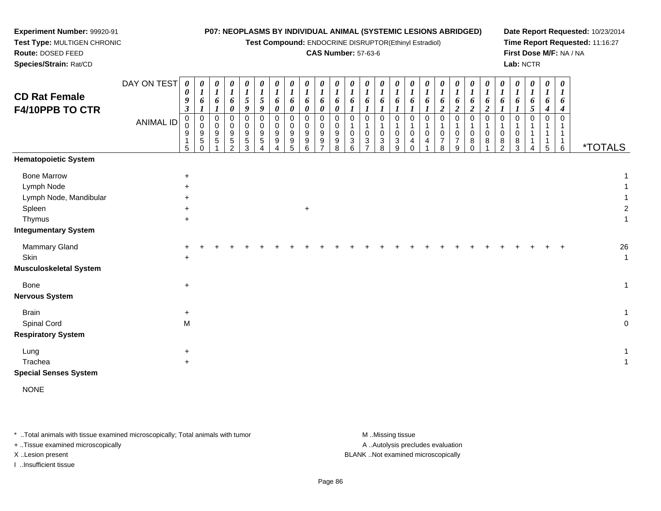**Test Compound:** ENDOCRINE DISRUPTOR(Ethinyl Estradiol)

### **CAS Number:** 57-63-6

**Date Report Requested:** 10/23/2014**Time Report Requested:** 11:16:27**First Dose M/F:** NA / NA**Lab:** NCTR

DAY ON TEST**CD Rat Female F4/10PPB TO CTR**ANIMAL ID*0 0 9 3* 0 0 9 1 5*0 1 6 1* 0 0 9 5 0*0 1 6 1* 0 0 9 5 1*0 1 6 0* 0 0 9 5 2*0 1 5 9* 0 0 9 5 3*0 1 5 9* 0 0 9 5 4*0 1 6 0* 0 0 9 9 4*0 1 6 0* 0 0 9 9 5*0 1 6 0* 0 0 9 9 6*0 1 6 0* 0 0 9 9 7*0 1 6 0* 0 0 9 9 8*0 1 6 1* 0 1 0 3 6*0 1 6 1* 0 1 0 3 7*0 1 6 1* 0 1 0 3 8*0 1 6 1* 0 1 0 3 9*0 1 6 1* 0 1 0 4 0*0 1 6 1* 0 1 0 4 1*0 1 6 2* 0 1 0 7 8*0 1 6 2* 0 1 0 7 9*0 1 6 2* 0 1 0 8 0*0 1 6 2* 0 1 0 8 1*0 1 6 1* 0 1 0 8 2*0 1 6 1* 0 1 0 8 3*0 1 6 5* 0 1 1 1 4*0 1 6 4* 0 1 1 1 5*0 1 6 4* 0 1 1 1 $\overline{6}$ 6 \*TOTALS**Hematopoietic System**Bone Marroww  $+$  1 Lymph Node $e$  +  $\ddot{\phantom{a}}$ Lymph Node, Mandibularr +  $\ddot{\phantom{a}}$ Spleenn  $+$  $+$  2 Thymus <sup>+</sup> $\ddot{\phantom{a}}$ **Integumentary System**Mammary Gland $\alpha$  + <sup>+</sup> <sup>+</sup> <sup>+</sup> <sup>+</sup> <sup>+</sup> <sup>+</sup> <sup>+</sup> <sup>+</sup> <sup>+</sup> <sup>+</sup> <sup>+</sup> <sup>+</sup> <sup>+</sup> <sup>+</sup> <sup>+</sup> <sup>+</sup> <sup>+</sup> <sup>+</sup> <sup>+</sup> <sup>+</sup> <sup>+</sup> <sup>+</sup> <sup>+</sup> <sup>+</sup> <sup>+</sup> <sup>26</sup> **Skin** n  $+$  $\ddot{\phantom{a}}$ **Musculoskeletal System**Bone $e$  +  $\ddot{\phantom{a}}$ **Nervous SystemBrain** n  $+$  $\ddot{\phantom{a}}$ Spinal Cordd M M<sub>o</sub> and the contract of the contract of the contract of the contract of the contract of the contract of the contract of the contract of the contract of the contract of the contract of the contract of the contract of the c **Respiratory System**Lungg  $\rightarrow$  $\ddot{\phantom{a}}$ Tracheaa  $+$  $\ddot{\phantom{a}}$ 

**Special Senses System**

**Experiment Number:** 99920-91**Test Type:** MULTIGEN CHRONIC

**Route:** DOSED FEED**Species/Strain:** Rat/CD

NONE

\* ..Total animals with tissue examined microscopically; Total animals with tumor M ...Missing tissue M ...Missing tissue + ..Tissue examined microscopically X ..Lesion present BLANK ..Not examined microscopically

I ..Insufficient tissue

A ..Autolysis precludes evaluation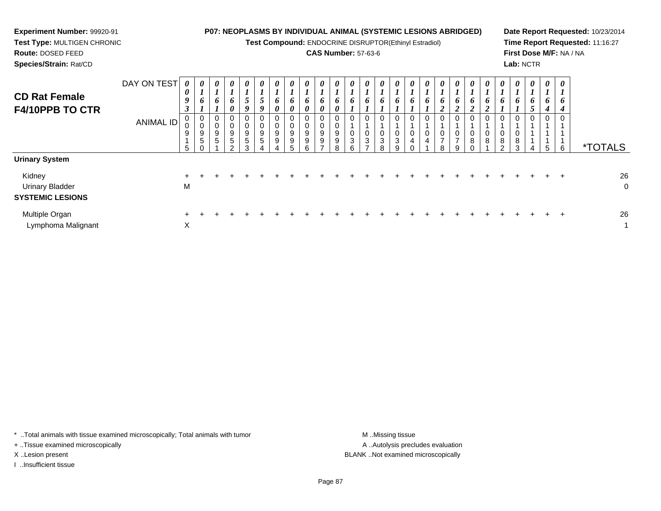| <b>Experiment Number: 99920-91</b><br>Test Type: MULTIGEN CHRONIC<br><b>Route: DOSED FEED</b><br>Species/Strain: Rat/CD |                                 |                                                |                                |             |                                                       |                  |             |                                 |   | <b>P07: NEOPLASMS BY INDIVIDUAL ANIMAL (SYSTEMIC LESIONS ABRIDGED)</b><br>Test Compound: ENDOCRINE DISRUPTOR(Ethinyl Estradiol)<br><b>CAS Number: 57-63-6</b> |        |                                            |                            |                  |  |                            |                     |   |   | Lab: NCTR          |              |             | First Dose M/F: NA / NA | Date Report Requested: 10/23/2014<br>Time Report Requested: 11:16:27 |
|-------------------------------------------------------------------------------------------------------------------------|---------------------------------|------------------------------------------------|--------------------------------|-------------|-------------------------------------------------------|------------------|-------------|---------------------------------|---|---------------------------------------------------------------------------------------------------------------------------------------------------------------|--------|--------------------------------------------|----------------------------|------------------|--|----------------------------|---------------------|---|---|--------------------|--------------|-------------|-------------------------|----------------------------------------------------------------------|
| <b>CD Rat Female</b><br><b>F4/10PPB TO CTR</b>                                                                          | DAY ON TEST<br><b>ANIMAL ID</b> | $\boldsymbol{\theta}$<br>0<br>9<br>0<br>9<br>5 | 0<br>6<br>0<br>9<br>$\sqrt{5}$ | 0<br>6<br>9 | 0<br>6<br>0<br>0<br>$\boldsymbol{9}$<br>5<br>$\Omega$ | 0<br>0<br>9<br>5 | 0<br>9<br>9 | $\boldsymbol{\theta}$<br>9<br>9 | 9 | 9<br>9                                                                                                                                                        | U<br>3 | 0<br>6<br>0<br>$\mathbf 0$<br>$\mathbf{3}$ | $\boldsymbol{\theta}$<br>3 | 0<br>0<br>3<br>a |  | $\boldsymbol{\theta}$<br>8 | 0<br>$\overline{ }$ | 8 | 8 | $\theta$<br>8<br>3 | 0<br>n.<br>4 | 0<br>6<br>5 | 0<br>6                  | <i><b>*TOTALS</b></i>                                                |
| <b>Urinary System</b>                                                                                                   |                                 |                                                |                                |             |                                                       |                  |             |                                 |   |                                                                                                                                                               |        |                                            |                            |                  |  |                            |                     |   |   |                    |              |             |                         |                                                                      |
| Kidney<br><b>Urinary Bladder</b><br><b>SYSTEMIC LESIONS</b>                                                             |                                 | M                                              |                                |             |                                                       |                  |             |                                 |   |                                                                                                                                                               |        |                                            |                            |                  |  |                            |                     |   |   |                    |              |             |                         | 26<br>0                                                              |
| Multiple Organ                                                                                                          |                                 |                                                |                                |             |                                                       |                  |             |                                 |   |                                                                                                                                                               |        |                                            |                            |                  |  |                            |                     |   |   |                    |              |             |                         | 26                                                                   |

\* ..Total animals with tissue examined microscopically; Total animals with tumor M..Missing tissue M ..Missing tissue

X

+ ..Tissue examined microscopically

Lymphoma Malignant

I ..Insufficient tissue

A ..Autolysis precludes evaluation X ..Lesion present BLANK ..Not examined microscopically

 $\chi$  and  $\eta$  and  $\eta$  and  $\eta$  and  $\eta$  and  $\eta$  and  $\eta$  and  $\eta$  and  $\eta$  and  $\eta$  and  $\eta$  and  $\eta$  and  $\eta$  and  $\eta$  and  $\eta$  and  $\eta$  and  $\eta$  and  $\eta$  and  $\eta$  and  $\eta$  and  $\eta$  and  $\eta$  and  $\eta$  and  $\eta$  and  $\eta$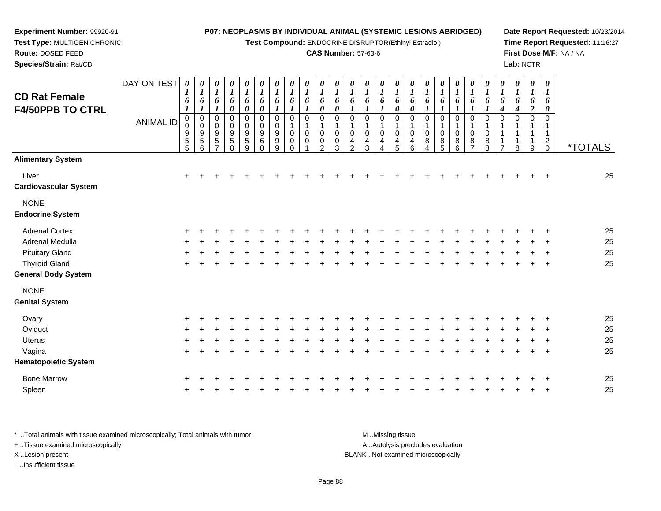**Test Compound:** ENDOCRINE DISRUPTOR(Ethinyl Estradiol)

### **CAS Number:** 57-63-6

**Date Report Requested:** 10/23/2014**Time Report Requested:** 11:16:27**First Dose M/F:** NA / NA**Lab:** NCTR

|                                                 | DAY ON TEST      | $\pmb{\theta}$                                       | 0                                                      | 0                                                 | 0                                    | 0                                                                | $\boldsymbol{\theta}$                            | 0                                            | 0                                                           | 0                                         | 0                                              | 0                                 | 0                                                | 0                                 | 0                                         | 0                                         | 0                                              | 0                                          | 0                | 0                                    | 0                             | 0                                 | $\boldsymbol{\theta}$      | $\boldsymbol{\theta}$                               | 0                                         | 0                                         |                       |
|-------------------------------------------------|------------------|------------------------------------------------------|--------------------------------------------------------|---------------------------------------------------|--------------------------------------|------------------------------------------------------------------|--------------------------------------------------|----------------------------------------------|-------------------------------------------------------------|-------------------------------------------|------------------------------------------------|-----------------------------------|--------------------------------------------------|-----------------------------------|-------------------------------------------|-------------------------------------------|------------------------------------------------|--------------------------------------------|------------------|--------------------------------------|-------------------------------|-----------------------------------|----------------------------|-----------------------------------------------------|-------------------------------------------|-------------------------------------------|-----------------------|
| <b>CD Rat Female</b><br><b>F4/50PPB TO CTRL</b> |                  | 6<br>$\boldsymbol{l}$                                | $\boldsymbol{l}$<br>6<br>1                             | 1<br>6                                            | $\boldsymbol{l}$<br>6<br>0           | $\boldsymbol{l}$<br>6<br>$\boldsymbol{\theta}$                   | $\boldsymbol{l}$<br>6<br>$\boldsymbol{\theta}$   | $\boldsymbol{l}$<br>6<br>$\boldsymbol{l}$    | $\boldsymbol{l}$<br>6                                       | $\boldsymbol{l}$<br>6<br>$\boldsymbol{l}$ | $\bm{l}$<br>6<br>0                             | 1<br>6<br>$\boldsymbol{\theta}$   | 6                                                | $\boldsymbol{I}$<br>6             | 1<br>6                                    | $\boldsymbol{l}$<br>6<br>0                | $\boldsymbol{l}$<br>6<br>$\boldsymbol{\theta}$ | $\boldsymbol{l}$<br>6                      | 6                | 6                                    | 6                             | 6                                 | $\boldsymbol{l}$<br>6<br>4 | $\boldsymbol{l}$<br>6<br>4                          | $\boldsymbol{l}$<br>6<br>$\boldsymbol{2}$ | $\boldsymbol{\mathit{1}}$<br>6<br>0       |                       |
|                                                 | <b>ANIMAL ID</b> | 0<br>0<br>$\begin{array}{c} 9 \\ 5 \\ 5 \end{array}$ | $\pmb{0}$<br>$\mathbf 0$<br>$\boldsymbol{9}$<br>5<br>6 | $\pmb{0}$<br>$\mathbf 0$<br>$\boldsymbol{9}$<br>5 | 0<br>0<br>$\boldsymbol{9}$<br>5<br>8 | $\mathbf 0$<br>$\pmb{0}$<br>$\boldsymbol{9}$<br>$\,$ 5 $\,$<br>9 | $\mathbf 0$<br>$\mathbf 0$<br>9<br>6<br>$\Omega$ | 0<br>$\pmb{0}$<br>$\boldsymbol{9}$<br>9<br>9 | $\mathbf 0$<br>$\mathbf{1}$<br>$\mathbf 0$<br>0<br>$\Omega$ | 0<br>0<br>$\Omega$                        | $\mathbf 0$<br>$\Omega$<br>0<br>$\mathfrak{p}$ | $\mathbf 0$<br>$\Omega$<br>0<br>3 | $\mathbf 0$<br>$\mathbf 0$<br>4<br>$\mathcal{P}$ | $\Omega$<br>$\mathbf 0$<br>4<br>3 | $\mathbf 0$<br>1<br>$\mathbf 0$<br>4<br>4 | $\mathbf 0$<br>1<br>$\mathbf 0$<br>4<br>5 | 0<br>$\mathbf 1$<br>$\pmb{0}$<br>4<br>6        | 0<br>$\mathbf{1}$<br>$\mathbf 0$<br>8<br>4 | 0<br>0<br>8<br>5 | $\mathbf 0$<br>$\mathbf 0$<br>8<br>6 | $\mathbf 0$<br>$\pmb{0}$<br>8 | $\Omega$<br>$\mathbf 0$<br>8<br>8 | $\Omega$                   | $\mathbf 0$<br>1<br>$\mathbf 1$<br>$\mathbf 1$<br>8 | $\mathbf 0$<br>-1<br>1<br>9               | 0<br>1<br>1<br>$\overline{a}$<br>$\Omega$ | <i><b>*TOTALS</b></i> |
| <b>Alimentary System</b>                        |                  |                                                      |                                                        |                                                   |                                      |                                                                  |                                                  |                                              |                                                             |                                           |                                                |                                   |                                                  |                                   |                                           |                                           |                                                |                                            |                  |                                      |                               |                                   |                            |                                                     |                                           |                                           |                       |
| Liver<br><b>Cardiovascular System</b>           |                  | $\ddot{}$                                            |                                                        |                                                   |                                      |                                                                  |                                                  |                                              |                                                             |                                           |                                                |                                   |                                                  |                                   |                                           |                                           |                                                |                                            |                  |                                      |                               |                                   |                            |                                                     |                                           |                                           | 25                    |
| <b>NONE</b><br><b>Endocrine System</b>          |                  |                                                      |                                                        |                                                   |                                      |                                                                  |                                                  |                                              |                                                             |                                           |                                                |                                   |                                                  |                                   |                                           |                                           |                                                |                                            |                  |                                      |                               |                                   |                            |                                                     |                                           |                                           |                       |
| <b>Adrenal Cortex</b>                           |                  |                                                      |                                                        |                                                   |                                      |                                                                  |                                                  |                                              |                                                             |                                           |                                                |                                   |                                                  |                                   |                                           |                                           |                                                |                                            |                  |                                      |                               |                                   |                            |                                                     |                                           |                                           | 25                    |
| Adrenal Medulla                                 |                  |                                                      |                                                        |                                                   |                                      |                                                                  |                                                  |                                              |                                                             |                                           |                                                |                                   |                                                  |                                   |                                           |                                           |                                                |                                            |                  |                                      |                               |                                   |                            |                                                     |                                           |                                           | 25                    |
| <b>Pituitary Gland</b>                          |                  |                                                      |                                                        |                                                   |                                      |                                                                  |                                                  |                                              |                                                             |                                           |                                                |                                   |                                                  |                                   |                                           |                                           |                                                |                                            |                  |                                      |                               |                                   |                            |                                                     |                                           |                                           | 25                    |
| <b>Thyroid Gland</b>                            |                  | $\pm$                                                |                                                        |                                                   |                                      |                                                                  |                                                  |                                              |                                                             |                                           |                                                |                                   |                                                  |                                   |                                           |                                           |                                                |                                            |                  |                                      |                               |                                   |                            |                                                     |                                           | $\ddot{}$                                 | 25                    |
| General Body System                             |                  |                                                      |                                                        |                                                   |                                      |                                                                  |                                                  |                                              |                                                             |                                           |                                                |                                   |                                                  |                                   |                                           |                                           |                                                |                                            |                  |                                      |                               |                                   |                            |                                                     |                                           |                                           |                       |
| <b>NONE</b>                                     |                  |                                                      |                                                        |                                                   |                                      |                                                                  |                                                  |                                              |                                                             |                                           |                                                |                                   |                                                  |                                   |                                           |                                           |                                                |                                            |                  |                                      |                               |                                   |                            |                                                     |                                           |                                           |                       |
| <b>Genital System</b>                           |                  |                                                      |                                                        |                                                   |                                      |                                                                  |                                                  |                                              |                                                             |                                           |                                                |                                   |                                                  |                                   |                                           |                                           |                                                |                                            |                  |                                      |                               |                                   |                            |                                                     |                                           |                                           |                       |
| Ovary                                           |                  |                                                      |                                                        |                                                   |                                      |                                                                  |                                                  |                                              |                                                             |                                           |                                                |                                   |                                                  |                                   |                                           |                                           |                                                |                                            |                  |                                      |                               |                                   |                            |                                                     |                                           |                                           | 25                    |
| Oviduct                                         |                  | +                                                    |                                                        |                                                   |                                      |                                                                  |                                                  |                                              |                                                             |                                           |                                                |                                   |                                                  |                                   |                                           |                                           |                                                |                                            |                  |                                      |                               |                                   |                            |                                                     |                                           |                                           | 25                    |
| <b>Uterus</b>                                   |                  |                                                      |                                                        |                                                   |                                      |                                                                  |                                                  |                                              |                                                             |                                           |                                                |                                   |                                                  |                                   |                                           |                                           |                                                |                                            |                  |                                      |                               |                                   |                            |                                                     |                                           |                                           | 25                    |
| Vagina                                          |                  | $\pm$                                                |                                                        |                                                   |                                      |                                                                  |                                                  |                                              |                                                             |                                           |                                                |                                   |                                                  |                                   |                                           |                                           |                                                |                                            |                  |                                      |                               |                                   |                            |                                                     |                                           | $\ddot{}$                                 | 25                    |
| <b>Hematopoietic System</b>                     |                  |                                                      |                                                        |                                                   |                                      |                                                                  |                                                  |                                              |                                                             |                                           |                                                |                                   |                                                  |                                   |                                           |                                           |                                                |                                            |                  |                                      |                               |                                   |                            |                                                     |                                           |                                           |                       |
| <b>Bone Marrow</b>                              |                  |                                                      |                                                        |                                                   |                                      |                                                                  |                                                  |                                              |                                                             |                                           |                                                |                                   |                                                  |                                   |                                           |                                           |                                                |                                            |                  |                                      |                               |                                   |                            |                                                     |                                           |                                           | 25                    |
| Spleen                                          |                  |                                                      |                                                        |                                                   |                                      |                                                                  |                                                  |                                              |                                                             |                                           |                                                |                                   |                                                  |                                   |                                           |                                           |                                                |                                            |                  |                                      |                               |                                   |                            |                                                     |                                           |                                           | 25                    |
|                                                 |                  |                                                      |                                                        |                                                   |                                      |                                                                  |                                                  |                                              |                                                             |                                           |                                                |                                   |                                                  |                                   |                                           |                                           |                                                |                                            |                  |                                      |                               |                                   |                            |                                                     |                                           |                                           |                       |

\* ..Total animals with tissue examined microscopically; Total animals with tumor **M** . Missing tissue M ..Missing tissue A ..Autolysis precludes evaluation + ..Tissue examined microscopically X ..Lesion present BLANK ..Not examined microscopicallyI ..Insufficient tissue

**Experiment Number:** 99920-91**Test Type:** MULTIGEN CHRONIC

**Route:** DOSED FEED**Species/Strain:** Rat/CD